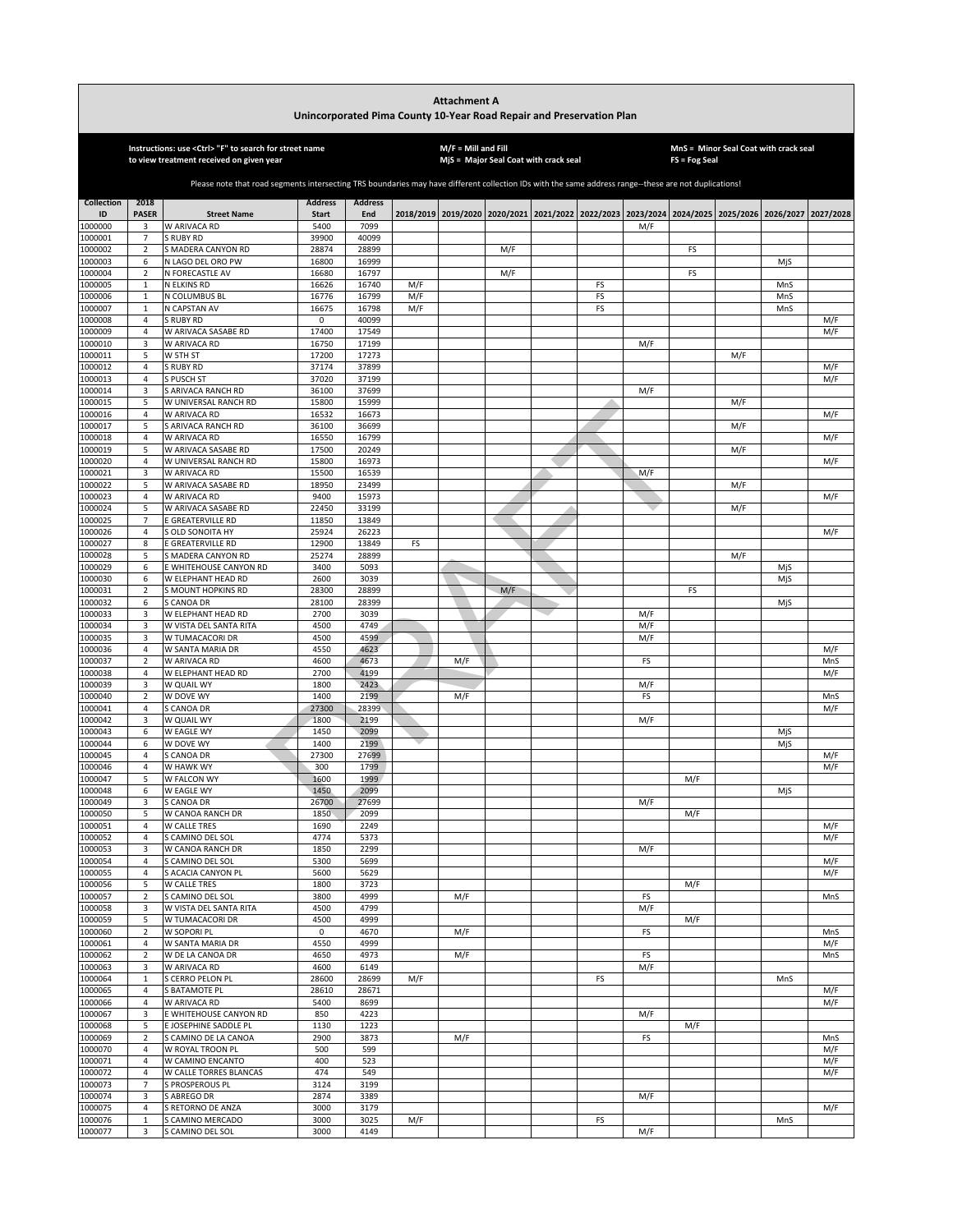|                    |                                  |                                                                                                                                                       | Unincorporated Pima County 10-Year Road Repair and Preservation Plan (January 2, 2018 Draft) |                |     | <b>Attachment A</b>   |                                       |          |     |               |                                                             |                     |            |
|--------------------|----------------------------------|-------------------------------------------------------------------------------------------------------------------------------------------------------|----------------------------------------------------------------------------------------------|----------------|-----|-----------------------|---------------------------------------|----------|-----|---------------|-------------------------------------------------------------|---------------------|------------|
|                    |                                  | Instructions: use <ctrl> "F" to search for street name<br/>to view treatment received on given year</ctrl>                                            |                                                                                              |                |     | $M/F =$ Mill and Fill | MjS = Major Seal Coat with crack seal |          |     | FS = Fog Seal | MnS = Minor Seal Coat with crack seal                       |                     |            |
|                    |                                  | Please note that road segments intersecting TRS boundaries may have different collection IDs with the same address range--these are not duplications! |                                                                                              |                |     |                       |                                       |          |     |               |                                                             |                     |            |
| <b>Collection</b>  | 2018                             |                                                                                                                                                       | <b>Address</b>                                                                               | <b>Address</b> |     |                       |                                       |          |     |               |                                                             |                     |            |
| ID                 | <b>PASER</b>                     | <b>Street Name</b>                                                                                                                                    | <b>Start</b>                                                                                 | End            |     | 2018/2019 2019/2020   |                                       |          |     |               | 2020/2021 2021/2022 2022/2023 2023/2024 2024/2025 2025/2026 | 2026/2027 2027/2028 |            |
| 1000000<br>1000001 | 3<br>$\overline{7}$              | W ARIVACA RD<br><b>RUBY RD</b>                                                                                                                        | 5400<br>39900                                                                                | 7099<br>40099  |     |                       |                                       |          | M/F |               |                                                             |                     |            |
| 1000002            | $\overline{2}$                   | S MADERA CANYON RD                                                                                                                                    | 28874                                                                                        | 28899          |     |                       | M/F                                   |          |     | FS            |                                                             |                     |            |
| 1000003            | 6                                | N LAGO DEL ORO PW                                                                                                                                     | 16800                                                                                        | 16999          |     |                       |                                       |          |     |               |                                                             | MjS                 |            |
| 1000004            | $\overline{2}$                   | N FORECASTLE AV<br>N ELKINS RD                                                                                                                        | 16680                                                                                        | 16797<br>16740 | M/F |                       | M/F                                   |          |     | FS            |                                                             | MnS                 |            |
| 1000005<br>1000006 | $\mathbf 1$<br>$\,1\,$           | N COLUMBUS BL                                                                                                                                         | 16626<br>16776                                                                               | 16799          | M/F |                       |                                       | FS<br>FS |     |               |                                                             | MnS                 |            |
| 1000007            | $\mathbf{1}$                     | N CAPSTAN AV                                                                                                                                          | 16675                                                                                        | 16798          | M/F |                       |                                       | FS       |     |               |                                                             | MnS                 |            |
| 1000008            | $\overline{4}$                   | <b>S RUBY RD</b>                                                                                                                                      | 0                                                                                            | 40099          |     |                       |                                       |          |     |               |                                                             |                     | M/F        |
| 1000009<br>1000010 | $\overline{4}$<br>3              | W ARIVACA SASABE RD<br>W ARIVACA RD                                                                                                                   | 17400<br>16750                                                                               | 17549<br>17199 |     |                       |                                       |          | M/F |               |                                                             |                     | M/F        |
| 1000011            | 5                                | W 5TH ST                                                                                                                                              | 17200                                                                                        | 17273          |     |                       |                                       |          |     |               | M/F                                                         |                     |            |
| 1000012            | $\overline{4}$                   | S RUBY RD                                                                                                                                             | 37174                                                                                        | 37899          |     |                       |                                       |          |     |               |                                                             |                     | M/F        |
| 1000013<br>1000014 | $\overline{4}$<br>3              | S PUSCH ST<br>S ARIVACA RANCH RD                                                                                                                      | 37020<br>36100                                                                               | 37199<br>37699 |     |                       |                                       |          | M/F |               |                                                             |                     | M/F        |
| 1000015            | 5                                | W UNIVERSAL RANCH RD                                                                                                                                  | 15800                                                                                        | 15999          |     |                       |                                       |          |     |               | M/F                                                         |                     |            |
| 1000016            | $\overline{4}$                   | W ARIVACA RD                                                                                                                                          | 16532                                                                                        | 16673          |     |                       |                                       |          |     |               |                                                             |                     | M/F        |
| 1000017            | 5                                | S ARIVACA RANCH RD                                                                                                                                    | 36100                                                                                        | 36699          |     |                       |                                       |          |     |               | M/F                                                         |                     | M/F        |
| 1000018<br>1000019 | 4<br>5                           | W ARIVACA RD<br>W ARIVACA SASABE RD                                                                                                                   | 16550<br>17500                                                                               | 16799<br>20249 |     |                       |                                       |          |     |               | M/F                                                         |                     |            |
| 1000020            | 4                                | W UNIVERSAL RANCH RD                                                                                                                                  | 15800                                                                                        | 16973          |     |                       |                                       |          |     |               |                                                             |                     | M/F        |
| 1000021            | 3                                | W ARIVACA RD                                                                                                                                          | 15500                                                                                        | 16539          |     |                       |                                       |          | M/F |               |                                                             |                     |            |
| 1000022<br>1000023 | 5<br>$\overline{4}$              | W ARIVACA SASABE RD<br>W ARIVACA RD                                                                                                                   | 18950<br>9400                                                                                | 23499<br>15973 |     |                       |                                       |          |     |               | M/F                                                         |                     | M/F        |
| 1000024            | 5                                | W ARIVACA SASABE RD                                                                                                                                   | 22450                                                                                        | 33199          |     |                       |                                       |          |     |               | M/F                                                         |                     |            |
| 1000025            | $\overline{7}$                   | E GREATERVILLE RD                                                                                                                                     | 11850                                                                                        | 13849          |     |                       |                                       |          |     |               |                                                             |                     |            |
| 1000026            | $\overline{4}$                   | <b>GLD SONOITA HY</b>                                                                                                                                 | 25924                                                                                        | 26223          |     |                       |                                       |          |     |               |                                                             |                     | M/F        |
| 1000027<br>1000028 | 8<br>5                           | E GREATERVILLE RD<br><b>MADERA CANYON RD</b>                                                                                                          | 12900<br>25274                                                                               | 13849<br>28899 | FS  |                       |                                       |          |     |               | M/F                                                         |                     |            |
| 1000029            | 6                                | E WHITEHOUSE CANYON RD                                                                                                                                | 3400                                                                                         | 5093           |     |                       |                                       |          |     |               |                                                             | MjS                 |            |
| 1000030            | 6                                | W ELEPHANT HEAD RD                                                                                                                                    | 2600                                                                                         | 3039           |     |                       |                                       |          |     |               |                                                             | MjS                 |            |
| 1000031            | $\overline{2}$                   | S MOUNT HOPKINS RD                                                                                                                                    | 28300                                                                                        | 28899          |     |                       | M/F                                   |          |     | FS            |                                                             |                     |            |
| 1000032<br>1000033 | 6<br>3                           | S CANOA DR<br>W ELEPHANT HEAD RD                                                                                                                      | 28100<br>2700                                                                                | 28399<br>3039  |     |                       |                                       |          | M/F |               |                                                             | MjS                 |            |
| 1000034            | 3                                | W VISTA DEL SANTA RITA                                                                                                                                | 4500                                                                                         | 4749           |     |                       |                                       |          | M/F |               |                                                             |                     |            |
| 1000035            | $\overline{3}$                   | W TUMACACORI DR                                                                                                                                       | 4500                                                                                         | 4599           |     |                       |                                       |          | M/F |               |                                                             |                     |            |
| 1000036<br>1000037 | $\overline{4}$<br>$\overline{2}$ | W SANTA MARIA DR<br>W ARIVACA RD                                                                                                                      | 4550<br>4600                                                                                 | 4623<br>4673   |     | M/F                   |                                       |          | FS  |               |                                                             |                     | M/F<br>MnS |
| 1000038            | $\overline{4}$                   | W ELEPHANT HEAD RD                                                                                                                                    | 2700                                                                                         | 4199           |     |                       |                                       |          |     |               |                                                             |                     | M/F        |
| 1000039            | 3                                | W QUAIL WY                                                                                                                                            | 1800                                                                                         | 2423           |     |                       |                                       |          | M/F |               |                                                             |                     |            |
| 1000040            | $\sqrt{2}$                       | W DOVE WY                                                                                                                                             | 1400                                                                                         | 2199           |     | M/F                   |                                       |          | FS  |               |                                                             |                     | MnS        |
| 1000041<br>1000042 | $\overline{4}$<br>3              | S CANOA DR<br>W QUAIL WY                                                                                                                              | 27300<br>1800                                                                                | 28399<br>2199  |     |                       |                                       |          | M/F |               |                                                             |                     | M/F        |
| 1000043            | 6                                | W EAGLE WY                                                                                                                                            | 1450                                                                                         | 2099           |     |                       |                                       |          |     |               |                                                             | MjS                 |            |
| 1000044            | 6                                | W DOVE WY                                                                                                                                             | 1400                                                                                         | 2199           |     |                       |                                       |          |     |               |                                                             | MjS                 |            |
| 1000045<br>1000046 | 4<br>4                           | S CANOA DR<br>W HAWK WY                                                                                                                               | 27300<br>300                                                                                 | 27699<br>1799  |     |                       |                                       |          |     |               |                                                             |                     | M/F<br>M/F |
| 1000047            | 5                                | W FALCON WY                                                                                                                                           | 1600                                                                                         | 1999           |     |                       |                                       |          |     | M/F           |                                                             |                     |            |
| 1000048            | 6                                | W EAGLE WY                                                                                                                                            | 1450                                                                                         | 2099           |     |                       |                                       |          |     |               |                                                             | MiS                 |            |
| 1000049            | 3                                | S CANOA DR                                                                                                                                            | 26700                                                                                        | 27699          |     |                       |                                       |          | M/F |               |                                                             |                     |            |
| 1000050<br>1000051 | 5<br>$\overline{4}$              | W CANOA RANCH DR<br>W CALLE TRES                                                                                                                      | 1850<br>1690                                                                                 | 2099<br>2249   |     |                       |                                       |          |     | M/F           |                                                             |                     | M/F        |
| 1000052            | $\overline{4}$                   | S CAMINO DEL SOL                                                                                                                                      | 4774                                                                                         | 5373           |     |                       |                                       |          |     |               |                                                             |                     | M/F        |
| 1000053            | 3                                | W CANOA RANCH DR                                                                                                                                      | 1850                                                                                         | 2299           |     |                       |                                       |          | M/F |               |                                                             |                     |            |
| 1000054<br>1000055 | $\sqrt{4}$<br>4                  | S CAMINO DEL SOL<br>S ACACIA CANYON PL                                                                                                                | 5300<br>5600                                                                                 | 5699<br>5629   |     |                       |                                       |          |     |               |                                                             |                     | M/F<br>M/F |
| 1000056            | 5                                | W CALLE TRES                                                                                                                                          | 1800                                                                                         | 3723           |     |                       |                                       |          |     | M/F           |                                                             |                     |            |
| 1000057            | $\overline{\mathbf{2}}$          | S CAMINO DEL SOL                                                                                                                                      | 3800                                                                                         | 4999           |     | M/F                   |                                       |          | FS  |               |                                                             |                     | MnS        |
| 1000058            | 3                                | W VISTA DEL SANTA RITA                                                                                                                                | 4500                                                                                         | 4799           |     |                       |                                       |          | M/F |               |                                                             |                     |            |
| 1000059<br>1000060 | 5<br>$\mathbf 2$                 | W TUMACACORI DR<br>W SOPORI PL                                                                                                                        | 4500<br>$\mathsf 0$                                                                          | 4999<br>4670   |     | M/F                   |                                       |          | FS  | M/F           |                                                             |                     | MnS        |
| 1000061            | $\overline{4}$                   | W SANTA MARIA DR                                                                                                                                      | 4550                                                                                         | 4999           |     |                       |                                       |          |     |               |                                                             |                     | M/F        |
| 1000062            | $\mathbf 2$                      | W DE LA CANOA DR                                                                                                                                      | 4650                                                                                         | 4973           |     | M/F                   |                                       |          | FS  |               |                                                             |                     | MnS        |
| 1000063            | 3                                | W ARIVACA RD                                                                                                                                          | 4600<br>28600                                                                                | 6149           | M/F |                       |                                       | FS       | M/F |               |                                                             | MnS                 |            |
| 1000064<br>1000065 | $\,1\,$<br>4                     | S CERRO PELON PL<br>S BATAMOTE PL                                                                                                                     | 28610                                                                                        | 28699<br>28671 |     |                       |                                       |          |     |               |                                                             |                     | M/F        |
| 1000066            | $\overline{4}$                   | W ARIVACA RD                                                                                                                                          | 5400                                                                                         | 8699           |     |                       |                                       |          |     |               |                                                             |                     | M/F        |
| 1000067            | 3                                | E WHITEHOUSE CANYON RD                                                                                                                                | 850                                                                                          | 4223           |     |                       |                                       |          | M/F |               |                                                             |                     |            |
| 1000068<br>1000069 | 5<br>$\overline{2}$              | E JOSEPHINE SADDLE PL<br>S CAMINO DE LA CANOA                                                                                                         | 1130<br>2900                                                                                 | 1223<br>3873   |     | M/F                   |                                       |          | FS  | M/F           |                                                             |                     | MnS        |
| 1000070            | 4                                | W ROYAL TROON PL                                                                                                                                      | 500                                                                                          | 599            |     |                       |                                       |          |     |               |                                                             |                     | M/F        |
| 1000071            | 4                                | W CAMINO ENCANTO                                                                                                                                      | 400                                                                                          | 523            |     |                       |                                       |          |     |               |                                                             |                     | M/F        |
| 1000072            | 4                                | W CALLE TORRES BLANCAS                                                                                                                                | 474                                                                                          | 549            |     |                       |                                       |          |     |               |                                                             |                     | M/F        |
| 1000073<br>1000074 | $\overline{7}$<br>3              | S PROSPEROUS PL<br>S ABREGO DR                                                                                                                        | 3124<br>2874                                                                                 | 3199<br>3389   |     |                       |                                       |          | M/F |               |                                                             |                     |            |
| 1000075            | $\overline{4}$                   | S RETORNO DE ANZA                                                                                                                                     | 3000                                                                                         | 3179           |     |                       |                                       |          |     |               |                                                             |                     | M/F        |
| 1000076            | $\mathbf{1}$                     | S CAMINO MERCADO                                                                                                                                      | 3000                                                                                         | 3025           | M/F |                       |                                       | FS       |     |               |                                                             | MnS                 |            |
| 1000077            | 3                                | S CAMINO DEL SOL                                                                                                                                      | 3000                                                                                         | 4149           |     |                       |                                       |          | M/F |               |                                                             |                     |            |

Г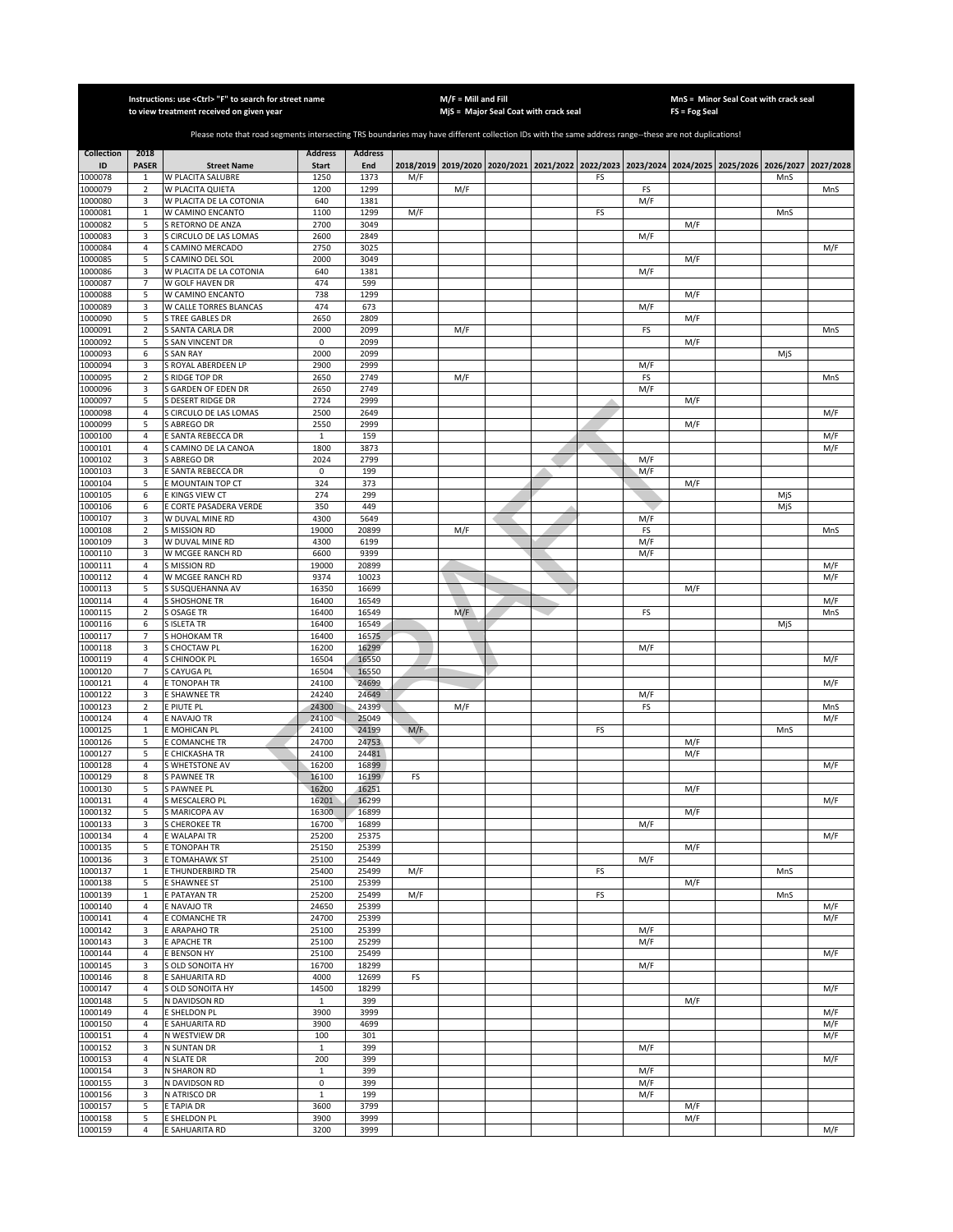|                    |                                  | Instructions: use <ctrl> "F" to search for street name<br/>to view treatment received on given year</ctrl>                                            |                |                |     | $M/F =$ Mill and Fill | MjS = Major Seal Coat with crack seal                                                               |    |            | FS = Fog Seal | MnS = Minor Seal Coat with crack seal |            |            |
|--------------------|----------------------------------|-------------------------------------------------------------------------------------------------------------------------------------------------------|----------------|----------------|-----|-----------------------|-----------------------------------------------------------------------------------------------------|----|------------|---------------|---------------------------------------|------------|------------|
|                    |                                  |                                                                                                                                                       |                |                |     |                       |                                                                                                     |    |            |               |                                       |            |            |
|                    |                                  | Please note that road segments intersecting TRS boundaries may have different collection IDs with the same address range--these are not duplications! |                |                |     |                       |                                                                                                     |    |            |               |                                       |            |            |
| <b>Collection</b>  | 2018                             |                                                                                                                                                       | <b>Address</b> | <b>Address</b> |     |                       |                                                                                                     |    |            |               |                                       |            |            |
| ID<br>1000078      | <b>PASER</b><br>1                | <b>Street Name</b><br>W PLACITA SALUBRE                                                                                                               | Start<br>1250  | End<br>1373    | M/F |                       | 2018/2019 2019/2020 2020/2021 2021/2022 2022/2023 2023/2024 2024/2025 2025/2026 2026/2027 2027/2028 | FS |            |               |                                       | MnS        |            |
| 1000079            | $\sqrt{2}$                       | W PLACITA QUIETA                                                                                                                                      | 1200           | 1299           |     | M/F                   |                                                                                                     |    | FS         |               |                                       |            | MnS        |
| 1000080            | 3                                | W PLACITA DE LA COTONIA                                                                                                                               | 640            | 1381           |     |                       |                                                                                                     |    | M/F        |               |                                       |            |            |
| 1000081<br>1000082 | $\,1\,$<br>5                     | W CAMINO ENCANTO<br>S RETORNO DE ANZA                                                                                                                 | 1100<br>2700   | 1299<br>3049   | M/F |                       |                                                                                                     | FS |            | M/F           |                                       | MnS        |            |
| 1000083            | 3                                | S CIRCULO DE LAS LOMAS                                                                                                                                | 2600           | 2849           |     |                       |                                                                                                     |    | M/F        |               |                                       |            |            |
| 1000084            | 4                                | S CAMINO MERCADO                                                                                                                                      | 2750           | 3025           |     |                       |                                                                                                     |    |            |               |                                       |            | M/F        |
| 1000085            | 5                                | S CAMINO DEL SOL                                                                                                                                      | 2000           | 3049           |     |                       |                                                                                                     |    |            | M/F           |                                       |            |            |
| 1000086<br>1000087 | 3<br>$\overline{7}$              | W PLACITA DE LA COTONIA<br>W GOLF HAVEN DR                                                                                                            | 640<br>474     | 1381<br>599    |     |                       |                                                                                                     |    | M/F        |               |                                       |            |            |
| 1000088            | 5                                | W CAMINO ENCANTO                                                                                                                                      | 738            | 1299           |     |                       |                                                                                                     |    |            | M/F           |                                       |            |            |
| 1000089            | 3                                | W CALLE TORRES BLANCAS                                                                                                                                | 474            | 673            |     |                       |                                                                                                     |    | M/F        |               |                                       |            |            |
| 1000090            | 5<br>$\overline{2}$              | <b>S TREE GABLES DR</b><br>S SANTA CARLA DR                                                                                                           | 2650<br>2000   | 2809<br>2099   |     | M/F                   |                                                                                                     |    | FS         | M/F           |                                       |            |            |
| 1000091<br>1000092 | 5                                | S SAN VINCENT DR                                                                                                                                      | $\mathbf 0$    | 2099           |     |                       |                                                                                                     |    |            | M/F           |                                       |            | MnS        |
| 1000093            | 6                                | <b>S SAN RAY</b>                                                                                                                                      | 2000           | 2099           |     |                       |                                                                                                     |    |            |               |                                       | MjS        |            |
| 1000094            | 3                                | S ROYAL ABERDEEN LP                                                                                                                                   | 2900           | 2999           |     |                       |                                                                                                     |    | M/F        |               |                                       |            |            |
| 1000095<br>1000096 | $\sqrt{2}$<br>3                  | S RIDGE TOP DR<br>GARDEN OF EDEN DR                                                                                                                   | 2650<br>2650   | 2749<br>2749   |     | M/F                   |                                                                                                     |    | FS<br>M/F  |               |                                       |            | MnS        |
| 1000097            | 5                                | S DESERT RIDGE DR                                                                                                                                     | 2724           | 2999           |     |                       |                                                                                                     |    |            | M/F           |                                       |            |            |
| 1000098            | 4                                | S CIRCULO DE LAS LOMAS                                                                                                                                | 2500           | 2649           |     |                       |                                                                                                     |    |            |               |                                       |            | M/F        |
| 1000099            | 5                                | S ABREGO DR                                                                                                                                           | 2550           | 2999           |     |                       |                                                                                                     |    |            | M/F           |                                       |            |            |
| 1000100<br>1000101 | 4<br>$\sqrt{4}$                  | E SANTA REBECCA DR<br>S CAMINO DE LA CANOA                                                                                                            | 1<br>1800      | 159<br>3873    |     |                       |                                                                                                     |    |            |               |                                       |            | M/F<br>M/F |
| 1000102            | 3                                | S ABREGO DR                                                                                                                                           | 2024           | 2799           |     |                       |                                                                                                     |    | M/F        |               |                                       |            |            |
| 1000103            | 3                                | E SANTA REBECCA DR                                                                                                                                    | 0              | 199            |     |                       |                                                                                                     |    | M/F        |               |                                       |            |            |
| 1000104            | 5                                | E MOUNTAIN TOP CT                                                                                                                                     | 324            | 373            |     |                       |                                                                                                     |    |            | M/F           |                                       |            |            |
| 1000105<br>1000106 | 6<br>6                           | E KINGS VIEW CT                                                                                                                                       | 274<br>350     | 299<br>449     |     |                       |                                                                                                     |    |            |               |                                       | MjS<br>MjS |            |
| 1000107            | 3                                | E CORTE PASADERA VERDE<br>W DUVAL MINE RD                                                                                                             | 4300           | 5649           |     |                       |                                                                                                     |    | M/F        |               |                                       |            |            |
| 1000108            | $\overline{2}$                   | <b>S MISSION RD</b>                                                                                                                                   | 19000          | 20899          |     | M/F                   |                                                                                                     |    | FS         |               |                                       |            | MnS        |
| 1000109            | 3                                | W DUVAL MINE RD                                                                                                                                       | 4300           | 6199           |     |                       |                                                                                                     |    | M/F        |               |                                       |            |            |
| 1000110            | 3<br>4                           | W MCGEE RANCH RD<br>S MISSION RD                                                                                                                      | 6600<br>19000  | 9399<br>20899  |     |                       |                                                                                                     |    | M/F        |               |                                       |            |            |
| 1000111<br>1000112 | 4                                | W MCGEE RANCH RD                                                                                                                                      | 9374           | 10023          |     |                       |                                                                                                     |    |            |               |                                       |            | M/F<br>M/F |
| 1000113            | 5                                | S SUSQUEHANNA AV                                                                                                                                      | 16350          | 16699          |     |                       |                                                                                                     |    |            | M/F           |                                       |            |            |
| 1000114            | 4                                | <b>S SHOSHONE TR</b>                                                                                                                                  | 16400          | 16549          |     |                       |                                                                                                     |    |            |               |                                       |            | M/F        |
| 1000115<br>1000116 | $\overline{2}$<br>6              | S OSAGE TR<br><b>SISLETA TR</b>                                                                                                                       | 16400<br>16400 | 16549<br>16549 |     | M/F                   |                                                                                                     |    | FS         |               |                                       | MjS        | MnS        |
| 1000117            | 7                                | S HOHOKAM TR                                                                                                                                          | 16400          | 16575          |     |                       |                                                                                                     |    |            |               |                                       |            |            |
| 1000118            | 3                                | S CHOCTAW PL                                                                                                                                          | 16200          | 16299          |     |                       |                                                                                                     |    | M/F        |               |                                       |            |            |
| 1000119            | $\overline{4}$                   | S CHINOOK PL                                                                                                                                          | 16504          | 16550          |     |                       |                                                                                                     |    |            |               |                                       |            | M/F        |
| 1000120<br>1000121 | $\overline{7}$<br>$\overline{4}$ | S CAYUGA PL<br>E TONOPAH TR                                                                                                                           | 16504<br>24100 | 16550<br>24699 |     |                       |                                                                                                     |    |            |               |                                       |            | M/F        |
| 1000122            | 3                                | E SHAWNEE TR                                                                                                                                          | 24240          | 24649          |     |                       |                                                                                                     |    | M/F        |               |                                       |            |            |
| 1000123            | $\mathbf 2$                      | E PIUTE PL                                                                                                                                            | 24300          | 24399          |     | M/F                   |                                                                                                     |    | FS         |               |                                       |            | MnS        |
| 1000124            | $\sqrt{4}$                       | E NAVAJO TR                                                                                                                                           | 24100          | 25049          |     |                       |                                                                                                     |    |            |               |                                       |            | M/F        |
| 1000125<br>1000126 | 1<br>5                           | E MOHICAN PL<br>E COMANCHE TR                                                                                                                         | 24100<br>24700 | 24199<br>24753 | M/F |                       |                                                                                                     | FS |            | M/F           |                                       | MnS        |            |
| 1000127            | 5                                | E CHICKASHA TR                                                                                                                                        | 24100          | 24481          |     |                       |                                                                                                     |    |            | M/F           |                                       |            |            |
| 1000128            | 4                                | S WHETSTONE AV                                                                                                                                        | 16200          | 16899          |     |                       |                                                                                                     |    |            |               |                                       |            | M/F        |
| 1000129<br>1000130 | 8                                | <b>S PAWNEE TR</b>                                                                                                                                    | 16100<br>16200 | 16199          | FS  |                       |                                                                                                     |    |            |               |                                       |            |            |
| 1000131            | 5<br>4                           | S PAWNEE PL<br>S MESCALERO PL                                                                                                                         | 16201          | 16251<br>16299 |     |                       |                                                                                                     |    |            | M/F           |                                       |            | M/F        |
| 1000132            | 5                                | S MARICOPA AV                                                                                                                                         | 16300          | 16899          |     |                       |                                                                                                     |    |            | M/F           |                                       |            |            |
| 1000133            | 3                                | <b>S CHEROKEE TR</b>                                                                                                                                  | 16700          | 16899          |     |                       |                                                                                                     |    | M/F        |               |                                       |            |            |
| 1000134            | 4<br>5                           | E WALAPAI TR<br>E TONOPAH TR                                                                                                                          | 25200<br>25150 | 25375<br>25399 |     |                       |                                                                                                     |    |            | M/F           |                                       |            | M/F        |
| 1000135<br>1000136 | 3                                | <b>E TOMAHAWK ST</b>                                                                                                                                  | 25100          | 25449          |     |                       |                                                                                                     |    | M/F        |               |                                       |            |            |
| 1000137            | $\mathbf{1}$                     | E THUNDERBIRD TR                                                                                                                                      | 25400          | 25499          | M/F |                       |                                                                                                     | FS |            |               |                                       | MnS        |            |
| 1000138            | 5                                | <b>E SHAWNEE ST</b>                                                                                                                                   | 25100          | 25399          |     |                       |                                                                                                     |    |            | M/F           |                                       |            |            |
| 1000139<br>1000140 | $\mathbf{1}$<br>4                | E PATAYAN TR<br>E NAVAJO TR                                                                                                                           | 25200<br>24650 | 25499<br>25399 | M/F |                       |                                                                                                     | FS |            |               |                                       | MnS        | M/F        |
| 1000141            | $\overline{4}$                   | E COMANCHE TR                                                                                                                                         | 24700          | 25399          |     |                       |                                                                                                     |    |            |               |                                       |            | M/F        |
| 1000142            | 3                                | E ARAPAHO TR                                                                                                                                          | 25100          | 25399          |     |                       |                                                                                                     |    | M/F        |               |                                       |            |            |
| 1000143            | 3                                | E APACHE TR                                                                                                                                           | 25100          | 25299          |     |                       |                                                                                                     |    | M/F        |               |                                       |            |            |
| 1000144<br>1000145 | $\overline{4}$<br>3              | E BENSON HY<br>S OLD SONOITA HY                                                                                                                       | 25100<br>16700 | 25499<br>18299 |     |                       |                                                                                                     |    | M/F        |               |                                       |            | M/F        |
| 1000146            | 8                                | E SAHUARITA RD                                                                                                                                        | 4000           | 12699          | FS  |                       |                                                                                                     |    |            |               |                                       |            |            |
| 1000147            | $\overline{4}$                   | S OLD SONOITA HY                                                                                                                                      | 14500          | 18299          |     |                       |                                                                                                     |    |            |               |                                       |            | M/F        |
| 1000148            | 5                                | N DAVIDSON RD                                                                                                                                         | 1              | 399            |     |                       |                                                                                                     |    |            | M/F           |                                       |            |            |
| 1000149<br>1000150 | 4<br>4                           | E SHELDON PL<br>E SAHUARITA RD                                                                                                                        | 3900<br>3900   | 3999<br>4699   |     |                       |                                                                                                     |    |            |               |                                       |            | M/F<br>M/F |
| 1000151            | 4                                | N WESTVIEW DR                                                                                                                                         | 100            | 301            |     |                       |                                                                                                     |    |            |               |                                       |            | M/F        |
| 1000152            | 3                                | N SUNTAN DR                                                                                                                                           | $\mathbf{1}$   | 399            |     |                       |                                                                                                     |    | M/F        |               |                                       |            |            |
| 1000153            | $\sqrt{4}$                       | N SLATE DR                                                                                                                                            | 200            | 399            |     |                       |                                                                                                     |    |            |               |                                       |            | M/F        |
| 1000154            | 3                                | N SHARON RD                                                                                                                                           | $1\,$          | 399            |     |                       |                                                                                                     |    | M/F        |               |                                       |            |            |
| 1000155<br>1000156 | 3<br>3                           | N DAVIDSON RD<br>N ATRISCO DR                                                                                                                         | 0<br>$1\,$     | 399<br>199     |     |                       |                                                                                                     |    | M/F<br>M/F |               |                                       |            |            |
| 1000157            | 5                                | E TAPIA DR                                                                                                                                            | 3600           | 3799           |     |                       |                                                                                                     |    |            | M/F           |                                       |            |            |
| 1000158            | 5                                | E SHELDON PL                                                                                                                                          | 3900           | 3999           |     |                       |                                                                                                     |    |            | M/F           |                                       |            |            |
| 1000159            | 4                                | E SAHUARITA RD                                                                                                                                        | 3200           | 3999           |     |                       |                                                                                                     |    |            |               |                                       |            | M/F        |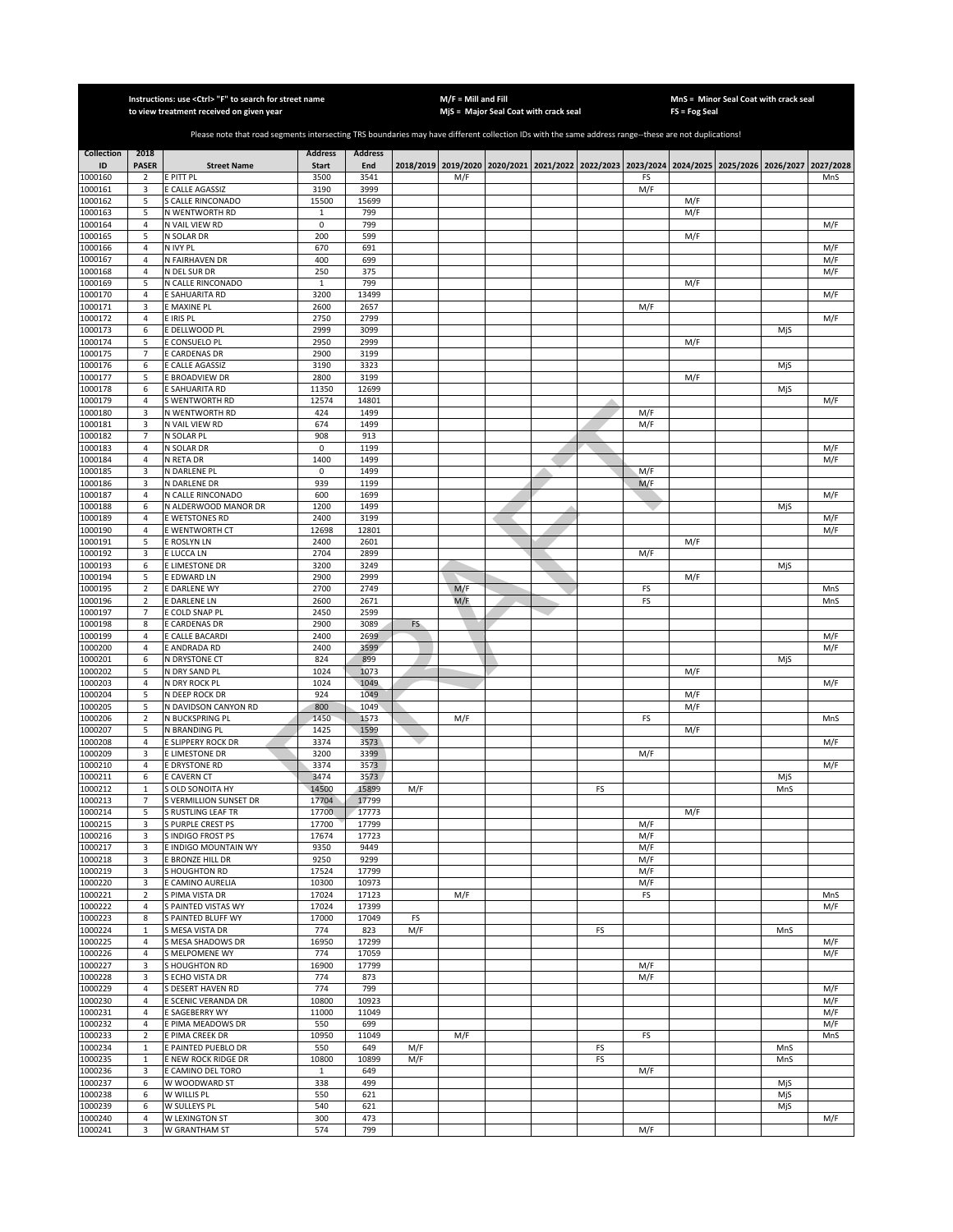|                    |                                  | Instructions: use <ctrl> "F" to search for street name<br/>to view treatment received on given year</ctrl>                                            |                       |                |           | $M/F =$ Mill and Fill | MjS = Major Seal Coat with crack seal                                                     |    |            | FS = Fog Seal | MnS = Minor Seal Coat with crack seal |            |            |
|--------------------|----------------------------------|-------------------------------------------------------------------------------------------------------------------------------------------------------|-----------------------|----------------|-----------|-----------------------|-------------------------------------------------------------------------------------------|----|------------|---------------|---------------------------------------|------------|------------|
|                    |                                  |                                                                                                                                                       |                       |                |           |                       |                                                                                           |    |            |               |                                       |            |            |
|                    |                                  | Please note that road segments intersecting TRS boundaries may have different collection IDs with the same address range--these are not duplications! |                       |                |           |                       |                                                                                           |    |            |               |                                       |            |            |
| <b>Collection</b>  | 2018                             |                                                                                                                                                       | <b>Address</b>        | <b>Address</b> |           |                       |                                                                                           |    |            |               |                                       |            |            |
| ID                 | <b>PASER</b>                     | <b>Street Name</b>                                                                                                                                    | <b>Start</b>          | End            |           |                       | 2018/2019 2019/2020 2020/2021 2021/2022 2022/2023 2023/2024 2024/2025 2025/2026 2026/2027 |    |            |               |                                       |            | 2027/2028  |
| 1000160            | $\overline{2}$                   | E PITT PL                                                                                                                                             | 3500                  | 3541           |           | M/F                   |                                                                                           |    | FS         |               |                                       |            | MnS        |
| 1000161            | 3                                | E CALLE AGASSIZ                                                                                                                                       | 3190                  | 3999           |           |                       |                                                                                           |    | M/F        |               |                                       |            |            |
| 1000162<br>1000163 | 5<br>5                           | S CALLE RINCONADO<br>N WENTWORTH RD                                                                                                                   | 15500<br>$\mathbf{1}$ | 15699<br>799   |           |                       |                                                                                           |    |            | M/F<br>M/F    |                                       |            |            |
| 1000164            | $\overline{4}$                   | N VAIL VIEW RD                                                                                                                                        | $\mathbf 0$           | 799            |           |                       |                                                                                           |    |            |               |                                       |            | M/F        |
| 1000165            | 5                                | N SOLAR DR                                                                                                                                            | 200                   | 599            |           |                       |                                                                                           |    |            | M/F           |                                       |            |            |
| 1000166            | $\overline{4}$                   | N IVY PL                                                                                                                                              | 670                   | 691            |           |                       |                                                                                           |    |            |               |                                       |            | M/F        |
| 1000167            | $\sqrt{4}$                       | N FAIRHAVEN DR                                                                                                                                        | 400                   | 699            |           |                       |                                                                                           |    |            |               |                                       |            | M/F        |
| 1000168            | $\overline{4}$<br>5              | N DEL SUR DR<br>N CALLE RINCONADO                                                                                                                     | 250<br>$\mathbf{1}$   | 375<br>799     |           |                       |                                                                                           |    |            | M/F           |                                       |            | M/F        |
| 1000169<br>1000170 | $\sqrt{4}$                       | E SAHUARITA RD                                                                                                                                        | 3200                  | 13499          |           |                       |                                                                                           |    |            |               |                                       |            | M/F        |
| 1000171            | 3                                | E MAXINE PL                                                                                                                                           | 2600                  | 2657           |           |                       |                                                                                           |    | M/F        |               |                                       |            |            |
| 1000172            | $\overline{4}$                   | E IRIS PL                                                                                                                                             | 2750                  | 2799           |           |                       |                                                                                           |    |            |               |                                       |            | M/F        |
| 1000173            | 6                                | E DELLWOOD PL                                                                                                                                         | 2999                  | 3099           |           |                       |                                                                                           |    |            |               |                                       | MjS        |            |
| 1000174            | 5                                | E CONSUELO PL                                                                                                                                         | 2950                  | 2999           |           |                       |                                                                                           |    |            | M/F           |                                       |            |            |
| 1000175<br>000176  | $\overline{7}$<br>6              | E CARDENAS DR                                                                                                                                         | 2900<br>3190          | 3199<br>3323   |           |                       |                                                                                           |    |            |               |                                       | MjS        |            |
| 1000177            | 5                                | E CALLE AGASSIZ<br>E BROADVIEW DR                                                                                                                     | 2800                  | 3199           |           |                       |                                                                                           |    |            | M/F           |                                       |            |            |
| 1000178            | 6                                | <b>SAHUARITA RD</b>                                                                                                                                   | 11350                 | 12699          |           |                       |                                                                                           |    |            |               |                                       | MjS        |            |
| 1000179            | $\sqrt{4}$                       | S WENTWORTH RD                                                                                                                                        | 12574                 | 14801          |           |                       |                                                                                           |    |            |               |                                       |            | M/F        |
| 1000180            | 3                                | N WENTWORTH RD                                                                                                                                        | 424                   | 1499           |           |                       |                                                                                           |    | M/F        |               |                                       |            |            |
| 1000181            | 3                                | N VAIL VIEW RD                                                                                                                                        | 674                   | 1499           |           |                       |                                                                                           |    | M/F        |               |                                       |            |            |
| 1000182            | $\overline{7}$                   | N SOLAR PL                                                                                                                                            | 908                   | 913            |           |                       |                                                                                           |    |            |               |                                       |            |            |
| 1000183<br>000184  | 4<br>4                           | N SOLAR DR<br>N RETA DR                                                                                                                               | 0<br>1400             | 1199<br>1499   |           |                       |                                                                                           |    |            |               |                                       |            | M/F<br>M/F |
| 1000185            | 3                                | N DARLENE PL                                                                                                                                          | 0                     | 1499           |           |                       |                                                                                           |    | M/F        |               |                                       |            |            |
| 1000186            | 3                                | N DARLENE DR                                                                                                                                          | 939                   | 1199           |           |                       |                                                                                           |    | M/F        |               |                                       |            |            |
| 1000187            | $\overline{4}$                   | N CALLE RINCONADO                                                                                                                                     | 600                   | 1699           |           |                       |                                                                                           |    |            |               |                                       |            | M/F        |
| 1000188            | 6                                | N ALDERWOOD MANOR DR                                                                                                                                  | 1200                  | 1499           |           |                       |                                                                                           |    |            |               |                                       | MjS        |            |
| 1000189<br>1000190 | $\overline{4}$<br>$\overline{4}$ | E WETSTONES RD<br>E WENTWORTH CT                                                                                                                      | 2400<br>12698         | 3199<br>12801  |           |                       |                                                                                           |    |            |               |                                       |            | M/F<br>M/F |
| 1000191            | 5                                | E ROSLYN LN                                                                                                                                           | 2400                  | 2601           |           |                       |                                                                                           |    |            | M/F           |                                       |            |            |
| 1000192            | 3                                | E LUCCA LN                                                                                                                                            | 2704                  | 2899           |           |                       |                                                                                           |    | M/F        |               |                                       |            |            |
| 1000193            | 6                                | E LIMESTONE DR                                                                                                                                        | 3200                  | 3249           |           |                       |                                                                                           |    |            |               |                                       | MjS        |            |
| 1000194            | 5                                | E EDWARD LN                                                                                                                                           | 2900                  | 2999           |           |                       |                                                                                           |    |            | M/F           |                                       |            |            |
| 1000195            | $\mathbf 2$                      | E DARLENE WY                                                                                                                                          | 2700                  | 2749           |           | M/F                   |                                                                                           |    | FS         |               |                                       |            | MnS        |
| 1000196<br>1000197 | $\mathbf 2$<br>$\overline{7}$    | DARLENE LN                                                                                                                                            | 2600<br>2450          | 2671<br>2599   |           | M/F                   |                                                                                           |    | FS         |               |                                       |            | MnS        |
| 1000198            | 8                                | E COLD SNAP PL<br><b>CARDENAS DR</b>                                                                                                                  | 2900                  | 3089           | <b>FS</b> |                       |                                                                                           |    |            |               |                                       |            |            |
| 1000199            | $\overline{4}$                   | E CALLE BACARDI                                                                                                                                       | 2400                  | 2699           |           |                       |                                                                                           |    |            |               |                                       |            | M/F        |
| 1000200            | $\overline{4}$                   | E ANDRADA RD                                                                                                                                          | 2400                  | 3599           |           |                       |                                                                                           |    |            |               |                                       |            | M/F        |
| 1000201            | 6                                | N DRYSTONE CT                                                                                                                                         | 824                   | 899            |           |                       |                                                                                           |    |            |               |                                       | MjS        |            |
| 1000202            | 5                                | N DRY SAND PL                                                                                                                                         | 1024                  | 1073           |           |                       |                                                                                           |    |            | M/F           |                                       |            |            |
| 000203<br>1000204  | $\overline{4}$<br>5              | N DRY ROCK PL<br>N DEEP ROCK DR                                                                                                                       | 1024<br>924           | 1049<br>1049   |           |                       |                                                                                           |    |            | M/F           |                                       |            | M/F        |
| 1000205            | 5                                | N DAVIDSON CANYON RD                                                                                                                                  | 800                   | 1049           |           |                       |                                                                                           |    |            | M/F           |                                       |            |            |
| 1000206            | $\overline{2}$                   | N BUCKSPRING PL                                                                                                                                       | 1450                  | 1573           |           | M/F                   |                                                                                           |    | FS         |               |                                       |            | MnS        |
| 1000207            | 5                                | N BRANDING PL                                                                                                                                         | 1425                  | 1599           |           |                       |                                                                                           |    |            | M/F           |                                       |            |            |
| 1000208            | $\overline{4}$                   | E SLIPPERY ROCK DR                                                                                                                                    | 3374                  | 3573           |           |                       |                                                                                           |    |            |               |                                       |            | M/F        |
| 1000209            | 3                                | E LIMESTONE DR                                                                                                                                        | 3200                  | 3399           |           |                       |                                                                                           |    | M/F        |               |                                       |            |            |
| 1000210<br>1000211 | 4<br>6                           | E DRYSTONE RD<br>E CAVERN CT                                                                                                                          | 3374<br>3474          | 3573<br>3573   |           |                       |                                                                                           |    |            |               |                                       |            | M/F        |
| 1000212            | $\mathbf{1}$                     | S OLD SONOITA HY                                                                                                                                      | 14500                 | 15899          | M/F       |                       |                                                                                           | FS |            |               |                                       | MjS<br>MnS |            |
| 1000213            | 7                                | S VERMILLION SUNSET DR                                                                                                                                | 17704                 | 17799          |           |                       |                                                                                           |    |            |               |                                       |            |            |
| 1000214            | 5                                | S RUSTLING LEAF TR                                                                                                                                    | 17700                 | 17773          |           |                       |                                                                                           |    |            | M/F           |                                       |            |            |
| 1000215            | 3                                | S PURPLE CREST PS                                                                                                                                     | 17700                 | 17799          |           |                       |                                                                                           |    | M/F        |               |                                       |            |            |
| 1000216            | 3                                | S INDIGO FROST PS                                                                                                                                     | 17674                 | 17723          |           |                       |                                                                                           |    | M/F        |               |                                       |            |            |
| 1000217<br>1000218 | 3<br>3                           | E INDIGO MOUNTAIN WY<br>E BRONZE HILL DR                                                                                                              | 9350<br>9250          | 9449<br>9299   |           |                       |                                                                                           |    | M/F<br>M/F |               |                                       |            |            |
| 1000219            | 3                                | S HOUGHTON RD                                                                                                                                         | 17524                 | 17799          |           |                       |                                                                                           |    | M/F        |               |                                       |            |            |
| 1000220            | 3                                | E CAMINO AURELIA                                                                                                                                      | 10300                 | 10973          |           |                       |                                                                                           |    | M/F        |               |                                       |            |            |
| 1000221            | $\mathbf 2$                      | S PIMA VISTA DR                                                                                                                                       | 17024                 | 17123          |           | M/F                   |                                                                                           |    | FS         |               |                                       |            | MnS        |
| 1000222            | 4                                | S PAINTED VISTAS WY                                                                                                                                   | 17024                 | 17399          |           |                       |                                                                                           |    |            |               |                                       |            | M/F        |
| 1000223            | 8<br>$\mathbf{1}$                | S PAINTED BLUFF WY                                                                                                                                    | 17000<br>774          | 17049<br>823   | FS<br>M/F |                       |                                                                                           | FS |            |               |                                       |            |            |
| 1000224<br>1000225 | 4                                | S MESA VISTA DR<br>S MESA SHADOWS DR                                                                                                                  | 16950                 | 17299          |           |                       |                                                                                           |    |            |               |                                       | MnS        | M/F        |
| 1000226            | $\overline{4}$                   | S MELPOMENE WY                                                                                                                                        | 774                   | 17059          |           |                       |                                                                                           |    |            |               |                                       |            | M/F        |
| 1000227            | 3                                | S HOUGHTON RD                                                                                                                                         | 16900                 | 17799          |           |                       |                                                                                           |    | M/F        |               |                                       |            |            |
| 1000228            | 3                                | S ECHO VISTA DR                                                                                                                                       | 774                   | 873            |           |                       |                                                                                           |    | M/F        |               |                                       |            |            |
| 1000229            | $\overline{4}$                   | S DESERT HAVEN RD                                                                                                                                     | 774                   | 799            |           |                       |                                                                                           |    |            |               |                                       |            | M/F        |
| 1000230            | 4                                | E SCENIC VERANDA DR                                                                                                                                   | 10800                 | 10923          |           |                       |                                                                                           |    |            |               |                                       |            | M/F        |
| 1000231<br>1000232 | 4<br>4                           | E SAGEBERRY WY<br>E PIMA MEADOWS DR                                                                                                                   | 11000<br>550          | 11049<br>699   |           |                       |                                                                                           |    |            |               |                                       |            | M/F<br>M/F |
| 1000233            | $\overline{2}$                   | E PIMA CREEK DR                                                                                                                                       | 10950                 | 11049          |           | M/F                   |                                                                                           |    | FS         |               |                                       |            | MnS        |
| 1000234            | $\mathbf{1}$                     | E PAINTED PUEBLO DR                                                                                                                                   | 550                   | 649            | M/F       |                       |                                                                                           | FS |            |               |                                       | MnS        |            |
| 1000235            | $\mathbf{1}$                     | E NEW ROCK RIDGE DR                                                                                                                                   | 10800                 | 10899          | M/F       |                       |                                                                                           | FS |            |               |                                       | MnS        |            |
| 1000236            | 3                                | E CAMINO DEL TORO                                                                                                                                     | $\mathbf{1}$          | 649            |           |                       |                                                                                           |    | M/F        |               |                                       |            |            |
| 1000237            | 6                                | W WOODWARD ST                                                                                                                                         | 338                   | 499            |           |                       |                                                                                           |    |            |               |                                       | MjS        |            |
| 1000238<br>1000239 | 6<br>6                           | W WILLIS PL<br>W SULLEYS PL                                                                                                                           | 550<br>540            | 621<br>621     |           |                       |                                                                                           |    |            |               |                                       | MjS<br>MjS |            |
| 1000240            | $\overline{4}$                   | W LEXINGTON ST                                                                                                                                        | 300                   | 473            |           |                       |                                                                                           |    |            |               |                                       |            | M/F        |
| 1000241            | 3                                | W GRANTHAM ST                                                                                                                                         | 574                   | 799            |           |                       |                                                                                           |    | M/F        |               |                                       |            |            |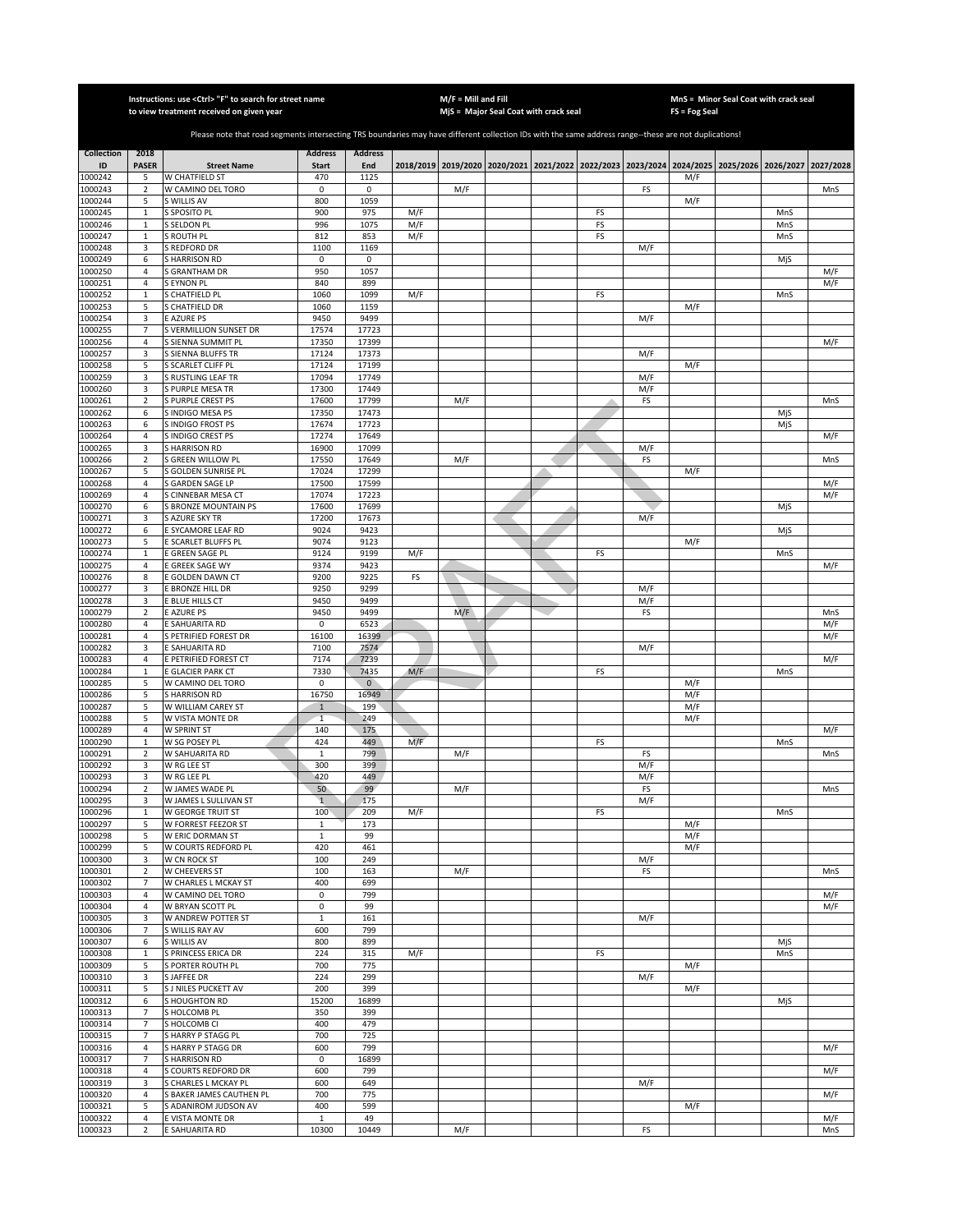|                    |                                  | Instructions: use <ctrl> "F" to search for street name</ctrl>                                                                                         |                       |                |                                       | M/F = Mill and Fill |  |               |            |                                                                                                  | MnS = Minor Seal Coat with crack seal |            |            |
|--------------------|----------------------------------|-------------------------------------------------------------------------------------------------------------------------------------------------------|-----------------------|----------------|---------------------------------------|---------------------|--|---------------|------------|--------------------------------------------------------------------------------------------------|---------------------------------------|------------|------------|
|                    |                                  | to view treatment received on given year                                                                                                              |                       |                | MjS = Major Seal Coat with crack seal |                     |  | FS = Fog Seal |            |                                                                                                  |                                       |            |            |
|                    |                                  | Please note that road segments intersecting TRS boundaries may have different collection IDs with the same address range--these are not duplications! |                       |                |                                       |                     |  |               |            |                                                                                                  |                                       |            |            |
| <b>Collection</b>  | 2018                             |                                                                                                                                                       | <b>Address</b>        | <b>Address</b> |                                       |                     |  |               |            |                                                                                                  |                                       |            |            |
| ID<br>1000242      | <b>PASER</b><br>5                | <b>Street Name</b><br>W CHATFIELD ST                                                                                                                  | <b>Start</b><br>470   | End<br>1125    |                                       |                     |  |               |            | 2018/2019 2019/2020 2020/2021 2021/2022 2022/2023 2023/2024 2024/2025 2025/2026 2026/2027<br>M/F |                                       |            | 2027/2028  |
| 1000243            | $\overline{2}$                   | W CAMINO DEL TORO                                                                                                                                     | $\pmb{0}$             | 0              |                                       | M/F                 |  |               | FS         |                                                                                                  |                                       |            | MnS        |
| 1000244            | 5                                | S WILLIS AV                                                                                                                                           | 800                   | 1059           |                                       |                     |  |               |            | M/F                                                                                              |                                       |            |            |
| 1000245            | $\mathbf{1}$                     | S SPOSITO PL<br>S SELDON PL                                                                                                                           | 900<br>996            | 975<br>1075    | M/F                                   |                     |  | FS<br>FS      |            |                                                                                                  |                                       | MnS        |            |
| 1000246<br>1000247 | $\mathbf 1$<br>$\mathbf 1$       | S ROUTH PL                                                                                                                                            | 812                   | 853            | M/F<br>M/F                            |                     |  | FS            |            |                                                                                                  |                                       | MnS<br>MnS |            |
| 1000248            | 3                                | S REDFORD DR                                                                                                                                          | 1100                  | 1169           |                                       |                     |  |               | M/F        |                                                                                                  |                                       |            |            |
| 1000249            | 6                                | S HARRISON RD                                                                                                                                         | 0                     | 0              |                                       |                     |  |               |            |                                                                                                  |                                       | MjS        |            |
| 1000250<br>1000251 | 4<br>4                           | <b>S GRANTHAM DR</b><br>S EYNON PL                                                                                                                    | 950<br>840            | 1057<br>899    |                                       |                     |  |               |            |                                                                                                  |                                       |            | M/F<br>M/F |
| 1000252            | $\mathbf{1}$                     | S CHATFIELD PL                                                                                                                                        | 1060                  | 1099           | M/F                                   |                     |  | FS            |            |                                                                                                  |                                       | MnS        |            |
| 1000253            | 5                                | S CHATFIELD DR                                                                                                                                        | 1060                  | 1159           |                                       |                     |  |               |            | M/F                                                                                              |                                       |            |            |
| 1000254            | 3                                | <b>E AZURE PS</b>                                                                                                                                     | 9450                  | 9499           |                                       |                     |  |               | M/F        |                                                                                                  |                                       |            |            |
| 1000255<br>1000256 | $\overline{7}$<br>$\overline{4}$ | S VERMILLION SUNSET DR<br>S SIENNA SUMMIT PL                                                                                                          | 17574<br>17350        | 17723<br>17399 |                                       |                     |  |               |            |                                                                                                  |                                       |            | M/F        |
| 1000257            | 3                                | <b>S SIENNA BLUFFS TR</b>                                                                                                                             | 17124                 | 17373          |                                       |                     |  |               | M/F        |                                                                                                  |                                       |            |            |
| 1000258            | 5                                | S SCARLET CLIFF PL                                                                                                                                    | 17124                 | 17199          |                                       |                     |  |               |            | M/F                                                                                              |                                       |            |            |
| 1000259<br>1000260 | 3<br>3                           | S RUSTLING LEAF TR<br>S PURPLE MESA TR                                                                                                                | 17094<br>17300        | 17749<br>17449 |                                       |                     |  |               | M/F<br>M/F |                                                                                                  |                                       |            |            |
| 1000261            | 2                                | S PURPLE CREST PS                                                                                                                                     | 17600                 | 17799          |                                       | M/F                 |  |               | FS         |                                                                                                  |                                       |            | MnS        |
| 1000262            | 6                                | S INDIGO MESA PS                                                                                                                                      | 17350                 | 17473          |                                       |                     |  |               |            |                                                                                                  |                                       | MjS        |            |
| 1000263            | 6                                | S INDIGO FROST PS                                                                                                                                     | 17674                 | 17723          |                                       |                     |  |               |            |                                                                                                  |                                       | MjS        |            |
| 1000264<br>1000265 | 4<br>3                           | S INDIGO CREST PS<br>S HARRISON RD                                                                                                                    | 17274<br>16900        | 17649<br>17099 |                                       |                     |  |               | M/F        |                                                                                                  |                                       |            | M/F        |
| 1000266            | $\mathbf 2$                      | S GREEN WILLOW PL                                                                                                                                     | 17550                 | 17649          |                                       | M/F                 |  |               | FS         |                                                                                                  |                                       |            | MnS        |
| 1000267            | 5                                | S GOLDEN SUNRISE PL                                                                                                                                   | 17024                 | 17299          |                                       |                     |  |               |            | M/F                                                                                              |                                       |            |            |
| 1000268            | $\sqrt{4}$                       | S GARDEN SAGE LP                                                                                                                                      | 17500                 | 17599          |                                       |                     |  |               |            |                                                                                                  |                                       |            | M/F        |
| 1000269<br>1000270 | $\overline{4}$<br>6              | S CINNEBAR MESA CT<br>S BRONZE MOUNTAIN PS                                                                                                            | 17074<br>17600        | 17223<br>17699 |                                       |                     |  |               |            |                                                                                                  |                                       | MjS        | M/F        |
| 1000271            | 3                                | S AZURE SKY TR                                                                                                                                        | 17200                 | 17673          |                                       |                     |  |               | M/F        |                                                                                                  |                                       |            |            |
| 1000272            | 6                                | E SYCAMORE LEAF RD                                                                                                                                    | 9024                  | 9423           |                                       |                     |  |               |            |                                                                                                  |                                       | MjS        |            |
| 1000273            | 5                                | E SCARLET BLUFFS PL                                                                                                                                   | 9074                  | 9123           |                                       |                     |  |               |            | M/F                                                                                              |                                       |            |            |
| 1000274<br>1000275 | $\mathbf{1}$<br>4                | E GREEN SAGE PL<br>E GREEK SAGE WY                                                                                                                    | 9124<br>9374          | 9199<br>9423   | M/F                                   |                     |  | FS            |            |                                                                                                  |                                       | MnS        | M/F        |
| 1000276            | 8                                | E GOLDEN DAWN CT                                                                                                                                      | 9200                  | 9225           | FS                                    |                     |  |               |            |                                                                                                  |                                       |            |            |
| 1000277            | 3                                | E BRONZE HILL DR                                                                                                                                      | 9250                  | 9299           |                                       |                     |  |               | M/F        |                                                                                                  |                                       |            |            |
| 1000278            | 3                                | E BLUE HILLS CT                                                                                                                                       | 9450                  | 9499           |                                       |                     |  |               | M/F        |                                                                                                  |                                       |            |            |
| 1000279<br>1000280 | $\overline{2}$<br>4              | E AZURE PS<br>E SAHUARITA RD                                                                                                                          | 9450<br>$\mathbf 0$   | 9499<br>6523   |                                       | M/F                 |  |               | FS         |                                                                                                  |                                       |            | MnS<br>M/F |
| 1000281            | $\overline{4}$                   | S PETRIFIED FOREST DR                                                                                                                                 | 16100                 | 16399          |                                       |                     |  |               |            |                                                                                                  |                                       |            | M/F        |
| 1000282            | 3                                | E SAHUARITA RD                                                                                                                                        | 7100                  | 7574           |                                       |                     |  |               | M/F        |                                                                                                  |                                       |            |            |
| 1000283            | $\overline{4}$                   | E PETRIFIED FOREST CT<br>E GLACIER PARK CT                                                                                                            | 7174<br>7330          | 7239<br>7435   | M/F                                   |                     |  |               |            |                                                                                                  |                                       | MnS        | M/F        |
| 1000284<br>1000285 | $\mathbf{1}$<br>5                | W CAMINO DEL TORO                                                                                                                                     | $\mathbf 0$           | $\overline{0}$ |                                       |                     |  | FS            |            | M/F                                                                                              |                                       |            |            |
| 1000286            | 5                                | <b>SHARRISON RD</b>                                                                                                                                   | 16750                 | 16949          |                                       |                     |  |               |            | M/F                                                                                              |                                       |            |            |
| 1000287            | 5                                | W WILLIAM CAREY ST                                                                                                                                    | $\mathbf{1}$          | 199            |                                       |                     |  |               |            | M/F                                                                                              |                                       |            |            |
| 1000288<br>1000289 | 5<br>$\sqrt{4}$                  | W VISTA MONTE DR<br>W SPRINT ST                                                                                                                       | $\mathbf{1}$<br>140   | 249<br>175     |                                       |                     |  |               |            | M/F                                                                                              |                                       |            | M/F        |
| 1000290            | $\mathbf 1$                      | W SG POSEY PL                                                                                                                                         | 424                   | 449            | M/F                                   |                     |  | FS            |            |                                                                                                  |                                       | MnS        |            |
| 1000291            | $\overline{2}$                   | W SAHUARITA RD                                                                                                                                        | $\mathbf 1$           | 799            |                                       | M/F                 |  |               | FS         |                                                                                                  |                                       |            | MnS        |
| 1000292            | 3                                | W RG LEE ST                                                                                                                                           | 300                   | 399            |                                       |                     |  |               | M/F        |                                                                                                  |                                       |            |            |
| 1000293<br>1000294 | 3<br>$\overline{2}$              | W RG LEE PL<br>W JAMES WADE PL                                                                                                                        | 420<br>50             | 449<br>99      |                                       | M/F                 |  |               | M/F<br>FS  |                                                                                                  |                                       |            | MnS        |
| 1000295            | 3                                | W JAMES L SULLIVAN ST                                                                                                                                 | $\mathbf{1}$          | 175            |                                       |                     |  |               | M/F        |                                                                                                  |                                       |            |            |
| 1000296            | $\,1\,$                          | W GEORGE TRUIT ST                                                                                                                                     | 100                   | 209            | M/F                                   |                     |  | FS            |            |                                                                                                  |                                       | MnS        |            |
| 1000297            | 5<br>5                           | W FORREST FEEZOR ST                                                                                                                                   | $\,1\,$               | 173<br>99      |                                       |                     |  |               |            | M/F<br>M/F                                                                                       |                                       |            |            |
| 1000298<br>1000299 | 5                                | W ERIC DORMAN ST<br>W COURTS REDFORD PL                                                                                                               | $\mathbf 1$<br>420    | 461            |                                       |                     |  |               |            | M/F                                                                                              |                                       |            |            |
| 1000300            | 3                                | W CN ROCK ST                                                                                                                                          | 100                   | 249            |                                       |                     |  |               | M/F        |                                                                                                  |                                       |            |            |
| 1000301            | $\sqrt{2}$                       | W CHEEVERS ST                                                                                                                                         | 100                   | 163            |                                       | M/F                 |  |               | FS         |                                                                                                  |                                       |            | MnS        |
| 1000302<br>1000303 | 7<br>4                           | W CHARLES L MCKAY ST<br>W CAMINO DEL TORO                                                                                                             | 400<br>0              | 699<br>799     |                                       |                     |  |               |            |                                                                                                  |                                       |            | M/F        |
| 1000304            | $\overline{4}$                   | W BRYAN SCOTT PL                                                                                                                                      | 0                     | 99             |                                       |                     |  |               |            |                                                                                                  |                                       |            | M/F        |
| 1000305            | 3                                | W ANDREW POTTER ST                                                                                                                                    | $\mathbf{1}$          | 161            |                                       |                     |  |               | M/F        |                                                                                                  |                                       |            |            |
| 1000306            | $\overline{7}$                   | S WILLIS RAY AV                                                                                                                                       | 600                   | 799            |                                       |                     |  |               |            |                                                                                                  |                                       |            |            |
| 1000307<br>1000308 | 6<br>$\mathbf{1}$                | S WILLIS AV<br>S PRINCESS ERICA DR                                                                                                                    | 800<br>224            | 899<br>315     | M/F                                   |                     |  | FS            |            |                                                                                                  |                                       | MjS<br>MnS |            |
| 1000309            | 5                                | S PORTER ROUTH PL                                                                                                                                     | 700                   | 775            |                                       |                     |  |               |            | M/F                                                                                              |                                       |            |            |
| 1000310            | 3                                | S JAFFEE DR                                                                                                                                           | 224                   | 299            |                                       |                     |  |               | M/F        |                                                                                                  |                                       |            |            |
| 1000311            | 5                                | <b>S J NILES PUCKETT AV</b>                                                                                                                           | 200                   | 399            |                                       |                     |  |               |            | M/F                                                                                              |                                       |            |            |
| 1000312<br>1000313 | 6<br>$\overline{7}$              | <b>S HOUGHTON RD</b><br>S HOLCOMB PL                                                                                                                  | 15200<br>350          | 16899<br>399   |                                       |                     |  |               |            |                                                                                                  |                                       | MjS        |            |
| 1000314            | $\overline{7}$                   | S HOLCOMB CI                                                                                                                                          | 400                   | 479            |                                       |                     |  |               |            |                                                                                                  |                                       |            |            |
| 1000315            | $\overline{7}$                   | S HARRY P STAGG PL                                                                                                                                    | 700                   | 725            |                                       |                     |  |               |            |                                                                                                  |                                       |            |            |
| 1000316            | $\sqrt{4}$                       | S HARRY P STAGG DR                                                                                                                                    | 600                   | 799            |                                       |                     |  |               |            |                                                                                                  |                                       |            | M/F        |
| 1000317<br>1000318 | $\overline{7}$<br>$\sqrt{4}$     | S HARRISON RD<br>S COURTS REDFORD DR                                                                                                                  | 0<br>600              | 16899<br>799   |                                       |                     |  |               |            |                                                                                                  |                                       |            | M/F        |
| 1000319            | 3                                | S CHARLES L MCKAY PL                                                                                                                                  | 600                   | 649            |                                       |                     |  |               | M/F        |                                                                                                  |                                       |            |            |
| 1000320            | $\sqrt{4}$                       | S BAKER JAMES CAUTHEN PL                                                                                                                              | 700                   | 775            |                                       |                     |  |               |            |                                                                                                  |                                       |            | M/F        |
| 1000321            | 5                                | S ADANIROM JUDSON AV                                                                                                                                  | 400                   | 599            |                                       |                     |  |               |            | M/F                                                                                              |                                       |            |            |
| 1000322<br>1000323 | $\sqrt{4}$<br>$\overline{2}$     | E VISTA MONTE DR<br>E SAHUARITA RD                                                                                                                    | $\mathbf{1}$<br>10300 | 49<br>10449    |                                       | M/F                 |  |               | FS         |                                                                                                  |                                       |            | M/F<br>MnS |
|                    |                                  |                                                                                                                                                       |                       |                |                                       |                     |  |               |            |                                                                                                  |                                       |            |            |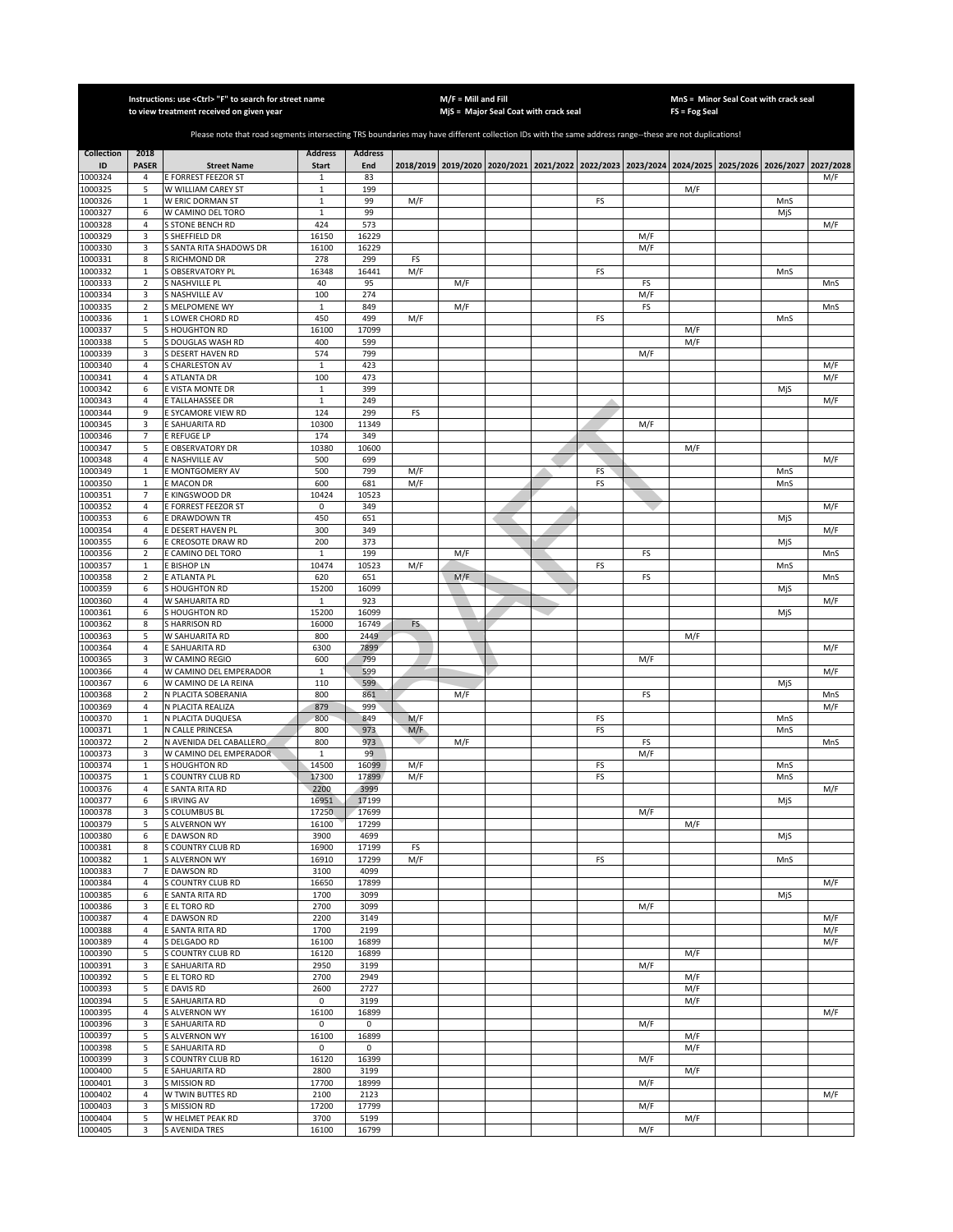|                         |                                | Instructions: use <ctrl> "F" to search for street name<br/>to view treatment received on given year</ctrl>                                            |                                |                       |           | $M/F =$ Mill and Fill | MjS = Major Seal Coat with crack seal                                                               |    |            | FS = Fog Seal | MnS = Minor Seal Coat with crack seal |            |
|-------------------------|--------------------------------|-------------------------------------------------------------------------------------------------------------------------------------------------------|--------------------------------|-----------------------|-----------|-----------------------|-----------------------------------------------------------------------------------------------------|----|------------|---------------|---------------------------------------|------------|
|                         |                                |                                                                                                                                                       |                                |                       |           |                       |                                                                                                     |    |            |               |                                       |            |
|                         |                                | Please note that road segments intersecting TRS boundaries may have different collection IDs with the same address range--these are not duplications! |                                |                       |           |                       |                                                                                                     |    |            |               |                                       |            |
| <b>Collection</b><br>ID | 2018<br><b>PASER</b>           | <b>Street Name</b>                                                                                                                                    | <b>Address</b><br><b>Start</b> | <b>Address</b><br>End |           |                       | 2018/2019 2019/2020 2020/2021 2021/2022 2022/2023 2023/2024 2024/2025 2025/2026 2026/2027 2027/2028 |    |            |               |                                       |            |
| 1000324                 | 4                              | E FORREST FEEZOR ST                                                                                                                                   | $\mathbf{1}$                   | 83                    |           |                       |                                                                                                     |    |            |               |                                       | M/F        |
| 1000325<br>1000326      | 5<br>$\mathbf{1}$              | W WILLIAM CAREY ST<br>W ERIC DORMAN ST                                                                                                                | $\mathbf 1$<br>$\mathbf 1$     | 199<br>99             | M/F       |                       |                                                                                                     | FS |            | M/F           | MnS                                   |            |
| 1000327                 | 6                              | W CAMINO DEL TORO                                                                                                                                     | $\mathbf 1$                    | 99                    |           |                       |                                                                                                     |    |            |               | MjS                                   |            |
| 1000328                 | $\sqrt{4}$                     | S STONE BENCH RD                                                                                                                                      | 424                            | 573                   |           |                       |                                                                                                     |    |            |               |                                       | M/F        |
| 1000329<br>1000330      | 3<br>3                         | S SHEFFIELD DR<br>S SANTA RITA SHADOWS DR                                                                                                             | 16150<br>16100                 | 16229<br>16229        |           |                       |                                                                                                     |    | M/F<br>M/F |               |                                       |            |
| 1000331                 | $\bf 8$                        | S RICHMOND DR                                                                                                                                         | 278                            | 299                   | FS        |                       |                                                                                                     |    |            |               |                                       |            |
| 1000332                 | $\mathbf{1}$                   | <b>S OBSERVATORY PL</b>                                                                                                                               | 16348                          | 16441                 | M/F       |                       |                                                                                                     | FS |            |               | MnS                                   |            |
| 1000333<br>1000334      | $\sqrt{2}$<br>3                | S NASHVILLE PL<br>S NASHVILLE AV                                                                                                                      | 40<br>100                      | 95<br>274             |           | M/F                   |                                                                                                     |    | FS<br>M/F  |               |                                       | MnS        |
| 1000335                 | $\sqrt{2}$                     | S MELPOMENE WY                                                                                                                                        | $\,1\,$                        | 849                   |           | M/F                   |                                                                                                     |    | FS         |               |                                       | MnS        |
| 1000336                 | $\mathbf{1}$<br>5              | S LOWER CHORD RD                                                                                                                                      | 450<br>16100                   | 499<br>17099          | M/F       |                       |                                                                                                     | FS |            |               | MnS                                   |            |
| 1000337<br>1000338      | 5                              | <b>SHOUGHTON RD</b><br>S DOUGLAS WASH RD                                                                                                              | 400                            | 599                   |           |                       |                                                                                                     |    |            | M/F<br>M/F    |                                       |            |
| 1000339                 | 3                              | S DESERT HAVEN RD                                                                                                                                     | 574                            | 799                   |           |                       |                                                                                                     |    | M/F        |               |                                       |            |
| 1000340<br>1000341      | $\overline{a}$<br>$\sqrt{4}$   | <b>GHARLESTON AV</b><br>S ATLANTA DR                                                                                                                  | $\mathbf{1}$<br>100            | 423<br>473            |           |                       |                                                                                                     |    |            |               |                                       | M/F<br>M/F |
| 1000342                 | 6                              | E VISTA MONTE DR                                                                                                                                      | $1\,$                          | 399                   |           |                       |                                                                                                     |    |            |               | MjS                                   |            |
| 1000343                 | 4                              | E TALLAHASSEE DR                                                                                                                                      | 1                              | 249                   |           |                       |                                                                                                     |    |            |               |                                       | M/F        |
| 1000344<br>1000345      | 9<br>3                         | E SYCAMORE VIEW RD<br>E SAHUARITA RD                                                                                                                  | 124<br>10300                   | 299<br>11349          | FS        |                       |                                                                                                     |    | M/F        |               |                                       |            |
| 1000346                 | $\overline{7}$                 | E REFUGE LP                                                                                                                                           | 174                            | 349                   |           |                       |                                                                                                     |    |            |               |                                       |            |
| 1000347                 | 5                              | E OBSERVATORY DR                                                                                                                                      | 10380                          | 10600                 |           |                       |                                                                                                     |    |            | M/F           |                                       |            |
| 1000348<br>1000349      | $\overline{4}$<br>$\mathbf{1}$ | E NASHVILLE AV<br>E MONTGOMERY AV                                                                                                                     | 500<br>500                     | 699<br>799            | M/F       |                       |                                                                                                     | FS |            |               | MnS                                   | M/F        |
| 1000350                 | $\,1\,$                        | E MACON DR                                                                                                                                            | 600                            | 681                   | M/F       |                       |                                                                                                     | FS |            |               | MnS                                   |            |
| 1000351                 | $\overline{7}$                 | E KINGSWOOD DR                                                                                                                                        | 10424                          | 10523                 |           |                       |                                                                                                     |    |            |               |                                       |            |
| 1000352<br>1000353      | $\sqrt{4}$<br>6                | E FORREST FEEZOR ST<br>E DRAWDOWN TR                                                                                                                  | 0<br>450                       | 349<br>651            |           |                       |                                                                                                     |    |            |               | MjS                                   | M/F        |
| 1000354                 | $\overline{4}$                 | E DESERT HAVEN PL                                                                                                                                     | 300                            | 349                   |           |                       |                                                                                                     |    |            |               |                                       | M/F        |
| 1000355                 | 6                              | E CREOSOTE DRAW RD                                                                                                                                    | 200                            | 373                   |           |                       |                                                                                                     |    |            |               | MjS                                   |            |
| 1000356<br>1000357      | $\mathbf 2$<br>$\mathbf{1}$    | E CAMINO DEL TORO<br>E BISHOP LN                                                                                                                      | $\mathbf{1}$<br>10474          | 199<br>10523          | M/F       | M/F                   |                                                                                                     | FS | FS         |               | MnS                                   | MnS        |
| 1000358                 | $\sqrt{2}$                     | E ATLANTA PL                                                                                                                                          | 620                            | 651                   |           | M/F                   |                                                                                                     |    | FS         |               |                                       | MnS        |
| 1000359                 | 6                              | <b>S HOUGHTON RD</b>                                                                                                                                  | 15200                          | 16099                 |           |                       |                                                                                                     |    |            |               | MiS                                   |            |
| 1000360<br>1000361      | $\sqrt{4}$<br>6                | W SAHUARITA RD<br><b>S HOUGHTON RD</b>                                                                                                                | $1\,$<br>15200                 | 923<br>16099          |           |                       |                                                                                                     |    |            |               | MjS                                   | M/F        |
| 1000362                 | 8                              | <b>SHARRISON RD</b>                                                                                                                                   | 16000                          | 16749                 | <b>FS</b> |                       |                                                                                                     |    |            |               |                                       |            |
| 1000363                 | 5                              | W SAHUARITA RD                                                                                                                                        | 800                            | 2449                  |           |                       |                                                                                                     |    |            | M/F           |                                       |            |
| 1000364<br>1000365      | $\overline{a}$<br>3            | E SAHUARITA RD<br>W CAMINO REGIO                                                                                                                      | 6300<br>600                    | 7899<br>799           |           |                       |                                                                                                     |    | M/F        |               |                                       | M/F        |
| 1000366                 | 4                              | W CAMINO DEL EMPERADOR                                                                                                                                | $\mathbf{1}$                   | 599                   |           |                       |                                                                                                     |    |            |               |                                       | M/F        |
| 1000367<br>1000368      | 6<br>$\overline{2}$            | W CAMINO DE LA REINA<br>N PLACITA SOBERANIA                                                                                                           | 110<br>800                     | 599<br>861            |           |                       |                                                                                                     |    | FS         |               | MjS                                   | MnS        |
| 1000369                 | $\overline{4}$                 | N PLACITA REALIZA                                                                                                                                     | 879                            | 999                   |           | M/F                   |                                                                                                     |    |            |               |                                       | M/F        |
| 1000370                 | $\mathbf{1}$                   | N PLACITA DUQUESA                                                                                                                                     | 800                            | 849                   | M/F       |                       |                                                                                                     | FS |            |               | MnS                                   |            |
| 1000371<br>1000372      | $\mathbf{1}$<br>$\overline{2}$ | N CALLE PRINCESA<br>N AVENIDA DEL CABALLERO                                                                                                           | 800<br>800                     | 973<br>973            | M/F       | M/F                   |                                                                                                     | FS | FS         |               | MnS                                   | MnS        |
| 1000373                 | 3                              | W CAMINO DEL EMPERADOR                                                                                                                                | $\mathbf{1}$                   | 99                    |           |                       |                                                                                                     |    | M/F        |               |                                       |            |
| 1000374                 | $\mathbf 1$                    | <b>S HOUGHTON RD</b>                                                                                                                                  | 14500                          | 16099                 | M/F       |                       |                                                                                                     | FS |            |               | MnS                                   |            |
| 1000375<br>1000376      | $\,1\,$<br>$\overline{4}$      | S COUNTRY CLUB RD<br>E SANTA RITA RD                                                                                                                  | 17300<br>2200                  | 17899<br>3999         | M/F       |                       |                                                                                                     | FS |            |               | MnS                                   | M/F        |
| 1000377                 | 6                              | S IRVING AV                                                                                                                                           | 16951                          | 17199                 |           |                       |                                                                                                     |    |            |               | MjS                                   |            |
| 1000378                 | 3                              | S COLUMBUS BL                                                                                                                                         | 17250                          | 17699                 |           |                       |                                                                                                     |    | M/F        |               |                                       |            |
| 1000379<br>1000380      | 5<br>6                         | S ALVERNON WY<br>E DAWSON RD                                                                                                                          | 16100<br>3900                  | 17299<br>4699         |           |                       |                                                                                                     |    |            | M/F           | MjS                                   |            |
| 1000381                 | 8                              | S COUNTRY CLUB RD                                                                                                                                     | 16900                          | 17199                 | FS        |                       |                                                                                                     |    |            |               |                                       |            |
| 1000382                 | $\mathbf{1}$                   | <b>S ALVERNON WY</b>                                                                                                                                  | 16910                          | 17299                 | M/F       |                       |                                                                                                     | FS |            |               | MnS                                   |            |
| 1000383<br>1000384      | $\overline{7}$<br>$\sqrt{4}$   | <b>E DAWSON RD</b><br>S COUNTRY CLUB RD                                                                                                               | 3100<br>16650                  | 4099<br>17899         |           |                       |                                                                                                     |    |            |               |                                       | M/F        |
| 1000385                 | 6                              | E SANTA RITA RD                                                                                                                                       | 1700                           | 3099                  |           |                       |                                                                                                     |    |            |               | MjS                                   |            |
| 1000386                 | 3                              | E EL TORO RD                                                                                                                                          | 2700                           | 3099                  |           |                       |                                                                                                     |    | M/F        |               |                                       |            |
| 1000387<br>1000388      | $\sqrt{4}$<br>4                | <b>E DAWSON RD</b><br>E SANTA RITA RD                                                                                                                 | 2200<br>1700                   | 3149<br>2199          |           |                       |                                                                                                     |    |            |               |                                       | M/F<br>M/F |
| 1000389                 | 4                              | S DELGADO RD                                                                                                                                          | 16100                          | 16899                 |           |                       |                                                                                                     |    |            |               |                                       | M/F        |
| 1000390                 | 5                              | S COUNTRY CLUB RD                                                                                                                                     | 16120                          | 16899                 |           |                       |                                                                                                     |    |            | M/F           |                                       |            |
| 1000391<br>1000392      | 3<br>5                         | E SAHUARITA RD<br>E EL TORO RD                                                                                                                        | 2950<br>2700                   | 3199<br>2949          |           |                       |                                                                                                     |    | M/F        | M/F           |                                       |            |
| 1000393                 | 5                              | E DAVIS RD                                                                                                                                            | 2600                           | 2727                  |           |                       |                                                                                                     |    |            | M/F           |                                       |            |
| 1000394<br>1000395      | 5<br>$\overline{a}$            | E SAHUARITA RD<br><b>S ALVERNON WY</b>                                                                                                                | 0<br>16100                     | 3199<br>16899         |           |                       |                                                                                                     |    |            | M/F           |                                       | M/F        |
| 1000396                 | 3                              | E SAHUARITA RD                                                                                                                                        | 0                              | $\mathsf 0$           |           |                       |                                                                                                     |    | M/F        |               |                                       |            |
| 1000397                 | 5                              | <b>S ALVERNON WY</b>                                                                                                                                  | 16100                          | 16899                 |           |                       |                                                                                                     |    |            | M/F           |                                       |            |
| 1000398<br>1000399      | 5<br>3                         | E SAHUARITA RD<br>S COUNTRY CLUB RD                                                                                                                   | 0<br>16120                     | 0<br>16399            |           |                       |                                                                                                     |    | M/F        | M/F           |                                       |            |
| 1000400                 | 5                              | E SAHUARITA RD                                                                                                                                        | 2800                           | 3199                  |           |                       |                                                                                                     |    |            | M/F           |                                       |            |
| 1000401                 | 3                              | S MISSION RD                                                                                                                                          | 17700                          | 18999                 |           |                       |                                                                                                     |    | M/F        |               |                                       |            |
| 1000402<br>1000403      | $\sqrt{4}$<br>3                | W TWIN BUTTES RD<br>S MISSION RD                                                                                                                      | 2100<br>17200                  | 2123<br>17799         |           |                       |                                                                                                     |    | M/F        |               |                                       | M/F        |
| 1000404                 | 5                              | W HELMET PEAK RD                                                                                                                                      | 3700                           | 5199                  |           |                       |                                                                                                     |    |            | M/F           |                                       |            |
| 1000405                 | 3                              | S AVENIDA TRES                                                                                                                                        | 16100                          | 16799                 |           |                       |                                                                                                     |    | M/F        |               |                                       |            |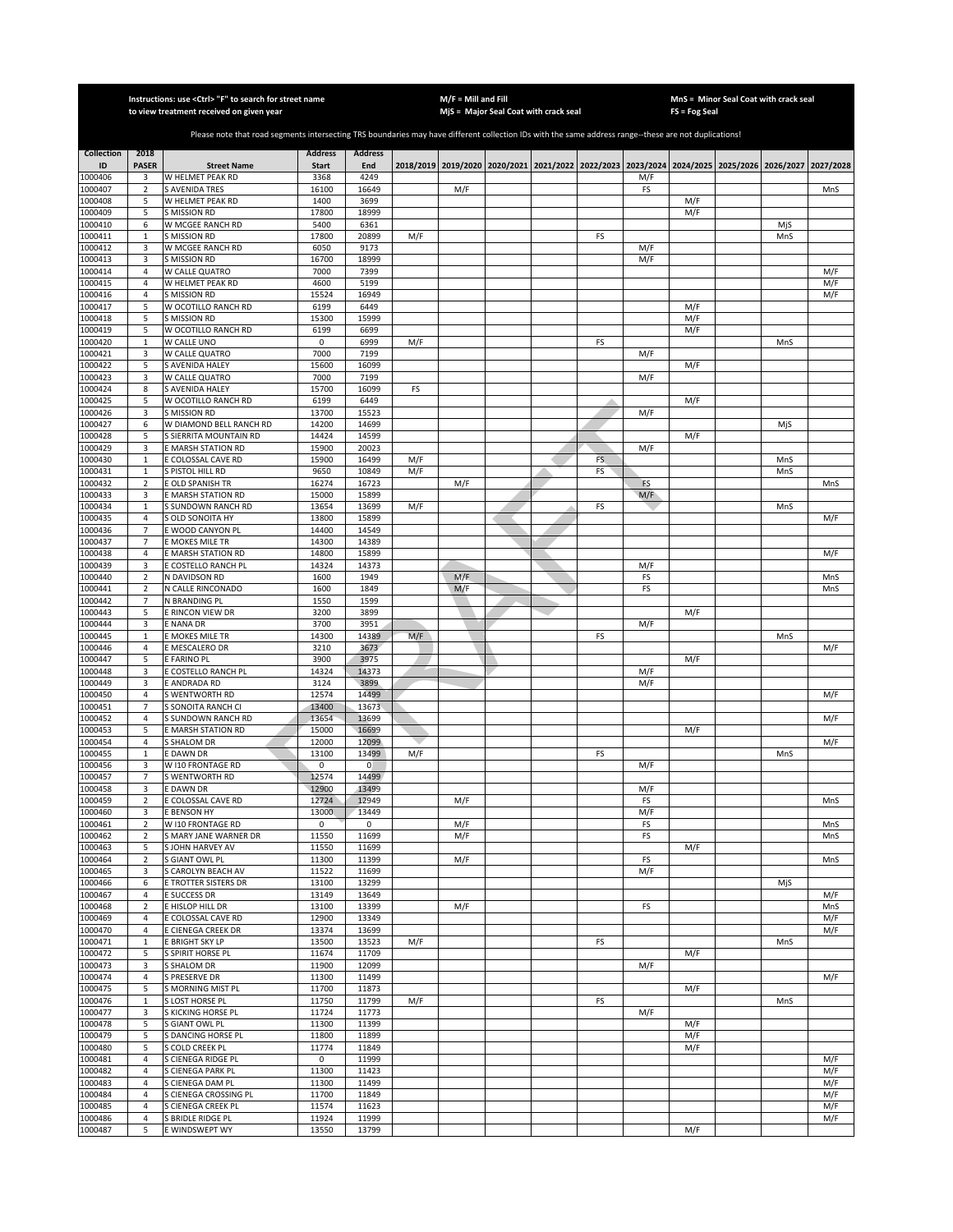|                    |                                           | Instructions: use < Ctrl> "F" to search for street name<br>to view treatment received on given year                                                   |                |                      |     | $M/F =$ Mill and Fill | MjS = Major Seal Coat with crack seal                                                     |     |            | $FS = Fog Seal$ | MnS = Minor Seal Coat with crack seal |     |            |
|--------------------|-------------------------------------------|-------------------------------------------------------------------------------------------------------------------------------------------------------|----------------|----------------------|-----|-----------------------|-------------------------------------------------------------------------------------------|-----|------------|-----------------|---------------------------------------|-----|------------|
|                    |                                           |                                                                                                                                                       |                |                      |     |                       |                                                                                           |     |            |                 |                                       |     |            |
|                    |                                           | Please note that road segments intersecting TRS boundaries may have different collection IDs with the same address range--these are not duplications! |                |                      |     |                       |                                                                                           |     |            |                 |                                       |     |            |
| <b>Collection</b>  | 2018                                      |                                                                                                                                                       | <b>Address</b> | <b>Address</b>       |     |                       |                                                                                           |     |            |                 |                                       |     |            |
| ID                 | <b>PASER</b>                              | <b>Street Name</b>                                                                                                                                    | <b>Start</b>   | End                  |     |                       | 2018/2019 2019/2020 2020/2021 2021/2022 2022/2023 2023/2024 2024/2025 2025/2026 2026/2027 |     |            |                 |                                       |     | 2027/2028  |
| 1000406<br>1000407 | 3<br>$\overline{2}$                       | W HELMET PEAK RD<br><b>S AVENIDA TRES</b>                                                                                                             | 3368<br>16100  | 4249<br>16649        |     | M/F                   |                                                                                           |     | M/F<br>FS  |                 |                                       |     | MnS        |
| 1000408            | 5                                         | W HELMET PEAK RD                                                                                                                                      | 1400           | 3699                 |     |                       |                                                                                           |     |            | M/F             |                                       |     |            |
| 1000409            | 5                                         | <b>S MISSION RD</b>                                                                                                                                   | 17800          | 18999                |     |                       |                                                                                           |     |            | M/F             |                                       |     |            |
| 1000410            | 6                                         | W MCGEE RANCH RD                                                                                                                                      | 5400           | 6361                 |     |                       |                                                                                           |     |            |                 |                                       | MiS |            |
| 1000411            | $\mathbf{1}$                              | <b>S MISSION RD</b>                                                                                                                                   | 17800          | 20899                | M/F |                       |                                                                                           | FS  |            |                 |                                       | MnS |            |
| 1000412<br>1000413 | 3<br>3                                    | W MCGEE RANCH RD<br>S MISSION RD                                                                                                                      | 6050<br>16700  | 9173<br>18999        |     |                       |                                                                                           |     | M/F<br>M/F |                 |                                       |     |            |
| 1000414            | 4                                         | W CALLE QUATRO                                                                                                                                        | 7000           | 7399                 |     |                       |                                                                                           |     |            |                 |                                       |     | M/F        |
| 1000415            | 4                                         | W HELMET PEAK RD                                                                                                                                      | 4600           | 5199                 |     |                       |                                                                                           |     |            |                 |                                       |     | M/F        |
| 1000416            | $\sqrt{4}$                                | S MISSION RD                                                                                                                                          | 15524          | 16949                |     |                       |                                                                                           |     |            |                 |                                       |     | M/F        |
| 1000417            | 5                                         | W OCOTILLO RANCH RD                                                                                                                                   | 6199           | 6449                 |     |                       |                                                                                           |     |            | M/F             |                                       |     |            |
| 1000418            | 5                                         | S MISSION RD                                                                                                                                          | 15300          | 15999                |     |                       |                                                                                           |     |            | M/F             |                                       |     |            |
| 1000419<br>1000420 | 5<br>$\mathbf 1$                          | W OCOTILLO RANCH RD<br>W CALLE UNO                                                                                                                    | 6199<br>0      | 6699<br>6999         | M/F |                       |                                                                                           | FS  |            | M/F             |                                       | MnS |            |
| 1000421            | 3                                         | W CALLE QUATRO                                                                                                                                        | 7000           | 7199                 |     |                       |                                                                                           |     | M/F        |                 |                                       |     |            |
| 1000422            | 5                                         | S AVENIDA HALEY                                                                                                                                       | 15600          | 16099                |     |                       |                                                                                           |     |            | M/F             |                                       |     |            |
| 1000423            | 3                                         | W CALLE QUATRO                                                                                                                                        | 7000           | 7199                 |     |                       |                                                                                           |     | M/F        |                 |                                       |     |            |
| 1000424            | 8                                         | S AVENIDA HALEY                                                                                                                                       | 15700          | 16099                | FS  |                       |                                                                                           |     |            |                 |                                       |     |            |
| 1000425            | 5                                         | W OCOTILLO RANCH RD                                                                                                                                   | 6199           | 6449                 |     |                       |                                                                                           |     |            | M/F             |                                       |     |            |
| 1000426<br>1000427 | 3<br>6                                    | S MISSION RD<br>W DIAMOND BELL RANCH RD                                                                                                               | 13700<br>14200 | 15523<br>14699       |     |                       |                                                                                           |     | M/F        |                 |                                       |     |            |
| 1000428            | 5                                         | <b>S SIERRITA MOUNTAIN RD</b>                                                                                                                         | 14424          | 14599                |     |                       |                                                                                           |     |            | M/F             |                                       | MjS |            |
| 1000429            | 3                                         | E MARSH STATION RD                                                                                                                                    | 15900          | 20023                |     |                       |                                                                                           |     | M/F        |                 |                                       |     |            |
| 1000430            | $\mathbf{1}$                              | E COLOSSAL CAVE RD                                                                                                                                    | 15900          | 16499                | M/F |                       |                                                                                           | FS. |            |                 |                                       | MnS |            |
| 1000431            | $\mathbf{1}$                              | S PISTOL HILL RD                                                                                                                                      | 9650           | 10849                | M/F |                       |                                                                                           | FS  |            |                 |                                       | MnS |            |
| 1000432            | $\overline{2}$                            | E OLD SPANISH TR                                                                                                                                      | 16274          | 16723                |     | M/F                   |                                                                                           |     | FS         |                 |                                       |     | MnS        |
| 1000433            | 3                                         | E MARSH STATION RD                                                                                                                                    | 15000          | 15899                |     |                       |                                                                                           |     | M/F        |                 |                                       |     |            |
| 1000434<br>1000435 | $\mathbf{1}$<br>$\sqrt{4}$                | S SUNDOWN RANCH RD<br>S OLD SONOITA HY                                                                                                                | 13654<br>13800 | 13699<br>15899       | M/F |                       |                                                                                           | FS  |            |                 |                                       | MnS | M/F        |
| 1000436            | $\overline{7}$                            | E WOOD CANYON PL                                                                                                                                      | 14400          | 14549                |     |                       |                                                                                           |     |            |                 |                                       |     |            |
| 1000437            | $\overline{7}$                            | E MOKES MILE TR                                                                                                                                       | 14300          | 14389                |     |                       |                                                                                           |     |            |                 |                                       |     |            |
| 1000438            | 4                                         | E MARSH STATION RD                                                                                                                                    | 14800          | 15899                |     |                       |                                                                                           |     |            |                 |                                       |     | M/F        |
| 1000439            | 3                                         | E COSTELLO RANCH PL                                                                                                                                   | 14324          | 14373                |     |                       |                                                                                           |     | M/F        |                 |                                       |     |            |
| 1000440            | $\mathbf 2$                               | N DAVIDSON RD                                                                                                                                         | 1600           | 1949                 |     | M/F                   |                                                                                           |     | FS         |                 |                                       |     | MnS        |
| 1000441<br>1000442 | $\overline{2}$<br>7                       | N CALLE RINCONADO<br>N BRANDING PL                                                                                                                    | 1600<br>1550   | 1849<br>1599         |     | M/F                   |                                                                                           |     | FS         |                 |                                       |     | MnS        |
| 1000443            | 5                                         | E RINCON VIEW DR                                                                                                                                      | 3200           | 3899                 |     |                       |                                                                                           |     |            | M/F             |                                       |     |            |
| 1000444            | 3                                         | E NANA DR                                                                                                                                             | 3700           | 3951                 |     |                       |                                                                                           |     | M/F        |                 |                                       |     |            |
| 1000445            | $\mathbf{1}$                              | E MOKES MILE TR                                                                                                                                       | 14300          | 14389                | M/F |                       |                                                                                           | FS  |            |                 |                                       | MnS |            |
| 1000446            | $\sqrt{4}$                                | E MESCALERO DR                                                                                                                                        | 3210           | 3673                 |     |                       |                                                                                           |     |            |                 |                                       |     | M/F        |
| 1000447            | 5                                         | E FARINO PL                                                                                                                                           | 3900           | 3975                 |     |                       |                                                                                           |     |            | M/F             |                                       |     |            |
| 1000448<br>1000449 | 3<br>3                                    | E COSTELLO RANCH PL<br>E ANDRADA RD                                                                                                                   | 14324<br>3124  | 14373<br>3899        |     |                       |                                                                                           |     | M/F<br>M/F |                 |                                       |     |            |
| 1000450            | $\sqrt{4}$                                | S WENTWORTH RD                                                                                                                                        | 12574          | 14499                |     |                       |                                                                                           |     |            |                 |                                       |     | M/F        |
| 1000451            | $\overline{7}$                            | S SONOITA RANCH CI                                                                                                                                    | 13400          | 13673                |     |                       |                                                                                           |     |            |                 |                                       |     |            |
| 1000452            | 4                                         | S SUNDOWN RANCH RD                                                                                                                                    | 13654          | 13699                |     |                       |                                                                                           |     |            |                 |                                       |     | M/F        |
| 1000453            | 5                                         | E MARSH STATION RD                                                                                                                                    | 15000          | 16699                |     |                       |                                                                                           |     |            | M/F             |                                       |     |            |
| 1000454            | $\overline{4}$                            | S SHALOM DR                                                                                                                                           | 12000          | 12099                |     |                       |                                                                                           |     |            |                 |                                       |     | M/F        |
| 1000455<br>1000456 | $\mathbf{1}$<br>3                         | E DAWN DR<br>W I10 FRONTAGE RD                                                                                                                        | 13100<br>0     | 13499<br>0           | M/F |                       |                                                                                           | FS  | M/F        |                 |                                       | MnS |            |
| 1000457            | $\overline{7}$                            | S WENTWORTH RD                                                                                                                                        | 12574          | 14499                |     |                       |                                                                                           |     |            |                 |                                       |     |            |
| 1000458            | 3                                         | <b>EDAWNDR</b>                                                                                                                                        | 12900          | 13499                |     |                       |                                                                                           |     | M/F        |                 |                                       |     |            |
| 1000459            | 2                                         | E COLOSSAL CAVE RD                                                                                                                                    | 12724          | 12949                |     | M/F                   |                                                                                           |     | FS         |                 |                                       |     | MnS        |
| 1000460            | 3                                         | E BENSON HY                                                                                                                                           | 13000          | 13449                |     |                       |                                                                                           |     | M/F        |                 |                                       |     |            |
| 1000461<br>1000462 | $\overline{2}$<br>$\overline{\mathbf{2}}$ | W I10 FRONTAGE RD<br>S MARY JANE WARNER DR                                                                                                            | 0<br>11550     | $\mathbf 0$<br>11699 |     | M/F<br>M/F            |                                                                                           |     | FS<br>FS   |                 |                                       |     | MnS<br>MnS |
| 1000463            | 5                                         | S JOHN HARVEY AV                                                                                                                                      | 11550          | 11699                |     |                       |                                                                                           |     |            | M/F             |                                       |     |            |
| 1000464            | $\overline{2}$                            | S GIANT OWL PL                                                                                                                                        | 11300          | 11399                |     | M/F                   |                                                                                           |     | FS         |                 |                                       |     | MnS        |
| 1000465            | 3                                         | S CAROLYN BEACH AV                                                                                                                                    | 11522          | 11699                |     |                       |                                                                                           |     | M/F        |                 |                                       |     |            |
| 1000466            | 6                                         | E TROTTER SISTERS DR                                                                                                                                  | 13100          | 13299                |     |                       |                                                                                           |     |            |                 |                                       | MjS |            |
| 1000467            | 4                                         | E SUCCESS DR                                                                                                                                          | 13149          | 13649                |     |                       |                                                                                           |     |            |                 |                                       |     | M/F        |
| 1000468            | $\mathbf 2$                               | E HISLOP HILL DR                                                                                                                                      | 13100          | 13399                |     | M/F                   |                                                                                           |     | FS         |                 |                                       |     | MnS        |
| 1000469<br>1000470 | 4<br>4                                    | E COLOSSAL CAVE RD<br>E CIENEGA CREEK DR                                                                                                              | 12900<br>13374 | 13349<br>13699       |     |                       |                                                                                           |     |            |                 |                                       |     | M/F<br>M/F |
| 1000471            | $\mathbf 1$                               | E BRIGHT SKY LP                                                                                                                                       | 13500          | 13523                | M/F |                       |                                                                                           | FS  |            |                 |                                       | MnS |            |
| 1000472            | 5                                         | S SPIRIT HORSE PL                                                                                                                                     | 11674          | 11709                |     |                       |                                                                                           |     |            | M/F             |                                       |     |            |
| 1000473            | 3                                         | <b>S SHALOM DR</b>                                                                                                                                    | 11900          | 12099                |     |                       |                                                                                           |     | M/F        |                 |                                       |     |            |
| 1000474            | 4                                         | S PRESERVE DR                                                                                                                                         | 11300          | 11499                |     |                       |                                                                                           |     |            |                 |                                       |     | M/F        |
| 1000475            | 5                                         | S MORNING MIST PL                                                                                                                                     | 11700          | 11873                |     |                       |                                                                                           |     |            | M/F             |                                       |     |            |
| 1000476<br>1000477 | $\mathbf{1}$<br>3                         | S LOST HORSE PL<br>S KICKING HORSE PL                                                                                                                 | 11750<br>11724 | 11799<br>11773       | M/F |                       |                                                                                           | FS  | M/F        |                 |                                       | MnS |            |
| 1000478            | 5                                         | S GIANT OWL PL                                                                                                                                        | 11300          | 11399                |     |                       |                                                                                           |     |            | M/F             |                                       |     |            |
| 1000479            | 5                                         | S DANCING HORSE PL                                                                                                                                    | 11800          | 11899                |     |                       |                                                                                           |     |            | M/F             |                                       |     |            |
| 1000480            | 5                                         | S COLD CREEK PL                                                                                                                                       | 11774          | 11849                |     |                       |                                                                                           |     |            | M/F             |                                       |     |            |
| 1000481            | $\overline{a}$                            | S CIENEGA RIDGE PL                                                                                                                                    | 0              | 11999                |     |                       |                                                                                           |     |            |                 |                                       |     | M/F        |
| 1000482            | $\overline{4}$                            | S CIENEGA PARK PL                                                                                                                                     | 11300          | 11423                |     |                       |                                                                                           |     |            |                 |                                       |     | M/F        |
| 1000483<br>1000484 | $\overline{4}$<br>$\overline{4}$          | S CIENEGA DAM PL                                                                                                                                      | 11300<br>11700 | 11499<br>11849       |     |                       |                                                                                           |     |            |                 |                                       |     | M/F<br>M/F |
| 1000485            | $\overline{4}$                            | S CIENEGA CROSSING PL<br>S CIENEGA CREEK PL                                                                                                           | 11574          | 11623                |     |                       |                                                                                           |     |            |                 |                                       |     | M/F        |
| 1000486            | $\overline{4}$                            | S BRIDLE RIDGE PL                                                                                                                                     | 11924          | 11999                |     |                       |                                                                                           |     |            |                 |                                       |     | M/F        |
| 1000487            | 5                                         | <b>E WINDSWEPT WY</b>                                                                                                                                 | 13550          | 13799                |     |                       |                                                                                           |     |            | M/F             |                                       |     |            |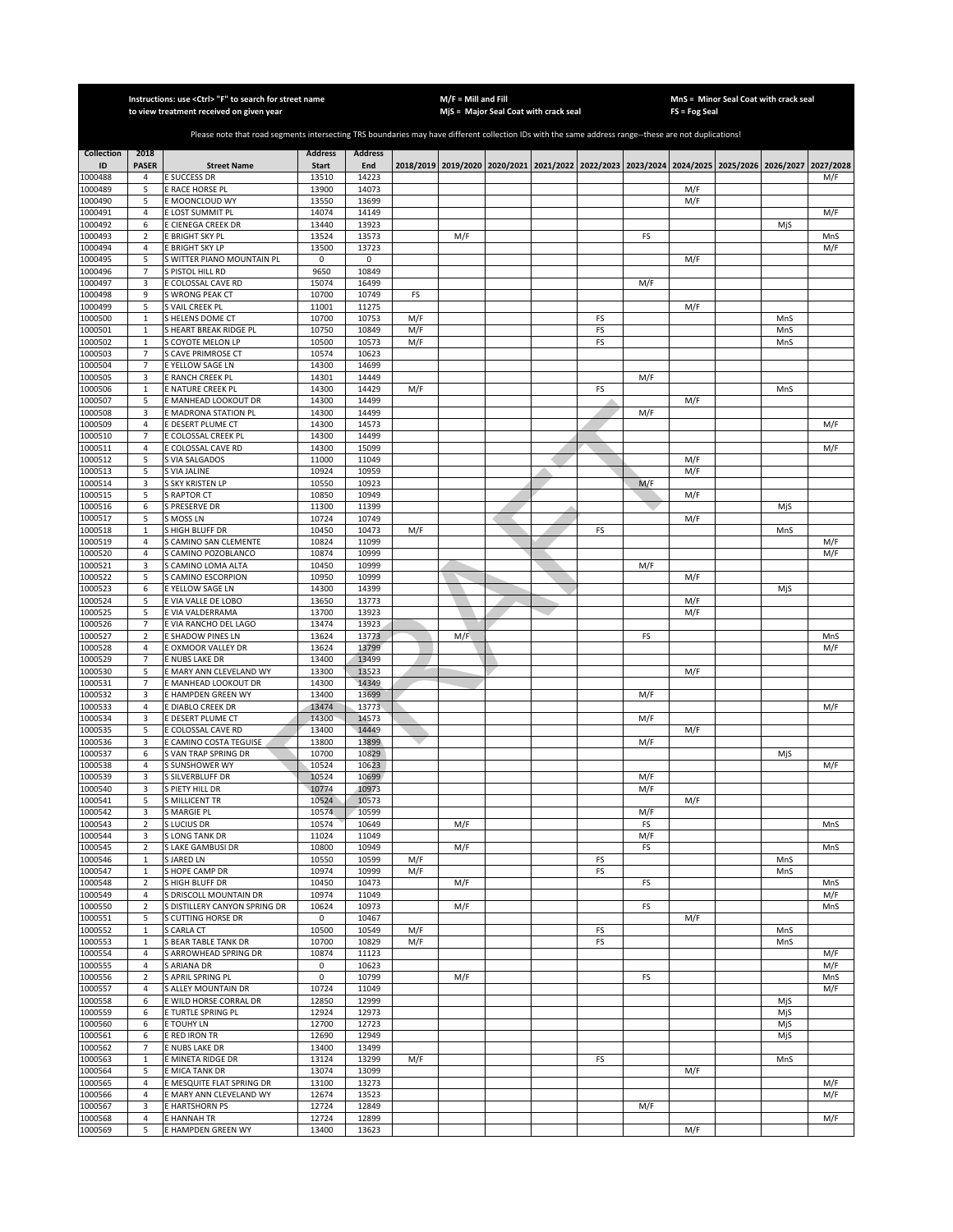|                    |                                  | Instructions: use < Ctrl> "F" to search for street name<br>to view treatment received on given year                                                   |                       |                |            | $M/F =$ Mill and Fill | MjS = Major Seal Coat with crack seal |          |           | $FS = Fog Seal$ | MnS = Minor Seal Coat with crack seal                                                     |            |                  |
|--------------------|----------------------------------|-------------------------------------------------------------------------------------------------------------------------------------------------------|-----------------------|----------------|------------|-----------------------|---------------------------------------|----------|-----------|-----------------|-------------------------------------------------------------------------------------------|------------|------------------|
|                    |                                  |                                                                                                                                                       |                       |                |            |                       |                                       |          |           |                 |                                                                                           |            |                  |
|                    |                                  | Please note that road segments intersecting TRS boundaries may have different collection IDs with the same address range--these are not duplications! |                       |                |            |                       |                                       |          |           |                 |                                                                                           |            |                  |
| <b>Collection</b>  | 2018                             |                                                                                                                                                       | <b>Address</b>        | <b>Address</b> |            |                       |                                       |          |           |                 |                                                                                           |            |                  |
| ID<br>1000488      | <b>PASER</b><br>4                | <b>Street Name</b><br><b>E SUCCESS DR</b>                                                                                                             | <b>Start</b><br>13510 | End<br>14223   |            |                       |                                       |          |           |                 | 2018/2019 2019/2020 2020/2021 2021/2022 2022/2023 2023/2024 2024/2025 2025/2026 2026/2027 |            | 2027/2028<br>M/F |
| 1000489            | 5                                | E RACE HORSE PL                                                                                                                                       | 13900                 | 14073          |            |                       |                                       |          |           | M/F             |                                                                                           |            |                  |
| 1000490            | 5                                | E MOONCLOUD WY                                                                                                                                        | 13550                 | 13699          |            |                       |                                       |          |           | M/F             |                                                                                           |            |                  |
| 1000491            | $\overline{4}$                   | E LOST SUMMIT PL                                                                                                                                      | 14074                 | 14149          |            |                       |                                       |          |           |                 |                                                                                           |            | M/F              |
| 1000492            | 6                                | E CIENEGA CREEK DR                                                                                                                                    | 13440                 | 13923          |            |                       |                                       |          |           |                 |                                                                                           | MjS        |                  |
| 1000493            | 2<br>$\overline{4}$              | <b>BRIGHT SKY PL</b>                                                                                                                                  | 13524<br>13500        | 13573<br>13723 |            | M/F                   |                                       |          | FS        |                 |                                                                                           |            | MnS              |
| 1000494<br>1000495 | 5                                | E BRIGHT SKY LP<br>S WITTER PIANO MOUNTAIN PL                                                                                                         | 0                     | 0              |            |                       |                                       |          |           | M/F             |                                                                                           |            | M/F              |
| 1000496            | $\overline{7}$                   | S PISTOL HILL RD                                                                                                                                      | 9650                  | 10849          |            |                       |                                       |          |           |                 |                                                                                           |            |                  |
| 1000497            | 3                                | E COLOSSAL CAVE RD                                                                                                                                    | 15074                 | 16499          |            |                       |                                       |          | M/F       |                 |                                                                                           |            |                  |
| 1000498            | 9                                | S WRONG PEAK CT                                                                                                                                       | 10700                 | 10749          | FS         |                       |                                       |          |           |                 |                                                                                           |            |                  |
| 1000499            | 5                                | S VAIL CREEK PL                                                                                                                                       | 11001                 | 11275          |            |                       |                                       |          |           | M/F             |                                                                                           |            |                  |
| 1000500<br>1000501 | $\mathbf{1}$<br>$\mathbf{1}$     | S HELENS DOME CT<br>S HEART BREAK RIDGE PL                                                                                                            | 10700<br>10750        | 10753<br>10849 | M/F<br>M/F |                       |                                       | FS<br>FS |           |                 |                                                                                           | MnS<br>MnS |                  |
| 1000502            | $\mathbf{1}$                     | S COYOTE MELON LP                                                                                                                                     | 10500                 | 10573          | M/F        |                       |                                       | FS       |           |                 |                                                                                           | MnS        |                  |
| 1000503            | $\overline{7}$                   | S CAVE PRIMROSE CT                                                                                                                                    | 10574                 | 10623          |            |                       |                                       |          |           |                 |                                                                                           |            |                  |
| 1000504            | $\overline{7}$                   | E YELLOW SAGE LN                                                                                                                                      | 14300                 | 14699          |            |                       |                                       |          |           |                 |                                                                                           |            |                  |
| 1000505            | 3                                | E RANCH CREEK PL                                                                                                                                      | 14301                 | 14449          |            |                       |                                       |          | M/F       |                 |                                                                                           |            |                  |
| 1000506<br>1000507 | $\mathbf 1$<br>5                 | E NATURE CREEK PL<br>E MANHEAD LOOKOUT DR                                                                                                             | 14300<br>14300        | 14429<br>14499 | M/F        |                       |                                       | FS       |           | M/F             |                                                                                           | MnS        |                  |
| 1000508            | 3                                | E MADRONA STATION PL                                                                                                                                  | 14300                 | 14499          |            |                       |                                       |          | M/F       |                 |                                                                                           |            |                  |
| 1000509            | $\overline{4}$                   | E DESERT PLUME CT                                                                                                                                     | 14300                 | 14573          |            |                       |                                       |          |           |                 |                                                                                           |            | M/F              |
| 1000510            | $\overline{7}$                   | E COLOSSAL CREEK PL                                                                                                                                   | 14300                 | 14499          |            |                       |                                       |          |           |                 |                                                                                           |            |                  |
| 1000511            | 4                                | E COLOSSAL CAVE RD                                                                                                                                    | 14300                 | 15099          |            |                       |                                       |          |           |                 |                                                                                           |            | M/F              |
| 1000512            | 5<br>5                           | VIA SALGADOS<br>S VIA JALINE                                                                                                                          | 11000<br>10924        | 11049<br>10959 |            |                       |                                       |          |           | M/F<br>M/F      |                                                                                           |            |                  |
| 1000513<br>1000514 | 3                                | S SKY KRISTEN LP                                                                                                                                      | 10550                 | 10923          |            |                       |                                       |          | M/F       |                 |                                                                                           |            |                  |
| 1000515            | 5                                | <b>S RAPTOR CT</b>                                                                                                                                    | 10850                 | 10949          |            |                       |                                       |          |           | M/F             |                                                                                           |            |                  |
| 1000516            | 6                                | S PRESERVE DR                                                                                                                                         | 11300                 | 11399          |            |                       |                                       |          |           |                 |                                                                                           | MjS        |                  |
| 1000517            | 5                                | S MOSS LN                                                                                                                                             | 10724                 | 10749          |            |                       |                                       |          |           | M/F             |                                                                                           |            |                  |
| 1000518            | $\mathbf{1}$                     | S HIGH BLUFF DR                                                                                                                                       | 10450                 | 10473          | M/F        |                       |                                       | FS       |           |                 |                                                                                           | MnS        |                  |
| 1000519<br>1000520 | $\overline{4}$<br>4              | S CAMINO SAN CLEMENTE<br>CAMINO POZOBLANCO                                                                                                            | 10824<br>10874        | 11099<br>10999 |            |                       |                                       |          |           |                 |                                                                                           |            | M/F<br>M/F       |
| 1000521            | 3                                | GAMINO LOMA ALTA                                                                                                                                      | 10450                 | 10999          |            |                       |                                       |          | M/F       |                 |                                                                                           |            |                  |
| 1000522            | 5                                | <b>CAMINO ESCORPION</b>                                                                                                                               | 10950                 | 10999          |            |                       |                                       |          |           | M/F             |                                                                                           |            |                  |
| 1000523            | 6                                | E YELLOW SAGE LN                                                                                                                                      | 14300                 | 14399          |            |                       |                                       |          |           |                 |                                                                                           | MjS        |                  |
| 1000524            | 5                                | E VIA VALLE DE LOBO                                                                                                                                   | 13650                 | 13773          |            |                       |                                       |          |           | M/F             |                                                                                           |            |                  |
| 1000525            | 5<br>$\overline{7}$              | E VIA VALDERRAMA                                                                                                                                      | 13700                 | 13923          |            |                       |                                       |          |           | M/F             |                                                                                           |            |                  |
| 1000526<br>1000527 | $\overline{2}$                   | E VIA RANCHO DEL LAGO<br>E SHADOW PINES LN                                                                                                            | 13474<br>13624        | 13923<br>13773 |            | M/F                   |                                       |          | FS        |                 |                                                                                           |            | MnS              |
| 1000528            | $\overline{4}$                   | E OXMOOR VALLEY DR                                                                                                                                    | 13624                 | 13799          |            |                       |                                       |          |           |                 |                                                                                           |            | M/F              |
| 1000529            | $\overline{7}$                   | E NUBS LAKE DR                                                                                                                                        | 13400                 | 13499          |            |                       |                                       |          |           |                 |                                                                                           |            |                  |
| 1000530            | 5                                | E MARY ANN CLEVELAND WY                                                                                                                               | 13300                 | 13523          |            |                       |                                       |          |           | M/F             |                                                                                           |            |                  |
| 1000531            | $\overline{7}$                   | E MANHEAD LOOKOUT DR                                                                                                                                  | 14300<br>13400        | 14349<br>13699 |            |                       |                                       |          |           |                 |                                                                                           |            |                  |
| 1000532<br>1000533 | 3<br>4                           | E HAMPDEN GREEN WY<br>E DIABLO CREEK DR                                                                                                               | 13474                 | 13773          |            |                       |                                       |          | M/F       |                 |                                                                                           |            | M/F              |
| 1000534            | 3                                | E DESERT PLUME CT                                                                                                                                     | 14300                 | 14573          |            |                       |                                       |          | M/F       |                 |                                                                                           |            |                  |
| 1000535            | 5                                | E COLOSSAL CAVE RD                                                                                                                                    | 13400                 | 14449          |            |                       |                                       |          |           | M/F             |                                                                                           |            |                  |
| 1000536            | 3                                | E CAMINO COSTA TEGUISE                                                                                                                                | 13800                 | 13899          |            |                       |                                       |          | M/F       |                 |                                                                                           |            |                  |
| 1000537            | 6                                | S VAN TRAP SPRING DR                                                                                                                                  | 10700                 | 10829          |            |                       |                                       |          |           |                 |                                                                                           | MjS        |                  |
| 1000538<br>1000539 | 4<br>3                           | S SUNSHOWER WY<br><b>S SILVERBLUFF DR</b>                                                                                                             | 10524<br>10524        | 10623<br>10699 |            |                       |                                       |          | M/F       |                 |                                                                                           |            | M/F              |
| 1000540            | 3                                | S PIETY HILL DR                                                                                                                                       | 10774                 | 10973          |            |                       |                                       |          | M/F       |                 |                                                                                           |            |                  |
| 1000541            | 5                                | <b>S MILLICENT TR</b>                                                                                                                                 | 10524                 | 10573          |            |                       |                                       |          |           | M/F             |                                                                                           |            |                  |
| 1000542            | 3                                | <b>S MARGIE PL</b>                                                                                                                                    | 10574                 | 10599          |            |                       |                                       |          | M/F       |                 |                                                                                           |            |                  |
| 1000543<br>1000544 | 2                                | S LUCIUS DR<br><b>SLONG TANK DR</b>                                                                                                                   | 10574<br>11024        | 10649<br>11049 |            | M/F                   |                                       |          | FS<br>M/F |                 |                                                                                           |            | MnS              |
| 1000545            | 3<br>$\mathbf 2$                 | S LAKE GAMBUSI DR                                                                                                                                     | 10800                 | 10949          |            | M/F                   |                                       |          | FS        |                 |                                                                                           |            | MnS              |
| 1000546            | $\mathbf{1}$                     | <b>S JARED LN</b>                                                                                                                                     | 10550                 | 10599          | M/F        |                       |                                       | FS       |           |                 |                                                                                           | MnS        |                  |
| 1000547            | $\mathbf 1$                      | S HOPE CAMP DR                                                                                                                                        | 10974                 | 10999          | M/F        |                       |                                       | FS       |           |                 |                                                                                           | MnS        |                  |
| 1000548            | $\mathbf 2$                      | S HIGH BLUFF DR                                                                                                                                       | 10450                 | 10473          |            | M/F                   |                                       |          | FS        |                 |                                                                                           |            | MnS              |
| 1000549<br>1000550 | 4<br>$\mathbf 2$                 | S DRISCOLL MOUNTAIN DR<br>S DISTILLERY CANYON SPRING DR                                                                                               | 10974<br>10624        | 11049<br>10973 |            | M/F                   |                                       |          | FS        |                 |                                                                                           |            | M/F<br>MnS       |
| 1000551            | 5                                | S CUTTING HORSE DR                                                                                                                                    | 0                     | 10467          |            |                       |                                       |          |           | M/F             |                                                                                           |            |                  |
| 1000552            | $\mathbf 1$                      | S CARLA CT                                                                                                                                            | 10500                 | 10549          | M/F        |                       |                                       | FS       |           |                 |                                                                                           | MnS        |                  |
| 1000553            | $\mathbf{1}$                     | <b>S BEAR TABLE TANK DR</b>                                                                                                                           | 10700                 | 10829          | M/F        |                       |                                       | FS       |           |                 |                                                                                           | MnS        |                  |
| 1000554            | 4                                | S ARROWHEAD SPRING DR                                                                                                                                 | 10874                 | 11123          |            |                       |                                       |          |           |                 |                                                                                           |            | M/F              |
| 1000555            | $\overline{4}$                   | S ARIANA DR                                                                                                                                           | 0                     | 10623          |            |                       |                                       |          |           |                 |                                                                                           |            | M/F              |
| 1000556<br>1000557 | $\overline{2}$<br>$\overline{4}$ | S APRIL SPRING PL<br>S ALLEY MOUNTAIN DR                                                                                                              | 0<br>10724            | 10799<br>11049 |            | M/F                   |                                       |          | FS        |                 |                                                                                           |            | MnS<br>M/F       |
| 1000558            | 6                                | E WILD HORSE CORRAL DR                                                                                                                                | 12850                 | 12999          |            |                       |                                       |          |           |                 |                                                                                           | MiS        |                  |
| 1000559            | 6                                | E TURTLE SPRING PL                                                                                                                                    | 12924                 | 12973          |            |                       |                                       |          |           |                 |                                                                                           | MjS        |                  |
| 1000560            | 6                                | E TOUHY LN                                                                                                                                            | 12700                 | 12723          |            |                       |                                       |          |           |                 |                                                                                           | MjS        |                  |
| 1000561            | 6                                | E RED IRON TR                                                                                                                                         | 12690                 | 12949          |            |                       |                                       |          |           |                 |                                                                                           | MjS        |                  |
| 1000562<br>1000563 | $\overline{7}$<br>$\mathbf{1}$   | E NUBS LAKE DR<br>E MINETA RIDGE DR                                                                                                                   | 13400<br>13124        | 13499<br>13299 | M/F        |                       |                                       | FS       |           |                 |                                                                                           | MnS        |                  |
| 1000564            | 5                                | E MICA TANK DR                                                                                                                                        | 13074                 | 13099          |            |                       |                                       |          |           | M/F             |                                                                                           |            |                  |
| 1000565            | $\overline{4}$                   | E MESQUITE FLAT SPRING DR                                                                                                                             | 13100                 | 13273          |            |                       |                                       |          |           |                 |                                                                                           |            | M/F              |
| 1000566            | $\overline{4}$                   | E MARY ANN CLEVELAND WY                                                                                                                               | 12674                 | 13523          |            |                       |                                       |          |           |                 |                                                                                           |            | M/F              |
| 1000567            | 3                                | E HARTSHORN PS                                                                                                                                        | 12724                 | 12849          |            |                       |                                       |          | M/F       |                 |                                                                                           |            |                  |
| 1000568<br>1000569 | $\overline{4}$<br>5              | E HANNAH TR<br>E HAMPDEN GREEN WY                                                                                                                     | 12724<br>13400        | 12899          |            |                       |                                       |          |           | M/F             |                                                                                           |            | M/F              |
|                    |                                  |                                                                                                                                                       |                       | 13623          |            |                       |                                       |          |           |                 |                                                                                           |            |                  |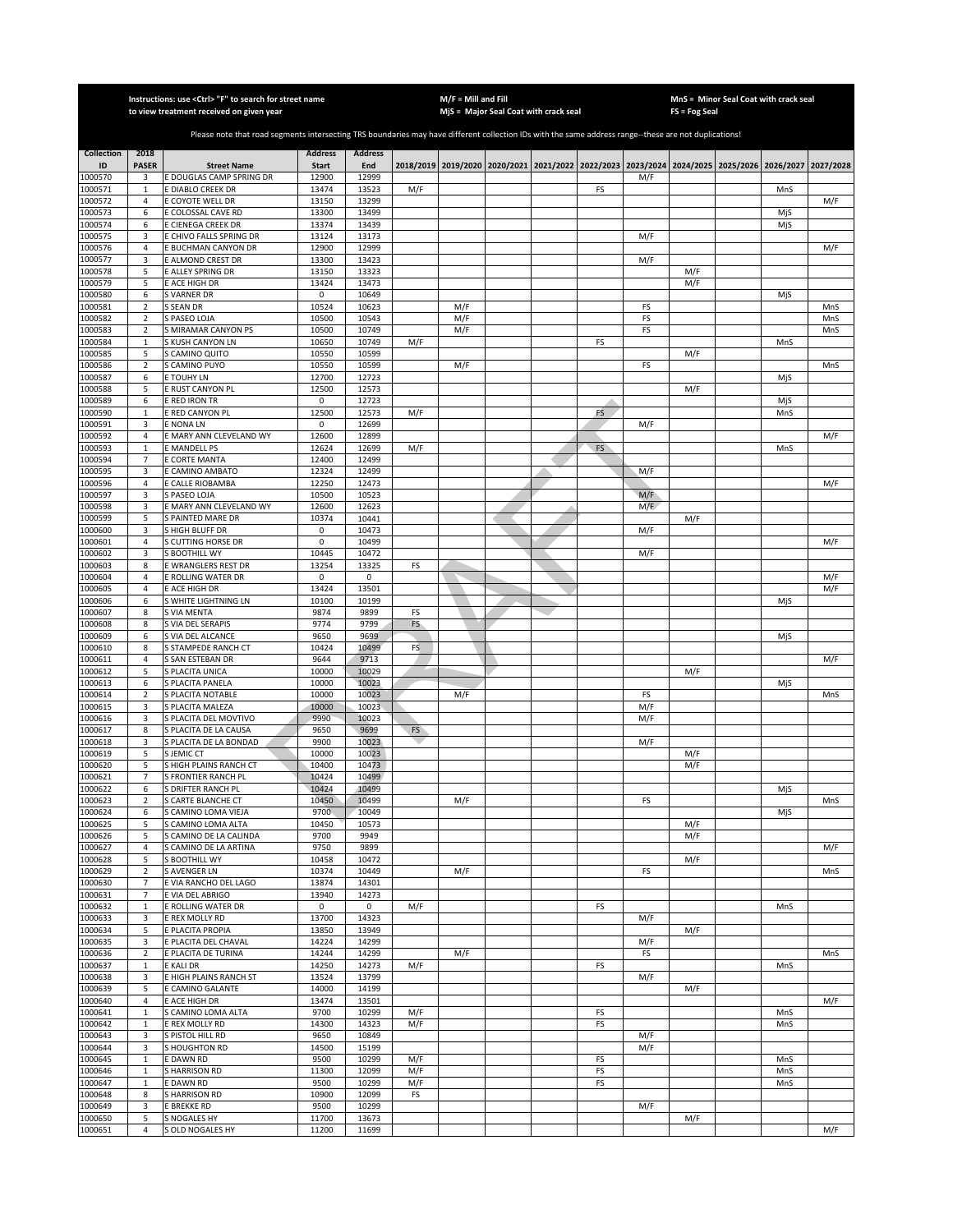|                         |                            | Instructions: use <ctrl> "F" to search for street name<br/>to view treatment received on given year</ctrl>                                            |                         |                       |           | $M/F =$ Mill and Fill | MjS = Major Seal Coat with crack seal                                                               |           |     | FS = Fog Seal | MnS = Minor Seal Coat with crack seal |            |            |
|-------------------------|----------------------------|-------------------------------------------------------------------------------------------------------------------------------------------------------|-------------------------|-----------------------|-----------|-----------------------|-----------------------------------------------------------------------------------------------------|-----------|-----|---------------|---------------------------------------|------------|------------|
|                         |                            |                                                                                                                                                       |                         |                       |           |                       |                                                                                                     |           |     |               |                                       |            |            |
|                         |                            | Please note that road segments intersecting TRS boundaries may have different collection IDs with the same address range--these are not duplications! |                         |                       |           |                       |                                                                                                     |           |     |               |                                       |            |            |
| <b>Collection</b><br>ID | 2018<br><b>PASER</b>       | <b>Street Name</b>                                                                                                                                    | <b>Address</b><br>Start | <b>Address</b><br>End |           |                       | 2018/2019 2019/2020 2020/2021 2021/2022 2022/2023 2023/2024 2024/2025 2025/2026 2026/2027 2027/2028 |           |     |               |                                       |            |            |
| 1000570                 | 3                          | E DOUGLAS CAMP SPRING DR                                                                                                                              | 12900                   | 12999                 |           |                       |                                                                                                     |           | M/F |               |                                       |            |            |
| 1000571<br>1000572      | $\mathbf{1}$<br>$\sqrt{4}$ | E DIABLO CREEK DR<br>E COYOTE WELL DR                                                                                                                 | 13474<br>13150          | 13523<br>13299        | M/F       |                       |                                                                                                     | FS        |     |               |                                       | MnS        | M/F        |
| 1000573                 | 6                          | E COLOSSAL CAVE RD                                                                                                                                    | 13300                   | 13499                 |           |                       |                                                                                                     |           |     |               |                                       | MjS        |            |
| 1000574                 | 6                          | E CIENEGA CREEK DR                                                                                                                                    | 13374                   | 13439                 |           |                       |                                                                                                     |           |     |               |                                       | MjS        |            |
| 1000575<br>1000576      | 3<br>4                     | E CHIVO FALLS SPRING DR<br>E BUCHMAN CANYON DR                                                                                                        | 13124<br>12900          | 13173<br>12999        |           |                       |                                                                                                     |           | M/F |               |                                       |            | M/F        |
| 1000577                 | 3                          | E ALMOND CREST DR                                                                                                                                     | 13300                   | 13423                 |           |                       |                                                                                                     |           | M/F |               |                                       |            |            |
| 1000578                 | 5                          | E ALLEY SPRING DR                                                                                                                                     | 13150                   | 13323                 |           |                       |                                                                                                     |           |     | M/F           |                                       |            |            |
| 1000579                 | 5                          | E ACE HIGH DR                                                                                                                                         | 13424                   | 13473                 |           |                       |                                                                                                     |           |     | M/F           |                                       |            |            |
| 1000580<br>1000581      | 6<br>$\overline{2}$        | S VARNER DR<br>S SEAN DR                                                                                                                              | 0<br>10524              | 10649<br>10623        |           | M/F                   |                                                                                                     |           | FS  |               |                                       | MjS        | MnS        |
| 1000582                 | 2                          | S PASEO LOJA                                                                                                                                          | 10500                   | 10543                 |           | M/F                   |                                                                                                     |           | FS  |               |                                       |            | MnS        |
| 1000583                 | $\overline{2}$             | <b>S MIRAMAR CANYON PS</b>                                                                                                                            | 10500                   | 10749                 |           | M/F                   |                                                                                                     |           | FS  |               |                                       |            | MnS        |
| 1000584<br>1000585      | $\mathbf{1}$<br>5          | S KUSH CANYON LN<br>S CAMINO QUITO                                                                                                                    | 10650<br>10550          | 10749<br>10599        | M/F       |                       |                                                                                                     | FS        |     | M/F           |                                       | MnS        |            |
| 1000586                 | $\sqrt{2}$                 | S CAMINO PUYO                                                                                                                                         | 10550                   | 10599                 |           | M/F                   |                                                                                                     |           | FS  |               |                                       |            | MnS        |
| 1000587                 | 6                          | E TOUHY LN                                                                                                                                            | 12700                   | 12723                 |           |                       |                                                                                                     |           |     |               |                                       | MjS        |            |
| 1000588                 | 5                          | E RUST CANYON PL                                                                                                                                      | 12500                   | 12573                 |           |                       |                                                                                                     |           |     | M/F           |                                       |            |            |
| 1000589<br>1000590      | 6<br>1                     | E RED IRON TR<br>E RED CANYON PL                                                                                                                      | 0<br>12500              | 12723<br>12573        | M/F       |                       |                                                                                                     | FS        |     |               |                                       | MjS<br>MnS |            |
| 1000591                 | 3                          | E NONA LN                                                                                                                                             | 0                       | 12699                 |           |                       |                                                                                                     |           | M/F |               |                                       |            |            |
| 1000592                 | 4                          | E MARY ANN CLEVELAND WY                                                                                                                               | 12600                   | 12899                 |           |                       |                                                                                                     |           |     |               |                                       |            | M/F        |
| 1000593                 | $\mathbf{1}$               | E MANDELL PS                                                                                                                                          | 12624                   | 12699                 | M/F       |                       |                                                                                                     | <b>FS</b> |     |               |                                       | MnS        |            |
| 1000594<br>1000595      | 7<br>3                     | E CORTE MANTA<br>E CAMINO AMBATO                                                                                                                      | 12400<br>12324          | 12499<br>12499        |           |                       |                                                                                                     |           | M/F |               |                                       |            |            |
| 1000596                 | $\sqrt{4}$                 | E CALLE RIOBAMBA                                                                                                                                      | 12250                   | 12473                 |           |                       |                                                                                                     |           |     |               |                                       |            | M/F        |
| 1000597                 | 3                          | S PASEO LOJA                                                                                                                                          | 10500                   | 10523                 |           |                       |                                                                                                     |           | M/F |               |                                       |            |            |
| 1000598                 | 3                          | E MARY ANN CLEVELAND WY                                                                                                                               | 12600                   | 12623                 |           |                       |                                                                                                     |           | M/F |               |                                       |            |            |
| 1000599<br>1000600      | 5<br>3                     | S PAINTED MARE DR<br>S HIGH BLUFF DR                                                                                                                  | 10374<br>0              | 10441<br>10473        |           |                       |                                                                                                     |           | M/F | M/F           |                                       |            |            |
| 1000601                 | 4                          | S CUTTING HORSE DR                                                                                                                                    | 0                       | 10499                 |           |                       |                                                                                                     |           |     |               |                                       |            | M/F        |
| 1000602                 | 3                          | S BOOTHILL WY                                                                                                                                         | 10445                   | 10472                 |           |                       |                                                                                                     |           | M/F |               |                                       |            |            |
| 1000603                 | 8                          | E WRANGLERS REST DR                                                                                                                                   | 13254                   | 13325                 | FS        |                       |                                                                                                     |           |     |               |                                       |            |            |
| 1000604<br>1000605      | 4<br>4                     | E ROLLING WATER DR<br>E ACE HIGH DR                                                                                                                   | 0<br>13424              | 0<br>13501            |           |                       |                                                                                                     |           |     |               |                                       |            | M/F<br>M/F |
| 1000606                 | 6                          | S WHITE LIGHTNING LN                                                                                                                                  | 10100                   | 10199                 |           |                       |                                                                                                     |           |     |               |                                       | MjS        |            |
| 1000607                 | 8                          | S VIA MENTA                                                                                                                                           | 9874                    | 9899                  | FS        |                       |                                                                                                     |           |     |               |                                       |            |            |
| 1000608                 | 8                          | S VIA DEL SERAPIS                                                                                                                                     | 9774                    | 9799                  | FS        |                       |                                                                                                     |           |     |               |                                       |            |            |
| 1000609<br>1000610      | 6<br>8                     | S VIA DEL ALCANCE<br>S STAMPEDE RANCH CT                                                                                                              | 9650<br>10424           | 9699<br>10499         | <b>FS</b> |                       |                                                                                                     |           |     |               |                                       | MjS        |            |
| 1000611                 | $\overline{4}$             | S SAN ESTEBAN DR                                                                                                                                      | 9644                    | 9713                  |           |                       |                                                                                                     |           |     |               |                                       |            | M/F        |
| 1000612                 | 5                          | S PLACITA UNICA                                                                                                                                       | 10000                   | 10029                 |           |                       |                                                                                                     |           |     | M/F           |                                       |            |            |
| 1000613<br>1000614      | 6<br>$\overline{2}$        | S PLACITA PANELA<br>S PLACITA NOTABLE                                                                                                                 | 10000<br>10000          | 10023<br>10023        |           | M/F                   |                                                                                                     |           | FS  |               |                                       | MjS        | MnS        |
| 1000615                 | 3                          | S PLACITA MALEZA                                                                                                                                      | 10000                   | 10023                 |           |                       |                                                                                                     |           | M/F |               |                                       |            |            |
| 1000616                 | 3                          | S PLACITA DEL MOVTIVO                                                                                                                                 | 9990                    | 10023                 |           |                       |                                                                                                     |           | M/F |               |                                       |            |            |
| 1000617                 | 8                          | S PLACITA DE LA CAUSA                                                                                                                                 | 9650                    | 9699                  | <b>FS</b> |                       |                                                                                                     |           |     |               |                                       |            |            |
| 1000618<br>1000619      | 3<br>5                     | S PLACITA DE LA BONDAD<br>S JEMIC CT                                                                                                                  | 9900<br>10000           | 10023<br>10023        |           |                       |                                                                                                     |           | M/F | M/F           |                                       |            |            |
| 1000620                 | 5                          | S HIGH PLAINS RANCH CT                                                                                                                                | 10400                   | 10473                 |           |                       |                                                                                                     |           |     | M/F           |                                       |            |            |
| 1000621                 | $\overline{7}$             | S FRONTIER RANCH PL                                                                                                                                   | 10424                   | 10499                 |           |                       |                                                                                                     |           |     |               |                                       |            |            |
| 1000622                 | 6                          | S DRIFTER RANCH PL                                                                                                                                    | 10424                   | 10499                 |           |                       |                                                                                                     |           |     |               |                                       | MjS        |            |
| 1000623<br>1000624      | 2<br>6                     | S CARTE BLANCHE CT<br>S CAMINO LOMA VIEJA                                                                                                             | 10450<br>9700           | 10499<br>10049        |           | M/F                   |                                                                                                     |           | FS  |               |                                       | MjS        | MnS        |
| 1000625                 | 5                          | S CAMINO LOMA ALTA                                                                                                                                    | 10450                   | 10573                 |           |                       |                                                                                                     |           |     | M/F           |                                       |            |            |
| 1000626                 | 5                          | S CAMINO DE LA CALINDA                                                                                                                                | 9700                    | 9949                  |           |                       |                                                                                                     |           |     | M/F           |                                       |            |            |
| 1000627<br>1000628      | 4<br>5                     | S CAMINO DE LA ARTINA<br>S BOOTHILL WY                                                                                                                | 9750<br>10458           | 9899<br>10472         |           |                       |                                                                                                     |           |     | M/F           |                                       |            | M/F        |
| 1000629                 | $\sqrt{2}$                 | S AVENGER LN                                                                                                                                          | 10374                   | 10449                 |           | M/F                   |                                                                                                     |           | FS  |               |                                       |            | MnS        |
| 1000630                 | $\overline{7}$             | E VIA RANCHO DEL LAGO                                                                                                                                 | 13874                   | 14301                 |           |                       |                                                                                                     |           |     |               |                                       |            |            |
| 1000631                 | 7                          | E VIA DEL ABRIGO                                                                                                                                      | 13940                   | 14273                 |           |                       |                                                                                                     |           |     |               |                                       |            |            |
| 1000632<br>1000633      | $\mathbf{1}$<br>3          | E ROLLING WATER DR<br>E REX MOLLY RD                                                                                                                  | 0<br>13700              | 0<br>14323            | M/F       |                       |                                                                                                     | FS        | M/F |               |                                       | MnS        |            |
| 1000634                 | 5                          | E PLACITA PROPIA                                                                                                                                      | 13850                   | 13949                 |           |                       |                                                                                                     |           |     | M/F           |                                       |            |            |
| 1000635                 | 3                          | E PLACITA DEL CHAVAL                                                                                                                                  | 14224                   | 14299                 |           |                       |                                                                                                     |           | M/F |               |                                       |            |            |
| 1000636                 | $\overline{2}$             | E PLACITA DE TURINA                                                                                                                                   | 14244<br>14250          | 14299                 | M/F       | M/F                   |                                                                                                     |           | FS  |               |                                       |            | MnS        |
| 1000637<br>1000638      | $\mathbf{1}$<br>3          | E KALI DR<br>E HIGH PLAINS RANCH ST                                                                                                                   | 13524                   | 14273<br>13799        |           |                       |                                                                                                     | FS        | M/F |               |                                       | MnS        |            |
| 1000639                 | 5                          | E CAMINO GALANTE                                                                                                                                      | 14000                   | 14199                 |           |                       |                                                                                                     |           |     | M/F           |                                       |            |            |
| 1000640                 | 4                          | E ACE HIGH DR                                                                                                                                         | 13474                   | 13501                 |           |                       |                                                                                                     |           |     |               |                                       |            | M/F        |
| 1000641                 | $\mathbf 1$                | S CAMINO LOMA ALTA                                                                                                                                    | 9700                    | 10299                 | M/F       |                       |                                                                                                     | FS        |     |               |                                       | MnS        |            |
| 1000642<br>1000643      | $\mathbf 1$<br>3           | E REX MOLLY RD<br>S PISTOL HILL RD                                                                                                                    | 14300<br>9650           | 14323<br>10849        | M/F       |                       |                                                                                                     | FS        | M/F |               |                                       | MnS        |            |
| 1000644                 | 3                          | S HOUGHTON RD                                                                                                                                         | 14500                   | 15199                 |           |                       |                                                                                                     |           | M/F |               |                                       |            |            |
| 1000645                 | $\mathbf{1}$               | E DAWN RD                                                                                                                                             | 9500                    | 10299                 | M/F       |                       |                                                                                                     | FS        |     |               |                                       | MnS        |            |
| 1000646                 | $\mathbf 1$                | S HARRISON RD                                                                                                                                         | 11300<br>9500           | 12099                 | M/F       |                       |                                                                                                     | FS        |     |               |                                       | MnS        |            |
| 1000647<br>1000648      | $\mathbf{1}$<br>8          | E DAWN RD<br><b>S HARRISON RD</b>                                                                                                                     | 10900                   | 10299<br>12099        | M/F<br>FS |                       |                                                                                                     | FS        |     |               |                                       | MnS        |            |
| 1000649                 | 3                          | <b>E BREKKE RD</b>                                                                                                                                    | 9500                    | 10299                 |           |                       |                                                                                                     |           | M/F |               |                                       |            |            |
| 1000650                 | 5                          | S NOGALES HY                                                                                                                                          | 11700                   | 13673                 |           |                       |                                                                                                     |           |     | M/F           |                                       |            |            |
| 1000651                 | 4                          | S OLD NOGALES HY                                                                                                                                      | 11200                   | 11699                 |           |                       |                                                                                                     |           |     |               |                                       |            | M/F        |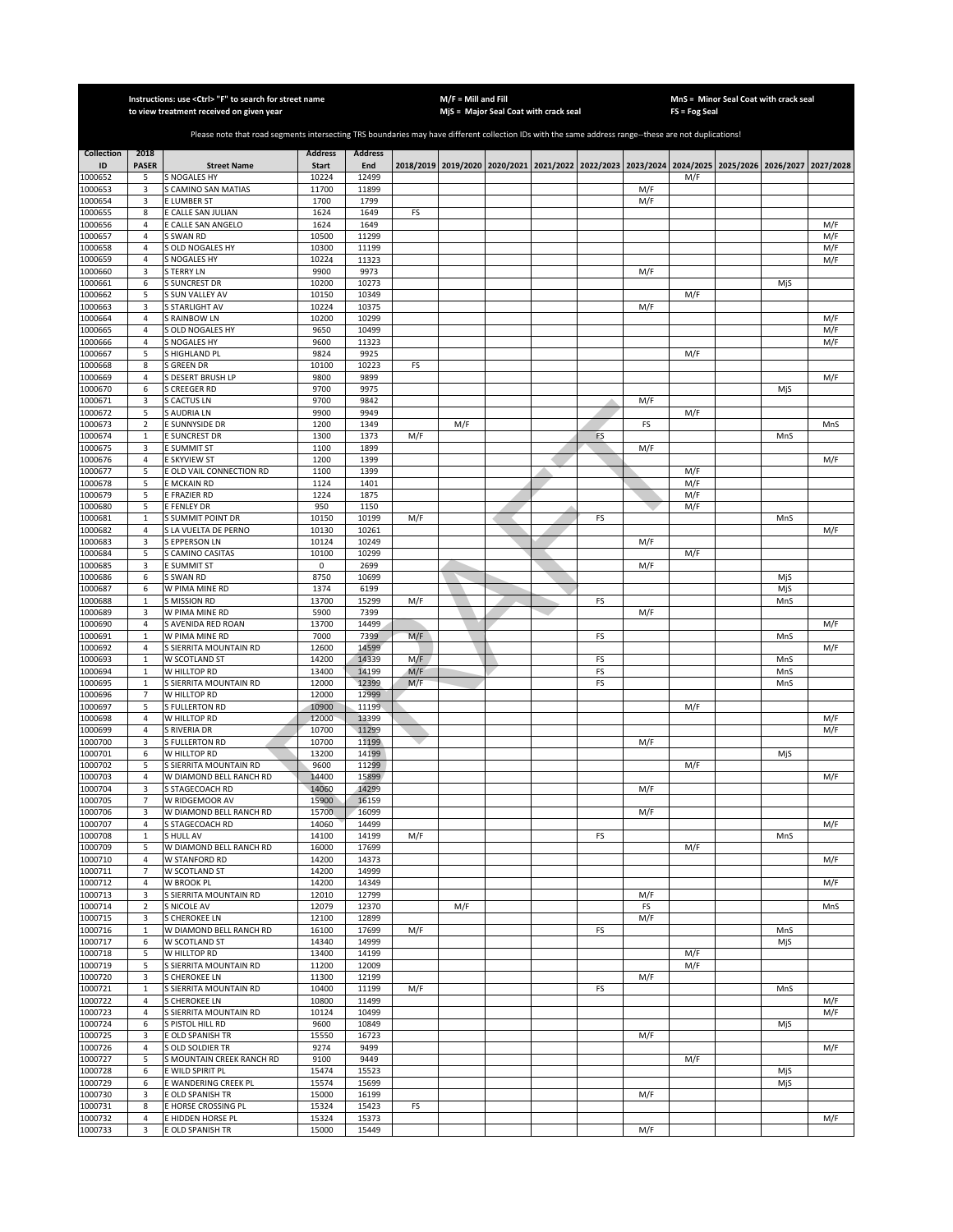|                    |                     | Instructions: use <ctrl> "F" to search for street name<br/>to view treatment received on given year</ctrl>                                            |                |                |     | $M/F =$ Mill and Fill | MjS = Major Seal Coat with crack seal                                                               |    |     | FS = Fog Seal | MnS = Minor Seal Coat with crack seal |            |
|--------------------|---------------------|-------------------------------------------------------------------------------------------------------------------------------------------------------|----------------|----------------|-----|-----------------------|-----------------------------------------------------------------------------------------------------|----|-----|---------------|---------------------------------------|------------|
|                    |                     |                                                                                                                                                       |                |                |     |                       |                                                                                                     |    |     |               |                                       |            |
|                    |                     | Please note that road segments intersecting TRS boundaries may have different collection IDs with the same address range--these are not duplications! |                |                |     |                       |                                                                                                     |    |     |               |                                       |            |
| <b>Collection</b>  | 2018                |                                                                                                                                                       | <b>Address</b> | <b>Address</b> |     |                       |                                                                                                     |    |     |               |                                       |            |
| ID                 | <b>PASER</b>        | <b>Street Name</b>                                                                                                                                    | <b>Start</b>   | End            |     |                       | 2018/2019 2019/2020 2020/2021 2021/2022 2022/2023 2023/2024 2024/2025 2025/2026 2026/2027 2027/2028 |    |     |               |                                       |            |
| 1000652<br>1000653 | 5<br>3              | S NOGALES HY<br>S CAMINO SAN MATIAS                                                                                                                   | 10224<br>11700 | 12499<br>11899 |     |                       |                                                                                                     |    | M/F | M/F           |                                       |            |
| 1000654            | 3                   | E LUMBER ST                                                                                                                                           | 1700           | 1799           |     |                       |                                                                                                     |    | M/F |               |                                       |            |
| 1000655            | 8                   | E CALLE SAN JULIAN                                                                                                                                    | 1624           | 1649           | FS  |                       |                                                                                                     |    |     |               |                                       |            |
| 1000656<br>1000657 | 4<br>4              | E CALLE SAN ANGELO<br>S SWAN RD                                                                                                                       | 1624<br>10500  | 1649<br>11299  |     |                       |                                                                                                     |    |     |               |                                       | M/F<br>M/F |
| 1000658            | 4                   | S OLD NOGALES HY                                                                                                                                      | 10300          | 11199          |     |                       |                                                                                                     |    |     |               |                                       | M/F        |
| 1000659            | $\overline{4}$      | S NOGALES HY                                                                                                                                          | 10224          | 11323          |     |                       |                                                                                                     |    |     |               |                                       | M/F        |
| 1000660            | 3                   | <b>S TERRY LN</b>                                                                                                                                     | 9900           | 9973           |     |                       |                                                                                                     |    | M/F |               |                                       |            |
| 1000661<br>1000662 | 6<br>5              | <b>S SUNCREST DR</b><br>S SUN VALLEY AV                                                                                                               | 10200<br>10150 | 10273<br>10349 |     |                       |                                                                                                     |    |     | M/F           | MjS                                   |            |
| 1000663            | 3                   | S STARLIGHT AV                                                                                                                                        | 10224          | 10375          |     |                       |                                                                                                     |    | M/F |               |                                       |            |
| 1000664            | 4                   | <b>S RAINBOW LN</b>                                                                                                                                   | 10200          | 10299          |     |                       |                                                                                                     |    |     |               |                                       | M/F        |
| 1000665            | $\sqrt{4}$          | S OLD NOGALES HY                                                                                                                                      | 9650           | 10499          |     |                       |                                                                                                     |    |     |               |                                       | M/F        |
| 1000666<br>1000667 | 4<br>5              | S NOGALES HY<br>S HIGHLAND PL                                                                                                                         | 9600<br>9824   | 11323<br>9925  |     |                       |                                                                                                     |    |     | M/F           |                                       | M/F        |
| 1000668            | 8                   | <b>S GREEN DR</b>                                                                                                                                     | 10100          | 10223          | FS  |                       |                                                                                                     |    |     |               |                                       |            |
| 1000669            | 4                   | S DESERT BRUSH LP                                                                                                                                     | 9800           | 9899           |     |                       |                                                                                                     |    |     |               |                                       | M/F        |
| 1000670            | 6                   | S CREEGER RD                                                                                                                                          | 9700           | 9975           |     |                       |                                                                                                     |    |     |               | MjS                                   |            |
| 1000671<br>1000672 | 3<br>5              | S CACTUS LN<br>S AUDRIA LN                                                                                                                            | 9700<br>9900   | 9842<br>9949   |     |                       |                                                                                                     |    | M/F | M/F           |                                       |            |
| 1000673            | $\mathbf 2$         | E SUNNYSIDE DR                                                                                                                                        | 1200           | 1349           |     | M/F                   |                                                                                                     |    | FS  |               |                                       | MnS        |
| 1000674            | $\mathbf 1$         | E SUNCREST DR                                                                                                                                         | 1300           | 1373           | M/F |                       |                                                                                                     | FS |     |               | MnS                                   |            |
| 1000675            | 3                   | E SUMMIT ST                                                                                                                                           | 1100           | 1899           |     |                       |                                                                                                     |    | M/F |               |                                       |            |
| 1000676<br>1000677 | 4<br>5              | E SKYVIEW ST<br>E OLD VAIL CONNECTION RD                                                                                                              | 1200<br>1100   | 1399<br>1399   |     |                       |                                                                                                     |    |     | M/F           |                                       | M/F        |
| 1000678            | 5                   | E MCKAIN RD                                                                                                                                           | 1124           | 1401           |     |                       |                                                                                                     |    |     | M/F           |                                       |            |
| 1000679            | 5                   | E FRAZIER RD                                                                                                                                          | 1224           | 1875           |     |                       |                                                                                                     |    |     | M/F           |                                       |            |
| 1000680            | 5                   | E FENLEY DR                                                                                                                                           | 950            | 1150           |     |                       |                                                                                                     |    |     | M/F           |                                       |            |
| 1000681            | $\,1\,$             | S SUMMIT POINT DR                                                                                                                                     | 10150          | 10199          | M/F |                       |                                                                                                     | FS |     |               | MnS                                   |            |
| 1000682<br>1000683 | 4<br>3              | S LA VUELTA DE PERNO<br><b>S EPPERSON LN</b>                                                                                                          | 10130<br>10124 | 10261<br>10249 |     |                       |                                                                                                     |    | M/F |               |                                       | M/F        |
| 1000684            | 5                   | S CAMINO CASITAS                                                                                                                                      | 10100          | 10299          |     |                       |                                                                                                     |    |     | M/F           |                                       |            |
| 1000685            | 3                   | E SUMMIT ST                                                                                                                                           | 0              | 2699           |     |                       |                                                                                                     |    | M/F |               |                                       |            |
| 1000686            | 6                   | S SWAN RD                                                                                                                                             | 8750           | 10699          |     |                       |                                                                                                     |    |     |               | MjS                                   |            |
| 1000687<br>1000688 | 6<br>$\mathbf{1}$   | W PIMA MINE RD<br><b>S MISSION RD</b>                                                                                                                 | 1374<br>13700  | 6199<br>15299  | M/F |                       |                                                                                                     | FS |     |               | MjS<br>MnS                            |            |
| 1000689            | 3                   | W PIMA MINE RD                                                                                                                                        | 5900           | 7399           |     |                       |                                                                                                     |    | M/F |               |                                       |            |
| 1000690            | $\overline{4}$      | S AVENIDA RED ROAN                                                                                                                                    | 13700          | 14499          |     |                       |                                                                                                     |    |     |               |                                       | M/F        |
| 1000691            | $\mathbf 1$         | W PIMA MINE RD                                                                                                                                        | 7000           | 7399           | M/F |                       |                                                                                                     | FS |     |               | MnS                                   |            |
| 1000692<br>1000693 | 4<br>$\mathbf 1$    | S SIERRITA MOUNTAIN RD<br>W SCOTLAND ST                                                                                                               | 12600<br>14200 | 14599<br>14339 | M/F |                       |                                                                                                     | FS |     |               | MnS                                   | M/F        |
| 1000694            | $\mathbf 1$         | W HILLTOP RD                                                                                                                                          | 13400          | 14199          | M/F |                       |                                                                                                     | FS |     |               | MnS                                   |            |
| 1000695            | $\mathbf 1$         | S SIERRITA MOUNTAIN RD                                                                                                                                | 12000          | 12399          | M/F |                       |                                                                                                     | FS |     |               | MnS                                   |            |
| 1000696            | $\overline{7}$<br>5 | W HILLTOP RD                                                                                                                                          | 12000          | 12999          |     |                       |                                                                                                     |    |     |               |                                       |            |
| 1000697<br>1000698 | 4                   | S FULLERTON RD<br>W HILLTOP RD                                                                                                                        | 10900<br>12000 | 11199<br>13399 |     |                       |                                                                                                     |    |     | M/F           |                                       | M/F        |
| 1000699            | 4                   | S RIVERIA DR                                                                                                                                          | 10700          | 11299          |     |                       |                                                                                                     |    |     |               |                                       | M/F        |
| 1000700            | 3                   | <b>S FULLERTON RD</b>                                                                                                                                 | 10700          | 11199          |     |                       |                                                                                                     |    | M/F |               |                                       |            |
| 1000701<br>1000702 | 6<br>5              | W HILLTOP RD<br>S SIERRITA MOUNTAIN RD                                                                                                                | 13200<br>9600  | 14199<br>11299 |     |                       |                                                                                                     |    |     | M/F           | MjS                                   |            |
| 1000703            | 4                   | W DIAMOND BELL RANCH RD                                                                                                                               | 14400          | 15899          |     |                       |                                                                                                     |    |     |               |                                       | M/F        |
| 1000704            | 3                   | S STAGECOACH RD                                                                                                                                       | 14060          | 14299          |     |                       |                                                                                                     |    | M/F |               |                                       |            |
| 1000705            | $\overline{7}$      | W RIDGEMOOR AV                                                                                                                                        | 15900          | 16159          |     |                       |                                                                                                     |    |     |               |                                       |            |
| 1000706<br>1000707 | 3<br>4              | W DIAMOND BELL RANCH RD<br>S STAGECOACH RD                                                                                                            | 15700<br>14060 | 16099<br>14499 |     |                       |                                                                                                     |    | M/F |               |                                       | M/F        |
| 1000708            | $\mathbf{1}$        | S HULL AV                                                                                                                                             | 14100          | 14199          | M/F |                       |                                                                                                     | FS |     |               | MnS                                   |            |
| 1000709            | 5                   | W DIAMOND BELL RANCH RD                                                                                                                               | 16000          | 17699          |     |                       |                                                                                                     |    |     | M/F           |                                       |            |
| 1000710            | 4                   | W STANFORD RD                                                                                                                                         | 14200          | 14373          |     |                       |                                                                                                     |    |     |               |                                       | M/F        |
| 1000711<br>1000712 | $\overline{7}$<br>4 | W SCOTLAND ST<br>W BROOK PL                                                                                                                           | 14200<br>14200 | 14999<br>14349 |     |                       |                                                                                                     |    |     |               |                                       | M/F        |
| 1000713            | 3                   | S SIERRITA MOUNTAIN RD                                                                                                                                | 12010          | 12799          |     |                       |                                                                                                     |    | M/F |               |                                       |            |
| 1000714            | $\overline{2}$      | S NICOLE AV                                                                                                                                           | 12079          | 12370          |     | M/F                   |                                                                                                     |    | FS  |               |                                       | MnS        |
| 1000715            | 3                   | <b>S CHEROKEE LN</b>                                                                                                                                  | 12100          | 12899          |     |                       |                                                                                                     |    | M/F |               |                                       |            |
| 1000716<br>1000717 | $\mathbf 1$<br>6    | W DIAMOND BELL RANCH RD<br>W SCOTLAND ST                                                                                                              | 16100<br>14340 | 17699<br>14999 | M/F |                       |                                                                                                     | FS |     |               | MnS<br>MjS                            |            |
| 1000718            | 5                   | W HILLTOP RD                                                                                                                                          | 13400          | 14199          |     |                       |                                                                                                     |    |     | M/F           |                                       |            |
| 1000719            | 5                   | S SIERRITA MOUNTAIN RD                                                                                                                                | 11200          | 12009          |     |                       |                                                                                                     |    |     | M/F           |                                       |            |
| 1000720            | 3                   | S CHEROKEE LN                                                                                                                                         | 11300          | 12199          |     |                       |                                                                                                     |    | M/F |               |                                       |            |
| 1000721            | $\mathbf 1$<br>4    | S SIERRITA MOUNTAIN RD<br>S CHEROKEE LN                                                                                                               | 10400<br>10800 | 11199<br>11499 | M/F |                       |                                                                                                     | FS |     |               | MnS                                   |            |
| 1000722<br>1000723 | 4                   | S SIERRITA MOUNTAIN RD                                                                                                                                | 10124          | 10499          |     |                       |                                                                                                     |    |     |               |                                       | M/F<br>M/F |
| 1000724            | 6                   | S PISTOL HILL RD                                                                                                                                      | 9600           | 10849          |     |                       |                                                                                                     |    |     |               | MjS                                   |            |
| 1000725            | 3                   | E OLD SPANISH TR                                                                                                                                      | 15550          | 16723          |     |                       |                                                                                                     |    | M/F |               |                                       |            |
| 1000726<br>1000727 | 4<br>5              | <b>S OLD SOLDIER TR</b><br>S MOUNTAIN CREEK RANCH RD                                                                                                  | 9274<br>9100   | 9499<br>9449   |     |                       |                                                                                                     |    |     | M/F           |                                       | M/F        |
| 1000728            | 6                   | E WILD SPIRIT PL                                                                                                                                      | 15474          | 15523          |     |                       |                                                                                                     |    |     |               | MjS                                   |            |
| 1000729            | 6                   | E WANDERING CREEK PL                                                                                                                                  | 15574          | 15699          |     |                       |                                                                                                     |    |     |               | MjS                                   |            |
| 1000730            | 3                   | E OLD SPANISH TR                                                                                                                                      | 15000          | 16199          |     |                       |                                                                                                     |    | M/F |               |                                       |            |
| 1000731            | 8                   | E HORSE CROSSING PL                                                                                                                                   | 15324          | 15423          | FS  |                       |                                                                                                     |    |     |               |                                       |            |
| 1000732<br>1000733 | 4<br>3              | E HIDDEN HORSE PL<br>E OLD SPANISH TR                                                                                                                 | 15324<br>15000 | 15373<br>15449 |     |                       |                                                                                                     |    | M/F |               |                                       | M/F        |
|                    |                     |                                                                                                                                                       |                |                |     |                       |                                                                                                     |    |     |               |                                       |            |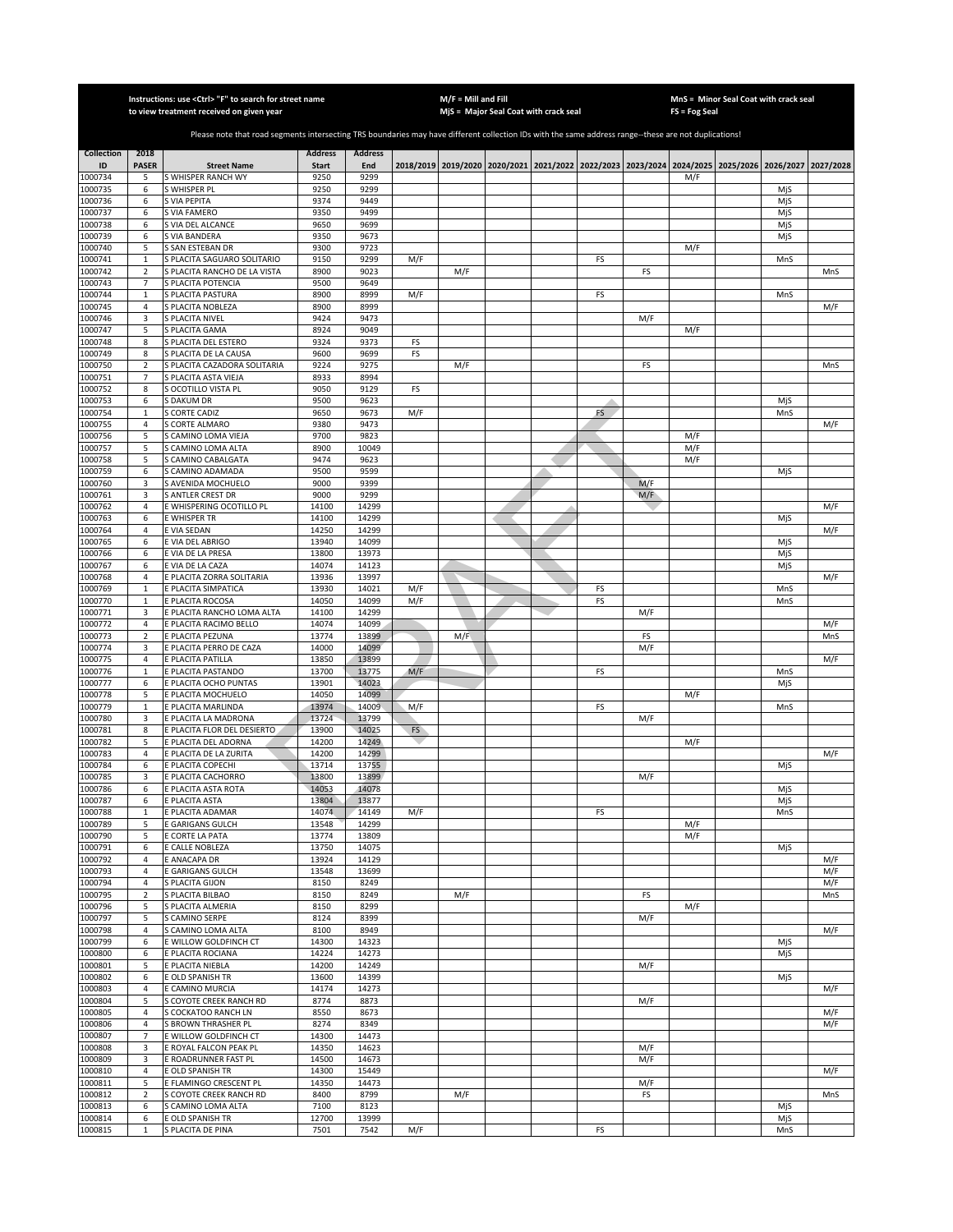|                    |                            | Instructions: use < Ctrl> "F" to search for street name<br>to view treatment received on given year                                                   |                |                |     | $M/F =$ Mill and Fill | MjS = Major Seal Coat with crack seal |           |            | FS = Fog Seal | MnS = Minor Seal Coat with crack seal                                                     |            |            |
|--------------------|----------------------------|-------------------------------------------------------------------------------------------------------------------------------------------------------|----------------|----------------|-----|-----------------------|---------------------------------------|-----------|------------|---------------|-------------------------------------------------------------------------------------------|------------|------------|
|                    |                            |                                                                                                                                                       |                |                |     |                       |                                       |           |            |               |                                                                                           |            |            |
|                    |                            | Please note that road segments intersecting TRS boundaries may have different collection IDs with the same address range--these are not duplications! |                |                |     |                       |                                       |           |            |               |                                                                                           |            |            |
| <b>Collection</b>  | 2018                       |                                                                                                                                                       | <b>Address</b> | <b>Address</b> |     |                       |                                       |           |            |               |                                                                                           |            |            |
| ID                 | <b>PASER</b>               | <b>Street Name</b>                                                                                                                                    | <b>Start</b>   | End            |     |                       |                                       |           |            |               | 2018/2019 2019/2020 2020/2021 2021/2022 2022/2023 2023/2024 2024/2025 2025/2026 2026/2027 |            | 2027/2028  |
| 1000734            | 5                          | S WHISPER RANCH WY                                                                                                                                    | 9250           | 9299           |     |                       |                                       |           |            | M/F           |                                                                                           |            |            |
| 1000735<br>1000736 | 6<br>6                     | S WHISPER PL<br>S VIA PEPITA                                                                                                                          | 9250<br>9374   | 9299<br>9449   |     |                       |                                       |           |            |               |                                                                                           | MjS<br>MjS |            |
| 1000737            | 6                          | S VIA FAMERO                                                                                                                                          | 9350           | 9499           |     |                       |                                       |           |            |               |                                                                                           | MjS        |            |
| 1000738            | 6                          | S VIA DEL ALCANCE                                                                                                                                     | 9650           | 9699           |     |                       |                                       |           |            |               |                                                                                           | MjS        |            |
| 1000739            | 6                          | S VIA BANDERA                                                                                                                                         | 9350           | 9673           |     |                       |                                       |           |            |               |                                                                                           | MjS        |            |
| 1000740            | 5                          | S SAN ESTEBAN DR                                                                                                                                      | 9300           | 9723           |     |                       |                                       |           |            | M/F           |                                                                                           |            |            |
| 1000741<br>1000742 | $\mathbf 1$<br>$\mathbf 2$ | S PLACITA SAGUARO SOLITARIO<br>S PLACITA RANCHO DE LA VISTA                                                                                           | 9150<br>8900   | 9299<br>9023   | M/F | M/F                   |                                       | FS        | FS         |               |                                                                                           | MnS        | MnS        |
| 1000743            | 7                          | S PLACITA POTENCIA                                                                                                                                    | 9500           | 9649           |     |                       |                                       |           |            |               |                                                                                           |            |            |
| 1000744            | $\mathbf 1$                | S PLACITA PASTURA                                                                                                                                     | 8900           | 8999           | M/F |                       |                                       | FS        |            |               |                                                                                           | MnS        |            |
| 1000745            | 4                          | S PLACITA NOBLEZA                                                                                                                                     | 8900           | 8999           |     |                       |                                       |           |            |               |                                                                                           |            | M/F        |
| 1000746            | 3                          | S PLACITA NIVEL                                                                                                                                       | 9424           | 9473           |     |                       |                                       |           | M/F        |               |                                                                                           |            |            |
| 1000747<br>1000748 | 5<br>8                     | S PLACITA GAMA<br>S PLACITA DEL ESTERO                                                                                                                | 8924<br>9324   | 9049<br>9373   | FS  |                       |                                       |           |            | M/F           |                                                                                           |            |            |
| 1000749            | 8                          | S PLACITA DE LA CAUSA                                                                                                                                 | 9600           | 9699           | FS  |                       |                                       |           |            |               |                                                                                           |            |            |
| 1000750            | $\overline{2}$             | S PLACITA CAZADORA SOLITARIA                                                                                                                          | 9224           | 9275           |     | M/F                   |                                       |           | FS         |               |                                                                                           |            | MnS        |
| 1000751            | $\overline{7}$             | S PLACITA ASTA VIEJA                                                                                                                                  | 8933           | 8994           |     |                       |                                       |           |            |               |                                                                                           |            |            |
| 1000752            | 8                          | S OCOTILLO VISTA PL                                                                                                                                   | 9050           | 9129           | FS  |                       |                                       |           |            |               |                                                                                           |            |            |
| 1000753            | 6                          | S DAKUM DR                                                                                                                                            | 9500           | 9623           |     |                       |                                       |           |            |               |                                                                                           | MjS        |            |
| 1000754<br>1000755 | $\mathbf{1}$<br>4          | <b>S CORTE CADIZ</b><br>S CORTE ALMARO                                                                                                                | 9650<br>9380   | 9673<br>9473   | M/F |                       |                                       | <b>FS</b> |            |               |                                                                                           | MnS        | M/F        |
| 1000756            | 5                          | S CAMINO LOMA VIEJA                                                                                                                                   | 9700           | 9823           |     |                       |                                       |           |            | M/F           |                                                                                           |            |            |
| 1000757            | 5                          | S CAMINO LOMA ALTA                                                                                                                                    | 8900           | 10049          |     |                       |                                       |           |            | M/F           |                                                                                           |            |            |
| 1000758            | 5                          | <b>CAMINO CABALGATA</b>                                                                                                                               | 9474           | 9623           |     |                       |                                       |           |            | M/F           |                                                                                           |            |            |
| 1000759            | 6                          | S CAMINO ADAMADA                                                                                                                                      | 9500           | 9599           |     |                       |                                       |           |            |               |                                                                                           | MjS        |            |
| 1000760<br>1000761 | 3<br>3                     | S AVENIDA MOCHUELO<br>S ANTLER CREST DR                                                                                                               | 9000<br>9000   | 9399<br>9299   |     |                       |                                       |           | M/F<br>M/F |               |                                                                                           |            |            |
| 1000762            | 4                          | <b>E WHISPERING OCOTILLO PL</b>                                                                                                                       | 14100          | 14299          |     |                       |                                       |           |            |               |                                                                                           |            | M/F        |
| 1000763            | 6                          | E WHISPER TR                                                                                                                                          | 14100          | 14299          |     |                       |                                       |           |            |               |                                                                                           | MiS        |            |
| 1000764            | $\sqrt{4}$                 | <b>EVIA SEDAN</b>                                                                                                                                     | 14250          | 14299          |     |                       |                                       |           |            |               |                                                                                           |            | M/F        |
| 1000765            | 6                          | E VIA DEL ABRIGO                                                                                                                                      | 13940          | 14099          |     |                       |                                       |           |            |               |                                                                                           | MjS        |            |
| 1000766            | 6                          | <b>EVIA DE LA PRESA</b>                                                                                                                               | 13800          | 13973          |     |                       |                                       |           |            |               |                                                                                           | MjS        |            |
| 1000767<br>1000768 | 6<br>4                     | <b>EVIA DE LA CAZA</b><br>E PLACITA ZORRA SOLITARIA                                                                                                   | 14074<br>13936 | 14123<br>13997 |     |                       |                                       |           |            |               |                                                                                           | MjS        | M/F        |
| 1000769            | $\mathbf 1$                | E PLACITA SIMPATICA                                                                                                                                   | 13930          | 14021          | M/F |                       |                                       | FS        |            |               |                                                                                           | MnS        |            |
| 1000770            | $\mathbf 1$                | E PLACITA ROCOSA                                                                                                                                      | 14050          | 14099          | M/F |                       |                                       | FS        |            |               |                                                                                           | MnS        |            |
| 1000771            | 3                          | E PLACITA RANCHO LOMA ALTA                                                                                                                            | 14100          | 14299          |     |                       |                                       |           | M/F        |               |                                                                                           |            |            |
| 1000772            | 4                          | E PLACITA RACIMO BELLO                                                                                                                                | 14074          | 14099          |     |                       |                                       |           |            |               |                                                                                           |            | M/F        |
| 1000773            | $\overline{2}$             | E PLACITA PEZUNA                                                                                                                                      | 13774          | 13899          |     | M/F                   |                                       |           | FS         |               |                                                                                           |            | MnS        |
| 1000774<br>1000775 | 3<br>4                     | E PLACITA PERRO DE CAZA<br>E PLACITA PATILLA                                                                                                          | 14000<br>13850 | 14099<br>13899 |     |                       |                                       |           | M/F        |               |                                                                                           |            | M/F        |
| 1000776            | $\mathbf 1$                | E PLACITA PASTANDO                                                                                                                                    | 13700          | 13775          | M/F |                       |                                       | FS        |            |               |                                                                                           | MnS        |            |
| 1000777            | 6                          | E PLACITA OCHO PUNTAS                                                                                                                                 | 13901          | 14023          |     |                       |                                       |           |            |               |                                                                                           | MjS        |            |
| 1000778            | 5                          | E PLACITA MOCHUELO                                                                                                                                    | 14050          | 14099          |     |                       |                                       |           |            | M/F           |                                                                                           |            |            |
| 1000779            | $\mathbf 1$                | E PLACITA MARLINDA                                                                                                                                    | 13974          | 14009          | M/F |                       |                                       | FS        |            |               |                                                                                           | MnS        |            |
| 1000780<br>1000781 | 3<br>8                     | E PLACITA LA MADRONA<br>E PLACITA FLOR DEL DESIERTO                                                                                                   | 13724<br>13900 | 13799<br>14025 | FS  |                       |                                       |           | M/F        |               |                                                                                           |            |            |
| 1000782            | 5                          | E PLACITA DEL ADORNA                                                                                                                                  | 14200          | 14249          |     |                       |                                       |           |            | M/F           |                                                                                           |            |            |
| 1000783            | 4                          | E PLACITA DE LA ZURITA                                                                                                                                | 14200          | 14299          |     |                       |                                       |           |            |               |                                                                                           |            | M/F        |
| 1000784            | 6                          | E PLACITA COPECHI                                                                                                                                     | 13714          | 13755          |     |                       |                                       |           |            |               |                                                                                           | MjS        |            |
| 1000785            | 3                          | E PLACITA CACHORRO                                                                                                                                    | 13800          | 13899          |     |                       |                                       |           | M/F        |               |                                                                                           |            |            |
| 1000786            | 6                          | E PLACITA ASTA ROTA                                                                                                                                   | 14053          | 14078          |     |                       |                                       |           |            |               |                                                                                           | MjS        |            |
| 1000787<br>1000788 | 6<br>$\mathbf{1}$          | E PLACITA ASTA<br>E PLACITA ADAMAR                                                                                                                    | 13804<br>14074 | 13877<br>14149 | M/F |                       |                                       | FS        |            |               |                                                                                           | MjS<br>MnS |            |
| 1000789            | 5                          | <b>GARIGANS GULCH</b>                                                                                                                                 | 13548          | 14299          |     |                       |                                       |           |            | M/F           |                                                                                           |            |            |
| 1000790            | 5                          | E CORTE LA PATA                                                                                                                                       | 13774          | 13809          |     |                       |                                       |           |            | M/F           |                                                                                           |            |            |
| 1000791            | 6                          | E CALLE NOBLEZA                                                                                                                                       | 13750          | 14075          |     |                       |                                       |           |            |               |                                                                                           | MjS        |            |
| 1000792<br>1000793 | 4<br>4                     | E ANACAPA DR<br>E GARIGANS GULCH                                                                                                                      | 13924<br>13548 | 14129<br>13699 |     |                       |                                       |           |            |               |                                                                                           |            | M/F<br>M/F |
| 1000794            | 4                          | S PLACITA GIJON                                                                                                                                       | 8150           | 8249           |     |                       |                                       |           |            |               |                                                                                           |            | M/F        |
| 1000795            | $\mathbf 2$                | S PLACITA BILBAO                                                                                                                                      | 8150           | 8249           |     | M/F                   |                                       |           | FS         |               |                                                                                           |            | MnS        |
| 1000796            | 5                          | S PLACITA ALMERIA                                                                                                                                     | 8150           | 8299           |     |                       |                                       |           |            | M/F           |                                                                                           |            |            |
| 1000797            | 5                          | S CAMINO SERPE                                                                                                                                        | 8124           | 8399           |     |                       |                                       |           | M/F        |               |                                                                                           |            |            |
| 1000798            | 4                          | S CAMINO LOMA ALTA                                                                                                                                    | 8100           | 8949           |     |                       |                                       |           |            |               |                                                                                           |            | M/F        |
| 1000799<br>1000800 | 6<br>6                     | E WILLOW GOLDFINCH CT<br>E PLACITA ROCIANA                                                                                                            | 14300<br>14224 | 14323<br>14273 |     |                       |                                       |           |            |               |                                                                                           | MjS<br>MjS |            |
| 1000801            | 5                          | E PLACITA NIEBLA                                                                                                                                      | 14200          | 14249          |     |                       |                                       |           | M/F        |               |                                                                                           |            |            |
| 1000802            | 6                          | E OLD SPANISH TR                                                                                                                                      | 13600          | 14399          |     |                       |                                       |           |            |               |                                                                                           | MjS        |            |
| 1000803            | $\sqrt{4}$                 | E CAMINO MURCIA                                                                                                                                       | 14174          | 14273          |     |                       |                                       |           |            |               |                                                                                           |            | M/F        |
| 1000804            | 5                          | S COYOTE CREEK RANCH RD                                                                                                                               | 8774           | 8873           |     |                       |                                       |           | M/F        |               |                                                                                           |            |            |
| 1000805<br>1000806 | 4<br>4                     | S COCKATOO RANCH LN<br>S BROWN THRASHER PL                                                                                                            | 8550<br>8274   | 8673<br>8349   |     |                       |                                       |           |            |               |                                                                                           |            | M/F<br>M/F |
| 1000807            | 7                          | E WILLOW GOLDFINCH CT                                                                                                                                 | 14300          | 14473          |     |                       |                                       |           |            |               |                                                                                           |            |            |
| 1000808            | 3                          | E ROYAL FALCON PEAK PL                                                                                                                                | 14350          | 14623          |     |                       |                                       |           | M/F        |               |                                                                                           |            |            |
| 1000809            | 3                          | E ROADRUNNER FAST PL                                                                                                                                  | 14500          | 14673          |     |                       |                                       |           | M/F        |               |                                                                                           |            |            |
| 1000810            | $\sqrt{4}$                 | E OLD SPANISH TR                                                                                                                                      | 14300          | 15449          |     |                       |                                       |           |            |               |                                                                                           |            | M/F        |
| 1000811<br>1000812 | 5                          | E FLAMINGO CRESCENT PL<br>S COYOTE CREEK RANCH RD                                                                                                     | 14350<br>8400  | 14473<br>8799  |     |                       |                                       |           | M/F        |               |                                                                                           |            | MnS        |
| 1000813            | $\overline{2}$<br>6        | S CAMINO LOMA ALTA                                                                                                                                    | 7100           | 8123           |     | M/F                   |                                       |           | FS         |               |                                                                                           | MiS        |            |
| 1000814            | 6                          | E OLD SPANISH TR                                                                                                                                      | 12700          | 13999          |     |                       |                                       |           |            |               |                                                                                           | MjS        |            |
| 1000815            | $\mathbf 1$                | S PLACITA DE PINA                                                                                                                                     | 7501           | 7542           | M/F |                       |                                       | FS        |            |               |                                                                                           | MnS        |            |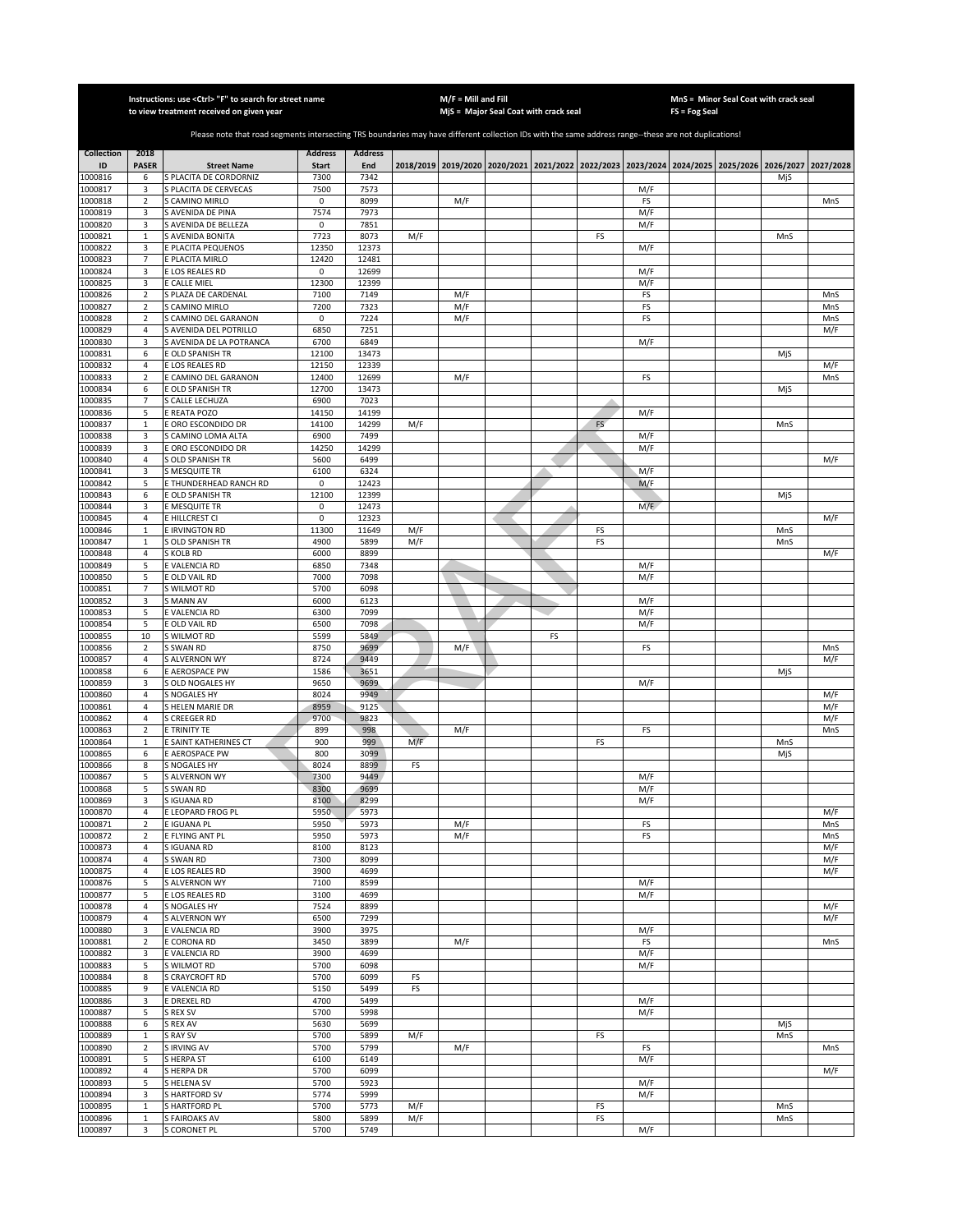|                    |                              | Instructions: use <ctrl> "F" to search for street name<br/>to view treatment received on given year</ctrl>                                            |                      |                |     | $M/F =$ Mill and Fill | MjS = Major Seal Coat with crack seal                                                     |    |    |            | FS = Fog Seal | MnS = Minor Seal Coat with crack seal |     |            |
|--------------------|------------------------------|-------------------------------------------------------------------------------------------------------------------------------------------------------|----------------------|----------------|-----|-----------------------|-------------------------------------------------------------------------------------------|----|----|------------|---------------|---------------------------------------|-----|------------|
|                    |                              |                                                                                                                                                       |                      |                |     |                       |                                                                                           |    |    |            |               |                                       |     |            |
|                    |                              | Please note that road segments intersecting TRS boundaries may have different collection IDs with the same address range--these are not duplications! |                      |                |     |                       |                                                                                           |    |    |            |               |                                       |     |            |
| <b>Collection</b>  | 2018                         |                                                                                                                                                       | <b>Address</b>       | <b>Address</b> |     |                       |                                                                                           |    |    |            |               |                                       |     |            |
| ID<br>1000816      | <b>PASER</b><br>6            | <b>Street Name</b><br>S PLACITA DE CORDORNIZ                                                                                                          | <b>Start</b><br>7300 | End<br>7342    |     |                       | 2018/2019 2019/2020 2020/2021 2021/2022 2022/2023 2023/2024 2024/2025 2025/2026 2026/2027 |    |    |            |               |                                       | MjS | 2027/2028  |
| 1000817            | 3                            | S PLACITA DE CERVECAS                                                                                                                                 | 7500                 | 7573           |     |                       |                                                                                           |    |    | M/F        |               |                                       |     |            |
| 1000818            | $\sqrt{2}$                   | <b>CAMINO MIRLO</b>                                                                                                                                   | 0                    | 8099           |     | M/F                   |                                                                                           |    |    | FS         |               |                                       |     | MnS        |
| 1000819<br>1000820 | 3                            | S AVENIDA DE PINA<br>S AVENIDA DE BELLEZA                                                                                                             | 7574<br>$\mathsf 0$  | 7973<br>7851   |     |                       |                                                                                           |    |    | M/F        |               |                                       |     |            |
| 1000821            | 3<br>$\mathbf{1}$            | <b>S AVENIDA BONITA</b>                                                                                                                               | 7723                 | 8073           | M/F |                       |                                                                                           |    | FS | M/F        |               |                                       | MnS |            |
| 1000822            | 3                            | E PLACITA PEQUENOS                                                                                                                                    | 12350                | 12373          |     |                       |                                                                                           |    |    | M/F        |               |                                       |     |            |
| 1000823            | $\overline{7}$               | E PLACITA MIRLO                                                                                                                                       | 12420                | 12481          |     |                       |                                                                                           |    |    |            |               |                                       |     |            |
| 1000824<br>1000825 | 3<br>3                       | E LOS REALES RD<br>E CALLE MIEL                                                                                                                       | 0<br>12300           | 12699<br>12399 |     |                       |                                                                                           |    |    | M/F<br>M/F |               |                                       |     |            |
| 1000826            | $\mathbf 2$                  | S PLAZA DE CARDENAL                                                                                                                                   | 7100                 | 7149           |     | M/F                   |                                                                                           |    |    | FS         |               |                                       |     | MnS        |
| 1000827            | $\overline{2}$               | S CAMINO MIRLO                                                                                                                                        | 7200                 | 7323           |     | M/F                   |                                                                                           |    |    | FS         |               |                                       |     | MnS        |
| 1000828            | $\mathbf 2$                  | <b>CAMINO DEL GARANON</b>                                                                                                                             | 0                    | 7224           |     | M/F                   |                                                                                           |    |    | FS         |               |                                       |     | MnS        |
| 1000829<br>1000830 | $\sqrt{4}$<br>3              | S AVENIDA DEL POTRILLO<br>S AVENIDA DE LA POTRANCA                                                                                                    | 6850<br>6700         | 7251<br>6849   |     |                       |                                                                                           |    |    | M/F        |               |                                       |     | M/F        |
| 1000831            | 6                            | E OLD SPANISH TR                                                                                                                                      | 12100                | 13473          |     |                       |                                                                                           |    |    |            |               |                                       | MjS |            |
| 1000832            | $\sqrt{4}$                   | <b>E LOS REALES RD</b>                                                                                                                                | 12150                | 12339          |     |                       |                                                                                           |    |    |            |               |                                       |     | M/F        |
| 1000833            | $\overline{2}$<br>6          | E CAMINO DEL GARANON                                                                                                                                  | 12400<br>12700       | 12699<br>13473 |     | M/F                   |                                                                                           |    |    | FS         |               |                                       |     | MnS        |
| 1000834<br>1000835 | $\overline{7}$               | E OLD SPANISH TR<br><b>CALLE LECHUZA</b>                                                                                                              | 6900                 | 7023           |     |                       |                                                                                           |    |    |            |               |                                       | MjS |            |
| 1000836            | 5                            | E REATA POZO                                                                                                                                          | 14150                | 14199          |     |                       |                                                                                           |    |    | M/F        |               |                                       |     |            |
| 1000837            | $\mathbf 1$                  | <b>E ORO ESCONDIDO DR</b>                                                                                                                             | 14100                | 14299          | M/F |                       |                                                                                           |    | FS |            |               |                                       | MnS |            |
| 1000838            | 3<br>3                       | S CAMINO LOMA ALTA<br><b>CORO ESCONDIDO DR</b>                                                                                                        | 6900<br>14250        | 7499<br>14299  |     |                       |                                                                                           |    |    | M/F        |               |                                       |     |            |
| 1000839<br>1000840 | $\overline{4}$               | S OLD SPANISH TR                                                                                                                                      | 5600                 | 6499           |     |                       |                                                                                           |    |    | M/F        |               |                                       |     | M/F        |
| 1000841            | 3                            | S MESQUITE TR                                                                                                                                         | 6100                 | 6324           |     |                       |                                                                                           |    |    | M/F        |               |                                       |     |            |
| 1000842            | 5                            | E THUNDERHEAD RANCH RD                                                                                                                                | $\mathsf 0$          | 12423          |     |                       |                                                                                           |    |    | M/F        |               |                                       |     |            |
| 1000843<br>1000844 | 6<br>3                       | E OLD SPANISH TR<br>E MESQUITE TR                                                                                                                     | 12100<br>$\mathsf 0$ | 12399<br>12473 |     |                       |                                                                                           |    |    | M/F        |               |                                       | MjS |            |
| 1000845            | $\overline{4}$               | E HILLCREST CI                                                                                                                                        | 0                    | 12323          |     |                       |                                                                                           |    |    |            |               |                                       |     | M/F        |
| 1000846            | $\mathbf 1$                  | <b>E IRVINGTON RD</b>                                                                                                                                 | 11300                | 11649          | M/F |                       |                                                                                           |    | FS |            |               |                                       | MnS |            |
| 1000847            | $\mathbf 1$                  | <b>GLD SPANISH TR</b>                                                                                                                                 | 4900                 | 5899           | M/F |                       |                                                                                           |    | FS |            |               |                                       | MnS |            |
| 1000848<br>1000849 | $\overline{4}$<br>5          | S KOLB RD<br><b>EVALENCIA RD</b>                                                                                                                      | 6000<br>6850         | 8899<br>7348   |     |                       |                                                                                           |    |    | M/F        |               |                                       |     | M/F        |
| 1000850            | 5                            | E OLD VAIL RD                                                                                                                                         | 7000                 | 7098           |     |                       |                                                                                           |    |    | M/F        |               |                                       |     |            |
| 1000851            | 7                            | S WILMOT RD                                                                                                                                           | 5700                 | 6098           |     |                       |                                                                                           |    |    |            |               |                                       |     |            |
| 1000852            | 3                            | S MANN AV                                                                                                                                             | 6000                 | 6123           |     |                       |                                                                                           |    |    | M/F        |               |                                       |     |            |
| 1000853<br>1000854 | 5<br>5                       | E VALENCIA RD<br>E OLD VAIL RD                                                                                                                        | 6300<br>6500         | 7099<br>7098   |     |                       |                                                                                           |    |    | M/F<br>M/F |               |                                       |     |            |
| 1000855            | 10                           | S WILMOT RD                                                                                                                                           | 5599                 | 5849           |     |                       |                                                                                           | FS |    |            |               |                                       |     |            |
| 1000856            | $\overline{2}$               | <b>S SWAN RD</b>                                                                                                                                      | 8750                 | 9699           |     | M/F                   |                                                                                           |    |    | FS         |               |                                       |     | MnS        |
| 1000857            | $\overline{4}$               | S ALVERNON WY                                                                                                                                         | 8724                 | 9449           |     |                       |                                                                                           |    |    |            |               |                                       |     | M/F        |
| 1000858<br>1000859 | 6<br>3                       | E AEROSPACE PW<br>S OLD NOGALES HY                                                                                                                    | 1586<br>9650         | 3651<br>9699   |     |                       |                                                                                           |    |    | M/F        |               |                                       | MjS |            |
| 1000860            | $\overline{4}$               | S NOGALES HY                                                                                                                                          | 8024                 | 9949           |     |                       |                                                                                           |    |    |            |               |                                       |     | M/F        |
| 1000861            | $\overline{4}$               | S HELEN MARIE DR                                                                                                                                      | 8959                 | 9125           |     |                       |                                                                                           |    |    |            |               |                                       |     | M/F        |
| 1000862            | 4<br>$\overline{2}$          | S CREEGER RD                                                                                                                                          | 9700<br>899          | 9823<br>998    |     |                       |                                                                                           |    |    | FS         |               |                                       |     | M/F<br>MnS |
| 1000863<br>1000864 | $\mathbf 1$                  | E TRINITY TE<br>E SAINT KATHERINES CT                                                                                                                 | 900                  | 999            | M/F | M/F                   |                                                                                           |    | FS |            |               |                                       | MnS |            |
| 1000865            | 6                            | E AEROSPACE PW                                                                                                                                        | 800                  | 3099           |     |                       |                                                                                           |    |    |            |               |                                       | MjS |            |
| 1000866            | 8                            | S NOGALES HY                                                                                                                                          | 8024                 | 8899           | FS  |                       |                                                                                           |    |    |            |               |                                       |     |            |
| 1000867<br>1000868 | 5<br>5                       | <b>S ALVERNON WY</b><br>S SWAN RD                                                                                                                     | 7300<br>8300         | 9449<br>9699   |     |                       |                                                                                           |    |    | M/F<br>M/F |               |                                       |     |            |
| 1000869            | 3                            | S IGUANA RD                                                                                                                                           | 8100                 | 8299           |     |                       |                                                                                           |    |    | M/F        |               |                                       |     |            |
| 1000870            | 4                            | E LEOPARD FROG PL                                                                                                                                     | 5950                 | 5973           |     |                       |                                                                                           |    |    |            |               |                                       |     | M/F        |
| 1000871<br>1000872 | $\overline{2}$<br>$\sqrt{2}$ | E IGUANA PL<br>E FLYING ANT PL                                                                                                                        | 5950<br>5950         | 5973<br>5973   |     | M/F<br>M/F            |                                                                                           |    |    | FS<br>FS   |               |                                       |     | MnS<br>MnS |
| 1000873            | $\overline{4}$               | S IGUANA RD                                                                                                                                           | 8100                 | 8123           |     |                       |                                                                                           |    |    |            |               |                                       |     | M/F        |
| 1000874            | 4                            | S SWAN RD                                                                                                                                             | 7300                 | 8099           |     |                       |                                                                                           |    |    |            |               |                                       |     | M/F        |
| 1000875            | $\overline{4}$               | E LOS REALES RD                                                                                                                                       | 3900                 | 4699           |     |                       |                                                                                           |    |    |            |               |                                       |     | M/F        |
| 1000876<br>1000877 | 5<br>5                       | S ALVERNON WY<br>E LOS REALES RD                                                                                                                      | 7100<br>3100         | 8599<br>4699   |     |                       |                                                                                           |    |    | M/F<br>M/F |               |                                       |     |            |
| 1000878            | 4                            | S NOGALES HY                                                                                                                                          | 7524                 | 8899           |     |                       |                                                                                           |    |    |            |               |                                       |     | M/F        |
| 1000879            | $\sqrt{4}$                   | S ALVERNON WY                                                                                                                                         | 6500                 | 7299           |     |                       |                                                                                           |    |    |            |               |                                       |     | M/F        |
| 1000880            | 3                            | E VALENCIA RD                                                                                                                                         | 3900                 | 3975           |     |                       |                                                                                           |    |    | M/F        |               |                                       |     |            |
| 1000881<br>1000882 | $\mathbf 2$<br>3             | E CORONA RD                                                                                                                                           | 3450<br>3900         | 3899<br>4699   |     | M/F                   |                                                                                           |    |    | FS<br>M/F  |               |                                       |     | MnS        |
| 1000883            | 5                            | E VALENCIA RD<br>S WILMOT RD                                                                                                                          | 5700                 | 6098           |     |                       |                                                                                           |    |    | M/F        |               |                                       |     |            |
| 1000884            | 8                            | S CRAYCROFT RD                                                                                                                                        | 5700                 | 6099           | FS  |                       |                                                                                           |    |    |            |               |                                       |     |            |
| 1000885            | 9                            | E VALENCIA RD                                                                                                                                         | 5150                 | 5499           | FS  |                       |                                                                                           |    |    |            |               |                                       |     |            |
| 1000886<br>1000887 | 3<br>5                       | E DREXEL RD<br>S REX SV                                                                                                                               | 4700<br>5700         | 5499<br>5998   |     |                       |                                                                                           |    |    | M/F<br>M/F |               |                                       |     |            |
| 1000888            | 6                            | S REX AV                                                                                                                                              | 5630                 | 5699           |     |                       |                                                                                           |    |    |            |               |                                       | MjS |            |
| 1000889            | $\mathbf{1}$                 | <b>SRAYSV</b>                                                                                                                                         | 5700                 | 5899           | M/F |                       |                                                                                           |    | FS |            |               |                                       | MnS |            |
| 1000890            | $\overline{2}$               | S IRVING AV                                                                                                                                           | 5700                 | 5799           |     | M/F                   |                                                                                           |    |    | FS         |               |                                       |     | MnS        |
| 1000891<br>1000892 | 5<br>$\overline{4}$          | S HERPA ST<br><b>SHERPADR</b>                                                                                                                         | 6100<br>5700         | 6149<br>6099   |     |                       |                                                                                           |    |    | M/F        |               |                                       |     | M/F        |
| 1000893            | 5                            | S HELENA SV                                                                                                                                           | 5700                 | 5923           |     |                       |                                                                                           |    |    | M/F        |               |                                       |     |            |
| 1000894            | 3                            | <b>S HARTFORD SV</b>                                                                                                                                  | 5774                 | 5999           |     |                       |                                                                                           |    |    | M/F        |               |                                       |     |            |
| 1000895            | $\mathbf 1$                  | S HARTFORD PL                                                                                                                                         | 5700                 | 5773           | M/F |                       |                                                                                           |    | FS |            |               |                                       | MnS |            |
| 1000896<br>1000897 | $\mathbf{1}$<br>3            | S FAIROAKS AV<br><b>S CORONET PL</b>                                                                                                                  | 5800<br>5700         | 5899<br>5749   | M/F |                       |                                                                                           |    | FS | M/F        |               |                                       | MnS |            |
|                    |                              |                                                                                                                                                       |                      |                |     |                       |                                                                                           |    |    |            |               |                                       |     |            |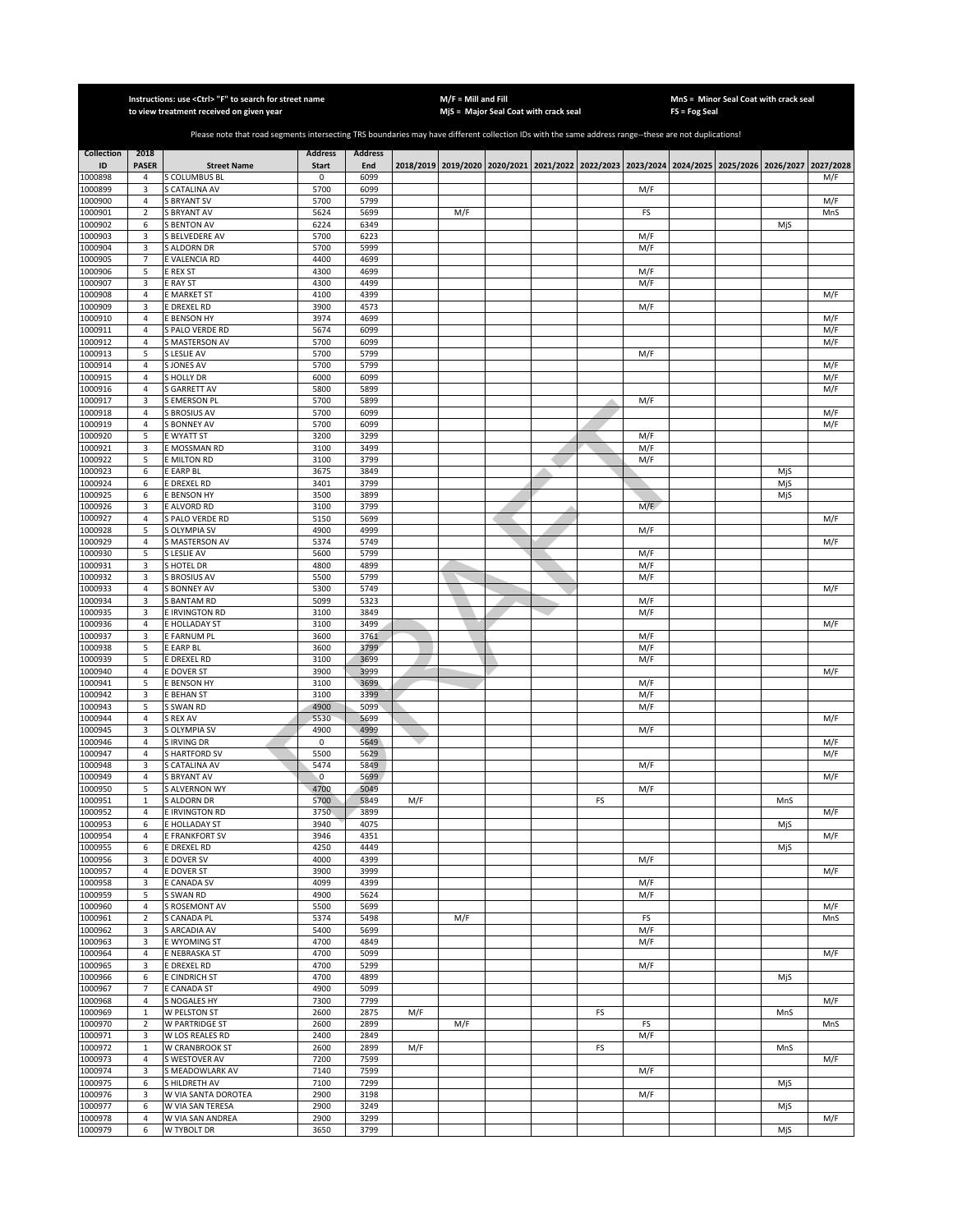|                    |                                | Instructions: use <ctrl> "F" to search for street name<br/>to view treatment received on given year</ctrl>                                            |                     |                |     | $M/F =$ Mill and Fill | MjS = Major Seal Coat with crack seal                                                     |    |            | FS = Fog Seal | MnS = Minor Seal Coat with crack seal |           |
|--------------------|--------------------------------|-------------------------------------------------------------------------------------------------------------------------------------------------------|---------------------|----------------|-----|-----------------------|-------------------------------------------------------------------------------------------|----|------------|---------------|---------------------------------------|-----------|
|                    |                                |                                                                                                                                                       |                     |                |     |                       |                                                                                           |    |            |               |                                       |           |
|                    |                                | Please note that road segments intersecting TRS boundaries may have different collection IDs with the same address range--these are not duplications! |                     |                |     |                       |                                                                                           |    |            |               |                                       |           |
| <b>Collection</b>  | 2018                           |                                                                                                                                                       | <b>Address</b>      | <b>Address</b> |     |                       |                                                                                           |    |            |               |                                       |           |
| ID                 | <b>PASER</b>                   | <b>Street Name</b>                                                                                                                                    | <b>Start</b>        | End            |     |                       | 2018/2019 2019/2020 2020/2021 2021/2022 2022/2023 2023/2024 2024/2025 2025/2026 2026/2027 |    |            |               |                                       | 2027/2028 |
| 1000898<br>1000899 | 4<br>3                         | <b>COLUMBUS BL</b><br>CATALINA AV                                                                                                                     | 0<br>5700           | 6099<br>6099   |     |                       |                                                                                           |    | M/F        |               |                                       | M/F       |
| 1000900            | $\sqrt{4}$                     | <b>BRYANT SV</b>                                                                                                                                      | 5700                | 5799           |     |                       |                                                                                           |    |            |               |                                       | M/F       |
| 1000901            | $\overline{2}$                 | <b>BRYANT AV</b>                                                                                                                                      | 5624                | 5699           |     | M/F                   |                                                                                           |    | FS         |               |                                       | MnS       |
| 1000902            | 6                              | <b>BENTON AV</b>                                                                                                                                      | 6224                | 6349           |     |                       |                                                                                           |    |            |               | MjS                                   |           |
| 1000903            | 3                              | S BELVEDERE AV                                                                                                                                        | 5700                | 6223           |     |                       |                                                                                           |    | M/F        |               |                                       |           |
| 1000904            | 3<br>$\overline{7}$            | S ALDORN DR                                                                                                                                           | 5700<br>4400        | 5999<br>4699   |     |                       |                                                                                           |    | M/F        |               |                                       |           |
| 1000905<br>1000906 | 5                              | E VALENCIA RD<br>E REX ST                                                                                                                             | 4300                | 4699           |     |                       |                                                                                           |    | M/F        |               |                                       |           |
| 1000907            | 3                              | E RAY ST                                                                                                                                              | 4300                | 4499           |     |                       |                                                                                           |    | M/F        |               |                                       |           |
| 1000908            | $\overline{4}$                 | E MARKET ST                                                                                                                                           | 4100                | 4399           |     |                       |                                                                                           |    |            |               |                                       | M/F       |
| 1000909            | 3                              | <b>EDREXEL RD</b>                                                                                                                                     | 3900                | 4573           |     |                       |                                                                                           |    | M/F        |               |                                       |           |
| 1000910            | $\overline{4}$                 | E BENSON HY                                                                                                                                           | 3974                | 4699           |     |                       |                                                                                           |    |            |               |                                       | M/F       |
| 1000911            | $\overline{4}$                 | <b>SPALO VERDE RD</b>                                                                                                                                 | 5674                | 6099           |     |                       |                                                                                           |    |            |               |                                       | M/F       |
| 1000912<br>1000913 | $\overline{4}$<br>5            | S MASTERSON AV<br>S LESLIE AV                                                                                                                         | 5700<br>5700        | 6099<br>5799   |     |                       |                                                                                           |    | M/F        |               |                                       | M/F       |
| 1000914            | $\overline{4}$                 | S JONES AV                                                                                                                                            | 5700                | 5799           |     |                       |                                                                                           |    |            |               |                                       | M/F       |
| 1000915            | 4                              | <b>SHOLLY DR</b>                                                                                                                                      | 6000                | 6099           |     |                       |                                                                                           |    |            |               |                                       | M/F       |
| 1000916            | 4                              | <b>GARRETT AV</b>                                                                                                                                     | 5800                | 5899           |     |                       |                                                                                           |    |            |               |                                       | M/F       |
| 1000917            | 3                              | <b>SEMERSON PL</b>                                                                                                                                    | 5700                | 5899           |     |                       |                                                                                           |    | M/F        |               |                                       |           |
| 1000918            | $\overline{4}$                 | S BROSIUS AV                                                                                                                                          | 5700                | 6099           |     |                       |                                                                                           |    |            |               |                                       | M/F       |
| 1000919            | $\overline{4}$                 | <b>BONNEY AV</b><br>E WYATT ST                                                                                                                        | 5700                | 6099           |     |                       |                                                                                           |    |            |               |                                       | M/F       |
| 1000920<br>1000921 | 5<br>3                         | E MOSSMAN RD                                                                                                                                          | 3200<br>3100        | 3299<br>3499   |     |                       |                                                                                           |    | M/F<br>M/F |               |                                       |           |
| 1000922            | 5                              | <b>E MILTON RD</b>                                                                                                                                    | 3100                | 3799           |     |                       |                                                                                           |    | M/F        |               |                                       |           |
| 1000923            | 6                              | E EARP BL                                                                                                                                             | 3675                | 3849           |     |                       |                                                                                           |    |            |               | MjS                                   |           |
| 1000924            | 6                              | E DREXEL RD                                                                                                                                           | 3401                | 3799           |     |                       |                                                                                           |    |            |               | MjS                                   |           |
| 1000925            | 6                              | <b>E BENSON HY</b>                                                                                                                                    | 3500                | 3899           |     |                       |                                                                                           |    |            |               | MjS                                   |           |
| 1000926            | 3                              | E ALVORD RD                                                                                                                                           | 3100                | 3799           |     |                       |                                                                                           |    | M/F        |               |                                       |           |
| 1000927<br>1000928 | 4<br>5                         | S PALO VERDE RD<br>S OLYMPIA SV                                                                                                                       | 5150<br>4900        | 5699<br>4999   |     |                       |                                                                                           |    | M/F        |               |                                       | M/F       |
| 1000929            | 4                              | S MASTERSON AV                                                                                                                                        | 5374                | 5749           |     |                       |                                                                                           |    |            |               |                                       | M/F       |
| 1000930            | 5                              | S LESLIE AV                                                                                                                                           | 5600                | 5799           |     |                       |                                                                                           |    | M/F        |               |                                       |           |
| 1000931            | 3                              | <b>S HOTEL DR</b>                                                                                                                                     | 4800                | 4899           |     |                       |                                                                                           |    | M/F        |               |                                       |           |
| 1000932            | 3                              | S BROSIUS AV                                                                                                                                          | 5500                | 5799           |     |                       |                                                                                           |    | M/F        |               |                                       |           |
| 1000933            | $\sqrt{4}$                     | S BONNEY AV                                                                                                                                           | 5300                | 5749           |     |                       |                                                                                           |    |            |               |                                       | M/F       |
| 1000934            | 3                              | <b>S BANTAM RD</b>                                                                                                                                    | 5099                | 5323           |     |                       |                                                                                           |    | M/F        |               |                                       |           |
| 1000935<br>1000936 | 3<br>$\overline{4}$            | E IRVINGTON RD<br>E HOLLADAY ST                                                                                                                       | 3100<br>3100        | 3849<br>3499   |     |                       |                                                                                           |    | M/F        |               |                                       | M/F       |
| 1000937            | 3                              | E FARNUM PL                                                                                                                                           | 3600                | 3761           |     |                       |                                                                                           |    | M/F        |               |                                       |           |
| 1000938            | 5                              | E EARP BL                                                                                                                                             | 3600                | 3799           |     |                       |                                                                                           |    | M/F        |               |                                       |           |
| 1000939            | 5                              | E DREXEL RD                                                                                                                                           | 3100                | 3699           |     |                       |                                                                                           |    | M/F        |               |                                       |           |
| 1000940            | 4                              | E DOVER ST                                                                                                                                            | 3900                | 3999           |     |                       |                                                                                           |    |            |               |                                       | M/F       |
| 1000941            | 5                              | E BENSON HY                                                                                                                                           | 3100                | 3699           |     |                       |                                                                                           |    | M/F        |               |                                       |           |
| 1000942<br>1000943 | 3<br>5                         | <b>E BEHAN ST</b><br>S SWAN RD                                                                                                                        | 3100<br>4900        | 3399<br>5099   |     |                       |                                                                                           |    | M/F<br>M/F |               |                                       |           |
| 1000944            | $\overline{4}$                 | S REX AV                                                                                                                                              | 5530                | 5699           |     |                       |                                                                                           |    |            |               |                                       | M/F       |
| 1000945            | 3                              | S OLYMPIA SV                                                                                                                                          | 4900                | 4999           |     |                       |                                                                                           |    | M/F        |               |                                       |           |
| 1000946            | $\overline{4}$                 | <b>IRVING DR</b>                                                                                                                                      | $\mathsf 0$         | 5649           |     |                       |                                                                                           |    |            |               |                                       | M/F       |
| 1000947            | $\overline{4}$                 | <b>S HARTFORD SV</b>                                                                                                                                  | 5500                | 5629           |     |                       |                                                                                           |    |            |               |                                       | M/F       |
| 1000948            | 3                              | <b>CATALINA AV</b>                                                                                                                                    | 5474                | 5849           |     |                       |                                                                                           |    | M/F        |               |                                       |           |
| 1000949<br>1000950 | $\sqrt{4}$<br>5                | <b>BRYANT AV</b><br><b>S ALVERNON WY</b>                                                                                                              | $\mathbf 0$<br>4700 | 5699<br>5049   |     |                       |                                                                                           |    | M/F        |               |                                       | M/F       |
| 1000951            | 1                              | <b>S ALDORN DR</b>                                                                                                                                    | 5700                | 5849           | M/F |                       |                                                                                           | FS |            |               | MnS                                   |           |
| 1000952            | 4                              | E IRVINGTON RD                                                                                                                                        | 3750                | 3899           |     |                       |                                                                                           |    |            |               |                                       | M/F       |
| 1000953            | 6                              | E HOLLADAY ST                                                                                                                                         | 3940                | 4075           |     |                       |                                                                                           |    |            |               | MjS                                   |           |
| 1000954            | 4                              | E FRANKFORT SV                                                                                                                                        | 3946                | 4351           |     |                       |                                                                                           |    |            |               |                                       | M/F       |
| 1000955            | 6                              | <b>E DREXEL RD</b>                                                                                                                                    | 4250                | 4449           |     |                       |                                                                                           |    |            |               | MjS                                   |           |
| 1000956<br>1000957 | 3<br>$\overline{4}$            | E DOVER SV<br>E DOVER ST                                                                                                                              | 4000<br>3900        | 4399<br>3999   |     |                       |                                                                                           |    | M/F        |               |                                       | M/F       |
| 1000958            | 3                              | E CANADA SV                                                                                                                                           | 4099                | 4399           |     |                       |                                                                                           |    | M/F        |               |                                       |           |
| 1000959            | 5                              | S SWAN RD                                                                                                                                             | 4900                | 5624           |     |                       |                                                                                           |    | M/F        |               |                                       |           |
| 1000960            | $\sqrt{4}$                     | S ROSEMONT AV                                                                                                                                         | 5500                | 5699           |     |                       |                                                                                           |    |            |               |                                       | M/F       |
| 1000961            | $\overline{2}$                 | S CANADA PL                                                                                                                                           | 5374                | 5498           |     | M/F                   |                                                                                           |    | FS         |               |                                       | MnS       |
| 1000962            | 3                              | S ARCADIA AV                                                                                                                                          | 5400                | 5699           |     |                       |                                                                                           |    | M/F        |               |                                       |           |
| 1000963            | 3                              | E WYOMING ST                                                                                                                                          | 4700                | 4849           |     |                       |                                                                                           |    | M/F        |               |                                       |           |
| 1000964<br>1000965 | $\overline{4}$<br>3            | E NEBRASKA ST<br>E DREXEL RD                                                                                                                          | 4700<br>4700        | 5099<br>5299   |     |                       |                                                                                           |    | M/F        |               |                                       | M/F       |
| 1000966            | 6                              | E CINDRICH ST                                                                                                                                         | 4700                | 4899           |     |                       |                                                                                           |    |            |               | MjS                                   |           |
| 1000967            | 7                              | E CANADA ST                                                                                                                                           | 4900                | 5099           |     |                       |                                                                                           |    |            |               |                                       |           |
| 1000968            | $\overline{4}$                 | S NOGALES HY                                                                                                                                          | 7300                | 7799           |     |                       |                                                                                           |    |            |               |                                       | M/F       |
| 1000969            | $\mathbf 1$                    | W PELSTON ST                                                                                                                                          | 2600                | 2875           | M/F |                       |                                                                                           | FS |            |               | MnS                                   |           |
| 1000970            | $\overline{2}$                 | W PARTRIDGE ST                                                                                                                                        | 2600                | 2899           |     | M/F                   |                                                                                           |    | FS         |               |                                       | MnS       |
| 1000971            | 3                              | W LOS REALES RD<br><b>W CRANBROOK ST</b>                                                                                                              | 2400                | 2849           |     |                       |                                                                                           |    | M/F        |               |                                       |           |
| 1000972<br>1000973 | $\mathbf{1}$<br>$\overline{4}$ | S WESTOVER AV                                                                                                                                         | 2600<br>7200        | 2899<br>7599   | M/F |                       |                                                                                           | FS |            |               | MnS                                   | M/F       |
| 1000974            | 3                              | S MEADOWLARK AV                                                                                                                                       | 7140                | 7599           |     |                       |                                                                                           |    | M/F        |               |                                       |           |
| 1000975            | 6                              | S HILDRETH AV                                                                                                                                         | 7100                | 7299           |     |                       |                                                                                           |    |            |               | MjS                                   |           |
| 1000976            | 3                              | W VIA SANTA DOROTEA                                                                                                                                   | 2900                | 3198           |     |                       |                                                                                           |    | M/F        |               |                                       |           |
| 1000977            | 6                              | W VIA SAN TERESA                                                                                                                                      | 2900                | 3249           |     |                       |                                                                                           |    |            |               | MjS                                   |           |
| 1000978            | $\sqrt{4}$                     | W VIA SAN ANDREA                                                                                                                                      | 2900                | 3299           |     |                       |                                                                                           |    |            |               |                                       | M/F       |
| 1000979            | 6                              | W TYBOLT DR                                                                                                                                           | 3650                | 3799           |     |                       |                                                                                           |    |            |               | MjS                                   |           |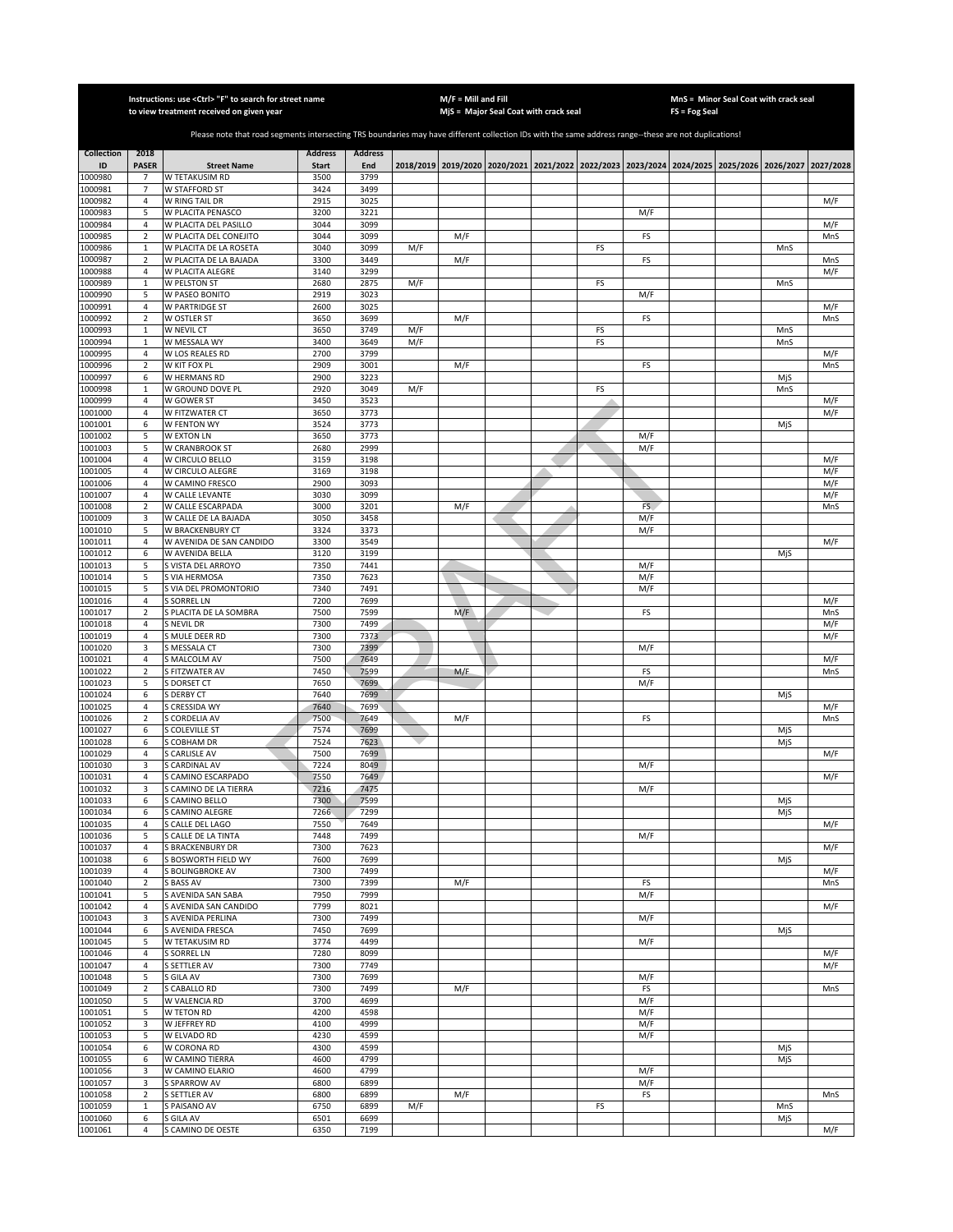|                    |                                | Instructions: use <ctrl> "F" to search for street name<br/>to view treatment received on given year</ctrl>                                            |                |                |     | $M/F =$ Mill and Fill | MjS = Major Seal Coat with crack seal                                                               |    |            | FS = Fog Seal | MnS = Minor Seal Coat with crack seal |            |
|--------------------|--------------------------------|-------------------------------------------------------------------------------------------------------------------------------------------------------|----------------|----------------|-----|-----------------------|-----------------------------------------------------------------------------------------------------|----|------------|---------------|---------------------------------------|------------|
|                    |                                |                                                                                                                                                       |                |                |     |                       |                                                                                                     |    |            |               |                                       |            |
|                    |                                | Please note that road segments intersecting TRS boundaries may have different collection IDs with the same address range--these are not duplications! |                |                |     |                       |                                                                                                     |    |            |               |                                       |            |
| <b>Collection</b>  | 2018                           |                                                                                                                                                       | <b>Address</b> | <b>Address</b> |     |                       |                                                                                                     |    |            |               |                                       |            |
| ID<br>1000980      | <b>PASER</b><br>$\overline{7}$ | <b>Street Name</b><br>W TETAKUSIM RD                                                                                                                  | Start<br>3500  | End<br>3799    |     |                       | 2018/2019 2019/2020 2020/2021 2021/2022 2022/2023 2023/2024 2024/2025 2025/2026 2026/2027 2027/2028 |    |            |               |                                       |            |
| 1000981            | 7                              | W STAFFORD ST                                                                                                                                         | 3424           | 3499           |     |                       |                                                                                                     |    |            |               |                                       |            |
| 1000982            | $\overline{4}$                 | W RING TAIL DR                                                                                                                                        | 2915           | 3025           |     |                       |                                                                                                     |    |            |               |                                       | M/F        |
| 1000983<br>1000984 | 5<br>$\sqrt{4}$                | W PLACITA PENASCO<br>W PLACITA DEL PASILLO                                                                                                            | 3200<br>3044   | 3221<br>3099   |     |                       |                                                                                                     |    | M/F        |               |                                       | M/F        |
| 1000985            | $\sqrt{2}$                     | W PLACITA DEL CONEJITO                                                                                                                                | 3044           | 3099           |     | M/F                   |                                                                                                     |    | FS         |               |                                       | MnS        |
| 1000986            | $\mathbf 1$                    | W PLACITA DE LA ROSETA                                                                                                                                | 3040           | 3099           | M/F |                       |                                                                                                     | FS |            |               | MnS                                   |            |
| 1000987            | $\overline{2}$                 | W PLACITA DE LA BAJADA                                                                                                                                | 3300           | 3449           |     | M/F                   |                                                                                                     |    | FS         |               |                                       | MnS        |
| 1000988<br>1000989 | 4<br>$\mathbf{1}$              | W PLACITA ALEGRE<br><b>W PELSTON ST</b>                                                                                                               | 3140<br>2680   | 3299<br>2875   | M/F |                       |                                                                                                     | FS |            |               | MnS                                   | M/F        |
| 1000990            | 5                              | W PASEO BONITO                                                                                                                                        | 2919           | 3023           |     |                       |                                                                                                     |    | M/F        |               |                                       |            |
| 1000991            | 4                              | W PARTRIDGE ST                                                                                                                                        | 2600           | 3025           |     |                       |                                                                                                     |    |            |               |                                       | M/F        |
| 1000992<br>1000993 | $\sqrt{2}$<br>$\mathbf{1}$     | W OSTLER ST<br>W NEVIL CT                                                                                                                             | 3650<br>3650   | 3699<br>3749   | M/F | M/F                   |                                                                                                     | FS | FS         |               | MnS                                   | MnS        |
| 1000994            | $\mathbf{1}$                   | W MESSALA WY                                                                                                                                          | 3400           | 3649           | M/F |                       |                                                                                                     | FS |            |               | MnS                                   |            |
| 1000995            | $\overline{4}$                 | W LOS REALES RD                                                                                                                                       | 2700           | 3799           |     |                       |                                                                                                     |    |            |               |                                       | M/F        |
| 1000996            | $\sqrt{2}$                     | W KIT FOX PL                                                                                                                                          | 2909           | 3001           |     | M/F                   |                                                                                                     |    | FS         |               |                                       | MnS        |
| 1000997<br>1000998 | 6<br>$\mathbf{1}$              | W HERMANS RD<br>W GROUND DOVE PL                                                                                                                      | 2900<br>2920   | 3223<br>3049   | M/F |                       |                                                                                                     | FS |            |               | MjS<br>MnS                            |            |
| 1000999            | $\overline{4}$                 | W GOWER ST                                                                                                                                            | 3450           | 3523           |     |                       |                                                                                                     |    |            |               |                                       | M/F        |
| 1001000            | 4                              | W FITZWATER CT                                                                                                                                        | 3650           | 3773           |     |                       |                                                                                                     |    |            |               |                                       | M/F        |
| 1001001            | 6                              | W FENTON WY                                                                                                                                           | 3524           | 3773           |     |                       |                                                                                                     |    |            |               | MjS                                   |            |
| 1001002<br>1001003 | 5<br>5                         | W EXTON LN<br>W CRANBROOK ST                                                                                                                          | 3650<br>2680   | 3773<br>2999   |     |                       |                                                                                                     |    | M/F<br>M/F |               |                                       |            |
| 1001004            | 4                              | W CIRCULO BELLO                                                                                                                                       | 3159           | 3198           |     |                       |                                                                                                     |    |            |               |                                       | M/F        |
| 1001005            | 4                              | W CIRCULO ALEGRE                                                                                                                                      | 3169           | 3198           |     |                       |                                                                                                     |    |            |               |                                       | M/F        |
| 1001006            | $\overline{4}$                 | W CAMINO FRESCO                                                                                                                                       | 2900           | 3093           |     |                       |                                                                                                     |    |            |               |                                       | M/F        |
| 1001007<br>1001008 | $\sqrt{4}$<br>$\sqrt{2}$       | W CALLE LEVANTE<br>W CALLE ESCARPADA                                                                                                                  | 3030<br>3000   | 3099<br>3201   |     | M/F                   |                                                                                                     |    | FS.        |               |                                       | M/F<br>MnS |
| 1001009            | 3                              | W CALLE DE LA BAJADA                                                                                                                                  | 3050           | 3458           |     |                       |                                                                                                     |    | M/F        |               |                                       |            |
| 1001010            | 5                              | W BRACKENBURY CT                                                                                                                                      | 3324           | 3373           |     |                       |                                                                                                     |    | M/F        |               |                                       |            |
| 1001011            | 4                              | W AVENIDA DE SAN CANDIDO                                                                                                                              | 3300           | 3549           |     |                       |                                                                                                     |    |            |               |                                       | M/F        |
| 1001012<br>1001013 | 6<br>5                         | W AVENIDA BELLA<br>S VISTA DEL ARROYO                                                                                                                 | 3120<br>7350   | 3199<br>7441   |     |                       |                                                                                                     |    | M/F        |               | MjS                                   |            |
| 1001014            | 5                              | S VIA HERMOSA                                                                                                                                         | 7350           | 7623           |     |                       |                                                                                                     |    | M/F        |               |                                       |            |
| 1001015            | 5                              | S VIA DEL PROMONTORIO                                                                                                                                 | 7340           | 7491           |     |                       |                                                                                                     |    | M/F        |               |                                       |            |
| 1001016            | 4                              | S SORREL LN                                                                                                                                           | 7200           | 7699           |     |                       |                                                                                                     |    |            |               |                                       | M/F        |
| 1001017<br>1001018 | $\mathbf 2$<br>$\overline{4}$  | S PLACITA DE LA SOMBRA<br>S NEVIL DR                                                                                                                  | 7500<br>7300   | 7599<br>7499   |     | M/F                   |                                                                                                     |    | FS         |               |                                       | MnS<br>M/F |
| 1001019            | $\overline{4}$                 | S MULE DEER RD                                                                                                                                        | 7300           | 7373           |     |                       |                                                                                                     |    |            |               |                                       | M/F        |
| 1001020            | 3                              | S MESSALA CT                                                                                                                                          | 7300           | 7399           |     |                       |                                                                                                     |    | M/F        |               |                                       |            |
| 1001021            | $\overline{4}$                 | S MALCOLM AV                                                                                                                                          | 7500           | 7649           |     |                       |                                                                                                     |    |            |               |                                       | M/F        |
| 1001022<br>1001023 | $\overline{2}$<br>5            | S FITZWATER AV<br>S DORSET CT                                                                                                                         | 7450<br>7650   | 7599<br>7699   |     | M/F                   |                                                                                                     |    | FS<br>M/F  |               |                                       | MnS        |
| 1001024            | 6                              | S DERBY CT                                                                                                                                            | 7640           | 7699           |     |                       |                                                                                                     |    |            |               | MjS                                   |            |
| 1001025            | $\sqrt{4}$                     | S CRESSIDA WY                                                                                                                                         | 7640           | 7699           |     |                       |                                                                                                     |    |            |               |                                       | M/F        |
| 1001026<br>1001027 | $\mathbf 2$                    | S CORDELIA AV<br>S COLEVILLE ST                                                                                                                       | 7500<br>7574   | 7649<br>7699   |     | M/F                   |                                                                                                     |    | FS         |               |                                       | MnS        |
| 1001028            | 6<br>6                         | S COBHAM DR                                                                                                                                           | 7524           | 7623           |     |                       |                                                                                                     |    |            |               | MjS<br>MjS                            |            |
| 1001029            | 4                              | S CARLISLE AV                                                                                                                                         | 7500           | 7699           |     |                       |                                                                                                     |    |            |               |                                       | M/F        |
| 1001030            | 3                              | S CARDINAL AV                                                                                                                                         | 7224           | 8049           |     |                       |                                                                                                     |    | M/F        |               |                                       |            |
| 1001031<br>1001032 | $\sqrt{4}$<br>3                | S CAMINO ESCARPADO<br>S CAMINO DE LA TIERRA                                                                                                           | 7550<br>7216   | 7649<br>7475   |     |                       |                                                                                                     |    | M/F        |               |                                       | M/F        |
| 1001033            | 6                              | S CAMINO BELLO                                                                                                                                        | 7300           | 7599           |     |                       |                                                                                                     |    |            |               | MjS                                   |            |
| 1001034            | 6                              | S CAMINO ALEGRE                                                                                                                                       | 7266           | 7299           |     |                       |                                                                                                     |    |            |               | MjS                                   |            |
| 1001035            | 4                              | S CALLE DEL LAGO                                                                                                                                      | 7550<br>7448   | 7649<br>7499   |     |                       |                                                                                                     |    |            |               |                                       | M/F        |
| 1001036<br>1001037 | 5<br>4                         | S CALLE DE LA TINTA<br>S BRACKENBURY DR                                                                                                               | 7300           | 7623           |     |                       |                                                                                                     |    | M/F        |               |                                       | M/F        |
| 1001038            | 6                              | S BOSWORTH FIELD WY                                                                                                                                   | 7600           | 7699           |     |                       |                                                                                                     |    |            |               | MjS                                   |            |
| 1001039            | 4                              | S BOLINGBROKE AV                                                                                                                                      | 7300           | 7499           |     |                       |                                                                                                     |    |            |               |                                       | M/F        |
| 1001040<br>1001041 | $\mathbf 2$<br>5               | S BASS AV                                                                                                                                             | 7300<br>7950   | 7399<br>7999   |     | M/F                   |                                                                                                     |    | FS<br>M/F  |               |                                       | MnS        |
| 1001042            | 4                              | S AVENIDA SAN SABA<br>S AVENIDA SAN CANDIDO                                                                                                           | 7799           | 8021           |     |                       |                                                                                                     |    |            |               |                                       | M/F        |
| 1001043            | 3                              | S AVENIDA PERLINA                                                                                                                                     | 7300           | 7499           |     |                       |                                                                                                     |    | M/F        |               |                                       |            |
| 1001044            | 6                              | S AVENIDA FRESCA                                                                                                                                      | 7450           | 7699           |     |                       |                                                                                                     |    |            |               | MjS                                   |            |
| 1001045<br>1001046 | 5<br>$\overline{4}$            | W TETAKUSIM RD<br><b>S SORREL LN</b>                                                                                                                  | 3774<br>7280   | 4499<br>8099   |     |                       |                                                                                                     |    | M/F        |               |                                       | M/F        |
| 1001047            | $\overline{4}$                 | <b>S SETTLER AV</b>                                                                                                                                   | 7300           | 7749           |     |                       |                                                                                                     |    |            |               |                                       | M/F        |
| 1001048            | 5                              | S GILA AV                                                                                                                                             | 7300           | 7699           |     |                       |                                                                                                     |    | M/F        |               |                                       |            |
| 1001049            | $\overline{2}$                 | S CABALLO RD                                                                                                                                          | 7300           | 7499           |     | M/F                   |                                                                                                     |    | FS         |               |                                       | MnS        |
| 1001050<br>1001051 | 5<br>5                         | W VALENCIA RD<br>W TETON RD                                                                                                                           | 3700<br>4200   | 4699<br>4598   |     |                       |                                                                                                     |    | M/F<br>M/F |               |                                       |            |
| 1001052            | 3                              | W JEFFREY RD                                                                                                                                          | 4100           | 4999           |     |                       |                                                                                                     |    | M/F        |               |                                       |            |
| 1001053            | 5                              | W ELVADO RD                                                                                                                                           | 4230           | 4599           |     |                       |                                                                                                     |    | M/F        |               |                                       |            |
| 1001054            | 6                              | W CORONA RD                                                                                                                                           | 4300           | 4599           |     |                       |                                                                                                     |    |            |               | MjS                                   |            |
| 1001055<br>1001056 | 6<br>3                         | W CAMINO TIERRA                                                                                                                                       | 4600<br>4600   | 4799<br>4799   |     |                       |                                                                                                     |    |            |               | MjS                                   |            |
| 1001057            | 3                              | W CAMINO ELARIO<br><b>S SPARROW AV</b>                                                                                                                | 6800           | 6899           |     |                       |                                                                                                     |    | M/F<br>M/F |               |                                       |            |
| 1001058            | $\sqrt{2}$                     | <b>S SETTLER AV</b>                                                                                                                                   | 6800           | 6899           |     | M/F                   |                                                                                                     |    | FS         |               |                                       | MnS        |
| 1001059            | $\mathbf 1$                    | S PAISANO AV                                                                                                                                          | 6750           | 6899           | M/F |                       |                                                                                                     | FS |            |               | MnS                                   |            |
| 1001060<br>1001061 | 6<br>4                         | S GILA AV<br>S CAMINO DE OESTE                                                                                                                        | 6501<br>6350   | 6699<br>7199   |     |                       |                                                                                                     |    |            |               | MjS                                   | M/F        |
|                    |                                |                                                                                                                                                       |                |                |     |                       |                                                                                                     |    |            |               |                                       |            |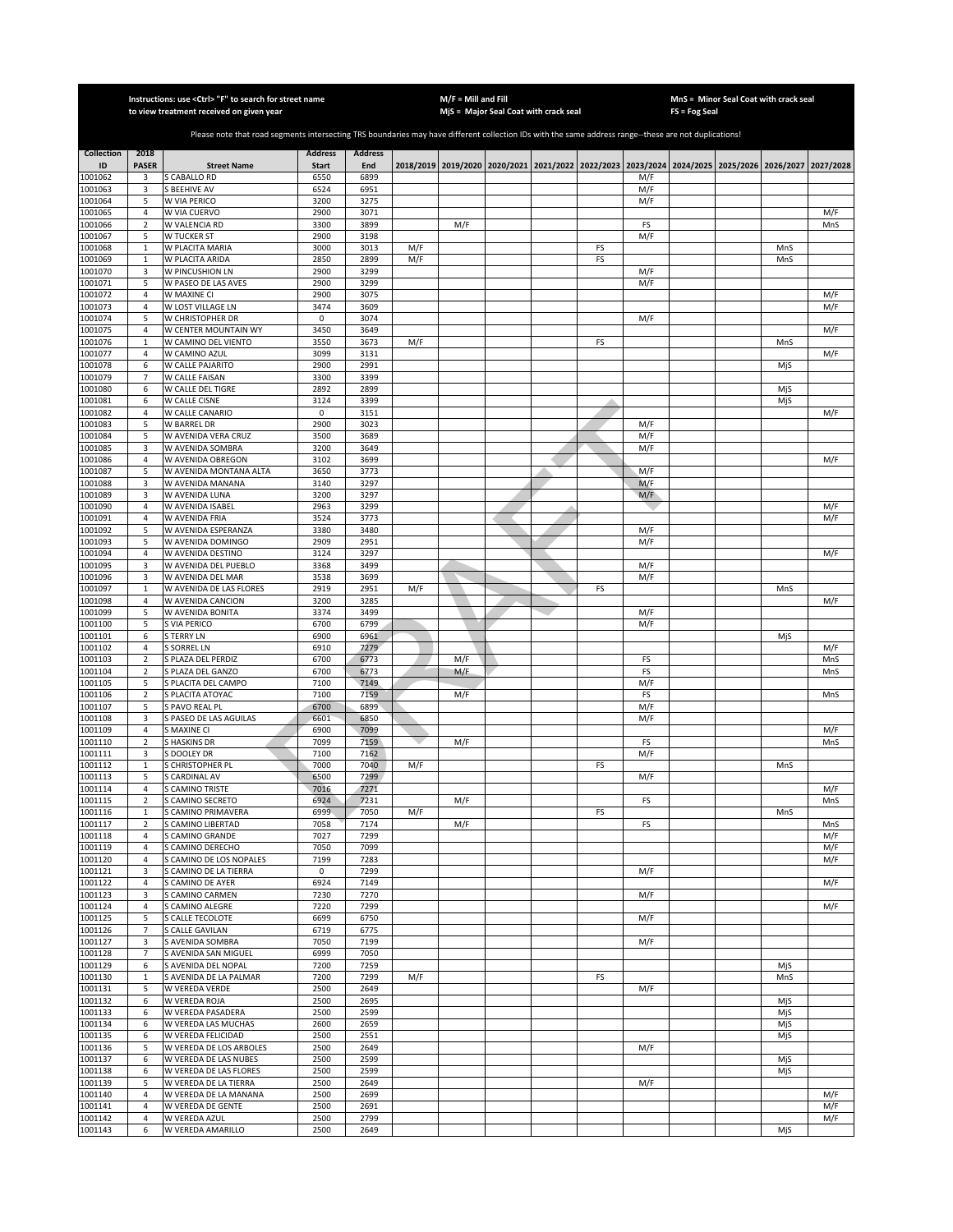|                    |                     | Instructions: use <ctrl> "F" to search for street name<br/>to view treatment received on given year</ctrl>                                            |                     |                |     | $M/F =$ Mill and Fill |                                                                                           |    |            |                 | MnS = Minor Seal Coat with crack seal |            |            |
|--------------------|---------------------|-------------------------------------------------------------------------------------------------------------------------------------------------------|---------------------|----------------|-----|-----------------------|-------------------------------------------------------------------------------------------|----|------------|-----------------|---------------------------------------|------------|------------|
|                    |                     |                                                                                                                                                       |                     |                |     |                       | MjS = Major Seal Coat with crack seal                                                     |    |            | $FS = Fog Seal$ |                                       |            |            |
|                    |                     | Please note that road segments intersecting TRS boundaries may have different collection IDs with the same address range--these are not duplications! |                     |                |     |                       |                                                                                           |    |            |                 |                                       |            |            |
| <b>Collection</b>  | 2018                |                                                                                                                                                       | <b>Address</b>      | <b>Address</b> |     |                       |                                                                                           |    |            |                 |                                       |            |            |
| ID                 | <b>PASER</b>        | <b>Street Name</b>                                                                                                                                    | <b>Start</b>        | End            |     |                       | 2018/2019 2019/2020 2020/2021 2021/2022 2022/2023 2023/2024 2024/2025 2025/2026 2026/2027 |    |            |                 |                                       |            | 2027/2028  |
| 1001062            | 3                   | S CABALLO RD                                                                                                                                          | 6550                | 6899           |     |                       |                                                                                           |    | M/F        |                 |                                       |            |            |
| 1001063<br>1001064 | 3<br>5              | <b>S BEEHIVE AV</b><br>W VIA PERICO                                                                                                                   | 6524<br>3200        | 6951<br>3275   |     |                       |                                                                                           |    | M/F        |                 |                                       |            |            |
| 1001065            | $\overline{4}$      | W VIA CUERVO                                                                                                                                          | 2900                | 3071           |     |                       |                                                                                           |    | M/F        |                 |                                       |            | M/F        |
| 1001066            | $\overline{2}$      | W VALENCIA RD                                                                                                                                         | 3300                | 3899           |     | M/F                   |                                                                                           |    | FS         |                 |                                       |            | MnS        |
| 1001067            | 5                   | W TUCKER ST                                                                                                                                           | 2900                | 3198           |     |                       |                                                                                           |    | M/F        |                 |                                       |            |            |
| 1001068            | $\mathbf{1}$        | W PLACITA MARIA                                                                                                                                       | 3000                | 3013           | M/F |                       |                                                                                           | FS |            |                 |                                       | MnS        |            |
| 1001069<br>1001070 | $\,1\,$<br>3        | W PLACITA ARIDA<br>W PINCUSHION LN                                                                                                                    | 2850<br>2900        | 2899<br>3299   | M/F |                       |                                                                                           | FS | M/F        |                 |                                       | MnS        |            |
| 1001071            | 5                   | W PASEO DE LAS AVES                                                                                                                                   | 2900                | 3299           |     |                       |                                                                                           |    | M/F        |                 |                                       |            |            |
| 1001072            | $\sqrt{4}$          | W MAXINE CI                                                                                                                                           | 2900                | 3075           |     |                       |                                                                                           |    |            |                 |                                       |            | M/F        |
| 1001073            | $\sqrt{4}$          | W LOST VILLAGE LN                                                                                                                                     | 3474                | 3609           |     |                       |                                                                                           |    |            |                 |                                       |            | M/F        |
| 1001074<br>001075  | 5<br>4              | W CHRISTOPHER DR<br>W CENTER MOUNTAIN WY                                                                                                              | $\mathsf 0$<br>3450 | 3074<br>3649   |     |                       |                                                                                           |    | M/F        |                 |                                       |            | M/F        |
| 1001076            | $\mathbf 1$         | W CAMINO DEL VIENTO                                                                                                                                   | 3550                | 3673           | M/F |                       |                                                                                           | FS |            |                 |                                       | MnS        |            |
| 1001077            | $\overline{4}$      | W CAMINO AZUL                                                                                                                                         | 3099                | 3131           |     |                       |                                                                                           |    |            |                 |                                       |            | M/F        |
| 001078             | 6                   | W CALLE PAJARITO                                                                                                                                      | 2900                | 2991           |     |                       |                                                                                           |    |            |                 |                                       | MjS        |            |
| 1001079            | $\overline{7}$      | W CALLE FAISAN                                                                                                                                        | 3300                | 3399           |     |                       |                                                                                           |    |            |                 |                                       |            |            |
| 1001080<br>1001081 | 6<br>6              | W CALLE DEL TIGRE<br>W CALLE CISNE                                                                                                                    | 2892<br>3124        | 2899<br>3399   |     |                       |                                                                                           |    |            |                 |                                       | MjS<br>MjS |            |
| 1001082            | 4                   | W CALLE CANARIO                                                                                                                                       | 0                   | 3151           |     |                       |                                                                                           |    |            |                 |                                       |            | M/F        |
| 1001083            | 5                   | W BARREL DR                                                                                                                                           | 2900                | 3023           |     |                       |                                                                                           |    | M/F        |                 |                                       |            |            |
| 1001084            | 5                   | W AVENIDA VERA CRUZ                                                                                                                                   | 3500                | 3689           |     |                       |                                                                                           |    | M/F        |                 |                                       |            |            |
| 1001085<br>001086  | 3<br>4              | W AVENIDA SOMBRA<br>W AVENIDA OBREGON                                                                                                                 | 3200<br>3102        | 3649<br>3699   |     |                       |                                                                                           |    | M/F        |                 |                                       |            | M/F        |
| 1001087            | 5                   | W AVENIDA MONTANA ALTA                                                                                                                                | 3650                | 3773           |     |                       |                                                                                           |    | M/F        |                 |                                       |            |            |
| 1001088            | 3                   | W AVENIDA MANANA                                                                                                                                      | 3140                | 3297           |     |                       |                                                                                           |    | M/F        |                 |                                       |            |            |
| 1001089            | 3                   | W AVENIDA LUNA                                                                                                                                        | 3200                | 3297           |     |                       |                                                                                           |    | M/F        |                 |                                       |            |            |
| 1001090            | $\overline{4}$      | W AVENIDA ISABEL                                                                                                                                      | 2963                | 3299           |     |                       |                                                                                           |    |            |                 |                                       |            | M/F        |
| 1001091<br>1001092 | $\overline{4}$<br>5 | W AVENIDA FRIA<br>W AVENIDA ESPERANZA                                                                                                                 | 3524<br>3380        | 3773<br>3480   |     |                       |                                                                                           |    | M/F        |                 |                                       |            | M/F        |
| 1001093            | 5                   | W AVENIDA DOMINGO                                                                                                                                     | 2909                | 2951           |     |                       |                                                                                           |    | M/F        |                 |                                       |            |            |
| 1001094            | $\sqrt{4}$          | W AVENIDA DESTINO                                                                                                                                     | 3124                | 3297           |     |                       |                                                                                           |    |            |                 |                                       |            | M/F        |
| 1001095            | 3                   | W AVENIDA DEL PUEBLO                                                                                                                                  | 3368                | 3499           |     |                       |                                                                                           |    | M/F        |                 |                                       |            |            |
| 1001096<br>1001097 | 3<br>$\mathbf 1$    | W AVENIDA DEL MAR<br>W AVENIDA DE LAS FLORES                                                                                                          | 3538<br>2919        | 3699<br>2951   | M/F |                       |                                                                                           | FS | M/F        |                 |                                       | MnS        |            |
| 1001098            | $\overline{4}$      | W AVENIDA CANCION                                                                                                                                     | 3200                | 3285           |     |                       |                                                                                           |    |            |                 |                                       |            | M/F        |
| 1001099            | 5                   | W AVENIDA BONITA                                                                                                                                      | 3374                | 3499           |     |                       |                                                                                           |    | M/F        |                 |                                       |            |            |
| 1001100            | 5                   | S VIA PERICO                                                                                                                                          | 6700                | 6799           |     |                       |                                                                                           |    | M/F        |                 |                                       |            |            |
| 1001101<br>1001102 | 6<br>$\overline{4}$ | <b>S TERRY LN</b><br>S SORREL LN                                                                                                                      | 6900<br>6910        | 6961<br>7279   |     |                       |                                                                                           |    |            |                 |                                       | MjS        |            |
| 1001103            | $\overline{2}$      | S PLAZA DEL PERDIZ                                                                                                                                    | 6700                | 6773           |     | M/F                   |                                                                                           |    | FS         |                 |                                       |            | M/F<br>MnS |
| 1001104            | $\overline{2}$      | S PLAZA DEL GANZO                                                                                                                                     | 6700                | 6773           |     | M/F                   |                                                                                           |    | FS         |                 |                                       |            | MnS        |
| 1001105            | 5                   | S PLACITA DEL CAMPO                                                                                                                                   | 7100                | 7149           |     |                       |                                                                                           |    | M/F        |                 |                                       |            |            |
| 1001106            | $\mathbf 2$         | S PLACITA ATOYAC                                                                                                                                      | 7100                | 7159           |     | M/F                   |                                                                                           |    | FS         |                 |                                       |            | MnS        |
| 1001107<br>1001108 | 5<br>3              | S PAVO REAL PL<br>S PASEO DE LAS AGUILAS                                                                                                              | 6700<br>6601        | 6899<br>6850   |     |                       |                                                                                           |    | M/F<br>M/F |                 |                                       |            |            |
| 001109             | 4                   | <b>SMAXINE CI</b>                                                                                                                                     | 6900                | 7099           |     |                       |                                                                                           |    |            |                 |                                       |            | M/F        |
| 1001110            | $\overline{2}$      | S HASKINS DR                                                                                                                                          | 7099                | 7159           |     | M/F                   |                                                                                           |    | FS         |                 |                                       |            | MnS        |
| 1001111            | 3                   | DOOLEY DR                                                                                                                                             | 7100                | 7162           |     |                       |                                                                                           |    | M/F        |                 |                                       |            |            |
| 1001112<br>1001113 | $\mathbf{1}$<br>5   | <b>GHRISTOPHER PL</b><br>S CARDINAL AV                                                                                                                | 7000<br>6500        | 7040<br>7299   | M/F |                       |                                                                                           | FS | M/F        |                 |                                       | MnS        |            |
| 1001114            | $\overline{4}$      | S CAMINO TRISTE                                                                                                                                       | 7016                | 7271           |     |                       |                                                                                           |    |            |                 |                                       |            | M/F        |
| 1001115            | 2                   | S CAMINO SECRETO                                                                                                                                      | 6924                | 7231           |     | M/F                   |                                                                                           |    | FS         |                 |                                       |            | MnS        |
| 1001116            | $\mathbf{1}$        | S CAMINO PRIMAVERA                                                                                                                                    | 6999                | 7050           | M/F |                       |                                                                                           | FS |            |                 |                                       | MnS        |            |
| 1001117<br>1001118 | 2<br>$\overline{4}$ | S CAMINO LIBERTAD<br>S CAMINO GRANDE                                                                                                                  | 7058<br>7027        | 7174<br>7299   |     | M/F                   |                                                                                           |    | FS         |                 |                                       |            | MnS<br>M/F |
| 1001119            | $\sqrt{4}$          | S CAMINO DERECHO                                                                                                                                      | 7050                | 7099           |     |                       |                                                                                           |    |            |                 |                                       |            | M/F        |
| 1001120            | $\sqrt{4}$          | S CAMINO DE LOS NOPALES                                                                                                                               | 7199                | 7283           |     |                       |                                                                                           |    |            |                 |                                       |            | M/F        |
| 1001121            | 3                   | S CAMINO DE LA TIERRA                                                                                                                                 | 0                   | 7299           |     |                       |                                                                                           |    | M/F        |                 |                                       |            |            |
| 1001122            | $\sqrt{4}$          | S CAMINO DE AYER                                                                                                                                      | 6924                | 7149           |     |                       |                                                                                           |    |            |                 |                                       |            | M/F        |
| 1001123<br>1001124 | 3<br>$\sqrt{4}$     | S CAMINO CARMEN<br>S CAMINO ALEGRE                                                                                                                    | 7230<br>7220        | 7270<br>7299   |     |                       |                                                                                           |    | M/F        |                 |                                       |            | M/F        |
| 1001125            | 5                   | S CALLE TECOLOTE                                                                                                                                      | 6699                | 6750           |     |                       |                                                                                           |    | M/F        |                 |                                       |            |            |
| 1001126            | $\overline{7}$      | S CALLE GAVILAN                                                                                                                                       | 6719                | 6775           |     |                       |                                                                                           |    |            |                 |                                       |            |            |
| 1001127            | 3                   | S AVENIDA SOMBRA                                                                                                                                      | 7050                | 7199           |     |                       |                                                                                           |    | M/F        |                 |                                       |            |            |
| 1001128<br>1001129 | $\overline{7}$<br>6 | S AVENIDA SAN MIGUEL<br>S AVENIDA DEL NOPAL                                                                                                           | 6999<br>7200        | 7050<br>7259   |     |                       |                                                                                           |    |            |                 |                                       | MjS        |            |
| 1001130            | $\mathbf 1$         | S AVENIDA DE LA PALMAR                                                                                                                                | 7200                | 7299           | M/F |                       |                                                                                           | FS |            |                 |                                       | MnS        |            |
| 1001131            | 5                   | W VEREDA VERDE                                                                                                                                        | 2500                | 2649           |     |                       |                                                                                           |    | M/F        |                 |                                       |            |            |
| 1001132            | 6                   | W VEREDA ROJA                                                                                                                                         | 2500                | 2695           |     |                       |                                                                                           |    |            |                 |                                       | MiS        |            |
| 1001133            | 6                   | W VEREDA PASADERA                                                                                                                                     | 2500                | 2599           |     |                       |                                                                                           |    |            |                 |                                       | MjS        |            |
| 1001134<br>1001135 | 6<br>6              | W VEREDA LAS MUCHAS<br>W VEREDA FELICIDAD                                                                                                             | 2600<br>2500        | 2659<br>2551   |     |                       |                                                                                           |    |            |                 |                                       | MjS<br>MjS |            |
| 1001136            | 5                   | W VEREDA DE LOS ARBOLES                                                                                                                               | 2500                | 2649           |     |                       |                                                                                           |    | M/F        |                 |                                       |            |            |
| 1001137            | 6                   | W VEREDA DE LAS NUBES                                                                                                                                 | 2500                | 2599           |     |                       |                                                                                           |    |            |                 |                                       | MjS        |            |
| 1001138            | 6                   | W VEREDA DE LAS FLORES                                                                                                                                | 2500                | 2599           |     |                       |                                                                                           |    |            |                 |                                       | MjS        |            |
| 1001139<br>1001140 | 5<br>$\overline{4}$ | W VEREDA DE LA TIERRA                                                                                                                                 | 2500                | 2649<br>2699   |     |                       |                                                                                           |    | M/F        |                 |                                       |            | M/F        |
| 1001141            | $\overline{4}$      | W VEREDA DE LA MANANA<br>W VEREDA DE GENTE                                                                                                            | 2500<br>2500        | 2691           |     |                       |                                                                                           |    |            |                 |                                       |            | M/F        |
| 1001142            | $\overline{4}$      | W VEREDA AZUL                                                                                                                                         | 2500                | 2799           |     |                       |                                                                                           |    |            |                 |                                       |            | M/F        |
| 1001143            | 6                   | W VEREDA AMARILLO                                                                                                                                     | 2500                | 2649           |     |                       |                                                                                           |    |            |                 |                                       | MjS        |            |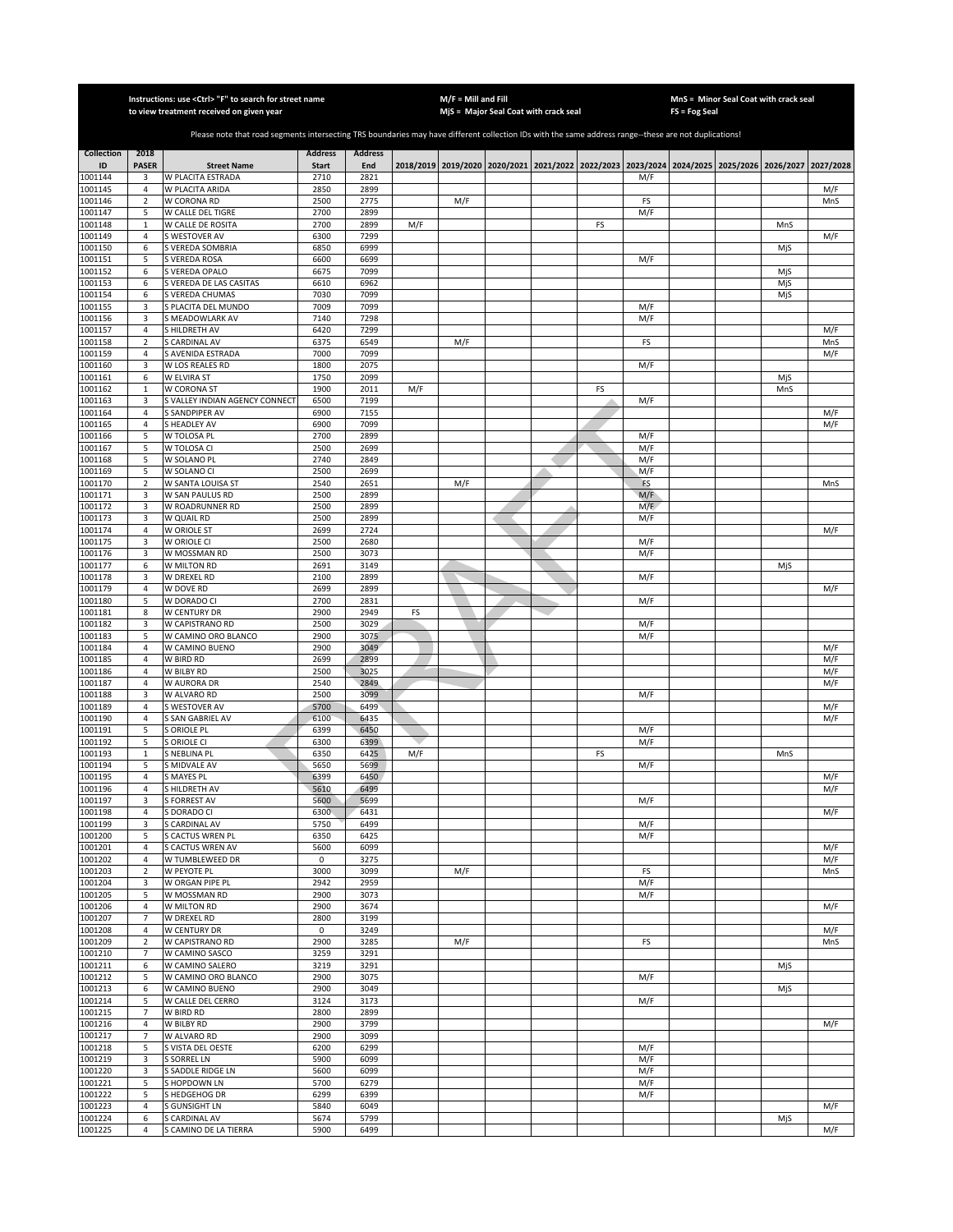|                    |                       | Instructions: use <ctrl> "F" to search for street name<br/>to view treatment received on given year</ctrl>                                            |                |                |     | $M/F =$ Mill and Fill | MjS = Major Seal Coat with crack seal                                                               |    |            | FS = Fog Seal | MnS = Minor Seal Coat with crack seal |     |
|--------------------|-----------------------|-------------------------------------------------------------------------------------------------------------------------------------------------------|----------------|----------------|-----|-----------------------|-----------------------------------------------------------------------------------------------------|----|------------|---------------|---------------------------------------|-----|
|                    |                       |                                                                                                                                                       |                |                |     |                       |                                                                                                     |    |            |               |                                       |     |
|                    |                       | Please note that road segments intersecting TRS boundaries may have different collection IDs with the same address range--these are not duplications! |                |                |     |                       |                                                                                                     |    |            |               |                                       |     |
| <b>Collection</b>  | 2018                  |                                                                                                                                                       | <b>Address</b> | <b>Address</b> |     |                       |                                                                                                     |    |            |               |                                       |     |
| ID                 | <b>PASER</b>          | <b>Street Name</b>                                                                                                                                    | Start          | End            |     |                       | 2018/2019 2019/2020 2020/2021 2021/2022 2022/2023 2023/2024 2024/2025 2025/2026 2026/2027 2027/2028 |    |            |               |                                       |     |
| 1001144<br>1001145 | 3<br>$\overline{4}$   | W PLACITA ESTRADA<br>W PLACITA ARIDA                                                                                                                  | 2710<br>2850   | 2821<br>2899   |     |                       |                                                                                                     |    | M/F        |               |                                       | M/F |
| 1001146            | $\overline{2}$        | W CORONA RD                                                                                                                                           | 2500           | 2775           |     | M/F                   |                                                                                                     |    | FS         |               |                                       | MnS |
| 1001147            | 5                     | W CALLE DEL TIGRE                                                                                                                                     | 2700           | 2899           |     |                       |                                                                                                     |    | M/F        |               |                                       |     |
| 1001148            | $\mathbf 1$           | W CALLE DE ROSITA                                                                                                                                     | 2700           | 2899           | M/F |                       |                                                                                                     | FS |            |               | MnS                                   |     |
| 1001149            | $\overline{4}$        | S WESTOVER AV                                                                                                                                         | 6300           | 7299           |     |                       |                                                                                                     |    |            |               |                                       | M/F |
| 1001150<br>1001151 | $\boldsymbol{6}$<br>5 | S VEREDA SOMBRIA<br>S VEREDA ROSA                                                                                                                     | 6850<br>6600   | 6999<br>6699   |     |                       |                                                                                                     |    | M/F        |               | MjS                                   |     |
| 1001152            | 6                     | S VEREDA OPALO                                                                                                                                        | 6675           | 7099           |     |                       |                                                                                                     |    |            |               | MiS                                   |     |
| 1001153            | 6                     | S VEREDA DE LAS CASITAS                                                                                                                               | 6610           | 6962           |     |                       |                                                                                                     |    |            |               | MjS                                   |     |
| 1001154            | 6                     | S VEREDA CHUMAS                                                                                                                                       | 7030           | 7099           |     |                       |                                                                                                     |    |            |               | MjS                                   |     |
| 1001155<br>1001156 | 3                     | S PLACITA DEL MUNDO                                                                                                                                   | 7009<br>7140   | 7099<br>7298   |     |                       |                                                                                                     |    | M/F        |               |                                       |     |
| 1001157            | 3<br>$\overline{4}$   | S MEADOWLARK AV<br><b>S HILDRETH AV</b>                                                                                                               | 6420           | 7299           |     |                       |                                                                                                     |    | M/F        |               |                                       | M/F |
| 1001158            | $\overline{2}$        | S CARDINAL AV                                                                                                                                         | 6375           | 6549           |     | M/F                   |                                                                                                     |    | FS         |               |                                       | MnS |
| 1001159            | $\overline{4}$        | S AVENIDA ESTRADA                                                                                                                                     | 7000           | 7099           |     |                       |                                                                                                     |    |            |               |                                       | M/F |
| 1001160            | 3                     | W LOS REALES RD                                                                                                                                       | 1800           | 2075           |     |                       |                                                                                                     |    | M/F        |               |                                       |     |
| 1001161            | 6                     | W ELVIRA ST                                                                                                                                           | 1750           | 2099           |     |                       |                                                                                                     |    |            |               | MjS                                   |     |
| 1001162<br>1001163 | $\mathbf{1}$<br>3     | W CORONA ST<br>S VALLEY INDIAN AGENCY CONNECT                                                                                                         | 1900<br>6500   | 2011<br>7199   | M/F |                       |                                                                                                     | FS | M/F        |               | MnS                                   |     |
| 1001164            | 4                     | S SANDPIPER AV                                                                                                                                        | 6900           | 7155           |     |                       |                                                                                                     |    |            |               |                                       | M/F |
| 1001165            | $\sqrt{4}$            | S HEADLEY AV                                                                                                                                          | 6900           | 7099           |     |                       |                                                                                                     |    |            |               |                                       | M/F |
| 1001166            | 5                     | W TOLOSA PL                                                                                                                                           | 2700           | 2899           |     |                       |                                                                                                     |    | M/F        |               |                                       |     |
| 1001167            | 5                     | W TOLOSA CI                                                                                                                                           | 2500           | 2699           |     |                       |                                                                                                     |    | M/F        |               |                                       |     |
| 1001168<br>1001169 | 5<br>5                | W SOLANO PL<br>W SOLANO CI                                                                                                                            | 2740<br>2500   | 2849<br>2699   |     |                       |                                                                                                     |    | M/F<br>M/F |               |                                       |     |
| 1001170            | $\mathbf 2$           | W SANTA LOUISA ST                                                                                                                                     | 2540           | 2651           |     | M/F                   |                                                                                                     |    | FS         |               |                                       | MnS |
| 1001171            | 3                     | W SAN PAULUS RD                                                                                                                                       | 2500           | 2899           |     |                       |                                                                                                     |    | M/F        |               |                                       |     |
| 1001172            | 3                     | W ROADRUNNER RD                                                                                                                                       | 2500           | 2899           |     |                       |                                                                                                     |    | M/F        |               |                                       |     |
| 1001173            | 3                     | W QUAIL RD                                                                                                                                            | 2500           | 2899           |     |                       |                                                                                                     |    | M/F        |               |                                       |     |
| 1001174            | $\overline{4}$        | W ORIOLE ST                                                                                                                                           | 2699           | 2724           |     |                       |                                                                                                     |    |            |               |                                       | M/F |
| 1001175<br>1001176 | 3<br>3                | W ORIOLE CI<br>W MOSSMAN RD                                                                                                                           | 2500<br>2500   | 2680<br>3073   |     |                       |                                                                                                     |    | M/F<br>M/F |               |                                       |     |
| 1001177            | 6                     | W MILTON RD                                                                                                                                           | 2691           | 3149           |     |                       |                                                                                                     |    |            |               | MjS                                   |     |
| 1001178            | 3                     | W DREXEL RD                                                                                                                                           | 2100           | 2899           |     |                       |                                                                                                     |    | M/F        |               |                                       |     |
| 1001179            | 4                     | W DOVE RD                                                                                                                                             | 2699           | 2899           |     |                       |                                                                                                     |    |            |               |                                       | M/F |
| 1001180            | 5                     | W DORADO CI                                                                                                                                           | 2700           | 2831           |     |                       |                                                                                                     |    | M/F        |               |                                       |     |
| 1001181            | 8<br>3                | W CENTURY DR<br>W CAPISTRANO RD                                                                                                                       | 2900<br>2500   | 2949<br>3029   | FS  |                       |                                                                                                     |    |            |               |                                       |     |
| 1001182<br>1001183 | 5                     | W CAMINO ORO BLANCO                                                                                                                                   | 2900           | 3075           |     |                       |                                                                                                     |    | M/F<br>M/F |               |                                       |     |
| 1001184            | $\overline{4}$        | W CAMINO BUENO                                                                                                                                        | 2900           | 3049           |     |                       |                                                                                                     |    |            |               |                                       | M/F |
| 1001185            | $\overline{4}$        | W BIRD RD                                                                                                                                             | 2699           | 2899           |     |                       |                                                                                                     |    |            |               |                                       | M/F |
| 1001186            | $\overline{4}$        | W BILBY RD                                                                                                                                            | 2500           | 3025           |     |                       |                                                                                                     |    |            |               |                                       | M/F |
| 1001187<br>1001188 | $\overline{4}$<br>3   | W AURORA DR<br>W ALVARO RD                                                                                                                            | 2540<br>2500   | 2849<br>3099   |     |                       |                                                                                                     |    | M/F        |               |                                       | M/F |
| 1001189            | $\sqrt{4}$            | S WESTOVER AV                                                                                                                                         | 5700           | 6499           |     |                       |                                                                                                     |    |            |               |                                       | M/F |
| 1001190            | $\sqrt{4}$            | S SAN GABRIEL AV                                                                                                                                      | 6100           | 6435           |     |                       |                                                                                                     |    |            |               |                                       | M/F |
| 1001191            | 5                     | S ORIOLE PL                                                                                                                                           | 6399           | 6450           |     |                       |                                                                                                     |    | M/F        |               |                                       |     |
| 1001192            | 5                     | S ORIOLE CI                                                                                                                                           | 6300           | 6399           |     |                       |                                                                                                     |    | M/F        |               |                                       |     |
| 1001193            | $\mathbf 1$           | S NEBLINA PL                                                                                                                                          | 6350           | 6425           | M/F |                       |                                                                                                     | FS |            |               | MnS                                   |     |
| 1001194<br>1001195 | 5<br>$\sqrt{4}$       | S MIDVALE AV<br><b>S MAYES PL</b>                                                                                                                     | 5650<br>6399   | 5699<br>6450   |     |                       |                                                                                                     |    | M/F        |               |                                       | M/F |
| 1001196            | $\sqrt{4}$            | S HILDRETH AV                                                                                                                                         | 5610           | 6499           |     |                       |                                                                                                     |    |            |               |                                       | M/F |
| 1001197            | 3                     | <b>S FORREST AV</b>                                                                                                                                   | 5600           | 5699           |     |                       |                                                                                                     |    | M/F        |               |                                       |     |
| 1001198            | 4                     | S DORADO CI                                                                                                                                           | 6300           | 6431           |     |                       |                                                                                                     |    |            |               |                                       | M/F |
| 1001199<br>1001200 | 3                     | S CARDINAL AV<br>S CACTUS WREN PL                                                                                                                     | 5750<br>6350   | 6499<br>6425   |     |                       |                                                                                                     |    | M/F        |               |                                       |     |
| 1001201            | 5<br>4                | S CACTUS WREN AV                                                                                                                                      | 5600           | 6099           |     |                       |                                                                                                     |    | M/F        |               |                                       | M/F |
| 1001202            | 4                     | W TUMBLEWEED DR                                                                                                                                       | 0              | 3275           |     |                       |                                                                                                     |    |            |               |                                       | M/F |
| 1001203            | $\overline{2}$        | W PEYOTE PL                                                                                                                                           | 3000           | 3099           |     | M/F                   |                                                                                                     |    | FS         |               |                                       | MnS |
| 1001204            | 3                     | W ORGAN PIPE PL                                                                                                                                       | 2942           | 2959           |     |                       |                                                                                                     |    | M/F        |               |                                       |     |
| 1001205            | 5                     | W MOSSMAN RD                                                                                                                                          | 2900           | 3073           |     |                       |                                                                                                     |    | M/F        |               |                                       |     |
| 1001206<br>1001207 | 4<br>$\overline{7}$   | W MILTON RD<br>W DREXEL RD                                                                                                                            | 2900<br>2800   | 3674<br>3199   |     |                       |                                                                                                     |    |            |               |                                       | M/F |
| 1001208            | $\overline{4}$        | W CENTURY DR                                                                                                                                          | $\mathbf 0$    | 3249           |     |                       |                                                                                                     |    |            |               |                                       | M/F |
| 1001209            | $\overline{2}$        | W CAPISTRANO RD                                                                                                                                       | 2900           | 3285           |     | M/F                   |                                                                                                     |    | FS         |               |                                       | MnS |
| 1001210            | 7                     | W CAMINO SASCO                                                                                                                                        | 3259           | 3291           |     |                       |                                                                                                     |    |            |               |                                       |     |
| 1001211            | 6                     | W CAMINO SALERO                                                                                                                                       | 3219           | 3291           |     |                       |                                                                                                     |    |            |               | MjS                                   |     |
| 1001212<br>1001213 | 5                     | W CAMINO ORO BLANCO                                                                                                                                   | 2900<br>2900   | 3075<br>3049   |     |                       |                                                                                                     |    | M/F        |               | MjS                                   |     |
| 1001214            | 6<br>5                | W CAMINO BUENO<br>W CALLE DEL CERRO                                                                                                                   | 3124           | 3173           |     |                       |                                                                                                     |    | M/F        |               |                                       |     |
| 1001215            | $\overline{7}$        | W BIRD RD                                                                                                                                             | 2800           | 2899           |     |                       |                                                                                                     |    |            |               |                                       |     |
| 1001216            | 4                     | W BILBY RD                                                                                                                                            | 2900           | 3799           |     |                       |                                                                                                     |    |            |               |                                       | M/F |
| 1001217            | $\overline{7}$        | W ALVARO RD                                                                                                                                           | 2900           | 3099           |     |                       |                                                                                                     |    |            |               |                                       |     |
| 1001218            | 5                     | S VISTA DEL OESTE                                                                                                                                     | 6200           | 6299           |     |                       |                                                                                                     |    | M/F        |               |                                       |     |
| 1001219            | 3                     | <b>S SORREL LN</b>                                                                                                                                    | 5900           | 6099           |     |                       |                                                                                                     |    | M/F        |               |                                       |     |
| 1001220<br>1001221 | 3<br>5                | S SADDLE RIDGE LN<br>S HOPDOWN LN                                                                                                                     | 5600<br>5700   | 6099<br>6279   |     |                       |                                                                                                     |    | M/F<br>M/F |               |                                       |     |
| 1001222            | 5                     | S HEDGEHOG DR                                                                                                                                         | 6299           | 6399           |     |                       |                                                                                                     |    | M/F        |               |                                       |     |
| 1001223            | $\sqrt{4}$            | <b>S GUNSIGHT LN</b>                                                                                                                                  | 5840           | 6049           |     |                       |                                                                                                     |    |            |               |                                       | M/F |
| 1001224            | 6                     | S CARDINAL AV                                                                                                                                         | 5674           | 5799           |     |                       |                                                                                                     |    |            |               | MjS                                   |     |
| 1001225            | 4                     | S CAMINO DE LA TIERRA                                                                                                                                 | 5900           | 6499           |     |                       |                                                                                                     |    |            |               |                                       | M/F |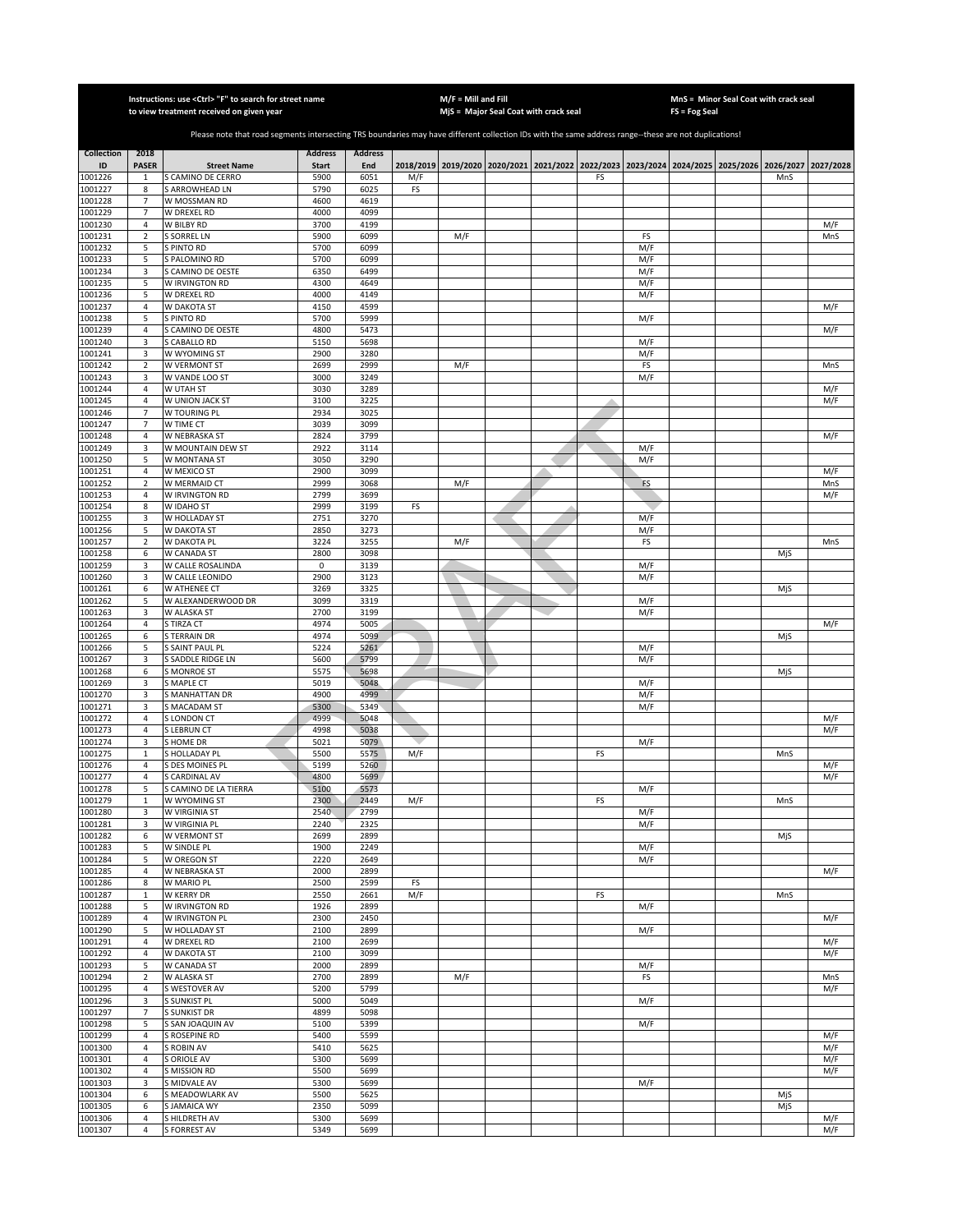|                    |                              | Instructions: use <ctrl> "F" to search for street name<br/>to view treatment received on given year</ctrl>                                            |                |                |     | $M/F =$ Mill and Fill | MjS = Major Seal Coat with crack seal                                                               |    |            | FS = Fog Seal | MnS = Minor Seal Coat with crack seal |            |
|--------------------|------------------------------|-------------------------------------------------------------------------------------------------------------------------------------------------------|----------------|----------------|-----|-----------------------|-----------------------------------------------------------------------------------------------------|----|------------|---------------|---------------------------------------|------------|
|                    |                              |                                                                                                                                                       |                |                |     |                       |                                                                                                     |    |            |               |                                       |            |
|                    |                              | Please note that road segments intersecting TRS boundaries may have different collection IDs with the same address range--these are not duplications! |                |                |     |                       |                                                                                                     |    |            |               |                                       |            |
| <b>Collection</b>  | 2018                         |                                                                                                                                                       | <b>Address</b> | <b>Address</b> |     |                       |                                                                                                     |    |            |               |                                       |            |
| ID<br>1001226      | <b>PASER</b><br>$\mathbf{1}$ | <b>Street Name</b><br>S CAMINO DE CERRO                                                                                                               | Start<br>5900  | End<br>6051    | M/F |                       | 2018/2019 2019/2020 2020/2021 2021/2022 2022/2023 2023/2024 2024/2025 2025/2026 2026/2027 2027/2028 | FS |            |               | MnS                                   |            |
| 1001227            | 8                            | <b>S ARROWHEAD LN</b>                                                                                                                                 | 5790           | 6025           | FS  |                       |                                                                                                     |    |            |               |                                       |            |
| 1001228            | $\overline{7}$               | W MOSSMAN RD                                                                                                                                          | 4600           | 4619           |     |                       |                                                                                                     |    |            |               |                                       |            |
| 1001229<br>1001230 | $\overline{7}$<br>4          | W DREXEL RD<br>W BILBY RD                                                                                                                             | 4000<br>3700   | 4099<br>4199   |     |                       |                                                                                                     |    |            |               |                                       | M/F        |
| 1001231            | $\sqrt{2}$                   | S SORREL LN                                                                                                                                           | 5900           | 6099           |     | M/F                   |                                                                                                     |    | FS         |               |                                       | MnS        |
| 1001232            | 5                            | S PINTO RD                                                                                                                                            | 5700           | 6099           |     |                       |                                                                                                     |    | M/F        |               |                                       |            |
| 1001233<br>1001234 | 5<br>3                       | S PALOMINO RD<br><b>CAMINO DE OESTE</b>                                                                                                               | 5700<br>6350   | 6099<br>6499   |     |                       |                                                                                                     |    | M/F<br>M/F |               |                                       |            |
| 1001235            | 5                            | W IRVINGTON RD                                                                                                                                        | 4300           | 4649           |     |                       |                                                                                                     |    | M/F        |               |                                       |            |
| 1001236            | 5                            | W DREXEL RD                                                                                                                                           | 4000           | 4149           |     |                       |                                                                                                     |    | M/F        |               |                                       |            |
| 1001237            | 4                            | W DAKOTA ST                                                                                                                                           | 4150           | 4599           |     |                       |                                                                                                     |    |            |               |                                       | M/F        |
| 1001238<br>1001239 | 5<br>$\overline{4}$          | S PINTO RD<br>S CAMINO DE OESTE                                                                                                                       | 5700<br>4800   | 5999<br>5473   |     |                       |                                                                                                     |    | M/F        |               |                                       | M/F        |
| 1001240            | 3                            | S CABALLO RD                                                                                                                                          | 5150           | 5698           |     |                       |                                                                                                     |    | M/F        |               |                                       |            |
| 1001241            | 3                            | W WYOMING ST                                                                                                                                          | 2900           | 3280           |     |                       |                                                                                                     |    | M/F        |               |                                       |            |
| 1001242            | $\overline{2}$<br>3          | W VERMONT ST                                                                                                                                          | 2699<br>3000   | 2999<br>3249   |     | M/F                   |                                                                                                     |    | FS         |               |                                       | MnS        |
| 1001243<br>1001244 | $\overline{4}$               | W VANDE LOO ST<br>W UTAH ST                                                                                                                           | 3030           | 3289           |     |                       |                                                                                                     |    | M/F        |               |                                       | M/F        |
| 1001245            | $\overline{4}$               | W UNION JACK ST                                                                                                                                       | 3100           | 3225           |     |                       |                                                                                                     |    |            |               |                                       | M/F        |
| 1001246            | $\overline{7}$               | W TOURING PL                                                                                                                                          | 2934           | 3025           |     |                       |                                                                                                     |    |            |               |                                       |            |
| 1001247<br>1001248 | $\overline{7}$<br>4          | W TIME CT<br>W NEBRASKA ST                                                                                                                            | 3039<br>2824   | 3099<br>3799   |     |                       |                                                                                                     |    |            |               |                                       | M/F        |
| 1001249            | 3                            | W MOUNTAIN DEW ST                                                                                                                                     | 2922           | 3114           |     |                       |                                                                                                     |    | M/F        |               |                                       |            |
| 1001250            | 5                            | W MONTANA ST                                                                                                                                          | 3050           | 3290           |     |                       |                                                                                                     |    | M/F        |               |                                       |            |
| 1001251            | $\overline{4}$               | W MEXICO ST                                                                                                                                           | 2900           | 3099           |     |                       |                                                                                                     |    |            |               |                                       | M/F        |
| 1001252<br>1001253 | $\mathbf 2$<br>4             | W MERMAID CT<br>W IRVINGTON RD                                                                                                                        | 2999<br>2799   | 3068<br>3699   |     | M/F                   |                                                                                                     |    | FS         |               |                                       | MnS<br>M/F |
| 1001254            | 8                            | W IDAHO ST                                                                                                                                            | 2999           | 3199           | FS  |                       |                                                                                                     |    |            |               |                                       |            |
| 1001255            | 3                            | W HOLLADAY ST                                                                                                                                         | 2751           | 3270           |     |                       |                                                                                                     |    | M/F        |               |                                       |            |
| 1001256            | 5                            | W DAKOTA ST                                                                                                                                           | 2850           | 3273           |     |                       |                                                                                                     |    | M/F        |               |                                       |            |
| 1001257<br>1001258 | $\sqrt{2}$<br>6              | W DAKOTA PL<br>W CANADA ST                                                                                                                            | 3224<br>2800   | 3255<br>3098   |     | M/F                   |                                                                                                     |    | FS         |               | MjS                                   | MnS        |
| 1001259            | 3                            | W CALLE ROSALINDA                                                                                                                                     | 0              | 3139           |     |                       |                                                                                                     |    | M/F        |               |                                       |            |
| 1001260            | 3                            | W CALLE LEONIDO                                                                                                                                       | 2900           | 3123           |     |                       |                                                                                                     |    | M/F        |               |                                       |            |
| 1001261            | 6                            | W ATHENEE CT                                                                                                                                          | 3269           | 3325           |     |                       |                                                                                                     |    |            |               | MjS                                   |            |
| 1001262<br>1001263 | 5<br>3                       | W ALEXANDERWOOD DR<br>W ALASKA ST                                                                                                                     | 3099<br>2700   | 3319<br>3199   |     |                       |                                                                                                     |    | M/F<br>M/F |               |                                       |            |
| 1001264            | $\overline{4}$               | S TIRZA CT                                                                                                                                            | 4974           | 5005           |     |                       |                                                                                                     |    |            |               |                                       | M/F        |
| 1001265            | 6                            | <b>STERRAIN DR</b>                                                                                                                                    | 4974           | 5099           |     |                       |                                                                                                     |    |            |               | MjS                                   |            |
| 1001266<br>1001267 | 5<br>3                       | S SAINT PAUL PL<br>S SADDLE RIDGE LN                                                                                                                  | 5224<br>5600   | 5261<br>5799   |     |                       |                                                                                                     |    | M/F<br>M/F |               |                                       |            |
| 1001268            | 6                            | <b>S MONROE ST</b>                                                                                                                                    | 5575           | 5698           |     |                       |                                                                                                     |    |            |               | MjS                                   |            |
| 1001269            | 3                            | S MAPLE CT                                                                                                                                            | 5019           | 5048           |     |                       |                                                                                                     |    | M/F        |               |                                       |            |
| 1001270            | 3                            | <b>S MANHATTAN DR</b>                                                                                                                                 | 4900           | 4999           |     |                       |                                                                                                     |    | M/F        |               |                                       |            |
| 1001271<br>1001272 | 3<br>$\overline{4}$          | S MACADAM ST<br>S LONDON CT                                                                                                                           | 5300<br>4999   | 5349<br>5048   |     |                       |                                                                                                     |    | M/F        |               |                                       | M/F        |
| 1001273            | 4                            | <b>S LEBRUN CT</b>                                                                                                                                    | 4998           | 5038           |     |                       |                                                                                                     |    |            |               |                                       | M/F        |
| 1001274            | 3                            | <b>SHOME DR</b>                                                                                                                                       | 5021           | 5079           |     |                       |                                                                                                     |    | M/F        |               |                                       |            |
| 1001275            | $\mathbf 1$                  | S HOLLADAY PL                                                                                                                                         | 5500           | 5575           | M/F |                       |                                                                                                     | FS |            |               | MnS                                   |            |
| 1001276<br>1001277 | 4<br>$\sqrt{4}$              | S DES MOINES PL<br>S CARDINAL AV                                                                                                                      | 5199<br>4800   | 5260<br>5699   |     |                       |                                                                                                     |    |            |               |                                       | M/F<br>M/F |
| 1001278            | 5                            | S CAMINO DE LA TIERRA                                                                                                                                 | 5100           | 5573           |     |                       |                                                                                                     |    | M/F        |               |                                       |            |
| 1001279            | 1                            | W WYOMING ST                                                                                                                                          | 2300           | 2449           | M/F |                       |                                                                                                     | FS |            |               | MnS                                   |            |
| 1001280<br>1001281 | 3<br>3                       | W VIRGINIA ST<br>W VIRGINIA PL                                                                                                                        | 2540<br>2240   | 2799<br>2325   |     |                       |                                                                                                     |    | M/F<br>M/F |               |                                       |            |
| 1001282            | 6                            | W VERMONT ST                                                                                                                                          | 2699           | 2899           |     |                       |                                                                                                     |    |            |               | MjS                                   |            |
| 1001283            | 5                            | W SINDLE PL                                                                                                                                           | 1900           | 2249           |     |                       |                                                                                                     |    | M/F        |               |                                       |            |
| 1001284            | 5                            | <b>W OREGON ST</b>                                                                                                                                    | 2220           | 2649           |     |                       |                                                                                                     |    | M/F        |               |                                       |            |
| 1001285<br>1001286 | 4<br>8                       | <b>W NEBRASKA ST</b><br>W MARIO PL                                                                                                                    | 2000<br>2500   | 2899<br>2599   | FS  |                       |                                                                                                     |    |            |               |                                       | M/F        |
| 1001287            | $\mathbf{1}$                 | W KERRY DR                                                                                                                                            | 2550           | 2661           | M/F |                       |                                                                                                     | FS |            |               | MnS                                   |            |
| 1001288            | 5                            | W IRVINGTON RD                                                                                                                                        | 1926           | 2899           |     |                       |                                                                                                     |    | M/F        |               |                                       |            |
| 1001289<br>1001290 | $\overline{4}$<br>5          | W IRVINGTON PL<br>W HOLLADAY ST                                                                                                                       | 2300<br>2100   | 2450<br>2899   |     |                       |                                                                                                     |    | M/F        |               |                                       | M/F        |
| 1001291            | $\overline{4}$               | W DREXEL RD                                                                                                                                           | 2100           | 2699           |     |                       |                                                                                                     |    |            |               |                                       | M/F        |
| 1001292            | $\overline{4}$               | <b>W DAKOTA ST</b>                                                                                                                                    | 2100           | 3099           |     |                       |                                                                                                     |    |            |               |                                       | M/F        |
| 1001293            | 5                            | W CANADA ST                                                                                                                                           | 2000           | 2899           |     |                       |                                                                                                     |    | M/F        |               |                                       |            |
| 1001294<br>1001295 | $\sqrt{2}$<br>$\overline{4}$ | W ALASKA ST<br>S WESTOVER AV                                                                                                                          | 2700<br>5200   | 2899<br>5799   |     | M/F                   |                                                                                                     |    | FS         |               |                                       | MnS<br>M/F |
| 1001296            | 3                            | S SUNKIST PL                                                                                                                                          | 5000           | 5049           |     |                       |                                                                                                     |    | M/F        |               |                                       |            |
| 1001297            | $\overline{7}$               | S SUNKIST DR                                                                                                                                          | 4899           | 5098           |     |                       |                                                                                                     |    |            |               |                                       |            |
| 1001298            | 5                            | S SAN JOAQUIN AV                                                                                                                                      | 5100           | 5399           |     |                       |                                                                                                     |    | M/F        |               |                                       |            |
| 1001299<br>1001300 | 4<br>4                       | S ROSEPINE RD<br>S ROBIN AV                                                                                                                           | 5400<br>5410   | 5599<br>5625   |     |                       |                                                                                                     |    |            |               |                                       | M/F<br>M/F |
| 1001301            | $\sqrt{4}$                   | <b>S ORIOLE AV</b>                                                                                                                                    | 5300           | 5699           |     |                       |                                                                                                     |    |            |               |                                       | M/F        |
| 1001302            | $\overline{4}$               | <b>S MISSION RD</b>                                                                                                                                   | 5500           | 5699           |     |                       |                                                                                                     |    |            |               |                                       | M/F        |
| 1001303            | 3                            | S MIDVALE AV                                                                                                                                          | 5300           | 5699           |     |                       |                                                                                                     |    | M/F        |               |                                       |            |
| 1001304<br>1001305 | 6<br>6                       | S MEADOWLARK AV<br>S JAMAICA WY                                                                                                                       | 5500<br>2350   | 5625<br>5099   |     |                       |                                                                                                     |    |            |               | MjS<br>MjS                            |            |
| 1001306            | $\overline{4}$               | S HILDRETH AV                                                                                                                                         | 5300           | 5699           |     |                       |                                                                                                     |    |            |               |                                       | M/F        |
| 1001307            | 4                            | <b>S FORREST AV</b>                                                                                                                                   | 5349           | 5699           |     |                       |                                                                                                     |    |            |               |                                       | M/F        |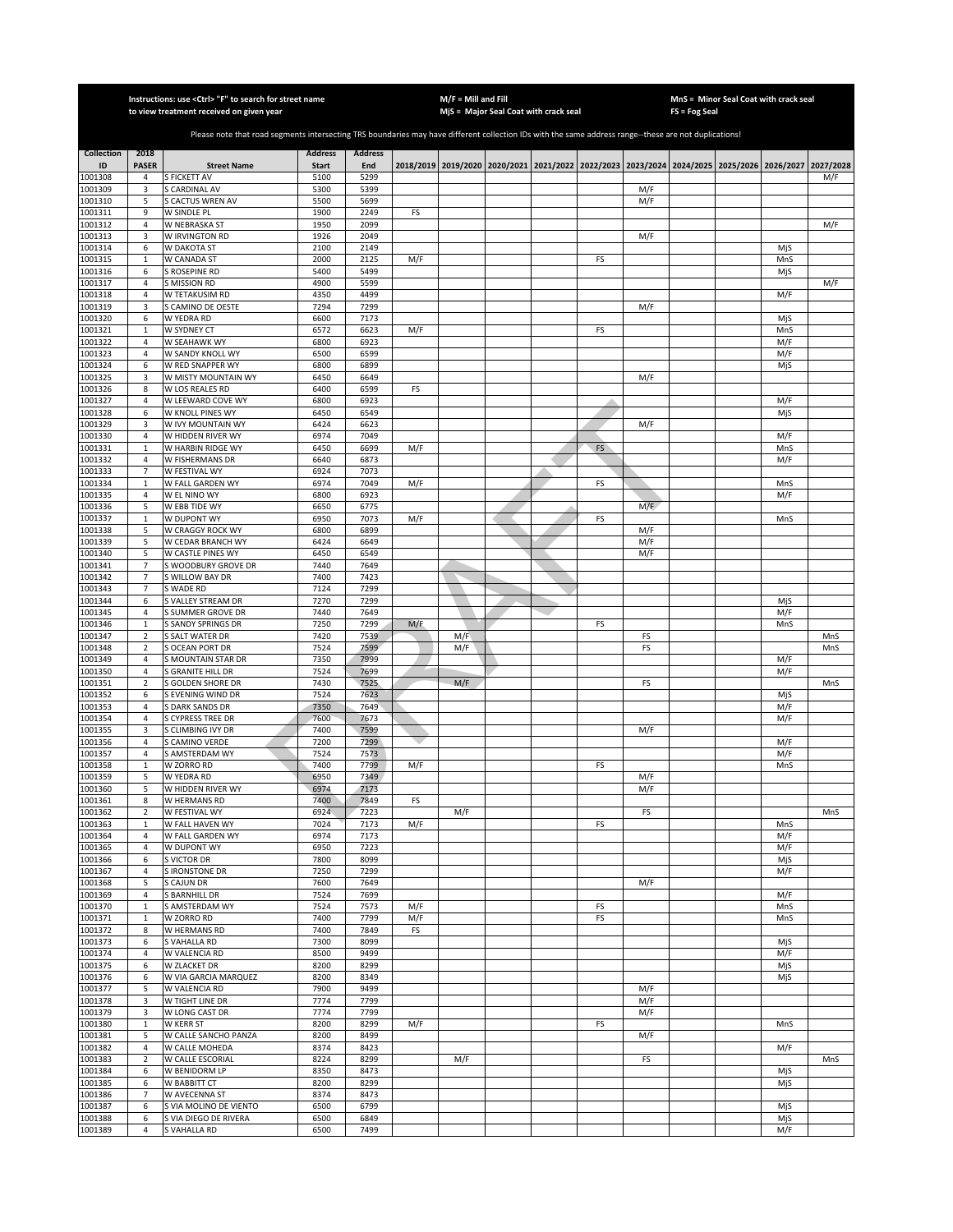|                    |                                  | Instructions: use <ctrl> "F" to search for street name<br/>to view treatment received on given year</ctrl>                                            |                |                |     | $M/F =$ Mill and Fill | MjS = Major Seal Coat with crack seal |           |            | FS = Fog Seal | MnS = Minor Seal Coat with crack seal                                                     |            |            |
|--------------------|----------------------------------|-------------------------------------------------------------------------------------------------------------------------------------------------------|----------------|----------------|-----|-----------------------|---------------------------------------|-----------|------------|---------------|-------------------------------------------------------------------------------------------|------------|------------|
|                    |                                  |                                                                                                                                                       |                |                |     |                       |                                       |           |            |               |                                                                                           |            |            |
|                    |                                  | Please note that road segments intersecting TRS boundaries may have different collection IDs with the same address range--these are not duplications! |                |                |     |                       |                                       |           |            |               |                                                                                           |            |            |
| <b>Collection</b>  | 2018                             |                                                                                                                                                       | <b>Address</b> | <b>Address</b> |     |                       |                                       |           |            |               |                                                                                           |            |            |
| ID                 | <b>PASER</b>                     | <b>Street Name</b>                                                                                                                                    | <b>Start</b>   | End            |     |                       |                                       |           |            |               | 2018/2019 2019/2020 2020/2021 2021/2022 2022/2023 2023/2024 2024/2025 2025/2026 2026/2027 |            | 2027/2028  |
| 1001308            | 4                                | S FICKETT AV                                                                                                                                          | 5100           | 5299           |     |                       |                                       |           |            |               |                                                                                           |            | M/F        |
| 1001309<br>1001310 | 3<br>5                           | S CARDINAL AV<br><b>S CACTUS WREN AV</b>                                                                                                              | 5300<br>5500   | 5399<br>5699   |     |                       |                                       |           | M/F<br>M/F |               |                                                                                           |            |            |
| 1001311            | 9                                | W SINDLE PL                                                                                                                                           | 1900           | 2249           | FS  |                       |                                       |           |            |               |                                                                                           |            |            |
| 1001312            | $\overline{4}$                   | W NEBRASKA ST                                                                                                                                         | 1950           | 2099           |     |                       |                                       |           |            |               |                                                                                           |            | M/F        |
| 1001313            | 3                                | W IRVINGTON RD                                                                                                                                        | 1926           | 2049           |     |                       |                                       |           | M/F        |               |                                                                                           |            |            |
| 1001314<br>1001315 | 6<br>$\mathbf 1$                 | W DAKOTA ST<br>W CANADA ST                                                                                                                            | 2100<br>2000   | 2149<br>2125   | M/F |                       |                                       | FS        |            |               |                                                                                           | MiS<br>MnS |            |
| 1001316            | 6                                | S ROSEPINE RD                                                                                                                                         | 5400           | 5499           |     |                       |                                       |           |            |               |                                                                                           | MjS        |            |
| 1001317            | $\sqrt{4}$                       | S MISSION RD                                                                                                                                          | 4900           | 5599           |     |                       |                                       |           |            |               |                                                                                           |            | M/F        |
| 1001318            | $\sqrt{4}$                       | W TETAKUSIM RD                                                                                                                                        | 4350           | 4499           |     |                       |                                       |           |            |               |                                                                                           | M/F        |            |
| 1001319            | 3                                | <b>SCAMINO DE OESTE</b>                                                                                                                               | 7294           | 7299           |     |                       |                                       |           | M/F        |               |                                                                                           |            |            |
| 1001320<br>1001321 | 6<br>$\mathbf{1}$                | W YEDRA RD<br>W SYDNEY CT                                                                                                                             | 6600<br>6572   | 7173<br>6623   | M/F |                       |                                       | FS        |            |               |                                                                                           | MjS<br>MnS |            |
| 1001322            | $\sqrt{4}$                       | W SEAHAWK WY                                                                                                                                          | 6800           | 6923           |     |                       |                                       |           |            |               |                                                                                           | M/F        |            |
| 1001323            | $\overline{4}$                   | W SANDY KNOLL WY                                                                                                                                      | 6500           | 6599           |     |                       |                                       |           |            |               |                                                                                           | M/F        |            |
| 001324             | 6                                | W RED SNAPPER WY                                                                                                                                      | 6800           | 6899           |     |                       |                                       |           |            |               |                                                                                           | MjS        |            |
| 1001325            | 3                                | W MISTY MOUNTAIN WY                                                                                                                                   | 6450           | 6649           |     |                       |                                       |           | M/F        |               |                                                                                           |            |            |
| 1001326            | $\bf 8$<br>$\sqrt{4}$            | W LOS REALES RD                                                                                                                                       | 6400<br>6800   | 6599<br>6923   | FS  |                       |                                       |           |            |               |                                                                                           |            |            |
| 1001327<br>1001328 | 6                                | W LEEWARD COVE WY<br>W KNOLL PINES WY                                                                                                                 | 6450           | 6549           |     |                       |                                       |           |            |               |                                                                                           | M/F<br>MjS |            |
| 1001329            | 3                                | W IVY MOUNTAIN WY                                                                                                                                     | 6424           | 6623           |     |                       |                                       |           | M/F        |               |                                                                                           |            |            |
| 1001330            | $\overline{4}$                   | W HIDDEN RIVER WY                                                                                                                                     | 6974           | 7049           |     |                       |                                       |           |            |               |                                                                                           | M/F        |            |
| 1001331            | $\mathbf{1}$                     | W HARBIN RIDGE WY                                                                                                                                     | 6450           | 6699           | M/F |                       |                                       | <b>FS</b> |            |               |                                                                                           | MnS        |            |
| 001332             | 4                                | W FISHERMANS DR                                                                                                                                       | 6640           | 6873           |     |                       |                                       |           |            |               |                                                                                           | M/F        |            |
| 1001333            | $\overline{7}$                   | W FESTIVAL WY                                                                                                                                         | 6924           | 7073           |     |                       |                                       |           |            |               |                                                                                           |            |            |
| 1001334<br>1001335 | $\mathbf 1$<br>$\overline{4}$    | W FALL GARDEN WY<br>W EL NINO WY                                                                                                                      | 6974<br>6800   | 7049<br>6923   | M/F |                       |                                       | FS        |            |               |                                                                                           | MnS<br>M/F |            |
| 1001336            | 5                                | W EBB TIDE WY                                                                                                                                         | 6650           | 6775           |     |                       |                                       |           | M/F        |               |                                                                                           |            |            |
| 1001337            | $\mathbf{1}$                     | W DUPONT WY                                                                                                                                           | 6950           | 7073           | M/F |                       |                                       | FS        |            |               |                                                                                           | MnS        |            |
| 1001338            | 5                                | W CRAGGY ROCK WY                                                                                                                                      | 6800           | 6899           |     |                       |                                       |           | M/F        |               |                                                                                           |            |            |
| 1001339            | 5                                | W CEDAR BRANCH WY                                                                                                                                     | 6424           | 6649           |     |                       |                                       |           | M/F        |               |                                                                                           |            |            |
| 1001340<br>1001341 | 5<br>$\overline{7}$              | W CASTLE PINES WY<br>WOODBURY GROVE DR                                                                                                                | 6450<br>7440   | 6549<br>7649   |     |                       |                                       |           | M/F        |               |                                                                                           |            |            |
| 1001342            | $\overline{\phantom{a}}$         | WILLOW BAY DR                                                                                                                                         | 7400           | 7423           |     |                       |                                       |           |            |               |                                                                                           |            |            |
| 1001343            | $\overline{7}$                   | SWADE RD                                                                                                                                              | 7124           | 7299           |     |                       |                                       |           |            |               |                                                                                           |            |            |
| 1001344            | 6                                | VALLEY STREAM DR                                                                                                                                      | 7270           | 7299           |     |                       |                                       |           |            |               |                                                                                           | MjS        |            |
| 1001345            | $\sqrt{4}$                       | S SUMMER GROVE DR                                                                                                                                     | 7440           | 7649           |     |                       |                                       |           |            |               |                                                                                           | M/F        |            |
| 1001346            | $\mathbf{1}$                     | S SANDY SPRINGS DR                                                                                                                                    | 7250           | 7299           | M/F |                       |                                       | FS        |            |               |                                                                                           | MnS        |            |
| 1001347<br>1001348 | $\overline{2}$<br>$\overline{2}$ | S SALT WATER DR<br>S OCEAN PORT DR                                                                                                                    | 7420<br>7524   | 7539<br>7599   |     | M/F<br>M/F            |                                       |           | FS<br>FS   |               |                                                                                           |            | MnS<br>MnS |
| 1001349            | $\sqrt{4}$                       | S MOUNTAIN STAR DR                                                                                                                                    | 7350           | 7999           |     |                       |                                       |           |            |               |                                                                                           | M/F        |            |
| 1001350            | $\overline{4}$                   | S GRANITE HILL DR                                                                                                                                     | 7524           | 7699           |     |                       |                                       |           |            |               |                                                                                           | M/F        |            |
| 1001351            | $\overline{2}$                   | S GOLDEN SHORE DR                                                                                                                                     | 7430           | 7525           |     | M/F                   |                                       |           | FS         |               |                                                                                           |            | MnS        |
| 1001352            | 6                                | S EVENING WIND DR                                                                                                                                     | 7524           | 7623           |     |                       |                                       |           |            |               |                                                                                           | MjS        |            |
| 1001353            | $\overline{4}$                   | S DARK SANDS DR                                                                                                                                       | 7350           | 7649           |     |                       |                                       |           |            |               |                                                                                           | M/F        |            |
| 1001354<br>1001355 | $\overline{4}$<br>3              | <b>CYPRESS TREE DR</b><br>CLIMBING IVY DR                                                                                                             | 7600<br>7400   | 7673<br>7599   |     |                       |                                       |           | M/F        |               |                                                                                           | M/F        |            |
| 1001356            | 4                                | CAMINO VERDE                                                                                                                                          | 7200           | 7299           |     |                       |                                       |           |            |               |                                                                                           | M/F        |            |
| 1001357            | $\overline{4}$                   | <b>AMSTERDAM WY</b>                                                                                                                                   | 7524           | 7573           |     |                       |                                       |           |            |               |                                                                                           | M/F        |            |
| 1001358            | $\mathbf{1}$                     | W ZORRO RD                                                                                                                                            | 7400           | 7799           | M/F |                       |                                       | FS        |            |               |                                                                                           | MnS        |            |
| 1001359            | 5                                | W YEDRA RD                                                                                                                                            | 6950           | 7349           |     |                       |                                       |           | M/F        |               |                                                                                           |            |            |
| 1001360<br>1001361 | 5                                | W HIDDEN RIVER WY                                                                                                                                     | 6974           | 7173           |     |                       |                                       |           | M/F        |               |                                                                                           |            |            |
| 1001362            | 8<br>$\overline{2}$              | W HERMANS RD<br>W FESTIVAL WY                                                                                                                         | 7400<br>6924   | 7849<br>7223   | FS  | M/F                   |                                       |           | FS         |               |                                                                                           |            | MnS        |
| 1001363            | $\mathbf{1}$                     | W FALL HAVEN WY                                                                                                                                       | 7024           | 7173           | M/F |                       |                                       | FS        |            |               |                                                                                           | MnS        |            |
| 1001364            | $\overline{4}$                   | W FALL GARDEN WY                                                                                                                                      | 6974           | 7173           |     |                       |                                       |           |            |               |                                                                                           | M/F        |            |
| 1001365            | $\sqrt{4}$                       | W DUPONT WY                                                                                                                                           | 6950           | 7223           |     |                       |                                       |           |            |               |                                                                                           | M/F        |            |
| 1001366            | 6                                | S VICTOR DR                                                                                                                                           | 7800           | 8099           |     |                       |                                       |           |            |               |                                                                                           | MjS        |            |
| 1001367<br>1001368 | 4<br>5                           | S IRONSTONE DR<br>S CAJUN DR                                                                                                                          | 7250<br>7600   | 7299<br>7649   |     |                       |                                       |           | M/F        |               |                                                                                           | M/F        |            |
| 1001369            | $\overline{4}$                   | S BARNHILL DR                                                                                                                                         | 7524           | 7699           |     |                       |                                       |           |            |               |                                                                                           | M/F        |            |
| 1001370            | $\mathbf 1$                      | S AMSTERDAM WY                                                                                                                                        | 7524           | 7573           | M/F |                       |                                       | FS        |            |               |                                                                                           | MnS        |            |
| 1001371            | $\mathbf{1}$                     | W ZORRO RD                                                                                                                                            | 7400           | 7799           | M/F |                       |                                       | FS        |            |               |                                                                                           | MnS        |            |
| 1001372            | 8                                | W HERMANS RD                                                                                                                                          | 7400           | 7849           | FS  |                       |                                       |           |            |               |                                                                                           |            |            |
| 1001373            | 6                                | S VAHALLA RD                                                                                                                                          | 7300<br>8500   | 8099           |     |                       |                                       |           |            |               |                                                                                           | MjS<br>M/F |            |
| 1001374<br>1001375 | $\overline{4}$<br>6              | W VALENCIA RD<br>W ZLACKET DR                                                                                                                         | 8200           | 9499<br>8299   |     |                       |                                       |           |            |               |                                                                                           | MjS        |            |
| 1001376            | 6                                | W VIA GARCIA MARQUEZ                                                                                                                                  | 8200           | 8349           |     |                       |                                       |           |            |               |                                                                                           | MjS        |            |
| 1001377            | 5                                | W VALENCIA RD                                                                                                                                         | 7900           | 9499           |     |                       |                                       |           | M/F        |               |                                                                                           |            |            |
| 1001378            | 3                                | W TIGHT LINE DR                                                                                                                                       | 7774           | 7799           |     |                       |                                       |           | M/F        |               |                                                                                           |            |            |
| 1001379            | 3                                | W LONG CAST DR                                                                                                                                        | 7774           | 7799           |     |                       |                                       |           | M/F        |               |                                                                                           |            |            |
| 1001380            | $\mathbf{1}$                     | W KERR ST                                                                                                                                             | 8200           | 8299           | M/F |                       |                                       | FS        |            |               |                                                                                           | MnS        |            |
| 1001381<br>1001382 | 5<br>$\overline{4}$              | W CALLE SANCHO PANZA<br>W CALLE MOHEDA                                                                                                                | 8200<br>8374   | 8499<br>8423   |     |                       |                                       |           | M/F        |               |                                                                                           | M/F        |            |
| 1001383            | $\overline{2}$                   | W CALLE ESCORIAL                                                                                                                                      | 8224           | 8299           |     | M/F                   |                                       |           | FS         |               |                                                                                           |            | MnS        |
| 1001384            | 6                                | W BENIDORM LP                                                                                                                                         | 8350           | 8473           |     |                       |                                       |           |            |               |                                                                                           | MjS        |            |
| 1001385            | 6                                | W BABBITT CT                                                                                                                                          | 8200           | 8299           |     |                       |                                       |           |            |               |                                                                                           | MjS        |            |
| 1001386            | 7                                | W AVECENNA ST                                                                                                                                         | 8374           | 8473           |     |                       |                                       |           |            |               |                                                                                           |            |            |
| 1001387<br>1001388 | 6<br>6                           | S VIA MOLINO DE VIENTO<br>S VIA DIEGO DE RIVERA                                                                                                       | 6500<br>6500   | 6799<br>6849   |     |                       |                                       |           |            |               |                                                                                           | MjS<br>MjS |            |
| 1001389            | $\overline{4}$                   | S VAHALLA RD                                                                                                                                          | 6500           | 7499           |     |                       |                                       |           |            |               |                                                                                           | M/F        |            |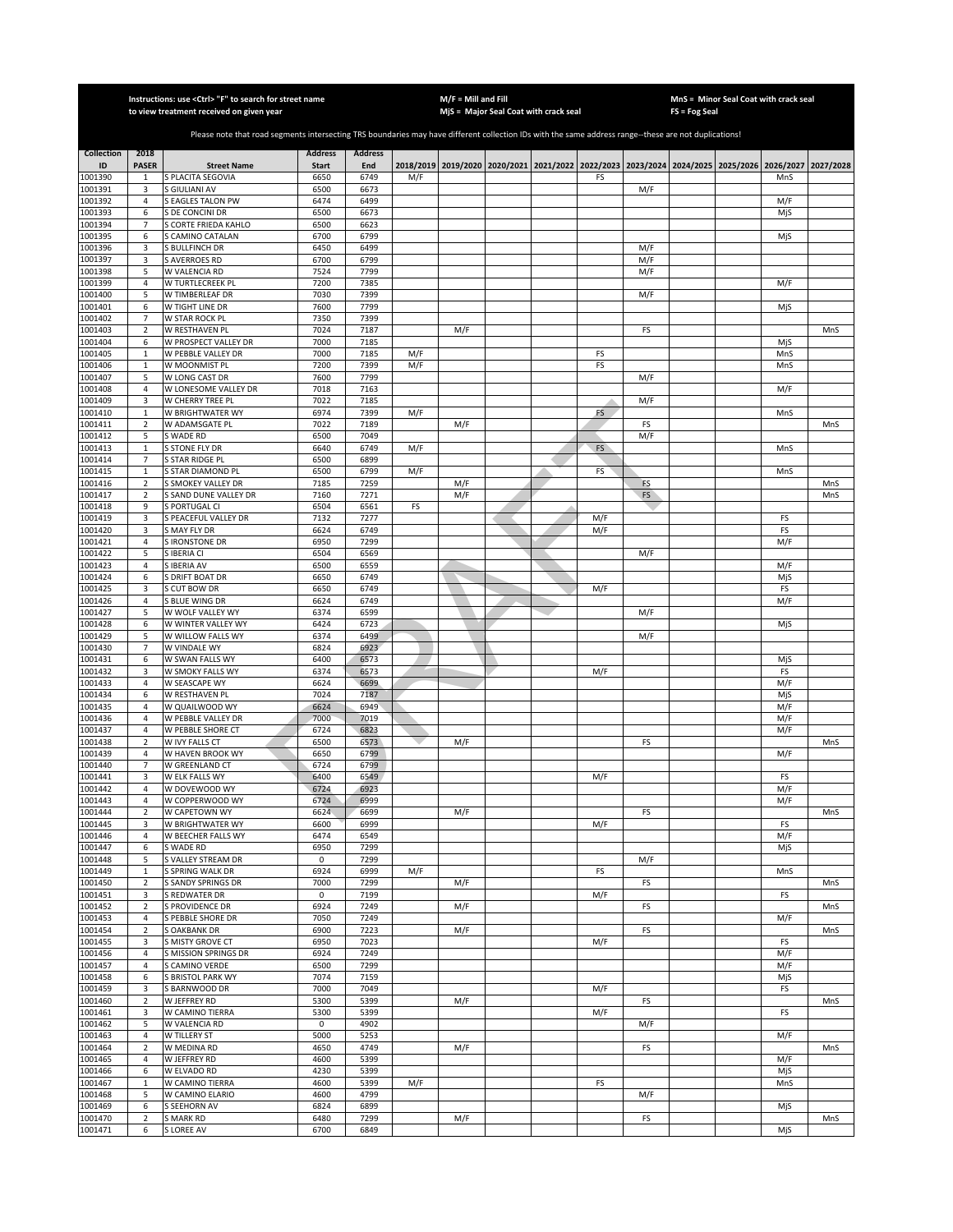|                    |                                  | Instructions: use < Ctrl> "F" to search for street name<br>to view treatment received on given year                                                   |                      |                |            | $M/F =$ Mill and Fill | MjS = Major Seal Coat with crack seal                                           |          |           | <b>FS = Fog Seal</b> | MnS = Minor Seal Coat with crack seal |                  |            |
|--------------------|----------------------------------|-------------------------------------------------------------------------------------------------------------------------------------------------------|----------------------|----------------|------------|-----------------------|---------------------------------------------------------------------------------|----------|-----------|----------------------|---------------------------------------|------------------|------------|
|                    |                                  |                                                                                                                                                       |                      |                |            |                       |                                                                                 |          |           |                      |                                       |                  |            |
|                    |                                  | Please note that road segments intersecting TRS boundaries may have different collection IDs with the same address range--these are not duplications! |                      |                |            |                       |                                                                                 |          |           |                      |                                       |                  |            |
| <b>Collection</b>  | 2018                             |                                                                                                                                                       | <b>Address</b>       | <b>Address</b> |            |                       |                                                                                 |          |           |                      |                                       |                  |            |
| ID<br>1001390      | <b>PASER</b><br>$\mathbf{1}$     | <b>Street Name</b><br>S PLACITA SEGOVIA                                                                                                               | <b>Start</b><br>6650 | End<br>6749    | M/F        |                       | 2018/2019 2019/2020 2020/2021 2021/2022 2022/2023 2023/2024 2024/2025 2025/2026 | FS       |           |                      |                                       | 2026/2027<br>MnS | 2027/2028  |
| 1001391            | 3                                | S GIULIANI AV                                                                                                                                         | 6500                 | 6673           |            |                       |                                                                                 |          | M/F       |                      |                                       |                  |            |
| 1001392            | $\overline{4}$                   | <b>S EAGLES TALON PW</b>                                                                                                                              | 6474                 | 6499           |            |                       |                                                                                 |          |           |                      |                                       | M/F              |            |
| 1001393            | 6                                | S DE CONCINI DR                                                                                                                                       | 6500                 | 6673           |            |                       |                                                                                 |          |           |                      |                                       | MjS              |            |
| 1001394<br>1001395 | $\overline{7}$<br>6              | S CORTE FRIEDA KAHLO<br>S CAMINO CATALAN                                                                                                              | 6500<br>6700         | 6623<br>6799   |            |                       |                                                                                 |          |           |                      |                                       | MjS              |            |
| 1001396            | 3                                | <b>S BULLFINCH DR</b>                                                                                                                                 | 6450                 | 6499           |            |                       |                                                                                 |          | M/F       |                      |                                       |                  |            |
| 1001397            | 3                                | <b>S AVERROES RD</b>                                                                                                                                  | 6700                 | 6799           |            |                       |                                                                                 |          | M/F       |                      |                                       |                  |            |
| 1001398            | 5                                | W VALENCIA RD                                                                                                                                         | 7524                 | 7799           |            |                       |                                                                                 |          | M/F       |                      |                                       |                  |            |
| 1001399<br>1001400 | 4<br>5                           | W TURTLECREEK PL<br>W TIMBERLEAF DR                                                                                                                   | 7200<br>7030         | 7385<br>7399   |            |                       |                                                                                 |          | M/F       |                      |                                       | M/F              |            |
| 1001401            | 6                                | W TIGHT LINE DR                                                                                                                                       | 7600                 | 7799           |            |                       |                                                                                 |          |           |                      |                                       | MjS              |            |
| 1001402            | $\overline{7}$                   | W STAR ROCK PL                                                                                                                                        | 7350                 | 7399           |            |                       |                                                                                 |          |           |                      |                                       |                  |            |
| 1001403            | $\mathbf 2$                      | W RESTHAVEN PL                                                                                                                                        | 7024                 | 7187           |            | M/F                   |                                                                                 |          | FS        |                      |                                       |                  | MnS        |
| 1001404            | 6                                | W PROSPECT VALLEY DR                                                                                                                                  | 7000<br>7000         | 7185           |            |                       |                                                                                 |          |           |                      |                                       | MjS              |            |
| 1001405<br>1001406 | $\mathbf 1$<br>$\,1\,$           | W PEBBLE VALLEY DR<br>W MOONMIST PL                                                                                                                   | 7200                 | 7185<br>7399   | M/F<br>M/F |                       |                                                                                 | FS<br>FS |           |                      |                                       | MnS<br>MnS       |            |
| 1001407            | 5                                | W LONG CAST DR                                                                                                                                        | 7600                 | 7799           |            |                       |                                                                                 |          | M/F       |                      |                                       |                  |            |
| 1001408            | 4                                | W LONESOME VALLEY DR                                                                                                                                  | 7018                 | 7163           |            |                       |                                                                                 |          |           |                      |                                       | M/F              |            |
| 1001409            | 3                                | W CHERRY TREE PL                                                                                                                                      | 7022                 | 7185           |            |                       |                                                                                 |          | M/F       |                      |                                       |                  |            |
| 1001410            | $\mathbf{1}$<br>$\overline{2}$   | W BRIGHTWATER WY                                                                                                                                      | 6974<br>7022         | 7399<br>7189   | M/F        |                       |                                                                                 | FS       |           |                      |                                       | MnS              |            |
| 1001411<br>1001412 | 5                                | W ADAMSGATE PL<br>S WADE RD                                                                                                                           | 6500                 | 7049           |            | M/F                   |                                                                                 |          | FS<br>M/F |                      |                                       |                  | MnS        |
| 1001413            | $\mathbf{1}$                     | S STONE FLY DR                                                                                                                                        | 6640                 | 6749           | M/F        |                       |                                                                                 | FS       |           |                      |                                       | MnS              |            |
| 1001414            | 7                                | <b>S STAR RIDGE PL</b>                                                                                                                                | 6500                 | 6899           |            |                       |                                                                                 |          |           |                      |                                       |                  |            |
| 1001415            | $\mathbf{1}$                     | <b>S STAR DIAMOND PL</b>                                                                                                                              | 6500                 | 6799           | M/F        |                       |                                                                                 | FS       |           |                      |                                       | MnS              |            |
| 1001416<br>1001417 | $\overline{2}$<br>$\overline{2}$ | S SMOKEY VALLEY DR<br>S SAND DUNE VALLEY DR                                                                                                           | 7185<br>7160         | 7259<br>7271   |            | M/F<br>M/F            |                                                                                 |          | FS<br>FS  |                      |                                       |                  | MnS<br>MnS |
| 1001418            | 9                                | S PORTUGAL CI                                                                                                                                         | 6504                 | 6561           | FS         |                       |                                                                                 |          |           |                      |                                       |                  |            |
| 1001419            | 3                                | S PEACEFUL VALLEY DR                                                                                                                                  | 7132                 | 7277           |            |                       |                                                                                 | M/F      |           |                      |                                       | FS               |            |
| 1001420            | 3                                | S MAY FLY DR                                                                                                                                          | 6624                 | 6749           |            |                       |                                                                                 | M/F      |           |                      |                                       | FS               |            |
| 1001421            | $\overline{4}$                   | <b>S IRONSTONE DR</b>                                                                                                                                 | 6950                 | 7299           |            |                       |                                                                                 |          |           |                      |                                       | M/F              |            |
| 1001422<br>1001423 | 5<br>4                           | S IBERIA CI<br>S IBERIA AV                                                                                                                            | 6504<br>6500         | 6569<br>6559   |            |                       |                                                                                 |          | M/F       |                      |                                       | M/F              |            |
| 1001424            | 6                                | S DRIFT BOAT DR                                                                                                                                       | 6650                 | 6749           |            |                       |                                                                                 |          |           |                      |                                       | MjS              |            |
| 1001425            | 3                                | S CUT BOW DR                                                                                                                                          | 6650                 | 6749           |            |                       |                                                                                 | M/F      |           |                      |                                       | FS               |            |
| 1001426            | 4                                | S BLUE WING DR                                                                                                                                        | 6624                 | 6749           |            |                       |                                                                                 |          |           |                      |                                       | M/F              |            |
| 1001427<br>1001428 | 5<br>6                           | W WOLF VALLEY WY<br>W WINTER VALLEY WY                                                                                                                | 6374<br>6424         | 6599<br>6723   |            |                       |                                                                                 |          | M/F       |                      |                                       |                  |            |
| 1001429            | 5                                | W WILLOW FALLS WY                                                                                                                                     | 6374                 | 6499           |            |                       |                                                                                 |          | M/F       |                      |                                       | MjS              |            |
| 1001430            | $\overline{7}$                   | W VINDALE WY                                                                                                                                          | 6824                 | 6923           |            |                       |                                                                                 |          |           |                      |                                       |                  |            |
| 1001431            | 6                                | W SWAN FALLS WY                                                                                                                                       | 6400                 | 6573           |            |                       |                                                                                 |          |           |                      |                                       | MjS              |            |
| 1001432            | 3                                | W SMOKY FALLS WY                                                                                                                                      | 6374                 | 6573           |            |                       |                                                                                 | M/F      |           |                      |                                       | FS               |            |
| 1001433<br>1001434 | 4<br>6                           | W SEASCAPE WY<br>W RESTHAVEN PL                                                                                                                       | 6624<br>7024         | 6699<br>7187   |            |                       |                                                                                 |          |           |                      |                                       | M/F<br>MjS       |            |
| 1001435            | 4                                | W QUAILWOOD WY                                                                                                                                        | 6624                 | 6949           |            |                       |                                                                                 |          |           |                      |                                       | M/F              |            |
| 1001436            | $\overline{4}$                   | W PEBBLE VALLEY DR                                                                                                                                    | 7000                 | 7019           |            |                       |                                                                                 |          |           |                      |                                       | M/F              |            |
| 1001437            | 4                                | W PEBBLE SHORE CT                                                                                                                                     | 6724                 | 6823           |            |                       |                                                                                 |          |           |                      |                                       | M/F              |            |
| 1001438<br>1001439 | $\overline{2}$<br>4              | W IVY FALLS CT<br>W HAVEN BROOK WY                                                                                                                    | 6500<br>6650         | 6573<br>6799   |            | M/F                   |                                                                                 |          | FS        |                      |                                       | M/F              | MnS        |
| 1001440            | 7                                | W GREENLAND CT                                                                                                                                        | 6724                 | 6799           |            |                       |                                                                                 |          |           |                      |                                       |                  |            |
| 1001441            | 3                                | W ELK FALLS WY                                                                                                                                        | 6400                 | 6549           |            |                       |                                                                                 | M/F      |           |                      |                                       | FS               |            |
| 1001442            | $\overline{4}$                   | W DOVEWOOD WY                                                                                                                                         | 6724                 | 6923           |            |                       |                                                                                 |          |           |                      |                                       | M/F              |            |
| 1001443            | 4                                | W COPPERWOOD WY                                                                                                                                       | 6724                 | 6999           |            |                       |                                                                                 |          |           |                      |                                       | M/F              |            |
| 1001444<br>1001445 | $\overline{2}$<br>3              | W CAPETOWN WY<br>W BRIGHTWATER WY                                                                                                                     | 6624<br>6600         | 6699<br>6999   |            | M/F                   |                                                                                 | M/F      | FS        |                      |                                       | FS               | MnS        |
| 1001446            | $\sqrt{4}$                       | W BEECHER FALLS WY                                                                                                                                    | 6474                 | 6549           |            |                       |                                                                                 |          |           |                      |                                       | M/F              |            |
| 1001447            | 6                                | S WADE RD                                                                                                                                             | 6950                 | 7299           |            |                       |                                                                                 |          |           |                      |                                       | MjS              |            |
| 1001448            | 5                                | S VALLEY STREAM DR                                                                                                                                    | $\mathsf 0$          | 7299           |            |                       |                                                                                 |          | M/F       |                      |                                       |                  |            |
| 1001449<br>1001450 | 1<br>$\mathbf 2$                 | S SPRING WALK DR<br>S SANDY SPRINGS DR                                                                                                                | 6924<br>7000         | 6999<br>7299   | M/F        | M/F                   |                                                                                 | FS       | FS        |                      |                                       | MnS              | MnS        |
| 1001451            | 3                                | S REDWATER DR                                                                                                                                         | 0                    | 7199           |            |                       |                                                                                 | M/F      |           |                      |                                       | FS               |            |
| 1001452            | $\mathbf 2$                      | <b>S PROVIDENCE DR</b>                                                                                                                                | 6924                 | 7249           |            | M/F                   |                                                                                 |          | FS        |                      |                                       |                  | MnS        |
| 1001453            | 4                                | S PEBBLE SHORE DR                                                                                                                                     | 7050                 | 7249           |            |                       |                                                                                 |          |           |                      |                                       | M/F              |            |
| 1001454            | $\overline{2}$                   | <b>S OAKBANK DR</b>                                                                                                                                   | 6900                 | 7223           |            | M/F                   |                                                                                 |          | FS        |                      |                                       |                  | MnS        |
| 1001455<br>1001456 | 3<br>4                           | S MISTY GROVE CT<br>S MISSION SPRINGS DR                                                                                                              | 6950<br>6924         | 7023<br>7249   |            |                       |                                                                                 | M/F      |           |                      |                                       | FS<br>M/F        |            |
| 1001457            | 4                                | S CAMINO VERDE                                                                                                                                        | 6500                 | 7299           |            |                       |                                                                                 |          |           |                      |                                       | M/F              |            |
| 1001458            | 6                                | S BRISTOL PARK WY                                                                                                                                     | 7074                 | 7159           |            |                       |                                                                                 |          |           |                      |                                       | MjS              |            |
| 1001459            | 3                                | S BARNWOOD DR                                                                                                                                         | 7000                 | 7049           |            |                       |                                                                                 | M/F      |           |                      |                                       | FS               |            |
| 1001460            | 2                                | W JEFFREY RD                                                                                                                                          | 5300                 | 5399           |            | M/F                   |                                                                                 |          | FS        |                      |                                       |                  | MnS        |
| 1001461<br>1001462 | 3<br>5                           | W CAMINO TIERRA<br>W VALENCIA RD                                                                                                                      | 5300<br>0            | 5399<br>4902   |            |                       |                                                                                 | M/F      | M/F       |                      |                                       | FS               |            |
| 1001463            | 4                                | W TILLERY ST                                                                                                                                          | 5000                 | 5253           |            |                       |                                                                                 |          |           |                      |                                       | M/F              |            |
| 1001464            | 2                                | W MEDINA RD                                                                                                                                           | 4650                 | 4749           |            | M/F                   |                                                                                 |          | FS        |                      |                                       |                  | MnS        |
| 1001465            | 4                                | W JEFFREY RD                                                                                                                                          | 4600                 | 5399           |            |                       |                                                                                 |          |           |                      |                                       | M/F              |            |
| 1001466            | 6                                | W ELVADO RD                                                                                                                                           | 4230                 | 5399           |            |                       |                                                                                 |          |           |                      |                                       | MjS              |            |
| 1001467<br>1001468 | $\mathbf{1}$<br>5                | W CAMINO TIERRA<br>W CAMINO ELARIO                                                                                                                    | 4600<br>4600         | 5399<br>4799   | M/F        |                       |                                                                                 | FS       | M/F       |                      |                                       | MnS              |            |
| 1001469            | 6                                | <b>S SEEHORN AV</b>                                                                                                                                   | 6824                 | 6899           |            |                       |                                                                                 |          |           |                      |                                       | MjS              |            |
| 1001470            | $\overline{2}$                   | <b>S MARK RD</b>                                                                                                                                      | 6480                 | 7299           |            | M/F                   |                                                                                 |          | FS        |                      |                                       |                  | MnS        |
| 1001471            | 6                                | <b>SLOREE AV</b>                                                                                                                                      | 6700                 | 6849           |            |                       |                                                                                 |          |           |                      |                                       | MjS              |            |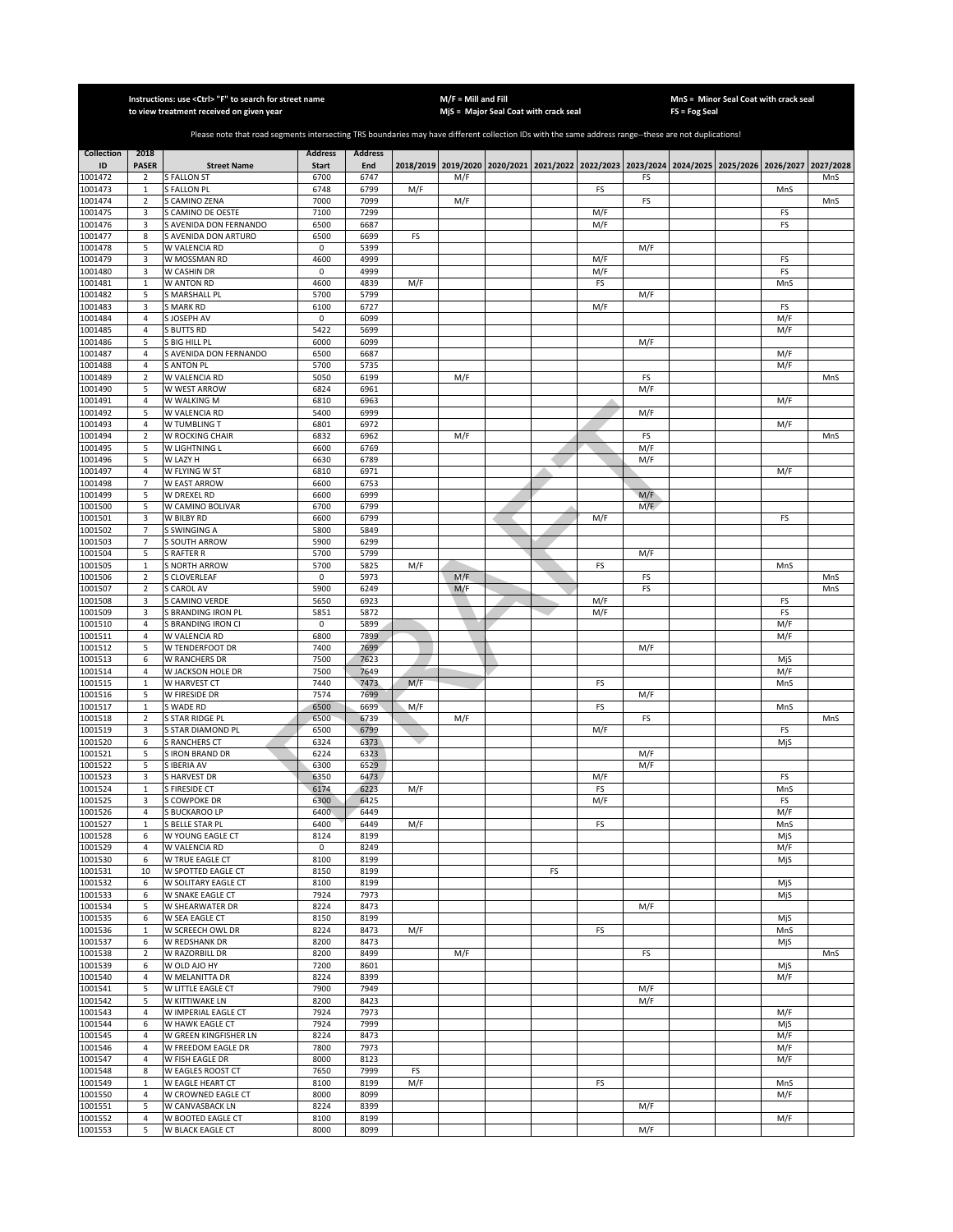|                    |                                  | Instructions: use <ctrl> "F" to search for street name<br/>to view treatment received on given year</ctrl>                                            |                     |                |     | $M/F =$ Mill and Fill | MjS = Major Seal Coat with crack seal                                                     |    |            |            | FS = Fog Seal | MnS = Minor Seal Coat with crack seal |            |           |
|--------------------|----------------------------------|-------------------------------------------------------------------------------------------------------------------------------------------------------|---------------------|----------------|-----|-----------------------|-------------------------------------------------------------------------------------------|----|------------|------------|---------------|---------------------------------------|------------|-----------|
|                    |                                  |                                                                                                                                                       |                     |                |     |                       |                                                                                           |    |            |            |               |                                       |            |           |
|                    |                                  | Please note that road segments intersecting TRS boundaries may have different collection IDs with the same address range--these are not duplications! |                     |                |     |                       |                                                                                           |    |            |            |               |                                       |            |           |
| <b>Collection</b>  | 2018                             |                                                                                                                                                       | <b>Address</b>      | <b>Address</b> |     |                       |                                                                                           |    |            |            |               |                                       |            |           |
| ID                 | <b>PASER</b>                     | <b>Street Name</b>                                                                                                                                    | <b>Start</b>        | End            |     |                       | 2018/2019 2019/2020 2020/2021 2021/2022 2022/2023 2023/2024 2024/2025 2025/2026 2026/2027 |    |            |            |               |                                       |            | 2027/2028 |
| 1001472            | $\overline{2}$                   | <b>S FALLON ST</b>                                                                                                                                    | 6700                | 6747           |     | M/F                   |                                                                                           |    |            | FS         |               |                                       |            | MnS       |
| 1001473<br>1001474 | $\mathbf 1$<br>$\overline{2}$    | <b>S FALLON PL</b><br>S CAMINO ZENA                                                                                                                   | 6748<br>7000        | 6799<br>7099   | M/F | M/F                   |                                                                                           |    | FS         | FS         |               |                                       | MnS        | MnS       |
| 1001475            | 3                                | S CAMINO DE OESTE                                                                                                                                     | 7100                | 7299           |     |                       |                                                                                           |    | M/F        |            |               |                                       | FS         |           |
| 1001476            | 3                                | S AVENIDA DON FERNANDO                                                                                                                                | 6500                | 6687           |     |                       |                                                                                           |    | M/F        |            |               |                                       | FS         |           |
| 1001477            | 8                                | S AVENIDA DON ARTURO                                                                                                                                  | 6500                | 6699           | FS  |                       |                                                                                           |    |            |            |               |                                       |            |           |
| 1001478            | 5                                | W VALENCIA RD                                                                                                                                         | $\mathbf 0$         | 5399           |     |                       |                                                                                           |    |            | M/F        |               |                                       |            |           |
| 1001479<br>1001480 | 3<br>3                           | W MOSSMAN RD<br>W CASHIN DR                                                                                                                           | 4600<br>0           | 4999<br>4999   |     |                       |                                                                                           |    | M/F<br>M/F |            |               |                                       | FS<br>FS   |           |
| 1001481            | $\mathbf 1$                      | W ANTON RD                                                                                                                                            | 4600                | 4839           | M/F |                       |                                                                                           |    | FS         |            |               |                                       | MnS        |           |
| 1001482            | 5                                | S MARSHALL PL                                                                                                                                         | 5700                | 5799           |     |                       |                                                                                           |    |            | M/F        |               |                                       |            |           |
| 1001483<br>1001484 | 3<br>$\overline{4}$              | <b>MARK RD</b><br>S JOSEPH AV                                                                                                                         | 6100<br>$\mathsf 0$ | 6727<br>6099   |     |                       |                                                                                           |    | M/F        |            |               |                                       | FS<br>M/F  |           |
| 1001485            | $\overline{4}$                   | S BUTTS RD                                                                                                                                            | 5422                | 5699           |     |                       |                                                                                           |    |            |            |               |                                       | M/F        |           |
| 1001486            | 5                                | S BIG HILL PL                                                                                                                                         | 6000                | 6099           |     |                       |                                                                                           |    |            | M/F        |               |                                       |            |           |
| 1001487            | $\overline{4}$                   | S AVENIDA DON FERNANDO                                                                                                                                | 6500                | 6687           |     |                       |                                                                                           |    |            |            |               |                                       | M/F        |           |
| 001488<br>1001489  | $\overline{4}$<br>$\mathbf 2$    | S ANTON PL<br>W VALENCIA RD                                                                                                                           | 5700<br>5050        | 5735<br>6199   |     |                       |                                                                                           |    |            | FS         |               |                                       | M/F        |           |
| 1001490            | 5                                | W WEST ARROW                                                                                                                                          | 6824                | 6961           |     | M/F                   |                                                                                           |    |            | M/F        |               |                                       |            | MnS       |
| 1001491            | $\overline{4}$                   | W WALKING M                                                                                                                                           | 6810                | 6963           |     |                       |                                                                                           |    |            |            |               |                                       | M/F        |           |
| 1001492            | 5                                | W VALENCIA RD                                                                                                                                         | 5400                | 6999           |     |                       |                                                                                           |    |            | M/F        |               |                                       |            |           |
| 1001493            | $\overline{4}$<br>$\overline{2}$ | W TUMBLING T                                                                                                                                          | 6801                | 6972           |     |                       |                                                                                           |    |            |            |               |                                       | M/F        |           |
| 1001494<br>1001495 | 5                                | W ROCKING CHAIR<br>W LIGHTNING L                                                                                                                      | 6832<br>6600        | 6962<br>6769   |     | M/F                   |                                                                                           |    |            | FS<br>M/F  |               |                                       |            | MnS       |
| 001496             | 5                                | W LAZY H                                                                                                                                              | 6630                | 6789           |     |                       |                                                                                           |    |            | M/F        |               |                                       |            |           |
| 1001497            | $\overline{a}$                   | W FLYING W ST                                                                                                                                         | 6810                | 6971           |     |                       |                                                                                           |    |            |            |               |                                       | M/F        |           |
| 1001498            | $\overline{7}$                   | W EAST ARROW                                                                                                                                          | 6600                | 6753           |     |                       |                                                                                           |    |            |            |               |                                       |            |           |
| 1001499<br>1001500 | 5<br>5                           | W DREXEL RD<br>W CAMINO BOLIVAR                                                                                                                       | 6600<br>6700        | 6999<br>6799   |     |                       |                                                                                           |    |            | M/F<br>M/F |               |                                       |            |           |
| 1001501            | 3                                | W BILBY RD                                                                                                                                            | 6600                | 6799           |     |                       |                                                                                           |    | M/F        |            |               |                                       | FS         |           |
| 1001502            | $\overline{7}$                   | S SWINGING A                                                                                                                                          | 5800                | 5849           |     |                       |                                                                                           |    |            |            |               |                                       |            |           |
| 1001503            | $\overline{7}$                   | S SOUTH ARROW                                                                                                                                         | 5900                | 6299           |     |                       |                                                                                           |    |            |            |               |                                       |            |           |
| 1001504<br>1001505 | 5<br>$\mathbf 1$                 | <b>RAFTER R</b><br><b>SNORTH ARROW</b>                                                                                                                | 5700<br>5700        | 5799<br>5825   | M/F |                       |                                                                                           |    | FS         | M/F        |               |                                       | MnS        |           |
| 1001506            | $\mathbf 2$                      | CLOVERLEAF                                                                                                                                            | 0                   | 5973           |     | M/F                   |                                                                                           |    |            | FS         |               |                                       |            | MnS       |
| 1001507            | $\mathbf 2$                      | GAROL AV                                                                                                                                              | 5900                | 6249           |     | M/F                   |                                                                                           |    |            | FS         |               |                                       |            | MnS       |
| 1001508            | 3                                | <b>CAMINO VERDE</b>                                                                                                                                   | 5650                | 6923           |     |                       |                                                                                           |    | M/F        |            |               |                                       | FS         |           |
| 1001509<br>1001510 | 3<br>$\overline{4}$              | S BRANDING IRON PL<br>S BRANDING IRON CI                                                                                                              | 5851<br>0           | 5872<br>5899   |     |                       |                                                                                           |    | M/F        |            |               |                                       | FS<br>M/F  |           |
| 1001511            | $\overline{4}$                   | W VALENCIA RD                                                                                                                                         | 6800                | 7899           |     |                       |                                                                                           |    |            |            |               |                                       | M/F        |           |
| 1001512            | 5                                | W TENDERFOOT DR                                                                                                                                       | 7400                | 7699           |     |                       |                                                                                           |    |            | M/F        |               |                                       |            |           |
| 1001513            | 6                                | W RANCHERS DR                                                                                                                                         | 7500                | 7623           |     |                       |                                                                                           |    |            |            |               |                                       | MjS        |           |
| 1001514<br>1001515 | $\overline{4}$<br>$\,$ 1         | W JACKSON HOLE DR<br>W HARVEST CT                                                                                                                     | 7500<br>7440        | 7649<br>7473   | M/F |                       |                                                                                           |    | FS         |            |               |                                       | M/F<br>MnS |           |
| 1001516            | 5                                | W FIRESIDE DR                                                                                                                                         | 7574                | 7699           |     |                       |                                                                                           |    |            | M/F        |               |                                       |            |           |
| 1001517            | $\,$ 1                           | S WADE RD                                                                                                                                             | 6500                | 6699           | M/F |                       |                                                                                           |    | FS         |            |               |                                       | MnS        |           |
| 1001518            | $\overline{2}$                   | S STAR RIDGE PL                                                                                                                                       | 6500                | 6739           |     | M/F                   |                                                                                           |    |            | FS         |               |                                       |            | MnS       |
| 1001519<br>1001520 | 3<br>6                           | STAR DIAMOND PL<br>S RANCHERS CT                                                                                                                      | 6500<br>6324        | 6799<br>6373   |     |                       |                                                                                           |    | M/F        |            |               |                                       | FS<br>MjS  |           |
| 1001521            | 5                                | <b>IRON BRAND DR</b>                                                                                                                                  | 6224                | 6323           |     |                       |                                                                                           |    |            | M/F        |               |                                       |            |           |
| 1001522            | 5                                | S IBERIA AV                                                                                                                                           | 6300                | 6529           |     |                       |                                                                                           |    |            | M/F        |               |                                       |            |           |
| 1001523            | 3                                | <b>SHARVEST DR</b>                                                                                                                                    | 6350                | 6473           |     |                       |                                                                                           |    | M/F        |            |               |                                       | FS         |           |
| 1001524<br>1001525 | $\mathbf{1}$<br>3                | S FIRESIDE CT<br>S COWPOKE DR                                                                                                                         | 6174<br>6300        | 6223<br>6425   | M/F |                       |                                                                                           |    | FS<br>M/F  |            |               |                                       | MnS<br>FS  |           |
| 1001526            | $\overline{4}$                   | S BUCKAROO LP                                                                                                                                         | 6400                | 6449           |     |                       |                                                                                           |    |            |            |               |                                       | M/F        |           |
| 1001527            | $\mathbf 1$                      | S BELLE STAR PL                                                                                                                                       | 6400                | 6449           | M/F |                       |                                                                                           |    | FS         |            |               |                                       | MnS        |           |
| 1001528            | 6                                | W YOUNG EAGLE CT                                                                                                                                      | 8124                | 8199           |     |                       |                                                                                           |    |            |            |               |                                       | MjS        |           |
| 1001529<br>1001530 | $\sqrt{4}$<br>6                  | W VALENCIA RD<br>W TRUE EAGLE CT                                                                                                                      | 0<br>8100           | 8249<br>8199   |     |                       |                                                                                           |    |            |            |               |                                       | M/F<br>MjS |           |
| 1001531            | 10                               | W SPOTTED EAGLE CT                                                                                                                                    | 8150                | 8199           |     |                       |                                                                                           | FS |            |            |               |                                       |            |           |
| 1001532            | 6                                | W SOLITARY EAGLE CT                                                                                                                                   | 8100                | 8199           |     |                       |                                                                                           |    |            |            |               |                                       | MjS        |           |
| 1001533            | 6                                | W SNAKE EAGLE CT<br>W SHEARWATER DR                                                                                                                   | 7924                | 7973           |     |                       |                                                                                           |    |            |            |               |                                       | MjS        |           |
| 1001534<br>1001535 | 5<br>6                           | W SEA EAGLE CT                                                                                                                                        | 8224<br>8150        | 8473<br>8199   |     |                       |                                                                                           |    |            | M/F        |               |                                       | MjS        |           |
| 1001536            | $\mathbf{1}$                     | W SCREECH OWL DR                                                                                                                                      | 8224                | 8473           | M/F |                       |                                                                                           |    | FS         |            |               |                                       | MnS        |           |
| 1001537            | 6                                | W REDSHANK DR                                                                                                                                         | 8200                | 8473           |     |                       |                                                                                           |    |            |            |               |                                       | MjS        |           |
| 1001538<br>1001539 | $\overline{2}$                   | W RAZORBILL DR                                                                                                                                        | 8200                | 8499           |     | M/F                   |                                                                                           |    |            | FS         |               |                                       |            | MnS       |
| 1001540            | 6<br>$\sqrt{4}$                  | W OLD AJO HY<br>W MELANITTA DR                                                                                                                        | 7200<br>8224        | 8601<br>8399   |     |                       |                                                                                           |    |            |            |               |                                       | MjS<br>M/F |           |
| 1001541            | 5                                | W LITTLE EAGLE CT                                                                                                                                     | 7900                | 7949           |     |                       |                                                                                           |    |            | M/F        |               |                                       |            |           |
| 1001542            | 5                                | W KITTIWAKE LN                                                                                                                                        | 8200                | 8423           |     |                       |                                                                                           |    |            | M/F        |               |                                       |            |           |
| 1001543            | 4                                | W IMPERIAL EAGLE CT                                                                                                                                   | 7924                | 7973           |     |                       |                                                                                           |    |            |            |               |                                       | M/F        |           |
| 1001544<br>1001545 | 6<br>4                           | W HAWK EAGLE CT<br>W GREEN KINGFISHER LN                                                                                                              | 7924<br>8224        | 7999<br>8473   |     |                       |                                                                                           |    |            |            |               |                                       | MjS<br>M/F |           |
| 1001546            | 4                                | W FREEDOM EAGLE DR                                                                                                                                    | 7800                | 7973           |     |                       |                                                                                           |    |            |            |               |                                       | M/F        |           |
| 1001547            | 4                                | W FISH EAGLE DR                                                                                                                                       | 8000                | 8123           |     |                       |                                                                                           |    |            |            |               |                                       | M/F        |           |
| 1001548            | 8                                | W EAGLES ROOST CT                                                                                                                                     | 7650                | 7999           | FS  |                       |                                                                                           |    |            |            |               |                                       |            |           |
| 1001549<br>1001550 | $\mathbf 1$<br>$\overline{4}$    | W EAGLE HEART CT<br>W CROWNED EAGLE CT                                                                                                                | 8100<br>8000        | 8199<br>8099   | M/F |                       |                                                                                           |    | FS         |            |               |                                       | MnS<br>M/F |           |
| 1001551            | 5                                | W CANVASBACK LN                                                                                                                                       | 8224                | 8399           |     |                       |                                                                                           |    |            | M/F        |               |                                       |            |           |
| 1001552            | $\overline{4}$                   | W BOOTED EAGLE CT                                                                                                                                     | 8100                | 8199           |     |                       |                                                                                           |    |            |            |               |                                       | M/F        |           |
| 1001553            | 5                                | W BLACK EAGLE CT                                                                                                                                      | 8000                | 8099           |     |                       |                                                                                           |    |            | M/F        |               |                                       |            |           |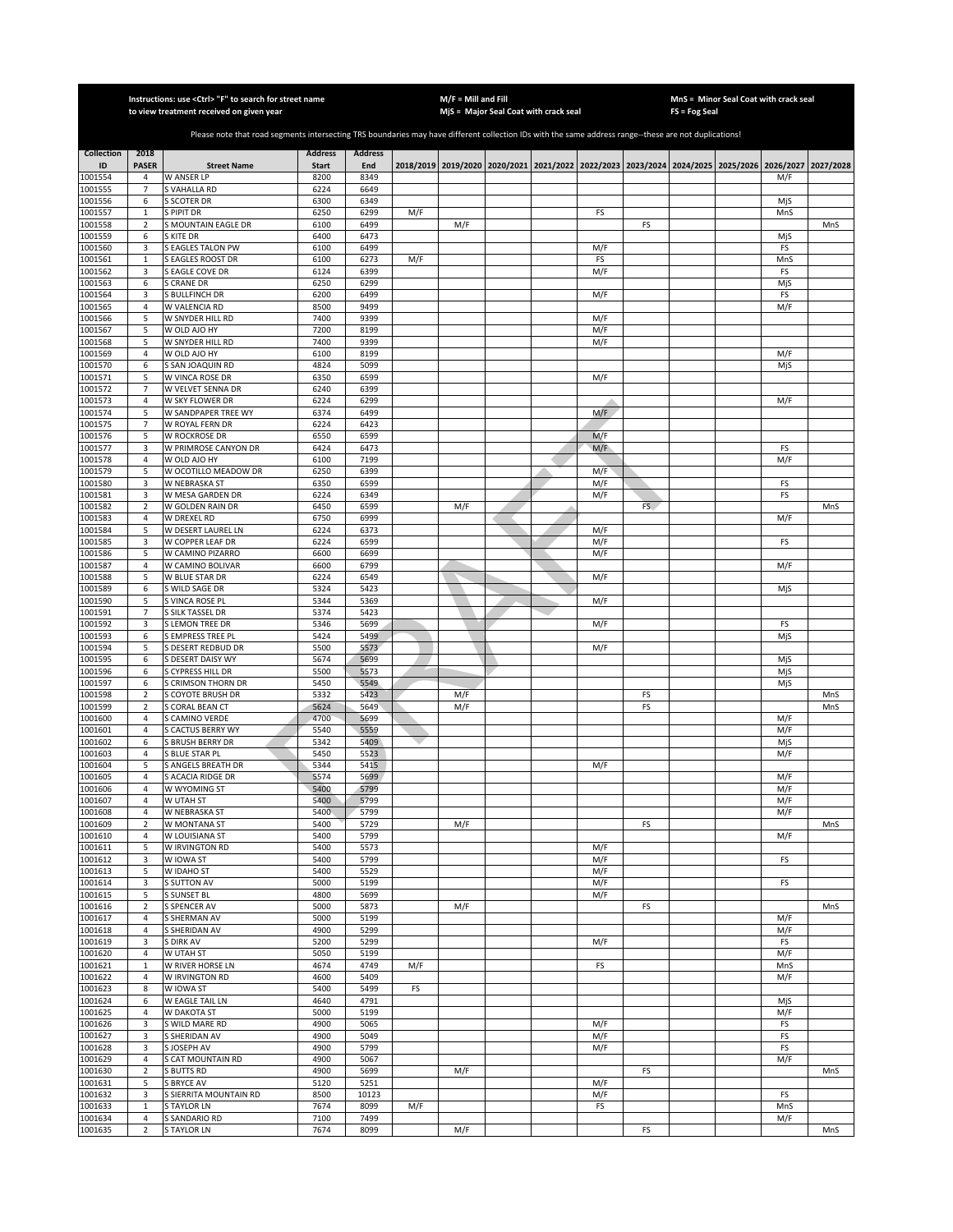|                    |                                | Instructions: use < Ctrl> "F" to search for street name<br>to view treatment received on given year                                                   |                |                |     | $M/F =$ Mill and Fill | MjS = Major Seal Coat with crack seal |            |     | <b>FS = Fog Seal</b>                                                                      | MnS = Minor Seal Coat with crack seal |            |           |
|--------------------|--------------------------------|-------------------------------------------------------------------------------------------------------------------------------------------------------|----------------|----------------|-----|-----------------------|---------------------------------------|------------|-----|-------------------------------------------------------------------------------------------|---------------------------------------|------------|-----------|
|                    |                                |                                                                                                                                                       |                |                |     |                       |                                       |            |     |                                                                                           |                                       |            |           |
|                    |                                | Please note that road segments intersecting TRS boundaries may have different collection IDs with the same address range--these are not duplications! |                |                |     |                       |                                       |            |     |                                                                                           |                                       |            |           |
| <b>Collection</b>  | 2018                           |                                                                                                                                                       | <b>Address</b> | <b>Address</b> |     |                       |                                       |            |     |                                                                                           |                                       |            |           |
| ID                 | <b>PASER</b>                   | <b>Street Name</b>                                                                                                                                    | <b>Start</b>   | End            |     |                       |                                       |            |     | 2018/2019 2019/2020 2020/2021 2021/2022 2022/2023 2023/2024 2024/2025 2025/2026 2026/2027 |                                       |            | 2027/2028 |
| 1001554            | 4                              | W ANSER LP                                                                                                                                            | 8200           | 8349           |     |                       |                                       |            |     |                                                                                           |                                       | M/F        |           |
| 1001555<br>1001556 | 7<br>6                         | S VAHALLA RD<br><b>S SCOTER DR</b>                                                                                                                    | 6224<br>6300   | 6649<br>6349   |     |                       |                                       |            |     |                                                                                           |                                       | MjS        |           |
| 1001557            | $\mathbf{1}$                   | S PIPIT DR                                                                                                                                            | 6250           | 6299           | M/F |                       |                                       | FS         |     |                                                                                           |                                       | MnS        |           |
| 1001558            | $\overline{2}$                 | S MOUNTAIN EAGLE DR                                                                                                                                   | 6100           | 6499           |     | M/F                   |                                       |            | FS  |                                                                                           |                                       |            | MnS       |
| 1001559            | 6                              | S KITE DR                                                                                                                                             | 6400           | 6473           |     |                       |                                       |            |     |                                                                                           |                                       | MjS        |           |
| 1001560<br>1001561 | 3<br>$\mathbf 1$               | S EAGLES TALON PW<br><b>EAGLES ROOST DR</b>                                                                                                           | 6100<br>6100   | 6499<br>6273   | M/F |                       |                                       | M/F<br>FS  |     |                                                                                           |                                       | FS<br>MnS  |           |
| 1001562            | 3                              | <b>EAGLE COVE DR</b>                                                                                                                                  | 6124           | 6399           |     |                       |                                       | M/F        |     |                                                                                           |                                       | FS         |           |
| 1001563            | 6                              | S CRANE DR                                                                                                                                            | 6250           | 6299           |     |                       |                                       |            |     |                                                                                           |                                       | MjS        |           |
| 1001564            | 3                              | <b>S BULLFINCH DR</b>                                                                                                                                 | 6200           | 6499           |     |                       |                                       | M/F        |     |                                                                                           |                                       | FS         |           |
| 1001565<br>1001566 | 4<br>5                         | W VALENCIA RD<br>W SNYDER HILL RD                                                                                                                     | 8500<br>7400   | 9499<br>9399   |     |                       |                                       | M/F        |     |                                                                                           |                                       | M/F        |           |
| 1001567            | 5                              | W OLD AJO HY                                                                                                                                          | 7200           | 8199           |     |                       |                                       | M/F        |     |                                                                                           |                                       |            |           |
| 1001568            | 5                              | W SNYDER HILL RD                                                                                                                                      | 7400           | 9399           |     |                       |                                       | M/F        |     |                                                                                           |                                       |            |           |
| 1001569            | $\overline{4}$                 | W OLD AJO HY                                                                                                                                          | 6100           | 8199           |     |                       |                                       |            |     |                                                                                           |                                       | M/F        |           |
| 1001570<br>1001571 | 6<br>5                         | S SAN JOAQUIN RD                                                                                                                                      | 4824<br>6350   | 5099<br>6599   |     |                       |                                       | M/F        |     |                                                                                           |                                       | MjS        |           |
| 1001572            | $\overline{7}$                 | W VINCA ROSE DR<br>W VELVET SENNA DR                                                                                                                  | 6240           | 6399           |     |                       |                                       |            |     |                                                                                           |                                       |            |           |
| 1001573            | $\overline{4}$                 | W SKY FLOWER DR                                                                                                                                       | 6224           | 6299           |     |                       |                                       |            |     |                                                                                           |                                       | M/F        |           |
| 1001574            | 5                              | W SANDPAPER TREE WY                                                                                                                                   | 6374           | 6499           |     |                       |                                       | M/F        |     |                                                                                           |                                       |            |           |
| 1001575            | $\overline{7}$                 | W ROYAL FERN DR                                                                                                                                       | 6224           | 6423           |     |                       |                                       |            |     |                                                                                           |                                       |            |           |
| 1001576<br>1001577 | 5<br>3                         | W ROCKROSE DR<br>W PRIMROSE CANYON DR                                                                                                                 | 6550<br>6424   | 6599<br>6473   |     |                       |                                       | M/F<br>M/F |     |                                                                                           |                                       | FS         |           |
| 1001578            | 4                              | W OLD AJO HY                                                                                                                                          | 6100           | 7199           |     |                       |                                       |            |     |                                                                                           |                                       | M/F        |           |
| 1001579            | 5                              | W OCOTILLO MEADOW DR                                                                                                                                  | 6250           | 6399           |     |                       |                                       | M/F        |     |                                                                                           |                                       |            |           |
| 1001580            | 3                              | W NEBRASKA ST                                                                                                                                         | 6350           | 6599           |     |                       |                                       | M/F        |     |                                                                                           |                                       | FS         |           |
| 1001581<br>1001582 | 3<br>$\overline{2}$            | W MESA GARDEN DR<br>W GOLDEN RAIN DR                                                                                                                  | 6224<br>6450   | 6349<br>6599   |     | M/F                   |                                       | M/F        | FS. |                                                                                           |                                       | FS         | MnS       |
| 1001583            | $\overline{4}$                 | W DREXEL RD                                                                                                                                           | 6750           | 6999           |     |                       |                                       |            |     |                                                                                           |                                       | M/F        |           |
| 1001584            | 5                              | W DESERT LAUREL LN                                                                                                                                    | 6224           | 6373           |     |                       |                                       | M/F        |     |                                                                                           |                                       |            |           |
| 1001585            | 3                              | W COPPER LEAF DR                                                                                                                                      | 6224           | 6599           |     |                       |                                       | M/F        |     |                                                                                           |                                       | FS         |           |
| 1001586<br>1001587 | 5<br>$\sqrt{4}$                | W CAMINO PIZARRO<br>W CAMINO BOLIVAR                                                                                                                  | 6600<br>6600   | 6699<br>6799   |     |                       |                                       | M/F        |     |                                                                                           |                                       | M/F        |           |
| 1001588            | 5                              | W BLUE STAR DR                                                                                                                                        | 6224           | 6549           |     |                       |                                       | M/F        |     |                                                                                           |                                       |            |           |
| 1001589            | 6                              | S WILD SAGE DR                                                                                                                                        | 5324           | 5423           |     |                       |                                       |            |     |                                                                                           |                                       | MjS        |           |
| 1001590            | 5                              | S VINCA ROSE PL                                                                                                                                       | 5344           | 5369           |     |                       |                                       | M/F        |     |                                                                                           |                                       |            |           |
| 1001591            | $\overline{7}$<br>3            | S SILK TASSEL DR                                                                                                                                      | 5374           | 5423           |     |                       |                                       |            |     |                                                                                           |                                       |            |           |
| 1001592<br>1001593 | 6                              | S LEMON TREE DR<br>S EMPRESS TREE PI                                                                                                                  | 5346<br>5424   | 5699<br>5499   |     |                       |                                       | M/F        |     |                                                                                           |                                       | FS<br>MjS  |           |
| 1001594            | 5                              | S DESERT REDBUD DR                                                                                                                                    | 5500           | 5573           |     |                       |                                       | M/F        |     |                                                                                           |                                       |            |           |
| 1001595            | 6                              | S DESERT DAISY WY                                                                                                                                     | 5674           | 5699           |     |                       |                                       |            |     |                                                                                           |                                       | MjS        |           |
| 1001596<br>1001597 | 6<br>6                         | S CYPRESS HILL DR<br>S CRIMSON THORN DR                                                                                                               | 5500<br>5450   | 5573<br>5549   |     |                       |                                       |            |     |                                                                                           |                                       | MjS<br>MjS |           |
| 1001598            | $\sqrt{2}$                     | S COYOTE BRUSH DR                                                                                                                                     | 5332           | 5423           |     | M/F                   |                                       |            | FS  |                                                                                           |                                       |            | MnS       |
| 1001599            | $\mathbf 2$                    | S CORAL BEAN CT                                                                                                                                       | 5624           | 5649           |     | M/F                   |                                       |            | FS  |                                                                                           |                                       |            | MnS       |
| 1001600            | 4                              | S CAMINO VERDE                                                                                                                                        | 4700           | 5699           |     |                       |                                       |            |     |                                                                                           |                                       | M/F        |           |
| 1001601            | 4                              | <b>GACTUS BERRY WY</b>                                                                                                                                | 5540           | 5559           |     |                       |                                       |            |     |                                                                                           |                                       | M/F        |           |
| 1001602<br>1001603 | 6<br>4                         | S BRUSH BERRY DR<br>S BLUE STAR PL                                                                                                                    | 5342<br>5450   | 5409<br>5523   |     |                       |                                       |            |     |                                                                                           |                                       | MjS<br>M/F |           |
| 1001604            | 5                              | S ANGELS BREATH DR                                                                                                                                    | 5344           | 5415           |     |                       |                                       | M/F        |     |                                                                                           |                                       |            |           |
| 1001605            | $\overline{4}$                 | S ACACIA RIDGE DR                                                                                                                                     | 5574           | 5699           |     |                       |                                       |            |     |                                                                                           |                                       | M/F        |           |
| 1001606            | $\overline{4}$                 | W WYOMING ST                                                                                                                                          | 5400           | 5799           |     |                       |                                       |            |     |                                                                                           |                                       | M/F        |           |
| 1001607<br>1001608 | 4<br>$\overline{4}$            | W UTAH ST<br>W NEBRASKA ST                                                                                                                            | 5400<br>5400   | 5799<br>5799   |     |                       |                                       |            |     |                                                                                           |                                       | M/F<br>M/F |           |
| 1001609            | $\overline{2}$                 | W MONTANA ST                                                                                                                                          | 5400           | 5729           |     | M/F                   |                                       |            | FS  |                                                                                           |                                       |            | MnS       |
| 1001610            | $\overline{4}$                 | W LOUISIANA ST                                                                                                                                        | 5400           | 5799           |     |                       |                                       |            |     |                                                                                           |                                       | M/F        |           |
| 1001611            | 5                              | W IRVINGTON RD                                                                                                                                        | 5400           | 5573           |     |                       |                                       | M/F        |     |                                                                                           |                                       |            |           |
| 1001612<br>1001613 | 3<br>5                         | W IOWA ST<br>W IDAHO ST                                                                                                                               | 5400<br>5400   | 5799<br>5529   |     |                       |                                       | M/F<br>M/F |     |                                                                                           |                                       | FS         |           |
| 1001614            | 3                              | <b>S SUTTON AV</b>                                                                                                                                    | 5000           | 5199           |     |                       |                                       | M/F        |     |                                                                                           |                                       | FS         |           |
| 1001615            | 5                              | S SUNSET BL                                                                                                                                           | 4800           | 5699           |     |                       |                                       | M/F        |     |                                                                                           |                                       |            |           |
| 1001616            | $\mathbf 2$                    | S SPENCER AV                                                                                                                                          | 5000           | 5873           |     | M/F                   |                                       |            | FS  |                                                                                           |                                       |            | MnS       |
| 1001617            | 4<br>$\sqrt{4}$                | S SHERMAN AV                                                                                                                                          | 5000           | 5199           |     |                       |                                       |            |     |                                                                                           |                                       | M/F        |           |
| 1001618<br>1001619 | 3                              | S SHERIDAN AV<br>S DIRK AV                                                                                                                            | 4900<br>5200   | 5299<br>5299   |     |                       |                                       | M/F        |     |                                                                                           |                                       | M/F<br>FS  |           |
| 1001620            | 4                              | W UTAH ST                                                                                                                                             | 5050           | 5199           |     |                       |                                       |            |     |                                                                                           |                                       | M/F        |           |
| 1001621            | $\mathbf 1$                    | W RIVER HORSE LN                                                                                                                                      | 4674           | 4749           | M/F |                       |                                       | FS         |     |                                                                                           |                                       | MnS        |           |
| 1001622            | $\sqrt{4}$                     | W IRVINGTON RD                                                                                                                                        | 4600           | 5409           |     |                       |                                       |            |     |                                                                                           |                                       | M/F        |           |
| 1001623<br>1001624 | 8<br>6                         | W IOWA ST<br>W EAGLE TAIL LN                                                                                                                          | 5400<br>4640   | 5499<br>4791   | FS  |                       |                                       |            |     |                                                                                           |                                       | MjS        |           |
| 1001625            | 4                              | <b>W DAKOTA ST</b>                                                                                                                                    | 5000           | 5199           |     |                       |                                       |            |     |                                                                                           |                                       | M/F        |           |
| 1001626            | 3                              | S WILD MARE RD                                                                                                                                        | 4900           | 5065           |     |                       |                                       | M/F        |     |                                                                                           |                                       | FS         |           |
| 1001627            | 3                              | S SHERIDAN AV                                                                                                                                         | 4900           | 5049           |     |                       |                                       | M/F        |     |                                                                                           |                                       | FS         |           |
| 1001628<br>1001629 | 3<br>4                         | S JOSEPH AV<br>S CAT MOUNTAIN RD                                                                                                                      | 4900<br>4900   | 5799<br>5067   |     |                       |                                       | M/F        |     |                                                                                           |                                       | FS<br>M/F  |           |
| 1001630            | $\overline{2}$                 | S BUTTS RD                                                                                                                                            | 4900           | 5699           |     | M/F                   |                                       |            | FS  |                                                                                           |                                       |            | MnS       |
| 1001631            | 5                              | <b>S BRYCE AV</b>                                                                                                                                     | 5120           | 5251           |     |                       |                                       | M/F        |     |                                                                                           |                                       |            |           |
| 1001632            | 3                              | S SIERRITA MOUNTAIN RD                                                                                                                                | 8500           | 10123          |     |                       |                                       | M/F        |     |                                                                                           |                                       | FS         |           |
| 1001633            | $\mathbf{1}$<br>$\overline{4}$ | <b>S TAYLOR LN</b><br>S SANDARIO RD                                                                                                                   | 7674<br>7100   | 8099<br>7499   | M/F |                       |                                       | FS         |     |                                                                                           |                                       | MnS        |           |
| 1001634<br>1001635 | $\overline{2}$                 | <b>STAYLOR LN</b>                                                                                                                                     | 7674           | 8099           |     | M/F                   |                                       |            | FS  |                                                                                           |                                       | M/F        | MnS       |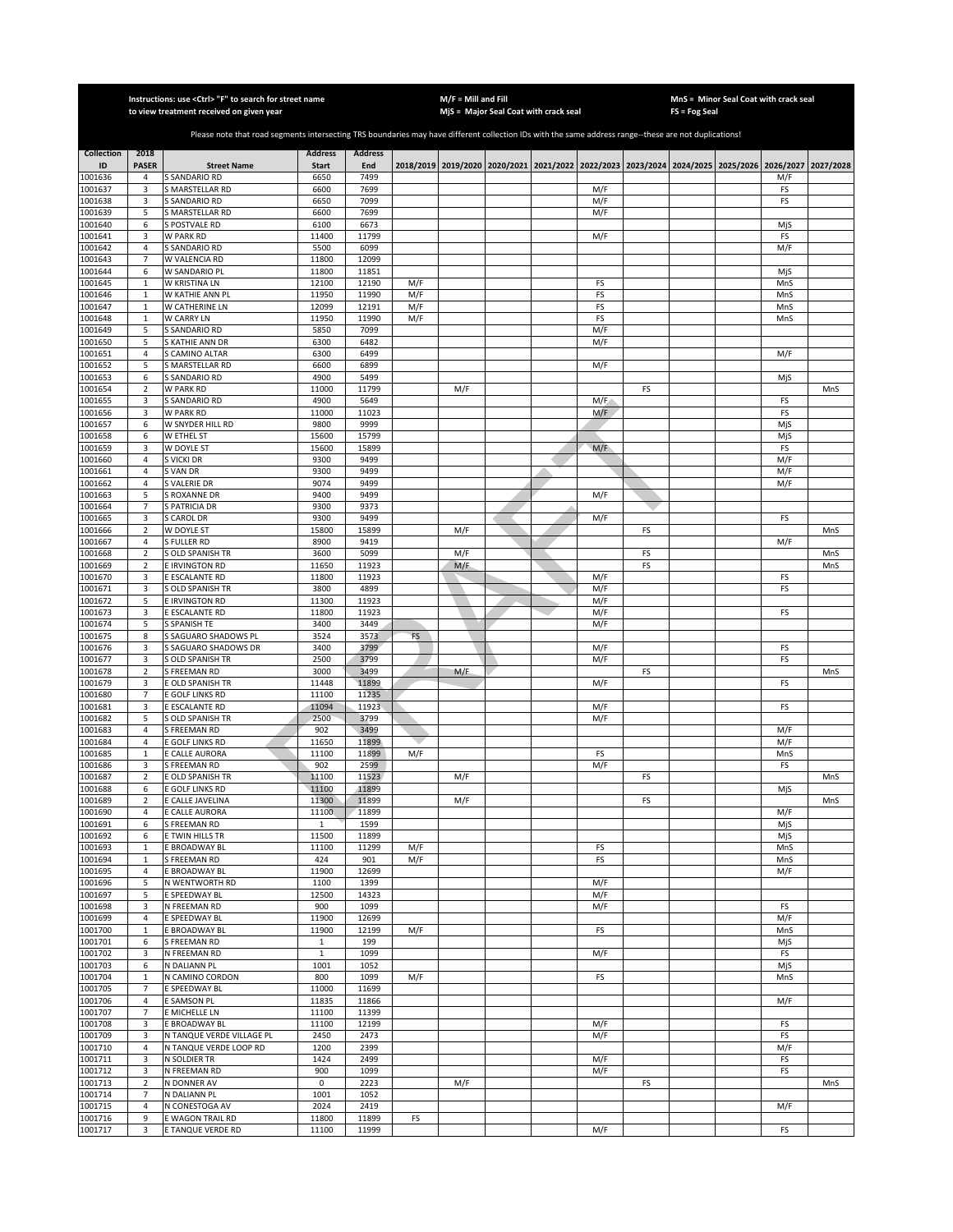|                    |                              | Instructions: use <ctrl> "F" to search for street name<br/>to view treatment received on given year</ctrl>                                            |                |                |     | $M/F =$ Mill and Fill | MjS = Major Seal Coat with crack seal |            |    | FS = Fog Seal | MnS = Minor Seal Coat with crack seal                                                     |            |           |
|--------------------|------------------------------|-------------------------------------------------------------------------------------------------------------------------------------------------------|----------------|----------------|-----|-----------------------|---------------------------------------|------------|----|---------------|-------------------------------------------------------------------------------------------|------------|-----------|
|                    |                              |                                                                                                                                                       |                |                |     |                       |                                       |            |    |               |                                                                                           |            |           |
|                    |                              | Please note that road segments intersecting TRS boundaries may have different collection IDs with the same address range--these are not duplications! |                |                |     |                       |                                       |            |    |               |                                                                                           |            |           |
| <b>Collection</b>  | 2018                         |                                                                                                                                                       | <b>Address</b> | <b>Address</b> |     |                       |                                       |            |    |               |                                                                                           |            |           |
| ID                 | <b>PASER</b>                 | <b>Street Name</b>                                                                                                                                    | <b>Start</b>   | End            |     |                       |                                       |            |    |               | 2018/2019 2019/2020 2020/2021 2021/2022 2022/2023 2023/2024 2024/2025 2025/2026 2026/2027 |            | 2027/2028 |
| 1001636<br>1001637 | 4<br>3                       | S SANDARIO RD<br><b>S MARSTELLAR RD</b>                                                                                                               | 6650<br>6600   | 7499<br>7699   |     |                       |                                       | M/F        |    |               |                                                                                           | M/F<br>FS  |           |
| 1001638            | 3                            | <b>S SANDARIO RD</b>                                                                                                                                  | 6650           | 7099           |     |                       |                                       | M/F        |    |               |                                                                                           | FS         |           |
| 1001639            | 5                            | S MARSTELLAR RD                                                                                                                                       | 6600           | 7699           |     |                       |                                       | M/F        |    |               |                                                                                           |            |           |
| 1001640            | 6                            | S POSTVALE RD                                                                                                                                         | 6100           | 6673           |     |                       |                                       |            |    |               |                                                                                           | MjS        |           |
| 1001641            | 3                            | W PARK RD                                                                                                                                             | 11400          | 11799          |     |                       |                                       | M/F        |    |               |                                                                                           | FS         |           |
| 1001642<br>1001643 | $\sqrt{4}$<br>$\overline{7}$ | S SANDARIO RD<br>W VALENCIA RD                                                                                                                        | 5500<br>11800  | 6099<br>12099  |     |                       |                                       |            |    |               |                                                                                           | M/F        |           |
| 1001644            | 6                            | W SANDARIO PL                                                                                                                                         | 11800          | 11851          |     |                       |                                       |            |    |               |                                                                                           | MjS        |           |
| 1001645            | $\,1\,$                      | W KRISTINA LN                                                                                                                                         | 12100          | 12190          | M/F |                       |                                       | FS         |    |               |                                                                                           | MnS        |           |
| 1001646            | $\mathbf 1$                  | W KATHIE ANN PL                                                                                                                                       | 11950          | 11990          | M/F |                       |                                       | FS         |    |               |                                                                                           | MnS        |           |
| 1001647            | $\,1\,$                      | W CATHERINE LN                                                                                                                                        | 12099          | 12191          | M/F |                       |                                       | FS         |    |               |                                                                                           | MnS        |           |
| 1001648<br>1001649 | $\,1\,$<br>5                 | W CARRY LN<br>S SANDARIO RD                                                                                                                           | 11950<br>5850  | 11990<br>7099  | M/F |                       |                                       | FS<br>M/F  |    |               |                                                                                           | MnS        |           |
| 1001650            | 5                            | S KATHIE ANN DR                                                                                                                                       | 6300           | 6482           |     |                       |                                       | M/F        |    |               |                                                                                           |            |           |
| 1001651            | $\overline{4}$               | S CAMINO ALTAR                                                                                                                                        | 6300           | 6499           |     |                       |                                       |            |    |               |                                                                                           | M/F        |           |
| 1001652            | 5                            | S MARSTELLAR RD                                                                                                                                       | 6600           | 6899           |     |                       |                                       | M/F        |    |               |                                                                                           |            |           |
| 1001653            | 6                            | S SANDARIO RD                                                                                                                                         | 4900           | 5499           |     |                       |                                       |            |    |               |                                                                                           | MjS        |           |
| 1001654            | $\mathbf 2$                  | W PARK RD                                                                                                                                             | 11000          | 11799          |     | M/F                   |                                       |            | FS |               |                                                                                           |            | MnS       |
| 1001655<br>1001656 | 3<br>3                       | S SANDARIO RD                                                                                                                                         | 4900<br>11000  | 5649<br>11023  |     |                       |                                       | M/F        |    |               |                                                                                           | FS<br>FS   |           |
| 1001657            | 6                            | W PARK RD<br>W SNYDER HILL RD                                                                                                                         | 9800           | 9999           |     |                       |                                       | M/F        |    |               |                                                                                           | MjS        |           |
| 1001658            | 6                            | W ETHEL ST                                                                                                                                            | 15600          | 15799          |     |                       |                                       |            |    |               |                                                                                           | MjS        |           |
| 1001659            | 3                            | W DOYLE ST                                                                                                                                            | 15600          | 15899          |     |                       |                                       | M/F        |    |               |                                                                                           | FS         |           |
| 1001660            | 4                            | S VICKI DR                                                                                                                                            | 9300           | 9499           |     |                       |                                       |            |    |               |                                                                                           | M/F        |           |
| 1001661            | $\sqrt{4}$                   | S VAN DR                                                                                                                                              | 9300           | 9499           |     |                       |                                       |            |    |               |                                                                                           | M/F        |           |
| 1001662<br>1001663 | $\overline{4}$<br>5          | S VALERIE DR<br>S ROXANNE DR                                                                                                                          | 9074<br>9400   | 9499<br>9499   |     |                       |                                       | M/F        |    |               |                                                                                           | M/F        |           |
| 1001664            | $\overline{7}$               | S PATRICIA DR                                                                                                                                         | 9300           | 9373           |     |                       |                                       |            |    |               |                                                                                           |            |           |
| 1001665            | 3                            | <b>S CAROL DR</b>                                                                                                                                     | 9300           | 9499           |     |                       |                                       | M/F        |    |               |                                                                                           | FS         |           |
| 1001666            | $\sqrt{2}$                   | W DOYLE ST                                                                                                                                            | 15800          | 15899          |     | M/F                   |                                       |            | FS |               |                                                                                           |            | MnS       |
| 1001667            | $\overline{4}$               | S FULLER RD                                                                                                                                           | 8900           | 9419           |     |                       |                                       |            |    |               |                                                                                           | M/F        |           |
| 1001668            | $\mathbf 2$                  | S OLD SPANISH TR                                                                                                                                      | 3600           | 5099           |     | M/F                   |                                       |            | FS |               |                                                                                           |            | MnS       |
| 1001669<br>1001670 | $\mathbf 2$<br>3             | E IRVINGTON RD<br>E ESCALANTE RD                                                                                                                      | 11650<br>11800 | 11923<br>11923 |     | M/F                   |                                       | M/F        | FS |               |                                                                                           | FS         | MnS       |
| 1001671            | 3                            | S OLD SPANISH TR                                                                                                                                      | 3800           | 4899           |     |                       |                                       | M/F        |    |               |                                                                                           | FS         |           |
| 1001672            | 5                            | E IRVINGTON RD                                                                                                                                        | 11300          | 11923          |     |                       |                                       | M/F        |    |               |                                                                                           |            |           |
| 1001673            | 3                            | E ESCALANTE RD                                                                                                                                        | 11800          | 11923          |     |                       |                                       | M/F        |    |               |                                                                                           | FS         |           |
| 1001674            | 5                            | S SPANISH TE                                                                                                                                          | 3400           | 3449           |     |                       |                                       | M/F        |    |               |                                                                                           |            |           |
| 1001675            | 8                            | S SAGUARO SHADOWS PL                                                                                                                                  | 3524           | 3573           | FS  |                       |                                       |            |    |               |                                                                                           |            |           |
| 1001676<br>1001677 | 3<br>3                       | S SAGUARO SHADOWS DR<br>S OLD SPANISH TR                                                                                                              | 3400<br>2500   | 3799<br>3799   |     |                       |                                       | M/F<br>M/F |    |               |                                                                                           | FS<br>FS   |           |
| 1001678            | $\sqrt{2}$                   | S FREEMAN RD                                                                                                                                          | 3000           | 3499           |     | M/F                   |                                       |            | FS |               |                                                                                           |            | MnS       |
| 1001679            | 3                            | E OLD SPANISH TR                                                                                                                                      | 11448          | 11899          |     |                       |                                       | M/F        |    |               |                                                                                           | FS         |           |
| 1001680            | $\overline{7}$               | E GOLF LINKS RD                                                                                                                                       | 11100          | 11235          |     |                       |                                       |            |    |               |                                                                                           |            |           |
| 1001681            | 3                            | E ESCALANTE RD                                                                                                                                        | 11094          | 11923          |     |                       |                                       | M/F        |    |               |                                                                                           | FS         |           |
| 1001682            | 5                            | S OLD SPANISH TR                                                                                                                                      | 2500           | 3799           |     |                       |                                       | M/F        |    |               |                                                                                           |            |           |
| 1001683<br>1001684 | 4<br>$\overline{4}$          | S FREEMAN RD<br>E GOLF LINKS RD                                                                                                                       | 902<br>11650   | 3499<br>11899  |     |                       |                                       |            |    |               |                                                                                           | M/F<br>M/F |           |
| 1001685            | $\mathbf{1}$                 | E CALLE AURORA                                                                                                                                        | 11100          | 11899          | M/F |                       |                                       | FS         |    |               |                                                                                           | MnS        |           |
| 1001686            | 3                            | S FREEMAN RD                                                                                                                                          | 902            | 2599           |     |                       |                                       | M/F        |    |               |                                                                                           | FS         |           |
| 1001687            | $\overline{2}$               | E OLD SPANISH TR                                                                                                                                      | 11100          | 11523          |     | M/F                   |                                       |            | FS |               |                                                                                           |            | MnS       |
| 1001688            | 6                            | E GOLF LINKS RD                                                                                                                                       | 11100          | 11899          |     |                       |                                       |            |    |               |                                                                                           | MjS        |           |
| 1001689<br>1001690 | 2<br>$\overline{4}$          | E CALLE JAVELINA<br>E CALLE AURORA                                                                                                                    | 11300<br>11100 | 11899<br>11899 |     | M/F                   |                                       |            | FS |               |                                                                                           | M/F        | MnS       |
| 1001691            | 6                            | S FREEMAN RD                                                                                                                                          | $\mathbf{1}$   | 1599           |     |                       |                                       |            |    |               |                                                                                           | MjS        |           |
| 1001692            | 6                            | E TWIN HILLS TR                                                                                                                                       | 11500          | 11899          |     |                       |                                       |            |    |               |                                                                                           | MjS        |           |
| 1001693            | $\,1\,$                      | E BROADWAY BL                                                                                                                                         | 11100          | 11299          | M/F |                       |                                       | FS         |    |               |                                                                                           | MnS        |           |
| 1001694            | $\mathbf{1}$                 | S FREEMAN RD                                                                                                                                          | 424            | 901            | M/F |                       |                                       | FS         |    |               |                                                                                           | MnS        |           |
| 1001695            | $\overline{4}$               | E BROADWAY BL                                                                                                                                         | 11900          | 12699          |     |                       |                                       |            |    |               |                                                                                           | M/F        |           |
| 1001696<br>1001697 | 5<br>5                       | N WENTWORTH RD<br>E SPEEDWAY BL                                                                                                                       | 1100<br>12500  | 1399<br>14323  |     |                       |                                       | M/F<br>M/F |    |               |                                                                                           |            |           |
| 1001698            | 3                            | N FREEMAN RD                                                                                                                                          | 900            | 1099           |     |                       |                                       | M/F        |    |               |                                                                                           | FS         |           |
| 1001699            | $\overline{a}$               | E SPEEDWAY BL                                                                                                                                         | 11900          | 12699          |     |                       |                                       |            |    |               |                                                                                           | M/F        |           |
| 1001700            | $\mathbf{1}$                 | E BROADWAY BL                                                                                                                                         | 11900          | 12199          | M/F |                       |                                       | FS         |    |               |                                                                                           | MnS        |           |
| 1001701            | 6                            | S FREEMAN RD                                                                                                                                          | 1              | 199            |     |                       |                                       |            |    |               |                                                                                           | MjS        |           |
| 1001702            | 3                            | N FREEMAN RD                                                                                                                                          | $\mathbf 1$    | 1099           |     |                       |                                       | M/F        |    |               |                                                                                           | FS         |           |
| 1001703<br>1001704 | 6<br>$\mathbf{1}$            | N DALIANN PL<br>N CAMINO CORDON                                                                                                                       | 1001<br>800    | 1052<br>1099   | M/F |                       |                                       | FS         |    |               |                                                                                           | MjS<br>MnS |           |
| 1001705            | $\overline{7}$               | E SPEEDWAY BL                                                                                                                                         | 11000          | 11699          |     |                       |                                       |            |    |               |                                                                                           |            |           |
| 1001706            | 4                            | E SAMSON PL                                                                                                                                           | 11835          | 11866          |     |                       |                                       |            |    |               |                                                                                           | M/F        |           |
| 1001707            | $\overline{7}$               | E MICHELLE LN                                                                                                                                         | 11100          | 11399          |     |                       |                                       |            |    |               |                                                                                           |            |           |
| 1001708            | 3                            | E BROADWAY BL                                                                                                                                         | 11100          | 12199          |     |                       |                                       | M/F        |    |               |                                                                                           | FS         |           |
| 1001709            | 3                            | N TANQUE VERDE VILLAGE PL                                                                                                                             | 2450           | 2473           |     |                       |                                       | M/F        |    |               |                                                                                           | FS         |           |
| 1001710<br>1001711 | 4<br>3                       | N TANQUE VERDE LOOP RD<br>N SOLDIER TR                                                                                                                | 1200<br>1424   | 2399<br>2499   |     |                       |                                       | M/F        |    |               |                                                                                           | M/F<br>FS  |           |
| 1001712            | 3                            | N FREEMAN RD                                                                                                                                          | 900            | 1099           |     |                       |                                       | M/F        |    |               |                                                                                           | FS         |           |
| 1001713            | $\overline{2}$               | N DONNER AV                                                                                                                                           | $\mathsf 0$    | 2223           |     | M/F                   |                                       |            | FS |               |                                                                                           |            | MnS       |
| 1001714            | $\overline{7}$               | N DALIANN PL                                                                                                                                          | 1001           | 1052           |     |                       |                                       |            |    |               |                                                                                           |            |           |
| 1001715            | $\sqrt{4}$                   | N CONESTOGA AV                                                                                                                                        | 2024           | 2419           |     |                       |                                       |            |    |               |                                                                                           | M/F        |           |
| 1001716            | 9                            | E WAGON TRAIL RD                                                                                                                                      | 11800          | 11899          | FS  |                       |                                       |            |    |               |                                                                                           |            |           |
| 1001717            | 3                            | E TANQUE VERDE RD                                                                                                                                     | 11100          | 11999          |     |                       |                                       | M/F        |    |               |                                                                                           | FS         |           |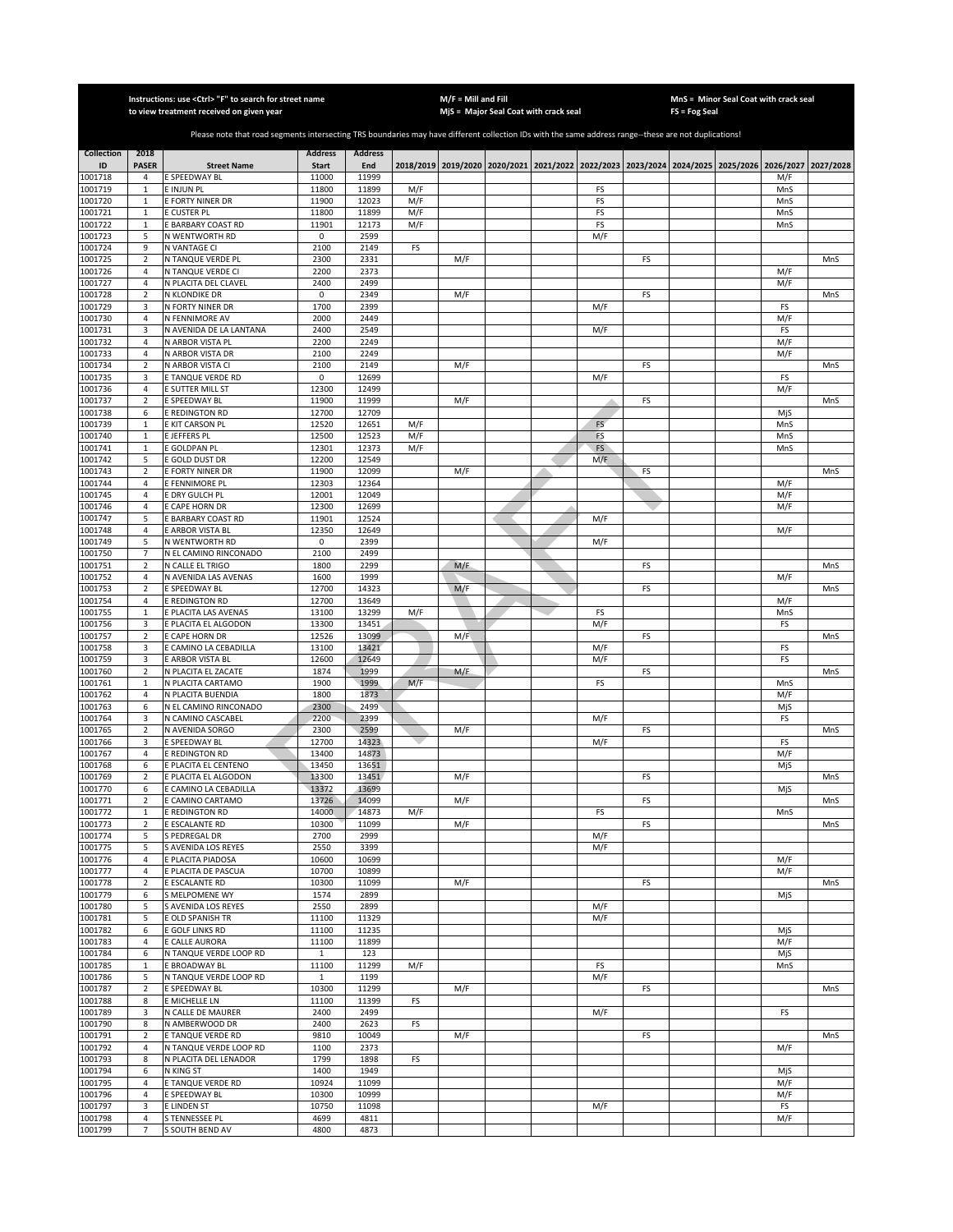|                    |                                  | Instructions: use < Ctrl> "F" to search for street name<br>to view treatment received on given year                                                   |                       |                |            | $M/F =$ Mill and Fill | MjS = Major Seal Coat with crack seal |          |    | $FS = Fog Seal$ | MnS = Minor Seal Coat with crack seal                                                     |            |           |
|--------------------|----------------------------------|-------------------------------------------------------------------------------------------------------------------------------------------------------|-----------------------|----------------|------------|-----------------------|---------------------------------------|----------|----|-----------------|-------------------------------------------------------------------------------------------|------------|-----------|
|                    |                                  |                                                                                                                                                       |                       |                |            |                       |                                       |          |    |                 |                                                                                           |            |           |
|                    |                                  | Please note that road segments intersecting TRS boundaries may have different collection IDs with the same address range--these are not duplications! |                       |                |            |                       |                                       |          |    |                 |                                                                                           |            |           |
| <b>Collection</b>  | 2018                             |                                                                                                                                                       | <b>Address</b>        | <b>Address</b> |            |                       |                                       |          |    |                 |                                                                                           |            |           |
| ID                 | <b>PASER</b>                     | <b>Street Name</b>                                                                                                                                    | <b>Start</b>          | End            |            |                       |                                       |          |    |                 | 2018/2019 2019/2020 2020/2021 2021/2022 2022/2023 2023/2024 2024/2025 2025/2026 2026/2027 |            | 2027/2028 |
| 1001718            | 4                                | E SPEEDWAY BL                                                                                                                                         | 11000                 | 11999          |            |                       |                                       |          |    |                 |                                                                                           | M/F        |           |
| 1001719<br>1001720 | $\mathbf{1}$<br>$\mathbf{1}$     | E INJUN PL<br>E FORTY NINER DR                                                                                                                        | 11800<br>11900        | 11899<br>12023 | M/F<br>M/F |                       |                                       | FS<br>FS |    |                 |                                                                                           | MnS<br>MnS |           |
| 1001721            | $\mathbf{1}$                     | E CUSTER PL                                                                                                                                           | 11800                 | 11899          | M/F        |                       |                                       | FS       |    |                 |                                                                                           | MnS        |           |
| 1001722            | $\mathbf{1}$                     | E BARBARY COAST RD                                                                                                                                    | 11901                 | 12173          | M/F        |                       |                                       | FS       |    |                 |                                                                                           | MnS        |           |
| 1001723            | 5                                | N WENTWORTH RD                                                                                                                                        | 0                     | 2599           |            |                       |                                       | M/F      |    |                 |                                                                                           |            |           |
| 1001724            | 9                                | N VANTAGE CI                                                                                                                                          | 2100                  | 2149           | FS         |                       |                                       |          |    |                 |                                                                                           |            |           |
| 1001725<br>1001726 | $\mathbf 2$<br>4                 | N TANQUE VERDE PL<br>N TANQUE VERDE CI                                                                                                                | 2300<br>2200          | 2331<br>2373   |            | M/F                   |                                       |          | FS |                 |                                                                                           | M/F        | MnS       |
| 1001727            | 4                                | N PLACITA DEL CLAVEL                                                                                                                                  | 2400                  | 2499           |            |                       |                                       |          |    |                 |                                                                                           | M/F        |           |
| 1001728            | $\overline{2}$                   | N KLONDIKE DR                                                                                                                                         | 0                     | 2349           |            | M/F                   |                                       |          | FS |                 |                                                                                           |            | MnS       |
| 1001729            | 3                                | N FORTY NINER DR                                                                                                                                      | 1700                  | 2399           |            |                       |                                       | M/F      |    |                 |                                                                                           | FS         |           |
| 1001730            | 4                                | N FENNIMORE AV                                                                                                                                        | 2000                  | 2449           |            |                       |                                       |          |    |                 |                                                                                           | M/F        |           |
| 1001731<br>1001732 | 3<br>$\sqrt{4}$                  | N AVENIDA DE LA LANTANA<br>N ARBOR VISTA PL                                                                                                           | 2400<br>2200          | 2549<br>2249   |            |                       |                                       | M/F      |    |                 |                                                                                           | FS<br>M/F  |           |
| 1001733            | $\overline{4}$                   | N ARBOR VISTA DR                                                                                                                                      | 2100                  | 2249           |            |                       |                                       |          |    |                 |                                                                                           | M/F        |           |
| 1001734            | $\overline{2}$                   | N ARBOR VISTA CI                                                                                                                                      | 2100                  | 2149           |            | M/F                   |                                       |          | FS |                 |                                                                                           |            | MnS       |
| 1001735            | 3                                | E TANQUE VERDE RD                                                                                                                                     | 0                     | 12699          |            |                       |                                       | M/F      |    |                 |                                                                                           | FS         |           |
| 1001736            | $\sqrt{4}$                       | E SUTTER MILL ST                                                                                                                                      | 12300                 | 12499          |            |                       |                                       |          |    |                 |                                                                                           | M/F        |           |
| 1001737            | $\mathbf 2$                      | E SPEEDWAY BL                                                                                                                                         | 11900                 | 11999          |            | M/F                   |                                       |          | FS |                 |                                                                                           |            | MnS       |
| 1001738<br>1001739 | 6<br>$\mathbf{1}$                | E REDINGTON RD<br>E KIT CARSON PL                                                                                                                     | 12700<br>12520        | 12709<br>12651 | M/F        |                       |                                       | FS       |    |                 |                                                                                           | MjS<br>MnS |           |
| 1001740            | $\mathbf{1}$                     | E JEFFERS PL                                                                                                                                          | 12500                 | 12523          | M/F        |                       |                                       | FS       |    |                 |                                                                                           | MnS        |           |
| 1001741            | $\mathbf{1}$                     | E GOLDPAN PL                                                                                                                                          | 12301                 | 12373          | M/F        |                       |                                       | FS       |    |                 |                                                                                           | MnS        |           |
| 1001742            | 5                                | E GOLD DUST DR                                                                                                                                        | 12200                 | 12549          |            |                       |                                       | M/F      |    |                 |                                                                                           |            |           |
| 1001743            | $\overline{2}$                   | E FORTY NINER DR                                                                                                                                      | 11900                 | 12099          |            | M/F                   |                                       |          | FS |                 |                                                                                           |            | MnS       |
| 1001744<br>1001745 | $\overline{4}$<br>$\overline{4}$ | E FENNIMORE PL<br>E DRY GULCH PL                                                                                                                      | 12303<br>12001        | 12364<br>12049 |            |                       |                                       |          |    |                 |                                                                                           | M/F<br>M/F |           |
| 1001746            | $\overline{4}$                   | E CAPE HORN DR                                                                                                                                        | 12300                 | 12699          |            |                       |                                       |          |    |                 |                                                                                           | M/F        |           |
| 1001747            | 5                                | E BARBARY COAST RD                                                                                                                                    | 11901                 | 12524          |            |                       |                                       | M/F      |    |                 |                                                                                           |            |           |
| 1001748            | $\overline{4}$                   | E ARBOR VISTA BL                                                                                                                                      | 12350                 | 12649          |            |                       |                                       |          |    |                 |                                                                                           | M/F        |           |
| 1001749            | 5                                | N WENTWORTH RD                                                                                                                                        | 0                     | 2399           |            |                       |                                       | M/F      |    |                 |                                                                                           |            |           |
| 1001750<br>1001751 | $\overline{7}$<br>$\overline{2}$ | N EL CAMINO RINCONADO<br>N CALLE EL TRIGO                                                                                                             | 2100<br>1800          | 2499<br>2299   |            | M/F                   |                                       |          | FS |                 |                                                                                           |            | MnS       |
| 1001752            | $\sqrt{4}$                       | N AVENIDA LAS AVENAS                                                                                                                                  | 1600                  | 1999           |            |                       |                                       |          |    |                 |                                                                                           | M/F        |           |
| 1001753            | $\mathbf 2$                      | E SPEEDWAY BL                                                                                                                                         | 12700                 | 14323          |            | M/F                   |                                       |          | FS |                 |                                                                                           |            | MnS       |
| 1001754            | 4                                | E REDINGTON RD                                                                                                                                        | 12700                 | 13649          |            |                       |                                       |          |    |                 |                                                                                           | M/F        |           |
| 1001755            | $\mathbf{1}$                     | E PLACITA LAS AVENAS                                                                                                                                  | 13100                 | 13299          | M/F        |                       |                                       | FS       |    |                 |                                                                                           | MnS        |           |
| 1001756<br>1001757 | 3<br>$\mathbf 2$                 | E PLACITA EL ALGODON<br><b>CAPE HORN DR</b>                                                                                                           | 13300<br>12526        | 13451<br>13099 |            | M/F                   |                                       | M/F      | FS |                 |                                                                                           | FS         | MnS       |
| 1001758            | 3                                | E CAMINO LA CEBADILLA                                                                                                                                 | 13100                 | 13421          |            |                       |                                       | M/F      |    |                 |                                                                                           | FS         |           |
| 1001759            | 3                                | E ARBOR VISTA BL                                                                                                                                      | 12600                 | 12649          |            |                       |                                       | M/F      |    |                 |                                                                                           | FS         |           |
| 1001760            | $\mathbf 2$                      | N PLACITA EL ZACATE                                                                                                                                   | 1874                  | 1999           |            | M/F                   |                                       |          | FS |                 |                                                                                           |            | MnS       |
| 1001761            | $\mathbf{1}$                     | N PLACITA CARTAMO                                                                                                                                     | 1900                  | 1999           | M/F        |                       |                                       | FS       |    |                 |                                                                                           | MnS        |           |
| 1001762<br>1001763 | $\overline{4}$<br>6              | N PLACITA BUENDIA<br>N EL CAMINO RINCONADO                                                                                                            | 1800<br>2300          | 1873<br>2499   |            |                       |                                       |          |    |                 |                                                                                           | M/F<br>MjS |           |
| 1001764            | 3                                | N CAMINO CASCABEL                                                                                                                                     | 2200                  | 2399           |            |                       |                                       | M/F      |    |                 |                                                                                           | FS         |           |
| 1001765            | $\overline{2}$                   | N AVENIDA SORGO                                                                                                                                       | 2300                  | 2599           |            | M/F                   |                                       |          | FS |                 |                                                                                           |            | MnS       |
| 1001766            | 3                                | E SPEEDWAY BL                                                                                                                                         | 12700                 | 14323          |            |                       |                                       | M/F      |    |                 |                                                                                           | FS         |           |
| 1001767            | 4                                | <b>E REDINGTON RD</b>                                                                                                                                 | 13400                 | 14873          |            |                       |                                       |          |    |                 |                                                                                           | M/F        |           |
| 1001768<br>1001769 | 6<br>$\overline{2}$              | E PLACITA EL CENTENO<br>E PLACITA EL ALGODON                                                                                                          | 13450<br>13300        | 13651<br>13451 |            | M/F                   |                                       |          | FS |                 |                                                                                           | MjS        | MnS       |
| 1001770            | 6                                | E CAMINO LA CEBADILLA                                                                                                                                 | 13372                 | 13699          |            |                       |                                       |          |    |                 |                                                                                           | MjS        |           |
| 1001771            | 2                                | E CAMINO CARTAMO                                                                                                                                      | 13726                 | 14099          |            | M/F                   |                                       |          | FS |                 |                                                                                           |            | MnS       |
| 1001772            | $\mathbf{1}$                     | E REDINGTON RD                                                                                                                                        | 14000                 | 14873          | M/F        |                       |                                       | FS       |    |                 |                                                                                           | MnS        |           |
| 1001773<br>1001774 | 2                                | E ESCALANTE RD                                                                                                                                        | 10300<br>2700         | 11099<br>2999  |            | M/F                   |                                       | M/F      | FS |                 |                                                                                           |            | MnS       |
| 1001775            | 5<br>5                           | S PEDREGAL DR<br>S AVENIDA LOS REYES                                                                                                                  | 2550                  | 3399           |            |                       |                                       | M/F      |    |                 |                                                                                           |            |           |
| 1001776            | 4                                | E PLACITA PIADOSA                                                                                                                                     | 10600                 | 10699          |            |                       |                                       |          |    |                 |                                                                                           | M/F        |           |
| 1001777            | 4                                | E PLACITA DE PASCUA                                                                                                                                   | 10700                 | 10899          |            |                       |                                       |          |    |                 |                                                                                           | M/F        |           |
| 1001778            | $\mathbf 2$                      | E ESCALANTE RD                                                                                                                                        | 10300                 | 11099          |            | M/F                   |                                       |          | FS |                 |                                                                                           |            | MnS       |
| 1001779<br>1001780 | 6<br>5                           | S MELPOMENE WY<br>S AVENIDA LOS REYES                                                                                                                 | 1574<br>2550          | 2899<br>2899   |            |                       |                                       | M/F      |    |                 |                                                                                           | MjS        |           |
| 1001781            | 5                                | E OLD SPANISH TR                                                                                                                                      | 11100                 | 11329          |            |                       |                                       | M/F      |    |                 |                                                                                           |            |           |
| 1001782            | 6                                | E GOLF LINKS RD                                                                                                                                       | 11100                 | 11235          |            |                       |                                       |          |    |                 |                                                                                           | MjS        |           |
| 1001783            | $\overline{4}$                   | E CALLE AURORA                                                                                                                                        | 11100                 | 11899          |            |                       |                                       |          |    |                 |                                                                                           | M/F        |           |
| 1001784            | 6                                | N TANQUE VERDE LOOP RD                                                                                                                                | $\mathbf 1$           | 123            |            |                       |                                       |          |    |                 |                                                                                           | MjS        |           |
| 1001785            | $\mathbf 1$                      | E BROADWAY BL                                                                                                                                         | 11100                 | 11299          | M/F        |                       |                                       | FS       |    |                 |                                                                                           | MnS        |           |
| 1001786<br>1001787 | 5<br>$\sqrt{2}$                  | N TANQUE VERDE LOOP RD<br>E SPEEDWAY BL                                                                                                               | $\mathbf{1}$<br>10300 | 1199<br>11299  |            | M/F                   |                                       | M/F      | FS |                 |                                                                                           |            | MnS       |
| 1001788            | 8                                | E MICHELLE LN                                                                                                                                         | 11100                 | 11399          | FS         |                       |                                       |          |    |                 |                                                                                           |            |           |
| 1001789            | 3                                | N CALLE DE MAURER                                                                                                                                     | 2400                  | 2499           |            |                       |                                       | M/F      |    |                 |                                                                                           | FS         |           |
| 1001790            | 8                                | N AMBERWOOD DR                                                                                                                                        | 2400                  | 2623           | FS         |                       |                                       |          |    |                 |                                                                                           |            |           |
| 1001791            | $\overline{2}$                   | E TANQUE VERDE RD                                                                                                                                     | 9810                  | 10049          |            | M/F                   |                                       |          | FS |                 |                                                                                           |            | MnS       |
| 1001792<br>1001793 | 4<br>8                           | N TANQUE VERDE LOOP RD<br>N PLACITA DEL LENADOR                                                                                                       | 1100<br>1799          | 2373<br>1898   | FS         |                       |                                       |          |    |                 |                                                                                           | M/F        |           |
| 1001794            | 6                                | N KING ST                                                                                                                                             | 1400                  | 1949           |            |                       |                                       |          |    |                 |                                                                                           | MjS        |           |
| 1001795            | $\overline{4}$                   | E TANQUE VERDE RD                                                                                                                                     | 10924                 | 11099          |            |                       |                                       |          |    |                 |                                                                                           | M/F        |           |
| 1001796            | 4                                | E SPEEDWAY BL                                                                                                                                         | 10300                 | 10999          |            |                       |                                       |          |    |                 |                                                                                           | M/F        |           |
| 1001797            | 3                                | <b>E LINDEN ST</b>                                                                                                                                    | 10750                 | 11098          |            |                       |                                       | M/F      |    |                 |                                                                                           | FS         |           |
| 1001798<br>1001799 | $\overline{4}$<br>$\overline{7}$ | S TENNESSEE PL<br>S SOUTH BEND AV                                                                                                                     | 4699<br>4800          | 4811<br>4873   |            |                       |                                       |          |    |                 |                                                                                           | M/F        |           |
|                    |                                  |                                                                                                                                                       |                       |                |            |                       |                                       |          |    |                 |                                                                                           |            |           |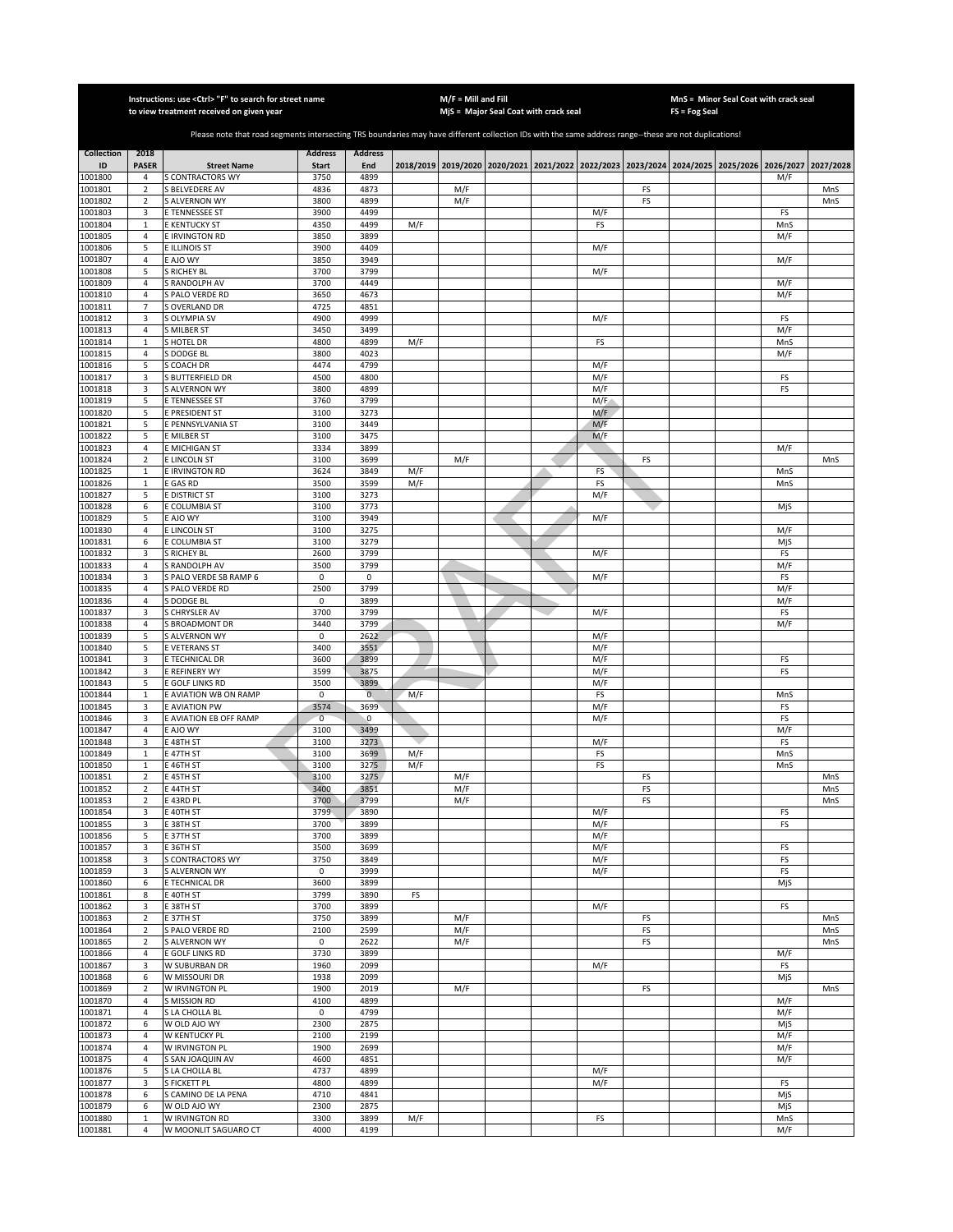|                         |                                | Instructions: use < Ctrl> "F" to search for street name<br>to view treatment received on given year                                                   |                                |                       |     | $M/F =$ Mill and Fill | MjS = Major Seal Coat with crack seal |            |          | $FS = Fog Seal$ | MnS = Minor Seal Coat with crack seal                                                     |            |            |
|-------------------------|--------------------------------|-------------------------------------------------------------------------------------------------------------------------------------------------------|--------------------------------|-----------------------|-----|-----------------------|---------------------------------------|------------|----------|-----------------|-------------------------------------------------------------------------------------------|------------|------------|
|                         |                                |                                                                                                                                                       |                                |                       |     |                       |                                       |            |          |                 |                                                                                           |            |            |
|                         |                                | Please note that road segments intersecting TRS boundaries may have different collection IDs with the same address range--these are not duplications! |                                |                       |     |                       |                                       |            |          |                 |                                                                                           |            |            |
| <b>Collection</b><br>ID | 2018<br><b>PASER</b>           | <b>Street Name</b>                                                                                                                                    | <b>Address</b><br><b>Start</b> | <b>Address</b><br>End |     |                       |                                       |            |          |                 | 2018/2019 2019/2020 2020/2021 2021/2022 2022/2023 2023/2024 2024/2025 2025/2026 2026/2027 |            | 2027/2028  |
| 1001800                 | 4                              | <b>S CONTRACTORS WY</b>                                                                                                                               | 3750                           | 4899                  |     |                       |                                       |            |          |                 |                                                                                           | M/F        |            |
| 1001801                 | $\overline{2}$                 | S BELVEDERE AV                                                                                                                                        | 4836                           | 4873                  |     | M/F                   |                                       |            | FS       |                 |                                                                                           |            | MnS        |
| 1001802<br>1001803      | $\overline{2}$<br>3            | <b>S ALVERNON WY</b><br>E TENNESSEE ST                                                                                                                | 3800<br>3900                   | 4899<br>4499          |     | M/F                   |                                       | M/F        | FS       |                 |                                                                                           | FS         | MnS        |
| 1001804                 | $\mathbf{1}$                   | <b>E KENTUCKY ST</b>                                                                                                                                  | 4350                           | 4499                  | M/F |                       |                                       | FS         |          |                 |                                                                                           | MnS        |            |
| 1001805                 | $\sqrt{4}$                     | E IRVINGTON RD                                                                                                                                        | 3850                           | 3899                  |     |                       |                                       |            |          |                 |                                                                                           | M/F        |            |
| 1001806                 | 5                              | E ILLINOIS ST                                                                                                                                         | 3900                           | 4409                  |     |                       |                                       | M/F        |          |                 |                                                                                           |            |            |
| 1001807<br>1001808      | 4<br>5                         | E AJO WY<br>S RICHEY BL                                                                                                                               | 3850<br>3700                   | 3949<br>3799          |     |                       |                                       | M/F        |          |                 |                                                                                           | M/F        |            |
| 1001809                 | 4                              | S RANDOLPH AV                                                                                                                                         | 3700                           | 4449                  |     |                       |                                       |            |          |                 |                                                                                           | M/F        |            |
| 1001810                 | $\sqrt{4}$                     | S PALO VERDE RD                                                                                                                                       | 3650                           | 4673                  |     |                       |                                       |            |          |                 |                                                                                           | M/F        |            |
| 1001811<br>1001812      | $\overline{7}$<br>3            | S OVERLAND DR<br>S OLYMPIA SV                                                                                                                         | 4725<br>4900                   | 4851<br>4999          |     |                       |                                       | M/F        |          |                 |                                                                                           | FS         |            |
| 1001813                 | 4                              | S MILBER ST                                                                                                                                           | 3450                           | 3499                  |     |                       |                                       |            |          |                 |                                                                                           | M/F        |            |
| 1001814                 | $\mathbf 1$                    | S HOTEL DR                                                                                                                                            | 4800                           | 4899                  | M/F |                       |                                       | FS         |          |                 |                                                                                           | MnS        |            |
| 1001815                 | $\sqrt{4}$                     | S DODGE BL                                                                                                                                            | 3800                           | 4023                  |     |                       |                                       |            |          |                 |                                                                                           | M/F        |            |
| 1001816<br>1001817      | 5<br>3                         | S COACH DR<br>S BUTTERFIELD DR                                                                                                                        | 4474<br>4500                   | 4799<br>4800          |     |                       |                                       | M/F<br>M/F |          |                 |                                                                                           | FS         |            |
| 1001818                 | 3                              | S ALVERNON WY                                                                                                                                         | 3800                           | 4899                  |     |                       |                                       | M/F        |          |                 |                                                                                           | FS         |            |
| 1001819                 | 5                              | E TENNESSEE ST                                                                                                                                        | 3760                           | 3799                  |     |                       |                                       | M/F        |          |                 |                                                                                           |            |            |
| 1001820                 | 5                              | E PRESIDENT ST                                                                                                                                        | 3100                           | 3273                  |     |                       |                                       | M/F        |          |                 |                                                                                           |            |            |
| 1001821<br>1001822      | 5<br>5                         | E PENNSYLVANIA ST<br>E MILBER ST                                                                                                                      | 3100<br>3100                   | 3449<br>3475          |     |                       |                                       | M/F<br>M/F |          |                 |                                                                                           |            |            |
| 1001823                 | 4                              | E MICHIGAN ST                                                                                                                                         | 3334                           | 3899                  |     |                       |                                       |            |          |                 |                                                                                           | M/F        |            |
| 1001824                 | $\mathbf 2$                    | E LINCOLN ST                                                                                                                                          | 3100                           | 3699                  |     | M/F                   |                                       |            | FS       |                 |                                                                                           |            | MnS        |
| 1001825                 | $\mathbf{1}$                   | E IRVINGTON RD                                                                                                                                        | 3624                           | 3849                  | M/F |                       |                                       | FS         |          |                 |                                                                                           | MnS        |            |
| 1001826<br>1001827      | $\mathbf{1}$<br>5              | E GAS RD<br>E DISTRICT ST                                                                                                                             | 3500<br>3100                   | 3599<br>3273          | M/F |                       |                                       | FS<br>M/F  |          |                 |                                                                                           | MnS        |            |
| 1001828                 | 6                              | E COLUMBIA ST                                                                                                                                         | 3100                           | 3773                  |     |                       |                                       |            |          |                 |                                                                                           | MjS        |            |
| 1001829                 | 5                              | E AJO WY                                                                                                                                              | 3100                           | 3949                  |     |                       |                                       | M/F        |          |                 |                                                                                           |            |            |
| 1001830                 | $\overline{4}$                 | <b>LINCOLN ST</b>                                                                                                                                     | 3100                           | 3275                  |     |                       |                                       |            |          |                 |                                                                                           | M/F        |            |
| 1001831<br>1001832      | 6<br>3                         | E COLUMBIA ST<br>S RICHEY BL                                                                                                                          | 3100<br>2600                   | 3279<br>3799          |     |                       |                                       | M/F        |          |                 |                                                                                           | MjS<br>FS  |            |
| 1001833                 | 4                              | S RANDOLPH AV                                                                                                                                         | 3500                           | 3799                  |     |                       |                                       |            |          |                 |                                                                                           | M/F        |            |
| 1001834                 | 3                              | S PALO VERDE SB RAMP 6                                                                                                                                | 0                              | 0                     |     |                       |                                       | M/F        |          |                 |                                                                                           | FS         |            |
| 1001835                 | 4                              | S PALO VERDE RD                                                                                                                                       | 2500                           | 3799                  |     |                       |                                       |            |          |                 |                                                                                           | M/F        |            |
| 1001836<br>1001837      | 4<br>3                         | S DODGE BL<br>S CHRYSLER AV                                                                                                                           | 0<br>3700                      | 3899<br>3799          |     |                       |                                       | M/F        |          |                 |                                                                                           | M/F<br>FS  |            |
| 1001838                 | 4                              | S BROADMONT DR                                                                                                                                        | 3440                           | 3799                  |     |                       |                                       |            |          |                 |                                                                                           | M/F        |            |
| 1001839                 | 5                              | <b>S ALVERNON WY</b>                                                                                                                                  | 0                              | 2622                  |     |                       |                                       | M/F        |          |                 |                                                                                           |            |            |
| 1001840                 | 5                              | <b>E VETERANS ST</b>                                                                                                                                  | 3400                           | 3551                  |     |                       |                                       | M/F        |          |                 |                                                                                           |            |            |
| 1001841<br>1001842      | 3<br>3                         | E TECHNICAL DR<br>E REFINERY WY                                                                                                                       | 3600<br>3599                   | 3899<br>3875          |     |                       |                                       | M/F<br>M/F |          |                 |                                                                                           | FS<br>FS   |            |
| 1001843                 | 5                              | E GOLF LINKS RD                                                                                                                                       | 3500                           | 3899                  |     |                       |                                       | M/F        |          |                 |                                                                                           |            |            |
| 1001844                 | $\mathbf 1$                    | E AVIATION WB ON RAMP                                                                                                                                 | 0                              | $\overline{0}$        | M/F |                       |                                       | FS         |          |                 |                                                                                           | MnS        |            |
| 1001845<br>1001846      | 3<br>3                         | <b>E AVIATION PW</b><br>E AVIATION EB OFF RAMP                                                                                                        | 3574<br>$\overline{0}$         | 3699<br>$\mathbf 0$   |     |                       |                                       | M/F<br>M/F |          |                 |                                                                                           | FS<br>FS   |            |
| 1001847                 | 4                              | E AJO WY                                                                                                                                              | 3100                           | 3499                  |     |                       |                                       |            |          |                 |                                                                                           | M/F        |            |
| 1001848                 | 3                              | E 48TH ST                                                                                                                                             | 3100                           | 3273                  |     |                       |                                       | M/F        |          |                 |                                                                                           | FS         |            |
| 1001849                 | $\mathbf{1}$                   | E 47TH ST                                                                                                                                             | 3100                           | 3699                  | M/F |                       |                                       | FS         |          |                 |                                                                                           | MnS        |            |
| 1001850<br>1001851      | $\mathbf{1}$<br>$\overline{2}$ | E 46TH ST<br>E 45TH ST                                                                                                                                | 3100<br>3100                   | 3275<br>3275          | M/F | M/F                   |                                       | FS         | FS       |                 |                                                                                           | MnS        | MnS        |
| 1001852                 | $\overline{2}$                 | E 44TH ST                                                                                                                                             | 3400                           | 3851                  |     | M/F                   |                                       |            | FS       |                 |                                                                                           |            | MnS        |
| 1001853                 | 2                              | E 43RD PL                                                                                                                                             | 3700                           | 3799                  |     | M/F                   |                                       |            | FS       |                 |                                                                                           |            | MnS        |
| 1001854<br>1001855      | 3<br>3                         | E 40TH ST<br>E 38TH ST                                                                                                                                | 3799<br>3700                   | 3890<br>3899          |     |                       |                                       | M/F<br>M/F |          |                 |                                                                                           | FS<br>FS   |            |
| 1001856                 | 5                              | E 37TH ST                                                                                                                                             | 3700                           | 3899                  |     |                       |                                       | M/F        |          |                 |                                                                                           |            |            |
| 1001857                 | 3                              | E 36TH ST                                                                                                                                             | 3500                           | 3699                  |     |                       |                                       | M/F        |          |                 |                                                                                           | FS         |            |
| 1001858                 | 3                              | S CONTRACTORS WY                                                                                                                                      | 3750                           | 3849                  |     |                       |                                       | M/F        |          |                 |                                                                                           | FS         |            |
| 1001859<br>1001860      | 3<br>6                         | <b>S ALVERNON WY</b><br>E TECHNICAL DR                                                                                                                | 0<br>3600                      | 3999<br>3899          |     |                       |                                       | M/F        |          |                 |                                                                                           | FS<br>MjS  |            |
| 1001861                 | 8                              | E 40TH ST                                                                                                                                             | 3799                           | 3890                  | FS  |                       |                                       |            |          |                 |                                                                                           |            |            |
| 1001862                 | 3                              | E 38TH ST                                                                                                                                             | 3700                           | 3899                  |     |                       |                                       | M/F        |          |                 |                                                                                           | FS         |            |
| 1001863                 | $\mathbf 2$                    | E 37TH ST                                                                                                                                             | 3750                           | 3899                  |     | M/F                   |                                       |            | FS       |                 |                                                                                           |            | MnS        |
| 1001864<br>1001865      | $\mathbf 2$<br>$\overline{2}$  | S PALO VERDE RD<br><b>S ALVERNON WY</b>                                                                                                               | 2100<br>0                      | 2599<br>2622          |     | M/F<br>M/F            |                                       |            | FS<br>FS |                 |                                                                                           |            | MnS<br>MnS |
| 1001866                 | 4                              | E GOLF LINKS RD                                                                                                                                       | 3730                           | 3899                  |     |                       |                                       |            |          |                 |                                                                                           | M/F        |            |
| 1001867                 | 3                              | W SUBURBAN DR                                                                                                                                         | 1960                           | 2099                  |     |                       |                                       | M/F        |          |                 |                                                                                           | FS         |            |
| 1001868                 | 6                              | W MISSOURI DR                                                                                                                                         | 1938<br>1900                   | 2099<br>2019          |     |                       |                                       |            |          |                 |                                                                                           | MjS        |            |
| 1001869<br>1001870      | $\overline{2}$<br>4            | W IRVINGTON PL<br>S MISSION RD                                                                                                                        | 4100                           | 4899                  |     | M/F                   |                                       |            | FS       |                 |                                                                                           | M/F        | MnS        |
| 1001871                 | $\overline{a}$                 | S LA CHOLLA BL                                                                                                                                        | 0                              | 4799                  |     |                       |                                       |            |          |                 |                                                                                           | M/F        |            |
| 1001872                 | 6                              | W OLD AJO WY                                                                                                                                          | 2300                           | 2875                  |     |                       |                                       |            |          |                 |                                                                                           | MjS        |            |
| 1001873                 | 4                              | W KENTUCKY PL                                                                                                                                         | 2100                           | 2199                  |     |                       |                                       |            |          |                 |                                                                                           | M/F        |            |
| 1001874<br>1001875      | 4<br>$\sqrt{4}$                | W IRVINGTON PL<br>S SAN JOAQUIN AV                                                                                                                    | 1900<br>4600                   | 2699<br>4851          |     |                       |                                       |            |          |                 |                                                                                           | M/F<br>M/F |            |
| 1001876                 | 5                              | S LA CHOLLA BL                                                                                                                                        | 4737                           | 4899                  |     |                       |                                       | M/F        |          |                 |                                                                                           |            |            |
| 1001877                 | 3                              | S FICKETT PL                                                                                                                                          | 4800                           | 4899                  |     |                       |                                       | M/F        |          |                 |                                                                                           | FS         |            |
| 1001878<br>1001879      | 6<br>6                         | S CAMINO DE LA PENA<br>W OLD AJO WY                                                                                                                   | 4710<br>2300                   | 4841<br>2875          |     |                       |                                       |            |          |                 |                                                                                           | MjS<br>MjS |            |
| 1001880                 | $\mathbf{1}$                   | W IRVINGTON RD                                                                                                                                        | 3300                           | 3899                  | M/F |                       |                                       | FS         |          |                 |                                                                                           | MnS        |            |
| 1001881                 | $\overline{4}$                 | W MOONLIT SAGUARO CT                                                                                                                                  | 4000                           | 4199                  |     |                       |                                       |            |          |                 |                                                                                           | M/F        |            |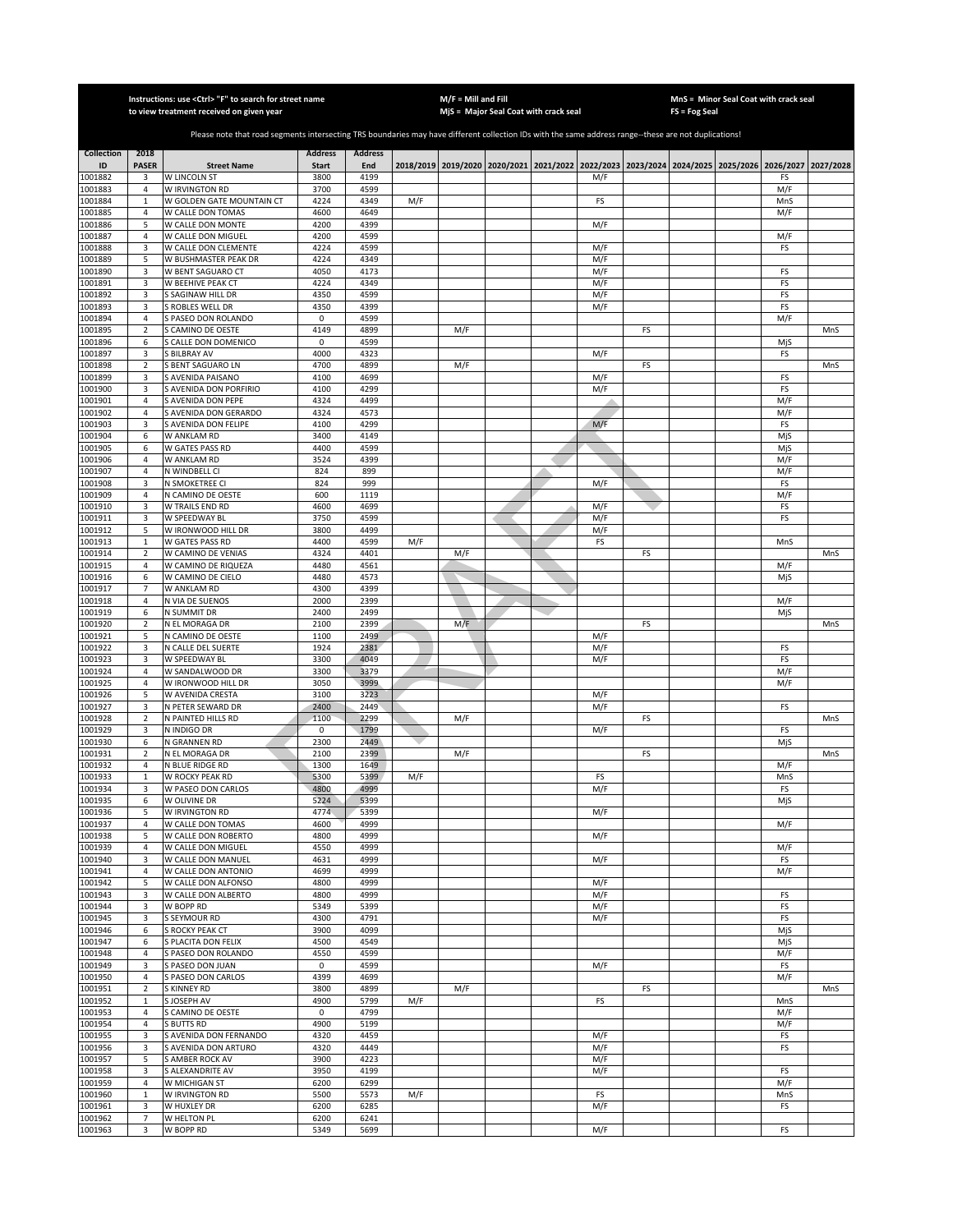|                    |                                  | Instructions: use <ctrl> "F" to search for street name</ctrl>                                                                                         |                     |                |     | $M/F =$ Mill and Fill | MjS = Major Seal Coat with crack seal                                           |            |    | FS = Fog Seal | MnS = Minor Seal Coat with crack seal |            |           |
|--------------------|----------------------------------|-------------------------------------------------------------------------------------------------------------------------------------------------------|---------------------|----------------|-----|-----------------------|---------------------------------------------------------------------------------|------------|----|---------------|---------------------------------------|------------|-----------|
|                    |                                  | to view treatment received on given year                                                                                                              |                     |                |     |                       |                                                                                 |            |    |               |                                       |            |           |
|                    |                                  | Please note that road segments intersecting TRS boundaries may have different collection IDs with the same address range--these are not duplications! |                     |                |     |                       |                                                                                 |            |    |               |                                       |            |           |
| <b>Collection</b>  | 2018                             |                                                                                                                                                       | <b>Address</b>      | <b>Address</b> |     |                       |                                                                                 |            |    |               |                                       |            |           |
| ID                 | <b>PASER</b>                     | <b>Street Name</b>                                                                                                                                    | <b>Start</b>        | End            |     |                       | 2018/2019 2019/2020 2020/2021 2021/2022 2022/2023 2023/2024 2024/2025 2025/2026 |            |    |               |                                       | 2026/2027  | 2027/2028 |
| 1001882            | 3                                | W LINCOLN ST                                                                                                                                          | 3800                | 4199           |     |                       |                                                                                 | M/F        |    |               |                                       | FS         |           |
| 1001883<br>1001884 | $\overline{4}$<br>$\mathbf{1}$   | W IRVINGTON RD<br>W GOLDEN GATE MOUNTAIN CT                                                                                                           | 3700<br>4224        | 4599<br>4349   | M/F |                       |                                                                                 | FS         |    |               |                                       | M/F<br>MnS |           |
| 1001885            | $\overline{4}$                   | W CALLE DON TOMAS                                                                                                                                     | 4600                | 4649           |     |                       |                                                                                 |            |    |               |                                       | M/F        |           |
| 1001886            | 5                                | W CALLE DON MONTE                                                                                                                                     | 4200                | 4399           |     |                       |                                                                                 | M/F        |    |               |                                       |            |           |
| 1001887            | $\overline{4}$                   | W CALLE DON MIGUEL                                                                                                                                    | 4200                | 4599           |     |                       |                                                                                 |            |    |               |                                       | M/F        |           |
| 1001888<br>1001889 | 3<br>5                           | W CALLE DON CLEMENTE<br>W BUSHMASTER PEAK DR                                                                                                          | 4224<br>4224        | 4599<br>4349   |     |                       |                                                                                 | M/F<br>M/F |    |               |                                       | FS         |           |
| 1001890            | 3                                | W BENT SAGUARO CT                                                                                                                                     | 4050                | 4173           |     |                       |                                                                                 | M/F        |    |               |                                       | FS         |           |
| 1001891            | 3                                | W BEEHIVE PEAK CT                                                                                                                                     | 4224                | 4349           |     |                       |                                                                                 | M/F        |    |               |                                       | FS         |           |
| 1001892            | 3                                | S SAGINAW HILL DR                                                                                                                                     | 4350                | 4599           |     |                       |                                                                                 | M/F        |    |               |                                       | FS         |           |
| 1001893<br>1001894 | 3<br>$\overline{4}$              | S ROBLES WELL DR<br>S PASEO DON ROLANDO                                                                                                               | 4350<br>$\mathsf 0$ | 4399<br>4599   |     |                       |                                                                                 | M/F        |    |               |                                       | FS<br>M/F  |           |
| 1001895            | $\overline{2}$                   | S CAMINO DE OESTE                                                                                                                                     | 4149                | 4899           |     | M/F                   |                                                                                 |            | FS |               |                                       |            | MnS       |
| 1001896            | 6                                | S CALLE DON DOMENICO                                                                                                                                  | 0                   | 4599           |     |                       |                                                                                 |            |    |               |                                       | MjS        |           |
| 1001897            | 3                                | S BILBRAY AV                                                                                                                                          | 4000                | 4323           |     |                       |                                                                                 | M/F        |    |               |                                       | FS         |           |
| 001898<br>1001899  | $\mathbf 2$<br>3                 | S BENT SAGUARO LN<br>S AVENIDA PAISANO                                                                                                                | 4700<br>4100        | 4899<br>4699   |     | M/F                   |                                                                                 | M/F        | FS |               |                                       | FS         | MnS       |
| 1001900            | 3                                | S AVENIDA DON PORFIRIO                                                                                                                                | 4100                | 4299           |     |                       |                                                                                 | M/F        |    |               |                                       | FS         |           |
| 1001901            | $\sqrt{4}$                       | S AVENIDA DON PEPE                                                                                                                                    | 4324                | 4499           |     |                       |                                                                                 |            |    |               |                                       | M/F        |           |
| 1001902            | 4                                | AVENIDA DON GERARDO                                                                                                                                   | 4324                | 4573           |     |                       |                                                                                 |            |    |               |                                       | M/F        |           |
| 1001903            | 3                                | <b>AVENIDA DON FELIPE</b>                                                                                                                             | 4100                | 4299           |     |                       |                                                                                 | M/F        |    |               |                                       | FS         |           |
| 1001904<br>1001905 | 6<br>6                           | W ANKLAM RD<br>W GATES PASS RD                                                                                                                        | 3400<br>4400        | 4149<br>4599   |     |                       |                                                                                 |            |    |               |                                       | MjS<br>MjS |           |
| 001906             | 4                                | W ANKLAM RD                                                                                                                                           | 3524                | 4399           |     |                       |                                                                                 |            |    |               |                                       | M/F        |           |
| 1001907            | $\overline{4}$                   | N WINDBELL CI                                                                                                                                         | 824                 | 899            |     |                       |                                                                                 |            |    |               |                                       | M/F        |           |
| 1001908            | 3                                | N SMOKETREE CI                                                                                                                                        | 824                 | 999            |     |                       |                                                                                 | M/F        |    |               |                                       | FS         |           |
| 1001909<br>1001910 | $\overline{4}$<br>3              | N CAMINO DE OESTE<br>W TRAILS END RD                                                                                                                  | 600<br>4600         | 1119<br>4699   |     |                       |                                                                                 | M/F        |    |               |                                       | M/F<br>FS  |           |
| 1001911            | 3                                | W SPEEDWAY BL                                                                                                                                         | 3750                | 4599           |     |                       |                                                                                 | M/F        |    |               |                                       | FS         |           |
| 1001912            | 5                                | W IRONWOOD HILL DR                                                                                                                                    | 3800                | 4499           |     |                       |                                                                                 | M/F        |    |               |                                       |            |           |
| 1001913            | $\mathbf 1$                      | W GATES PASS RD                                                                                                                                       | 4400                | 4599           | M/F |                       |                                                                                 | FS         |    |               |                                       | MnS        |           |
| 1001914<br>1001915 | $\mathbf 2$<br>$\sqrt{4}$        | W CAMINO DE VENIAS<br>W CAMINO DE RIQUEZA                                                                                                             | 4324<br>4480        | 4401<br>4561   |     | M/F                   |                                                                                 |            | FS |               |                                       | M/F        | MnS       |
| 1001916            | 6                                | W CAMINO DE CIELO                                                                                                                                     | 4480                | 4573           |     |                       |                                                                                 |            |    |               |                                       | MjS        |           |
| 1001917            | $\overline{7}$                   | W ANKLAM RD                                                                                                                                           | 4300                | 4399           |     |                       |                                                                                 |            |    |               |                                       |            |           |
| 1001918            | $\overline{4}$                   | N VIA DE SUENOS                                                                                                                                       | 2000                | 2399           |     |                       |                                                                                 |            |    |               |                                       | M/F        |           |
| 1001919<br>1001920 | 6<br>$\overline{2}$              | N SUMMIT DR<br>N EL MORAGA DR                                                                                                                         | 2400<br>2100        | 2499<br>2399   |     | M/F                   |                                                                                 |            | FS |               |                                       | MjS        | MnS       |
| 1001921            | 5                                | N CAMINO DE OESTE                                                                                                                                     | 1100                | 2499           |     |                       |                                                                                 | M/F        |    |               |                                       |            |           |
| 1001922            | 3                                | N CALLE DEL SUERTE                                                                                                                                    | 1924                | 2381           |     |                       |                                                                                 | M/F        |    |               |                                       | FS         |           |
| 1001923            | 3                                | W SPEEDWAY BL                                                                                                                                         | 3300                | 4049           |     |                       |                                                                                 | M/F        |    |               |                                       | FS         |           |
| 1001924<br>1001925 | $\overline{4}$<br>$\overline{4}$ | W SANDALWOOD DR<br>W IRONWOOD HILL DR                                                                                                                 | 3300<br>3050        | 3379<br>3999   |     |                       |                                                                                 |            |    |               |                                       | M/F<br>M/F |           |
| 1001926            | 5                                | W AVENIDA CRESTA                                                                                                                                      | 3100                | 3223           |     |                       |                                                                                 | M/F        |    |               |                                       |            |           |
| 1001927            | 3                                | N PETER SEWARD DR                                                                                                                                     | 2400                | 2449           |     |                       |                                                                                 | M/F        |    |               |                                       | FS         |           |
| 1001928            | $\overline{2}$                   | N PAINTED HILLS RD                                                                                                                                    | 1100                | 2299           |     | M/F                   |                                                                                 |            | FS |               |                                       |            | MnS       |
| 001929<br>1001930  | 3<br>6                           | N INDIGO DR<br>N GRANNEN RD                                                                                                                           | 0<br>2300           | 1799<br>2449   |     |                       |                                                                                 | M/F        |    |               |                                       | FS<br>MjS  |           |
| 1001931            | $\overline{2}$                   | N EL MORAGA DR                                                                                                                                        | 2100                | 2399           |     | M/F                   |                                                                                 |            | FS |               |                                       |            | MnS       |
| 1001932            | 4                                | N BLUE RIDGE RD                                                                                                                                       | 1300                | 1649           |     |                       |                                                                                 |            |    |               |                                       | M/F        |           |
| 1001933            | $\,1\,$                          | W ROCKY PEAK RD                                                                                                                                       | 5300                | 5399           | M/F |                       |                                                                                 | FS         |    |               |                                       | MnS        |           |
| 1001934<br>1001935 | 3<br>6                           | W PASEO DON CARLOS<br>W OLIVINE DR                                                                                                                    | 4800<br>5224        | 4999<br>5399   |     |                       |                                                                                 | M/F        |    |               |                                       | FS<br>MjS  |           |
| 1001936            | 5                                | W IRVINGTON RD                                                                                                                                        | 4774                | 5399           |     |                       |                                                                                 | M/F        |    |               |                                       |            |           |
| 1001937            | 4                                | W CALLE DON TOMAS                                                                                                                                     | 4600                | 4999           |     |                       |                                                                                 |            |    |               |                                       | M/F        |           |
| 1001938            | 5                                | W CALLE DON ROBERTO                                                                                                                                   | 4800                | 4999           |     |                       |                                                                                 | M/F        |    |               |                                       |            |           |
| 1001939<br>1001940 | $\sqrt{4}$<br>3                  | W CALLE DON MIGUEL<br>W CALLE DON MANUEL                                                                                                              | 4550<br>4631        | 4999<br>4999   |     |                       |                                                                                 | M/F        |    |               |                                       | M/F<br>FS  |           |
| 1001941            | 4                                | W CALLE DON ANTONIO                                                                                                                                   | 4699                | 4999           |     |                       |                                                                                 |            |    |               |                                       | M/F        |           |
| 1001942            | 5                                | W CALLE DON ALFONSO                                                                                                                                   | 4800                | 4999           |     |                       |                                                                                 | M/F        |    |               |                                       |            |           |
| 1001943            | 3                                | W CALLE DON ALBERTO                                                                                                                                   | 4800                | 4999           |     |                       |                                                                                 | M/F        |    |               |                                       | FS         |           |
| 1001944<br>1001945 | 3<br>3                           | W BOPP RD<br>S SEYMOUR RD                                                                                                                             | 5349<br>4300        | 5399<br>4791   |     |                       |                                                                                 | M/F<br>M/F |    |               |                                       | FS<br>FS   |           |
| 1001946            | 6                                | S ROCKY PEAK CT                                                                                                                                       | 3900                | 4099           |     |                       |                                                                                 |            |    |               |                                       | MjS        |           |
| 1001947            | 6                                | S PLACITA DON FELIX                                                                                                                                   | 4500                | 4549           |     |                       |                                                                                 |            |    |               |                                       | MjS        |           |
| 1001948            | $\overline{4}$                   | S PASEO DON ROLANDO                                                                                                                                   | 4550                | 4599           |     |                       |                                                                                 |            |    |               |                                       | M/F        |           |
| 1001949<br>1001950 | 3<br>$\sqrt{4}$                  | S PASEO DON JUAN<br>S PASEO DON CARLOS                                                                                                                | 0<br>4399           | 4599<br>4699   |     |                       |                                                                                 | M/F        |    |               |                                       | FS<br>M/F  |           |
| 1001951            | $\overline{2}$                   | S KINNEY RD                                                                                                                                           | 3800                | 4899           |     | M/F                   |                                                                                 |            | FS |               |                                       |            | MnS       |
| 1001952            | $\mathbf{1}$                     | S JOSEPH AV                                                                                                                                           | 4900                | 5799           | M/F |                       |                                                                                 | FS         |    |               |                                       | MnS        |           |
| 1001953            | 4                                | <b>SCAMINO DE OESTE</b>                                                                                                                               | 0                   | 4799           |     |                       |                                                                                 |            |    |               |                                       | M/F        |           |
| 1001954<br>1001955 | 4<br>3                           | <b>BUTTS RD</b><br>S AVENIDA DON FERNANDO                                                                                                             | 4900<br>4320        | 5199<br>4459   |     |                       |                                                                                 | M/F        |    |               |                                       | M/F<br>FS  |           |
| 1001956            | 3                                | SAVENIDA DON ARTURO                                                                                                                                   | 4320                | 4449           |     |                       |                                                                                 | M/F        |    |               |                                       | FS         |           |
| 1001957            | 5                                | S AMBER ROCK AV                                                                                                                                       | 3900                | 4223           |     |                       |                                                                                 | M/F        |    |               |                                       |            |           |
| 1001958            | 3                                | S ALEXANDRITE AV                                                                                                                                      | 3950                | 4199           |     |                       |                                                                                 | M/F        |    |               |                                       | FS         |           |
| 1001959<br>1001960 | $\overline{4}$<br>$\mathbf{1}$   | W MICHIGAN ST<br>W IRVINGTON RD                                                                                                                       | 6200<br>5500        | 6299<br>5573   | M/F |                       |                                                                                 | FS         |    |               |                                       | M/F<br>MnS |           |
| 1001961            | 3                                | W HUXLEY DR                                                                                                                                           | 6200                | 6285           |     |                       |                                                                                 | M/F        |    |               |                                       | FS         |           |
| 1001962            | $\overline{7}$                   | W HELTON PL                                                                                                                                           | 6200                | 6241           |     |                       |                                                                                 |            |    |               |                                       |            |           |
| 1001963            | 3                                | W BOPP RD                                                                                                                                             | 5349                | 5699           |     |                       |                                                                                 | M/F        |    |               |                                       | FS         |           |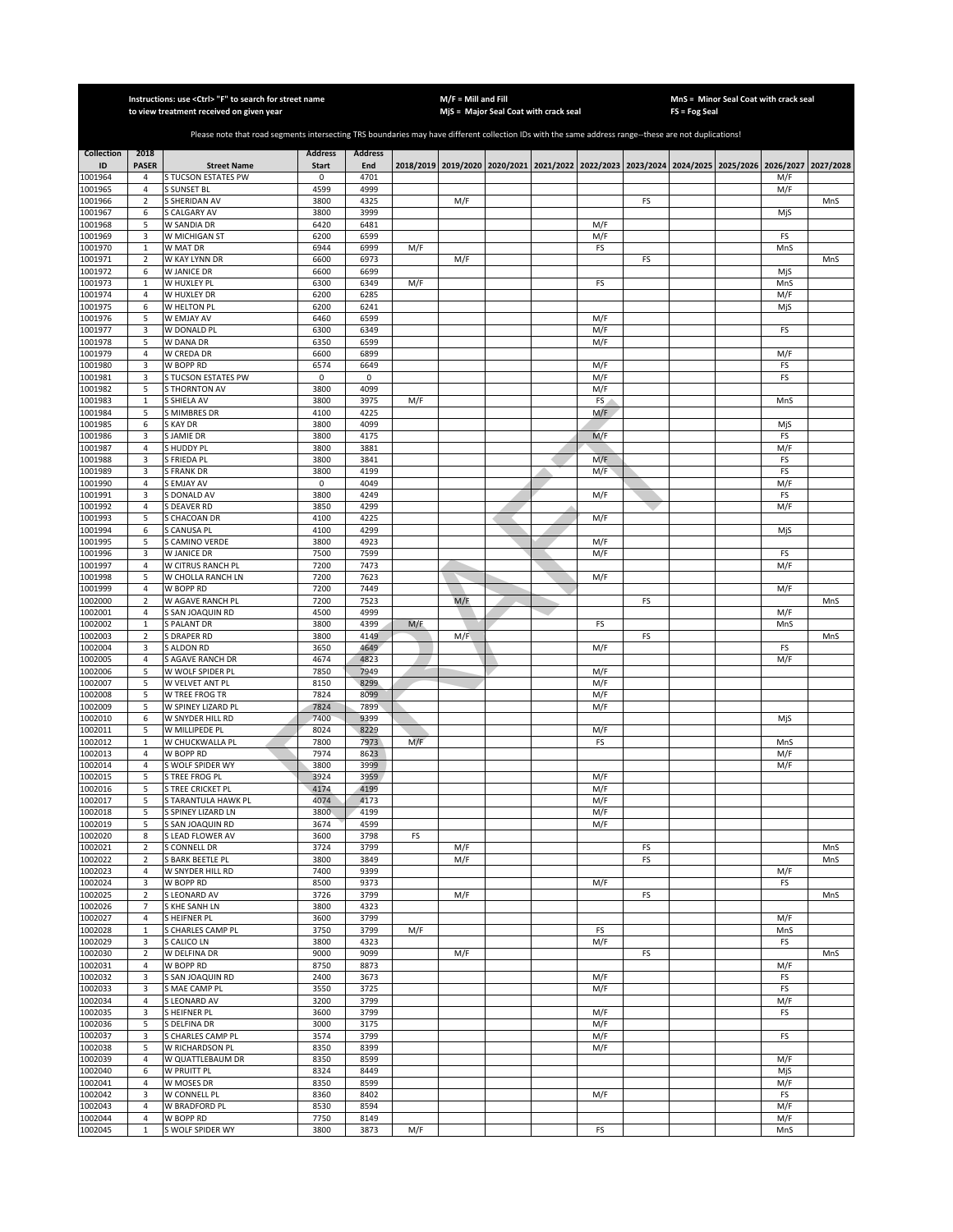|                    |                              | Instructions: use < Ctrl> "F" to search for street name<br>to view treatment received on given year                                                   |                |                |     | $M/F =$ Mill and Fill | MjS = Major Seal Coat with crack seal                                                     |            |    | $FS = Fog Seal$ | MnS = Minor Seal Coat with crack seal |            |           |
|--------------------|------------------------------|-------------------------------------------------------------------------------------------------------------------------------------------------------|----------------|----------------|-----|-----------------------|-------------------------------------------------------------------------------------------|------------|----|-----------------|---------------------------------------|------------|-----------|
|                    |                              |                                                                                                                                                       |                |                |     |                       |                                                                                           |            |    |                 |                                       |            |           |
|                    |                              | Please note that road segments intersecting TRS boundaries may have different collection IDs with the same address range--these are not duplications! |                |                |     |                       |                                                                                           |            |    |                 |                                       |            |           |
| <b>Collection</b>  | 2018                         |                                                                                                                                                       | <b>Address</b> | <b>Address</b> |     |                       |                                                                                           |            |    |                 |                                       |            |           |
| ID                 | <b>PASER</b>                 | <b>Street Name</b>                                                                                                                                    | <b>Start</b>   | End            |     |                       | 2018/2019 2019/2020 2020/2021 2021/2022 2022/2023 2023/2024 2024/2025 2025/2026 2026/2027 |            |    |                 |                                       |            | 2027/2028 |
| 1001964<br>1001965 | 4<br>$\overline{4}$          | S TUCSON ESTATES PW<br><b>S SUNSET BL</b>                                                                                                             | 0<br>4599      | 4701<br>4999   |     |                       |                                                                                           |            |    |                 |                                       | M/F<br>M/F |           |
| 1001966            | $\overline{2}$               | S SHERIDAN AV                                                                                                                                         | 3800           | 4325           |     | M/F                   |                                                                                           |            | FS |                 |                                       |            | MnS       |
| 1001967            | 6                            | S CALGARY AV                                                                                                                                          | 3800           | 3999           |     |                       |                                                                                           |            |    |                 |                                       | MjS        |           |
| 1001968            | 5                            | W SANDIA DR                                                                                                                                           | 6420           | 6481           |     |                       |                                                                                           | M/F        |    |                 |                                       |            |           |
| 1001969            | 3                            | W MICHIGAN ST                                                                                                                                         | 6200           | 6599           |     |                       |                                                                                           | M/F        |    |                 |                                       | FS         |           |
| 1001970<br>1001971 | $\,$ 1<br>$\mathbf 2$        | W MAT DR<br>W KAY LYNN DR                                                                                                                             | 6944<br>6600   | 6999<br>6973   | M/F | M/F                   |                                                                                           | FS         | FS |                 |                                       | MnS        | MnS       |
| 1001972            | 6                            | W JANICE DR                                                                                                                                           | 6600           | 6699           |     |                       |                                                                                           |            |    |                 |                                       | MjS        |           |
| 1001973            | $\,1\,$                      | W HUXLEY PL                                                                                                                                           | 6300           | 6349           | M/F |                       |                                                                                           | FS         |    |                 |                                       | MnS        |           |
| 1001974            | $\sqrt{4}$                   | W HUXLEY DR                                                                                                                                           | 6200           | 6285           |     |                       |                                                                                           |            |    |                 |                                       | M/F        |           |
| 1001975            | 6                            | W HELTON PL                                                                                                                                           | 6200           | 6241           |     |                       |                                                                                           |            |    |                 |                                       | MjS        |           |
| 1001976<br>1001977 | 5<br>3                       | W EMJAY AV<br>W DONALD PL                                                                                                                             | 6460<br>6300   | 6599<br>6349   |     |                       |                                                                                           | M/F<br>M/F |    |                 |                                       | FS         |           |
| 1001978            | 5                            | W DANA DR                                                                                                                                             | 6350           | 6599           |     |                       |                                                                                           | M/F        |    |                 |                                       |            |           |
| 1001979            | $\overline{4}$               | W CREDA DR                                                                                                                                            | 6600           | 6899           |     |                       |                                                                                           |            |    |                 |                                       | M/F        |           |
| 1001980            | 3                            | W BOPP RD                                                                                                                                             | 6574           | 6649           |     |                       |                                                                                           | M/F        |    |                 |                                       | FS         |           |
| 1001981            | 3                            | S TUCSON ESTATES PW                                                                                                                                   | $\mathsf 0$    | 0              |     |                       |                                                                                           | M/F        |    |                 |                                       | FS         |           |
| 1001982<br>1001983 | 5<br>$\,1\,$                 | <b>S THORNTON AV</b><br>S SHIELA AV                                                                                                                   | 3800<br>3800   | 4099<br>3975   | M/F |                       |                                                                                           | M/F<br>FS  |    |                 |                                       | MnS        |           |
| 1001984            | 5                            | S MIMBRES DR                                                                                                                                          | 4100           | 4225           |     |                       |                                                                                           | M/F        |    |                 |                                       |            |           |
| 1001985            | 6                            | S KAY DR                                                                                                                                              | 3800           | 4099           |     |                       |                                                                                           |            |    |                 |                                       | MjS        |           |
| 1001986            | 3                            | S JAMIE DR                                                                                                                                            | 3800           | 4175           |     |                       |                                                                                           | M/F        |    |                 |                                       | FS         |           |
| 1001987            | $\overline{4}$               | S HUDDY PL                                                                                                                                            | 3800           | 3881           |     |                       |                                                                                           |            |    |                 |                                       | M/F        |           |
| 1001988<br>1001989 | 3<br>3                       | S FRIEDA PL<br><b>S FRANK DR</b>                                                                                                                      | 3800<br>3800   | 3841<br>4199   |     |                       |                                                                                           | M/F<br>M/F |    |                 |                                       | FS<br>FS   |           |
| 1001990            | $\overline{4}$               | S EMJAY AV                                                                                                                                            | 0              | 4049           |     |                       |                                                                                           |            |    |                 |                                       | M/F        |           |
| 1001991            | 3                            | S DONALD AV                                                                                                                                           | 3800           | 4249           |     |                       |                                                                                           | M/F        |    |                 |                                       | FS         |           |
| 1001992            | $\overline{4}$               | S DEAVER RD                                                                                                                                           | 3850           | 4299           |     |                       |                                                                                           |            |    |                 |                                       | M/F        |           |
| 1001993            | 5                            | S CHACOAN DR                                                                                                                                          | 4100           | 4225           |     |                       |                                                                                           | M/F        |    |                 |                                       |            |           |
| 1001994<br>1001995 | 6<br>5                       | S CANUSA PL<br>S CAMINO VERDE                                                                                                                         | 4100<br>3800   | 4299<br>4923   |     |                       |                                                                                           | M/F        |    |                 |                                       | MjS        |           |
| 1001996            | 3                            | W JANICE DR                                                                                                                                           | 7500           | 7599           |     |                       |                                                                                           | M/F        |    |                 |                                       | FS         |           |
| 1001997            | $\sqrt{4}$                   | W CITRUS RANCH PL                                                                                                                                     | 7200           | 7473           |     |                       |                                                                                           |            |    |                 |                                       | M/F        |           |
| 1001998            | 5                            | W CHOLLA RANCH LN                                                                                                                                     | 7200           | 7623           |     |                       |                                                                                           | M/F        |    |                 |                                       |            |           |
| 1001999            | $\overline{4}$               | W BOPP RD                                                                                                                                             | 7200           | 7449           |     |                       |                                                                                           |            |    |                 |                                       | M/F        |           |
| 1002000<br>1002001 | $\mathbf 2$<br>$\sqrt{4}$    | W AGAVE RANCH PL<br>S SAN JOAQUIN RD                                                                                                                  | 7200<br>4500   | 7523<br>4999   |     | M/F                   |                                                                                           |            | FS |                 |                                       | M/F        | MnS       |
| 1002002            | $\mathbf{1}$                 | S PALANT DR                                                                                                                                           | 3800           | 4399           | M/F |                       |                                                                                           | FS         |    |                 |                                       | MnS        |           |
| 1002003            | $\mathbf 2$                  | <b>S DRAPER RD</b>                                                                                                                                    | 3800           | 4149           |     | M/F                   |                                                                                           |            | FS |                 |                                       |            | MnS       |
| 1002004            | 3                            | S ALDON RD                                                                                                                                            | 3650           | 4649           |     |                       |                                                                                           | M/F        |    |                 |                                       | FS         |           |
| 1002005            | $\sqrt{4}$                   | S AGAVE RANCH DR                                                                                                                                      | 4674           | 4823           |     |                       |                                                                                           |            |    |                 |                                       | M/F        |           |
| 1002006            | 5                            | W WOLF SPIDER PL                                                                                                                                      | 7850           | 7949           |     |                       |                                                                                           | M/F        |    |                 |                                       |            |           |
| 1002007<br>1002008 | 5<br>5                       | W VELVET ANT PL<br>W TREE FROG TR                                                                                                                     | 8150<br>7824   | 8299<br>8099   |     |                       |                                                                                           | M/F<br>M/F |    |                 |                                       |            |           |
| 1002009            | 5                            | W SPINEY LIZARD PL                                                                                                                                    | 7824           | 7899           |     |                       |                                                                                           | M/F        |    |                 |                                       |            |           |
| 1002010            | 6                            | W SNYDER HILL RD                                                                                                                                      | 7400           | 9399           |     |                       |                                                                                           |            |    |                 |                                       | MjS        |           |
| 1002011            | 5                            | W MILLIPEDE PL                                                                                                                                        | 8024           | 8229           |     |                       |                                                                                           | M/F        |    |                 |                                       |            |           |
| 1002012<br>1002013 | $\mathbf{1}$                 | W CHUCKWALLA PL                                                                                                                                       | 7800<br>7974   | 7973<br>8623   | M/F |                       |                                                                                           | FS         |    |                 |                                       | MnS<br>M/F |           |
| 1002014            | 4<br>$\overline{4}$          | W BOPP RD<br>S WOLF SPIDER WY                                                                                                                         | 3800           | 3999           |     |                       |                                                                                           |            |    |                 |                                       | M/F        |           |
| 1002015            | 5                            | S TREE FROG PL                                                                                                                                        | 3924           | 3959           |     |                       |                                                                                           | M/F        |    |                 |                                       |            |           |
| 1002016            | 5                            | S TREE CRICKET PL                                                                                                                                     | 4174           | 4199           |     |                       |                                                                                           | M/F        |    |                 |                                       |            |           |
| 1002017            | 5                            | S TARANTULA HAWK PL                                                                                                                                   | 4074           | 4173           |     |                       |                                                                                           | M/F        |    |                 |                                       |            |           |
| 1002018<br>1002019 | 5<br>5                       | S SPINEY LIZARD LN<br>S SAN JOAQUIN RD                                                                                                                | 3800<br>3674   | 4199<br>4599   |     |                       |                                                                                           | M/F<br>M/F |    |                 |                                       |            |           |
| 1002020            | 8                            | S LEAD FLOWER AV                                                                                                                                      | 3600           | 3798           | FS  |                       |                                                                                           |            |    |                 |                                       |            |           |
| 1002021            | $\sqrt{2}$                   | S CONNELL DR                                                                                                                                          | 3724           | 3799           |     | M/F                   |                                                                                           |            | FS |                 |                                       |            | MnS       |
| 1002022            | $\mathbf 2$                  | S BARK BEETLE PL                                                                                                                                      | 3800           | 3849           |     | M/F                   |                                                                                           |            | FS |                 |                                       |            | MnS       |
| 1002023            | $\overline{4}$               | W SNYDER HILL RD                                                                                                                                      | 7400           | 9399           |     |                       |                                                                                           |            |    |                 |                                       | M/F        |           |
| 1002024<br>1002025 | 3<br>$\sqrt{2}$              | W BOPP RD<br>S LEONARD AV                                                                                                                             | 8500<br>3726   | 9373<br>3799   |     | M/F                   |                                                                                           | M/F        | FS |                 |                                       | FS         | MnS       |
| 1002026            | $\overline{7}$               | S KHE SANH LN                                                                                                                                         | 3800           | 4323           |     |                       |                                                                                           |            |    |                 |                                       |            |           |
| 1002027            | $\overline{a}$               | <b>SHEIFNER PL</b>                                                                                                                                    | 3600           | 3799           |     |                       |                                                                                           |            |    |                 |                                       | M/F        |           |
| 1002028            | $\mathbf{1}$                 | S CHARLES CAMP PL                                                                                                                                     | 3750           | 3799           | M/F |                       |                                                                                           | FS         |    |                 |                                       | MnS        |           |
| 1002029            | 3                            | S CALICO LN                                                                                                                                           | 3800           | 4323           |     |                       |                                                                                           | M/F        |    |                 |                                       | FS         |           |
| 1002030<br>1002031 | $\mathbf 2$<br>$\sqrt{4}$    | W DELFINA DR                                                                                                                                          | 9000<br>8750   | 9099<br>8873   |     | M/F                   |                                                                                           |            | FS |                 |                                       |            | MnS       |
| 1002032            | 3                            | W BOPP RD<br>S SAN JOAQUIN RD                                                                                                                         | 2400           | 3673           |     |                       |                                                                                           | M/F        |    |                 |                                       | M/F<br>FS  |           |
| 1002033            | 3                            | S MAE CAMP PL                                                                                                                                         | 3550           | 3725           |     |                       |                                                                                           | M/F        |    |                 |                                       | FS         |           |
| 1002034            | 4                            | S LEONARD AV                                                                                                                                          | 3200           | 3799           |     |                       |                                                                                           |            |    |                 |                                       | M/F        |           |
| 1002035            | 3                            | S HEIFNER PL                                                                                                                                          | 3600           | 3799           |     |                       |                                                                                           | M/F        |    |                 |                                       | FS         |           |
| 1002036            | 5                            | S DELFINA DR                                                                                                                                          | 3000           | 3175           |     |                       |                                                                                           | M/F        |    |                 |                                       |            |           |
| 1002037<br>1002038 | 3<br>5                       | S CHARLES CAMP PL<br>W RICHARDSON PL                                                                                                                  | 3574<br>8350   | 3799<br>8399   |     |                       |                                                                                           | M/F<br>M/F |    |                 |                                       | FS         |           |
| 1002039            | $\overline{4}$               | W QUATTLEBAUM DR                                                                                                                                      | 8350           | 8599           |     |                       |                                                                                           |            |    |                 |                                       | M/F        |           |
| 1002040            | 6                            | W PRUITT PL                                                                                                                                           | 8324           | 8449           |     |                       |                                                                                           |            |    |                 |                                       | MjS        |           |
| 1002041            | $\overline{4}$               | W MOSES DR                                                                                                                                            | 8350           | 8599           |     |                       |                                                                                           |            |    |                 |                                       | M/F        |           |
| 1002042            | 3                            | W CONNELL PL                                                                                                                                          | 8360           | 8402           |     |                       |                                                                                           | M/F        |    |                 |                                       | FS         |           |
| 1002043<br>1002044 | $\sqrt{4}$<br>$\overline{4}$ | W BRADFORD PL<br>W BOPP RD                                                                                                                            | 8530<br>7750   | 8594<br>8149   |     |                       |                                                                                           |            |    |                 |                                       | M/F<br>M/F |           |
| 1002045            | $\mathbf{1}$                 | S WOLF SPIDER WY                                                                                                                                      | 3800           | 3873           | M/F |                       |                                                                                           | FS         |    |                 |                                       | MnS        |           |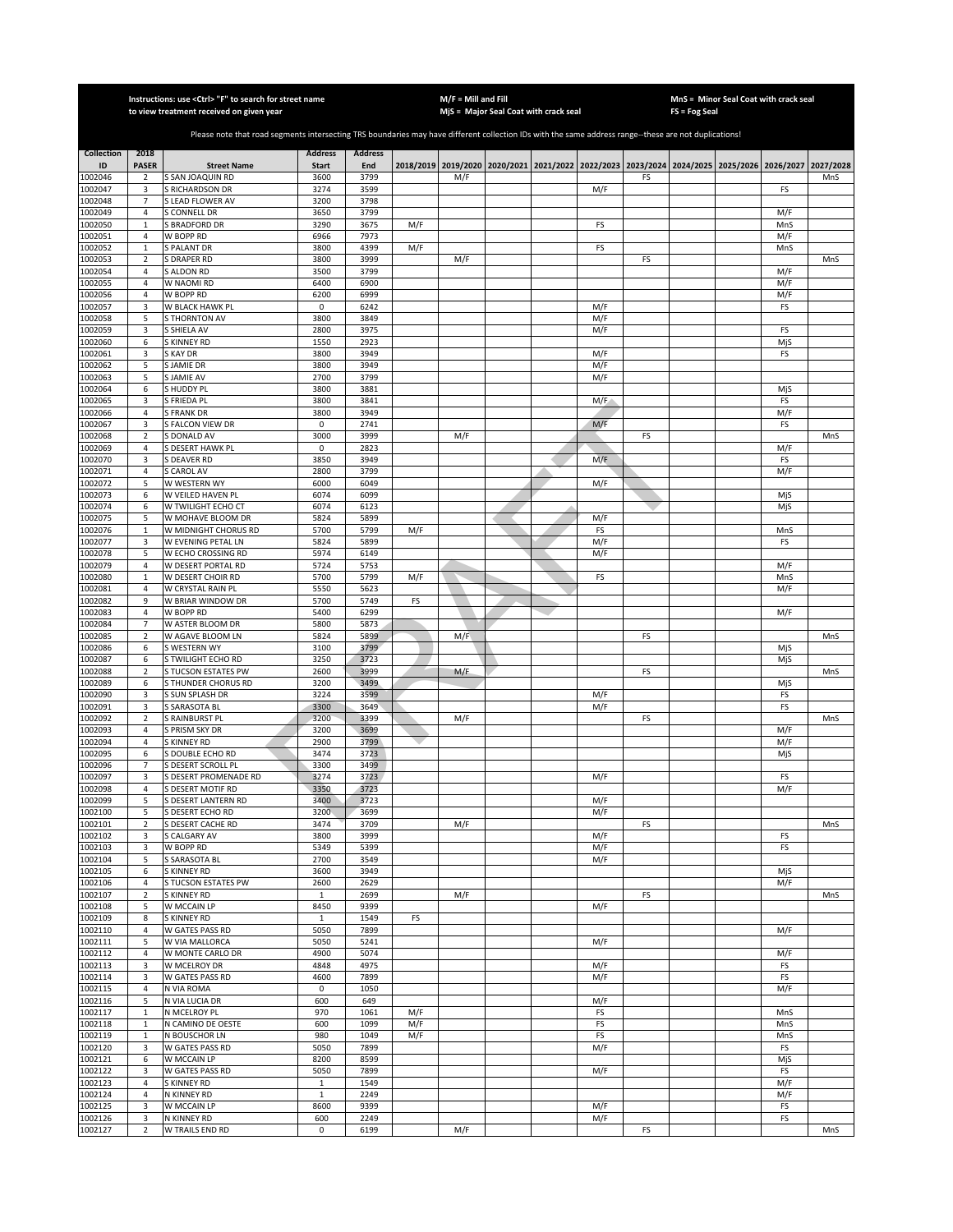|                    |                             | Instructions: use <ctrl> "F" to search for street name<br/>to view treatment received on given year</ctrl>                                            |                      |                |     | $M/F =$ Mill and Fill | MjS = Major Seal Coat with crack seal |            |    | MnS = Minor Seal Coat with crack seal<br>FS = Fog Seal                                              |            |     |
|--------------------|-----------------------------|-------------------------------------------------------------------------------------------------------------------------------------------------------|----------------------|----------------|-----|-----------------------|---------------------------------------|------------|----|-----------------------------------------------------------------------------------------------------|------------|-----|
|                    |                             | Please note that road segments intersecting TRS boundaries may have different collection IDs with the same address range--these are not duplications! |                      |                |     |                       |                                       |            |    |                                                                                                     |            |     |
| <b>Collection</b>  | 2018                        |                                                                                                                                                       | <b>Address</b>       | <b>Address</b> |     |                       |                                       |            |    |                                                                                                     |            |     |
| ID<br>1002046      | <b>PASER</b><br>$\mathbf 2$ | <b>Street Name</b><br>S SAN JOAQUIN RD                                                                                                                | <b>Start</b><br>3600 | End<br>3799    |     | M/F                   |                                       |            | FS | 2018/2019 2019/2020 2020/2021 2021/2022 2022/2023 2023/2024 2024/2025 2025/2026 2026/2027 2027/2028 |            | MnS |
| 1002047            | 3                           | S RICHARDSON DR                                                                                                                                       | 3274                 | 3599           |     |                       |                                       | M/F        |    |                                                                                                     | FS         |     |
| 1002048            | $\overline{7}$              | S LEAD FLOWER AV                                                                                                                                      | 3200                 | 3798           |     |                       |                                       |            |    |                                                                                                     |            |     |
| 1002049            | $\overline{4}$              | S CONNELL DR                                                                                                                                          | 3650                 | 3799           |     |                       |                                       |            |    |                                                                                                     | M/F        |     |
| 1002050<br>1002051 | $\mathbf 1$<br>4            | <b>BRADFORD DR</b><br>W BOPP RD                                                                                                                       | 3290<br>6966         | 3675<br>7973   | M/F |                       |                                       | FS         |    |                                                                                                     | MnS<br>M/F |     |
| 1002052            | $\mathbf 1$                 | S PALANT DR                                                                                                                                           | 3800                 | 4399           | M/F |                       |                                       | FS         |    |                                                                                                     | MnS        |     |
| 1002053            | $\overline{2}$              | S DRAPER RD                                                                                                                                           | 3800                 | 3999           |     | M/F                   |                                       |            | FS |                                                                                                     |            | MnS |
| 1002054            | 4                           | S ALDON RD                                                                                                                                            | 3500                 | 3799           |     |                       |                                       |            |    |                                                                                                     | M/F        |     |
| 1002055            | 4                           | W NAOMI RD                                                                                                                                            | 6400                 | 6900           |     |                       |                                       |            |    |                                                                                                     | M/F        |     |
| 1002056<br>1002057 | $\sqrt{4}$<br>3             | W BOPP RD<br>W BLACK HAWK PL                                                                                                                          | 6200<br>0            | 6999<br>6242   |     |                       |                                       | M/F        |    |                                                                                                     | M/F<br>FS  |     |
| 1002058            | 5                           | <b>S THORNTON AV</b>                                                                                                                                  | 3800                 | 3849           |     |                       |                                       | M/F        |    |                                                                                                     |            |     |
| 1002059            | 3                           | S SHIELA AV                                                                                                                                           | 2800                 | 3975           |     |                       |                                       | M/F        |    |                                                                                                     | FS         |     |
| 1002060            | 6                           | S KINNEY RD                                                                                                                                           | 1550                 | 2923           |     |                       |                                       |            |    |                                                                                                     | MjS        |     |
| 1002061            | 3                           | <b>SKAYDR</b><br>S JAMIE DR                                                                                                                           | 3800<br>3800         | 3949<br>3949   |     |                       |                                       | M/F<br>M/F |    |                                                                                                     | FS         |     |
| 1002062<br>1002063 | 5<br>5                      | S JAMIE AV                                                                                                                                            | 2700                 | 3799           |     |                       |                                       | M/F        |    |                                                                                                     |            |     |
| 1002064            | 6                           | S HUDDY PL                                                                                                                                            | 3800                 | 3881           |     |                       |                                       |            |    |                                                                                                     | MjS        |     |
| 1002065            | 3                           | S FRIEDA PL                                                                                                                                           | 3800                 | 3841           |     |                       |                                       | M/F        |    |                                                                                                     | FS         |     |
| 1002066            | 4                           | <b>S FRANK DR</b>                                                                                                                                     | 3800                 | 3949           |     |                       |                                       |            |    |                                                                                                     | M/F        |     |
| 1002067            | 3                           | S FALCON VIEW DR                                                                                                                                      | $\pmb{0}$            | 2741           |     |                       |                                       | M/F        |    |                                                                                                     | FS         |     |
| 1002068<br>1002069 | $\mathbf 2$<br>$\sqrt{4}$   | S DONALD AV<br>S DESERT HAWK PL                                                                                                                       | 3000<br>$\mathsf 0$  | 3999<br>2823   |     | M/F                   |                                       |            | FS |                                                                                                     | M/F        | MnS |
| 1002070            | 3                           | S DEAVER RD                                                                                                                                           | 3850                 | 3949           |     |                       |                                       | M/F        |    |                                                                                                     | FS         |     |
| 1002071            | 4                           | S CAROL AV                                                                                                                                            | 2800                 | 3799           |     |                       |                                       |            |    |                                                                                                     | M/F        |     |
| 1002072            | 5                           | W WESTERN WY                                                                                                                                          | 6000                 | 6049           |     |                       |                                       | M/F        |    |                                                                                                     |            |     |
| 1002073            | 6                           | W VEILED HAVEN PL                                                                                                                                     | 6074                 | 6099           |     |                       |                                       |            |    |                                                                                                     | MjS        |     |
| 1002074<br>1002075 | 6<br>5                      | W TWILIGHT ECHO CT<br>W MOHAVE BLOOM DR                                                                                                               | 6074<br>5824         | 6123<br>5899   |     |                       |                                       | M/F        |    |                                                                                                     | MjS        |     |
| 1002076            | $\mathbf 1$                 | W MIDNIGHT CHORUS RD                                                                                                                                  | 5700                 | 5799           | M/F |                       |                                       | FS         |    |                                                                                                     | MnS        |     |
| 1002077            | 3                           | W EVENING PETAL LN                                                                                                                                    | 5824                 | 5899           |     |                       |                                       | M/F        |    |                                                                                                     | FS         |     |
| 1002078            | 5                           | W ECHO CROSSING RD                                                                                                                                    | 5974                 | 6149           |     |                       |                                       | M/F        |    |                                                                                                     |            |     |
| 1002079            | $\overline{4}$              | W DESERT PORTAL RD                                                                                                                                    | 5724                 | 5753           |     |                       |                                       |            |    |                                                                                                     | M/F        |     |
| 1002080<br>1002081 | $\mathbf{1}$<br>4           | W DESERT CHOIR RD<br>W CRYSTAL RAIN PL                                                                                                                | 5700<br>5550         | 5799<br>5623   | M/F |                       |                                       | FS         |    |                                                                                                     | MnS<br>M/F |     |
| 1002082            | 9                           | W BRIAR WINDOW DR                                                                                                                                     | 5700                 | 5749           | FS  |                       |                                       |            |    |                                                                                                     |            |     |
| 1002083            | 4                           | W BOPP RD                                                                                                                                             | 5400                 | 6299           |     |                       |                                       |            |    |                                                                                                     | M/F        |     |
| 1002084            | $\overline{7}$              | W ASTER BLOOM DR                                                                                                                                      | 5800                 | 5873           |     |                       |                                       |            |    |                                                                                                     |            |     |
| 1002085            | $\overline{2}$              | W AGAVE BLOOM LN                                                                                                                                      | 5824                 | 5899           |     | M/F                   |                                       |            | FS |                                                                                                     |            | MnS |
| 1002086<br>1002087 | 6<br>6                      | S WESTERN WY<br>S TWILIGHT ECHO RD                                                                                                                    | 3100<br>3250         | 3799<br>3723   |     |                       |                                       |            |    |                                                                                                     | MiS<br>MjS |     |
| 1002088            | $\overline{2}$              | S TUCSON ESTATES PW                                                                                                                                   | 2600                 | 3999           |     | M/F                   |                                       |            | FS |                                                                                                     |            | MnS |
| 1002089            | 6                           | S THUNDER CHORUS RD                                                                                                                                   | 3200                 | 3499           |     |                       |                                       |            |    |                                                                                                     | MjS        |     |
| 1002090            | 3                           | S SUN SPLASH DR                                                                                                                                       | 3224                 | 3599           |     |                       |                                       | M/F        |    |                                                                                                     | FS         |     |
| 1002091            | 3                           | S SARASOTA BL                                                                                                                                         | 3300                 | 3649           |     |                       |                                       | M/F        |    |                                                                                                     | FS         |     |
| 1002092<br>1002093 | $\mathbf 2$<br>4            | S RAINBURST PL<br>S PRISM SKY DR                                                                                                                      | 3200<br>3200         | 3399<br>3699   |     | M/F                   |                                       |            | FS |                                                                                                     | M/F        | MnS |
| 1002094            | 4                           | S KINNEY RD                                                                                                                                           | 2900                 | 3799           |     |                       |                                       |            |    |                                                                                                     | M/F        |     |
| 1002095            | 6                           | S DOUBLE ECHO RD                                                                                                                                      | 3474                 | 3723           |     |                       |                                       |            |    |                                                                                                     | MjS        |     |
| 1002096            | $\overline{7}$              | S DESERT SCROLL PL                                                                                                                                    | 3300                 | 3499           |     |                       |                                       |            |    |                                                                                                     |            |     |
| 1002097            | 3                           | S DESERT PROMENADE RD                                                                                                                                 | 3274                 | 3723           |     |                       |                                       | M/F        |    |                                                                                                     | FS         |     |
| 1002098<br>1002099 | 4<br>5                      | S DESERT MOTIF RD<br>S DESERT LANTERN RD                                                                                                              | 3350<br>3400         | 3723<br>3723   |     |                       |                                       | M/F        |    |                                                                                                     | M/F        |     |
| 1002100            | 5                           | S DESERT ECHO RD                                                                                                                                      | 3200                 | 3699           |     |                       |                                       | M/F        |    |                                                                                                     |            |     |
| 1002101            | $\mathbf 2$                 | S DESERT CACHE RD                                                                                                                                     | 3474                 | 3709           |     | M/F                   |                                       |            | FS |                                                                                                     |            | MnS |
| 1002102            | 3                           | <b>S CALGARY AV</b>                                                                                                                                   | 3800                 | 3999           |     |                       |                                       | M/F        |    |                                                                                                     | FS         |     |
| 1002103<br>1002104 | 3                           | W BOPP RD                                                                                                                                             | 5349<br>2700         | 5399<br>3549   |     |                       |                                       | M/F        |    |                                                                                                     | FS         |     |
| 1002105            | 5<br>6                      | S SARASOTA BL<br>S KINNEY RD                                                                                                                          | 3600                 | 3949           |     |                       |                                       | M/F        |    |                                                                                                     | MjS        |     |
| 1002106            | 4                           | S TUCSON ESTATES PW                                                                                                                                   | 2600                 | 2629           |     |                       |                                       |            |    |                                                                                                     | M/F        |     |
| 1002107            | $\overline{2}$              | S KINNEY RD                                                                                                                                           | $\mathbf{1}$         | 2699           |     | M/F                   |                                       |            | FS |                                                                                                     |            | MnS |
| 1002108            | 5                           | W MCCAIN LP                                                                                                                                           | 8450                 | 9399           |     |                       |                                       | M/F        |    |                                                                                                     |            |     |
| 1002109<br>1002110 | 8<br>$\sqrt{4}$             | S KINNEY RD<br>W GATES PASS RD                                                                                                                        | 1<br>5050            | 1549<br>7899   | FS  |                       |                                       |            |    |                                                                                                     | M/F        |     |
| 1002111            | 5                           | W VIA MALLORCA                                                                                                                                        | 5050                 | 5241           |     |                       |                                       | M/F        |    |                                                                                                     |            |     |
| 1002112            | 4                           | W MONTE CARLO DR                                                                                                                                      | 4900                 | 5074           |     |                       |                                       |            |    |                                                                                                     | M/F        |     |
| 1002113            | 3                           | W MCELROY DR                                                                                                                                          | 4848                 | 4975           |     |                       |                                       | M/F        |    |                                                                                                     | FS         |     |
| 1002114            | 3                           | W GATES PASS RD                                                                                                                                       | 4600                 | 7899           |     |                       |                                       | M/F        |    |                                                                                                     | FS         |     |
| 1002115            | 4                           | N VIA ROMA                                                                                                                                            | 0                    | 1050           |     |                       |                                       |            |    |                                                                                                     | M/F        |     |
| 1002116<br>1002117 | 5<br>$\mathbf 1$            | N VIA LUCIA DR<br>N MCELROY PL                                                                                                                        | 600<br>970           | 649<br>1061    | M/F |                       |                                       | M/F<br>FS  |    |                                                                                                     | MnS        |     |
| 1002118            | $\mathbf 1$                 | N CAMINO DE OESTE                                                                                                                                     | 600                  | 1099           | M/F |                       |                                       | FS         |    |                                                                                                     | MnS        |     |
| 1002119            | $\mathbf 1$                 | N BOUSCHOR LN                                                                                                                                         | 980                  | 1049           | M/F |                       |                                       | FS         |    |                                                                                                     | MnS        |     |
| 1002120            | 3                           | W GATES PASS RD                                                                                                                                       | 5050                 | 7899           |     |                       |                                       | M/F        |    |                                                                                                     | FS         |     |
| 1002121            | 6                           | W MCCAIN LP                                                                                                                                           | 8200                 | 8599           |     |                       |                                       |            |    |                                                                                                     | MjS        |     |
| 1002122<br>1002123 | 3<br>4                      | W GATES PASS RD<br>S KINNEY RD                                                                                                                        | 5050<br>$\mathbf{1}$ | 7899<br>1549   |     |                       |                                       | M/F        |    |                                                                                                     | FS<br>M/F  |     |
| 1002124            | 4                           | N KINNEY RD                                                                                                                                           | $\mathbf{1}$         | 2249           |     |                       |                                       |            |    |                                                                                                     | M/F        |     |
| 1002125            | 3                           | W MCCAIN LP                                                                                                                                           | 8600                 | 9399           |     |                       |                                       | M/F        |    |                                                                                                     | FS         |     |
| 1002126            | 3                           | N KINNEY RD                                                                                                                                           | 600                  | 2249           |     |                       |                                       | M/F        |    |                                                                                                     | FS         |     |
| 1002127            | $\overline{2}$              | W TRAILS END RD                                                                                                                                       | $\mathsf 0$          | 6199           |     | M/F                   |                                       |            | FS |                                                                                                     |            | MnS |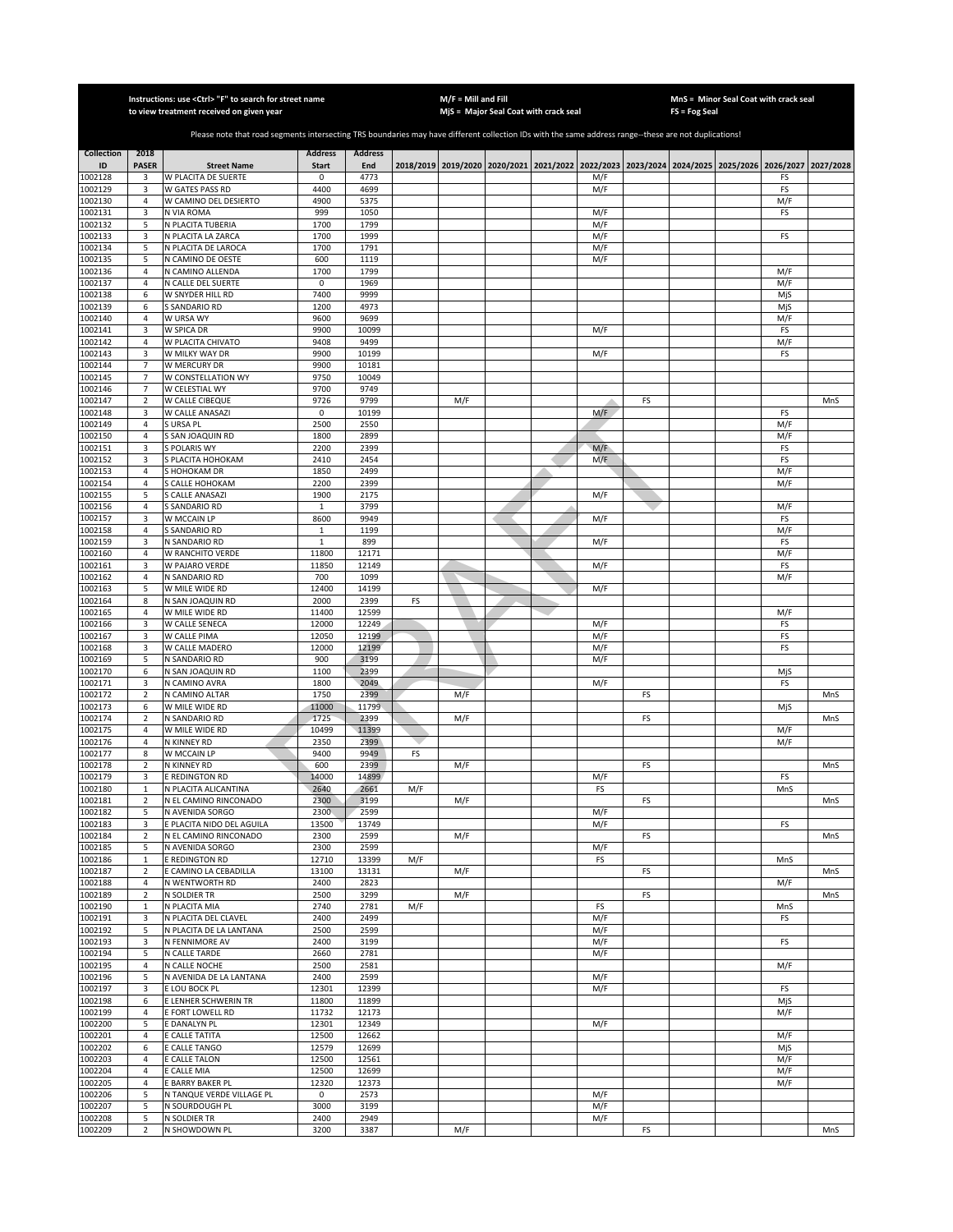|                    |                                        | Instructions: use <ctrl> "F" to search for street name<br/>to view treatment received on given year</ctrl>                                            |                              |                |     | $M/F =$ Mill and Fill | MiS = Major Seal Coat with crack seal |            |    | FS = Fog Seal | MnS = Minor Seal Coat with crack seal                                                               |            |     |
|--------------------|----------------------------------------|-------------------------------------------------------------------------------------------------------------------------------------------------------|------------------------------|----------------|-----|-----------------------|---------------------------------------|------------|----|---------------|-----------------------------------------------------------------------------------------------------|------------|-----|
|                    |                                        | Please note that road segments intersecting TRS boundaries may have different collection IDs with the same address range--these are not duplications! |                              |                |     |                       |                                       |            |    |               |                                                                                                     |            |     |
| <b>Collection</b>  | 2018                                   |                                                                                                                                                       | <b>Address</b>               | <b>Address</b> |     |                       |                                       |            |    |               |                                                                                                     |            |     |
| ID<br>1002128      | <b>PASER</b><br>3                      | <b>Street Name</b><br>W PLACITA DE SUERTE                                                                                                             | <b>Start</b><br>0            | End<br>4773    |     |                       |                                       | M/F        |    |               | 2018/2019 2019/2020 2020/2021 2021/2022 2022/2023 2023/2024 2024/2025 2025/2026 2026/2027 2027/2028 | FS         |     |
| 1002129            | 3                                      | W GATES PASS RD                                                                                                                                       | 4400                         | 4699           |     |                       |                                       | M/F        |    |               |                                                                                                     | FS         |     |
| 1002130            | $\overline{4}$                         | W CAMINO DEL DESIERTO                                                                                                                                 | 4900                         | 5375           |     |                       |                                       |            |    |               |                                                                                                     | M/F        |     |
| 1002131<br>1002132 | 3<br>5                                 | N VIA ROMA<br>N PLACITA TUBERIA                                                                                                                       | 999<br>1700                  | 1050<br>1799   |     |                       |                                       | M/F<br>M/F |    |               |                                                                                                     | FS         |     |
| 1002133            | 3                                      | N PLACITA LA ZARCA                                                                                                                                    | 1700                         | 1999           |     |                       |                                       | M/F        |    |               |                                                                                                     | FS         |     |
| 1002134            | 5                                      | N PLACITA DE LAROCA                                                                                                                                   | 1700                         | 1791           |     |                       |                                       | M/F        |    |               |                                                                                                     |            |     |
| 1002135<br>1002136 | 5<br>$\overline{4}$                    | N CAMINO DE OESTE<br>N CAMINO ALLENDA                                                                                                                 | 600<br>1700                  | 1119<br>1799   |     |                       |                                       | M/F        |    |               |                                                                                                     | M/F        |     |
| 1002137            | $\sqrt{4}$                             | N CALLE DEL SUERTE                                                                                                                                    | 0                            | 1969           |     |                       |                                       |            |    |               |                                                                                                     | M/F        |     |
| 1002138            | 6                                      | W SNYDER HILL RD                                                                                                                                      | 7400                         | 9999           |     |                       |                                       |            |    |               |                                                                                                     | MjS        |     |
| 1002139            | 6<br>$\overline{4}$                    | S SANDARIO RD                                                                                                                                         | 1200                         | 4973           |     |                       |                                       |            |    |               |                                                                                                     | MjS        |     |
| 1002140<br>002141  | 3                                      | W URSA WY<br>W SPICA DR                                                                                                                               | 9600<br>9900                 | 9699<br>10099  |     |                       |                                       | M/F        |    |               |                                                                                                     | M/F<br>FS  |     |
| 1002142            | $\sqrt{4}$                             | W PLACITA CHIVATO                                                                                                                                     | 9408                         | 9499           |     |                       |                                       |            |    |               |                                                                                                     | M/F        |     |
| 1002143            | 3                                      | W MILKY WAY DR                                                                                                                                        | 9900                         | 10199          |     |                       |                                       | M/F        |    |               |                                                                                                     | FS         |     |
| 002144<br>002145   | $\overline{7}$<br>$\overline{7}$       | W MERCURY DR<br>W CONSTELLATION WY                                                                                                                    | 9900<br>9750                 | 10181<br>10049 |     |                       |                                       |            |    |               |                                                                                                     |            |     |
| 1002146            | $\overline{7}$                         | W CELESTIAL WY                                                                                                                                        | 9700                         | 9749           |     |                       |                                       |            |    |               |                                                                                                     |            |     |
| 1002147            | $\sqrt{2}$                             | W CALLE CIBEQUE                                                                                                                                       | 9726                         | 9799           |     | M/F                   |                                       |            | FS |               |                                                                                                     |            | MnS |
| 1002148            | 3                                      | W CALLE ANASAZI                                                                                                                                       | 0                            | 10199          |     |                       |                                       | M/F        |    |               |                                                                                                     | FS         |     |
| 1002149<br>1002150 | 4<br>$\overline{4}$                    | S URSA PL<br>S SAN JOAQUIN RD                                                                                                                         | 2500<br>1800                 | 2550<br>2899   |     |                       |                                       |            |    |               |                                                                                                     | M/F<br>M/F |     |
| 1002151            | 3                                      | S POLARIS WY                                                                                                                                          | 2200                         | 2399           |     |                       |                                       | M/F        |    |               |                                                                                                     | FS         |     |
| 1002152            | 3                                      | S PLACITA HOHOKAM                                                                                                                                     | 2410                         | 2454           |     |                       |                                       | M/F        |    |               |                                                                                                     | FS         |     |
| 1002153<br>1002154 | 4<br>$\overline{4}$                    | S HOHOKAM DR<br>S CALLE HOHOKAM                                                                                                                       | 1850<br>2200                 | 2499<br>2399   |     |                       |                                       |            |    |               |                                                                                                     | M/F        |     |
| 1002155            | 5                                      | S CALLE ANASAZI                                                                                                                                       | 1900                         | 2175           |     |                       |                                       | M/F        |    |               |                                                                                                     | M/F        |     |
| 1002156            | $\overline{4}$                         | <b>S SANDARIO RD</b>                                                                                                                                  | $\mathbf{1}$                 | 3799           |     |                       |                                       |            |    |               |                                                                                                     | M/F        |     |
| 1002157            | 3                                      | W MCCAIN LP                                                                                                                                           | 8600                         | 9949           |     |                       |                                       | M/F        |    |               |                                                                                                     | FS         |     |
| 1002158<br>1002159 | $\overline{4}$<br>3                    | <b>S SANDARIO RD</b><br>N SANDARIO RD                                                                                                                 | $\mathbf{1}$<br>$\mathbf{1}$ | 1199<br>899    |     |                       |                                       | M/F        |    |               |                                                                                                     | M/F<br>FS  |     |
| 1002160            | 4                                      | W RANCHITO VERDE                                                                                                                                      | 11800                        | 12171          |     |                       |                                       |            |    |               |                                                                                                     | M/F        |     |
| 1002161            | 3                                      | W PAJARO VERDE                                                                                                                                        | 11850                        | 12149          |     |                       |                                       | M/F        |    |               |                                                                                                     | FS         |     |
| 1002162            | 4                                      | N SANDARIO RD                                                                                                                                         | 700                          | 1099           |     |                       |                                       |            |    |               |                                                                                                     | M/F        |     |
| 1002163<br>1002164 | 5<br>8                                 | W MILE WIDE RD<br>N SAN JOAQUIN RD                                                                                                                    | 12400<br>2000                | 14199<br>2399  | FS  |                       |                                       | M/F        |    |               |                                                                                                     |            |     |
| 1002165            | $\sqrt{4}$                             | W MILE WIDE RD                                                                                                                                        | 11400                        | 12599          |     |                       |                                       |            |    |               |                                                                                                     | M/F        |     |
| 1002166            | 3                                      | W CALLE SENECA                                                                                                                                        | 12000                        | 12249          |     |                       |                                       | M/F        |    |               |                                                                                                     | FS         |     |
| 1002167<br>1002168 | 3<br>3                                 | W CALLE PIMA<br>W CALLE MADERO                                                                                                                        | 12050<br>12000               | 12199<br>12199 |     |                       |                                       | M/F<br>M/F |    |               |                                                                                                     | FS<br>FS   |     |
| 1002169            | 5                                      | N SANDARIO RD                                                                                                                                         | 900                          | 3199           |     |                       |                                       | M/F        |    |               |                                                                                                     |            |     |
| 1002170            | 6                                      | N SAN JOAQUIN RD                                                                                                                                      | 1100                         | 2399           |     |                       |                                       |            |    |               |                                                                                                     | MjS        |     |
| 1002171            | 3                                      | N CAMINO AVRA                                                                                                                                         | 1800                         | 2049           |     |                       |                                       | M/F        |    |               |                                                                                                     | FS         |     |
| 1002172<br>1002173 | $\sqrt{2}$<br>6                        | N CAMINO ALTAR<br>W MILE WIDE RD                                                                                                                      | 1750<br>11000                | 2399<br>11799  |     | M/F                   |                                       |            | FS |               |                                                                                                     | MjS        | MnS |
| 1002174            | $\overline{2}$                         | N SANDARIO RD                                                                                                                                         | 1725                         | 2399           |     | M/F                   |                                       |            | FS |               |                                                                                                     |            | MnS |
| 1002175            | 4                                      | W MILE WIDE RD                                                                                                                                        | 10499                        | 11399          |     |                       |                                       |            |    |               |                                                                                                     | M/F        |     |
| 1002176<br>1002177 | 4<br>8                                 | N KINNEY RD<br>W MCCAIN LP                                                                                                                            | 2350<br>9400                 | 2399<br>9949   |     |                       |                                       |            |    |               |                                                                                                     | M/F        |     |
| 1002178            | $\overline{2}$                         | N KINNEY RD                                                                                                                                           | 600                          | 2399           | FS  | M/F                   |                                       |            | FS |               |                                                                                                     |            | MnS |
| 1002179            | 3                                      | E REDINGTON RD                                                                                                                                        | 14000                        | 14899          |     |                       |                                       | M/F        |    |               |                                                                                                     | FS         |     |
| 1002180            | $\mathbf{1}$                           | N PLACITA ALICANTINA                                                                                                                                  | 2640                         | 2661           | M/F |                       |                                       | FS         |    |               |                                                                                                     | MnS        |     |
| 1002181<br>1002182 | $\overline{2}$<br>5                    | N EL CAMINO RINCONADO<br>N AVENIDA SORGO                                                                                                              | 2300<br>2300                 | 3199<br>2599   |     | M/F                   |                                       | M/F        | FS |               |                                                                                                     |            | MnS |
| 1002183            | 3                                      | E PLACITA NIDO DEL AGUILA                                                                                                                             | 13500                        | 13749          |     |                       |                                       | M/F        |    |               |                                                                                                     | FS         |     |
| 1002184            | $\overline{2}$                         | N EL CAMINO RINCONADO                                                                                                                                 | 2300                         | 2599           |     | M/F                   |                                       |            | FS |               |                                                                                                     |            | MnS |
| 1002185            | 5                                      | N AVENIDA SORGO                                                                                                                                       | 2300                         | 2599           |     |                       |                                       | M/F        |    |               |                                                                                                     | MnS        |     |
| 1002186<br>1002187 | $\mathbf 1$<br>$\overline{\mathbf{2}}$ | E REDINGTON RD<br>E CAMINO LA CEBADILLA                                                                                                               | 12710<br>13100               | 13399<br>13131 | M/F | M/F                   |                                       | FS         | FS |               |                                                                                                     |            | MnS |
| 1002188            | $\sqrt{4}$                             | N WENTWORTH RD                                                                                                                                        | 2400                         | 2823           |     |                       |                                       |            |    |               |                                                                                                     | M/F        |     |
| 1002189            | $\mathbf 2$                            | N SOLDIER TR                                                                                                                                          | 2500                         | 3299           |     | M/F                   |                                       |            | FS |               |                                                                                                     |            | MnS |
| 1002190<br>1002191 | $\mathbf{1}$<br>3                      | N PLACITA MIA<br>N PLACITA DEL CLAVEL                                                                                                                 | 2740<br>2400                 | 2781<br>2499   | M/F |                       |                                       | FS<br>M/F  |    |               |                                                                                                     | MnS<br>FS  |     |
| 1002192            | 5                                      | N PLACITA DE LA LANTANA                                                                                                                               | 2500                         | 2599           |     |                       |                                       | M/F        |    |               |                                                                                                     |            |     |
| 1002193            | 3                                      | N FENNIMORE AV                                                                                                                                        | 2400                         | 3199           |     |                       |                                       | M/F        |    |               |                                                                                                     | FS         |     |
| 1002194            | 5                                      | N CALLE TARDE                                                                                                                                         | 2660                         | 2781           |     |                       |                                       | M/F        |    |               |                                                                                                     |            |     |
| 1002195<br>1002196 | $\overline{4}$<br>5                    | N CALLE NOCHE<br>N AVENIDA DE LA LANTANA                                                                                                              | 2500<br>2400                 | 2581<br>2599   |     |                       |                                       | M/F        |    |               |                                                                                                     | M/F        |     |
| 1002197            | 3                                      | E LOU BOCK PL                                                                                                                                         | 12301                        | 12399          |     |                       |                                       | M/F        |    |               |                                                                                                     | FS         |     |
| 1002198            | 6                                      | E LENHER SCHWERIN TR                                                                                                                                  | 11800                        | 11899          |     |                       |                                       |            |    |               |                                                                                                     | MjS        |     |
| 1002199            | 4                                      | E FORT LOWELL RD                                                                                                                                      | 11732                        | 12173          |     |                       |                                       |            |    |               |                                                                                                     | M/F        |     |
| 1002200<br>1002201 | 5<br>4                                 | E DANALYN PL<br>E CALLE TATITA                                                                                                                        | 12301<br>12500               | 12349<br>12662 |     |                       |                                       | M/F        |    |               |                                                                                                     | M/F        |     |
| 1002202            | 6                                      | E CALLE TANGO                                                                                                                                         | 12579                        | 12699          |     |                       |                                       |            |    |               |                                                                                                     | MjS        |     |
| 1002203            | 4                                      | E CALLE TALON                                                                                                                                         | 12500                        | 12561          |     |                       |                                       |            |    |               |                                                                                                     | M/F        |     |
| 1002204<br>1002205 | $\overline{4}$<br>$\overline{4}$       | E CALLE MIA<br>E BARRY BAKER PL                                                                                                                       | 12500<br>12320               | 12699<br>12373 |     |                       |                                       |            |    |               |                                                                                                     | M/F<br>M/F |     |
| 1002206            | 5                                      | N TANQUE VERDE VILLAGE PL                                                                                                                             | 0                            | 2573           |     |                       |                                       | M/F        |    |               |                                                                                                     |            |     |
| 1002207            | 5                                      | N SOURDOUGH PL                                                                                                                                        | 3000                         | 3199           |     |                       |                                       | M/F        |    |               |                                                                                                     |            |     |
| 1002208            | 5                                      | N SOLDIER TR                                                                                                                                          | 2400                         | 2949           |     |                       |                                       | M/F        |    |               |                                                                                                     |            |     |
| 1002209            | $\overline{2}$                         | N SHOWDOWN PL                                                                                                                                         | 3200                         | 3387           |     | M/F                   |                                       |            | FS |               |                                                                                                     |            | MnS |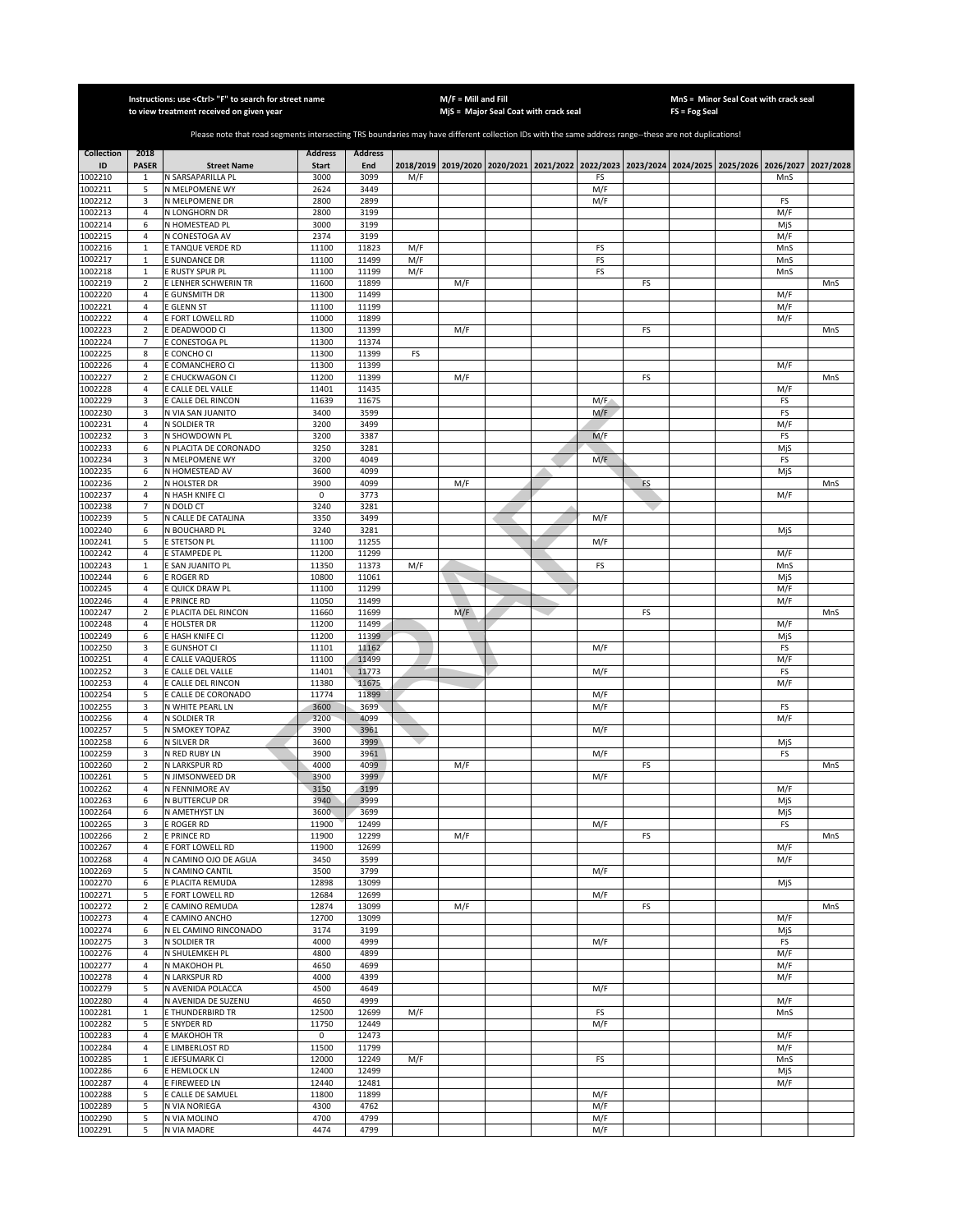|                    |                              | Instructions: use <ctrl> "F" to search for street name<br/>to view treatment received on given year</ctrl>                                            |                      |                |            | $M/F =$ Mill and Fill | MjS = Major Seal Coat with crack seal |            |           | FS = Fog Seal                                                                             | MnS = Minor Seal Coat with crack seal |            |           |
|--------------------|------------------------------|-------------------------------------------------------------------------------------------------------------------------------------------------------|----------------------|----------------|------------|-----------------------|---------------------------------------|------------|-----------|-------------------------------------------------------------------------------------------|---------------------------------------|------------|-----------|
|                    |                              | Please note that road segments intersecting TRS boundaries may have different collection IDs with the same address range--these are not duplications! |                      |                |            |                       |                                       |            |           |                                                                                           |                                       |            |           |
| <b>Collection</b>  | 2018                         |                                                                                                                                                       | <b>Address</b>       | <b>Address</b> |            |                       |                                       |            |           |                                                                                           |                                       |            |           |
| ID<br>1002210      | <b>PASER</b><br>$\mathbf{1}$ | <b>Street Name</b><br>N SARSAPARILLA PL                                                                                                               | <b>Start</b><br>3000 | End<br>3099    | M/F        |                       |                                       | FS         |           | 2018/2019 2019/2020 2020/2021 2021/2022 2022/2023 2023/2024 2024/2025 2025/2026 2026/2027 |                                       | MnS        | 2027/2028 |
| 1002211            | 5                            | N MELPOMENE WY                                                                                                                                        | 2624                 | 3449           |            |                       |                                       | M/F        |           |                                                                                           |                                       |            |           |
| 1002212            | 3<br>$\overline{4}$          | N MELPOMENE DR<br>N LONGHORN DR                                                                                                                       | 2800<br>2800         | 2899<br>3199   |            |                       |                                       | M/F        |           |                                                                                           |                                       | FS<br>M/F  |           |
| 1002213<br>1002214 | 6                            | N HOMESTEAD PL                                                                                                                                        | 3000                 | 3199           |            |                       |                                       |            |           |                                                                                           |                                       | MjS        |           |
| 1002215            | $\overline{4}$               | N CONESTOGA AV                                                                                                                                        | 2374                 | 3199           |            |                       |                                       |            |           |                                                                                           |                                       | M/F        |           |
| 1002216            | $\,$ 1                       | E TANQUE VERDE RD                                                                                                                                     | 11100                | 11823          | M/F        |                       |                                       | FS         |           |                                                                                           |                                       | MnS        |           |
| 1002217<br>1002218 | $\,1\,$<br>$\mathbf 1$       | E SUNDANCE DR<br>E RUSTY SPUR PL                                                                                                                      | 11100<br>11100       | 11499<br>11199 | M/F<br>M/F |                       |                                       | FS<br>FS   |           |                                                                                           |                                       | MnS<br>MnS |           |
| 1002219            | $\overline{\mathbf{2}}$      | E LENHER SCHWERIN TR                                                                                                                                  | 11600                | 11899          |            | M/F                   |                                       |            | FS        |                                                                                           |                                       |            | MnS       |
| 1002220            | $\sqrt{4}$                   | E GUNSMITH DR                                                                                                                                         | 11300                | 11499          |            |                       |                                       |            |           |                                                                                           |                                       | M/F        |           |
| 1002221<br>1002222 | $\sqrt{4}$<br>$\overline{4}$ | E GLENN ST<br>E FORT LOWELL RD                                                                                                                        | 11100<br>11000       | 11199<br>11899 |            |                       |                                       |            |           |                                                                                           |                                       | M/F<br>M/F |           |
| 1002223            | $\mathbf 2$                  | E DEADWOOD CI                                                                                                                                         | 11300                | 11399          |            | M/F                   |                                       |            | FS        |                                                                                           |                                       |            | MnS       |
| 1002224            | $\overline{7}$               | E CONESTOGA PL                                                                                                                                        | 11300                | 11374          |            |                       |                                       |            |           |                                                                                           |                                       |            |           |
| 1002225<br>1002226 | 8<br>$\overline{4}$          | e concho ci<br>E COMANCHERO CI                                                                                                                        | 11300<br>11300       | 11399<br>11399 | FS         |                       |                                       |            |           |                                                                                           |                                       | M/F        |           |
| 1002227            | $\overline{2}$               | E CHUCKWAGON CI                                                                                                                                       | 11200                | 11399          |            | M/F                   |                                       |            | FS        |                                                                                           |                                       |            | MnS       |
| 1002228            | $\sqrt{4}$                   | E CALLE DEL VALLE                                                                                                                                     | 11401                | 11435          |            |                       |                                       |            |           |                                                                                           |                                       | M/F        |           |
| 1002229<br>1002230 | 3<br>3                       | E CALLE DEL RINCON<br>N VIA SAN JUANITO                                                                                                               | 11639<br>3400        | 11675<br>3599  |            |                       |                                       | M/F<br>M/F |           |                                                                                           |                                       | FS<br>FS   |           |
| 1002231            | 4                            | N SOLDIER TR                                                                                                                                          | 3200                 | 3499           |            |                       |                                       |            |           |                                                                                           |                                       | M/F        |           |
| 1002232            | 3                            | N SHOWDOWN PL                                                                                                                                         | 3200                 | 3387           |            |                       |                                       | M/F        |           |                                                                                           |                                       | FS         |           |
| 1002233<br>1002234 | 6<br>3                       | N PLACITA DE CORONADO<br>N MELPOMENE WY                                                                                                               | 3250<br>3200         | 3281<br>4049   |            |                       |                                       | M/F        |           |                                                                                           |                                       | MjS<br>FS  |           |
| 1002235            | 6                            | N HOMESTEAD AV                                                                                                                                        | 3600                 | 4099           |            |                       |                                       |            |           |                                                                                           |                                       | MjS        |           |
| 1002236            | $\overline{2}$               | N HOLSTER DR                                                                                                                                          | 3900                 | 4099           |            | M/F                   |                                       |            | <b>FS</b> |                                                                                           |                                       |            | MnS       |
| 1002237<br>1002238 | $\overline{4}$               | N HASH KNIFE CI<br>N DOLD CT                                                                                                                          | $\mathsf 0$          | 3773<br>3281   |            |                       |                                       |            |           |                                                                                           |                                       | M/F        |           |
| 1002239            | 7<br>5                       | N CALLE DE CATALINA                                                                                                                                   | 3240<br>3350         | 3499           |            |                       |                                       | M/F        |           |                                                                                           |                                       |            |           |
| 1002240            | 6                            | N BOUCHARD PL                                                                                                                                         | 3240                 | 3281           |            |                       |                                       |            |           |                                                                                           |                                       | MjS        |           |
| 1002241            | 5                            | E STETSON PL                                                                                                                                          | 11100                | 11255          |            |                       |                                       | M/F        |           |                                                                                           |                                       |            |           |
| 002242<br>1002243  | $\sqrt{4}$<br>$\mathbf 1$    | E STAMPEDE PL<br>E SAN JUANITO PL                                                                                                                     | 11200<br>11350       | 11299<br>11373 | M/F        |                       |                                       | FS         |           |                                                                                           |                                       | M/F<br>MnS |           |
| 1002244            | 6                            | e roger RD                                                                                                                                            | 10800                | 11061          |            |                       |                                       |            |           |                                                                                           |                                       | MjS        |           |
| 1002245            | $\overline{4}$               | e Quick Draw Pl                                                                                                                                       | 11100                | 11299          |            |                       |                                       |            |           |                                                                                           |                                       | M/F        |           |
| 002246<br>1002247  | $\sqrt{4}$<br>$\mathbf 2$    | E PRINCE RD<br>E PLACITA DEL RINCON                                                                                                                   | 11050<br>11660       | 11499<br>11699 |            | M/F                   |                                       |            | FS        |                                                                                           |                                       | M/F        | MnS       |
| 1002248            | 4                            | E HOLSTER DR                                                                                                                                          | 11200                | 11499          |            |                       |                                       |            |           |                                                                                           |                                       | M/F        |           |
| 1002249            | $\boldsymbol{6}$             | E HASH KNIFE CI                                                                                                                                       | 11200                | 11399          |            |                       |                                       |            |           |                                                                                           |                                       | MjS        |           |
| 1002250<br>1002251 | 3<br>$\sqrt{4}$              | E GUNSHOT CI<br>CALLE VAQUEROS                                                                                                                        | 11101<br>11100       | 11162<br>11499 |            |                       |                                       | M/F        |           |                                                                                           |                                       | FS<br>M/F  |           |
| 1002252            | 3                            | E CALLE DEL VALLE                                                                                                                                     | 11401                | 11773          |            |                       |                                       | M/F        |           |                                                                                           |                                       | FS         |           |
| 1002253            | $\overline{4}$               | CALLE DEL RINCON                                                                                                                                      | 11380                | 11675          |            |                       |                                       |            |           |                                                                                           |                                       | M/F        |           |
| 1002254<br>1002255 | 5<br>3                       | E CALLE DE CORONADO<br>N WHITE PEARL LN                                                                                                               | 11774<br>3600        | 11899<br>3699  |            |                       |                                       | M/F<br>M/F |           |                                                                                           |                                       | FS         |           |
| 1002256            | $\overline{4}$               | N SOLDIER TR                                                                                                                                          | 3200                 | 4099           |            |                       |                                       |            |           |                                                                                           |                                       | M/F        |           |
| 1002257            | 5                            | N SMOKEY TOPAZ                                                                                                                                        | 3900                 | 3961           |            |                       |                                       | M/F        |           |                                                                                           |                                       |            |           |
| 1002258<br>1002259 | 6<br>3                       | N SILVER DR<br>N RED RUBY LN                                                                                                                          | 3600<br>3900         | 3999<br>3961   |            |                       |                                       | M/F        |           |                                                                                           |                                       | MjS<br>FS  |           |
| 1002260            | $\overline{2}$               | N LARKSPUR RD                                                                                                                                         | 4000                 | 4099           |            | M/F                   |                                       |            | FS        |                                                                                           |                                       |            | MnS       |
| 1002261            | 5                            | N JIMSONWEED DR                                                                                                                                       | 3900                 | 3999           |            |                       |                                       | M/F        |           |                                                                                           |                                       |            |           |
| 1002262<br>1002263 | 4                            | N FENNIMORE AV                                                                                                                                        | 3150                 | 3199           |            |                       |                                       |            |           |                                                                                           |                                       | M/F        |           |
| 1002264            | 6<br>6                       | N BUTTERCUP DR<br>N AMETHYST LN                                                                                                                       | 3940<br>3600         | 3999<br>3699   |            |                       |                                       |            |           |                                                                                           |                                       | MjS<br>MjS |           |
| 1002265            | 3                            | E ROGER RD                                                                                                                                            | 11900                | 12499          |            |                       |                                       | M/F        |           |                                                                                           |                                       | FS         |           |
| 1002266            | $\sqrt{2}$                   | E PRINCE RD                                                                                                                                           | 11900                | 12299          |            | M/F                   |                                       |            | FS        |                                                                                           |                                       |            | MnS       |
| 1002267<br>1002268 | $\sqrt{4}$<br>$\overline{4}$ | E FORT LOWELL RD<br>N CAMINO OJO DE AGUA                                                                                                              | 11900<br>3450        | 12699<br>3599  |            |                       |                                       |            |           |                                                                                           |                                       | M/F<br>M/F |           |
| 1002269            | 5                            | N CAMINO CANTIL                                                                                                                                       | 3500                 | 3799           |            |                       |                                       | M/F        |           |                                                                                           |                                       |            |           |
| 1002270            | 6                            | E PLACITA REMUDA                                                                                                                                      | 12898                | 13099          |            |                       |                                       |            |           |                                                                                           |                                       | MjS        |           |
| 1002271<br>1002272 | 5<br>$\mathbf 2$             | E FORT LOWELL RD<br>E CAMINO REMUDA                                                                                                                   | 12684<br>12874       | 12699<br>13099 |            | M/F                   |                                       | M/F        | FS        |                                                                                           |                                       |            | MnS       |
| 1002273            | 4                            | E CAMINO ANCHO                                                                                                                                        | 12700                | 13099          |            |                       |                                       |            |           |                                                                                           |                                       | M/F        |           |
| 1002274            | 6                            | N EL CAMINO RINCONADO                                                                                                                                 | 3174                 | 3199           |            |                       |                                       |            |           |                                                                                           |                                       | MjS        |           |
| 1002275<br>1002276 | 3<br>$\overline{4}$          | N SOLDIER TR<br>N SHULEMKEH PL                                                                                                                        | 4000<br>4800         | 4999<br>4899   |            |                       |                                       | M/F        |           |                                                                                           |                                       | FS<br>M/F  |           |
| 1002277            | $\overline{4}$               | N MAKOHOH PL                                                                                                                                          | 4650                 | 4699           |            |                       |                                       |            |           |                                                                                           |                                       | M/F        |           |
| 1002278            | $\sqrt{4}$                   | N LARKSPUR RD                                                                                                                                         | 4000                 | 4399           |            |                       |                                       |            |           |                                                                                           |                                       | M/F        |           |
| 1002279<br>1002280 | 5<br>4                       | N AVENIDA POLACCA<br>N AVENIDA DE SUZENU                                                                                                              | 4500<br>4650         | 4649<br>4999   |            |                       |                                       | M/F        |           |                                                                                           |                                       | M/F        |           |
| 1002281            | $\mathbf{1}$                 | E THUNDERBIRD TR                                                                                                                                      | 12500                | 12699          | M/F        |                       |                                       | FS         |           |                                                                                           |                                       | MnS        |           |
| 1002282            | 5                            | E SNYDER RD                                                                                                                                           | 11750                | 12449          |            |                       |                                       | M/F        |           |                                                                                           |                                       |            |           |
| 1002283            | 4                            | E MAKOHOH TR                                                                                                                                          | 0                    | 12473          |            |                       |                                       |            |           |                                                                                           |                                       | M/F        |           |
| 1002284<br>1002285 | 4<br>$\mathbf{1}$            | E LIMBERLOST RD<br>E JEFSUMARK CI                                                                                                                     | 11500<br>12000       | 11799<br>12249 | M/F        |                       |                                       | FS         |           |                                                                                           |                                       | M/F<br>MnS |           |
| 1002286            | 6                            | E HEMLOCK LN                                                                                                                                          | 12400                | 12499          |            |                       |                                       |            |           |                                                                                           |                                       | MjS        |           |
| 1002287            | $\overline{4}$               | E FIREWEED LN                                                                                                                                         | 12440                | 12481          |            |                       |                                       |            |           |                                                                                           |                                       | M/F        |           |
| 1002288<br>1002289 | 5<br>5                       | E CALLE DE SAMUEL<br>N VIA NORIEGA                                                                                                                    | 11800<br>4300        | 11899<br>4762  |            |                       |                                       | M/F<br>M/F |           |                                                                                           |                                       |            |           |
| 1002290            | 5                            | N VIA MOLINO                                                                                                                                          | 4700                 | 4799           |            |                       |                                       | M/F        |           |                                                                                           |                                       |            |           |
| 1002291            | 5                            | N VIA MADRE                                                                                                                                           | 4474                 | 4799           |            |                       |                                       | M/F        |           |                                                                                           |                                       |            |           |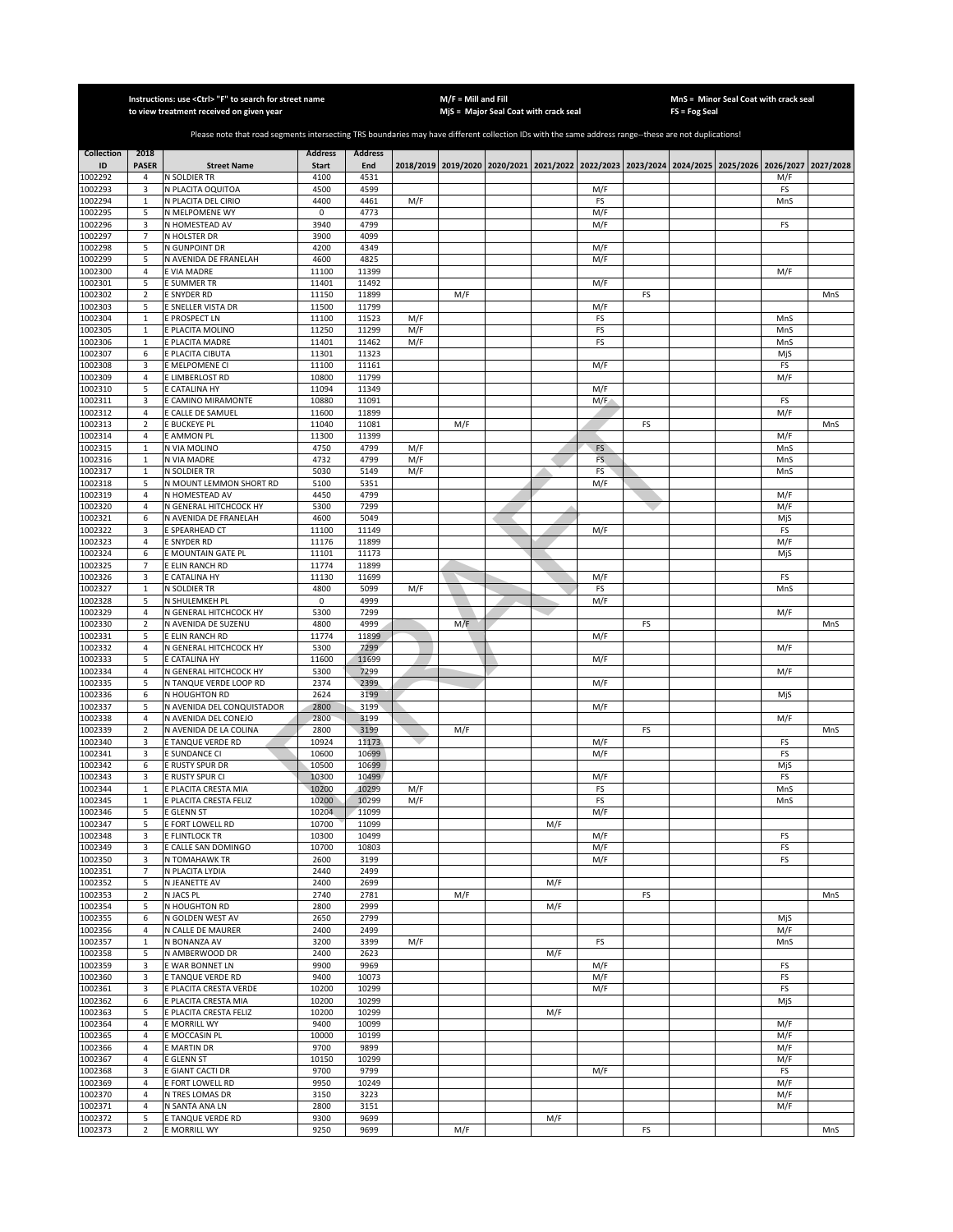|                    |                            | Instructions: use <ctrl> "F" to search for street name<br/>to view treatment received on given year</ctrl>                                            |                |                |            | $M/F =$ Mill and Fill | MjS = Major Seal Coat with crack seal                                                               |     |           |    | $FS = Fog Seal$ | MnS = Minor Seal Coat with crack seal |            |     |
|--------------------|----------------------------|-------------------------------------------------------------------------------------------------------------------------------------------------------|----------------|----------------|------------|-----------------------|-----------------------------------------------------------------------------------------------------|-----|-----------|----|-----------------|---------------------------------------|------------|-----|
|                    |                            | Please note that road segments intersecting TRS boundaries may have different collection IDs with the same address range--these are not duplications! |                |                |            |                       |                                                                                                     |     |           |    |                 |                                       |            |     |
| <b>Collection</b>  | 2018                       |                                                                                                                                                       | <b>Address</b> | <b>Address</b> |            |                       |                                                                                                     |     |           |    |                 |                                       |            |     |
| ID                 | <b>PASER</b>               | <b>Street Name</b>                                                                                                                                    | <b>Start</b>   | End            |            |                       | 2018/2019 2019/2020 2020/2021 2021/2022 2022/2023 2023/2024 2024/2025 2025/2026 2026/2027 2027/2028 |     |           |    |                 |                                       |            |     |
| 1002292            | 4                          | N SOLDIER TR                                                                                                                                          | 4100           | 4531           |            |                       |                                                                                                     |     |           |    |                 |                                       | M/F        |     |
| 1002293            | 3                          | N PLACITA OQUITOA                                                                                                                                     | 4500           | 4599           |            |                       |                                                                                                     |     | M/F       |    |                 |                                       | FS         |     |
| 1002294<br>1002295 | $\,1\,$<br>5               | N PLACITA DEL CIRIO<br>N MELPOMENE WY                                                                                                                 | 4400<br>0      | 4461<br>4773   | M/F        |                       |                                                                                                     |     | FS<br>M/F |    |                 |                                       | MnS        |     |
| 1002296            | 3                          | N HOMESTEAD AV                                                                                                                                        | 3940           | 4799           |            |                       |                                                                                                     |     | M/F       |    |                 |                                       | FS         |     |
| 1002297            | 7                          | N HOLSTER DR                                                                                                                                          | 3900           | 4099           |            |                       |                                                                                                     |     |           |    |                 |                                       |            |     |
| 1002298            | 5                          | N GUNPOINT DR                                                                                                                                         | 4200           | 4349           |            |                       |                                                                                                     |     | M/F       |    |                 |                                       |            |     |
| 1002299            | 5                          | N AVENIDA DE FRANELAH                                                                                                                                 | 4600           | 4825           |            |                       |                                                                                                     |     | M/F       |    |                 |                                       |            |     |
| 1002300            | $\sqrt{4}$                 | <b>EVIA MADRE</b>                                                                                                                                     | 11100          | 11399          |            |                       |                                                                                                     |     |           |    |                 |                                       | M/F        |     |
| 1002301            | 5                          | <b>E SUMMER TR</b>                                                                                                                                    | 11401          | 11492          |            |                       |                                                                                                     |     | M/F       |    |                 |                                       |            |     |
| 1002302            | $\mathbf 2$                | E SNYDER RD                                                                                                                                           | 11150          | 11899          |            | M/F                   |                                                                                                     |     |           | FS |                 |                                       |            | MnS |
| 1002303            | 5                          | E SNELLER VISTA DR                                                                                                                                    | 11500          | 11799          |            |                       |                                                                                                     |     | M/F       |    |                 |                                       |            |     |
| 1002304            | $\mathbf 1$                | E PROSPECT LN                                                                                                                                         | 11100          | 11523          | M/F        |                       |                                                                                                     |     | FS        |    |                 |                                       | MnS        |     |
| 1002305            | $\mathbf 1$<br>$\mathbf 1$ | E PLACITA MOLINO                                                                                                                                      | 11250          | 11299          | M/F<br>M/F |                       |                                                                                                     |     | FS<br>FS  |    |                 |                                       | MnS        |     |
| 1002306<br>1002307 | 6                          | <b>E PLACITA MADRE</b><br>E PLACITA CIBUTA                                                                                                            | 11401<br>11301 | 11462<br>11323 |            |                       |                                                                                                     |     |           |    |                 |                                       | MnS<br>MjS |     |
| 1002308            | 3                          | <b>EMELPOMENE CI</b>                                                                                                                                  | 11100          | 11161          |            |                       |                                                                                                     |     | M/F       |    |                 |                                       | FS         |     |
| 1002309            | 4                          | E LIMBERLOST RD                                                                                                                                       | 10800          | 11799          |            |                       |                                                                                                     |     |           |    |                 |                                       | M/F        |     |
| 1002310            | 5                          | E CATALINA HY                                                                                                                                         | 11094          | 11349          |            |                       |                                                                                                     |     | M/F       |    |                 |                                       |            |     |
| 1002311            | 3                          | E CAMINO MIRAMONTE                                                                                                                                    | 10880          | 11091          |            |                       |                                                                                                     |     | M/F       |    |                 |                                       | FS         |     |
| 1002312            | 4                          | E CALLE DE SAMUEL                                                                                                                                     | 11600          | 11899          |            |                       |                                                                                                     |     |           |    |                 |                                       | M/F        |     |
| 1002313            | $\overline{2}$             | E BUCKEYE PL                                                                                                                                          | 11040          | 11081          |            | M/F                   |                                                                                                     |     |           | FS |                 |                                       |            | MnS |
| 1002314            | 4                          | E AMMON PL                                                                                                                                            | 11300          | 11399          |            |                       |                                                                                                     |     |           |    |                 |                                       | M/F        |     |
| 1002315            | $\mathbf{1}$               | N VIA MOLINO                                                                                                                                          | 4750           | 4799           | M/F        |                       |                                                                                                     |     | FS        |    |                 |                                       | MnS        |     |
| 1002316            | $\,1\,$                    | <b>V VIA MADRE</b>                                                                                                                                    | 4732           | 4799           | M/F        |                       |                                                                                                     |     | FS.       |    |                 |                                       | MnS        |     |
| 1002317<br>1002318 | $\mathbf{1}$               | N SOLDIER TR                                                                                                                                          | 5030<br>5100   | 5149           | M/F        |                       |                                                                                                     |     | FS<br>M/F |    |                 |                                       | MnS        |     |
| 1002319            | 5<br>$\overline{4}$        | N MOUNT LEMMON SHORT RD<br>N HOMESTEAD AV                                                                                                             | 4450           | 5351<br>4799   |            |                       |                                                                                                     |     |           |    |                 |                                       | M/F        |     |
| 1002320            | $\sqrt{4}$                 | N GENERAL HITCHCOCK HY                                                                                                                                | 5300           | 7299           |            |                       |                                                                                                     |     |           |    |                 |                                       | M/F        |     |
| 1002321            | 6                          | N AVENIDA DE FRANELAH                                                                                                                                 | 4600           | 5049           |            |                       |                                                                                                     |     |           |    |                 |                                       | MjS        |     |
| 1002322            | 3                          | <b>SPEARHEAD CT</b>                                                                                                                                   | 11100          | 11149          |            |                       |                                                                                                     |     | M/F       |    |                 |                                       | FS         |     |
| 1002323            | $\sqrt{4}$                 | E SNYDER RD                                                                                                                                           | 11176          | 11899          |            |                       |                                                                                                     |     |           |    |                 |                                       | M/F        |     |
| 1002324            | 6                          | <b>EMOUNTAIN GATE PL</b>                                                                                                                              | 11101          | 11173          |            |                       |                                                                                                     |     |           |    |                 |                                       | MjS        |     |
| 1002325            | $\overline{7}$             | E ELIN RANCH RD                                                                                                                                       | 11774          | 11899          |            |                       |                                                                                                     |     |           |    |                 |                                       |            |     |
| 1002326            | 3                          | <b>CATALINA HY</b>                                                                                                                                    | 11130          | 11699          |            |                       |                                                                                                     |     | M/F       |    |                 |                                       | FS         |     |
| 1002327            | $\mathbf 1$                | N SOLDIER TR                                                                                                                                          | 4800           | 5099           | M/F        |                       |                                                                                                     |     | FS        |    |                 |                                       | MnS        |     |
| 1002328            | 5                          | N SHULEMKEH PL                                                                                                                                        | 0              | 4999           |            |                       |                                                                                                     |     | M/F       |    |                 |                                       |            |     |
| 1002329            | 4                          | N GENERAL HITCHCOCK HY                                                                                                                                | 5300           | 7299           |            |                       |                                                                                                     |     |           |    |                 |                                       | M/F        |     |
| 1002330            | $\overline{2}$             | N AVENIDA DE SUZENU<br>E ELIN RANCH RD                                                                                                                | 4800<br>11774  | 4999           |            | M/F                   |                                                                                                     |     |           | FS |                 |                                       |            | MnS |
| 1002331<br>1002332 | 5<br>$\sqrt{4}$            | N GENERAL HITCHCOCK HY                                                                                                                                | 5300           | 11899<br>7299  |            |                       |                                                                                                     |     | M/F       |    |                 |                                       | M/F        |     |
| 1002333            | 5                          | E CATALINA HY                                                                                                                                         | 11600          | 11699          |            |                       |                                                                                                     |     | M/F       |    |                 |                                       |            |     |
| 1002334            | $\sqrt{4}$                 | N GENERAL HITCHCOCK HY                                                                                                                                | 5300           | 7299           |            |                       |                                                                                                     |     |           |    |                 |                                       | M/F        |     |
| 1002335            | 5                          | N TANQUE VERDE LOOP RD                                                                                                                                | 2374           | 2399           |            |                       |                                                                                                     |     | M/F       |    |                 |                                       |            |     |
| 1002336            | 6                          | N HOUGHTON RD                                                                                                                                         | 2624           | 3199           |            |                       |                                                                                                     |     |           |    |                 |                                       | MjS        |     |
| 1002337            | 5                          | N AVENIDA DEL CONQUISTADOR                                                                                                                            | 2800           | 3199           |            |                       |                                                                                                     |     | M/F       |    |                 |                                       |            |     |
| 1002338            | 4                          | N AVENIDA DEL CONEJO                                                                                                                                  | 2800           | 3199           |            |                       |                                                                                                     |     |           |    |                 |                                       | M/F        |     |
| 1002339            | $\overline{2}$             | N AVENIDA DE LA COLINA                                                                                                                                | 2800           | 3199           |            | M/F                   |                                                                                                     |     |           | FS |                 |                                       |            | MnS |
| 1002340            | 3                          | E TANQUE VERDE RD                                                                                                                                     | 10924          | 11173          |            |                       |                                                                                                     |     | M/F       |    |                 |                                       | FS         |     |
| 1002341<br>1002342 | 3                          | E SUNDANCE CI                                                                                                                                         | 10600          | 10699          |            |                       |                                                                                                     |     | M/F       |    |                 |                                       | FS         |     |
| 1002343            | 6<br>3                     | E RUSTY SPUR DR<br><b>RUSTY SPUR CI</b>                                                                                                               | 10500<br>10300 | 10699<br>10499 |            |                       |                                                                                                     |     | M/F       |    |                 |                                       | MjS<br>FS  |     |
| 1002344            | $\mathbf{1}$               | E PLACITA CRESTA MIA                                                                                                                                  | 10200          | 10299          | M/F        |                       |                                                                                                     |     | FS        |    |                 |                                       | MnS        |     |
| 1002345            | 1                          | E PLACITA CRESTA FELIZ                                                                                                                                | 10200          | 10299          | M/F        |                       |                                                                                                     |     | FS        |    |                 |                                       | MnS        |     |
| 1002346            | 5                          | E GLENN ST                                                                                                                                            | 10204          | 11099          |            |                       |                                                                                                     |     | M/F       |    |                 |                                       |            |     |
| 1002347            | 5                          | FORT LOWELL RD                                                                                                                                        | 10700          | 11099          |            |                       |                                                                                                     | M/F |           |    |                 |                                       |            |     |
| 1002348            | 3                          | E FLINTLOCK TR                                                                                                                                        | 10300          | 10499          |            |                       |                                                                                                     |     | M/F       |    |                 |                                       | FS         |     |
| 1002349            | 3                          | E CALLE SAN DOMINGO                                                                                                                                   | 10700          | 10803          |            |                       |                                                                                                     |     | M/F       |    |                 |                                       | FS         |     |
| 1002350            | 3                          | N TOMAHAWK TR                                                                                                                                         | 2600           | 3199           |            |                       |                                                                                                     |     | M/F       |    |                 |                                       | FS         |     |
| 1002351            | 7                          | N PLACITA LYDIA                                                                                                                                       | 2440           | 2499           |            |                       |                                                                                                     |     |           |    |                 |                                       |            |     |
| 1002352            | 5                          | N JEANETTE AV                                                                                                                                         | 2400           | 2699           |            |                       |                                                                                                     | M/F |           |    |                 |                                       |            |     |
| 1002353<br>1002354 | $\mathbf 2$                | N JACS PL                                                                                                                                             | 2740           | 2781           |            | M/F                   |                                                                                                     |     |           | FS |                 |                                       |            | MnS |
|                    | 5<br>6                     | N HOUGHTON RD                                                                                                                                         | 2800           | 2999<br>2799   |            |                       |                                                                                                     | M/F |           |    |                 |                                       |            |     |
| 1002355<br>1002356 | 4                          | N GOLDEN WEST AV<br>N CALLE DE MAURER                                                                                                                 | 2650<br>2400   | 2499           |            |                       |                                                                                                     |     |           |    |                 |                                       | MjS<br>M/F |     |
| 1002357            | $\mathbf 1$                | N BONANZA AV                                                                                                                                          | 3200           | 3399           | M/F        |                       |                                                                                                     |     | FS        |    |                 |                                       | MnS        |     |
| 1002358            | 5                          | N AMBERWOOD DR                                                                                                                                        | 2400           | 2623           |            |                       |                                                                                                     | M/F |           |    |                 |                                       |            |     |
| 1002359            | 3                          | E WAR BONNET LN                                                                                                                                       | 9900           | 9969           |            |                       |                                                                                                     |     | M/F       |    |                 |                                       | FS         |     |
| 1002360            | 3                          | E TANQUE VERDE RD                                                                                                                                     | 9400           | 10073          |            |                       |                                                                                                     |     | M/F       |    |                 |                                       | FS         |     |
| 1002361            | 3                          | E PLACITA CRESTA VERDE                                                                                                                                | 10200          | 10299          |            |                       |                                                                                                     |     | M/F       |    |                 |                                       | FS         |     |
| 1002362            | 6                          | E PLACITA CRESTA MIA                                                                                                                                  | 10200          | 10299          |            |                       |                                                                                                     |     |           |    |                 |                                       | MjS        |     |
| 1002363            | 5                          | E PLACITA CRESTA FELIZ                                                                                                                                | 10200          | 10299          |            |                       |                                                                                                     | M/F |           |    |                 |                                       |            |     |
| 1002364            | 4                          | <b>EMORRILL WY</b>                                                                                                                                    | 9400           | 10099          |            |                       |                                                                                                     |     |           |    |                 |                                       | M/F        |     |
| 1002365            | 4                          | E MOCCASIN PL                                                                                                                                         | 10000          | 10199          |            |                       |                                                                                                     |     |           |    |                 |                                       | M/F        |     |
| 1002366            | 4                          | <b>EMARTIN DR</b>                                                                                                                                     | 9700           | 9899           |            |                       |                                                                                                     |     |           |    |                 |                                       | M/F        |     |
| 1002367<br>1002368 | 4<br>3                     | E GLENN ST<br><b>E GIANT CACTI DR</b>                                                                                                                 | 10150<br>9700  | 10299<br>9799  |            |                       |                                                                                                     |     | M/F       |    |                 |                                       | M/F<br>FS  |     |
| 1002369            | $\overline{4}$             | E FORT LOWELL RD                                                                                                                                      | 9950           | 10249          |            |                       |                                                                                                     |     |           |    |                 |                                       | M/F        |     |
| 1002370            | 4                          | N TRES LOMAS DR                                                                                                                                       | 3150           | 3223           |            |                       |                                                                                                     |     |           |    |                 |                                       | M/F        |     |
| 1002371            | $\sqrt{4}$                 | N SANTA ANA LN                                                                                                                                        | 2800           | 3151           |            |                       |                                                                                                     |     |           |    |                 |                                       | M/F        |     |
| 1002372            | 5                          | <b>ETANQUE VERDE RD</b>                                                                                                                               | 9300           | 9699           |            |                       |                                                                                                     | M/F |           |    |                 |                                       |            |     |
| 1002373            | $\overline{2}$             | E MORRILL WY                                                                                                                                          | 9250           | 9699           |            | M/F                   |                                                                                                     |     |           | FS |                 |                                       |            | MnS |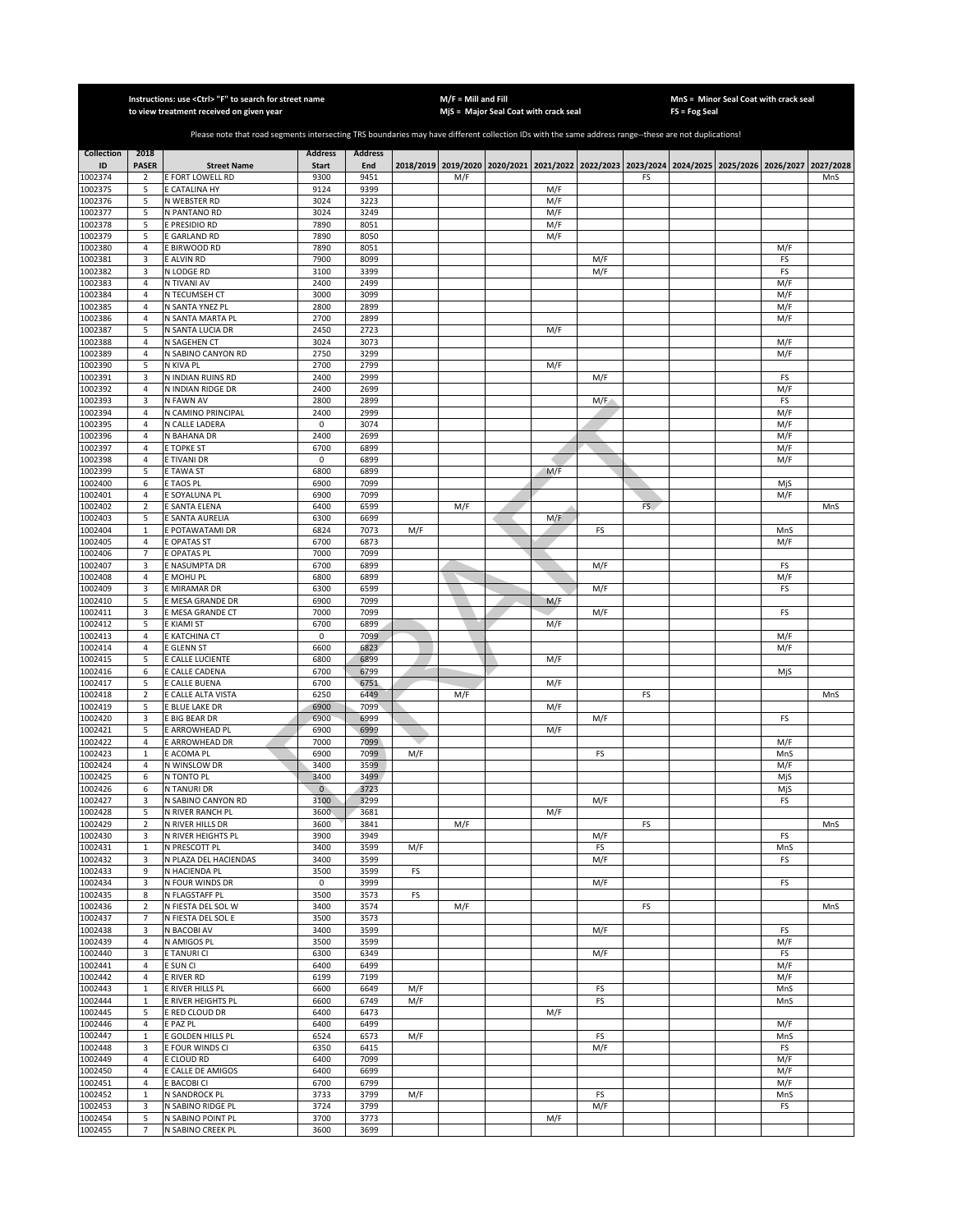|                    |                               | Instructions: use <ctrl> "F" to search for street name<br/>to view treatment received on given year</ctrl>                                            |                        |                |     | $M/F =$ Mill and Fill | MjS = Major Seal Coat with crack seal                                                     |            |           |    | FS = Fog Seal | MnS = Minor Seal Coat with crack seal |            |           |
|--------------------|-------------------------------|-------------------------------------------------------------------------------------------------------------------------------------------------------|------------------------|----------------|-----|-----------------------|-------------------------------------------------------------------------------------------|------------|-----------|----|---------------|---------------------------------------|------------|-----------|
|                    |                               | Please note that road segments intersecting TRS boundaries may have different collection IDs with the same address range--these are not duplications! |                        |                |     |                       |                                                                                           |            |           |    |               |                                       |            |           |
| <b>Collection</b>  | 2018                          |                                                                                                                                                       | <b>Address</b>         | <b>Address</b> |     |                       |                                                                                           |            |           |    |               |                                       |            |           |
| ID                 | <b>PASER</b>                  | <b>Street Name</b>                                                                                                                                    | <b>Start</b>           | End            |     |                       | 2018/2019 2019/2020 2020/2021 2021/2022 2022/2023 2023/2024 2024/2025 2025/2026 2026/2027 |            |           |    |               |                                       |            | 2027/2028 |
| 1002374            | $\overline{2}$                | <b>E FORT LOWELL RD</b>                                                                                                                               | 9300                   | 9451           |     | M/F                   |                                                                                           |            |           | FS |               |                                       |            | MnS       |
| 1002375            | 5                             | <b>CATALINA HY</b>                                                                                                                                    | 9124                   | 9399           |     |                       |                                                                                           | M/F        |           |    |               |                                       |            |           |
| 1002376<br>1002377 | 5<br>5                        | N WEBSTER RD<br>N PANTANO RD                                                                                                                          | 3024<br>3024           | 3223<br>3249   |     |                       |                                                                                           | M/F<br>M/F |           |    |               |                                       |            |           |
| 1002378            | 5                             | E PRESIDIO RD                                                                                                                                         | 7890                   | 8051           |     |                       |                                                                                           | M/F        |           |    |               |                                       |            |           |
| 1002379            | 5                             | <b>GARLAND RD</b>                                                                                                                                     | 7890                   | 8050           |     |                       |                                                                                           | M/F        |           |    |               |                                       |            |           |
| 1002380            | $\sqrt{4}$                    | <b>BIRWOOD RD</b>                                                                                                                                     | 7890                   | 8051           |     |                       |                                                                                           |            |           |    |               |                                       | M/F        |           |
| 1002381            | 3                             | E ALVIN RD                                                                                                                                            | 7900                   | 8099           |     |                       |                                                                                           |            | M/F       |    |               |                                       | FS         |           |
| 1002382            | 3                             | N LODGE RD                                                                                                                                            | 3100                   | 3399           |     |                       |                                                                                           |            | M/F       |    |               |                                       | FS         |           |
| 1002383<br>1002384 | 4<br>4                        | N TIVANI AV<br>N TECUMSEH CT                                                                                                                          | 2400<br>3000           | 2499<br>3099   |     |                       |                                                                                           |            |           |    |               |                                       | M/F<br>M/F |           |
| 1002385            | $\sqrt{4}$                    | N SANTA YNEZ PL                                                                                                                                       | 2800                   | 2899           |     |                       |                                                                                           |            |           |    |               |                                       | M/F        |           |
| 1002386            | $\sqrt{4}$                    | N SANTA MARTA PL                                                                                                                                      | 2700                   | 2899           |     |                       |                                                                                           |            |           |    |               |                                       | M/F        |           |
| 1002387            | 5                             | N SANTA LUCIA DR                                                                                                                                      | 2450                   | 2723           |     |                       |                                                                                           | M/F        |           |    |               |                                       |            |           |
| 1002388            | 4                             | N SAGEHEN CT                                                                                                                                          | 3024                   | 3073           |     |                       |                                                                                           |            |           |    |               |                                       | M/F        |           |
| 1002389            | 4                             | N SABINO CANYON RD                                                                                                                                    | 2750                   | 3299           |     |                       |                                                                                           |            |           |    |               |                                       | M/F        |           |
| 1002390<br>1002391 | 5<br>3                        | N KIVA PL<br>N INDIAN RUINS RD                                                                                                                        | 2700<br>2400           | 2799<br>2999   |     |                       |                                                                                           | M/F        | M/F       |    |               |                                       | FS         |           |
| 1002392            | $\overline{\mathbf{4}}$       | N INDIAN RIDGE DR                                                                                                                                     | 2400                   | 2699           |     |                       |                                                                                           |            |           |    |               |                                       | M/F        |           |
| 1002393            | 3                             | N FAWN AV                                                                                                                                             | 2800                   | 2899           |     |                       |                                                                                           |            | M/F       |    |               |                                       | FS         |           |
| 1002394            | 4                             | <b>V CAMINO PRINCIPAL</b>                                                                                                                             | 2400                   | 2999           |     |                       |                                                                                           |            |           |    |               |                                       | M/F        |           |
| 1002395            | $\sqrt{4}$                    | N CALLE LADERA                                                                                                                                        | 0                      | 3074           |     |                       |                                                                                           |            |           |    |               |                                       | M/F        |           |
| 1002396            | $\sqrt{4}$                    | V BAHANA DR                                                                                                                                           | 2400                   | 2699           |     |                       |                                                                                           |            |           |    |               |                                       | M/F        |           |
| 1002397<br>1002398 | $\sqrt{4}$<br>4               | E TOPKE ST<br><b>ETIVANI DR</b>                                                                                                                       | 6700<br>0              | 6899<br>6899   |     |                       |                                                                                           |            |           |    |               |                                       | M/F<br>M/F |           |
| 1002399            | 5                             | <b>ETAWA ST</b>                                                                                                                                       | 6800                   | 6899           |     |                       |                                                                                           | M/F        |           |    |               |                                       |            |           |
| 1002400            | 6                             | <b>TAOS PL</b>                                                                                                                                        | 6900                   | 7099           |     |                       |                                                                                           |            |           |    |               |                                       | MjS        |           |
| 1002401            | $\overline{4}$                | <b>SOYALUNA PL</b>                                                                                                                                    | 6900                   | 7099           |     |                       |                                                                                           |            |           |    |               |                                       | M/F        |           |
| 1002402            | $\mathbf 2$                   | <b>SANTA ELENA</b>                                                                                                                                    | 6400                   | 6599           |     | M/F                   |                                                                                           |            |           | FS |               |                                       |            | MnS       |
| 1002403            | 5                             | <b>SANTA AURELIA</b>                                                                                                                                  | 6300                   | 6699           |     |                       |                                                                                           | M/F        |           |    |               |                                       |            |           |
| 1002404<br>1002405 | $\mathbf 1$<br>$\overline{4}$ | POTAWATAMI DR<br><b>OPATAS ST</b>                                                                                                                     | 6824<br>6700           | 7073<br>6873   | M/F |                       |                                                                                           |            | FS        |    |               |                                       | MnS<br>M/F |           |
| 1002406            | 7                             | OPATAS PL                                                                                                                                             | 7000                   | 7099           |     |                       |                                                                                           |            |           |    |               |                                       |            |           |
| 1002407            | 3                             | <b>NASUMPTA DR</b>                                                                                                                                    | 6700                   | 6899           |     |                       |                                                                                           |            | M/F       |    |               |                                       | FS         |           |
| 1002408            | 4                             | <b>MOHUPL</b>                                                                                                                                         | 6800                   | 6899           |     |                       |                                                                                           |            |           |    |               |                                       | M/F        |           |
| 1002409            | 3                             | E MIRAMAR DR                                                                                                                                          | 6300                   | 6599           |     |                       |                                                                                           |            | M/F       |    |               |                                       | FS         |           |
| 1002410            | 5                             | <b>MESA GRANDE DR</b>                                                                                                                                 | 6900                   | 7099           |     |                       |                                                                                           | M/F        |           |    |               |                                       |            |           |
| 1002411<br>1002412 | 3<br>5                        | E MESA GRANDE CT<br>E KIAMI ST                                                                                                                        | 7000<br>6700           | 7099<br>6899   |     |                       |                                                                                           | M/F        | M/F       |    |               |                                       | FS         |           |
| 1002413            | 4                             | E KATCHINA CT                                                                                                                                         | 0                      | 7099           |     |                       |                                                                                           |            |           |    |               |                                       | M/F        |           |
| 1002414            | $\sqrt{4}$                    | E GLENN ST                                                                                                                                            | 6600                   | 6823           |     |                       |                                                                                           |            |           |    |               |                                       | M/F        |           |
| 1002415            | 5                             | E CALLE LUCIENTE                                                                                                                                      | 6800                   | 6899           |     |                       |                                                                                           | M/F        |           |    |               |                                       |            |           |
| 1002416            | 6                             | E CALLE CADENA                                                                                                                                        | 6700                   | 6799           |     |                       |                                                                                           |            |           |    |               |                                       | MjS        |           |
| 1002417            | 5                             | E CALLE BUENA                                                                                                                                         | 6700                   | 6751           |     |                       |                                                                                           | M/F        |           |    |               |                                       |            |           |
| 1002418<br>1002419 | $\mathbf 2$<br>5              | E CALLE ALTA VISTA<br><b>BLUE LAKE DR</b>                                                                                                             | 6250<br>6900           | 6449<br>7099   |     | M/F                   |                                                                                           | M/F        |           | FS |               |                                       |            | MnS       |
| 1002420            | 3                             | <b>E BIG BEAR DR</b>                                                                                                                                  | 6900                   | 6999           |     |                       |                                                                                           |            | M/F       |    |               |                                       | FS         |           |
| 1002421            | 5                             | <b>E ARROWHEAD PL</b>                                                                                                                                 | 6900                   | 6999           |     |                       |                                                                                           | M/F        |           |    |               |                                       |            |           |
| 1002422            | $\sqrt{4}$                    | <b>E ARROWHEAD DR</b>                                                                                                                                 | 7000                   | 7099           |     |                       |                                                                                           |            |           |    |               |                                       | M/F        |           |
| 1002423            | $\mathbf 1$                   | E ACOMA PL                                                                                                                                            | 6900                   | 7099           | M/F |                       |                                                                                           |            | FS        |    |               |                                       | MnS        |           |
| 1002424            | 4                             | N WINSLOW DR                                                                                                                                          | 3400                   | 3599           |     |                       |                                                                                           |            |           |    |               |                                       | M/F        |           |
| 1002425<br>1002426 | 6<br>6                        | N TONTO PL<br><b>N TANURI DR</b>                                                                                                                      | 3400<br>$\overline{0}$ | 3499<br>3723   |     |                       |                                                                                           |            |           |    |               |                                       | MjS<br>MjS |           |
| 1002427            | 3                             | N SABINO CANYON RD                                                                                                                                    | 3100                   | 3299           |     |                       |                                                                                           |            | M/F       |    |               |                                       | FS         |           |
| 1002428            | 5                             | N RIVER RANCH PL                                                                                                                                      | 3600                   | 3681           |     |                       |                                                                                           | M/F        |           |    |               |                                       |            |           |
| 1002429            | 2                             | N RIVER HILLS DR                                                                                                                                      | 3600                   | 3841           |     | M/F                   |                                                                                           |            |           | FS |               |                                       |            | MnS       |
| 1002430            | 3                             | N RIVER HEIGHTS PL                                                                                                                                    | 3900                   | 3949           |     |                       |                                                                                           |            | M/F       |    |               |                                       | FS         |           |
| 1002431<br>1002432 | $\mathbf 1$<br>3              | N PRESCOTT PL<br>N PLAZA DEL HACIENDAS                                                                                                                | 3400<br>3400           | 3599<br>3599   | M/F |                       |                                                                                           |            | FS<br>M/F |    |               |                                       | MnS<br>FS  |           |
| 1002433            | 9                             | N HACIENDA PL                                                                                                                                         | 3500                   | 3599           | FS  |                       |                                                                                           |            |           |    |               |                                       |            |           |
| 1002434            | 3                             | N FOUR WINDS DR                                                                                                                                       | $\mathsf 0$            | 3999           |     |                       |                                                                                           |            | M/F       |    |               |                                       | FS         |           |
| 1002435            | 8                             | N FLAGSTAFF PL                                                                                                                                        | 3500                   | 3573           | FS  |                       |                                                                                           |            |           |    |               |                                       |            |           |
| 1002436            | $\mathbf 2$                   | N FIESTA DEL SOL W                                                                                                                                    | 3400                   | 3574           |     | M/F                   |                                                                                           |            |           | FS |               |                                       |            | MnS       |
| 1002437            | 7                             | N FIESTA DEL SOL E                                                                                                                                    | 3500                   | 3573           |     |                       |                                                                                           |            |           |    |               |                                       |            |           |
| 1002438            | 3                             | N BACOBI AV                                                                                                                                           | 3400                   | 3599           |     |                       |                                                                                           |            | M/F       |    |               |                                       | FS         |           |
| 1002439<br>1002440 | $\sqrt{4}$<br>3               | N AMIGOS PL<br>E TANURI CI                                                                                                                            | 3500<br>6300           | 3599<br>6349   |     |                       |                                                                                           |            | M/F       |    |               |                                       | M/F<br>FS  |           |
| 1002441            | $\sqrt{4}$                    | E SUN CI                                                                                                                                              | 6400                   | 6499           |     |                       |                                                                                           |            |           |    |               |                                       | M/F        |           |
| 1002442            | 4                             | E RIVER RD                                                                                                                                            | 6199                   | 7199           |     |                       |                                                                                           |            |           |    |               |                                       | M/F        |           |
| 1002443            | $\,1\,$                       | E RIVER HILLS PL                                                                                                                                      | 6600                   | 6649           | M/F |                       |                                                                                           |            | FS        |    |               |                                       | MnS        |           |
| 1002444            | $\mathbf{1}$                  | E RIVER HEIGHTS PL                                                                                                                                    | 6600                   | 6749           | M/F |                       |                                                                                           |            | FS        |    |               |                                       | MnS        |           |
| 1002445            | 5                             | E RED CLOUD DR                                                                                                                                        | 6400                   | 6473           |     |                       |                                                                                           | M/F        |           |    |               |                                       |            |           |
| 1002446<br>1002447 | 4<br>$\mathbf{1}$             | E PAZ PL                                                                                                                                              | 6400<br>6524           | 6499           |     |                       |                                                                                           |            |           |    |               |                                       | M/F<br>MnS |           |
| 1002448            | 3                             | E GOLDEN HILLS PL<br>E FOUR WINDS CI                                                                                                                  | 6350                   | 6573<br>6415   | M/F |                       |                                                                                           |            | FS<br>M/F |    |               |                                       | FS         |           |
| 1002449            | 4                             | e cloud RD                                                                                                                                            | 6400                   | 7099           |     |                       |                                                                                           |            |           |    |               |                                       | M/F        |           |
| 1002450            | $\sqrt{4}$                    | E CALLE DE AMIGOS                                                                                                                                     | 6400                   | 6699           |     |                       |                                                                                           |            |           |    |               |                                       | M/F        |           |
| 1002451            | $\overline{4}$                | E BACOBI CI                                                                                                                                           | 6700                   | 6799           |     |                       |                                                                                           |            |           |    |               |                                       | M/F        |           |
| 1002452            | $\mathbf{1}$                  | N SANDROCK PL                                                                                                                                         | 3733                   | 3799           | M/F |                       |                                                                                           |            | FS        |    |               |                                       | MnS        |           |
| 1002453<br>1002454 | 3<br>5                        | N SABINO RIDGE PL<br>N SABINO POINT PL                                                                                                                | 3724<br>3700           | 3799<br>3773   |     |                       |                                                                                           | M/F        | M/F       |    |               |                                       | FS         |           |
| 1002455            | $\overline{7}$                | N SABINO CREEK PL                                                                                                                                     | 3600                   | 3699           |     |                       |                                                                                           |            |           |    |               |                                       |            |           |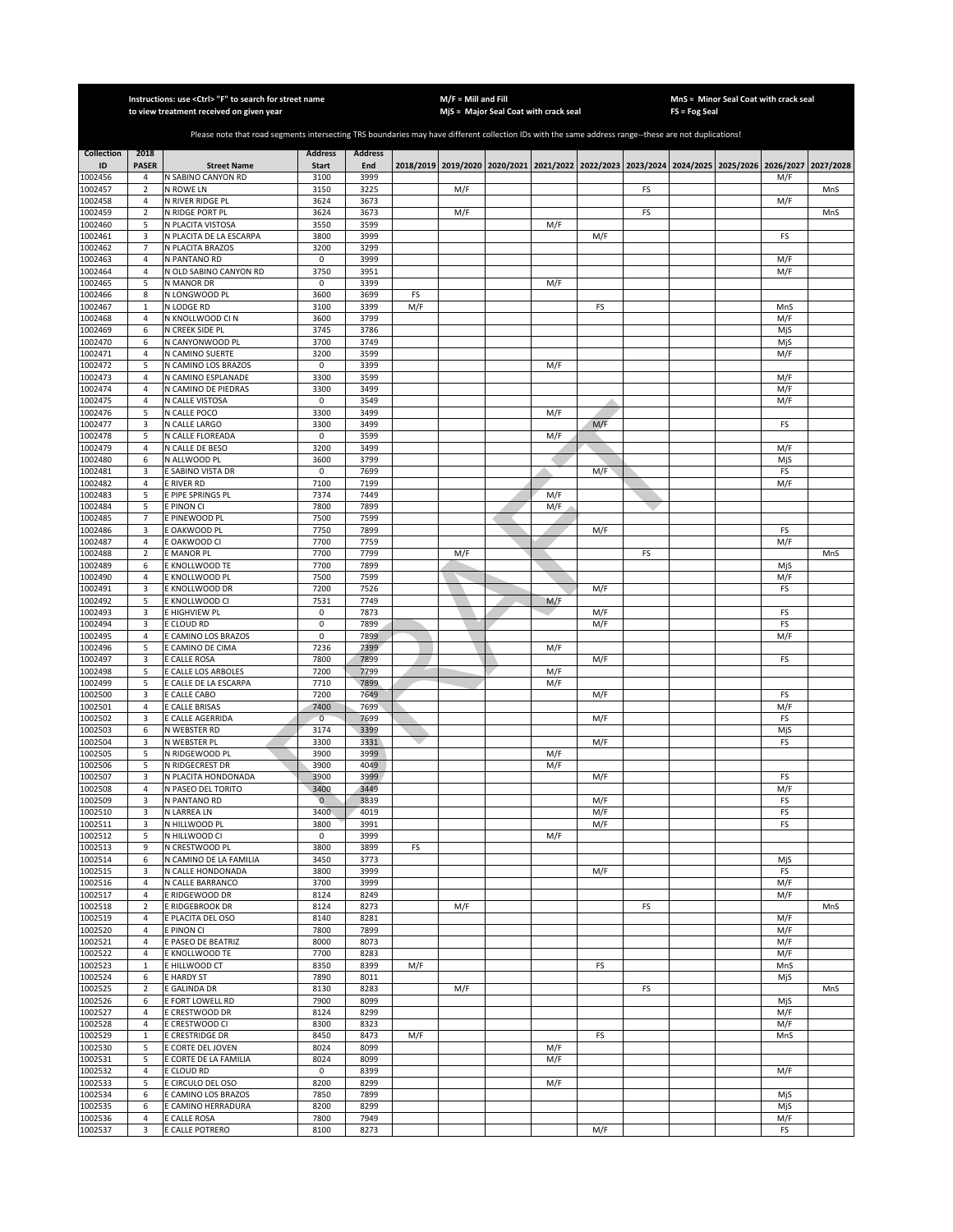|                         |                                  | Instructions: use < Ctrl> "F" to search for street name<br>to view treatment received on given year                                                   |                                |                       |     | $M/F =$ Mill and Fill | MjS = Major Seal Coat with crack seal                                                     |            |            |    | FS = Fog Seal | MnS = Minor Seal Coat with crack seal |            |           |
|-------------------------|----------------------------------|-------------------------------------------------------------------------------------------------------------------------------------------------------|--------------------------------|-----------------------|-----|-----------------------|-------------------------------------------------------------------------------------------|------------|------------|----|---------------|---------------------------------------|------------|-----------|
|                         |                                  |                                                                                                                                                       |                                |                       |     |                       |                                                                                           |            |            |    |               |                                       |            |           |
|                         |                                  | Please note that road segments intersecting TRS boundaries may have different collection IDs with the same address range--these are not duplications! |                                |                       |     |                       |                                                                                           |            |            |    |               |                                       |            |           |
| <b>Collection</b><br>ID | 2018<br><b>PASER</b>             | <b>Street Name</b>                                                                                                                                    | <b>Address</b><br><b>Start</b> | <b>Address</b><br>End |     |                       | 2018/2019 2019/2020 2020/2021 2021/2022 2022/2023 2023/2024 2024/2025 2025/2026 2026/2027 |            |            |    |               |                                       |            | 2027/2028 |
| 1002456                 | 4                                | N SABINO CANYON RD                                                                                                                                    | 3100                           | 3999                  |     |                       |                                                                                           |            |            |    |               |                                       | M/F        |           |
| 1002457                 | $\overline{2}$                   | N ROWE LN                                                                                                                                             | 3150                           | 3225                  |     | M/F                   |                                                                                           |            |            | FS |               |                                       |            | MnS       |
| 1002458                 | $\overline{4}$<br>$\overline{2}$ | N RIVER RIDGE PL<br>N RIDGE PORT PL                                                                                                                   | 3624<br>3624                   | 3673<br>3673          |     |                       |                                                                                           |            |            |    |               |                                       | M/F        |           |
| 1002459<br>1002460      | 5                                | N PLACITA VISTOSA                                                                                                                                     | 3550                           | 3599                  |     | M/F                   |                                                                                           | M/F        |            | FS |               |                                       |            | MnS       |
| 1002461                 | 3                                | N PLACITA DE LA ESCARPA                                                                                                                               | 3800                           | 3999                  |     |                       |                                                                                           |            | M/F        |    |               |                                       | FS         |           |
| 1002462                 | $\overline{7}$                   | N PLACITA BRAZOS                                                                                                                                      | 3200                           | 3299                  |     |                       |                                                                                           |            |            |    |               |                                       |            |           |
| 1002463<br>1002464      | $\overline{4}$<br>$\sqrt{4}$     | N PANTANO RD<br>N OLD SABINO CANYON RD                                                                                                                | 0<br>3750                      | 3999<br>3951          |     |                       |                                                                                           |            |            |    |               |                                       | M/F<br>M/F |           |
| 1002465                 | 5                                | N MANOR DR                                                                                                                                            | 0                              | 3399                  |     |                       |                                                                                           | M/F        |            |    |               |                                       |            |           |
| 1002466                 | 8                                | N LONGWOOD PL                                                                                                                                         | 3600                           | 3699                  | FS  |                       |                                                                                           |            |            |    |               |                                       |            |           |
| 1002467                 | $\,1\,$                          | N LODGE RD                                                                                                                                            | 3100                           | 3399                  | M/F |                       |                                                                                           |            | FS         |    |               |                                       | MnS        |           |
| 1002468<br>1002469      | $\overline{4}$<br>6              | N KNOLLWOOD CI N<br>N CREEK SIDE PL                                                                                                                   | 3600<br>3745                   | 3799<br>3786          |     |                       |                                                                                           |            |            |    |               |                                       | M/F<br>MjS |           |
| 1002470                 | 6                                | N CANYONWOOD PL                                                                                                                                       | 3700                           | 3749                  |     |                       |                                                                                           |            |            |    |               |                                       | MjS        |           |
| 1002471                 | $\overline{4}$                   | N CAMINO SUERTE                                                                                                                                       | 3200                           | 3599                  |     |                       |                                                                                           |            |            |    |               |                                       | M/F        |           |
| 1002472                 | 5                                | N CAMINO LOS BRAZOS                                                                                                                                   | 0                              | 3399                  |     |                       |                                                                                           | M/F        |            |    |               |                                       |            |           |
| 1002473<br>1002474      | $\sqrt{4}$<br>$\overline{4}$     | N CAMINO ESPLANADE<br>N CAMINO DE PIEDRAS                                                                                                             | 3300<br>3300                   | 3599<br>3499          |     |                       |                                                                                           |            |            |    |               |                                       | M/F<br>M/F |           |
| 1002475                 | $\overline{4}$                   | N CALLE VISTOSA                                                                                                                                       | 0                              | 3549                  |     |                       |                                                                                           |            |            |    |               |                                       | M/F        |           |
| 1002476                 | 5                                | N CALLE POCO                                                                                                                                          | 3300                           | 3499                  |     |                       |                                                                                           | M/F        |            |    |               |                                       |            |           |
| 1002477                 | 3                                | N CALLE LARGO                                                                                                                                         | 3300                           | 3499                  |     |                       |                                                                                           |            | M/F        |    |               |                                       | FS         |           |
| 1002478<br>1002479      | 5<br>$\overline{4}$              | N CALLE FLOREADA<br>N CALLE DE BESO                                                                                                                   | 0<br>3200                      | 3599<br>3499          |     |                       |                                                                                           | M/F        |            |    |               |                                       | M/F        |           |
| 1002480                 | 6                                | N ALLWOOD PL                                                                                                                                          | 3600                           | 3799                  |     |                       |                                                                                           |            |            |    |               |                                       | MjS        |           |
| 1002481                 | 3                                | E SABINO VISTA DR                                                                                                                                     | 0                              | 7699                  |     |                       |                                                                                           |            | M/F        |    |               |                                       | FS         |           |
| 1002482                 | $\overline{4}$                   | E RIVER RD                                                                                                                                            | 7100                           | 7199                  |     |                       |                                                                                           |            |            |    |               |                                       | M/F        |           |
| 1002483<br>1002484      | 5<br>5                           | E PIPE SPRINGS PL<br>E PINON CI                                                                                                                       | 7374<br>7800                   | 7449<br>7899          |     |                       |                                                                                           | M/F<br>M/F |            |    |               |                                       |            |           |
| 1002485                 | $\overline{7}$                   | E PINEWOOD PL                                                                                                                                         | 7500                           | 7599                  |     |                       |                                                                                           |            |            |    |               |                                       |            |           |
| 1002486                 | 3                                | E OAKWOOD PL                                                                                                                                          | 7750                           | 7899                  |     |                       |                                                                                           |            | M/F        |    |               |                                       | FS         |           |
| 1002487                 | $\overline{4}$                   | E OAKWOOD CI                                                                                                                                          | 7700                           | 7759                  |     |                       |                                                                                           |            |            |    |               |                                       | M/F        |           |
| 1002488<br>1002489      | $\mathbf 2$<br>6                 | E MANOR PL<br>E KNOLLWOOD TE                                                                                                                          | 7700<br>7700                   | 7799<br>7899          |     | M/F                   |                                                                                           |            |            | FS |               |                                       | MjS        | MnS       |
| 1002490                 | $\overline{4}$                   | E KNOLLWOOD PL                                                                                                                                        | 7500                           | 7599                  |     |                       |                                                                                           |            |            |    |               |                                       | M/F        |           |
| 1002491                 | 3                                | E KNOLLWOOD DR                                                                                                                                        | 7200                           | 7526                  |     |                       |                                                                                           |            | M/F        |    |               |                                       | FS         |           |
| 1002492                 | 5                                | E KNOLLWOOD CI                                                                                                                                        | 7531                           | 7749                  |     |                       |                                                                                           | M/F        |            |    |               |                                       |            |           |
| 1002493<br>1002494      | 3<br>3                           | E HIGHVIEW PL<br>E CLOUD RD                                                                                                                           | 0<br>0                         | 7873<br>7899          |     |                       |                                                                                           |            | M/F<br>M/F |    |               |                                       | FS<br>FS   |           |
| 1002495                 | $\sqrt{4}$                       | E CAMINO LOS BRAZOS                                                                                                                                   | 0                              | 7899                  |     |                       |                                                                                           |            |            |    |               |                                       | M/F        |           |
| 1002496                 | 5                                | E CAMINO DE CIMA                                                                                                                                      | 7236                           | 7399                  |     |                       |                                                                                           | M/F        |            |    |               |                                       |            |           |
| 1002497                 | 3                                | E CALLE ROSA                                                                                                                                          | 7800                           | 7899<br>7799          |     |                       |                                                                                           |            | M/F        |    |               |                                       | FS         |           |
| 1002498<br>1002499      | 5<br>5                           | E CALLE LOS ARBOLES<br>E CALLE DE LA ESCARPA                                                                                                          | 7200<br>7710                   | 7899                  |     |                       |                                                                                           | M/F<br>M/F |            |    |               |                                       |            |           |
| 1002500                 | 3                                | E CALLE CABO                                                                                                                                          | 7200                           | 7649                  |     |                       |                                                                                           |            | M/F        |    |               |                                       | FS         |           |
| 1002501                 | 4                                | E CALLE BRISAS                                                                                                                                        | 7400                           | 7699                  |     |                       |                                                                                           |            |            |    |               |                                       | M/F        |           |
| 1002502<br>1002503      | 3<br>6                           | E CALLE AGERRIDA<br>N WEBSTER RD                                                                                                                      | $\overline{0}$<br>3174         | 7699<br>3399          |     |                       |                                                                                           |            | M/F        |    |               |                                       | FS<br>MjS  |           |
| 1002504                 | 3                                | N WEBSTER PL                                                                                                                                          | 3300                           | 3331                  |     |                       |                                                                                           |            | M/F        |    |               |                                       | FS         |           |
| 1002505                 | 5                                | N RIDGEWOOD PL                                                                                                                                        | 3900                           | 3999                  |     |                       |                                                                                           | M/F        |            |    |               |                                       |            |           |
| 1002506                 | 5                                | N RIDGECREST DR                                                                                                                                       | 3900                           | 4049                  |     |                       |                                                                                           | M/F        |            |    |               |                                       |            |           |
| 1002507<br>1002508      | 3<br>$\overline{4}$              | N PLACITA HONDONADA<br>N PASEO DEL TORITO                                                                                                             | 3900<br>3400                   | 3999<br>3449          |     |                       |                                                                                           |            | M/F        |    |               |                                       | FS<br>M/F  |           |
| 1002509                 | 3                                | N PANTANO RD                                                                                                                                          | $\mathbf{0}$                   | 3839                  |     |                       |                                                                                           |            | M/F        |    |               |                                       | FS         |           |
| 1002510                 | 3                                | N LARREA LN                                                                                                                                           | 3400                           | 4019                  |     |                       |                                                                                           |            | M/F        |    |               |                                       | FS         |           |
| 1002511                 | 3                                | N HILLWOOD PL                                                                                                                                         | 3800<br>$\mathbf 0$            | 3991                  |     |                       |                                                                                           |            | M/F        |    |               |                                       | FS         |           |
| 1002512<br>1002513      | 5<br>9                           | N HILLWOOD CI<br>N CRESTWOOD PL                                                                                                                       | 3800                           | 3999<br>3899          | FS  |                       |                                                                                           | M/F        |            |    |               |                                       |            |           |
| 1002514                 | 6                                | N CAMINO DE LA FAMILIA                                                                                                                                | 3450                           | 3773                  |     |                       |                                                                                           |            |            |    |               |                                       | MjS        |           |
| 1002515                 | 3                                | N CALLE HONDONADA                                                                                                                                     | 3800                           | 3999                  |     |                       |                                                                                           |            | M/F        |    |               |                                       | FS         |           |
| 1002516<br>1002517      | $\overline{4}$<br>$\overline{4}$ | N CALLE BARRANCO<br>E RIDGEWOOD DR                                                                                                                    | 3700<br>8124                   | 3999<br>8249          |     |                       |                                                                                           |            |            |    |               |                                       | M/F<br>M/F |           |
| 1002518                 | $\mathbf 2$                      | E RIDGEBROOK DR                                                                                                                                       | 8124                           | 8273                  |     | M/F                   |                                                                                           |            |            | FS |               |                                       |            | MnS       |
| 1002519                 | $\overline{a}$                   | E PLACITA DEL OSO                                                                                                                                     | 8140                           | 8281                  |     |                       |                                                                                           |            |            |    |               |                                       | M/F        |           |
| 1002520                 | $\sqrt{4}$                       | E PINON CI                                                                                                                                            | 7800                           | 7899                  |     |                       |                                                                                           |            |            |    |               |                                       | M/F        |           |
| 1002521<br>1002522      | $\overline{4}$<br>$\sqrt{4}$     | E PASEO DE BEATRIZ<br>E KNOLLWOOD TE                                                                                                                  | 8000<br>7700                   | 8073<br>8283          |     |                       |                                                                                           |            |            |    |               |                                       | M/F<br>M/F |           |
| 1002523                 | $\mathbf{1}$                     | E HILLWOOD CT                                                                                                                                         | 8350                           | 8399                  | M/F |                       |                                                                                           |            | FS         |    |               |                                       | MnS        |           |
| 1002524                 | 6                                | E HARDY ST                                                                                                                                            | 7890                           | 8011                  |     |                       |                                                                                           |            |            |    |               |                                       | MjS        |           |
| 1002525                 | $\overline{2}$                   | E GALINDA DR                                                                                                                                          | 8130                           | 8283                  |     | M/F                   |                                                                                           |            |            | FS |               |                                       |            | MnS       |
| 1002526                 | 6                                | E FORT LOWELL RD                                                                                                                                      | 7900<br>8124                   | 8099                  |     |                       |                                                                                           |            |            |    |               |                                       | MiS<br>M/F |           |
| 1002527<br>1002528      | 4<br>4                           | E CRESTWOOD DR<br>E CRESTWOOD CI                                                                                                                      | 8300                           | 8299<br>8323          |     |                       |                                                                                           |            |            |    |               |                                       | M/F        |           |
| 1002529                 | $\mathbf{1}$                     | E CRESTRIDGE DR                                                                                                                                       | 8450                           | 8473                  | M/F |                       |                                                                                           |            | FS         |    |               |                                       | MnS        |           |
| 1002530                 | 5                                | E CORTE DEL JOVEN                                                                                                                                     | 8024                           | 8099                  |     |                       |                                                                                           | M/F        |            |    |               |                                       |            |           |
| 1002531                 | 5                                | E CORTE DE LA FAMILIA                                                                                                                                 | 8024                           | 8099                  |     |                       |                                                                                           | M/F        |            |    |               |                                       |            |           |
| 1002532<br>1002533      | $\overline{4}$<br>5              | E CLOUD RD<br>E CIRCULO DEL OSO                                                                                                                       | $\mathbf 0$<br>8200            | 8399<br>8299          |     |                       |                                                                                           | M/F        |            |    |               |                                       | M/F        |           |
| 1002534                 | 6                                | E CAMINO LOS BRAZOS                                                                                                                                   | 7850                           | 7899                  |     |                       |                                                                                           |            |            |    |               |                                       | MjS        |           |
| 1002535                 | 6                                | E CAMINO HERRADURA                                                                                                                                    | 8200                           | 8299                  |     |                       |                                                                                           |            |            |    |               |                                       | MjS        |           |
| 1002536                 | $\overline{4}$<br>3              | E CALLE ROSA<br>E CALLE POTRERO                                                                                                                       | 7800<br>8100                   | 7949<br>8273          |     |                       |                                                                                           |            | M/F        |    |               |                                       | M/F        |           |
| 1002537                 |                                  |                                                                                                                                                       |                                |                       |     |                       |                                                                                           |            |            |    |               |                                       | FS         |           |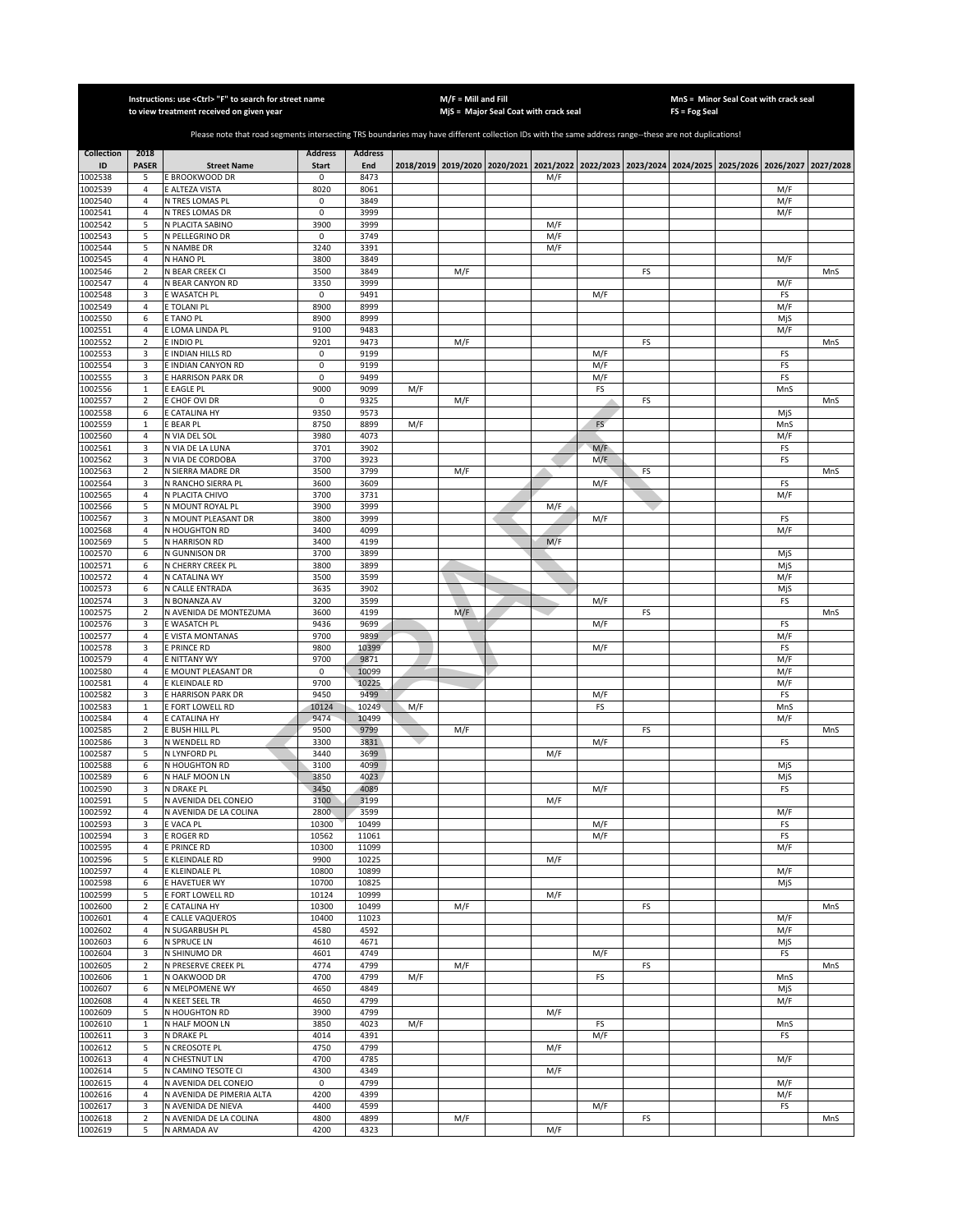|                         |                                  | Instructions: use < Ctrl> "F" to search for street name<br>to view treatment received on given year                                                   |                                |                       |     | $M/F =$ Mill and Fill | MjS = Major Seal Coat with crack seal                                                     |     |           |    | FS = Fog Seal | MnS = Minor Seal Coat with crack seal |            |           |
|-------------------------|----------------------------------|-------------------------------------------------------------------------------------------------------------------------------------------------------|--------------------------------|-----------------------|-----|-----------------------|-------------------------------------------------------------------------------------------|-----|-----------|----|---------------|---------------------------------------|------------|-----------|
|                         |                                  |                                                                                                                                                       |                                |                       |     |                       |                                                                                           |     |           |    |               |                                       |            |           |
|                         |                                  | Please note that road segments intersecting TRS boundaries may have different collection IDs with the same address range--these are not duplications! |                                |                       |     |                       |                                                                                           |     |           |    |               |                                       |            |           |
| <b>Collection</b><br>ID | 2018<br><b>PASER</b>             | <b>Street Name</b>                                                                                                                                    | <b>Address</b><br><b>Start</b> | <b>Address</b><br>End |     |                       | 2018/2019 2019/2020 2020/2021 2021/2022 2022/2023 2023/2024 2024/2025 2025/2026 2026/2027 |     |           |    |               |                                       |            | 2027/2028 |
| 1002538                 | 5                                | E BROOKWOOD DR                                                                                                                                        | 0                              | 8473                  |     |                       |                                                                                           | M/F |           |    |               |                                       |            |           |
| 1002539                 | 4                                | E ALTEZA VISTA                                                                                                                                        | 8020                           | 8061                  |     |                       |                                                                                           |     |           |    |               |                                       | M/F        |           |
| 1002540<br>1002541      | $\overline{4}$<br>$\overline{4}$ | N TRES LOMAS PL<br>N TRES LOMAS DR                                                                                                                    | $\mathbf 0$<br>$\mathbf 0$     | 3849<br>3999          |     |                       |                                                                                           |     |           |    |               |                                       | M/F<br>M/F |           |
| 1002542                 | 5                                | N PLACITA SABINO                                                                                                                                      | 3900                           | 3999                  |     |                       |                                                                                           | M/F |           |    |               |                                       |            |           |
| 1002543                 | 5                                | N PELLEGRINO DR                                                                                                                                       | $\mathbf 0$                    | 3749                  |     |                       |                                                                                           | M/F |           |    |               |                                       |            |           |
| 1002544<br>1002545      | 5<br>$\sqrt{4}$                  | N NAMBE DR<br>N HANO PL                                                                                                                               | 3240<br>3800                   | 3391<br>3849          |     |                       |                                                                                           | M/F |           |    |               |                                       | M/F        |           |
| 1002546                 | $\overline{2}$                   | N BEAR CREEK CI                                                                                                                                       | 3500                           | 3849                  |     | M/F                   |                                                                                           |     |           | FS |               |                                       |            | MnS       |
| 1002547                 | 4                                | N BEAR CANYON RD                                                                                                                                      | 3350                           | 3999                  |     |                       |                                                                                           |     |           |    |               |                                       | M/F        |           |
| 1002548                 | 3                                | E WASATCH PL                                                                                                                                          | $\mathbf 0$                    | 9491                  |     |                       |                                                                                           |     | M/F       |    |               |                                       | FS         |           |
| 1002549<br>1002550      | 4<br>6                           | E TOLANI PL<br>E TANO PL                                                                                                                              | 8900<br>8900                   | 8999<br>8999          |     |                       |                                                                                           |     |           |    |               |                                       | M/F<br>MjS |           |
| 1002551                 | 4                                | E LOMA LINDA PL                                                                                                                                       | 9100                           | 9483                  |     |                       |                                                                                           |     |           |    |               |                                       | M/F        |           |
| 1002552                 | $\overline{2}$                   | E INDIO PL                                                                                                                                            | 9201                           | 9473                  |     | M/F                   |                                                                                           |     |           | FS |               |                                       |            | MnS       |
| 1002553                 | 3                                | E INDIAN HILLS RD                                                                                                                                     | 0                              | 9199                  |     |                       |                                                                                           |     | M/F       |    |               |                                       | FS         |           |
| 1002554                 | 3                                | E INDIAN CANYON RD                                                                                                                                    | 0                              | 9199                  |     |                       |                                                                                           |     | M/F       |    |               |                                       | FS         |           |
| 1002555<br>1002556      | 3<br>$\mathbf 1$                 | E HARRISON PARK DR<br>E EAGLE PL                                                                                                                      | 0<br>9000                      | 9499<br>9099          | M/F |                       |                                                                                           |     | M/F<br>FS |    |               |                                       | FS<br>MnS  |           |
| 1002557                 | $\overline{2}$                   | E CHOF OVI DR                                                                                                                                         | 0                              | 9325                  |     | M/F                   |                                                                                           |     |           | FS |               |                                       |            | MnS       |
| 1002558                 | 6                                | E CATALINA HY                                                                                                                                         | 9350                           | 9573                  |     |                       |                                                                                           |     |           |    |               |                                       | MjS        |           |
| 1002559                 | $\mathbf{1}$                     | <b>E BEAR PL</b>                                                                                                                                      | 8750                           | 8899                  | M/F |                       |                                                                                           |     | FS        |    |               |                                       | MnS        |           |
| 1002560<br>1002561      | 4<br>3                           | N VIA DEL SOL<br>N VIA DE LA LUNA                                                                                                                     | 3980<br>3701                   | 4073<br>3902          |     |                       |                                                                                           |     | M/F       |    |               |                                       | M/F<br>FS  |           |
| 1002562                 | 3                                | N VIA DE CORDOBA                                                                                                                                      | 3700                           | 3923                  |     |                       |                                                                                           |     | M/F       |    |               |                                       | FS         |           |
| 1002563                 | $\overline{2}$                   | N SIERRA MADRE DR                                                                                                                                     | 3500                           | 3799                  |     | M/F                   |                                                                                           |     |           | FS |               |                                       |            | MnS       |
| 1002564                 | 3                                | N RANCHO SIERRA PL                                                                                                                                    | 3600                           | 3609                  |     |                       |                                                                                           |     | M/F       |    |               |                                       | FS         |           |
| 1002565                 | $\overline{4}$<br>5              | N PLACITA CHIVO<br>N MOUNT ROYAL PL                                                                                                                   | 3700<br>3900                   | 3731<br>3999          |     |                       |                                                                                           |     |           |    |               |                                       | M/F        |           |
| 1002566<br>1002567      | 3                                | N MOUNT PLEASANT DR                                                                                                                                   | 3800                           | 3999                  |     |                       |                                                                                           | M/F | M/F       |    |               |                                       | FS         |           |
| 1002568                 | $\overline{4}$                   | N HOUGHTON RD                                                                                                                                         | 3400                           | 4099                  |     |                       |                                                                                           |     |           |    |               |                                       | M/F        |           |
| 1002569                 | 5                                | N HARRISON RD                                                                                                                                         | 3400                           | 4199                  |     |                       |                                                                                           | M/F |           |    |               |                                       |            |           |
| 1002570                 | 6                                | N GUNNISON DR                                                                                                                                         | 3700                           | 3899                  |     |                       |                                                                                           |     |           |    |               |                                       | MjS        |           |
| 1002571<br>1002572      | 6<br>$\sqrt{4}$                  | N CHERRY CREEK PL<br>N CATALINA WY                                                                                                                    | 3800<br>3500                   | 3899<br>3599          |     |                       |                                                                                           |     |           |    |               |                                       | MjS<br>M/F |           |
| 1002573                 | 6                                | N CALLE ENTRADA                                                                                                                                       | 3635                           | 3902                  |     |                       |                                                                                           |     |           |    |               |                                       | MjS        |           |
| 1002574                 | 3                                | N BONANZA AV                                                                                                                                          | 3200                           | 3599                  |     |                       |                                                                                           |     | M/F       |    |               |                                       | FS         |           |
| 1002575                 | $\overline{2}$                   | N AVENIDA DE MONTEZUMA                                                                                                                                | 3600                           | 4199                  |     | M/F                   |                                                                                           |     |           | FS |               |                                       |            | MnS       |
| 1002576<br>1002577      | 3<br>$\sqrt{4}$                  | E WASATCH PL<br>E VISTA MONTANAS                                                                                                                      | 9436<br>9700                   | 9699<br>9899          |     |                       |                                                                                           |     | M/F       |    |               |                                       | FS<br>M/F  |           |
| 1002578                 | 3                                | <b>E PRINCE RD</b>                                                                                                                                    | 9800                           | 10399                 |     |                       |                                                                                           |     | M/F       |    |               |                                       | FS         |           |
| 1002579                 | $\sqrt{4}$                       | E NITTANY WY                                                                                                                                          | 9700                           | 9871                  |     |                       |                                                                                           |     |           |    |               |                                       | M/F        |           |
| 1002580                 | $\overline{4}$                   | E MOUNT PLEASANT DR                                                                                                                                   | 0                              | 10099                 |     |                       |                                                                                           |     |           |    |               |                                       | M/F        |           |
| 1002581<br>1002582      | $\sqrt{4}$<br>3                  | E KLEINDALE RD<br>E HARRISON PARK DR                                                                                                                  | 9700<br>9450                   | 10225<br>9499         |     |                       |                                                                                           |     | M/F       |    |               |                                       | M/F<br>FS  |           |
| 1002583                 | $\mathbf{1}$                     | E FORT LOWELL RD                                                                                                                                      | 10124                          | 10249                 | M/F |                       |                                                                                           |     | FS        |    |               |                                       | MnS        |           |
| 1002584                 | 4                                | E CATALINA HY                                                                                                                                         | 9474                           | 10499                 |     |                       |                                                                                           |     |           |    |               |                                       | M/F        |           |
| 1002585                 | $\overline{2}$                   | E BUSH HILL PL                                                                                                                                        | 9500                           | 9799                  |     | M/F                   |                                                                                           |     |           | FS |               |                                       |            | MnS       |
| 1002586<br>1002587      | 3<br>5                           | N WENDELL RD<br>N LYNFORD PL                                                                                                                          | 3300<br>3440                   | 3831<br>3699          |     |                       |                                                                                           | M/F | M/F       |    |               |                                       | FS         |           |
| 1002588                 | 6                                | N HOUGHTON RD                                                                                                                                         | 3100                           | 4099                  |     |                       |                                                                                           |     |           |    |               |                                       | MjS        |           |
| 1002589                 | 6                                | N HALF MOON LN                                                                                                                                        | 3850                           | 4023                  |     |                       |                                                                                           |     |           |    |               |                                       | MjS        |           |
| 1002590                 | 3                                | N DRAKE PL                                                                                                                                            | 3450                           | 4089                  |     |                       |                                                                                           |     | M/F       |    |               |                                       | FS         |           |
| 1002591<br>1002592      | 5<br>$\overline{4}$              | N AVENIDA DEL CONEJO<br>N AVENIDA DE LA COLINA                                                                                                        | 3100<br>2800                   | 3199<br>3599          |     |                       |                                                                                           | M/F |           |    |               |                                       | M/F        |           |
| 1002593                 | 3                                | E VACA PL                                                                                                                                             | 10300                          | 10499                 |     |                       |                                                                                           |     | M/F       |    |               |                                       | FS         |           |
| 1002594                 | 3                                | E ROGER RD                                                                                                                                            | 10562                          | 11061                 |     |                       |                                                                                           |     | M/F       |    |               |                                       | FS         |           |
| 1002595                 | 4                                | E PRINCE RD                                                                                                                                           | 10300                          | 11099                 |     |                       |                                                                                           |     |           |    |               |                                       | M/F        |           |
| 1002596<br>1002597      | 5<br>4                           | E KLEINDALE RD<br>E KLEINDALE PL                                                                                                                      | 9900<br>10800                  | 10225<br>10899        |     |                       |                                                                                           | M/F |           |    |               |                                       | M/F        |           |
| 1002598                 | 6                                | E HAVETUER WY                                                                                                                                         | 10700                          | 10825                 |     |                       |                                                                                           |     |           |    |               |                                       | MjS        |           |
| 1002599                 | 5                                | E FORT LOWELL RD                                                                                                                                      | 10124                          | 10999                 |     |                       |                                                                                           | M/F |           |    |               |                                       |            |           |
| 1002600                 | $\mathbf 2$                      | E CATALINA HY                                                                                                                                         | 10300                          | 10499                 |     | M/F                   |                                                                                           |     |           | FS |               |                                       |            | MnS       |
| 1002601<br>1002602      | 4<br>$\sqrt{4}$                  | E CALLE VAQUEROS<br>N SUGARBUSH PL                                                                                                                    | 10400<br>4580                  | 11023<br>4592         |     |                       |                                                                                           |     |           |    |               |                                       | M/F<br>M/F |           |
| 1002603                 | 6                                | <b>N SPRUCE LN</b>                                                                                                                                    | 4610                           | 4671                  |     |                       |                                                                                           |     |           |    |               |                                       | MjS        |           |
| 1002604                 | 3                                | N SHINUMO DR                                                                                                                                          | 4601                           | 4749                  |     |                       |                                                                                           |     | M/F       |    |               |                                       | FS         |           |
| 1002605                 | $\sqrt{2}$                       | N PRESERVE CREEK PL                                                                                                                                   | 4774                           | 4799                  |     | M/F                   |                                                                                           |     |           | FS |               |                                       |            | MnS       |
| 1002606                 | $\mathbf 1$                      | N OAKWOOD DR                                                                                                                                          | 4700                           | 4799                  | M/F |                       |                                                                                           |     | FS        |    |               |                                       | MnS        |           |
| 1002607<br>1002608      | 6<br>4                           | N MELPOMENE WY<br>N KEET SEEL TR                                                                                                                      | 4650<br>4650                   | 4849<br>4799          |     |                       |                                                                                           |     |           |    |               |                                       | MjS<br>M/F |           |
| 1002609                 | 5                                | N HOUGHTON RD                                                                                                                                         | 3900                           | 4799                  |     |                       |                                                                                           | M/F |           |    |               |                                       |            |           |
| 1002610                 | $\mathbf{1}$                     | N HALF MOON LN                                                                                                                                        | 3850                           | 4023                  | M/F |                       |                                                                                           |     | FS        |    |               |                                       | MnS        |           |
| 1002611                 | 3                                | N DRAKE PL                                                                                                                                            | 4014                           | 4391                  |     |                       |                                                                                           |     | M/F       |    |               |                                       | FS         |           |
| 1002612<br>1002613      | 5<br>4                           | N CREOSOTE PL<br>N CHESTNUT LN                                                                                                                        | 4750<br>4700                   | 4799<br>4785          |     |                       |                                                                                           | M/F |           |    |               |                                       | M/F        |           |
| 1002614                 | 5                                | N CAMINO TESOTE CI                                                                                                                                    | 4300                           | 4349                  |     |                       |                                                                                           | M/F |           |    |               |                                       |            |           |
| 1002615                 | $\overline{4}$                   | N AVENIDA DEL CONEJO                                                                                                                                  | $\mathbf 0$                    | 4799                  |     |                       |                                                                                           |     |           |    |               |                                       | M/F        |           |
| 1002616                 | $\overline{4}$                   | N AVENIDA DE PIMERIA ALTA                                                                                                                             | 4200                           | 4399                  |     |                       |                                                                                           |     |           |    |               |                                       | M/F        |           |
| 1002617                 | 3                                | N AVENIDA DE NIEVA                                                                                                                                    | 4400                           | 4599                  |     |                       |                                                                                           |     | M/F       |    |               |                                       | FS         |           |
| 1002618<br>1002619      | $\sqrt{2}$<br>5                  | N AVENIDA DE LA COLINA<br>N ARMADA AV                                                                                                                 | 4800<br>4200                   | 4899<br>4323          |     | M/F                   |                                                                                           | M/F |           | FS |               |                                       |            | MnS       |
|                         |                                  |                                                                                                                                                       |                                |                       |     |                       |                                                                                           |     |           |    |               |                                       |            |           |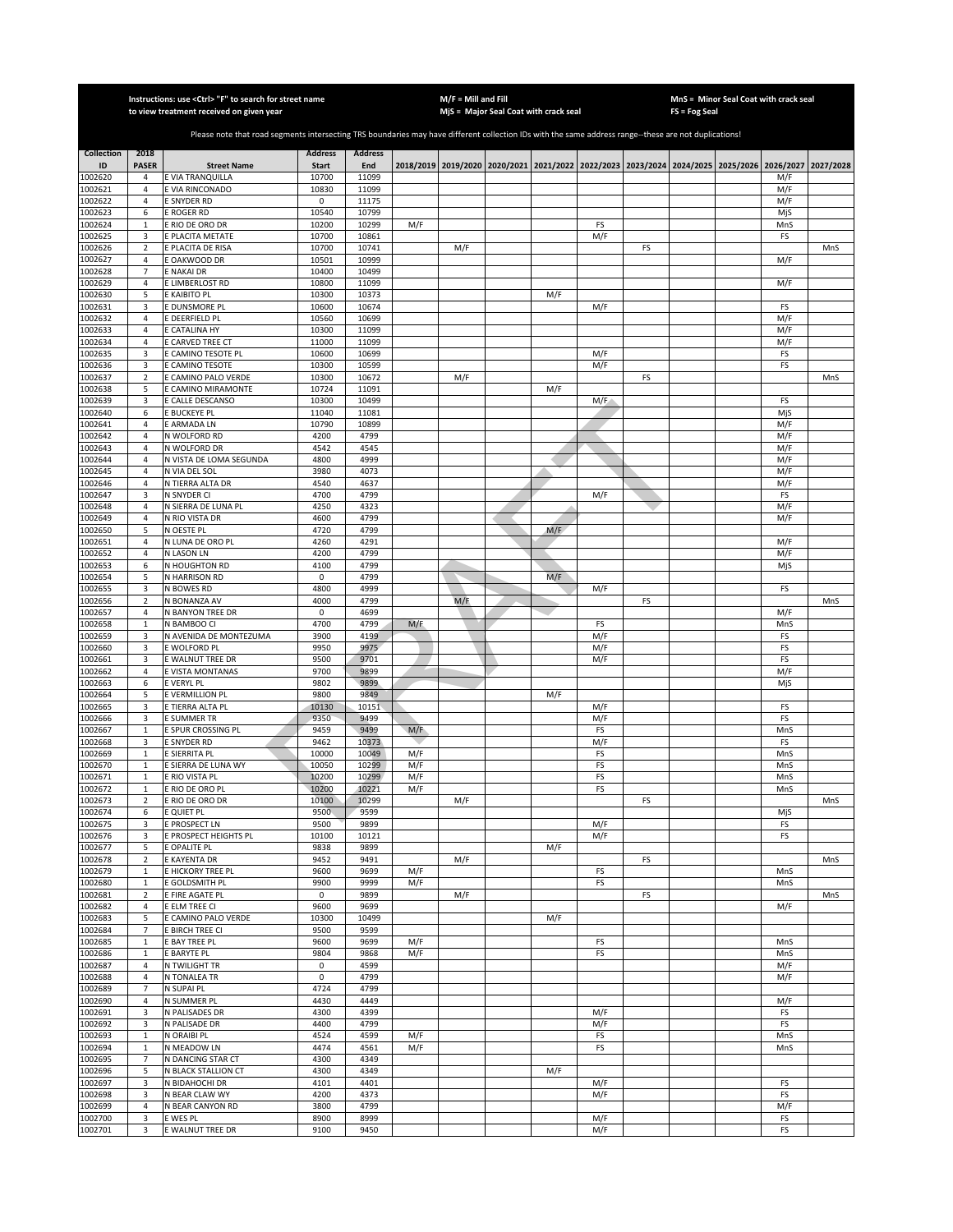|                    |                                  | Instructions: use < Ctrl> "F" to search for street name<br>to view treatment received on given year                                                   |                      |                |            | $M/F =$ Mill and Fill | MjS = Major Seal Coat with crack seal |     |            |    | <b>FS = Fog Seal</b> | MnS = Minor Seal Coat with crack seal                                                     |            |           |
|--------------------|----------------------------------|-------------------------------------------------------------------------------------------------------------------------------------------------------|----------------------|----------------|------------|-----------------------|---------------------------------------|-----|------------|----|----------------------|-------------------------------------------------------------------------------------------|------------|-----------|
|                    |                                  |                                                                                                                                                       |                      |                |            |                       |                                       |     |            |    |                      |                                                                                           |            |           |
|                    |                                  | Please note that road segments intersecting TRS boundaries may have different collection IDs with the same address range--these are not duplications! |                      |                |            |                       |                                       |     |            |    |                      |                                                                                           |            |           |
| <b>Collection</b>  | 2018                             |                                                                                                                                                       | <b>Address</b>       | <b>Address</b> |            |                       |                                       |     |            |    |                      |                                                                                           |            |           |
| ID                 | <b>PASER</b>                     | <b>Street Name</b>                                                                                                                                    | <b>Start</b>         | End            |            |                       |                                       |     |            |    |                      | 2018/2019 2019/2020 2020/2021 2021/2022 2022/2023 2023/2024 2024/2025 2025/2026 2026/2027 |            | 2027/2028 |
| 1002620            | 4                                | E VIA TRANQUILLA                                                                                                                                      | 10700                | 11099          |            |                       |                                       |     |            |    |                      |                                                                                           | M/F        |           |
| 1002621<br>1002622 | $\overline{4}$<br>$\overline{4}$ | E VIA RINCONADO<br><b>E SNYDER RD</b>                                                                                                                 | 10830<br>$\mathsf 0$ | 11099<br>11175 |            |                       |                                       |     |            |    |                      |                                                                                           | M/F<br>M/F |           |
| 1002623            | 6                                | E ROGER RD                                                                                                                                            | 10540                | 10799          |            |                       |                                       |     |            |    |                      |                                                                                           | MjS        |           |
| 1002624            | $\mathbf 1$                      | E RIO DE ORO DR                                                                                                                                       | 10200                | 10299          | M/F        |                       |                                       |     | FS         |    |                      |                                                                                           | MnS        |           |
| 1002625            | 3                                | <b>PLACITA METATE</b>                                                                                                                                 | 10700                | 10861          |            |                       |                                       |     | M/F        |    |                      |                                                                                           | FS         |           |
| 1002626            | $\sqrt{2}$                       | E PLACITA DE RISA                                                                                                                                     | 10700                | 10741          |            | M/F                   |                                       |     |            | FS |                      |                                                                                           |            | MnS       |
| 1002627<br>1002628 | 4<br>$\overline{7}$              | OAKWOOD DR<br><b>ENAKAI DR</b>                                                                                                                        | 10501<br>10400       | 10999<br>10499 |            |                       |                                       |     |            |    |                      |                                                                                           | M/F        |           |
| 1002629            | 4                                | E LIMBERLOST RD                                                                                                                                       | 10800                | 11099          |            |                       |                                       |     |            |    |                      |                                                                                           | M/F        |           |
| 1002630            | 5                                | E KAIBITO PL                                                                                                                                          | 10300                | 10373          |            |                       |                                       | M/F |            |    |                      |                                                                                           |            |           |
| 1002631            | 3                                | <b>DUNSMORE PL</b>                                                                                                                                    | 10600                | 10674          |            |                       |                                       |     | M/F        |    |                      |                                                                                           | FS         |           |
| 1002632            | $\sqrt{4}$                       | E DEERFIELD PL                                                                                                                                        | 10560                | 10699          |            |                       |                                       |     |            |    |                      |                                                                                           | M/F        |           |
| 1002633            | 4                                | E CATALINA HY                                                                                                                                         | 10300                | 11099          |            |                       |                                       |     |            |    |                      |                                                                                           | M/F        |           |
| 1002634<br>1002635 | $\sqrt{4}$<br>3                  | E CARVED TREE CT<br>E CAMINO TESOTE PL                                                                                                                | 11000<br>10600       | 11099<br>10699 |            |                       |                                       |     | M/F        |    |                      |                                                                                           | M/F<br>FS  |           |
| 1002636            | 3                                | <b>CAMINO TESOTE</b>                                                                                                                                  | 10300                | 10599          |            |                       |                                       |     | M/F        |    |                      |                                                                                           | FS         |           |
| 1002637            | $\sqrt{2}$                       | E CAMINO PALO VERDE                                                                                                                                   | 10300                | 10672          |            | M/F                   |                                       |     |            | FS |                      |                                                                                           |            | MnS       |
| 1002638            | 5                                | <b>CAMINO MIRAMONTE</b>                                                                                                                               | 10724                | 11091          |            |                       |                                       | M/F |            |    |                      |                                                                                           |            |           |
| 1002639            | 3                                | E CALLE DESCANSO                                                                                                                                      | 10300                | 10499          |            |                       |                                       |     | M/F        |    |                      |                                                                                           | FS         |           |
| 1002640            | 6                                | E BUCKEYE PL                                                                                                                                          | 11040                | 11081          |            |                       |                                       |     |            |    |                      |                                                                                           | MiS        |           |
| 1002641<br>1002642 | 4                                | E ARMADA LN                                                                                                                                           | 10790                | 10899          |            |                       |                                       |     |            |    |                      |                                                                                           | M/F        |           |
| 1002643            | 4<br>4                           | N WOLFORD RD<br>N WOLFORD DR                                                                                                                          | 4200<br>4542         | 4799<br>4545   |            |                       |                                       |     |            |    |                      |                                                                                           | M/F<br>M/F |           |
| 1002644            | 4                                | N VISTA DE LOMA SEGUNDA                                                                                                                               | 4800                 | 4999           |            |                       |                                       |     |            |    |                      |                                                                                           | M/F        |           |
| 1002645            | $\overline{4}$                   | N VIA DEL SOL                                                                                                                                         | 3980                 | 4073           |            |                       |                                       |     |            |    |                      |                                                                                           | M/F        |           |
| 1002646            | $\overline{4}$                   | N TIERRA ALTA DR                                                                                                                                      | 4540                 | 4637           |            |                       |                                       |     |            |    |                      |                                                                                           | M/F        |           |
| 1002647            | 3                                | N SNYDER CI                                                                                                                                           | 4700                 | 4799           |            |                       |                                       |     | M/F        |    |                      |                                                                                           | FS         |           |
| 1002648            | $\overline{4}$                   | N SIERRA DE LUNA PL                                                                                                                                   | 4250                 | 4323           |            |                       |                                       |     |            |    |                      |                                                                                           | M/F        |           |
| 1002649<br>1002650 | $\overline{4}$<br>5              | N RIO VISTA DR<br>N OESTE PL                                                                                                                          | 4600<br>4720         | 4799<br>4799   |            |                       |                                       | M/F |            |    |                      |                                                                                           | M/F        |           |
| 1002651            | $\overline{4}$                   | N LUNA DE ORO PL                                                                                                                                      | 4260                 | 4291           |            |                       |                                       |     |            |    |                      |                                                                                           | M/F        |           |
| 1002652            | 4                                | N LASON LN                                                                                                                                            | 4200                 | 4799           |            |                       |                                       |     |            |    |                      |                                                                                           | M/F        |           |
| 1002653            | 6                                | N HOUGHTON RD                                                                                                                                         | 4100                 | 4799           |            |                       |                                       |     |            |    |                      |                                                                                           | MjS        |           |
| 1002654            | 5                                | N HARRISON RD                                                                                                                                         | 0                    | 4799           |            |                       |                                       | M/F |            |    |                      |                                                                                           |            |           |
| 1002655            | 3                                | N BOWES RD                                                                                                                                            | 4800                 | 4999           |            |                       |                                       |     | M/F        |    |                      |                                                                                           | FS         |           |
| 1002656            | $\mathbf 2$<br>$\overline{4}$    | N BONANZA AV                                                                                                                                          | 4000                 | 4799           |            | M/F                   |                                       |     |            | FS |                      |                                                                                           |            | MnS       |
| 1002657<br>1002658 | $\mathbf 1$                      | N BANYON TREE DR<br>N BAMBOO CI                                                                                                                       | $\pmb{0}$<br>4700    | 4699<br>4799   | M/F        |                       |                                       |     | FS         |    |                      |                                                                                           | M/F<br>MnS |           |
| 1002659            | 3                                | N AVENIDA DE MONTEZUMA                                                                                                                                | 3900                 | 4199           |            |                       |                                       |     | M/F        |    |                      |                                                                                           | FS         |           |
| 1002660            | 3                                | E WOLFORD PL                                                                                                                                          | 9950                 | 9975           |            |                       |                                       |     | M/F        |    |                      |                                                                                           | FS         |           |
| 1002661            | 3                                | E WALNUT TREE DR                                                                                                                                      | 9500                 | 9701           |            |                       |                                       |     | M/F        |    |                      |                                                                                           | FS         |           |
| 1002662            | $\overline{4}$                   | E VISTA MONTANAS                                                                                                                                      | 9700                 | 9899           |            |                       |                                       |     |            |    |                      |                                                                                           | M/F        |           |
| 1002663            | 6                                | E VERYL PL                                                                                                                                            | 9802<br>9800         | 9899<br>9849   |            |                       |                                       |     |            |    |                      |                                                                                           | MjS        |           |
| 1002664<br>1002665 | 5<br>3                           | E VERMILLION PL<br>E TIERRA ALTA PL                                                                                                                   | 10130                | 10151          |            |                       |                                       | M/F | M/F        |    |                      |                                                                                           | FS         |           |
| 1002666            | 3                                | E SUMMER TR                                                                                                                                           | 9350                 | 9499           |            |                       |                                       |     | M/F        |    |                      |                                                                                           | FS         |           |
| 1002667            | $\mathbf{1}$                     | E SPUR CROSSING PL                                                                                                                                    | 9459                 | 9499           | M/F        |                       |                                       |     | FS         |    |                      |                                                                                           | MnS        |           |
| 1002668            | 3                                | <b>E SNYDER RD</b>                                                                                                                                    | 9462                 | 10373          |            |                       |                                       |     | M/F        |    |                      |                                                                                           | FS         |           |
| 1002669            | $\mathbf{1}$                     | E SIERRITA PL                                                                                                                                         | 10000                | 10049          | M/F        |                       |                                       |     | FS         |    |                      |                                                                                           | MnS        |           |
| 1002670            | $\mathbf{1}$                     | E SIERRA DE LUNA WY                                                                                                                                   | 10050                | 10299          | M/F        |                       |                                       |     | FS         |    |                      |                                                                                           | MnS        |           |
| 1002671<br>1002672 | $\mathbf{1}$<br>$\mathbf{1}$     | E RIO VISTA PL<br>E RIO DE ORO PL                                                                                                                     | 10200<br>10200       | 10299<br>10221 | M/F<br>M/F |                       |                                       |     | FS<br>FS   |    |                      |                                                                                           | MnS<br>MnS |           |
| 1002673            | 2                                | E RIO DE ORO DR                                                                                                                                       | 10100                | 10299          |            | M/F                   |                                       |     |            | FS |                      |                                                                                           |            | MnS       |
| 1002674            | 6                                | E QUIET PL                                                                                                                                            | 9500                 | 9599           |            |                       |                                       |     |            |    |                      |                                                                                           | MiS        |           |
| 1002675            | 3                                | <b>PROSPECT LN</b>                                                                                                                                    | 9500                 | 9899           |            |                       |                                       |     | M/F        |    |                      |                                                                                           | FS         |           |
| 1002676            | 3                                | E PROSPECT HEIGHTS PL                                                                                                                                 | 10100                | 10121          |            |                       |                                       |     | M/F        |    |                      |                                                                                           | FS         |           |
| 1002677<br>1002678 | 5<br>$\mathbf 2$                 | E OPALITE PL<br>E KAYENTA DR                                                                                                                          | 9838<br>9452         | 9899<br>9491   |            | M/F                   |                                       | M/F |            | FS |                      |                                                                                           |            | MnS       |
| 1002679            | 1                                | E HICKORY TREE PL                                                                                                                                     | 9600                 | 9699           | M/F        |                       |                                       |     | FS         |    |                      |                                                                                           | MnS        |           |
| 1002680            | $\mathbf 1$                      | E GOLDSMITH PL                                                                                                                                        | 9900                 | 9999           | M/F        |                       |                                       |     | FS         |    |                      |                                                                                           | MnS        |           |
| 1002681            | $\mathbf 2$                      | E FIRE AGATE PL                                                                                                                                       | 0                    | 9899           |            | M/F                   |                                       |     |            | FS |                      |                                                                                           |            | MnS       |
| 1002682            | $\sqrt{4}$                       | E ELM TREE CI                                                                                                                                         | 9600                 | 9699           |            |                       |                                       |     |            |    |                      |                                                                                           | M/F        |           |
| 1002683            | 5                                | E CAMINO PALO VERDE                                                                                                                                   | 10300                | 10499          |            |                       |                                       | M/F |            |    |                      |                                                                                           |            |           |
| 1002684            | $\overline{7}$                   | E BIRCH TREE CI                                                                                                                                       | 9500                 | 9599           |            |                       |                                       |     |            |    |                      |                                                                                           |            |           |
| 1002685<br>1002686 | $\,1\,$<br>$\mathbf 1$           | E BAY TREE PL<br>E BARYTE PL                                                                                                                          | 9600<br>9804         | 9699<br>9868   | M/F<br>M/F |                       |                                       |     | FS<br>FS   |    |                      |                                                                                           | MnS<br>MnS |           |
| 1002687            | $\overline{4}$                   | N TWILIGHT TR                                                                                                                                         | 0                    | 4599           |            |                       |                                       |     |            |    |                      |                                                                                           | M/F        |           |
| 1002688            | $\overline{4}$                   | N TONALEA TR                                                                                                                                          | $\pmb{0}$            | 4799           |            |                       |                                       |     |            |    |                      |                                                                                           | M/F        |           |
| 1002689            | $\overline{7}$                   | N SUPAI PL                                                                                                                                            | 4724                 | 4799           |            |                       |                                       |     |            |    |                      |                                                                                           |            |           |
| 1002690            | 4                                | N SUMMER PL                                                                                                                                           | 4430                 | 4449           |            |                       |                                       |     |            |    |                      |                                                                                           | M/F        |           |
| 1002691            | 3                                | N PALISADES DR                                                                                                                                        | 4300                 | 4399           |            |                       |                                       |     | M/F        |    |                      |                                                                                           | FS         |           |
| 1002692            | 3                                | N PALISADE DR                                                                                                                                         | 4400                 | 4799           |            |                       |                                       |     | M/F        |    |                      |                                                                                           | FS         |           |
| 1002693<br>1002694 | $\mathbf{1}$<br>$\mathbf{1}$     | N ORAIBI PL<br>N MEADOW LN                                                                                                                            | 4524<br>4474         | 4599<br>4561   | M/F<br>M/F |                       |                                       |     | FS<br>FS   |    |                      |                                                                                           | MnS<br>MnS |           |
| 1002695            | 7                                | N DANCING STAR CT                                                                                                                                     | 4300                 | 4349           |            |                       |                                       |     |            |    |                      |                                                                                           |            |           |
| 1002696            | 5                                | N BLACK STALLION CT                                                                                                                                   | 4300                 | 4349           |            |                       |                                       | M/F |            |    |                      |                                                                                           |            |           |
| 1002697            | 3                                | N BIDAHOCHI DR                                                                                                                                        | 4101                 | 4401           |            |                       |                                       |     | M/F        |    |                      |                                                                                           | FS         |           |
| 1002698            | 3                                | N BEAR CLAW WY                                                                                                                                        | 4200                 | 4373           |            |                       |                                       |     | M/F        |    |                      |                                                                                           | FS         |           |
| 1002699            | $\overline{4}$                   | N BEAR CANYON RD                                                                                                                                      | 3800                 | 4799           |            |                       |                                       |     |            |    |                      |                                                                                           | M/F        |           |
| 1002700<br>1002701 | 3<br>3                           | E WES PL<br>E WALNUT TREE DR                                                                                                                          | 8900<br>9100         | 8999<br>9450   |            |                       |                                       |     | M/F<br>M/F |    |                      |                                                                                           | FS<br>FS   |           |
|                    |                                  |                                                                                                                                                       |                      |                |            |                       |                                       |     |            |    |                      |                                                                                           |            |           |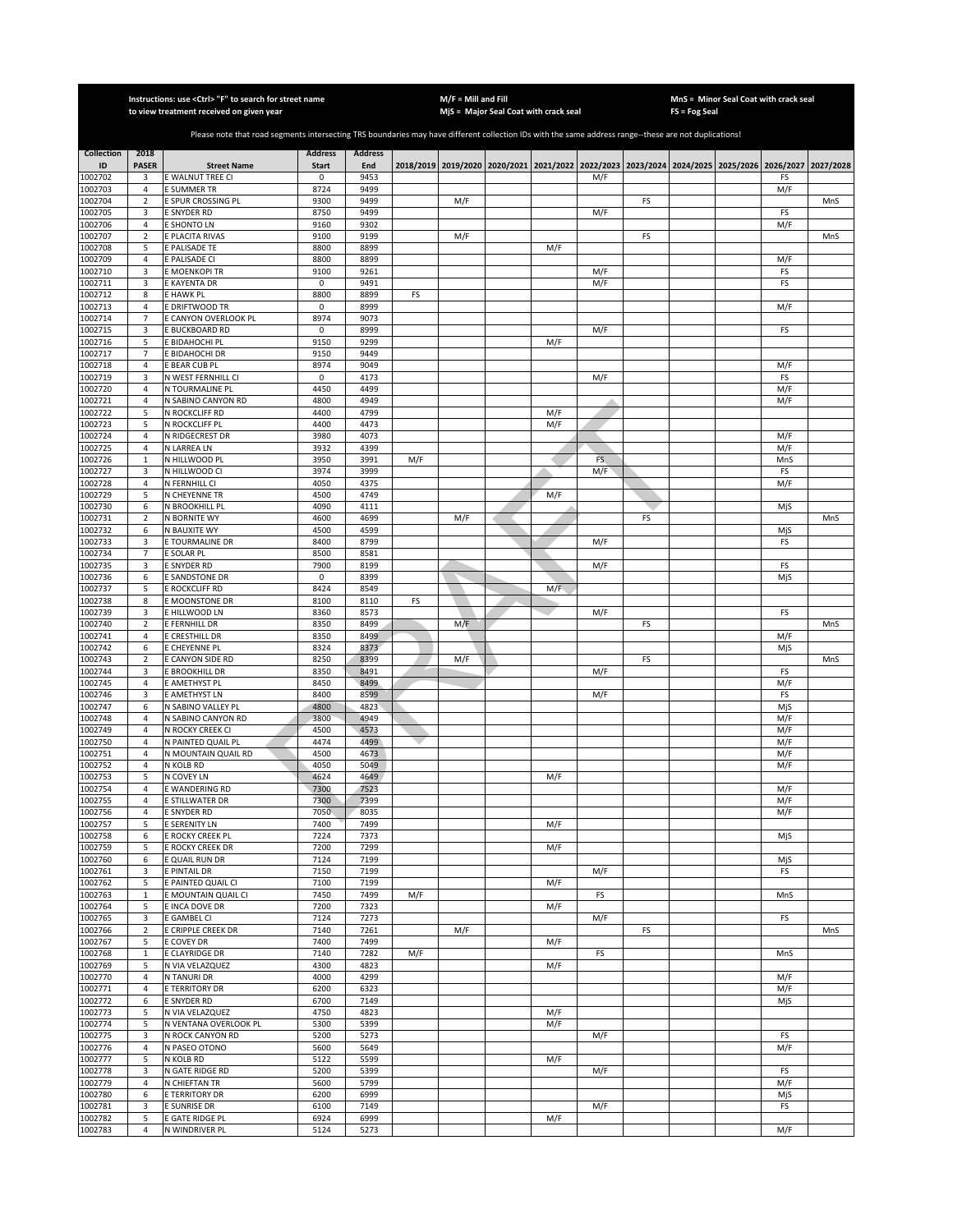|                         |                                  | Instructions: use <ctrl> "F" to search for street name<br/>to view treatment received on given year</ctrl>                                            |                                |                       |     | $M/F =$ Mill and Fill | MjS = Major Seal Coat with crack seal |             |     |    | FS = Fog Seal | MnS = Minor Seal Coat with crack seal                                                     |            |           |
|-------------------------|----------------------------------|-------------------------------------------------------------------------------------------------------------------------------------------------------|--------------------------------|-----------------------|-----|-----------------------|---------------------------------------|-------------|-----|----|---------------|-------------------------------------------------------------------------------------------|------------|-----------|
|                         |                                  |                                                                                                                                                       |                                |                       |     |                       |                                       |             |     |    |               |                                                                                           |            |           |
|                         |                                  | Please note that road segments intersecting TRS boundaries may have different collection IDs with the same address range--these are not duplications! |                                |                       |     |                       |                                       |             |     |    |               |                                                                                           |            |           |
| <b>Collection</b><br>ID | 2018<br><b>PASER</b>             | <b>Street Name</b>                                                                                                                                    | <b>Address</b><br><b>Start</b> | <b>Address</b><br>End |     |                       |                                       |             |     |    |               | 2018/2019 2019/2020 2020/2021 2021/2022 2022/2023 2023/2024 2024/2025 2025/2026 2026/2027 |            | 2027/2028 |
| 1002702                 | 3                                | E WALNUT TREE CI                                                                                                                                      | 0                              | 9453                  |     |                       |                                       |             | M/F |    |               |                                                                                           | FS         |           |
| 1002703                 | $\overline{4}$                   | E SUMMER TR                                                                                                                                           | 8724                           | 9499                  |     |                       |                                       |             |     |    |               |                                                                                           | M/F        |           |
| 1002704                 | $\overline{2}$                   | E SPUR CROSSING PL                                                                                                                                    | 9300                           | 9499                  |     | M/F                   |                                       |             |     | FS |               |                                                                                           |            | MnS       |
| 1002705<br>1002706      | 3<br>$\overline{4}$              | E SNYDER RD<br>E SHONTO LN                                                                                                                            | 8750<br>9160                   | 9499<br>9302          |     |                       |                                       |             | M/F |    |               |                                                                                           | FS<br>M/F  |           |
| 1002707                 | $\mathbf 2$                      | E PLACITA RIVAS                                                                                                                                       | 9100                           | 9199                  |     | M/F                   |                                       |             |     | FS |               |                                                                                           |            | MnS       |
| 1002708                 | 5                                | E PALISADE TE                                                                                                                                         | 8800                           | 8899                  |     |                       |                                       | M/F         |     |    |               |                                                                                           |            |           |
| 1002709<br>1002710      | $\sqrt{4}$<br>3                  | E PALISADE CI<br>E MOENKOPI TR                                                                                                                        | 8800<br>9100                   | 8899<br>9261          |     |                       |                                       |             | M/F |    |               |                                                                                           | M/F<br>FS  |           |
| 1002711                 | 3                                | E KAYENTA DR                                                                                                                                          | 0                              | 9491                  |     |                       |                                       |             | M/F |    |               |                                                                                           | FS         |           |
| 1002712                 | 8                                | E HAWK PL                                                                                                                                             | 8800                           | 8899                  | FS  |                       |                                       |             |     |    |               |                                                                                           |            |           |
| 1002713                 | $\overline{4}$<br>$\overline{7}$ | E DRIFTWOOD TR                                                                                                                                        | 0                              | 8999                  |     |                       |                                       |             |     |    |               |                                                                                           | M/F        |           |
| 1002714<br>1002715      | 3                                | E CANYON OVERLOOK PL<br>E BUCKBOARD RD                                                                                                                | 8974<br>$\mathsf 0$            | 9073<br>8999          |     |                       |                                       |             | M/F |    |               |                                                                                           | FS         |           |
| 1002716                 | 5                                | E BIDAHOCHI PL                                                                                                                                        | 9150                           | 9299                  |     |                       |                                       | M/F         |     |    |               |                                                                                           |            |           |
| 1002717                 | $\overline{7}$                   | E BIDAHOCHI DR                                                                                                                                        | 9150                           | 9449                  |     |                       |                                       |             |     |    |               |                                                                                           |            |           |
| 1002718<br>1002719      | $\sqrt{4}$<br>3                  | E BEAR CUB PL<br>N WEST FERNHILL CI                                                                                                                   | 8974<br>$\mathsf 0$            | 9049<br>4173          |     |                       |                                       |             | M/F |    |               |                                                                                           | M/F<br>FS  |           |
| 1002720                 | $\sqrt{4}$                       | N TOURMALINE PL                                                                                                                                       | 4450                           | 4499                  |     |                       |                                       |             |     |    |               |                                                                                           | M/F        |           |
| 1002721                 | $\overline{4}$                   | N SABINO CANYON RD                                                                                                                                    | 4800                           | 4949                  |     |                       |                                       |             |     |    |               |                                                                                           | M/F        |           |
| 1002722                 | 5                                | N ROCKCLIFF RD                                                                                                                                        | 4400                           | 4799                  |     |                       |                                       | M/F         |     |    |               |                                                                                           |            |           |
| 1002723<br>1002724      | 5<br>4                           | N ROCKCLIFF PL<br>N RIDGECREST DR                                                                                                                     | 4400<br>3980                   | 4473<br>4073          |     |                       |                                       | M/F         |     |    |               |                                                                                           | M/F        |           |
| 1002725                 | $\overline{4}$                   | N LARREA LN                                                                                                                                           | 3932                           | 4399                  |     |                       |                                       |             |     |    |               |                                                                                           | M/F        |           |
| 1002726                 | $\mathbf{1}$                     | N HILLWOOD PL                                                                                                                                         | 3950                           | 3991                  | M/F |                       |                                       |             | FS. |    |               |                                                                                           | MnS        |           |
| 1002727                 | 3                                | N HILLWOOD CI                                                                                                                                         | 3974                           | 3999                  |     |                       |                                       |             | M/F |    |               |                                                                                           | FS         |           |
| 1002728<br>1002729      | $\overline{4}$<br>5              | N FERNHILL CI<br>N CHEYENNE TR                                                                                                                        | 4050<br>4500                   | 4375<br>4749          |     |                       |                                       | M/F         |     |    |               |                                                                                           | M/F        |           |
| 1002730                 | 6                                | N BROOKHILL PL                                                                                                                                        | 4090                           | 4111                  |     |                       |                                       |             |     |    |               |                                                                                           | MjS        |           |
| 1002731                 | $\overline{2}$                   | N BORNITE WY                                                                                                                                          | 4600                           | 4699                  |     | M/F                   |                                       |             |     | FS |               |                                                                                           |            | MnS       |
| 1002732                 | 6                                | N BAUXITE WY                                                                                                                                          | 4500                           | 4599                  |     |                       |                                       |             |     |    |               |                                                                                           | MjS        |           |
| 1002733<br>1002734      | 3<br>7                           | E TOURMALINE DR<br>E SOLAR PL                                                                                                                         | 8400<br>8500                   | 8799<br>8581          |     |                       |                                       |             | M/F |    |               |                                                                                           | FS         |           |
| 1002735                 | 3                                | E SNYDER RD                                                                                                                                           | 7900                           | 8199                  |     |                       |                                       |             | M/F |    |               |                                                                                           | FS         |           |
| 1002736                 | 6                                | E SANDSTONE DR                                                                                                                                        | 0                              | 8399                  |     |                       |                                       |             |     |    |               |                                                                                           | MjS        |           |
| 1002737<br>1002738      | 5<br>8                           | E ROCKCLIFF RD<br>E MOONSTONE DR                                                                                                                      | 8424<br>8100                   | 8549<br>8110          | FS  |                       |                                       | $M/\bar{F}$ |     |    |               |                                                                                           |            |           |
| 1002739                 | 3                                | E HILLWOOD LN                                                                                                                                         | 8360                           | 8573                  |     |                       |                                       |             | M/F |    |               |                                                                                           | FS         |           |
| 1002740                 | $\sqrt{2}$                       | E FERNHILL DR                                                                                                                                         | 8350                           | 8499                  |     | M/F                   |                                       |             |     | FS |               |                                                                                           |            | MnS       |
| 1002741                 | $\sqrt{4}$                       | E CRESTHILL DR                                                                                                                                        | 8350                           | 8499                  |     |                       |                                       |             |     |    |               |                                                                                           | M/F        |           |
| 1002742<br>1002743      | 6<br>$\mathbf 2$                 | E CHEYENNE PL<br>E CANYON SIDE RD                                                                                                                     | 8324<br>8250                   | 8373<br>8399          |     | M/F                   |                                       |             |     | FS |               |                                                                                           | MjS        | MnS       |
| 1002744                 | 3                                | E BROOKHILL DR                                                                                                                                        | 8350                           | 8491                  |     |                       |                                       |             | M/F |    |               |                                                                                           | FS         |           |
| 1002745                 | $\sqrt{4}$                       | E AMETHYST PL                                                                                                                                         | 8450                           | 8499                  |     |                       |                                       |             |     |    |               |                                                                                           | M/F        |           |
| 1002746                 | 3                                | E AMETHYST LN                                                                                                                                         | 8400                           | 8599                  |     |                       |                                       |             | M/F |    |               |                                                                                           | FS         |           |
| 1002747<br>1002748      | 6<br>$\overline{4}$              | N SABINO VALLEY PL<br>N SABINO CANYON RD                                                                                                              | 4800<br>3800                   | 4823<br>4949          |     |                       |                                       |             |     |    |               |                                                                                           | MjS<br>M/F |           |
| 1002749                 | 4                                | N ROCKY CREEK CI                                                                                                                                      | 4500                           | 4573                  |     |                       |                                       |             |     |    |               |                                                                                           | M/F        |           |
| 1002750                 | $\overline{4}$                   | N PAINTED QUAIL PL                                                                                                                                    | 4474                           | 4499                  |     |                       |                                       |             |     |    |               |                                                                                           | M/F        |           |
| 1002751<br>1002752      | 4<br>$\overline{4}$              | N MOUNTAIN QUAIL RD<br>N KOLB RD                                                                                                                      | 4500<br>4050                   | 4673<br>5049          |     |                       |                                       |             |     |    |               |                                                                                           | M/F<br>M/F |           |
| 1002753                 | 5                                | N COVEY LN                                                                                                                                            | 4624                           | 4649                  |     |                       |                                       | M/F         |     |    |               |                                                                                           |            |           |
| 1002754                 | $\overline{4}$                   | E WANDERING RD                                                                                                                                        | 7300                           | 7523                  |     |                       |                                       |             |     |    |               |                                                                                           | M/F        |           |
| 1002755                 | 4                                | E STILLWATER DR                                                                                                                                       | 7300                           | 7399                  |     |                       |                                       |             |     |    |               |                                                                                           | M/F        |           |
| 1002756<br>1002757      | $\overline{4}$<br>5              | E SNYDER RD<br>E SERENITY LN                                                                                                                          | 7050<br>7400                   | 8035<br>7499          |     |                       |                                       | M/F         |     |    |               |                                                                                           | M/F        |           |
| 1002758                 | 6                                | E ROCKY CREEK PL                                                                                                                                      | 7224                           | 7373                  |     |                       |                                       |             |     |    |               |                                                                                           | MjS        |           |
| 1002759                 | 5                                | E ROCKY CREEK DR                                                                                                                                      | 7200                           | 7299                  |     |                       |                                       | M/F         |     |    |               |                                                                                           |            |           |
| 1002760<br>1002761      | 6<br>3                           | E QUAIL RUN DR                                                                                                                                        | 7124<br>7150                   | 7199<br>7199          |     |                       |                                       |             | M/F |    |               |                                                                                           | MjS        |           |
| 1002762                 | 5                                | E PINTAIL DR<br>E PAINTED QUAIL CI                                                                                                                    | 7100                           | 7199                  |     |                       |                                       | M/F         |     |    |               |                                                                                           | FS         |           |
| 1002763                 | $\,1\,$                          | E MOUNTAIN QUAIL CI                                                                                                                                   | 7450                           | 7499                  | M/F |                       |                                       |             | FS  |    |               |                                                                                           | MnS        |           |
| 1002764                 | 5                                | E INCA DOVE DR                                                                                                                                        | 7200                           | 7323                  |     |                       |                                       | M/F         |     |    |               |                                                                                           |            |           |
| 1002765<br>1002766      | 3<br>$\mathbf 2$                 | E GAMBEL CI<br>E CRIPPLE CREEK DR                                                                                                                     | 7124<br>7140                   | 7273<br>7261          |     | M/F                   |                                       |             | M/F | FS |               |                                                                                           | FS         | MnS       |
| 1002767                 | 5                                | E COVEY DR                                                                                                                                            | 7400                           | 7499                  |     |                       |                                       | M/F         |     |    |               |                                                                                           |            |           |
| 1002768                 | $\,1\,$                          | E CLAYRIDGE DR                                                                                                                                        | 7140                           | 7282                  | M/F |                       |                                       |             | FS  |    |               |                                                                                           | MnS        |           |
| 1002769                 | 5                                | N VIA VELAZQUEZ<br>N TANURI DR                                                                                                                        | 4300                           | 4823                  |     |                       |                                       | M/F         |     |    |               |                                                                                           |            |           |
| 1002770<br>1002771      | $\sqrt{4}$<br>$\overline{4}$     | E TERRITORY DR                                                                                                                                        | 4000<br>6200                   | 4299<br>6323          |     |                       |                                       |             |     |    |               |                                                                                           | M/F<br>M/F |           |
| 1002772                 | 6                                | E SNYDER RD                                                                                                                                           | 6700                           | 7149                  |     |                       |                                       |             |     |    |               |                                                                                           | MjS        |           |
| 1002773                 | 5                                | N VIA VELAZQUEZ                                                                                                                                       | 4750                           | 4823                  |     |                       |                                       | M/F         |     |    |               |                                                                                           |            |           |
| 1002774                 | 5                                | N VENTANA OVERLOOK PL                                                                                                                                 | 5300                           | 5399                  |     |                       |                                       | M/F         |     |    |               |                                                                                           |            |           |
| 1002775<br>1002776      | 3<br>4                           | N ROCK CANYON RD<br>N PASEO OTONO                                                                                                                     | 5200<br>5600                   | 5273<br>5649          |     |                       |                                       |             | M/F |    |               |                                                                                           | FS<br>M/F  |           |
| 1002777                 | 5                                | N KOLB RD                                                                                                                                             | 5122                           | 5599                  |     |                       |                                       | M/F         |     |    |               |                                                                                           |            |           |
| 1002778                 | 3                                | N GATE RIDGE RD                                                                                                                                       | 5200                           | 5399                  |     |                       |                                       |             | M/F |    |               |                                                                                           | FS         |           |
| 1002779<br>1002780      | $\overline{4}$<br>6              | N CHIEFTAN TR<br>E TERRITORY DR                                                                                                                       | 5600<br>6200                   | 5799<br>6999          |     |                       |                                       |             |     |    |               |                                                                                           | M/F<br>MjS |           |
| 1002781                 | 3                                | E SUNRISE DR                                                                                                                                          | 6100                           | 7149                  |     |                       |                                       |             | M/F |    |               |                                                                                           | FS         |           |
| 1002782                 | 5                                | E GATE RIDGE PL                                                                                                                                       | 6924                           | 6999                  |     |                       |                                       | M/F         |     |    |               |                                                                                           |            |           |
| 1002783                 | $\overline{4}$                   | N WINDRIVER PL                                                                                                                                        | 5124                           | 5273                  |     |                       |                                       |             |     |    |               |                                                                                           | M/F        |           |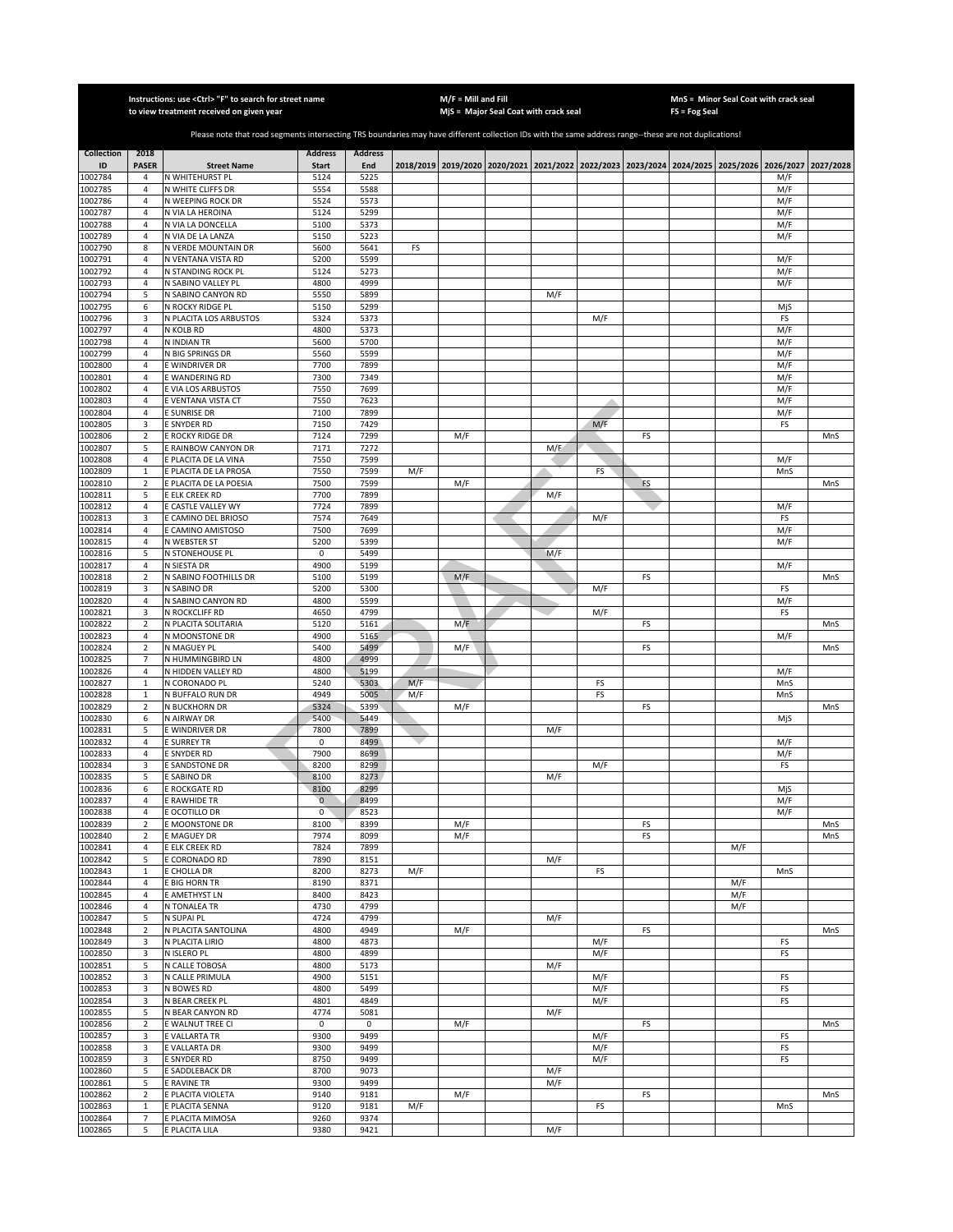|                         |                                  | Instructions: use < Ctrl> "F" to search for street name<br>to view treatment received on given year                                                   |                                |                       |            | $M/F =$ Mill and Fill | MjS = Major Seal Coat with crack seal |     |            |    | $FS = Fog Seal$ | MnS = Minor Seal Coat with crack seal                                                     |            |           |
|-------------------------|----------------------------------|-------------------------------------------------------------------------------------------------------------------------------------------------------|--------------------------------|-----------------------|------------|-----------------------|---------------------------------------|-----|------------|----|-----------------|-------------------------------------------------------------------------------------------|------------|-----------|
|                         |                                  |                                                                                                                                                       |                                |                       |            |                       |                                       |     |            |    |                 |                                                                                           |            |           |
|                         |                                  | Please note that road segments intersecting TRS boundaries may have different collection IDs with the same address range--these are not duplications! |                                |                       |            |                       |                                       |     |            |    |                 |                                                                                           |            |           |
| <b>Collection</b><br>ID | 2018<br><b>PASER</b>             | <b>Street Name</b>                                                                                                                                    | <b>Address</b><br><b>Start</b> | <b>Address</b><br>End |            |                       |                                       |     |            |    |                 | 2018/2019 2019/2020 2020/2021 2021/2022 2022/2023 2023/2024 2024/2025 2025/2026 2026/2027 |            | 2027/2028 |
| 1002784                 | 4                                | N WHITEHURST PL                                                                                                                                       | 5124                           | 5225                  |            |                       |                                       |     |            |    |                 |                                                                                           | M/F        |           |
| 1002785                 | $\overline{4}$                   | N WHITE CLIFFS DR                                                                                                                                     | 5554                           | 5588                  |            |                       |                                       |     |            |    |                 |                                                                                           | M/F        |           |
| 1002786<br>1002787      | $\overline{4}$<br>$\overline{4}$ | N WEEPING ROCK DR                                                                                                                                     | 5524<br>5124                   | 5573<br>5299          |            |                       |                                       |     |            |    |                 |                                                                                           | M/F<br>M/F |           |
| 1002788                 | $\overline{4}$                   | N VIA LA HEROINA<br>N VIA LA DONCELLA                                                                                                                 | 5100                           | 5373                  |            |                       |                                       |     |            |    |                 |                                                                                           | M/F        |           |
| 1002789                 | $\overline{4}$                   | N VIA DE LA LANZA                                                                                                                                     | 5150                           | 5223                  |            |                       |                                       |     |            |    |                 |                                                                                           | M/F        |           |
| 1002790                 | 8                                | N VERDE MOUNTAIN DR                                                                                                                                   | 5600                           | 5641                  | FS         |                       |                                       |     |            |    |                 |                                                                                           |            |           |
| 1002791<br>1002792      | $\sqrt{4}$<br>$\sqrt{4}$         | N VENTANA VISTA RD<br>N STANDING ROCK PL                                                                                                              | 5200<br>5124                   | 5599<br>5273          |            |                       |                                       |     |            |    |                 |                                                                                           | M/F<br>M/F |           |
| 1002793                 | 4                                | N SABINO VALLEY PL                                                                                                                                    | 4800                           | 4999                  |            |                       |                                       |     |            |    |                 |                                                                                           | M/F        |           |
| 1002794                 | 5                                | N SABINO CANYON RD                                                                                                                                    | 5550                           | 5899                  |            |                       |                                       | M/F |            |    |                 |                                                                                           |            |           |
| 1002795                 | 6                                | N ROCKY RIDGE PL                                                                                                                                      | 5150                           | 5299                  |            |                       |                                       |     |            |    |                 |                                                                                           | MjS        |           |
| 1002796<br>1002797      | 3<br>4                           | N PLACITA LOS ARBUSTOS<br>N KOLB RD                                                                                                                   | 5324<br>4800                   | 5373<br>5373          |            |                       |                                       |     | M/F        |    |                 |                                                                                           | FS<br>M/F  |           |
| 1002798                 | $\sqrt{4}$                       | <b>N INDIAN TR</b>                                                                                                                                    | 5600                           | 5700                  |            |                       |                                       |     |            |    |                 |                                                                                           | M/F        |           |
| 1002799                 | $\overline{4}$                   | N BIG SPRINGS DR                                                                                                                                      | 5560                           | 5599                  |            |                       |                                       |     |            |    |                 |                                                                                           | M/F        |           |
| 1002800                 | $\sqrt{4}$                       | E WINDRIVER DR                                                                                                                                        | 7700                           | 7899                  |            |                       |                                       |     |            |    |                 |                                                                                           | M/F        |           |
| 1002801<br>1002802      | $\overline{4}$<br>$\sqrt{4}$     | E WANDERING RD<br>E VIA LOS ARBUSTOS                                                                                                                  | 7300<br>7550                   | 7349<br>7699          |            |                       |                                       |     |            |    |                 |                                                                                           | M/F<br>M/F |           |
| 1002803                 | $\overline{4}$                   | E VENTANA VISTA CT                                                                                                                                    | 7550                           | 7623                  |            |                       |                                       |     |            |    |                 |                                                                                           | M/F        |           |
| 1002804                 | 4                                | <b>E SUNRISE DR</b>                                                                                                                                   | 7100                           | 7899                  |            |                       |                                       |     |            |    |                 |                                                                                           | M/F        |           |
| 1002805                 | 3                                | <b>E SNYDER RD</b>                                                                                                                                    | 7150                           | 7429                  |            |                       |                                       |     | M/F        |    |                 |                                                                                           | FS         |           |
| 1002806<br>1002807      | $\sqrt{2}$<br>5                  | E ROCKY RIDGE DR<br>E RAINBOW CANYON DR                                                                                                               | 7124<br>7171                   | 7299<br>7272          |            | M/F                   |                                       | M/F |            | FS |                 |                                                                                           |            | MnS       |
| 1002808                 | 4                                | E PLACITA DE LA VINA                                                                                                                                  | 7550                           | 7599                  |            |                       |                                       |     |            |    |                 |                                                                                           | M/F        |           |
| 1002809                 | $\mathbf{1}$                     | E PLACITA DE LA PROSA                                                                                                                                 | 7550                           | 7599                  | M/F        |                       |                                       |     | FS         |    |                 |                                                                                           | MnS        |           |
| 1002810                 | $\sqrt{2}$                       | E PLACITA DE LA POESIA                                                                                                                                | 7500                           | 7599                  |            | M/F                   |                                       |     |            | FS |                 |                                                                                           |            | MnS       |
| 1002811                 | 5                                | E ELK CREEK RD                                                                                                                                        | 7700                           | 7899<br>7899          |            |                       |                                       | M/F |            |    |                 |                                                                                           |            |           |
| 1002812<br>1002813      | $\overline{4}$<br>3              | E CASTLE VALLEY WY<br>E CAMINO DEL BRIOSO                                                                                                             | 7724<br>7574                   | 7649                  |            |                       |                                       |     | M/F        |    |                 |                                                                                           | M/F<br>FS  |           |
| 1002814                 | $\overline{4}$                   | E CAMINO AMISTOSO                                                                                                                                     | 7500                           | 7699                  |            |                       |                                       |     |            |    |                 |                                                                                           | M/F        |           |
| 1002815                 | $\overline{4}$                   | N WEBSTER ST                                                                                                                                          | 5200                           | 5399                  |            |                       |                                       |     |            |    |                 |                                                                                           | M/F        |           |
| 1002816                 | 5                                | N STONEHOUSE PL                                                                                                                                       | 0                              | 5499                  |            |                       |                                       | M/F |            |    |                 |                                                                                           |            |           |
| 1002817<br>1002818      | $\sqrt{4}$<br>$\mathbf 2$        | N SIESTA DR<br>N SABINO FOOTHILLS DR                                                                                                                  | 4900<br>5100                   | 5199<br>5199          |            | M/F                   |                                       |     |            | FS |                 |                                                                                           | M/F        | MnS       |
| 1002819                 | 3                                | N SABINO DR                                                                                                                                           | 5200                           | 5300                  |            |                       |                                       |     | M/F        |    |                 |                                                                                           | FS         |           |
| 1002820                 | 4                                | N SABINO CANYON RD                                                                                                                                    | 4800                           | 5599                  |            |                       |                                       |     |            |    |                 |                                                                                           | M/F        |           |
| 1002821                 | 3                                | N ROCKCLIFF RD                                                                                                                                        | 4650                           | 4799                  |            |                       |                                       |     | M/F        |    |                 |                                                                                           | FS         |           |
| 1002822<br>1002823      | $\sqrt{2}$<br>4                  | N PLACITA SOLITARIA<br>N MOONSTONE DR                                                                                                                 | 5120<br>4900                   | 5161<br>5165          |            | M/F                   |                                       |     |            | FS |                 |                                                                                           | M/F        | MnS       |
| 1002824                 | $\sqrt{2}$                       | N MAGUEY PL                                                                                                                                           | 5400                           | 5499                  |            | M/F                   |                                       |     |            | FS |                 |                                                                                           |            | MnS       |
| 1002825                 | $\overline{7}$                   | N HUMMINGBIRD LN                                                                                                                                      | 4800                           | 4999                  |            |                       |                                       |     |            |    |                 |                                                                                           |            |           |
| 1002826                 | $\overline{4}$                   | N HIDDEN VALLEY RD                                                                                                                                    | 4800                           | 5199                  |            |                       |                                       |     |            |    |                 |                                                                                           | M/F        |           |
| 1002827<br>1002828      | $\mathbf 1$<br>$\mathbf 1$       | N CORONADO PL<br>N BUFFALO RUN DR                                                                                                                     | 5240<br>4949                   | 5303<br>5005          | M/F<br>M/F |                       |                                       |     | FS<br>FS   |    |                 |                                                                                           | MnS<br>MnS |           |
| 1002829                 | $\overline{2}$                   | N BUCKHORN DR                                                                                                                                         | 5324                           | 5399                  |            | M/F                   |                                       |     |            | FS |                 |                                                                                           |            | MnS       |
| 1002830                 | 6                                | N AIRWAY DR                                                                                                                                           | 5400                           | 5449                  |            |                       |                                       |     |            |    |                 |                                                                                           | MjS        |           |
| 1002831                 | 5                                | E WINDRIVER DR                                                                                                                                        | 7800                           | 7899                  |            |                       |                                       | M/F |            |    |                 |                                                                                           |            |           |
| 1002832<br>1002833      | 4<br>4                           | <b>E SURREY TR</b><br><b>E SNYDER RD</b>                                                                                                              | 0<br>7900                      | 8499<br>8699          |            |                       |                                       |     |            |    |                 |                                                                                           | M/F<br>M/F |           |
| 1002834                 | 3                                | E SANDSTONE DR                                                                                                                                        | 8200                           | 8299                  |            |                       |                                       |     | M/F        |    |                 |                                                                                           | FS         |           |
| 1002835                 | 5                                | E SABINO DR                                                                                                                                           | 8100                           | 8273                  |            |                       |                                       | M/F |            |    |                 |                                                                                           |            |           |
| 1002836                 | 6                                | E ROCKGATE RD                                                                                                                                         | 8100                           | 8299                  |            |                       |                                       |     |            |    |                 |                                                                                           | MjS        |           |
| 1002837<br>1002838      | 4<br>$\overline{4}$              | E RAWHIDE TR<br>E OCOTILLO DR                                                                                                                         | $\mathbf 0$<br>0               | 8499<br>8523          |            |                       |                                       |     |            |    |                 |                                                                                           | M/F<br>M/F |           |
| 1002839                 | $\overline{2}$                   | E MOONSTONE DR                                                                                                                                        | 8100                           | 8399                  |            | M/F                   |                                       |     |            | FS |                 |                                                                                           |            | MnS       |
| 1002840                 | $\overline{2}$                   | E MAGUEY DR                                                                                                                                           | 7974                           | 8099                  |            | M/F                   |                                       |     |            | FS |                 |                                                                                           |            | MnS       |
| 1002841                 | 4                                | E ELK CREEK RD                                                                                                                                        | 7824                           | 7899                  |            |                       |                                       |     |            |    |                 | M/F                                                                                       |            |           |
| 1002842<br>1002843      | 5<br>$\mathbf{1}$                | E CORONADO RD<br>E CHOLLA DR                                                                                                                          | 7890<br>8200                   | 8151<br>8273          | M/F        |                       |                                       | M/F | FS         |    |                 |                                                                                           | MnS        |           |
| 1002844                 | 4                                | E BIG HORN TR                                                                                                                                         | 8190                           | 8371                  |            |                       |                                       |     |            |    |                 | M/F                                                                                       |            |           |
| 1002845                 | 4                                | E AMETHYST LN                                                                                                                                         | 8400                           | 8423                  |            |                       |                                       |     |            |    |                 | M/F                                                                                       |            |           |
| 1002846                 | 4                                | N TONALEA TR                                                                                                                                          | 4730                           | 4799                  |            |                       |                                       |     |            |    |                 | M/F                                                                                       |            |           |
| 1002847<br>1002848      | 5<br>$\mathbf 2$                 | N SUPAI PL<br>N PLACITA SANTOLINA                                                                                                                     | 4724<br>4800                   | 4799<br>4949          |            | M/F                   |                                       | M/F |            | FS |                 |                                                                                           |            | MnS       |
| 1002849                 | 3                                | N PLACITA LIRIO                                                                                                                                       | 4800                           | 4873                  |            |                       |                                       |     | M/F        |    |                 |                                                                                           | FS         |           |
| 1002850                 | 3                                | N ISLERO PL                                                                                                                                           | 4800                           | 4899                  |            |                       |                                       |     | M/F        |    |                 |                                                                                           | FS         |           |
| 1002851                 | 5                                | N CALLE TOBOSA                                                                                                                                        | 4800                           | 5173                  |            |                       |                                       | M/F |            |    |                 |                                                                                           |            |           |
| 1002852<br>1002853      | 3<br>3                           | N CALLE PRIMULA<br>N BOWES RD                                                                                                                         | 4900<br>4800                   | 5151<br>5499          |            |                       |                                       |     | M/F<br>M/F |    |                 |                                                                                           | FS<br>FS   |           |
| 1002854                 | 3                                | N BEAR CREEK PL                                                                                                                                       | 4801                           | 4849                  |            |                       |                                       |     | M/F        |    |                 |                                                                                           | FS         |           |
| 1002855                 | 5                                | N BEAR CANYON RD                                                                                                                                      | 4774                           | 5081                  |            |                       |                                       | M/F |            |    |                 |                                                                                           |            |           |
| 1002856                 | $\mathbf 2$                      | E WALNUT TREE CI                                                                                                                                      | 0                              | 0                     |            | M/F                   |                                       |     |            | FS |                 |                                                                                           |            | MnS       |
| 1002857<br>1002858      | 3<br>3                           | E VALLARTA TR<br>E VALLARTA DR                                                                                                                        | 9300<br>9300                   | 9499<br>9499          |            |                       |                                       |     | M/F<br>M/F |    |                 |                                                                                           | FS<br>FS   |           |
| 1002859                 | 3                                | <b>E SNYDER RD</b>                                                                                                                                    | 8750                           | 9499                  |            |                       |                                       |     | M/F        |    |                 |                                                                                           | FS         |           |
| 1002860                 | 5                                | E SADDLEBACK DR                                                                                                                                       | 8700                           | 9073                  |            |                       |                                       | M/F |            |    |                 |                                                                                           |            |           |
| 1002861                 | 5                                | <b>E RAVINE TR</b>                                                                                                                                    | 9300                           | 9499                  |            |                       |                                       | M/F |            |    |                 |                                                                                           |            |           |
| 1002862<br>1002863      | $\overline{2}$<br>$\mathbf{1}$   | E PLACITA VIOLETA<br>E PLACITA SENNA                                                                                                                  | 9140<br>9120                   | 9181<br>9181          | M/F        | M/F                   |                                       |     | FS         | FS |                 |                                                                                           | MnS        | MnS       |
| 1002864                 | $\overline{7}$                   | E PLACITA MIMOSA                                                                                                                                      | 9260                           | 9374                  |            |                       |                                       |     |            |    |                 |                                                                                           |            |           |
| 1002865                 | 5                                | E PLACITA LILA                                                                                                                                        | 9380                           | 9421                  |            |                       |                                       | M/F |            |    |                 |                                                                                           |            |           |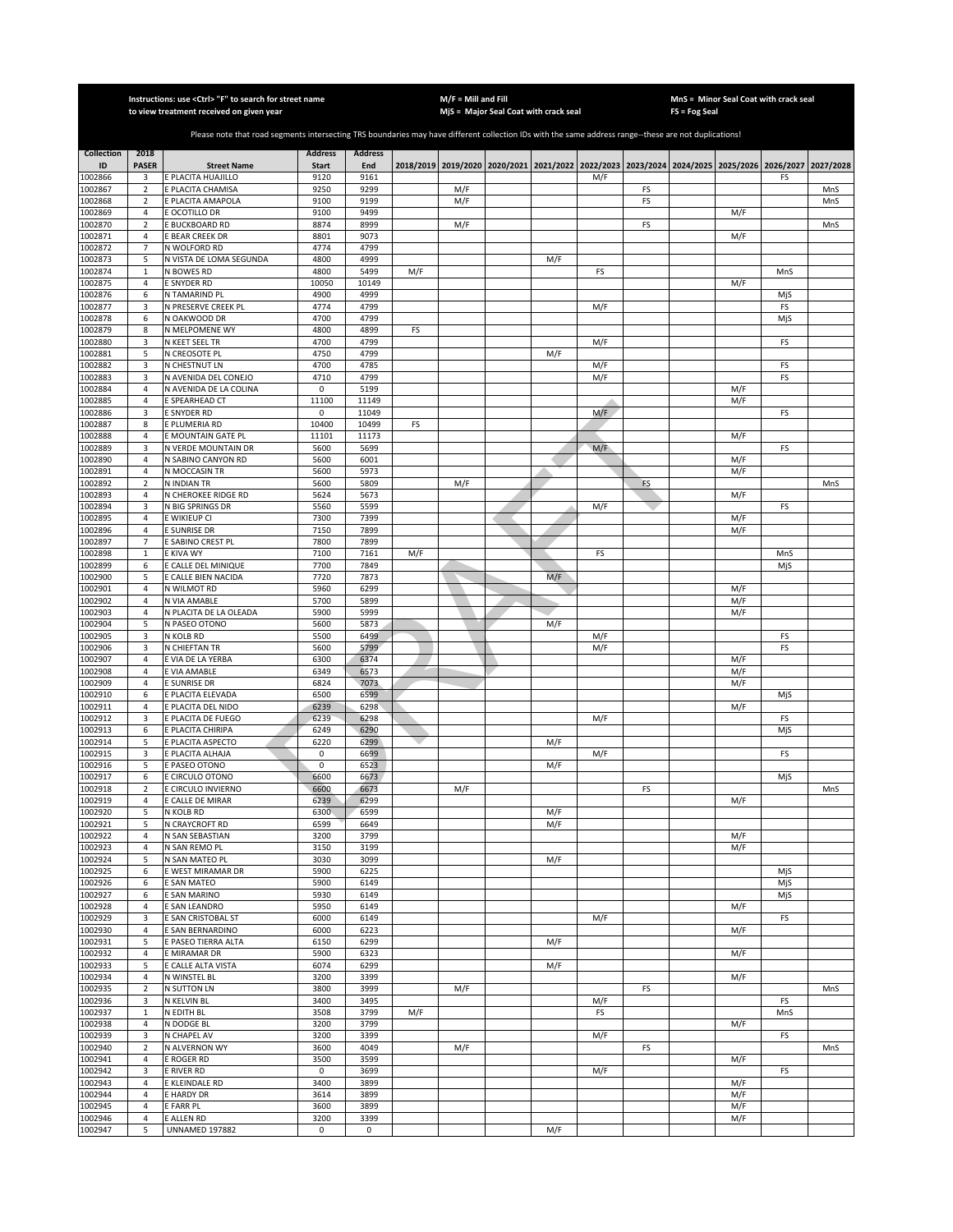|                    |                                  | Instructions: use < Ctrl> "F" to search for street name<br>to view treatment received on given year                                                   |                      |                |     | $M/F =$ Mill and Fill | MjS = Major Seal Coat with crack seal                                                     |     |           |    | FS = Fog Seal | MnS = Minor Seal Coat with crack seal |           |           |
|--------------------|----------------------------------|-------------------------------------------------------------------------------------------------------------------------------------------------------|----------------------|----------------|-----|-----------------------|-------------------------------------------------------------------------------------------|-----|-----------|----|---------------|---------------------------------------|-----------|-----------|
|                    |                                  |                                                                                                                                                       |                      |                |     |                       |                                                                                           |     |           |    |               |                                       |           |           |
|                    |                                  | Please note that road segments intersecting TRS boundaries may have different collection IDs with the same address range--these are not duplications! |                      |                |     |                       |                                                                                           |     |           |    |               |                                       |           |           |
| <b>Collection</b>  | 2018                             |                                                                                                                                                       | <b>Address</b>       | <b>Address</b> |     |                       |                                                                                           |     |           |    |               |                                       |           |           |
| ID<br>1002866      | <b>PASER</b>                     | <b>Street Name</b><br>E PLACITA HUAJILLO                                                                                                              | <b>Start</b><br>9120 | End<br>9161    |     |                       | 2018/2019 2019/2020 2020/2021 2021/2022 2022/2023 2023/2024 2024/2025 2025/2026 2026/2027 |     | M/F       |    |               |                                       |           | 2027/2028 |
| 1002867            | 3<br>$\overline{2}$              | E PLACITA CHAMISA                                                                                                                                     | 9250                 | 9299           |     | M/F                   |                                                                                           |     |           | FS |               |                                       | FS        | MnS       |
| 1002868            | $\overline{2}$                   | E PLACITA AMAPOLA                                                                                                                                     | 9100                 | 9199           |     | M/F                   |                                                                                           |     |           | FS |               |                                       |           | MnS       |
| 1002869            | $\overline{4}$                   | E OCOTILLO DR                                                                                                                                         | 9100                 | 9499           |     |                       |                                                                                           |     |           |    |               | M/F                                   |           |           |
| 1002870            | $\overline{2}$                   | E BUCKBOARD RD                                                                                                                                        | 8874                 | 8999           |     | M/F                   |                                                                                           |     |           | FS |               |                                       |           | MnS       |
| 1002871<br>1002872 | $\overline{4}$<br>$\overline{7}$ | <b>BEAR CREEK DR</b><br>N WOLFORD RD                                                                                                                  | 8801<br>4774         | 9073<br>4799   |     |                       |                                                                                           |     |           |    |               | M/F                                   |           |           |
| 1002873            | 5                                | N VISTA DE LOMA SEGUNDA                                                                                                                               | 4800                 | 4999           |     |                       |                                                                                           | M/F |           |    |               |                                       |           |           |
| 1002874            | $\mathbf{1}$                     | N BOWES RD                                                                                                                                            | 4800                 | 5499           | M/F |                       |                                                                                           |     | FS        |    |               |                                       | MnS       |           |
| 1002875            | 4                                | E SNYDER RD                                                                                                                                           | 10050                | 10149          |     |                       |                                                                                           |     |           |    |               | M/F                                   |           |           |
| 1002876            | 6                                | N TAMARIND PL                                                                                                                                         | 4900                 | 4999           |     |                       |                                                                                           |     |           |    |               |                                       | MjS       |           |
| 1002877            | 3                                | N PRESERVE CREEK PL                                                                                                                                   | 4774                 | 4799           |     |                       |                                                                                           |     | M/F       |    |               |                                       | FS        |           |
| 1002878<br>1002879 | 6<br>8                           | N OAKWOOD DR<br>N MELPOMENE WY                                                                                                                        | 4700<br>4800         | 4799<br>4899   | FS  |                       |                                                                                           |     |           |    |               |                                       | MjS       |           |
| 1002880            | 3                                | N KEET SEEL TR                                                                                                                                        | 4700                 | 4799           |     |                       |                                                                                           |     | M/F       |    |               |                                       | FS        |           |
| 1002881            | 5                                | N CREOSOTE PL                                                                                                                                         | 4750                 | 4799           |     |                       |                                                                                           | M/F |           |    |               |                                       |           |           |
| 1002882            | 3                                | N CHESTNUT LN                                                                                                                                         | 4700                 | 4785           |     |                       |                                                                                           |     | M/F       |    |               |                                       | FS        |           |
| 1002883            | 3                                | N AVENIDA DEL CONEJO                                                                                                                                  | 4710                 | 4799           |     |                       |                                                                                           |     | M/F       |    |               |                                       | FS        |           |
| 1002884<br>1002885 | 4<br>$\overline{4}$              | N AVENIDA DE LA COLINA<br>E SPEARHEAD CT                                                                                                              | 0<br>11100           | 5199<br>11149  |     |                       |                                                                                           |     |           |    |               | M/F<br>M/F                            |           |           |
| 1002886            | 3                                | E SNYDER RD                                                                                                                                           | 0                    | 11049          |     |                       |                                                                                           |     | M/F       |    |               |                                       | FS        |           |
| 1002887            | 8                                | E PLUMERIA RD                                                                                                                                         | 10400                | 10499          | FS  |                       |                                                                                           |     |           |    |               |                                       |           |           |
| 1002888            | 4                                | E MOUNTAIN GATE PL                                                                                                                                    | 11101                | 11173          |     |                       |                                                                                           |     |           |    |               | M/F                                   |           |           |
| 1002889            | 3                                | N VERDE MOUNTAIN DR                                                                                                                                   | 5600                 | 5699           |     |                       |                                                                                           |     | M/F       |    |               |                                       | FS        |           |
| 1002890            | 4<br>$\sqrt{4}$                  | N SABINO CANYON RD                                                                                                                                    | 5600<br>5600         | 6001<br>5973   |     |                       |                                                                                           |     |           |    |               | M/F                                   |           |           |
| 1002891<br>1002892 | $\overline{2}$                   | N MOCCASIN TR<br>N INDIAN TR                                                                                                                          | 5600                 | 5809           |     | M/F                   |                                                                                           |     |           | FS |               | M/F                                   |           | MnS       |
| 1002893            | $\overline{4}$                   | N CHEROKEE RIDGE RD                                                                                                                                   | 5624                 | 5673           |     |                       |                                                                                           |     |           |    |               | M/F                                   |           |           |
| 1002894            | 3                                | N BIG SPRINGS DR                                                                                                                                      | 5560                 | 5599           |     |                       |                                                                                           |     | M/F       |    |               |                                       | FS        |           |
| 1002895            | $\sqrt{4}$                       | E WIKIEUP CI                                                                                                                                          | 7300                 | 7399           |     |                       |                                                                                           |     |           |    |               | M/F                                   |           |           |
| 1002896            | $\overline{4}$                   | E SUNRISE DR                                                                                                                                          | 7150                 | 7899           |     |                       |                                                                                           |     |           |    |               | M/F                                   |           |           |
| 1002897<br>1002898 | $\overline{7}$<br>1              | E SABINO CREST PL<br>E KIVA WY                                                                                                                        | 7800<br>7100         | 7899<br>7161   | M/F |                       |                                                                                           |     | FS        |    |               |                                       | MnS       |           |
| 1002899            | 6                                | <b>CALLE DEL MINIQUE</b>                                                                                                                              | 7700                 | 7849           |     |                       |                                                                                           |     |           |    |               |                                       | MjS       |           |
| 1002900            | 5                                | E CALLE BIEN NACIDA                                                                                                                                   | 7720                 | 7873           |     |                       |                                                                                           | M/F |           |    |               |                                       |           |           |
| 1002901            | 4                                | N WILMOT RD                                                                                                                                           | 5960                 | 6299           |     |                       |                                                                                           |     |           |    |               | M/F                                   |           |           |
| 1002902            | 4                                | N VIA AMABLE                                                                                                                                          | 5700                 | 5899           |     |                       |                                                                                           |     |           |    |               | M/F                                   |           |           |
| 1002903<br>1002904 | $\sqrt{4}$                       | N PLACITA DE LA OLEADA                                                                                                                                | 5900                 | 5999           |     |                       |                                                                                           |     |           |    |               | M/F                                   |           |           |
| 1002905            | 5<br>3                           | N PASEO OTONO<br>N KOLB RD                                                                                                                            | 5600<br>5500         | 5873<br>6499   |     |                       |                                                                                           | M/F | M/F       |    |               |                                       | FS        |           |
| 1002906            | 3                                | N CHIEFTAN TR                                                                                                                                         | 5600                 | 5799           |     |                       |                                                                                           |     | M/F       |    |               |                                       | FS        |           |
| 1002907            | 4                                | E VIA DE LA YERBA                                                                                                                                     | 6300                 | 6374           |     |                       |                                                                                           |     |           |    |               | M/F                                   |           |           |
| 1002908            | $\sqrt{4}$                       | E VIA AMABLE                                                                                                                                          | 6349                 | 6573           |     |                       |                                                                                           |     |           |    |               | M/F                                   |           |           |
| 1002909            | 4                                | E SUNRISE DR                                                                                                                                          | 6824                 | 7073           |     |                       |                                                                                           |     |           |    |               | M/F                                   |           |           |
| 1002910<br>1002911 | 6<br>4                           | E PLACITA ELEVADA<br>E PLACITA DEL NIDO                                                                                                               | 6500<br>6239         | 6599<br>6298   |     |                       |                                                                                           |     |           |    |               | M/F                                   | MjS       |           |
| 1002912            | 3                                | E PLACITA DE FUEGO                                                                                                                                    | 6239                 | 6298           |     |                       |                                                                                           |     | M/F       |    |               |                                       | FS        |           |
| 1002913            | 6                                | E PLACITA CHIRIPA                                                                                                                                     | 6249                 | 6290           |     |                       |                                                                                           |     |           |    |               |                                       | MjS       |           |
| 1002914            | 5                                | E PLACITA ASPECTO                                                                                                                                     | 6220                 | 6299           |     |                       |                                                                                           | M/F |           |    |               |                                       |           |           |
| 1002915            | 3                                | E PLACITA ALHAJA                                                                                                                                      | 0                    | 6699           |     |                       |                                                                                           |     | M/F       |    |               |                                       | FS        |           |
| 1002916            | 5                                | E PASEO OTONO                                                                                                                                         | 0                    | 6523           |     |                       |                                                                                           | M/F |           |    |               |                                       |           |           |
| 1002917<br>1002918 | 6<br>$\overline{2}$              | E CIRCULO OTONO<br>E CIRCULO INVIERNO                                                                                                                 | 6600<br>6600         | 6673<br>6673   |     | M/F                   |                                                                                           |     |           | FS |               |                                       | MjS       | MnS       |
| 1002919            | 4                                | E CALLE DE MIRAR                                                                                                                                      | 6239                 | 6299           |     |                       |                                                                                           |     |           |    |               | M/F                                   |           |           |
| 1002920            | 5                                | N KOLB RD                                                                                                                                             | 6300                 | 6599           |     |                       |                                                                                           | M/F |           |    |               |                                       |           |           |
| 1002921            | 5                                | N CRAYCROFT RD                                                                                                                                        | 6599                 | 6649           |     |                       |                                                                                           | M/F |           |    |               |                                       |           |           |
| 1002922            | $\sqrt{4}$                       | N SAN SEBASTIAN                                                                                                                                       | 3200                 | 3799           |     |                       |                                                                                           |     |           |    |               | M/F                                   |           |           |
| 1002923<br>1002924 | 4<br>5                           | N SAN REMO PL<br>N SAN MATEO PL                                                                                                                       | 3150<br>3030         | 3199<br>3099   |     |                       |                                                                                           | M/F |           |    |               | M/F                                   |           |           |
| 1002925            | 6                                | E WEST MIRAMAR DR                                                                                                                                     | 5900                 | 6225           |     |                       |                                                                                           |     |           |    |               |                                       | MjS       |           |
| 1002926            | 6                                | E SAN MATEO                                                                                                                                           | 5900                 | 6149           |     |                       |                                                                                           |     |           |    |               |                                       | MjS       |           |
| 1002927            | 6                                | E SAN MARINO                                                                                                                                          | 5930                 | 6149           |     |                       |                                                                                           |     |           |    |               |                                       | MjS       |           |
| 1002928            | 4                                | E SAN LEANDRO                                                                                                                                         | 5950                 | 6149           |     |                       |                                                                                           |     |           |    |               | M/F                                   |           |           |
| 1002929<br>1002930 | 3<br>4                           | E SAN CRISTOBAL ST<br>E SAN BERNARDINO                                                                                                                | 6000<br>6000         | 6149<br>6223   |     |                       |                                                                                           |     | M/F       |    |               | M/F                                   | FS        |           |
| 1002931            | 5                                | E PASEO TIERRA ALTA                                                                                                                                   | 6150                 | 6299           |     |                       |                                                                                           | M/F |           |    |               |                                       |           |           |
| 1002932            | 4                                | E MIRAMAR DR                                                                                                                                          | 5900                 | 6323           |     |                       |                                                                                           |     |           |    |               | M/F                                   |           |           |
| 1002933            | 5                                | E CALLE ALTA VISTA                                                                                                                                    | 6074                 | 6299           |     |                       |                                                                                           | M/F |           |    |               |                                       |           |           |
| 1002934            | 4                                | N WINSTEL BL                                                                                                                                          | 3200                 | 3399           |     |                       |                                                                                           |     |           |    |               | M/F                                   |           |           |
| 1002935            | $\overline{2}$                   | <b>N SUTTON LN</b>                                                                                                                                    | 3800                 | 3999           |     | M/F                   |                                                                                           |     |           | FS |               |                                       |           | MnS       |
| 1002936<br>1002937 | 3<br>$\mathbf{1}$                | N KELVIN BL<br>N EDITH BL                                                                                                                             | 3400<br>3508         | 3495<br>3799   | M/F |                       |                                                                                           |     | M/F<br>FS |    |               |                                       | FS<br>MnS |           |
| 1002938            | 4                                | N DODGE BL                                                                                                                                            | 3200                 | 3799           |     |                       |                                                                                           |     |           |    |               | M/F                                   |           |           |
| 1002939            | 3                                | N CHAPEL AV                                                                                                                                           | 3200                 | 3399           |     |                       |                                                                                           |     | M/F       |    |               |                                       | FS        |           |
| 1002940            | $\overline{2}$                   | N ALVERNON WY                                                                                                                                         | 3600                 | 4049           |     | M/F                   |                                                                                           |     |           | FS |               |                                       |           | MnS       |
| 1002941            | $\overline{a}$                   | <b>E ROGER RD</b>                                                                                                                                     | 3500                 | 3599           |     |                       |                                                                                           |     |           |    |               | M/F                                   |           |           |
| 1002942<br>1002943 | 3<br>$\overline{4}$              | E RIVER RD<br>E KLEINDALE RD                                                                                                                          | 0<br>3400            | 3699<br>3899   |     |                       |                                                                                           |     | M/F       |    |               | M/F                                   | FS        |           |
| 1002944            | $\overline{4}$                   | E HARDY DR                                                                                                                                            | 3614                 | 3899           |     |                       |                                                                                           |     |           |    |               | M/F                                   |           |           |
| 1002945            | $\sqrt{4}$                       | E FARR PL                                                                                                                                             | 3600                 | 3899           |     |                       |                                                                                           |     |           |    |               | M/F                                   |           |           |
| 1002946            | $\overline{4}$                   | E ALLEN RD                                                                                                                                            | 3200                 | 3399           |     |                       |                                                                                           |     |           |    |               | M/F                                   |           |           |
| 1002947            | 5                                | <b>UNNAMED 197882</b>                                                                                                                                 | 0                    | 0              |     |                       |                                                                                           | M/F |           |    |               |                                       |           |           |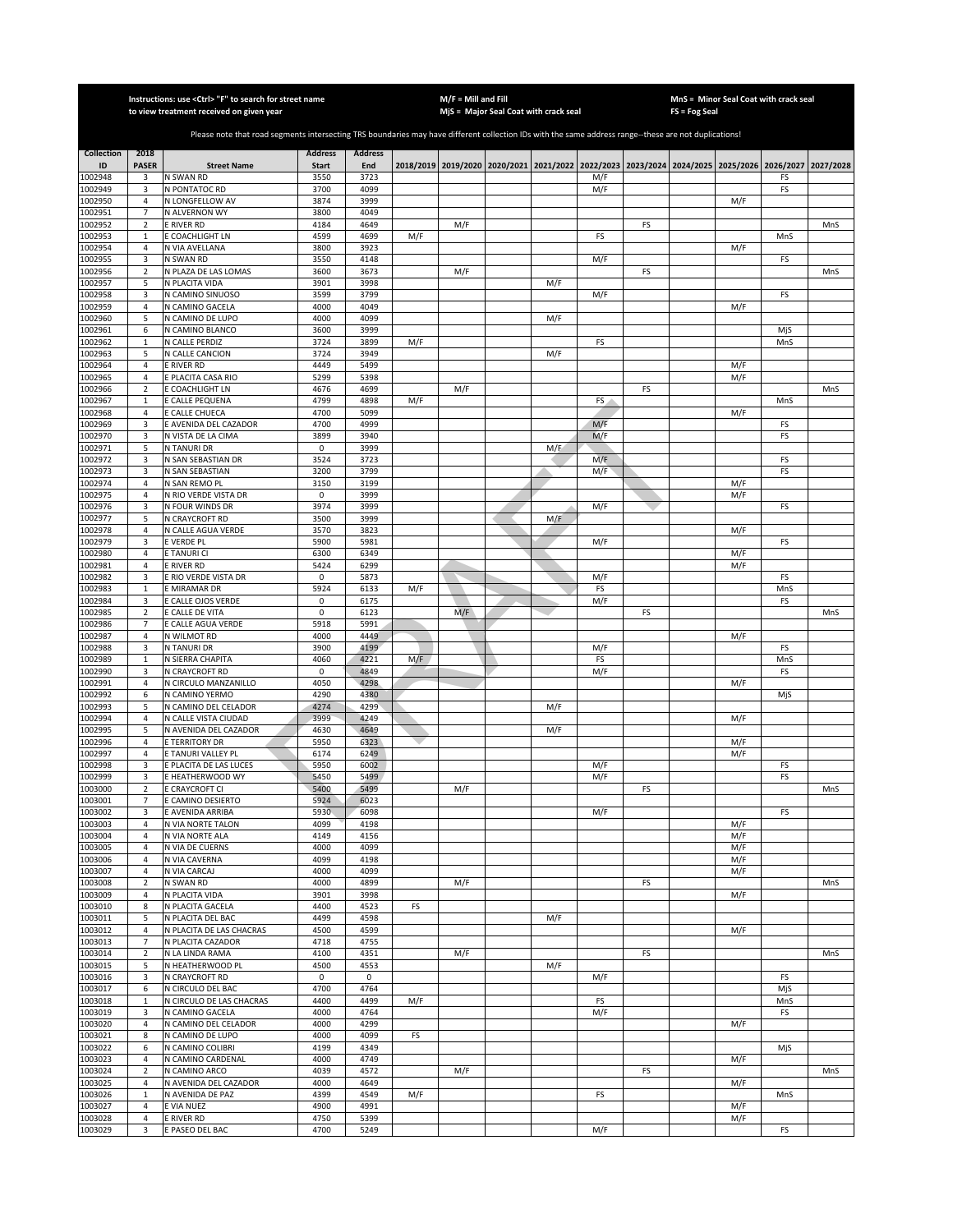|                    |                              | Instructions: use <ctrl> "F" to search for street name<br/>to view treatment received on given year</ctrl>                                            |                     |                |     | $M/F =$ Mill and Fill | MjS = Major Seal Coat with crack seal                                                               |     |            |    | FS = Fog Seal |            | MnS = Minor Seal Coat with crack seal |     |
|--------------------|------------------------------|-------------------------------------------------------------------------------------------------------------------------------------------------------|---------------------|----------------|-----|-----------------------|-----------------------------------------------------------------------------------------------------|-----|------------|----|---------------|------------|---------------------------------------|-----|
|                    |                              | Please note that road segments intersecting TRS boundaries may have different collection IDs with the same address range--these are not duplications! |                     |                |     |                       |                                                                                                     |     |            |    |               |            |                                       |     |
| <b>Collection</b>  | 2018                         |                                                                                                                                                       | <b>Address</b>      | <b>Address</b> |     |                       |                                                                                                     |     |            |    |               |            |                                       |     |
| ID                 | <b>PASER</b>                 | <b>Street Name</b>                                                                                                                                    | <b>Start</b>        | End            |     |                       | 2018/2019 2019/2020 2020/2021 2021/2022 2022/2023 2023/2024 2024/2025 2025/2026 2026/2027 2027/2028 |     |            |    |               |            |                                       |     |
| 1002948<br>1002949 | 3<br>3                       | N SWAN RD<br>N PONTATOC RD                                                                                                                            | 3550<br>3700        | 3723<br>4099   |     |                       |                                                                                                     |     | M/F<br>M/F |    |               |            | FS<br>FS                              |     |
| 1002950            | $\sqrt{4}$                   | N LONGFELLOW AV                                                                                                                                       | 3874                | 3999           |     |                       |                                                                                                     |     |            |    |               | M/F        |                                       |     |
| 1002951            | $\overline{7}$               | N ALVERNON WY                                                                                                                                         | 3800                | 4049           |     |                       |                                                                                                     |     |            |    |               |            |                                       |     |
| 1002952<br>1002953 | $\mathbf 2$<br>$\,1\,$       | E RIVER RD<br>E COACHLIGHT LN                                                                                                                         | 4184<br>4599        | 4649<br>4699   | M/F | M/F                   |                                                                                                     |     | FS         | FS |               |            | MnS                                   | MnS |
| 1002954            | $\sqrt{4}$                   | N VIA AVELLANA                                                                                                                                        | 3800                | 3923           |     |                       |                                                                                                     |     |            |    |               | M/F        |                                       |     |
| 1002955<br>1002956 | 3<br>$\overline{2}$          | N SWAN RD<br>N PLAZA DE LAS LOMAS                                                                                                                     | 3550<br>3600        | 4148<br>3673   |     |                       |                                                                                                     |     | M/F        | FS |               |            | FS                                    |     |
| 1002957            | 5                            | N PLACITA VIDA                                                                                                                                        | 3901                | 3998           |     | M/F                   |                                                                                                     | M/F |            |    |               |            |                                       | MnS |
| 1002958            | 3                            | N CAMINO SINUOSO                                                                                                                                      | 3599                | 3799           |     |                       |                                                                                                     |     | M/F        |    |               |            | FS                                    |     |
| 1002959<br>1002960 | 4<br>5                       | N CAMINO GACELA<br>N CAMINO DE LUPO                                                                                                                   | 4000<br>4000        | 4049<br>4099   |     |                       |                                                                                                     | M/F |            |    |               | M/F        |                                       |     |
| 1002961            | 6                            | N CAMINO BLANCO                                                                                                                                       | 3600                | 3999           |     |                       |                                                                                                     |     |            |    |               |            | MjS                                   |     |
| 1002962            | $\,1\,$                      | N CALLE PERDIZ                                                                                                                                        | 3724                | 3899           | M/F |                       |                                                                                                     |     | FS         |    |               |            | MnS                                   |     |
| 1002963<br>1002964 | 5<br>$\overline{4}$          | N CALLE CANCION<br>E RIVER RD                                                                                                                         | 3724<br>4449        | 3949<br>5499   |     |                       |                                                                                                     | M/F |            |    |               | M/F        |                                       |     |
| 1002965            | $\overline{4}$               | E PLACITA CASA RIO                                                                                                                                    | 5299                | 5398           |     |                       |                                                                                                     |     |            |    |               | M/F        |                                       |     |
| 1002966            | $\overline{2}$               | E COACHLIGHT LN                                                                                                                                       | 4676                | 4699           |     | M/F                   |                                                                                                     |     |            | FS |               |            |                                       | MnS |
| 1002967<br>1002968 | $\mathbf{1}$<br>$\sqrt{4}$   | E CALLE PEQUENA<br>E CALLE CHUECA                                                                                                                     | 4799<br>4700        | 4898<br>5099   | M/F |                       |                                                                                                     |     | FS         |    |               | M/F        | MnS                                   |     |
| 1002969            | 3                            | E AVENIDA DEL CAZADOR                                                                                                                                 | 4700                | 4999           |     |                       |                                                                                                     |     | M/F        |    |               |            | FS                                    |     |
| 1002970            | 3                            | N VISTA DE LA CIMA                                                                                                                                    | 3899                | 3940           |     |                       |                                                                                                     |     | M/F        |    |               |            | FS                                    |     |
| 1002971<br>1002972 | 5<br>3                       | N TANURI DR<br>N SAN SEBASTIAN DR                                                                                                                     | 0<br>3524           | 3999<br>3723   |     |                       |                                                                                                     | M/E | M/F        |    |               |            | FS                                    |     |
| 1002973            | 3                            | N SAN SEBASTIAN                                                                                                                                       | 3200                | 3799           |     |                       |                                                                                                     |     | M/F        |    |               |            | FS                                    |     |
| 1002974            | $\sqrt{4}$                   | N SAN REMO PL                                                                                                                                         | 3150                | 3199           |     |                       |                                                                                                     |     |            |    |               | M/F        |                                       |     |
| 1002975<br>1002976 | $\overline{4}$<br>3          | N RIO VERDE VISTA DR<br>N FOUR WINDS DR                                                                                                               | $\mathsf 0$<br>3974 | 3999<br>3999   |     |                       |                                                                                                     |     | M/F        |    |               | M/F        | FS                                    |     |
| 1002977            | 5                            | N CRAYCROFT RD                                                                                                                                        | 3500                | 3999           |     |                       |                                                                                                     | M/F |            |    |               |            |                                       |     |
| 1002978            | $\overline{4}$               | N CALLE AGUA VERDE                                                                                                                                    | 3570                | 3823           |     |                       |                                                                                                     |     |            |    |               | M/F        |                                       |     |
| 1002979<br>1002980 | 3<br>$\sqrt{4}$              | e verde pl<br>E TANURI CI                                                                                                                             | 5900<br>6300        | 5981<br>6349   |     |                       |                                                                                                     |     | M/F        |    |               |            | FS                                    |     |
| 1002981            | 4                            | E RIVER RD                                                                                                                                            | 5424                | 6299           |     |                       |                                                                                                     |     |            |    |               | M/F<br>M/F |                                       |     |
| 1002982            | 3                            | E RIO VERDE VISTA DR                                                                                                                                  | 0                   | 5873           |     |                       |                                                                                                     |     | M/F        |    |               |            | FS                                    |     |
| 1002983<br>1002984 | $\mathbf{1}$<br>3            | E MIRAMAR DR<br>E CALLE OJOS VERDE                                                                                                                    | 5924<br>0           | 6133<br>6175   | M/F |                       |                                                                                                     |     | FS<br>M/F  |    |               |            | MnS<br>FS                             |     |
| 1002985            | $\overline{2}$               | E CALLE DE VITA                                                                                                                                       | 0                   | 6123           |     | M/F                   |                                                                                                     |     |            | FS |               |            |                                       | MnS |
| 1002986            | $\overline{7}$               | E CALLE AGUA VERDE                                                                                                                                    | 5918                | 5991           |     |                       |                                                                                                     |     |            |    |               |            |                                       |     |
| 1002987<br>1002988 | $\overline{4}$<br>3          | N WILMOT RD<br>N TANURI DR                                                                                                                            | 4000<br>3900        | 4449<br>4199   |     |                       |                                                                                                     |     | M/F        |    |               | M/F        | FS                                    |     |
| 1002989            | $\mathbf 1$                  | N SIERRA CHAPITA                                                                                                                                      | 4060                | 4221           | M/F |                       |                                                                                                     |     | FS         |    |               |            | MnS                                   |     |
| 1002990            | 3                            | N CRAYCROFT RD                                                                                                                                        | $\mathbf 0$         | 4849           |     |                       |                                                                                                     |     | M/F        |    |               |            | FS                                    |     |
| 1002991<br>1002992 | $\overline{4}$<br>6          | N CIRCULO MANZANILLO<br>N CAMINO YERMO                                                                                                                | 4050<br>4290        | 4298<br>4380   |     |                       |                                                                                                     |     |            |    |               | M/F        | MjS                                   |     |
| 1002993            | 5                            | N CAMINO DEL CELADOR                                                                                                                                  | 4274                | 4299           |     |                       |                                                                                                     | M/F |            |    |               |            |                                       |     |
| 1002994            | 4                            | N CALLE VISTA CIUDAD                                                                                                                                  | 3999                | 4249           |     |                       |                                                                                                     |     |            |    |               | M/F        |                                       |     |
| 1002995<br>1002996 | 5<br>$\sqrt{4}$              | N AVENIDA DEL CAZADOR<br>E TERRITORY DR                                                                                                               | 4630<br>5950        | 4649<br>6323   |     |                       |                                                                                                     | M/F |            |    |               | M/F        |                                       |     |
| 1002997            | $\overline{4}$               | E TANURI VALLEY PL                                                                                                                                    | 6174                | 6249           |     |                       |                                                                                                     |     |            |    |               | M/F        |                                       |     |
| 1002998            | 3                            | E PLACITA DE LAS LUCES                                                                                                                                | 5950                | 6002           |     |                       |                                                                                                     |     | M/F        |    |               |            | FS                                    |     |
| 1002999<br>1003000 | 3<br>2                       | E HEATHERWOOD WY<br>E CRAYCROFT CI                                                                                                                    | 5450<br>5400        | 5499<br>5499   |     | M/F                   |                                                                                                     |     | M/F        | FS |               |            | FS                                    | MnS |
| 1003001            | $\overline{7}$               | E CAMINO DESIERTO                                                                                                                                     | 5924                | 6023           |     |                       |                                                                                                     |     |            |    |               |            |                                       |     |
| 1003002            | 3                            | E AVENIDA ARRIBA                                                                                                                                      | 5930                | 6098           |     |                       |                                                                                                     |     | M/F        |    |               |            | FS                                    |     |
| 1003003<br>1003004 | $\overline{4}$<br>$\sqrt{4}$ | N VIA NORTE TALON<br>N VIA NORTE ALA                                                                                                                  | 4099<br>4149        | 4198<br>4156   |     |                       |                                                                                                     |     |            |    |               | M/F<br>M/F |                                       |     |
| 1003005            | 4                            | N VIA DE CUERNS                                                                                                                                       | 4000                | 4099           |     |                       |                                                                                                     |     |            |    |               | M/F        |                                       |     |
| 1003006            | 4                            | N VIA CAVERNA                                                                                                                                         | 4099                | 4198           |     |                       |                                                                                                     |     |            |    |               | M/F        |                                       |     |
| 1003007<br>1003008 | 4<br>$\overline{2}$          | N VIA CARCAJ<br>N SWAN RD                                                                                                                             | 4000<br>4000        | 4099<br>4899   |     | M/F                   |                                                                                                     |     |            | FS |               | M/F        |                                       | MnS |
| 1003009            | 4                            | N PLACITA VIDA                                                                                                                                        | 3901                | 3998           |     |                       |                                                                                                     |     |            |    |               | M/F        |                                       |     |
| 1003010            | 8                            | N PLACITA GACELA                                                                                                                                      | 4400                | 4523           | FS  |                       |                                                                                                     |     |            |    |               |            |                                       |     |
| 1003011<br>1003012 | 5<br>$\overline{4}$          | N PLACITA DEL BAC<br>N PLACITA DE LAS CHACRAS                                                                                                         | 4499<br>4500        | 4598<br>4599   |     |                       |                                                                                                     | M/F |            |    |               | M/F        |                                       |     |
| 1003013            | $\overline{7}$               | N PLACITA CAZADOR                                                                                                                                     | 4718                | 4755           |     |                       |                                                                                                     |     |            |    |               |            |                                       |     |
| 1003014            | $\overline{2}$               | N LA LINDA RAMA                                                                                                                                       | 4100                | 4351           |     | M/F                   |                                                                                                     |     |            | FS |               |            |                                       | MnS |
| 1003015<br>1003016 | 5<br>3                       | N HEATHERWOOD PL<br>N CRAYCROFT RD                                                                                                                    | 4500<br>$\mathbf 0$ | 4553<br>0      |     |                       |                                                                                                     | M/F | M/F        |    |               |            | FS                                    |     |
| 1003017            | 6                            | N CIRCULO DEL BAC                                                                                                                                     | 4700                | 4764           |     |                       |                                                                                                     |     |            |    |               |            | MjS                                   |     |
| 1003018            | $\,1\,$                      | N CIRCULO DE LAS CHACRAS                                                                                                                              | 4400                | 4499           | M/F |                       |                                                                                                     |     | FS         |    |               |            | MnS                                   |     |
| 1003019<br>1003020 | 3<br>$\overline{4}$          | N CAMINO GACELA<br>N CAMINO DEL CELADOR                                                                                                               | 4000<br>4000        | 4764<br>4299   |     |                       |                                                                                                     |     | M/F        |    |               | M/F        | FS                                    |     |
| 1003021            | 8                            | N CAMINO DE LUPO                                                                                                                                      | 4000                | 4099           | FS  |                       |                                                                                                     |     |            |    |               |            |                                       |     |
| 1003022            | 6                            | N CAMINO COLIBRI                                                                                                                                      | 4199                | 4349           |     |                       |                                                                                                     |     |            |    |               |            | MjS                                   |     |
| 1003023<br>1003024 | $\sqrt{4}$<br>$\overline{2}$ | N CAMINO CARDENAL<br>N CAMINO ARCO                                                                                                                    | 4000<br>4039        | 4749<br>4572   |     | M/F                   |                                                                                                     |     |            | FS |               | M/F        |                                       | MnS |
| 1003025            | 4                            | N AVENIDA DEL CAZADOR                                                                                                                                 | 4000                | 4649           |     |                       |                                                                                                     |     |            |    |               | M/F        |                                       |     |
| 1003026            | $\mathbf 1$                  | N AVENIDA DE PAZ                                                                                                                                      | 4399                | 4549           | M/F |                       |                                                                                                     |     | FS         |    |               |            | MnS                                   |     |
| 1003027<br>1003028 | $\sqrt{4}$<br>$\overline{4}$ | E VIA NUEZ<br>E RIVER RD                                                                                                                              | 4900<br>4750        | 4991<br>5399   |     |                       |                                                                                                     |     |            |    |               | M/F<br>M/F |                                       |     |
| 1003029            | 3                            | E PASEO DEL BAC                                                                                                                                       | 4700                | 5249           |     |                       |                                                                                                     |     | M/F        |    |               |            | FS                                    |     |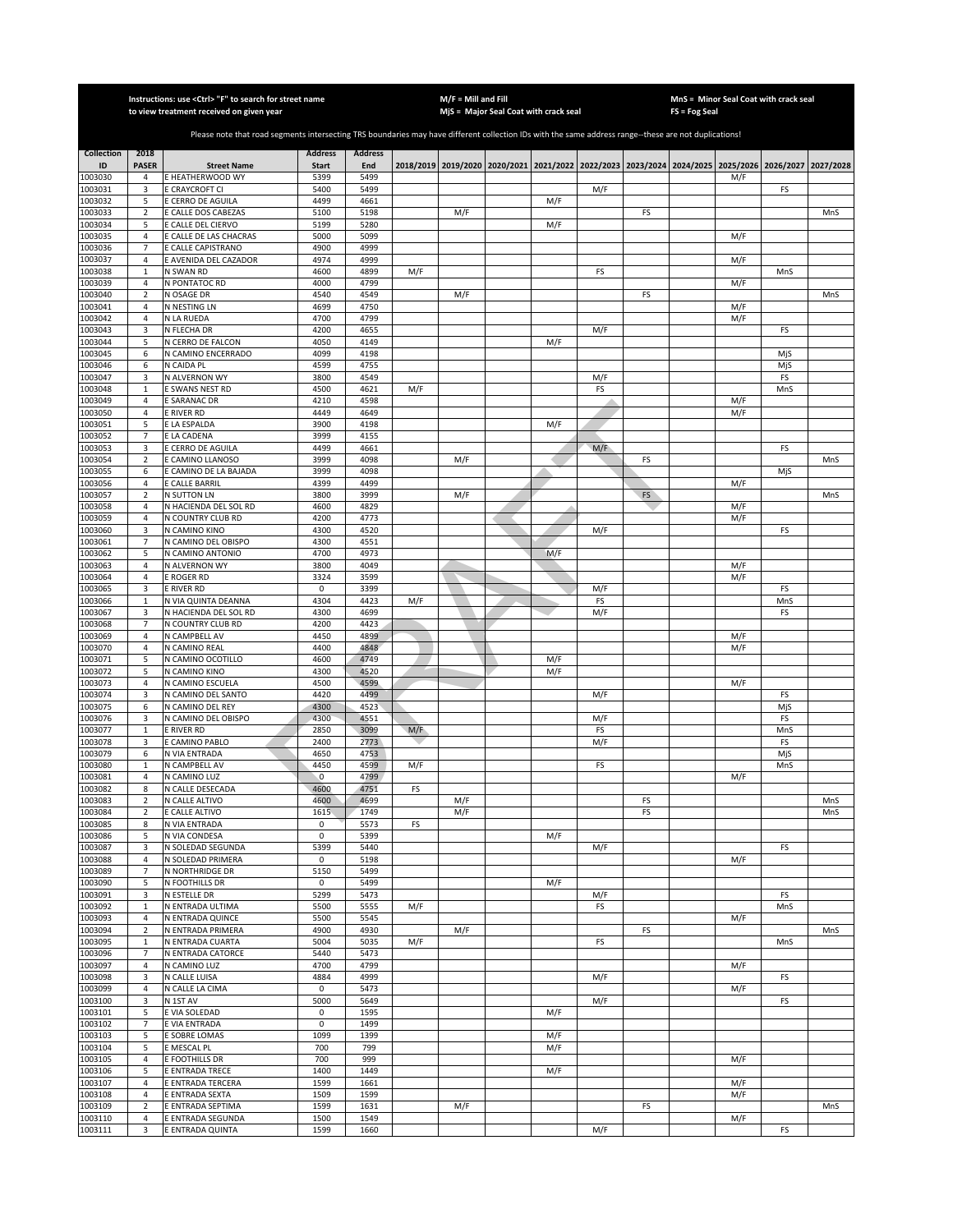|                    |                                  | Instructions: use < Ctrl> "F" to search for street name<br>to view treatment received on given year                                                   |                |                |     | $M/F =$ Mill and Fill | MjS = Major Seal Coat with crack seal |            |           |          | $FS = Fog Seal$                                                                           | MnS = Minor Seal Coat with crack seal |           |            |
|--------------------|----------------------------------|-------------------------------------------------------------------------------------------------------------------------------------------------------|----------------|----------------|-----|-----------------------|---------------------------------------|------------|-----------|----------|-------------------------------------------------------------------------------------------|---------------------------------------|-----------|------------|
|                    |                                  |                                                                                                                                                       |                |                |     |                       |                                       |            |           |          |                                                                                           |                                       |           |            |
|                    |                                  | Please note that road segments intersecting TRS boundaries may have different collection IDs with the same address range--these are not duplications! |                |                |     |                       |                                       |            |           |          |                                                                                           |                                       |           |            |
| <b>Collection</b>  | 2018                             |                                                                                                                                                       | <b>Address</b> | <b>Address</b> |     |                       |                                       |            |           |          |                                                                                           |                                       |           |            |
| ID                 | <b>PASER</b>                     | <b>Street Name</b>                                                                                                                                    | <b>Start</b>   | End            |     |                       |                                       |            |           |          | 2018/2019 2019/2020 2020/2021 2021/2022 2022/2023 2023/2024 2024/2025 2025/2026 2026/2027 |                                       |           | 2027/2028  |
| 1003030<br>1003031 | 4<br>3                           | E HEATHERWOOD WY<br>E CRAYCROFT CI                                                                                                                    | 5399<br>5400   | 5499<br>5499   |     |                       |                                       |            | M/F       |          |                                                                                           | M/F                                   | FS        |            |
| 1003032            | 5                                | E CERRO DE AGUILA                                                                                                                                     | 4499           | 4661           |     |                       |                                       | M/F        |           |          |                                                                                           |                                       |           |            |
| 1003033            | $\overline{2}$                   | E CALLE DOS CABEZAS                                                                                                                                   | 5100           | 5198           |     | M/F                   |                                       |            |           | FS       |                                                                                           |                                       |           | MnS        |
| 1003034            | 5                                | E CALLE DEL CIERVO                                                                                                                                    | 5199           | 5280           |     |                       |                                       | M/F        |           |          |                                                                                           |                                       |           |            |
| 1003035<br>1003036 | $\overline{4}$<br>$\overline{7}$ | E CALLE DE LAS CHACRAS<br>E CALLE CAPISTRANO                                                                                                          | 5000<br>4900   | 5099<br>4999   |     |                       |                                       |            |           |          |                                                                                           | M/F                                   |           |            |
| 1003037            | $\sqrt{4}$                       | E AVENIDA DEL CAZADOR                                                                                                                                 | 4974           | 4999           |     |                       |                                       |            |           |          |                                                                                           | M/F                                   |           |            |
| 1003038            | $\mathbf 1$                      | N SWAN RD                                                                                                                                             | 4600           | 4899           | M/F |                       |                                       |            | FS        |          |                                                                                           |                                       | MnS       |            |
| 1003039            | 4                                | N PONTATOC RD                                                                                                                                         | 4000           | 4799           |     |                       |                                       |            |           |          |                                                                                           | M/F                                   |           |            |
| 1003040            | $\overline{2}$                   | N OSAGE DR                                                                                                                                            | 4540           | 4549           |     | M/F                   |                                       |            |           | FS       |                                                                                           |                                       |           | MnS        |
| 1003041<br>1003042 | 4<br>$\sqrt{4}$                  | N NESTING LN<br>N LA RUEDA                                                                                                                            | 4699<br>4700   | 4750<br>4799   |     |                       |                                       |            |           |          |                                                                                           | M/F<br>M/F                            |           |            |
| 1003043            | 3                                | N FLECHA DR                                                                                                                                           | 4200           | 4655           |     |                       |                                       |            | M/F       |          |                                                                                           |                                       | FS        |            |
| 1003044            | 5                                | N CERRO DE FALCON                                                                                                                                     | 4050           | 4149           |     |                       |                                       | M/F        |           |          |                                                                                           |                                       |           |            |
| 1003045            | 6                                | N CAMINO ENCERRADO                                                                                                                                    | 4099           | 4198           |     |                       |                                       |            |           |          |                                                                                           |                                       | MjS       |            |
| 1003046            | 6                                | N CAIDA PL                                                                                                                                            | 4599           | 4755           |     |                       |                                       |            |           |          |                                                                                           |                                       | MjS       |            |
| 1003047<br>1003048 | 3<br>$\mathbf 1$                 | N ALVERNON WY<br>E SWANS NEST RD                                                                                                                      | 3800<br>4500   | 4549<br>4621   | M/F |                       |                                       |            | M/F<br>FS |          |                                                                                           |                                       | FS<br>MnS |            |
| 1003049            | $\overline{4}$                   | E SARANAC DR                                                                                                                                          | 4210           | 4598           |     |                       |                                       |            |           |          |                                                                                           | M/F                                   |           |            |
| 1003050            | 4                                | E RIVER RD                                                                                                                                            | 4449           | 4649           |     |                       |                                       |            |           |          |                                                                                           | M/F                                   |           |            |
| 1003051            | 5                                | E LA ESPALDA                                                                                                                                          | 3900           | 4198           |     |                       |                                       | M/F        |           |          |                                                                                           |                                       |           |            |
| 1003052            | $\overline{7}$                   | E LA CADENA                                                                                                                                           | 3999           | 4155           |     |                       |                                       |            |           |          |                                                                                           |                                       |           |            |
| 1003053<br>1003054 | 3<br>2                           | E CERRO DE AGUILA<br>E CAMINO LLANOSO                                                                                                                 | 4499<br>3999   | 4661<br>4098   |     | M/F                   |                                       |            | M/F       | FS       |                                                                                           |                                       | FS        | MnS        |
| 1003055            | 6                                | E CAMINO DE LA BAJADA                                                                                                                                 | 3999           | 4098           |     |                       |                                       |            |           |          |                                                                                           |                                       | MjS       |            |
| 1003056            | $\overline{4}$                   | E CALLE BARRIL                                                                                                                                        | 4399           | 4499           |     |                       |                                       |            |           |          |                                                                                           | M/F                                   |           |            |
| 1003057            | $\overline{2}$                   | <b>N SUTTON LN</b>                                                                                                                                    | 3800           | 3999           |     | M/F                   |                                       |            |           | FS       |                                                                                           |                                       |           | MnS        |
| 1003058            | $\overline{4}$                   | N HACIENDA DEL SOL RD                                                                                                                                 | 4600           | 4829           |     |                       |                                       |            |           |          |                                                                                           | M/F                                   |           |            |
| 1003059<br>1003060 | $\overline{4}$<br>3              | N COUNTRY CLUB RD<br>N CAMINO KINO                                                                                                                    | 4200<br>4300   | 4773<br>4520   |     |                       |                                       |            | M/F       |          |                                                                                           | M/F                                   | FS        |            |
| 1003061            | $\overline{7}$                   | N CAMINO DEL OBISPO                                                                                                                                   | 4300           | 4551           |     |                       |                                       |            |           |          |                                                                                           |                                       |           |            |
| 1003062            | 5                                | N CAMINO ANTONIO                                                                                                                                      | 4700           | 4973           |     |                       |                                       | M/F        |           |          |                                                                                           |                                       |           |            |
| 1003063            | $\sqrt{4}$                       | N ALVERNON WY                                                                                                                                         | 3800           | 4049           |     |                       |                                       |            |           |          |                                                                                           | M/F                                   |           |            |
| 1003064            | 4                                | E ROGER RD                                                                                                                                            | 3324           | 3599           |     |                       |                                       |            |           |          |                                                                                           | M/F                                   |           |            |
| 1003065<br>1003066 | 3<br>$\mathbf{1}$                | E RIVER RD<br>N VIA QUINTA DEANNA                                                                                                                     | 0<br>4304      | 3399<br>4423   | M/F |                       |                                       |            | M/F<br>FS |          |                                                                                           |                                       | FS<br>MnS |            |
| 1003067            | 3                                | N HACIENDA DEL SOL RD                                                                                                                                 | 4300           | 4699           |     |                       |                                       |            | M/F       |          |                                                                                           |                                       | FS        |            |
| 1003068            | $\overline{7}$                   | N COUNTRY CLUB RD                                                                                                                                     | 4200           | 4423           |     |                       |                                       |            |           |          |                                                                                           |                                       |           |            |
| 1003069            | $\sqrt{4}$                       | N CAMPBELL AV                                                                                                                                         | 4450           | 4899           |     |                       |                                       |            |           |          |                                                                                           | M/F                                   |           |            |
| 1003070            | $\overline{4}$                   | N CAMINO REAL                                                                                                                                         | 4400           | 4848           |     |                       |                                       |            |           |          |                                                                                           | M/F                                   |           |            |
| 1003071<br>1003072 | 5<br>5                           | N CAMINO OCOTILLO<br>N CAMINO KINO                                                                                                                    | 4600<br>4300   | 4749<br>4520   |     |                       |                                       | M/F<br>M/F |           |          |                                                                                           |                                       |           |            |
| 1003073            | $\sqrt{4}$                       | N CAMINO ESCUELA                                                                                                                                      | 4500           | 4599           |     |                       |                                       |            |           |          |                                                                                           | M/F                                   |           |            |
| 1003074            | 3                                | N CAMINO DEL SANTO                                                                                                                                    | 4420           | 4499           |     |                       |                                       |            | M/F       |          |                                                                                           |                                       | FS        |            |
| 1003075            | 6                                | N CAMINO DEL REY                                                                                                                                      | 4300           | 4523           |     |                       |                                       |            |           |          |                                                                                           |                                       | MjS       |            |
| 1003076            | 3                                | N CAMINO DEL OBISPO                                                                                                                                   | 4300           | 4551           |     |                       |                                       |            | M/F       |          |                                                                                           |                                       | FS        |            |
| 1003077<br>1003078 | $\mathbf{1}$<br>3                | <b>E RIVER RD</b><br>E CAMINO PABLO                                                                                                                   | 2850<br>2400   | 3099<br>2773   | M/F |                       |                                       |            | FS<br>M/F |          |                                                                                           |                                       | MnS<br>FS |            |
| 1003079            | 6                                | N VIA ENTRADA                                                                                                                                         | 4650           | 4753           |     |                       |                                       |            |           |          |                                                                                           |                                       | MjS       |            |
| 1003080            | $\mathbf{1}$                     | N CAMPBELL AV                                                                                                                                         | 4450           | 4599           | M/F |                       |                                       |            | FS        |          |                                                                                           |                                       | MnS       |            |
| 1003081            | $\overline{4}$                   | N CAMINO LUZ                                                                                                                                          | $\mathbf{0}$   | 4799           |     |                       |                                       |            |           |          |                                                                                           | M/F                                   |           |            |
| 1003082            | 8                                | N CALLE DESECADA                                                                                                                                      | 4600           | 4751           | FS  |                       |                                       |            |           |          |                                                                                           |                                       |           |            |
| 1003083<br>1003084 | 2<br>$\overline{2}$              | N CALLE ALTIVO<br>E CALLE ALTIVO                                                                                                                      | 4600<br>1615   | 4699<br>1749   |     | M/F<br>M/F            |                                       |            |           | FS<br>FS |                                                                                           |                                       |           | MnS<br>MnS |
| 1003085            | 8                                | N VIA ENTRADA                                                                                                                                         | 0              | 5573           | FS  |                       |                                       |            |           |          |                                                                                           |                                       |           |            |
| 1003086            | 5                                | N VIA CONDESA                                                                                                                                         | $\mathbf 0$    | 5399           |     |                       |                                       | M/F        |           |          |                                                                                           |                                       |           |            |
| 1003087            | 3                                | N SOLEDAD SEGUNDA                                                                                                                                     | 5399           | 5440           |     |                       |                                       |            | M/F       |          |                                                                                           |                                       | FS        |            |
| 1003088<br>1003089 | 4<br>$\overline{7}$              | N SOLEDAD PRIMERA<br>N NORTHRIDGE DR                                                                                                                  | 0<br>5150      | 5198<br>5499   |     |                       |                                       |            |           |          |                                                                                           | M/F                                   |           |            |
| 1003090            | 5                                | N FOOTHILLS DR                                                                                                                                        | 0              | 5499           |     |                       |                                       | M/F        |           |          |                                                                                           |                                       |           |            |
| 1003091            | 3                                | N ESTELLE DR                                                                                                                                          | 5299           | 5473           |     |                       |                                       |            | M/F       |          |                                                                                           |                                       | FS        |            |
| 1003092            | $\mathbf 1$                      | N ENTRADA ULTIMA                                                                                                                                      | 5500           | 5555           | M/F |                       |                                       |            | FS        |          |                                                                                           |                                       | MnS       |            |
| 1003093            | 4                                | N ENTRADA QUINCE                                                                                                                                      | 5500           | 5545           |     |                       |                                       |            |           |          |                                                                                           | M/F                                   |           |            |
| 1003094            | $\mathbf 2$                      | N ENTRADA PRIMERA<br>N ENTRADA CUARTA                                                                                                                 | 4900<br>5004   | 4930           |     | M/F                   |                                       |            |           | FS       |                                                                                           |                                       |           | MnS        |
| 1003095<br>1003096 | $\mathbf 1$<br>$\overline{7}$    | N ENTRADA CATORCE                                                                                                                                     | 5440           | 5035<br>5473   | M/F |                       |                                       |            | FS        |          |                                                                                           |                                       | MnS       |            |
| 1003097            | $\overline{4}$                   | N CAMINO LUZ                                                                                                                                          | 4700           | 4799           |     |                       |                                       |            |           |          |                                                                                           | M/F                                   |           |            |
| 1003098            | 3                                | N CALLE LUISA                                                                                                                                         | 4884           | 4999           |     |                       |                                       |            | M/F       |          |                                                                                           |                                       | FS        |            |
| 1003099            | $\overline{4}$                   | N CALLE LA CIMA                                                                                                                                       | 0              | 5473           |     |                       |                                       |            |           |          |                                                                                           | M/F                                   |           |            |
| 1003100<br>1003101 | 3                                | N 1ST AV                                                                                                                                              | 5000           | 5649           |     |                       |                                       |            | M/F       |          |                                                                                           |                                       | FS        |            |
| 1003102            | 5<br>$\overline{7}$              | E VIA SOLEDAD<br>E VIA ENTRADA                                                                                                                        | 0<br>0         | 1595<br>1499   |     |                       |                                       | M/F        |           |          |                                                                                           |                                       |           |            |
| 1003103            | 5                                | E SOBRE LOMAS                                                                                                                                         | 1099           | 1399           |     |                       |                                       | M/F        |           |          |                                                                                           |                                       |           |            |
| 1003104            | 5                                | E MESCAL PL                                                                                                                                           | 700            | 799            |     |                       |                                       | M/F        |           |          |                                                                                           |                                       |           |            |
| 1003105            | $\overline{4}$                   | E FOOTHILLS DR                                                                                                                                        | 700            | 999            |     |                       |                                       |            |           |          |                                                                                           | M/F                                   |           |            |
| 1003106            | 5                                | E ENTRADA TRECE                                                                                                                                       | 1400           | 1449           |     |                       |                                       | M/F        |           |          |                                                                                           |                                       |           |            |
| 1003107<br>1003108 | $\overline{4}$<br>$\overline{4}$ | E ENTRADA TERCERA<br>E ENTRADA SEXTA                                                                                                                  | 1599<br>1509   | 1661<br>1599   |     |                       |                                       |            |           |          |                                                                                           | M/F<br>M/F                            |           |            |
| 1003109            | $\sqrt{2}$                       | E ENTRADA SEPTIMA                                                                                                                                     | 1599           | 1631           |     | M/F                   |                                       |            |           | FS       |                                                                                           |                                       |           | MnS        |
| 1003110            | $\overline{4}$                   | E ENTRADA SEGUNDA                                                                                                                                     | 1500           | 1549           |     |                       |                                       |            |           |          |                                                                                           | M/F                                   |           |            |
| 1003111            | 3                                | E ENTRADA QUINTA                                                                                                                                      | 1599           | 1660           |     |                       |                                       |            | M/F       |          |                                                                                           |                                       | FS        |            |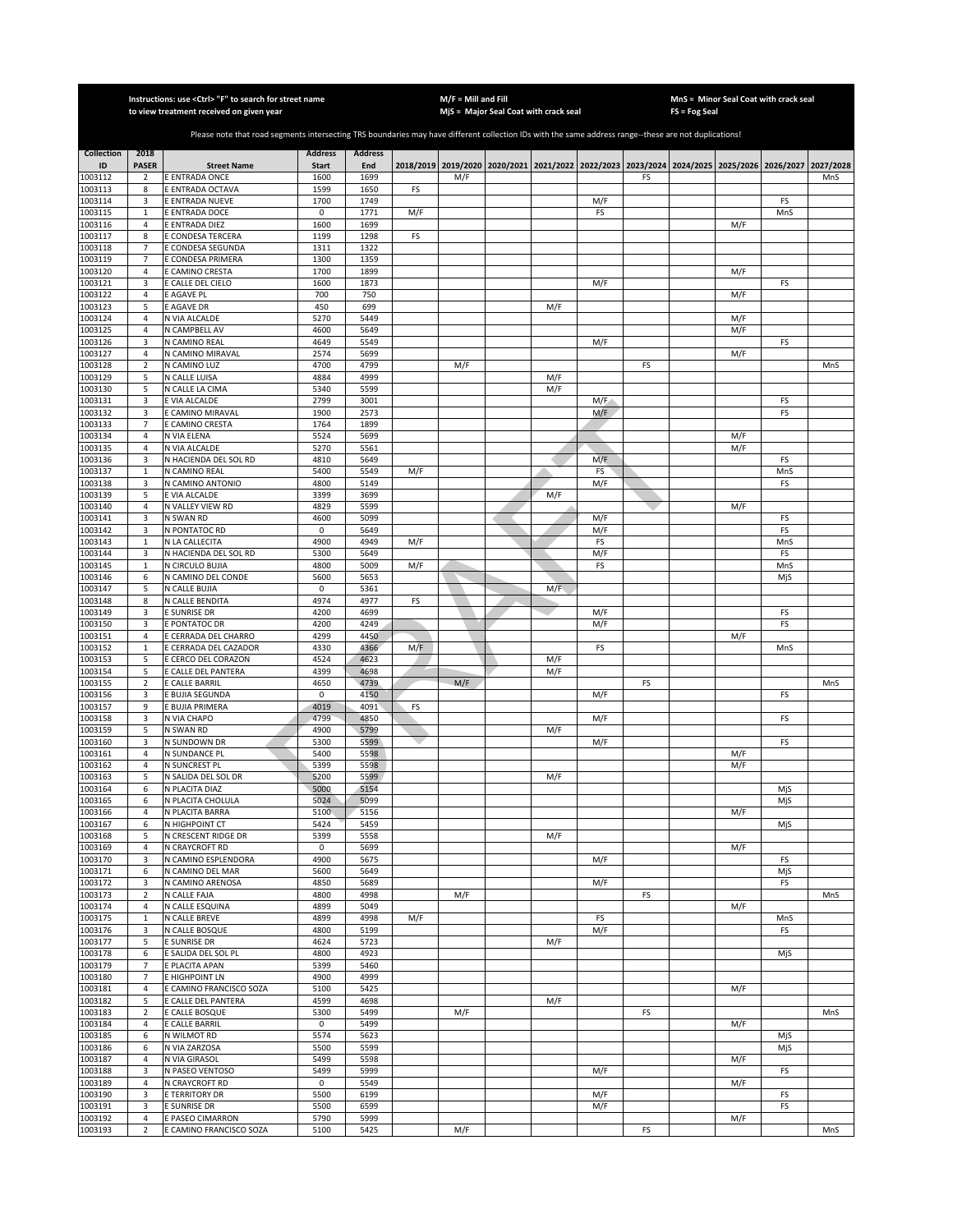|                    |                                  | Instructions: use <ctrl> "F" to search for street name<br/>to view treatment received on given year</ctrl>                                            |                     |                |                  | $M/F =$ Mill and Fill | MjS = Major Seal Coat with crack seal                                                     |             |            |    | FS = Fog Seal | MnS = Minor Seal Coat with crack seal |           |           |
|--------------------|----------------------------------|-------------------------------------------------------------------------------------------------------------------------------------------------------|---------------------|----------------|------------------|-----------------------|-------------------------------------------------------------------------------------------|-------------|------------|----|---------------|---------------------------------------|-----------|-----------|
|                    |                                  |                                                                                                                                                       |                     |                |                  |                       |                                                                                           |             |            |    |               |                                       |           |           |
|                    |                                  | Please note that road segments intersecting TRS boundaries may have different collection IDs with the same address range--these are not duplications! |                     |                |                  |                       |                                                                                           |             |            |    |               |                                       |           |           |
| <b>Collection</b>  | 2018                             |                                                                                                                                                       | <b>Address</b>      | <b>Address</b> |                  |                       |                                                                                           |             |            |    |               |                                       |           |           |
| ID                 | <b>PASER</b>                     | <b>Street Name</b>                                                                                                                                    | <b>Start</b>        | End            |                  |                       | 2018/2019 2019/2020 2020/2021 2021/2022 2022/2023 2023/2024 2024/2025 2025/2026 2026/2027 |             |            |    |               |                                       |           | 2027/2028 |
| 1003112            | $\overline{2}$                   | E ENTRADA ONCE                                                                                                                                        | 1600                | 1699           |                  | M/F                   |                                                                                           |             |            | FS |               |                                       |           | MnS       |
| 1003113            | 8                                | E ENTRADA OCTAVA                                                                                                                                      | 1599                | 1650           | FS               |                       |                                                                                           |             |            |    |               |                                       |           |           |
| 1003114<br>1003115 | 3<br>$\mathbf 1$                 | E ENTRADA NUEVE<br>E ENTRADA DOCE                                                                                                                     | 1700<br>0           | 1749<br>1771   | M/F              |                       |                                                                                           |             | M/F<br>FS  |    |               |                                       | FS<br>MnS |           |
| 1003116            | $\overline{4}$                   | E ENTRADA DIEZ                                                                                                                                        | 1600                | 1699           |                  |                       |                                                                                           |             |            |    |               | M/F                                   |           |           |
| 1003117            | 8                                | E CONDESA TERCERA                                                                                                                                     | 1199                | 1298           | FS               |                       |                                                                                           |             |            |    |               |                                       |           |           |
| 1003118            | $\overline{7}$                   | E CONDESA SEGUNDA                                                                                                                                     | 1311                | 1322           |                  |                       |                                                                                           |             |            |    |               |                                       |           |           |
| 1003119            | $\overline{7}$                   | E CONDESA PRIMERA                                                                                                                                     | 1300                | 1359           |                  |                       |                                                                                           |             |            |    |               |                                       |           |           |
| 1003120<br>1003121 | $\overline{4}$<br>3              | E CAMINO CRESTA<br>E CALLE DEL CIELO                                                                                                                  | 1700<br>1600        | 1899<br>1873   |                  |                       |                                                                                           |             | M/F        |    |               | M/F                                   | FS        |           |
| 1003122            | $\sqrt{4}$                       | E AGAVE PL                                                                                                                                            | 700                 | 750            |                  |                       |                                                                                           |             |            |    |               | M/F                                   |           |           |
| 1003123            | 5                                | E AGAVE DR                                                                                                                                            | 450                 | 699            |                  |                       |                                                                                           | M/F         |            |    |               |                                       |           |           |
| 1003124            | $\overline{4}$                   | N VIA ALCALDE                                                                                                                                         | 5270                | 5449           |                  |                       |                                                                                           |             |            |    |               | M/F                                   |           |           |
| 1003125            | $\overline{4}$                   | N CAMPBELL AV                                                                                                                                         | 4600                | 5649           |                  |                       |                                                                                           |             |            |    |               | M/F                                   |           |           |
| 1003126            | 3                                | N CAMINO REAL                                                                                                                                         | 4649                | 5549           |                  |                       |                                                                                           |             | M/F        |    |               |                                       | FS        |           |
| 1003127<br>003128  | $\overline{4}$<br>$\mathbf 2$    | N CAMINO MIRAVAL<br>N CAMINO LUZ                                                                                                                      | 2574<br>4700        | 5699<br>4799   |                  | M/F                   |                                                                                           |             |            | FS |               | M/F                                   |           |           |
| 1003129            | 5                                | N CALLE LUISA                                                                                                                                         | 4884                | 4999           |                  |                       |                                                                                           | M/F         |            |    |               |                                       |           | MnS       |
| 1003130            | 5                                | N CALLE LA CIMA                                                                                                                                       | 5340                | 5599           |                  |                       |                                                                                           | M/F         |            |    |               |                                       |           |           |
| 1003131            | 3                                | E VIA ALCALDE                                                                                                                                         | 2799                | 3001           |                  |                       |                                                                                           |             | M/F        |    |               |                                       | FS        |           |
| 1003132            | 3                                | CAMINO MIRAVAL                                                                                                                                        | 1900                | 2573           |                  |                       |                                                                                           |             | M/F        |    |               |                                       | FS        |           |
| 1003133            | $\overline{7}$                   | CAMINO CRESTA                                                                                                                                         | 1764                | 1899           |                  |                       |                                                                                           |             |            |    |               |                                       |           |           |
| 1003134            | $\overline{4}$<br>$\overline{4}$ | N VIA ELENA                                                                                                                                           | 5524                | 5699<br>5561   |                  |                       |                                                                                           |             |            |    |               | M/F                                   |           |           |
| 1003135<br>1003136 | 3                                | N VIA ALCALDE<br>N HACIENDA DEL SOL RD                                                                                                                | 5270<br>4810        | 5649           |                  |                       |                                                                                           |             | M/F        |    |               | M/F                                   | FS        |           |
| 1003137            | $\mathbf{1}$                     | N CAMINO REAL                                                                                                                                         | 5400                | 5549           | M/F              |                       |                                                                                           |             | FS         |    |               |                                       | MnS       |           |
| 1003138            | 3                                | N CAMINO ANTONIO                                                                                                                                      | 4800                | 5149           |                  |                       |                                                                                           |             | M/F        |    |               |                                       | FS        |           |
| 1003139            | 5                                | E VIA ALCALDE                                                                                                                                         | 3399                | 3699           |                  |                       |                                                                                           | M/F         |            |    |               |                                       |           |           |
| 1003140            | $\overline{4}$                   | N VALLEY VIEW RD                                                                                                                                      | 4829                | 5599           |                  |                       |                                                                                           |             |            |    |               | M/F                                   |           |           |
| 1003141            | 3                                | N SWAN RD                                                                                                                                             | 4600                | 5099           |                  |                       |                                                                                           |             | M/F        |    |               |                                       | FS        |           |
| 1003142<br>1003143 | 3<br>$\mathbf 1$                 | N PONTATOC RD<br>N LA CALLECITA                                                                                                                       | 0<br>4900           | 5649<br>4949   | M/F              |                       |                                                                                           |             | M/F<br>FS  |    |               |                                       | FS<br>MnS |           |
| 1003144            | 3                                | N HACIENDA DEL SOL RD                                                                                                                                 | 5300                | 5649           |                  |                       |                                                                                           |             | M/F        |    |               |                                       | FS        |           |
| 1003145            | $\mathbf 1$                      | N CIRCULO BUJIA                                                                                                                                       | 4800                | 5009           | M/F              |                       |                                                                                           |             | FS         |    |               |                                       | MnS       |           |
| 1003146            | 6                                | N CAMINO DEL CONDE                                                                                                                                    | 5600                | 5653           |                  |                       |                                                                                           |             |            |    |               |                                       | MjS       |           |
| 1003147            | 5                                | N CALLE BUJIA                                                                                                                                         | $\mathsf 0$         | 5361           |                  |                       |                                                                                           | $M/\bar{F}$ |            |    |               |                                       |           |           |
| 1003148            | 8                                | N CALLE BENDITA                                                                                                                                       | 4974                | 4977           | FS               |                       |                                                                                           |             |            |    |               |                                       |           |           |
| 1003149<br>1003150 | 3<br>3                           | E SUNRISE DR<br>E PONTATOC DR                                                                                                                         | 4200<br>4200        | 4699<br>4249   |                  |                       |                                                                                           |             | M/F<br>M/F |    |               |                                       | FS<br>FS  |           |
| 1003151            | $\overline{4}$                   | E CERRADA DEL CHARRO                                                                                                                                  | 4299                | 4450           |                  |                       |                                                                                           |             |            |    |               | M/F                                   |           |           |
| 1003152            | $\mathbf 1$                      | E CERRADA DEL CAZADOR                                                                                                                                 | 4330                | 4366           | $M/\overline{E}$ |                       |                                                                                           |             | FS         |    |               |                                       | MnS       |           |
| 1003153            | 5                                | E CERCO DEL CORAZON                                                                                                                                   | 4524                | 4623           |                  |                       |                                                                                           | M/F         |            |    |               |                                       |           |           |
| 1003154            | 5                                | E CALLE DEL PANTERA                                                                                                                                   | 4399                | 4698           |                  |                       |                                                                                           | M/F         |            |    |               |                                       |           |           |
| 1003155            | $\mathbf 2$                      | E CALLE BARRIL                                                                                                                                        | 4650                | 4739           |                  | M/F                   |                                                                                           |             |            | FS |               |                                       |           | MnS       |
| 1003156<br>1003157 | 3<br>9                           | E BUJIA SEGUNDA<br><b>BUJIA PRIMERA</b>                                                                                                               | $\mathsf 0$<br>4019 | 4150<br>4091   | FS               |                       |                                                                                           |             | M/F        |    |               |                                       | FS        |           |
| 1003158            | 3                                | N VIA CHAPO                                                                                                                                           | 4799                | 4850           |                  |                       |                                                                                           |             | M/F        |    |               |                                       | FS        |           |
| 1003159            | 5                                | N SWAN RD                                                                                                                                             | 4900                | 5799           |                  |                       |                                                                                           | M/F         |            |    |               |                                       |           |           |
| 1003160            | 3                                | N SUNDOWN DR                                                                                                                                          | 5300                | 5599           |                  |                       |                                                                                           |             | M/F        |    |               |                                       | FS        |           |
| 1003161            | $\overline{4}$                   | N SUNDANCE PL                                                                                                                                         | 5400                | 5598           |                  |                       |                                                                                           |             |            |    |               | M/F                                   |           |           |
| 1003162            | 4                                | N SUNCREST PL                                                                                                                                         | 5399                | 5598           |                  |                       |                                                                                           |             |            |    |               | M/F                                   |           |           |
| 1003163<br>1003164 | 5<br>6                           | N SALIDA DEL SOL DR<br>N PLACITA DIAZ                                                                                                                 | 5200<br>5000        | 5599<br>5154   |                  |                       |                                                                                           | M/F         |            |    |               |                                       | MjS       |           |
| 1003165            | 6                                | N PLACITA CHOLULA                                                                                                                                     | 5024                | 5099           |                  |                       |                                                                                           |             |            |    |               |                                       | MjS       |           |
| 1003166            | $\overline{4}$                   | N PLACITA BARRA                                                                                                                                       | 5100                | 5156           |                  |                       |                                                                                           |             |            |    |               | M/F                                   |           |           |
| 1003167            | 6                                | N HIGHPOINT CT                                                                                                                                        | 5424                | 5459           |                  |                       |                                                                                           |             |            |    |               |                                       | MjS       |           |
| 1003168            | 5                                | N CRESCENT RIDGE DR                                                                                                                                   | 5399                | 5558           |                  |                       |                                                                                           | M/F         |            |    |               |                                       |           |           |
| 1003169            | 4                                | N CRAYCROFT RD                                                                                                                                        | 0                   | 5699           |                  |                       |                                                                                           |             |            |    |               | M/F                                   |           |           |
| 1003170<br>1003171 | 3<br>6                           | N CAMINO ESPLENDORA<br>N CAMINO DEL MAR                                                                                                               | 4900<br>5600        | 5675<br>5649   |                  |                       |                                                                                           |             | M/F        |    |               |                                       | FS<br>MjS |           |
| 1003172            | 3                                | N CAMINO ARENOSA                                                                                                                                      | 4850                | 5689           |                  |                       |                                                                                           |             | M/F        |    |               |                                       | FS        |           |
| 1003173            | $\mathbf 2$                      | N CALLE FAJA                                                                                                                                          | 4800                | 4998           |                  | M/F                   |                                                                                           |             |            | FS |               |                                       |           | MnS       |
| 1003174            | 4                                | N CALLE ESQUINA                                                                                                                                       | 4899                | 5049           |                  |                       |                                                                                           |             |            |    |               | M/F                                   |           |           |
| 1003175            | $\mathbf{1}$                     | N CALLE BREVE                                                                                                                                         | 4899                | 4998           | M/F              |                       |                                                                                           |             | FS         |    |               |                                       | MnS       |           |
| 1003176<br>1003177 | 3<br>5                           | N CALLE BOSQUE                                                                                                                                        | 4800<br>4624        | 5199           |                  |                       |                                                                                           |             | M/F        |    |               |                                       | FS        |           |
| 1003178            | 6                                | E SUNRISE DR<br>E SALIDA DEL SOL PL                                                                                                                   | 4800                | 5723<br>4923   |                  |                       |                                                                                           | M/F         |            |    |               |                                       | MjS       |           |
| 1003179            | 7                                | E PLACITA APAN                                                                                                                                        | 5399                | 5460           |                  |                       |                                                                                           |             |            |    |               |                                       |           |           |
| 1003180            | $\overline{7}$                   | E HIGHPOINT LN                                                                                                                                        | 4900                | 4999           |                  |                       |                                                                                           |             |            |    |               |                                       |           |           |
| 1003181            | $\overline{4}$                   | E CAMINO FRANCISCO SOZA                                                                                                                               | 5100                | 5425           |                  |                       |                                                                                           |             |            |    |               | M/F                                   |           |           |
| 1003182            | 5                                | E CALLE DEL PANTERA                                                                                                                                   | 4599                | 4698           |                  |                       |                                                                                           | M/F         |            |    |               |                                       |           |           |
| 1003183            | $\overline{2}$                   | E CALLE BOSQUE                                                                                                                                        | 5300                | 5499           |                  | M/F                   |                                                                                           |             |            | FS |               |                                       |           | MnS       |
| 1003184<br>1003185 | 4<br>6                           | E CALLE BARRIL<br>N WILMOT RD                                                                                                                         | 0<br>5574           | 5499<br>5623   |                  |                       |                                                                                           |             |            |    |               | M/F                                   | MjS       |           |
| 1003186            | 6                                | N VIA ZARZOSA                                                                                                                                         | 5500                | 5599           |                  |                       |                                                                                           |             |            |    |               |                                       | MjS       |           |
| 1003187            | 4                                | N VIA GIRASOL                                                                                                                                         | 5499                | 5598           |                  |                       |                                                                                           |             |            |    |               | M/F                                   |           |           |
| 1003188            | 3                                | N PASEO VENTOSO                                                                                                                                       | 5499                | 5999           |                  |                       |                                                                                           |             | M/F        |    |               |                                       | FS        |           |
| 1003189            | $\overline{4}$                   | N CRAYCROFT RD                                                                                                                                        | 0                   | 5549           |                  |                       |                                                                                           |             |            |    |               | M/F                                   |           |           |
| 1003190            | 3                                | E TERRITORY DR                                                                                                                                        | 5500                | 6199           |                  |                       |                                                                                           |             | M/F        |    |               |                                       | FS        |           |
| 1003191<br>1003192 | 3<br>$\overline{4}$              | E SUNRISE DR<br>E PASEO CIMARRON                                                                                                                      | 5500<br>5790        | 6599<br>5999   |                  |                       |                                                                                           |             | M/F        |    |               | M/F                                   | FS        |           |
| 1003193            | $\overline{2}$                   | E CAMINO FRANCISCO SOZA                                                                                                                               | 5100                | 5425           |                  | M/F                   |                                                                                           |             |            | FS |               |                                       |           | MnS       |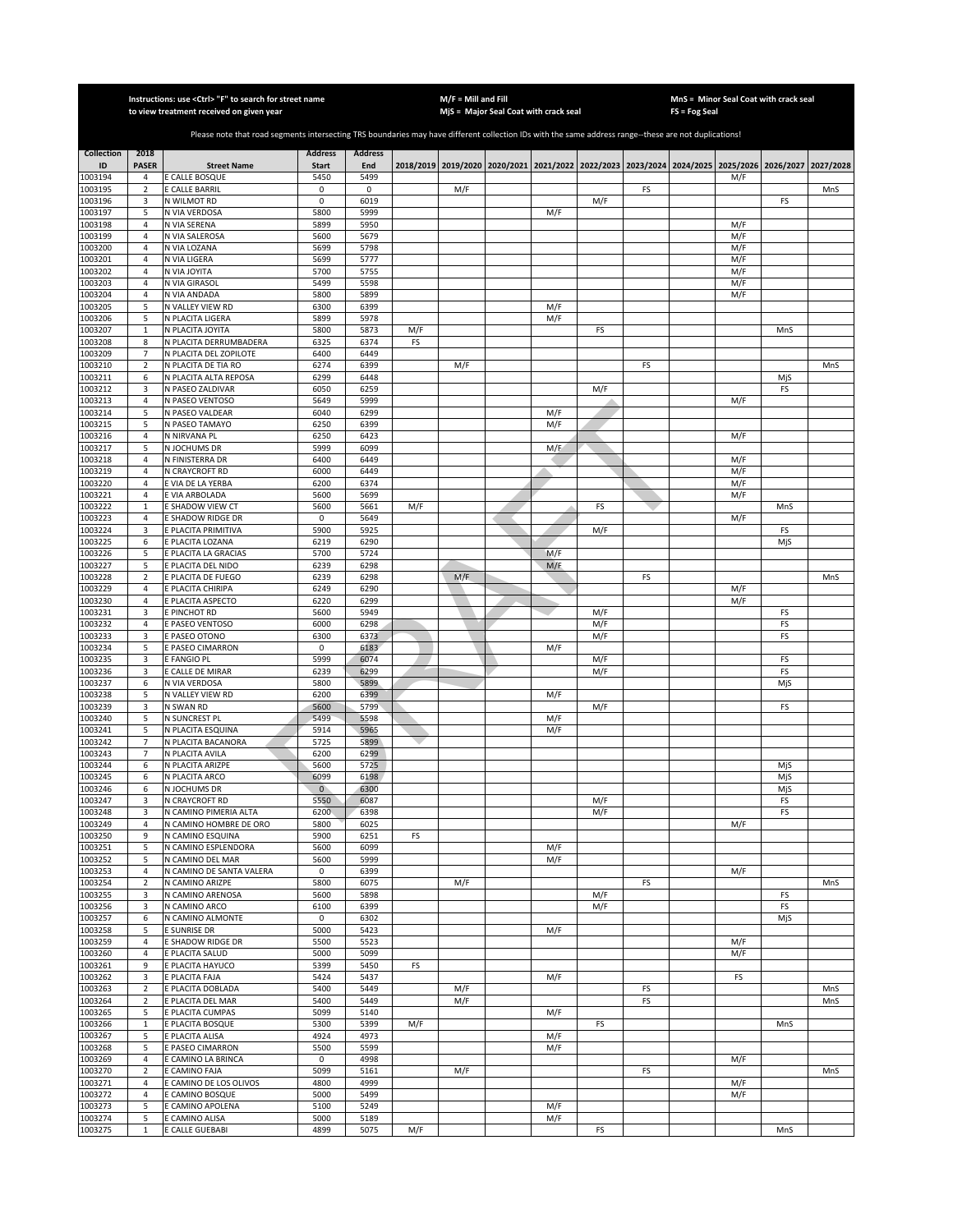|                    |                                  | Instructions: use < Ctrl> "F" to search for street name<br>to view treatment received on given year                                                   |                      |                |     | $M/F =$ Mill and Fill | MjS = Major Seal Coat with crack seal |            |            |    | FS = Fog Seal                                               | MnS = Minor Seal Coat with crack seal |          |           |
|--------------------|----------------------------------|-------------------------------------------------------------------------------------------------------------------------------------------------------|----------------------|----------------|-----|-----------------------|---------------------------------------|------------|------------|----|-------------------------------------------------------------|---------------------------------------|----------|-----------|
|                    |                                  |                                                                                                                                                       |                      |                |     |                       |                                       |            |            |    |                                                             |                                       |          |           |
|                    |                                  | Please note that road segments intersecting TRS boundaries may have different collection IDs with the same address range--these are not duplications! |                      |                |     |                       |                                       |            |            |    |                                                             |                                       |          |           |
| <b>Collection</b>  | 2018                             |                                                                                                                                                       | <b>Address</b>       | <b>Address</b> |     |                       |                                       |            |            |    |                                                             |                                       |          |           |
| ID<br>1003194      | <b>PASER</b><br>4                | <b>Street Name</b><br>E CALLE BOSQUE                                                                                                                  | <b>Start</b><br>5450 | End<br>5499    |     |                       | 2018/2019 2019/2020 2020/2021         |            |            |    | 2021/2022 2022/2023 2023/2024 2024/2025 2025/2026 2026/2027 | M/F                                   |          | 2027/2028 |
| 1003195            | $\overline{2}$                   | E CALLE BARRIL                                                                                                                                        | 0                    | $\mathbf 0$    |     | M/F                   |                                       |            |            | FS |                                                             |                                       |          | MnS       |
| 1003196            | 3                                | N WILMOT RD                                                                                                                                           | $\mathbf 0$          | 6019           |     |                       |                                       |            | M/F        |    |                                                             |                                       | FS       |           |
| 1003197            | 5                                | N VIA VERDOSA                                                                                                                                         | 5800                 | 5999           |     |                       |                                       | M/F        |            |    |                                                             |                                       |          |           |
| 1003198<br>1003199 | $\overline{4}$<br>$\overline{4}$ | N VIA SERENA<br>N VIA SALEROSA                                                                                                                        | 5899<br>5600         | 5950<br>5679   |     |                       |                                       |            |            |    |                                                             | M/F<br>M/F                            |          |           |
| 1003200            | $\overline{4}$                   | N VIA LOZANA                                                                                                                                          | 5699                 | 5798           |     |                       |                                       |            |            |    |                                                             | M/F                                   |          |           |
| 1003201            | $\sqrt{4}$                       | N VIA LIGERA                                                                                                                                          | 5699                 | 5777           |     |                       |                                       |            |            |    |                                                             | M/F                                   |          |           |
| 1003202            | $\sqrt{4}$                       | N VIA JOYITA                                                                                                                                          | 5700                 | 5755           |     |                       |                                       |            |            |    |                                                             | M/F                                   |          |           |
| 1003203<br>1003204 | 4<br>$\sqrt{4}$                  | N VIA GIRASOL<br>N VIA ANDADA                                                                                                                         | 5499<br>5800         | 5598<br>5899   |     |                       |                                       |            |            |    |                                                             | M/F<br>M/F                            |          |           |
| 1003205            | 5                                | N VALLEY VIEW RD                                                                                                                                      | 6300                 | 6399           |     |                       |                                       | M/F        |            |    |                                                             |                                       |          |           |
| 1003206            | 5                                | N PLACITA LIGERA                                                                                                                                      | 5899                 | 5978           |     |                       |                                       | M/F        |            |    |                                                             |                                       |          |           |
| 1003207            | $\mathbf{1}$                     | N PLACITA JOYITA                                                                                                                                      | 5800                 | 5873           | M/F |                       |                                       |            | FS         |    |                                                             |                                       | MnS      |           |
| 1003208<br>1003209 | 8<br>$\overline{7}$              | N PLACITA DERRUMBADERA                                                                                                                                | 6325<br>6400         | 6374<br>6449   | FS  |                       |                                       |            |            |    |                                                             |                                       |          |           |
| 1003210            | $\overline{2}$                   | N PLACITA DEL ZOPILOTE<br>N PLACITA DE TIA RO                                                                                                         | 6274                 | 6399           |     | M/F                   |                                       |            |            | FS |                                                             |                                       |          | MnS       |
| 1003211            | 6                                | N PLACITA ALTA REPOSA                                                                                                                                 | 6299                 | 6448           |     |                       |                                       |            |            |    |                                                             |                                       | MjS      |           |
| 1003212            | 3                                | N PASEO ZALDIVAR                                                                                                                                      | 6050                 | 6259           |     |                       |                                       |            | M/F        |    |                                                             |                                       | FS       |           |
| 1003213            | $\overline{4}$                   | N PASEO VENTOSO                                                                                                                                       | 5649                 | 5999           |     |                       |                                       |            |            |    |                                                             | M/F                                   |          |           |
| 1003214<br>1003215 | 5<br>5                           | N PASEO VALDEAR<br>N PASEO TAMAYO                                                                                                                     | 6040<br>6250         | 6299<br>6399   |     |                       |                                       | M/F<br>M/F |            |    |                                                             |                                       |          |           |
| 1003216            | 4                                | N NIRVANA PL                                                                                                                                          | 6250                 | 6423           |     |                       |                                       |            |            |    |                                                             | M/F                                   |          |           |
| 1003217            | 5                                | N JOCHUMS DR                                                                                                                                          | 5999                 | 6099           |     |                       |                                       | M/F        |            |    |                                                             |                                       |          |           |
| 1003218            | 4                                | N FINISTERRA DR                                                                                                                                       | 6400                 | 6449           |     |                       |                                       |            |            |    |                                                             | M/F                                   |          |           |
| 1003219<br>1003220 | $\overline{4}$<br>$\overline{4}$ | N CRAYCROFT RD<br>E VIA DE LA YERBA                                                                                                                   | 6000<br>6200         | 6449<br>6374   |     |                       |                                       |            |            |    |                                                             | M/F<br>M/F                            |          |           |
| 1003221            | $\overline{4}$                   | E VIA ARBOLADA                                                                                                                                        | 5600                 | 5699           |     |                       |                                       |            |            |    |                                                             | M/F                                   |          |           |
| 1003222            | $\mathbf{1}$                     | E SHADOW VIEW CT                                                                                                                                      | 5600                 | 5661           | M/F |                       |                                       |            | FS         |    |                                                             |                                       | MnS      |           |
| 1003223            | $\overline{4}$                   | E SHADOW RIDGE DR                                                                                                                                     | $\mathbf 0$          | 5649           |     |                       |                                       |            |            |    |                                                             | M/F                                   |          |           |
| 1003224<br>1003225 | 3                                | <b>PLACITA PRIMITIVA</b><br>E PLACITA LOZANA                                                                                                          | 5900<br>6219         | 5925<br>6290   |     |                       |                                       |            | M/F        |    |                                                             |                                       | FS       |           |
| 1003226            | 6<br>5                           | E PLACITA LA GRACIAS                                                                                                                                  | 5700                 | 5724           |     |                       |                                       | M/F        |            |    |                                                             |                                       | MjS      |           |
| 1003227            | 5                                | E PLACITA DEL NIDO                                                                                                                                    | 6239                 | 6298           |     |                       |                                       | M/F        |            |    |                                                             |                                       |          |           |
| 1003228            | $\mathbf 2$                      | E PLACITA DE FUEGO                                                                                                                                    | 6239                 | 6298           |     | M/F                   |                                       |            |            | FS |                                                             |                                       |          | MnS       |
| 1003229            | $\sqrt{4}$                       | E PLACITA CHIRIPA                                                                                                                                     | 6249                 | 6290           |     |                       |                                       |            |            |    |                                                             | M/F                                   |          |           |
| 1003230<br>1003231 | 4<br>3                           | E PLACITA ASPECTO<br>E PINCHOT RD                                                                                                                     | 6220<br>5600         | 6299<br>5949   |     |                       |                                       |            | M/F        |    |                                                             | M/F                                   | FS       |           |
| 1003232            | 4                                | E PASEO VENTOSO                                                                                                                                       | 6000                 | 6298           |     |                       |                                       |            | M/F        |    |                                                             |                                       | FS       |           |
| 1003233            | 3                                | E PASEO OTONO                                                                                                                                         | 6300                 | 6373           |     |                       |                                       |            | M/F        |    |                                                             |                                       | FS       |           |
| 1003234            | 5                                | E PASEO CIMARRON                                                                                                                                      | 0                    | 6183           |     |                       |                                       | M/F        |            |    |                                                             |                                       |          |           |
| 1003235            | 3<br>3                           | E FANGIO PL                                                                                                                                           | 5999<br>6239         | 6074<br>6299   |     |                       |                                       |            | M/F<br>M/F |    |                                                             |                                       | FS<br>FS |           |
| 1003236<br>1003237 | 6                                | E CALLE DE MIRAR<br>N VIA VERDOSA                                                                                                                     | 5800                 | 5899           |     |                       |                                       |            |            |    |                                                             |                                       | MjS      |           |
| 1003238            | 5                                | N VALLEY VIEW RD                                                                                                                                      | 6200                 | 6399           |     |                       |                                       | M/F        |            |    |                                                             |                                       |          |           |
| 1003239            | 3                                | N SWAN RD                                                                                                                                             | 5600                 | 5799           |     |                       |                                       |            | M/F        |    |                                                             |                                       | FS       |           |
| 1003240            | 5                                | N SUNCREST PL                                                                                                                                         | 5499                 | 5598           |     |                       |                                       | M/F        |            |    |                                                             |                                       |          |           |
| 1003241<br>1003242 | 5<br>7                           | N PLACITA ESQUINA<br>N PLACITA BACANORA                                                                                                               | 5914<br>5725         | 5965<br>5899   |     |                       |                                       | M/F        |            |    |                                                             |                                       |          |           |
| 1003243            | $\overline{7}$                   | N PLACITA AVILA                                                                                                                                       | 6200                 | 6299           |     |                       |                                       |            |            |    |                                                             |                                       |          |           |
| 1003244            | 6                                | N PLACITA ARIZPE                                                                                                                                      | 5600                 | 5725           |     |                       |                                       |            |            |    |                                                             |                                       | MjS      |           |
| 1003245            | 6                                | N PLACITA ARCO                                                                                                                                        | 6099                 | 6198           |     |                       |                                       |            |            |    |                                                             |                                       | MjS      |           |
| 1003246            | 6                                | N JOCHUMS DR                                                                                                                                          | $\overline{0}$       | 6300<br>6087   |     |                       |                                       |            |            |    |                                                             |                                       | MjS      |           |
| 1003247<br>1003248 | 3<br>3                           | N CRAYCROFT RD<br>N CAMINO PIMERIA ALTA                                                                                                               | 5550<br>6200         | 6398           |     |                       |                                       |            | M/F<br>M/F |    |                                                             |                                       | FS<br>FS |           |
| 1003249            | 4                                | N CAMINO HOMBRE DE ORO                                                                                                                                | 5800                 | 6025           |     |                       |                                       |            |            |    |                                                             | M/F                                   |          |           |
| 1003250            | 9                                | N CAMINO ESQUINA                                                                                                                                      | 5900                 | 6251           | FS  |                       |                                       |            |            |    |                                                             |                                       |          |           |
| 1003251<br>1003252 | 5<br>5                           | N CAMINO ESPLENDORA<br>N CAMINO DEL MAR                                                                                                               | 5600<br>5600         | 6099<br>5999   |     |                       |                                       | M/F<br>M/F |            |    |                                                             |                                       |          |           |
| 1003253            | 4                                | N CAMINO DE SANTA VALERA                                                                                                                              | 0                    | 6399           |     |                       |                                       |            |            |    |                                                             | M/F                                   |          |           |
| 1003254            | $\mathbf 2$                      | N CAMINO ARIZPE                                                                                                                                       | 5800                 | 6075           |     | M/F                   |                                       |            |            | FS |                                                             |                                       |          | MnS       |
| 1003255            | 3                                | N CAMINO ARENOSA                                                                                                                                      | 5600                 | 5898           |     |                       |                                       |            | M/F        |    |                                                             |                                       | FS       |           |
| 1003256            | 3                                | N CAMINO ARCO                                                                                                                                         | 6100                 | 6399           |     |                       |                                       |            | M/F        |    |                                                             |                                       | FS       |           |
| 1003257<br>1003258 | 6<br>5                           | N CAMINO ALMONTE<br>E SUNRISE DR                                                                                                                      | 0<br>5000            | 6302<br>5423   |     |                       |                                       | M/F        |            |    |                                                             |                                       | MjS      |           |
| 1003259            | $\overline{4}$                   | E SHADOW RIDGE DR                                                                                                                                     | 5500                 | 5523           |     |                       |                                       |            |            |    |                                                             | M/F                                   |          |           |
| 1003260            | $\sqrt{4}$                       | E PLACITA SALUD                                                                                                                                       | 5000                 | 5099           |     |                       |                                       |            |            |    |                                                             | M/F                                   |          |           |
| 1003261            | 9                                | E PLACITA HAYUCO                                                                                                                                      | 5399                 | 5450           | FS  |                       |                                       |            |            |    |                                                             |                                       |          |           |
| 1003262<br>1003263 | 3<br>$\sqrt{2}$                  | E PLACITA FAJA<br>E PLACITA DOBLADA                                                                                                                   | 5424<br>5400         | 5437<br>5449   |     | M/F                   |                                       | M/F        |            | FS |                                                             | FS                                    |          | MnS       |
| 1003264            | 2                                | E PLACITA DEL MAR                                                                                                                                     | 5400                 | 5449           |     | M/F                   |                                       |            |            | FS |                                                             |                                       |          | MnS       |
| 1003265            | 5                                | E PLACITA CUMPAS                                                                                                                                      | 5099                 | 5140           |     |                       |                                       | M/F        |            |    |                                                             |                                       |          |           |
| 1003266            | $\mathbf{1}$                     | E PLACITA BOSQUE                                                                                                                                      | 5300                 | 5399           | M/F |                       |                                       |            | FS         |    |                                                             |                                       | MnS      |           |
| 1003267            | 5                                | E PLACITA ALISA                                                                                                                                       | 4924                 | 4973           |     |                       |                                       | M/F        |            |    |                                                             |                                       |          |           |
| 1003268<br>1003269 | 5<br>4                           | E PASEO CIMARRON<br>E CAMINO LA BRINCA                                                                                                                | 5500<br>0            | 5599<br>4998   |     |                       |                                       | M/F        |            |    |                                                             | M/F                                   |          |           |
| 1003270            | $\overline{2}$                   | E CAMINO FAJA                                                                                                                                         | 5099                 | 5161           |     | M/F                   |                                       |            |            | FS |                                                             |                                       |          | MnS       |
| 1003271            | $\overline{4}$                   | E CAMINO DE LOS OLIVOS                                                                                                                                | 4800                 | 4999           |     |                       |                                       |            |            |    |                                                             | M/F                                   |          |           |
| 1003272            | $\overline{4}$                   | E CAMINO BOSQUE                                                                                                                                       | 5000                 | 5499           |     |                       |                                       |            |            |    |                                                             | M/F                                   |          |           |
| 1003273<br>1003274 | 5<br>5                           | E CAMINO APOLENA<br>E CAMINO ALISA                                                                                                                    | 5100<br>5000         | 5249<br>5189   |     |                       |                                       | M/F<br>M/F |            |    |                                                             |                                       |          |           |
| 1003275            | $\mathbf{1}$                     | E CALLE GUEBABI                                                                                                                                       | 4899                 | 5075           | M/F |                       |                                       |            | FS         |    |                                                             |                                       | MnS      |           |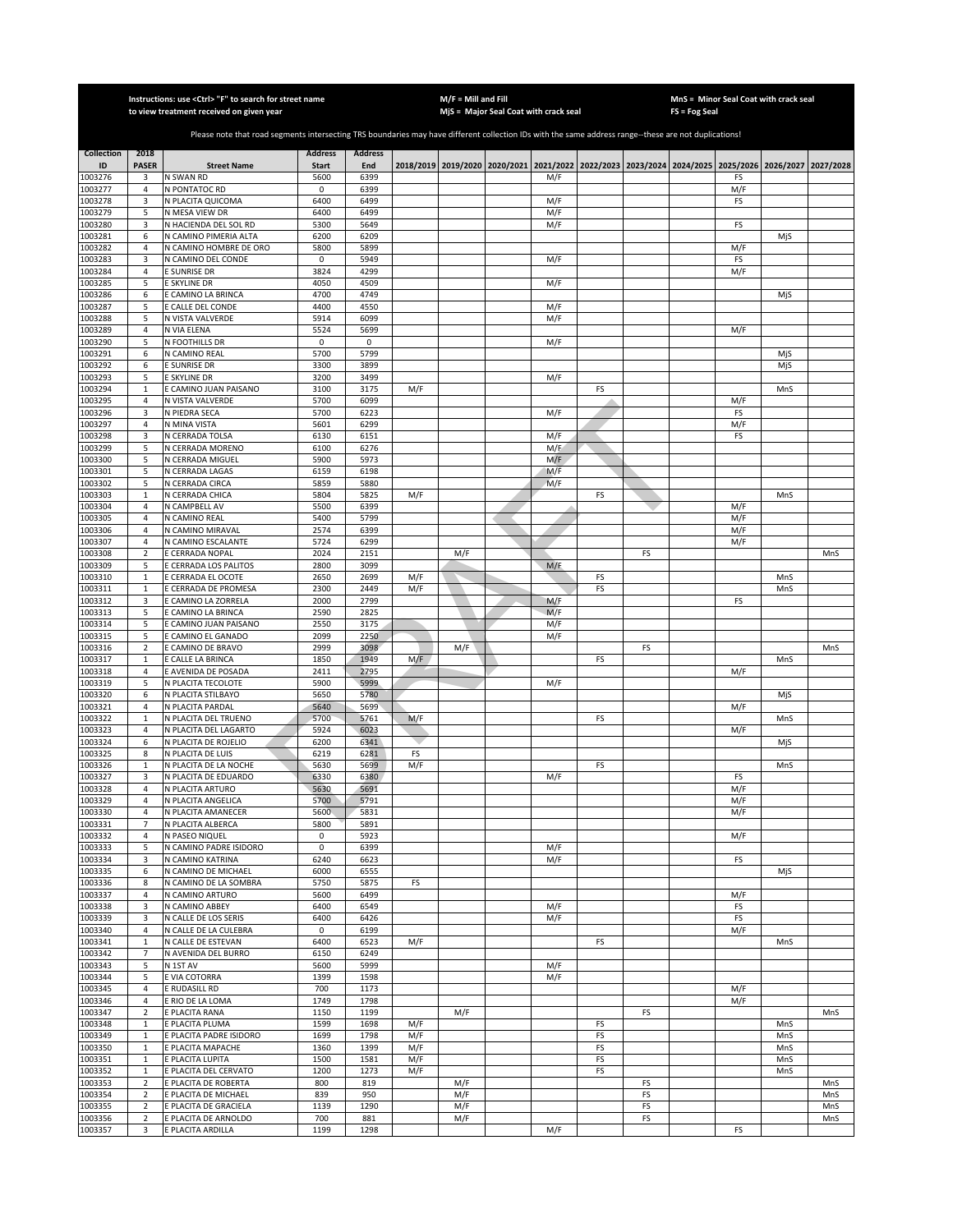|                    |                                  | Instructions: use <ctrl> "F" to search for street name</ctrl>                                                                                         |                     |                |            | $M/F =$ Mill and Fill |                                                                                           |            |          |          | FS = Fog Seal | MnS = Minor Seal Coat with crack seal |            |            |
|--------------------|----------------------------------|-------------------------------------------------------------------------------------------------------------------------------------------------------|---------------------|----------------|------------|-----------------------|-------------------------------------------------------------------------------------------|------------|----------|----------|---------------|---------------------------------------|------------|------------|
|                    |                                  | to view treatment received on given year                                                                                                              |                     |                |            |                       | MjS = Major Seal Coat with crack seal                                                     |            |          |          |               |                                       |            |            |
|                    |                                  | Please note that road segments intersecting TRS boundaries may have different collection IDs with the same address range--these are not duplications! |                     |                |            |                       |                                                                                           |            |          |          |               |                                       |            |            |
| <b>Collection</b>  | 2018                             |                                                                                                                                                       | <b>Address</b>      | <b>Address</b> |            |                       |                                                                                           |            |          |          |               |                                       |            |            |
| ID                 | <b>PASER</b>                     | <b>Street Name</b>                                                                                                                                    | <b>Start</b>        | End            |            |                       | 2018/2019 2019/2020 2020/2021 2021/2022 2022/2023 2023/2024 2024/2025 2025/2026 2026/2027 |            |          |          |               |                                       |            | 2027/2028  |
| 1003276<br>1003277 | 3                                | N SWAN RD<br>N PONTATOC RD                                                                                                                            | 5600<br>0           | 6399<br>6399   |            |                       |                                                                                           | M/F        |          |          |               | FS<br>M/F                             |            |            |
| 1003278            | 4<br>3                           | N PLACITA QUICOMA                                                                                                                                     | 6400                | 6499           |            |                       |                                                                                           | M/F        |          |          |               | FS                                    |            |            |
| 1003279            | 5                                | N MESA VIEW DR                                                                                                                                        | 6400                | 6499           |            |                       |                                                                                           | M/F        |          |          |               |                                       |            |            |
| 1003280            | $\overline{3}$                   | N HACIENDA DEL SOL RD                                                                                                                                 | 5300                | 5649           |            |                       |                                                                                           | M/F        |          |          |               | FS                                    |            |            |
| 1003281<br>1003282 | 6<br>$\overline{4}$              | N CAMINO PIMERIA ALTA<br>N CAMINO HOMBRE DE ORO                                                                                                       | 6200<br>5800        | 6209<br>5899   |            |                       |                                                                                           |            |          |          |               | M/F                                   | MjS        |            |
| 1003283            | 3                                | N CAMINO DEL CONDE                                                                                                                                    | 0                   | 5949           |            |                       |                                                                                           | M/F        |          |          |               | FS                                    |            |            |
| 1003284            | $\overline{4}$                   | E SUNRISE DR                                                                                                                                          | 3824                | 4299           |            |                       |                                                                                           |            |          |          |               | M/F                                   |            |            |
| 1003285            | 5                                | E SKYLINE DR                                                                                                                                          | 4050                | 4509<br>4749   |            |                       |                                                                                           | M/F        |          |          |               |                                       |            |            |
| 1003286<br>1003287 | 6<br>5                           | E CAMINO LA BRINCA<br>E CALLE DEL CONDE                                                                                                               | 4700<br>4400        | 4550           |            |                       |                                                                                           | M/F        |          |          |               |                                       | MjS        |            |
| 1003288            | 5                                | N VISTA VALVERDE                                                                                                                                      | 5914                | 6099           |            |                       |                                                                                           | M/F        |          |          |               |                                       |            |            |
| 1003289            | $\overline{4}$                   | N VIA ELENA                                                                                                                                           | 5524                | 5699           |            |                       |                                                                                           |            |          |          |               | M/F                                   |            |            |
| 1003290<br>1003291 | 5<br>6                           | N FOOTHILLS DR<br>N CAMINO REAL                                                                                                                       | $\mathsf 0$<br>5700 | 0<br>5799      |            |                       |                                                                                           | M/F        |          |          |               |                                       | MjS        |            |
| 003292             | 6                                | E SUNRISE DR                                                                                                                                          | 3300                | 3899           |            |                       |                                                                                           |            |          |          |               |                                       | MjS        |            |
| 1003293            | 5                                | E SKYLINE DR                                                                                                                                          | 3200                | 3499           |            |                       |                                                                                           | M/F        |          |          |               |                                       |            |            |
| 1003294            | $\mathbf 1$                      | E CAMINO JUAN PAISANO                                                                                                                                 | 3100                | 3175           | M/F        |                       |                                                                                           |            | FS       |          |               |                                       | MnS        |            |
| 1003295            | $\overline{a}$<br>3              | N VISTA VALVERDE<br>N PIEDRA SECA                                                                                                                     | 5700<br>5700        | 6099<br>6223   |            |                       |                                                                                           | M/F        |          |          |               | M/F<br>FS                             |            |            |
| 1003296<br>1003297 | $\overline{a}$                   | N MINA VISTA                                                                                                                                          | 5601                | 6299           |            |                       |                                                                                           |            |          |          |               | M/F                                   |            |            |
| 1003298            | 3                                | N CERRADA TOLSA                                                                                                                                       | 6130                | 6151           |            |                       |                                                                                           | M/F        |          |          |               | FS                                    |            |            |
| 1003299            | 5                                | N CERRADA MORENO                                                                                                                                      | 6100                | 6276           |            |                       |                                                                                           | M/F        |          |          |               |                                       |            |            |
| 003300<br>1003301  | 5<br>5                           | N CERRADA MIGUEL<br>N CERRADA LAGAS                                                                                                                   | 5900<br>6159        | 5973<br>6198   |            |                       |                                                                                           | M/F<br>M/F |          |          |               |                                       |            |            |
| 1003302            | 5                                | N CERRADA CIRCA                                                                                                                                       | 5859                | 5880           |            |                       |                                                                                           | M/F        |          |          |               |                                       |            |            |
| 1003303            | $\mathbf{1}$                     | N CERRADA CHICA                                                                                                                                       | 5804                | 5825           | M/F        |                       |                                                                                           |            | FS       |          |               |                                       | MnS        |            |
| 1003304            | $\overline{4}$                   | N CAMPBELL AV                                                                                                                                         | 5500                | 6399           |            |                       |                                                                                           |            |          |          |               | M/F                                   |            |            |
| 1003305<br>1003306 | $\overline{4}$<br>$\overline{4}$ | N CAMINO REAL<br>N CAMINO MIRAVAL                                                                                                                     | 5400<br>2574        | 5799<br>6399   |            |                       |                                                                                           |            |          |          |               | M/F<br>M/F                            |            |            |
| 1003307            | $\overline{4}$                   | N CAMINO ESCALANTE                                                                                                                                    | 5724                | 6299           |            |                       |                                                                                           |            |          |          |               | M/F                                   |            |            |
| 1003308            | $\overline{\mathbf{2}}$          | <b>CERRADA NOPAL</b>                                                                                                                                  | 2024                | 2151           |            | M/F                   |                                                                                           |            |          | FS       |               |                                       |            | MnS        |
| 1003309            | 5                                | <b>CERRADA LOS PALITOS</b>                                                                                                                            | 2800                | 3099           |            |                       |                                                                                           | M/F        |          |          |               |                                       |            |            |
| 1003310<br>1003311 | $\,1\,$<br>$\mathbf 1$           | E CERRADA EL OCOTE<br>E CERRADA DE PROMESA                                                                                                            | 2650<br>2300        | 2699<br>2449   | M/F<br>M/F |                       |                                                                                           |            | FS<br>FS |          |               |                                       | MnS<br>MnS |            |
| 1003312            | 3                                | CAMINO LA ZORRELA                                                                                                                                     | 2000                | 2799           |            |                       |                                                                                           | M/F        |          |          |               | FS                                    |            |            |
| 1003313            | 5                                | E CAMINO LA BRINCA                                                                                                                                    | 2590                | 2825           |            |                       |                                                                                           | M/F        |          |          |               |                                       |            |            |
| 1003314            | 5                                | E CAMINO JUAN PAISANO                                                                                                                                 | 2550                | 3175           |            |                       |                                                                                           | M/F        |          |          |               |                                       |            |            |
| 1003315<br>1003316 | 5<br>$\overline{2}$              | E CAMINO EL GANADO<br>E CAMINO DE BRAVO                                                                                                               | 2099<br>2999        | 2250<br>3098   |            | M/F                   |                                                                                           | M/F        |          | FS       |               |                                       |            | MnS        |
| 1003317            | $\mathbf 1$                      | E CALLE LA BRINCA                                                                                                                                     | 1850                | 1949           | M/F        |                       |                                                                                           |            | FS       |          |               |                                       | MnS        |            |
| 1003318            | $\overline{a}$                   | E AVENIDA DE POSADA                                                                                                                                   | 2411                | 2795           |            |                       |                                                                                           |            |          |          |               | M/F                                   |            |            |
| 1003319<br>1003320 | 5<br>6                           | N PLACITA TECOLOTE<br>N PLACITA STILBAYO                                                                                                              | 5900<br>5650        | 5999<br>5780   |            |                       |                                                                                           | M/F        |          |          |               |                                       | MjS        |            |
| 1003321            | $\overline{4}$                   | N PLACITA PARDAL                                                                                                                                      | 5640                | 5699           |            |                       |                                                                                           |            |          |          |               | M/F                                   |            |            |
| 1003322            | $\mathbf{1}$                     | N PLACITA DEL TRUENO                                                                                                                                  | 5700                | 5761           | M/F        |                       |                                                                                           |            | FS       |          |               |                                       | MnS        |            |
| 1003323            | 4                                | N PLACITA DEL LAGARTO                                                                                                                                 | 5924                | 6023           |            |                       |                                                                                           |            |          |          |               | M/F                                   |            |            |
| 1003324<br>1003325 | 6<br>8                           | N PLACITA DE ROJELIO<br>N PLACITA DE LUIS                                                                                                             | 6200<br>6219        | 6341<br>6281   | FS         |                       |                                                                                           |            |          |          |               |                                       | MjS        |            |
| 1003326            | $\mathbf{1}$                     | N PLACITA DE LA NOCHE                                                                                                                                 | 5630                | 5699           | M/F        |                       |                                                                                           |            | FS       |          |               |                                       | MnS        |            |
| 1003327            | 3                                | N PLACITA DE EDUARDO                                                                                                                                  | 6330                | 6380           |            |                       |                                                                                           | M/F        |          |          |               | FS                                    |            |            |
| 1003328            | $\overline{4}$                   | N PLACITA ARTURO                                                                                                                                      | 5630                | 5691           |            |                       |                                                                                           |            |          |          |               | M/F                                   |            |            |
| 1003329<br>1003330 | 4<br>4                           | N PLACITA ANGELICA<br>N PLACITA AMANECER                                                                                                              | 5700<br>5600        | 5791<br>5831   |            |                       |                                                                                           |            |          |          |               | M/F<br>M/F                            |            |            |
| 1003331            | 7                                | N PLACITA ALBERCA                                                                                                                                     | 5800                | 5891           |            |                       |                                                                                           |            |          |          |               |                                       |            |            |
| 1003332            | $\overline{4}$                   | N PASEO NIQUEL                                                                                                                                        | $\mathsf 0$         | 5923           |            |                       |                                                                                           |            |          |          |               | M/F                                   |            |            |
| 1003333<br>1003334 | 5<br>3                           | N CAMINO PADRE ISIDORO<br>N CAMINO KATRINA                                                                                                            | 0<br>6240           | 6399<br>6623   |            |                       |                                                                                           | M/F<br>M/F |          |          |               | FS                                    |            |            |
| 1003335            | 6                                | N CAMINO DE MICHAEI                                                                                                                                   | 6000                | 6555           |            |                       |                                                                                           |            |          |          |               |                                       | MjS        |            |
| 1003336            | 8                                | N CAMINO DE LA SOMBRA                                                                                                                                 | 5750                | 5875           | FS         |                       |                                                                                           |            |          |          |               |                                       |            |            |
| 1003337            | $\sqrt{4}$                       | N CAMINO ARTURO                                                                                                                                       | 5600                | 6499           |            |                       |                                                                                           |            |          |          |               | M/F                                   |            |            |
| 1003338            | 3<br>3                           | N CAMINO ABBEY<br>N CALLE DE LOS SERIS                                                                                                                | 6400                | 6549           |            |                       |                                                                                           | M/F        |          |          |               | FS<br>FS                              |            |            |
| 1003339<br>1003340 | $\sqrt{4}$                       | N CALLE DE LA CULEBRA                                                                                                                                 | 6400<br>$\mathsf 0$ | 6426<br>6199   |            |                       |                                                                                           | M/F        |          |          |               | M/F                                   |            |            |
| 1003341            | $\mathbf 1$                      | N CALLE DE ESTEVAN                                                                                                                                    | 6400                | 6523           | M/F        |                       |                                                                                           |            | FS       |          |               |                                       | MnS        |            |
| 1003342            | $\overline{7}$                   | N AVENIDA DEL BURRO                                                                                                                                   | 6150                | 6249           |            |                       |                                                                                           |            |          |          |               |                                       |            |            |
| 1003343<br>1003344 | 5<br>5                           | N 1ST AV<br>E VIA COTORRA                                                                                                                             | 5600<br>1399        | 5999<br>1598   |            |                       |                                                                                           | M/F<br>M/F |          |          |               |                                       |            |            |
| 1003345            | $\overline{4}$                   | E RUDASILL RD                                                                                                                                         | 700                 | 1173           |            |                       |                                                                                           |            |          |          |               | M/F                                   |            |            |
| 1003346            | 4                                | E RIO DE LA LOMA                                                                                                                                      | 1749                | 1798           |            |                       |                                                                                           |            |          |          |               | M/F                                   |            |            |
| 1003347            | $\overline{2}$                   | E PLACITA RANA                                                                                                                                        | 1150                | 1199           |            | M/F                   |                                                                                           |            |          | FS       |               |                                       |            | MnS        |
| 1003348<br>1003349 | $\mathbf{1}$<br>$\mathbf{1}$     | E PLACITA PLUMA<br>E PLACITA PADRE ISIDORO                                                                                                            | 1599<br>1699        | 1698<br>1798   | M/F<br>M/F |                       |                                                                                           |            | FS<br>FS |          |               |                                       | MnS<br>MnS |            |
| 1003350            | $\mathbf{1}$                     | E PLACITA MAPACHE                                                                                                                                     | 1360                | 1399           | M/F        |                       |                                                                                           |            | FS       |          |               |                                       | MnS        |            |
| 1003351            | $\mathbf{1}$                     | E PLACITA LUPITA                                                                                                                                      | 1500                | 1581           | M/F        |                       |                                                                                           |            | FS       |          |               |                                       | MnS        |            |
| 1003352            | $\mathbf 1$                      | E PLACITA DEL CERVATO                                                                                                                                 | 1200                | 1273           | M/F        |                       |                                                                                           |            | FS       |          |               |                                       | MnS        |            |
| 1003353<br>1003354 | $\overline{2}$<br>$\overline{2}$ | E PLACITA DE ROBERTA<br>E PLACITA DE MICHAEL                                                                                                          | 800<br>839          | 819<br>950     |            | M/F<br>M/F            |                                                                                           |            |          | FS<br>FS |               |                                       |            | MnS<br>MnS |
| 1003355            | $\overline{2}$                   | E PLACITA DE GRACIELA                                                                                                                                 | 1139                | 1290           |            | M/F                   |                                                                                           |            |          | FS       |               |                                       |            | MnS        |
| 1003356            | $\overline{2}$                   | E PLACITA DE ARNOLDO                                                                                                                                  | 700                 | 881            |            | M/F                   |                                                                                           |            |          | FS       |               |                                       |            | MnS        |
| 1003357            | 3                                | E PLACITA ARDILLA                                                                                                                                     | 1199                | 1298           |            |                       |                                                                                           | M/F        |          |          |               | FS                                    |            |            |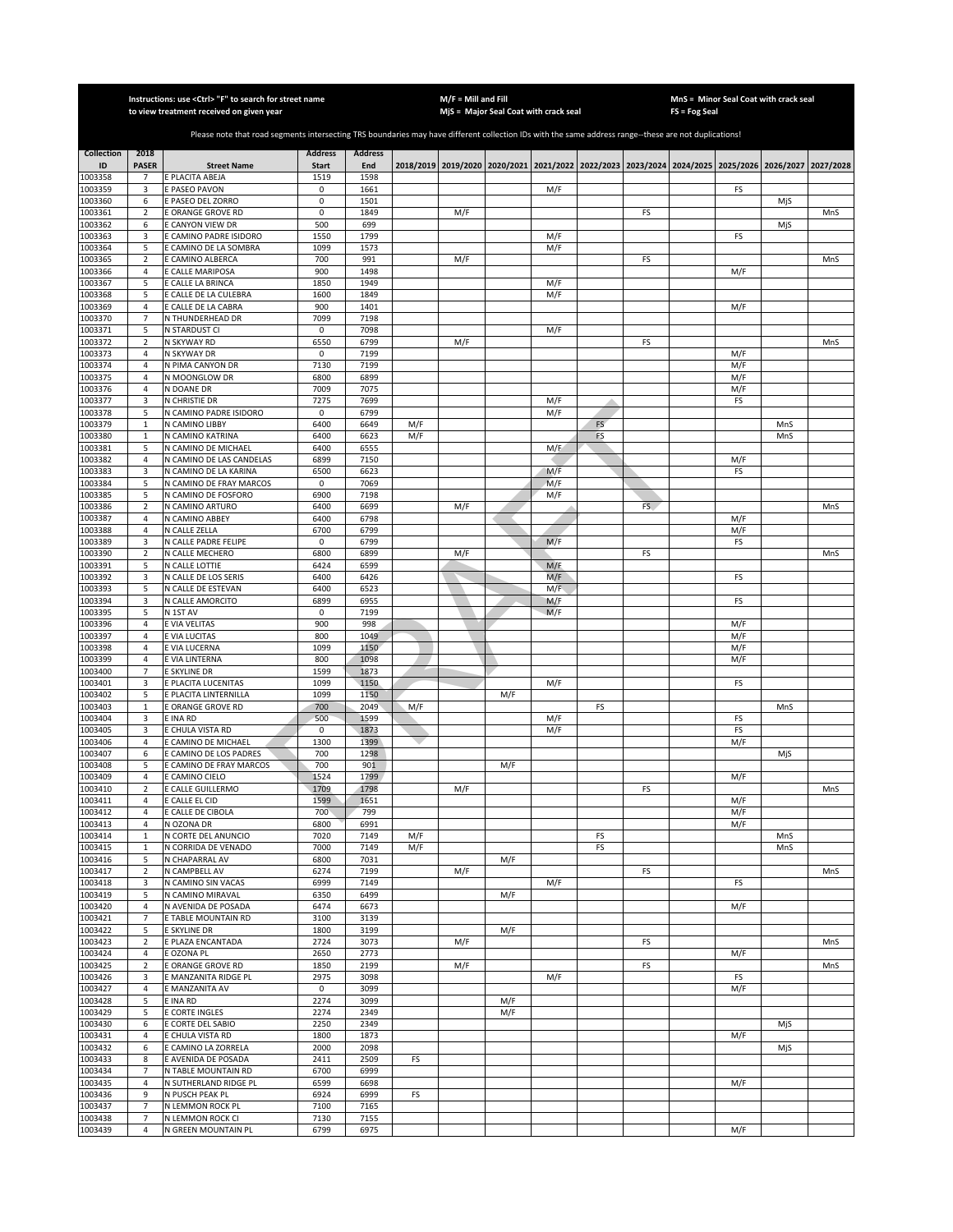|                    |                                  | Instructions: use <ctrl> "F" to search for street name<br/>to view treatment received on given year</ctrl>                                            |                      |                |            | $M/F =$ Mill and Fill | MjS = Major Seal Coat with crack seal                                                               |                    |          |     | FS = Fog Seal | MnS = Minor Seal Coat with crack seal |            |     |
|--------------------|----------------------------------|-------------------------------------------------------------------------------------------------------------------------------------------------------|----------------------|----------------|------------|-----------------------|-----------------------------------------------------------------------------------------------------|--------------------|----------|-----|---------------|---------------------------------------|------------|-----|
|                    |                                  |                                                                                                                                                       |                      |                |            |                       |                                                                                                     |                    |          |     |               |                                       |            |     |
|                    |                                  | Please note that road segments intersecting TRS boundaries may have different collection IDs with the same address range--these are not duplications! |                      |                |            |                       |                                                                                                     |                    |          |     |               |                                       |            |     |
| Collection         | 2018                             |                                                                                                                                                       | <b>Address</b>       | <b>Address</b> |            |                       |                                                                                                     |                    |          |     |               |                                       |            |     |
| ID<br>1003358      | <b>PASER</b><br>$\overline{7}$   | <b>Street Name</b><br>E PLACITA ABEJA                                                                                                                 | <b>Start</b><br>1519 | End<br>1598    |            |                       | 2018/2019 2019/2020 2020/2021 2021/2022 2022/2023 2023/2024 2024/2025 2025/2026 2026/2027 2027/2028 |                    |          |     |               |                                       |            |     |
| 1003359            | 3                                | E PASEO PAVON                                                                                                                                         | 0                    | 1661           |            |                       |                                                                                                     | M/F                |          |     |               | FS                                    |            |     |
| 1003360            | 6                                | <b>E PASEO DEL ZORRO</b>                                                                                                                              | 0                    | 1501           |            |                       |                                                                                                     |                    |          |     |               |                                       | MjS        |     |
| 1003361<br>1003362 | $\overline{2}$<br>6              | E ORANGE GROVE RD<br><b>ECANYON VIEW DR</b>                                                                                                           | 0<br>500             | 1849<br>699    |            | M/F                   |                                                                                                     |                    |          | FS  |               |                                       | MjS        | MnS |
| 1003363            | 3                                | E CAMINO PADRE ISIDORO                                                                                                                                | 1550                 | 1799           |            |                       |                                                                                                     | M/F                |          |     |               | FS                                    |            |     |
| 1003364            | 5                                | E CAMINO DE LA SOMBRA                                                                                                                                 | 1099                 | 1573           |            |                       |                                                                                                     | M/F                |          |     |               |                                       |            |     |
| 1003365<br>1003366 | $\overline{2}$<br>$\overline{4}$ | E CAMINO ALBERCA<br>E CALLE MARIPOSA                                                                                                                  | 700<br>900           | 991<br>1498    |            | M/F                   |                                                                                                     |                    |          | FS  |               | M/F                                   |            | MnS |
| 1003367            | 5                                | E CALLE LA BRINCA                                                                                                                                     | 1850                 | 1949           |            |                       |                                                                                                     | M/F                |          |     |               |                                       |            |     |
| 1003368            | 5                                | CALLE DE LA CULEBRA                                                                                                                                   | 1600                 | 1849           |            |                       |                                                                                                     | M/F                |          |     |               |                                       |            |     |
| 1003369            | $\overline{4}$                   | E CALLE DE LA CABRA                                                                                                                                   | 900                  | 1401           |            |                       |                                                                                                     |                    |          |     |               | M/F                                   |            |     |
| 1003370<br>1003371 | 7<br>5                           | N THUNDERHEAD DR<br>N STARDUST CI                                                                                                                     | 7099<br>$\mathsf 0$  | 7198<br>7098   |            |                       |                                                                                                     | M/F                |          |     |               |                                       |            |     |
| 1003372            | $\mathbf 2$                      | N SKYWAY RD                                                                                                                                           | 6550                 | 6799           |            | M/F                   |                                                                                                     |                    |          | FS  |               |                                       |            | MnS |
| 1003373            | $\overline{4}$                   | N SKYWAY DR                                                                                                                                           | $\mathsf 0$          | 7199           |            |                       |                                                                                                     |                    |          |     |               | M/F                                   |            |     |
| 1003374            | 4<br>$\overline{4}$              | N PIMA CANYON DR                                                                                                                                      | 7130                 | 7199           |            |                       |                                                                                                     |                    |          |     |               | M/F                                   |            |     |
| 1003375<br>1003376 | $\overline{4}$                   | N MOONGLOW DR<br>N DOANE DR                                                                                                                           | 6800<br>7009         | 6899<br>7075   |            |                       |                                                                                                     |                    |          |     |               | M/F<br>M/F                            |            |     |
| 1003377            | 3                                | N CHRISTIE DR                                                                                                                                         | 7275                 | 7699           |            |                       |                                                                                                     | M/F                |          |     |               | FS                                    |            |     |
| 1003378            | 5                                | N CAMINO PADRE ISIDORO                                                                                                                                | 0                    | 6799           |            |                       |                                                                                                     | M/F                |          |     |               |                                       |            |     |
| 1003379<br>1003380 | $\mathbf 1$<br>$\mathbf 1$       | N CAMINO LIBBY<br>N CAMINO KATRINA                                                                                                                    | 6400<br>6400         | 6649<br>6623   | M/F<br>M/F |                       |                                                                                                     |                    | FS<br>FS |     |               |                                       | MnS<br>MnS |     |
| 1003381            | 5                                | N CAMINO DE MICHAEL                                                                                                                                   | 6400                 | 6555           |            |                       |                                                                                                     | M/F                |          |     |               |                                       |            |     |
| 1003382            | $\overline{4}$                   | N CAMINO DE LAS CANDELAS                                                                                                                              | 6899                 | 7150           |            |                       |                                                                                                     |                    |          |     |               | M/F                                   |            |     |
| 1003383            | 3                                | N CAMINO DE LA KARINA                                                                                                                                 | 6500                 | 6623           |            |                       |                                                                                                     | M/F                |          |     |               | FS                                    |            |     |
| 1003384<br>1003385 | 5<br>5                           | N CAMINO DE FRAY MARCOS<br>N CAMINO DE FOSFORO                                                                                                        | 0<br>6900            | 7069<br>7198   |            |                       |                                                                                                     | M/F<br>M/F         |          |     |               |                                       |            |     |
| 1003386            | $\sqrt{2}$                       | N CAMINO ARTURO                                                                                                                                       | 6400                 | 6699           |            | M/F                   |                                                                                                     |                    |          | FS. |               |                                       |            | MnS |
| 1003387            | 4                                | N CAMINO ABBEY                                                                                                                                        | 6400                 | 6798           |            |                       |                                                                                                     |                    |          |     |               | M/F                                   |            |     |
| 1003388            | 4                                | N CALLE ZELLA                                                                                                                                         | 6700                 | 6799           |            |                       |                                                                                                     | M/F                |          |     |               | M/F                                   |            |     |
| 1003389<br>1003390 | 3<br>$\overline{2}$              | N CALLE PADRE FELIPE<br>N CALLE MECHERO                                                                                                               | 0<br>6800            | 6799<br>6899   |            | M/F                   |                                                                                                     |                    |          | FS  |               | FS                                    |            | MnS |
| 1003391            | 5                                | N CALLE LOTTIE                                                                                                                                        | 6424                 | 6599           |            |                       |                                                                                                     | M/F                |          |     |               |                                       |            |     |
| 1003392            | 3                                | N CALLE DE LOS SERIS                                                                                                                                  | 6400                 | 6426           |            |                       |                                                                                                     | M/F                |          |     |               | FS                                    |            |     |
| 1003393<br>1003394 | 5<br>3                           | N CALLE DE ESTEVAN<br>N CALLE AMORCITO                                                                                                                | 6400<br>6899         | 6523<br>6955   |            |                       |                                                                                                     | $M/\bar{F}$<br>M/F |          |     |               | FS                                    |            |     |
| 1003395            | 5                                | N 1ST AV                                                                                                                                              | $\mathsf 0$          | 7199           |            |                       |                                                                                                     | M/F                |          |     |               |                                       |            |     |
| 1003396            | $\overline{4}$                   | E VIA VELITAS                                                                                                                                         | 900                  | 998            |            |                       |                                                                                                     |                    |          |     |               | M/F                                   |            |     |
| 1003397            | 4                                | E VIA LUCITAS                                                                                                                                         | 800                  | 1049           |            |                       |                                                                                                     |                    |          |     |               | M/F                                   |            |     |
| 1003398<br>1003399 | $\overline{4}$<br>4              | E VIA LUCERNA<br>E VIA LINTERNA                                                                                                                       | 1099<br>800          | 1150<br>1098   |            |                       |                                                                                                     |                    |          |     |               | M/F<br>M/F                            |            |     |
| 1003400            | $\overline{7}$                   | E SKYLINE DR                                                                                                                                          | 1599                 | 1873           |            |                       |                                                                                                     |                    |          |     |               |                                       |            |     |
| 1003401            | 3                                | E PLACITA LUCENITAS                                                                                                                                   | 1099                 | 1150           |            |                       |                                                                                                     | M/F                |          |     |               | FS                                    |            |     |
| 1003402<br>1003403 | 5<br>$\,1\,$                     | E PLACITA LINTERNILLA<br>E ORANGE GROVE RD                                                                                                            | 1099<br>700          | 1150<br>2049   | M/F        |                       | M/F                                                                                                 |                    |          |     |               |                                       |            |     |
| 1003404            | 3                                | E INA RD                                                                                                                                              | 500                  | 1599           |            |                       |                                                                                                     | M/F                | FS       |     |               | FS                                    | MnS        |     |
| 1003405            | 3                                | E CHULA VISTA RD                                                                                                                                      | 0                    | 1873           |            |                       |                                                                                                     | M/F                |          |     |               | FS                                    |            |     |
| 1003406            | $\sqrt{4}$                       | E CAMINO DE MICHAEL                                                                                                                                   | 1300                 | 1399           |            |                       |                                                                                                     |                    |          |     |               | M/F                                   |            |     |
| 1003407<br>1003408 | 6<br>5                           | E CAMINO DE LOS PADRES<br>CAMINO DE FRAY MARCOS                                                                                                       | 700<br>700           | 1298<br>901    |            |                       | M/F                                                                                                 |                    |          |     |               |                                       | MjS        |     |
| 1003409            | $\overline{4}$                   | E CAMINO CIELO                                                                                                                                        | 1524                 | 1799           |            |                       |                                                                                                     |                    |          |     |               | M/F                                   |            |     |
| 1003410            | $\overline{2}$                   | E CALLE GUILLERMO                                                                                                                                     | 1709                 | 1798           |            | M/F                   |                                                                                                     |                    |          | FS  |               |                                       |            | MnS |
| 1003411            | 4                                | E CALLE EL CID                                                                                                                                        | 1599                 | 1651           |            |                       |                                                                                                     |                    |          |     |               | M/F                                   |            |     |
| 1003412<br>1003413 | 4<br>4                           | E CALLE DE CIBOLA<br>N OZONA DR                                                                                                                       | 700<br>6800          | 799<br>6991    |            |                       |                                                                                                     |                    |          |     |               | M/F<br>M/F                            |            |     |
| 1003414            | $\mathbf{1}$                     | N CORTE DEL ANUNCIO                                                                                                                                   | 7020                 | 7149           | M/F        |                       |                                                                                                     |                    | FS       |     |               |                                       | MnS        |     |
| 1003415            | $\mathbf{1}$                     | N CORRIDA DE VENADO                                                                                                                                   | 7000                 | 7149           | M/F        |                       |                                                                                                     |                    | FS       |     |               |                                       | MnS        |     |
| 1003416<br>1003417 | 5<br>$\overline{2}$              | N CHAPARRAL AV<br>N CAMPBELL AV                                                                                                                       | 6800<br>6274         | 7031<br>7199   |            | M/F                   | M/F                                                                                                 |                    |          | FS  |               |                                       |            | MnS |
| 1003418            | 3                                | N CAMINO SIN VACAS                                                                                                                                    | 6999                 | 7149           |            |                       |                                                                                                     | M/F                |          |     |               | FS                                    |            |     |
| 1003419            | 5                                | N CAMINO MIRAVAL                                                                                                                                      | 6350                 | 6499           |            |                       | M/F                                                                                                 |                    |          |     |               |                                       |            |     |
| 1003420<br>1003421 | $\overline{4}$<br>$\overline{7}$ | N AVENIDA DE POSADA<br>E TABLE MOUNTAIN RD                                                                                                            | 6474<br>3100         | 6673<br>3139   |            |                       |                                                                                                     |                    |          |     |               | M/F                                   |            |     |
| 1003422            | 5                                | E SKYLINE DR                                                                                                                                          | 1800                 | 3199           |            |                       | M/F                                                                                                 |                    |          |     |               |                                       |            |     |
| 1003423            | $\mathbf 2$                      | E PLAZA ENCANTADA                                                                                                                                     | 2724                 | 3073           |            | M/F                   |                                                                                                     |                    |          | FS  |               |                                       |            | MnS |
| 1003424            | 4                                | E OZONA PL                                                                                                                                            | 2650                 | 2773           |            |                       |                                                                                                     |                    |          |     |               | M/F                                   |            |     |
| 1003425<br>1003426 | $\mathbf 2$<br>3                 | E ORANGE GROVE RD<br>E MANZANITA RIDGE PL                                                                                                             | 1850<br>2975         | 2199<br>3098   |            | M/F                   |                                                                                                     | M/F                |          | FS  |               | FS                                    |            | MnS |
| 1003427            | $\sqrt{4}$                       | E MANZANITA AV                                                                                                                                        | $\mathsf 0$          | 3099           |            |                       |                                                                                                     |                    |          |     |               | M/F                                   |            |     |
| 1003428            | 5                                | E INA RD                                                                                                                                              | 2274                 | 3099           |            |                       | M/F                                                                                                 |                    |          |     |               |                                       |            |     |
| 1003429            | 5                                | <b>E CORTE INGLES</b>                                                                                                                                 | $\overline{2274}$    | 2349           |            |                       | M/F                                                                                                 |                    |          |     |               |                                       |            |     |
| 1003430<br>1003431 | 6<br>4                           | E CORTE DEL SABIO<br>E CHULA VISTA RD                                                                                                                 | 2250<br>1800         | 2349<br>1873   |            |                       |                                                                                                     |                    |          |     |               | M/F                                   | MjS        |     |
| 1003432            | 6                                | E CAMINO LA ZORRELA                                                                                                                                   | 2000                 | 2098           |            |                       |                                                                                                     |                    |          |     |               |                                       | MjS        |     |
| 1003433            | 8                                | E AVENIDA DE POSADA                                                                                                                                   | 2411                 | 2509           | FS         |                       |                                                                                                     |                    |          |     |               |                                       |            |     |
| 1003434            | $\overline{7}$                   | N TABLE MOUNTAIN RD                                                                                                                                   | 6700                 | 6999           |            |                       |                                                                                                     |                    |          |     |               |                                       |            |     |
| 1003435<br>1003436 | 4<br>9                           | N SUTHERLAND RIDGE PL<br>N PUSCH PEAK PL                                                                                                              | 6599<br>6924         | 6698<br>6999   | FS         |                       |                                                                                                     |                    |          |     |               | M/F                                   |            |     |
| 1003437            | $\overline{7}$                   | N LEMMON ROCK PL                                                                                                                                      | 7100                 | 7165           |            |                       |                                                                                                     |                    |          |     |               |                                       |            |     |
| 1003438            | 7                                | N LEMMON ROCK CI                                                                                                                                      | 7130                 | 7155           |            |                       |                                                                                                     |                    |          |     |               |                                       |            |     |
| 1003439            | 4                                | N GREEN MOUNTAIN PL                                                                                                                                   | 6799                 | 6975           |            |                       |                                                                                                     |                    |          |     |               | M/F                                   |            |     |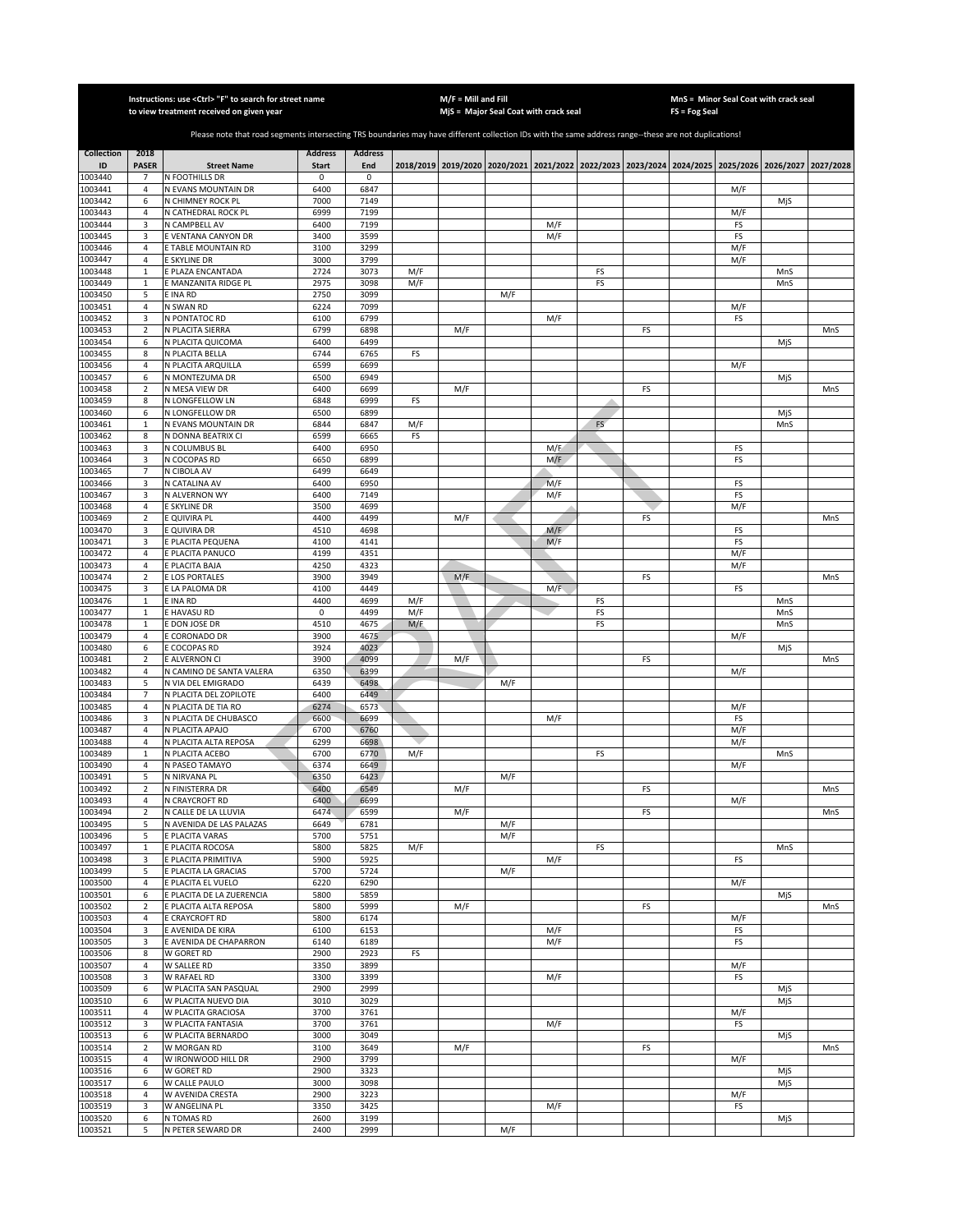|                    |                            | Instructions: use < Ctrl> "F" to search for street name<br>to view treatment received on given year                                                   |                |                |     | $M/F =$ Mill and Fill | MjS = Major Seal Coat with crack seal                                                     |             |    |    | FS = Fog Seal | MnS = Minor Seal Coat with crack seal |            |           |
|--------------------|----------------------------|-------------------------------------------------------------------------------------------------------------------------------------------------------|----------------|----------------|-----|-----------------------|-------------------------------------------------------------------------------------------|-------------|----|----|---------------|---------------------------------------|------------|-----------|
|                    |                            |                                                                                                                                                       |                |                |     |                       |                                                                                           |             |    |    |               |                                       |            |           |
|                    |                            | Please note that road segments intersecting TRS boundaries may have different collection IDs with the same address range--these are not duplications! |                |                |     |                       |                                                                                           |             |    |    |               |                                       |            |           |
| <b>Collection</b>  | 2018                       |                                                                                                                                                       | <b>Address</b> | <b>Address</b> |     |                       |                                                                                           |             |    |    |               |                                       |            |           |
| ID                 | <b>PASER</b>               | <b>Street Name</b>                                                                                                                                    | <b>Start</b>   | End            |     |                       | 2018/2019 2019/2020 2020/2021 2021/2022 2022/2023 2023/2024 2024/2025 2025/2026 2026/2027 |             |    |    |               |                                       |            | 2027/2028 |
| 1003440            | $\overline{7}$             | N FOOTHILLS DR                                                                                                                                        | 0              | $\pmb{0}$      |     |                       |                                                                                           |             |    |    |               |                                       |            |           |
| 1003441<br>1003442 | 4<br>6                     | N EVANS MOUNTAIN DR<br>N CHIMNEY ROCK PL                                                                                                              | 6400<br>7000   | 6847<br>7149   |     |                       |                                                                                           |             |    |    |               | M/F                                   | MjS        |           |
| 1003443            | $\overline{4}$             | N CATHEDRAL ROCK PL                                                                                                                                   | 6999           | 7199           |     |                       |                                                                                           |             |    |    |               | M/F                                   |            |           |
| 1003444            | 3                          | N CAMPBELL AV                                                                                                                                         | 6400           | 7199           |     |                       |                                                                                           | M/F         |    |    |               | FS                                    |            |           |
| 1003445            | 3                          | E VENTANA CANYON DR                                                                                                                                   | 3400           | 3599           |     |                       |                                                                                           | M/F         |    |    |               | FS                                    |            |           |
| 1003446            | $\overline{4}$             | E TABLE MOUNTAIN RD                                                                                                                                   | 3100           | 3299           |     |                       |                                                                                           |             |    |    |               | M/F                                   |            |           |
| 1003447<br>1003448 | $\sqrt{4}$<br>$\mathbf{1}$ | E SKYLINE DR<br>E PLAZA ENCANTADA                                                                                                                     | 3000<br>2724   | 3799<br>3073   | M/F |                       |                                                                                           |             | FS |    |               | M/F                                   | MnS        |           |
| 1003449            | 1                          | E MANZANITA RIDGE PL                                                                                                                                  | 2975           | 3098           | M/F |                       |                                                                                           |             | FS |    |               |                                       | MnS        |           |
| 1003450            | 5                          | E INA RD                                                                                                                                              | 2750           | 3099           |     |                       | M/F                                                                                       |             |    |    |               |                                       |            |           |
| 1003451            | 4                          | N SWAN RD                                                                                                                                             | 6224           | 7099           |     |                       |                                                                                           |             |    |    |               | M/F                                   |            |           |
| 1003452            | 3                          | N PONTATOC RD                                                                                                                                         | 6100           | 6799           |     |                       |                                                                                           | M/F         |    |    |               | FS                                    |            |           |
| 1003453<br>1003454 | $\mathbf 2$<br>6           | N PLACITA SIERRA<br>N PLACITA QUICOMA                                                                                                                 | 6799<br>6400   | 6898<br>6499   |     | M/F                   |                                                                                           |             |    | FS |               |                                       | MjS        | MnS       |
| 1003455            | 8                          | N PLACITA BELLA                                                                                                                                       | 6744           | 6765           | FS  |                       |                                                                                           |             |    |    |               |                                       |            |           |
| 1003456            | $\sqrt{4}$                 | N PLACITA ARQUILLA                                                                                                                                    | 6599           | 6699           |     |                       |                                                                                           |             |    |    |               | M/F                                   |            |           |
| 1003457            | 6                          | N MONTEZUMA DR                                                                                                                                        | 6500           | 6949           |     |                       |                                                                                           |             |    |    |               |                                       | MjS        |           |
| 1003458            | $\overline{2}$             | N MESA VIEW DR                                                                                                                                        | 6400           | 6699           |     | M/F                   |                                                                                           |             |    | FS |               |                                       |            | MnS       |
| 1003459            | 8                          | N LONGFELLOW LN                                                                                                                                       | 6848           | 6999           | FS  |                       |                                                                                           |             |    |    |               |                                       |            |           |
| 1003460<br>1003461 | 6<br>$\mathbf{1}$          | N LONGFELLOW DR<br>N EVANS MOUNTAIN DR                                                                                                                | 6500<br>6844   | 6899<br>6847   | M/F |                       |                                                                                           |             | FS |    |               |                                       | MjS<br>MnS |           |
| 1003462            | 8                          | N DONNA BEATRIX CI                                                                                                                                    | 6599           | 6665           | FS  |                       |                                                                                           |             |    |    |               |                                       |            |           |
| 1003463            | 3                          | N COLUMBUS BL                                                                                                                                         | 6400           | 6950           |     |                       |                                                                                           | M/F         |    |    |               | FS                                    |            |           |
| 1003464            | 3                          | N COCOPAS RD                                                                                                                                          | 6650           | 6899           |     |                       |                                                                                           | M/F         |    |    |               | FS                                    |            |           |
| 1003465            | $\overline{7}$             | N CIBOLA AV                                                                                                                                           | 6499           | 6649           |     |                       |                                                                                           |             |    |    |               |                                       |            |           |
| 1003466<br>1003467 | 3<br>3                     | N CATALINA AV<br>N ALVERNON WY                                                                                                                        | 6400<br>6400   | 6950<br>7149   |     |                       |                                                                                           | M/F<br>M/F  |    |    |               | FS                                    |            |           |
| 1003468            | $\overline{4}$             | E SKYLINE DR                                                                                                                                          | 3500           | 4699           |     |                       |                                                                                           |             |    |    |               | FS<br>M/F                             |            |           |
| 1003469            | $\overline{2}$             | E QUIVIRA PL                                                                                                                                          | 4400           | 4499           |     | M/F                   |                                                                                           |             |    | FS |               |                                       |            | MnS       |
| 1003470            | 3                          | E QUIVIRA DR                                                                                                                                          | 4510           | 4698           |     |                       |                                                                                           | M/F         |    |    |               | FS                                    |            |           |
| 1003471            | 3                          | E PLACITA PEQUENA                                                                                                                                     | 4100           | 4141           |     |                       |                                                                                           | M/F         |    |    |               | FS                                    |            |           |
| 1003472            | 4                          | E PLACITA PANUCO                                                                                                                                      | 4199           | 4351           |     |                       |                                                                                           |             |    |    |               | M/F                                   |            |           |
| 1003473<br>1003474 | $\sqrt{4}$<br>$\mathbf 2$  | E PLACITA BAJA<br>E LOS PORTALES                                                                                                                      | 4250<br>3900   | 4323<br>3949   |     | M/F                   |                                                                                           |             |    | FS |               | M/F                                   |            | MnS       |
| 1003475            | 3                          | E LA PALOMA DR                                                                                                                                        | 4100           | 4449           |     |                       |                                                                                           | $M/\bar{F}$ |    |    |               | FS                                    |            |           |
| 1003476            | $\mathbf{1}$               | E INA RD                                                                                                                                              | 4400           | 4699           | M/F |                       |                                                                                           |             | FS |    |               |                                       | MnS        |           |
| 1003477            | $\mathbf 1$                | E HAVASU RD                                                                                                                                           | 0              | 4499           | M/F |                       |                                                                                           |             | FS |    |               |                                       | MnS        |           |
| 1003478            | $\mathbf{1}$               | E DON JOSE DR                                                                                                                                         | 4510           | 4675           | M/F |                       |                                                                                           |             | FS |    |               |                                       | MnS        |           |
| 1003479            | $\sqrt{4}$                 | <b>CORONADO DR</b>                                                                                                                                    | 3900           | 4675           |     |                       |                                                                                           |             |    |    |               | M/F                                   |            |           |
| 1003480<br>1003481 | 6<br>$\overline{2}$        | E COCOPAS RD<br>E ALVERNON CI                                                                                                                         | 3924<br>3900   | 4023<br>4099   |     | M/F                   |                                                                                           |             |    | FS |               |                                       | MjS        | MnS       |
| 1003482            | $\overline{4}$             | N CAMINO DE SANTA VALERA                                                                                                                              | 6350           | 6399           |     |                       |                                                                                           |             |    |    |               | M/F                                   |            |           |
| 1003483            | 5                          | N VIA DEL EMIGRADO                                                                                                                                    | 6439           | 6498           |     |                       | M/F                                                                                       |             |    |    |               |                                       |            |           |
| 1003484            | $\overline{7}$             | N PLACITA DEL ZOPILOTE                                                                                                                                | 6400           | 6449           |     |                       |                                                                                           |             |    |    |               |                                       |            |           |
| 1003485            | 4                          | N PLACITA DE TIA RO                                                                                                                                   | 6274           | 6573           |     |                       |                                                                                           |             |    |    |               | M/F                                   |            |           |
| 1003486<br>1003487 | 3<br>4                     | N PLACITA DE CHUBASCO<br>N PLACITA APAJO                                                                                                              | 6600<br>6700   | 6699<br>6760   |     |                       |                                                                                           | M/F         |    |    |               | FS<br>M/F                             |            |           |
| 1003488            | $\overline{4}$             | N PLACITA ALTA REPOSA                                                                                                                                 | 6299           | 6698           |     |                       |                                                                                           |             |    |    |               | M/F                                   |            |           |
| 1003489            | $\mathbf{1}$               | N PLACITA ACEBO                                                                                                                                       | 6700           | 6770           | M/F |                       |                                                                                           |             | FS |    |               |                                       | MnS        |           |
| 1003490            | 4                          | N PASEO TAMAYO                                                                                                                                        | 6374           | 6649           |     |                       |                                                                                           |             |    |    |               | M/F                                   |            |           |
| 1003491            | 5                          | N NIRVANA PL                                                                                                                                          | 6350           | 6423           |     |                       | M/F                                                                                       |             |    |    |               |                                       |            |           |
| 1003492<br>1003493 | $\overline{2}$<br>4        | N FINISTERRA DR<br>N CRAYCROFT RD                                                                                                                     | 6400<br>6400   | 6549<br>6699   |     | M/F                   |                                                                                           |             |    | FS |               | M/F                                   |            | MnS       |
| 1003494            | $\overline{2}$             | N CALLE DE LA LLUVIA                                                                                                                                  | 6474           | 6599           |     | M/F                   |                                                                                           |             |    | FS |               |                                       |            | MnS       |
| 1003495            | 5                          | N AVENIDA DE LAS PALAZAS                                                                                                                              | 6649           | 6781           |     |                       | M/F                                                                                       |             |    |    |               |                                       |            |           |
| 1003496            | 5                          | E PLACITA VARAS                                                                                                                                       | 5700           | 5751           |     |                       | M/F                                                                                       |             |    |    |               |                                       |            |           |
| 1003497            | $\mathbf 1$                | E PLACITA ROCOSA                                                                                                                                      | 5800           | 5825           | M/F |                       |                                                                                           |             | FS |    |               |                                       | MnS        |           |
| 1003498<br>1003499 | 3<br>5                     | E PLACITA PRIMITIVA<br>E PLACITA LA GRACIAS                                                                                                           | 5900<br>5700   | 5925<br>5724   |     |                       | M/F                                                                                       | M/F         |    |    |               | FS                                    |            |           |
| 1003500            | 4                          | E PLACITA EL VUELO                                                                                                                                    | 6220           | 6290           |     |                       |                                                                                           |             |    |    |               | M/F                                   |            |           |
| 1003501            | 6                          | E PLACITA DE LA ZUERENCIA                                                                                                                             | 5800           | 5859           |     |                       |                                                                                           |             |    |    |               |                                       | MjS        |           |
| 1003502            | $\mathbf 2$                | E PLACITA ALTA REPOSA                                                                                                                                 | 5800           | 5999           |     | M/F                   |                                                                                           |             |    | FS |               |                                       |            | MnS       |
| 1003503            | 4                          | E CRAYCROFT RD                                                                                                                                        | 5800           | 6174           |     |                       |                                                                                           |             |    |    |               | M/F                                   |            |           |
| 1003504            | 3                          | E AVENIDA DE KIRA                                                                                                                                     | 6100           | 6153           |     |                       |                                                                                           | M/F         |    |    |               | FS                                    |            |           |
| 1003505<br>1003506 | 3<br>8                     | E AVENIDA DE CHAPARRON<br>W GORET RD                                                                                                                  | 6140<br>2900   | 6189<br>2923   | FS  |                       |                                                                                           | M/F         |    |    |               | FS                                    |            |           |
| 1003507            | $\overline{4}$             | W SALLEE RD                                                                                                                                           | 3350           | 3899           |     |                       |                                                                                           |             |    |    |               | M/F                                   |            |           |
| 1003508            | 3                          | W RAFAEL RD                                                                                                                                           | 3300           | 3399           |     |                       |                                                                                           | M/F         |    |    |               | FS                                    |            |           |
| 1003509            | 6                          | W PLACITA SAN PASQUAL                                                                                                                                 | 2900           | 2999           |     |                       |                                                                                           |             |    |    |               |                                       | MjS        |           |
| 1003510            | 6                          | W PLACITA NUEVO DIA                                                                                                                                   | 3010           | 3029           |     |                       |                                                                                           |             |    |    |               |                                       | MjS        |           |
| 1003511<br>1003512 | 4<br>3                     | W PLACITA GRACIOSA<br>W PLACITA FANTASIA                                                                                                              | 3700<br>3700   | 3761<br>3761   |     |                       |                                                                                           | M/F         |    |    |               | M/F<br>FS                             |            |           |
| 1003513            | 6                          | W PLACITA BERNARDO                                                                                                                                    | 3000           | 3049           |     |                       |                                                                                           |             |    |    |               |                                       | MjS        |           |
| 1003514            | 2                          | W MORGAN RD                                                                                                                                           | 3100           | 3649           |     | M/F                   |                                                                                           |             |    | FS |               |                                       |            | MnS       |
| 1003515            | 4                          | W IRONWOOD HILL DR                                                                                                                                    | 2900           | 3799           |     |                       |                                                                                           |             |    |    |               | M/F                                   |            |           |
| 1003516            | 6                          | W GORET RD                                                                                                                                            | 2900           | 3323           |     |                       |                                                                                           |             |    |    |               |                                       | MjS        |           |
| 1003517            | 6                          | W CALLE PAULO                                                                                                                                         | 3000           | 3098           |     |                       |                                                                                           |             |    |    |               |                                       | MjS        |           |
| 1003518<br>1003519 | 4<br>3                     | W AVENIDA CRESTA<br>W ANGELINA PL                                                                                                                     | 2900<br>3350   | 3223<br>3425   |     |                       |                                                                                           | M/F         |    |    |               | M/F<br>FS                             |            |           |
| 1003520            | 6                          | N TOMAS RD                                                                                                                                            | 2600           | 3199           |     |                       |                                                                                           |             |    |    |               |                                       | MjS        |           |
| 1003521            | 5                          | N PETER SEWARD DR                                                                                                                                     | 2400           | 2999           |     |                       | M/F                                                                                       |             |    |    |               |                                       |            |           |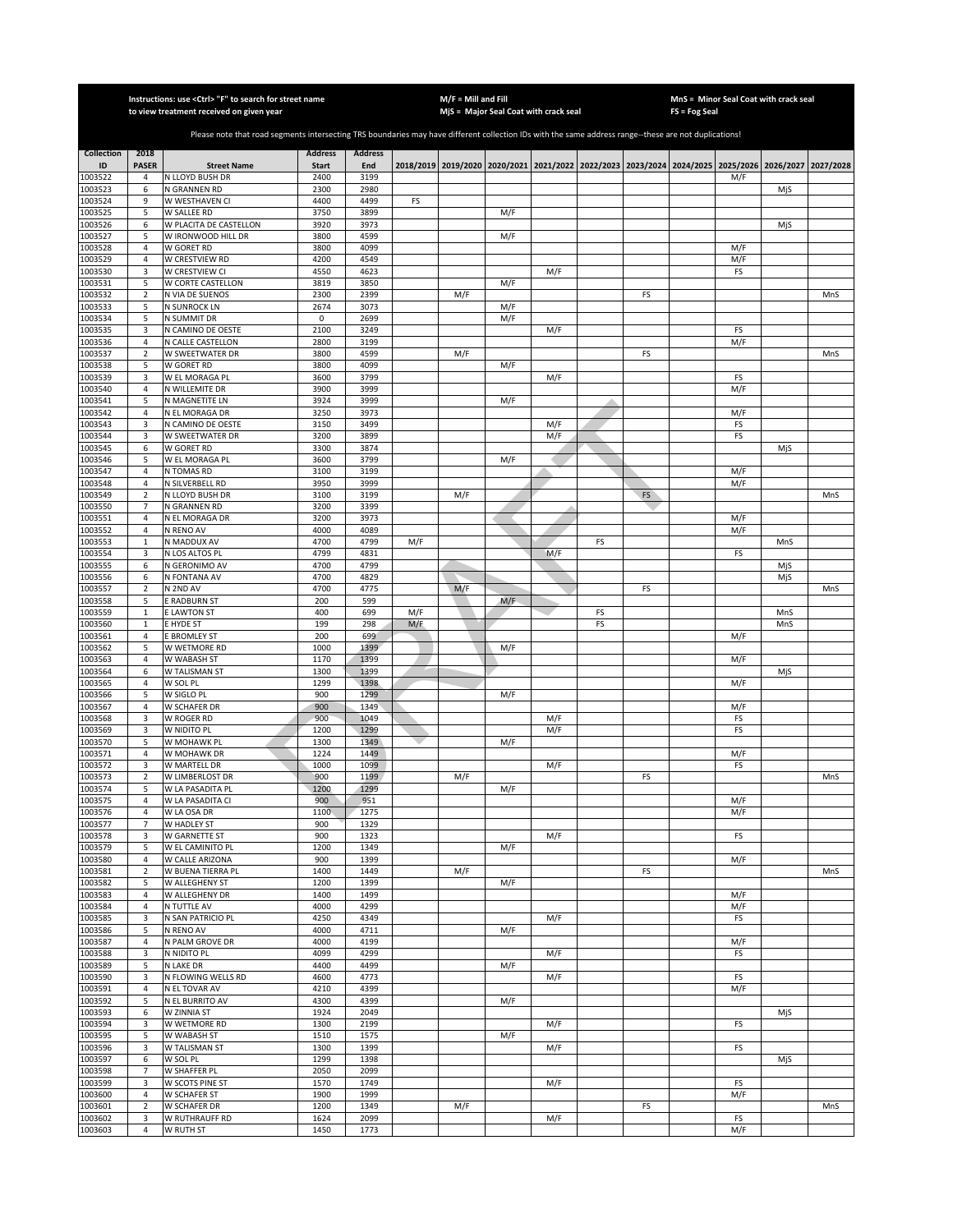|                    |                           | Instructions: use < Ctrl> "F" to search for street name<br>to view treatment received on given year                                                   |                |                |     | $M/F =$ Mill and Fill |     | MjS = Major Seal Coat with crack seal |    |    | FS = Fog Seal | MnS = Minor Seal Coat with crack seal                                                     |     |           |
|--------------------|---------------------------|-------------------------------------------------------------------------------------------------------------------------------------------------------|----------------|----------------|-----|-----------------------|-----|---------------------------------------|----|----|---------------|-------------------------------------------------------------------------------------------|-----|-----------|
|                    |                           |                                                                                                                                                       |                |                |     |                       |     |                                       |    |    |               |                                                                                           |     |           |
|                    |                           | Please note that road segments intersecting TRS boundaries may have different collection IDs with the same address range--these are not duplications! |                |                |     |                       |     |                                       |    |    |               |                                                                                           |     |           |
| <b>Collection</b>  | 2018                      |                                                                                                                                                       | <b>Address</b> | <b>Address</b> |     |                       |     |                                       |    |    |               |                                                                                           |     |           |
| ID                 | <b>PASER</b>              | <b>Street Name</b>                                                                                                                                    | <b>Start</b>   | End            |     |                       |     |                                       |    |    |               | 2018/2019 2019/2020 2020/2021 2021/2022 2022/2023 2023/2024 2024/2025 2025/2026 2026/2027 |     | 2027/2028 |
| 1003522            | 4                         | N LLOYD BUSH DR                                                                                                                                       | 2400           | 3199           |     |                       |     |                                       |    |    |               | M/F                                                                                       |     |           |
| 1003523<br>1003524 | 6<br>9                    | N GRANNEN RD<br>W WESTHAVEN CI                                                                                                                        | 2300<br>4400   | 2980<br>4499   | FS  |                       |     |                                       |    |    |               |                                                                                           | MjS |           |
| 1003525            | 5                         | W SALLEE RD                                                                                                                                           | 3750           | 3899           |     |                       | M/F |                                       |    |    |               |                                                                                           |     |           |
| 1003526            | 6                         | W PLACITA DE CASTELLON                                                                                                                                | 3920           | 3973           |     |                       |     |                                       |    |    |               |                                                                                           | MjS |           |
| 1003527            | 5                         | W IRONWOOD HILL DR                                                                                                                                    | 3800           | 4599           |     |                       | M/F |                                       |    |    |               |                                                                                           |     |           |
| 1003528            | $\overline{4}$            | W GORET RD                                                                                                                                            | 3800           | 4099           |     |                       |     |                                       |    |    |               | M/F                                                                                       |     |           |
| 1003529<br>1003530 | $\overline{4}$<br>3       | W CRESTVIEW RD<br>W CRESTVIEW CI                                                                                                                      | 4200<br>4550   | 4549<br>4623   |     |                       |     | M/F                                   |    |    |               | M/F<br>FS                                                                                 |     |           |
| 1003531            | 5                         | W CORTE CASTELLON                                                                                                                                     | 3819           | 3850           |     |                       | M/F |                                       |    |    |               |                                                                                           |     |           |
| 1003532            | $\overline{2}$            | N VIA DE SUENOS                                                                                                                                       | 2300           | 2399           |     | M/F                   |     |                                       |    | FS |               |                                                                                           |     | MnS       |
| 1003533            | 5                         | N SUNROCK LN                                                                                                                                          | 2674           | 3073           |     |                       | M/F |                                       |    |    |               |                                                                                           |     |           |
| 1003534            | 5                         | N SUMMIT DR                                                                                                                                           | 0              | 2699           |     |                       | M/F |                                       |    |    |               |                                                                                           |     |           |
| 1003535            | 3                         | N CAMINO DE OESTE                                                                                                                                     | 2100           | 3249           |     |                       |     | M/F                                   |    |    |               | FS                                                                                        |     |           |
| 1003536<br>1003537 | $\sqrt{4}$<br>$\mathbf 2$ | N CALLE CASTELLON<br>W SWEETWATER DR                                                                                                                  | 2800<br>3800   | 3199<br>4599   |     | M/F                   |     |                                       |    | FS |               | M/F                                                                                       |     | MnS       |
| 1003538            | 5                         | W GORET RD                                                                                                                                            | 3800           | 4099           |     |                       | M/F |                                       |    |    |               |                                                                                           |     |           |
| 1003539            | 3                         | W EL MORAGA PL                                                                                                                                        | 3600           | 3799           |     |                       |     | M/F                                   |    |    |               | FS                                                                                        |     |           |
| 1003540            | $\sqrt{4}$                | N WILLEMITE DR                                                                                                                                        | 3900           | 3999           |     |                       |     |                                       |    |    |               | M/F                                                                                       |     |           |
| 1003541            | 5                         | N MAGNETITE LN                                                                                                                                        | 3924           | 3999           |     |                       | M/F |                                       |    |    |               |                                                                                           |     |           |
| 1003542            | 4<br>3                    | N EL MORAGA DR                                                                                                                                        | 3250<br>3150   | 3973<br>3499   |     |                       |     |                                       |    |    |               | M/F                                                                                       |     |           |
| 1003543<br>1003544 | 3                         | N CAMINO DE OESTE<br>W SWEETWATER DR                                                                                                                  | 3200           | 3899           |     |                       |     | M/F<br>M/F                            |    |    |               | FS<br>FS                                                                                  |     |           |
| 1003545            | 6                         | W GORET RD                                                                                                                                            | 3300           | 3874           |     |                       |     |                                       |    |    |               |                                                                                           | MjS |           |
| 1003546            | 5                         | W EL MORAGA PL                                                                                                                                        | 3600           | 3799           |     |                       | M/F |                                       |    |    |               |                                                                                           |     |           |
| 1003547            | 4                         | N TOMAS RD                                                                                                                                            | 3100           | 3199           |     |                       |     |                                       |    |    |               | M/F                                                                                       |     |           |
| 1003548            | $\overline{4}$            | N SILVERBELL RD                                                                                                                                       | 3950           | 3999           |     |                       |     |                                       |    |    |               | M/F                                                                                       |     |           |
| 1003549            | $\overline{2}$            | N LLOYD BUSH DR<br>N GRANNEN RD                                                                                                                       | 3100<br>3200   | 3199<br>3399   |     | M/F                   |     |                                       |    | FS |               |                                                                                           |     | MnS       |
| 1003550<br>1003551 | 7<br>$\overline{4}$       | N EL MORAGA DR                                                                                                                                        | 3200           | 3973           |     |                       |     |                                       |    |    |               | M/F                                                                                       |     |           |
| 1003552            | $\overline{4}$            | N RENO AV                                                                                                                                             | 4000           | 4089           |     |                       |     |                                       |    |    |               | M/F                                                                                       |     |           |
| 1003553            | $\mathbf 1$               | N MADDUX AV                                                                                                                                           | 4700           | 4799           | M/F |                       |     |                                       | FS |    |               |                                                                                           | MnS |           |
| 1003554            | 3                         | N LOS ALTOS PL                                                                                                                                        | 4799           | 4831           |     |                       |     | M/F                                   |    |    |               | FS                                                                                        |     |           |
| 1003555            | 6                         | N GERONIMO AV                                                                                                                                         | 4700           | 4799           |     |                       |     |                                       |    |    |               |                                                                                           | MjS |           |
| 1003556<br>1003557 | 6<br>$\mathbf 2$          | N FONTANA AV<br>N 2ND AV                                                                                                                              | 4700<br>4700   | 4829<br>4775   |     | M/F                   |     |                                       |    | FS |               |                                                                                           | MjS | MnS       |
| 1003558            | 5                         | E RADBURN ST                                                                                                                                          | 200            | 599            |     |                       | M/F |                                       |    |    |               |                                                                                           |     |           |
| 1003559            | $\mathbf 1$               | <b>E LAWTON ST</b>                                                                                                                                    | 400            | 699            | M/F |                       |     |                                       | FS |    |               |                                                                                           | MnS |           |
| 1003560            | $\mathbf 1$               | E HYDE ST                                                                                                                                             | 199            | 298            | M/F |                       |     |                                       | FS |    |               |                                                                                           | MnS |           |
| 1003561            | $\sqrt{4}$                | E BROMLEY ST                                                                                                                                          | 200            | 699            |     |                       |     |                                       |    |    |               | M/F                                                                                       |     |           |
| 1003562            | 5                         | W WETMORE RD                                                                                                                                          | 1000           | 1399           |     |                       | M/F |                                       |    |    |               |                                                                                           |     |           |
| 1003563<br>1003564 | $\sqrt{4}$<br>6           | W WABASH ST<br>W TALISMAN ST                                                                                                                          | 1170<br>1300   | 1399<br>1399   |     |                       |     |                                       |    |    |               | M/F                                                                                       | MjS |           |
| 1003565            | $\sqrt{4}$                | W SOL PL                                                                                                                                              | 1299           | 1398           |     |                       |     |                                       |    |    |               | M/F                                                                                       |     |           |
| 1003566            | 5                         | W SIGLO PL                                                                                                                                            | 900            | 1299           |     |                       | M/F |                                       |    |    |               |                                                                                           |     |           |
| 1003567            | 4                         | W SCHAFER DR                                                                                                                                          | 900            | 1349           |     |                       |     |                                       |    |    |               | M/F                                                                                       |     |           |
| 1003568            | 3                         | W ROGER RD                                                                                                                                            | 900            | 1049           |     |                       |     | M/F                                   |    |    |               | FS                                                                                        |     |           |
| 1003569<br>1003570 | 3<br>5                    | W NIDITO PL<br>W MOHAWK PL                                                                                                                            | 1200<br>1300   | 1299<br>1349   |     |                       | M/F | M/F                                   |    |    |               | FS                                                                                        |     |           |
| 1003571            | 4                         | W MOHAWK DR                                                                                                                                           | 1224           | 1449           |     |                       |     |                                       |    |    |               | M/F                                                                                       |     |           |
| 1003572            | 3                         | W MARTELL DR                                                                                                                                          | 1000           | 1099           |     |                       |     | M/F                                   |    |    |               | FS                                                                                        |     |           |
| 1003573            | $\overline{2}$            | W LIMBERLOST DR                                                                                                                                       | 900            | 1199           |     | M/F                   |     |                                       |    | FS |               |                                                                                           |     | MnS       |
| 1003574            | 5                         | W LA PASADITA PL                                                                                                                                      | 1200           | 1299           |     |                       | M/F |                                       |    |    |               |                                                                                           |     |           |
| 1003575            | 4<br>$\overline{4}$       | W LA PASADITA CI                                                                                                                                      | 900            | 951            |     |                       |     |                                       |    |    |               | M/F                                                                                       |     |           |
| 1003576<br>1003577 | 7                         | W LA OSA DR<br>W HADLEY ST                                                                                                                            | 1100<br>900    | 1275<br>1329   |     |                       |     |                                       |    |    |               | M/F                                                                                       |     |           |
| 1003578            | 3                         | W GARNETTE ST                                                                                                                                         | 900            | 1323           |     |                       |     | M/F                                   |    |    |               | FS                                                                                        |     |           |
| 1003579            | 5                         | W EL CAMINITO PL                                                                                                                                      | 1200           | 1349           |     |                       | M/F |                                       |    |    |               |                                                                                           |     |           |
| 1003580            | 4                         | W CALLE ARIZONA                                                                                                                                       | 900            | 1399           |     |                       |     |                                       |    |    |               | M/F                                                                                       |     |           |
| 1003581<br>1003582 | $\mathbf 2$<br>5          | W BUENA TIERRA PL                                                                                                                                     | 1400<br>1200   | 1449<br>1399   |     | M/F                   | M/F |                                       |    | FS |               |                                                                                           |     | MnS       |
| 1003583            | 4                         | W ALLEGHENY ST<br>W ALLEGHENY DR                                                                                                                      | 1400           | 1499           |     |                       |     |                                       |    |    |               | M/F                                                                                       |     |           |
| 1003584            | $\sqrt{4}$                | N TUTTLE AV                                                                                                                                           | 4000           | 4299           |     |                       |     |                                       |    |    |               | M/F                                                                                       |     |           |
| 1003585            | 3                         | N SAN PATRICIO PL                                                                                                                                     | 4250           | 4349           |     |                       |     | M/F                                   |    |    |               | FS                                                                                        |     |           |
| 1003586            | 5                         | N RENO AV                                                                                                                                             | 4000           | 4711           |     |                       | M/F |                                       |    |    |               |                                                                                           |     |           |
| 1003587            | $\overline{4}$            | N PALM GROVE DR                                                                                                                                       | 4000           | 4199           |     |                       |     |                                       |    |    |               | M/F                                                                                       |     |           |
| 1003588            | 3                         | N NIDITO PL                                                                                                                                           | 4099           | 4299           |     |                       |     | M/F                                   |    |    |               | FS                                                                                        |     |           |
| 1003589<br>1003590 | 5<br>3                    | N LAKE DR<br>N FLOWING WELLS RD                                                                                                                       | 4400<br>4600   | 4499<br>4773   |     |                       | M/F | M/F                                   |    |    |               | FS                                                                                        |     |           |
| 1003591            | $\overline{4}$            | N EL TOVAR AV                                                                                                                                         | 4210           | 4399           |     |                       |     |                                       |    |    |               | M/F                                                                                       |     |           |
| 1003592            | 5                         | N EL BURRITO AV                                                                                                                                       | 4300           | 4399           |     |                       | M/F |                                       |    |    |               |                                                                                           |     |           |
| 1003593            | 6                         | W ZINNIA ST                                                                                                                                           | 1924           | 2049           |     |                       |     |                                       |    |    |               |                                                                                           | MjS |           |
| 1003594            | 3                         | W WETMORE RD                                                                                                                                          | 1300           | 2199           |     |                       |     | M/F                                   |    |    |               | FS                                                                                        |     |           |
| 1003595            | 5                         | W WABASH ST                                                                                                                                           | 1510           | 1575           |     |                       | M/F |                                       |    |    |               |                                                                                           |     |           |
| 1003596<br>1003597 | 3<br>6                    | W TALISMAN ST<br>W SOL PL                                                                                                                             | 1300<br>1299   | 1399<br>1398   |     |                       |     | M/F                                   |    |    |               | FS                                                                                        | MjS |           |
| 1003598            | $\overline{7}$            | W SHAFFER PL                                                                                                                                          | 2050           | 2099           |     |                       |     |                                       |    |    |               |                                                                                           |     |           |
| 1003599            | 3                         | <b>W SCOTS PINE ST</b>                                                                                                                                | 1570           | 1749           |     |                       |     | M/F                                   |    |    |               | FS                                                                                        |     |           |
| 1003600            | $\overline{4}$            | W SCHAFER ST                                                                                                                                          | 1900           | 1999           |     |                       |     |                                       |    |    |               | M/F                                                                                       |     |           |
| 1003601            | $\overline{2}$            | W SCHAFER DR                                                                                                                                          | 1200           | 1349           |     | M/F                   |     |                                       |    | FS |               |                                                                                           |     | MnS       |
| 1003602            | 3<br>$\overline{4}$       | W RUTHRAUFF RD<br>W RUTH ST                                                                                                                           | 1624<br>1450   | 2099           |     |                       |     | M/F                                   |    |    |               | FS                                                                                        |     |           |
| 1003603            |                           |                                                                                                                                                       |                | 1773           |     |                       |     |                                       |    |    |               | M/F                                                                                       |     |           |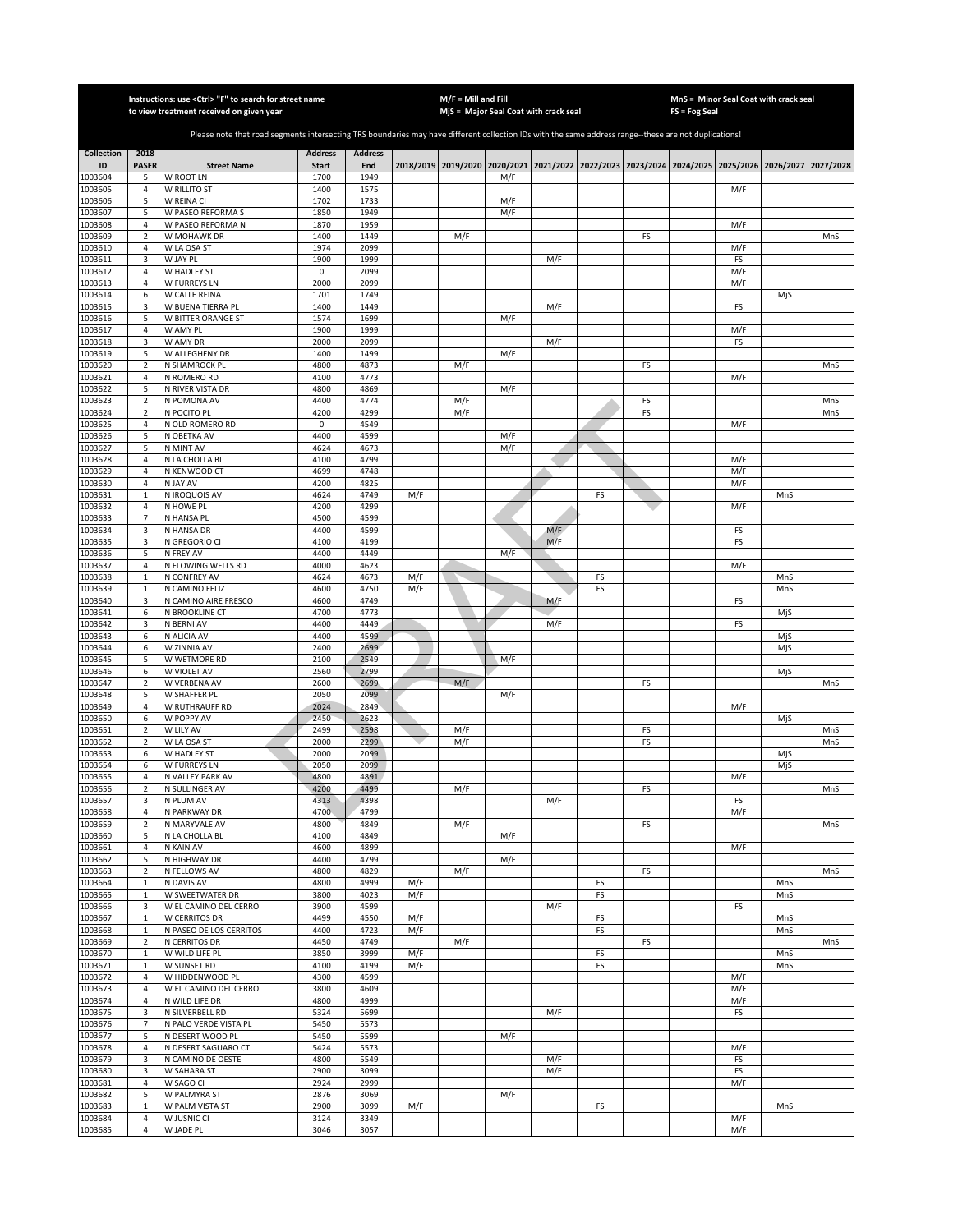|                    |                              | Instructions: use < Ctrl> "F" to search for street name<br>to view treatment received on given year                                                   |                |                |     | $M/F =$ Mill and Fill |     | MjS = Major Seal Coat with crack seal |    |    | <b>FS = Fog Seal</b> | MnS = Minor Seal Coat with crack seal                                                     |            |           |
|--------------------|------------------------------|-------------------------------------------------------------------------------------------------------------------------------------------------------|----------------|----------------|-----|-----------------------|-----|---------------------------------------|----|----|----------------------|-------------------------------------------------------------------------------------------|------------|-----------|
|                    |                              |                                                                                                                                                       |                |                |     |                       |     |                                       |    |    |                      |                                                                                           |            |           |
|                    |                              | Please note that road segments intersecting TRS boundaries may have different collection IDs with the same address range--these are not duplications! |                |                |     |                       |     |                                       |    |    |                      |                                                                                           |            |           |
| <b>Collection</b>  | 2018                         |                                                                                                                                                       | <b>Address</b> | <b>Address</b> |     |                       |     |                                       |    |    |                      |                                                                                           |            |           |
| ID                 | <b>PASER</b>                 | <b>Street Name</b>                                                                                                                                    | <b>Start</b>   | End            |     |                       |     |                                       |    |    |                      | 2018/2019 2019/2020 2020/2021 2021/2022 2022/2023 2023/2024 2024/2025 2025/2026 2026/2027 |            | 2027/2028 |
| 1003604<br>1003605 | 5<br>$\overline{4}$          | W ROOT LN<br>W RILLITO ST                                                                                                                             | 1700<br>1400   | 1949<br>1575   |     |                       | M/F |                                       |    |    |                      | M/F                                                                                       |            |           |
| 1003606            | 5                            | W REINA CI                                                                                                                                            | 1702           | 1733           |     |                       | M/F |                                       |    |    |                      |                                                                                           |            |           |
| 1003607            | 5                            | W PASEO REFORMA S                                                                                                                                     | 1850           | 1949           |     |                       | M/F |                                       |    |    |                      |                                                                                           |            |           |
| 1003608            | $\overline{4}$               | W PASEO REFORMA N                                                                                                                                     | 1870           | 1959           |     |                       |     |                                       |    |    |                      | M/F                                                                                       |            |           |
| 1003609<br>1003610 | $\sqrt{2}$<br>$\overline{4}$ | W MOHAWK DR<br>W LA OSA ST                                                                                                                            | 1400<br>1974   | 1449<br>2099   |     | M/F                   |     |                                       |    | FS |                      | M/F                                                                                       |            | MnS       |
| 1003611            | 3                            | W JAY PL                                                                                                                                              | 1900           | 1999           |     |                       |     | M/F                                   |    |    |                      | FS                                                                                        |            |           |
| 1003612            | $\sqrt{4}$                   | W HADLEY ST                                                                                                                                           | 0              | 2099           |     |                       |     |                                       |    |    |                      | M/F                                                                                       |            |           |
| 1003613            | 4                            | W FURREYS LN                                                                                                                                          | 2000           | 2099           |     |                       |     |                                       |    |    |                      | M/F                                                                                       |            |           |
| 1003614            | 6                            | W CALLE REINA                                                                                                                                         | 1701           | 1749           |     |                       |     |                                       |    |    |                      |                                                                                           | MjS        |           |
| 1003615<br>1003616 | 3<br>5                       | W BUENA TIERRA PL<br>W BITTER ORANGE ST                                                                                                               | 1400<br>1574   | 1449<br>1699   |     |                       | M/F | M/F                                   |    |    |                      | FS                                                                                        |            |           |
| 1003617            | 4                            | W AMY PL                                                                                                                                              | 1900           | 1999           |     |                       |     |                                       |    |    |                      | M/F                                                                                       |            |           |
| 1003618            | 3                            | W AMY DR                                                                                                                                              | 2000           | 2099           |     |                       |     | M/F                                   |    |    |                      | FS                                                                                        |            |           |
| 1003619            | 5                            | W ALLEGHENY DR                                                                                                                                        | 1400           | 1499           |     |                       | M/F |                                       |    |    |                      |                                                                                           |            |           |
| 1003620            | $\mathbf 2$                  | N SHAMROCK PL                                                                                                                                         | 4800           | 4873           |     | M/F                   |     |                                       |    | FS |                      |                                                                                           |            | MnS       |
| 1003621<br>1003622 | $\overline{4}$<br>5          | N ROMERO RD<br>N RIVER VISTA DR                                                                                                                       | 4100<br>4800   | 4773<br>4869   |     |                       | M/F |                                       |    |    |                      | M/F                                                                                       |            |           |
| 1003623            | $\mathbf 2$                  | N POMONA AV                                                                                                                                           | 4400           | 4774           |     | M/F                   |     |                                       |    | FS |                      |                                                                                           |            | MnS       |
| 1003624            | 2                            | N POCITO PL                                                                                                                                           | 4200           | 4299           |     | M/F                   |     |                                       |    | FS |                      |                                                                                           |            | MnS       |
| 1003625            | 4                            | N OLD ROMERO RD                                                                                                                                       | 0              | 4549           |     |                       |     |                                       |    |    |                      | M/F                                                                                       |            |           |
| 1003626            | 5                            | N OBETKA AV                                                                                                                                           | 4400           | 4599           |     |                       | M/F |                                       |    |    |                      |                                                                                           |            |           |
| 1003627            | 5                            | N MINT AV                                                                                                                                             | 4624<br>4100   | 4673<br>4799   |     |                       | M/F |                                       |    |    |                      |                                                                                           |            |           |
| 1003628<br>1003629 | 4<br>$\overline{4}$          | N LA CHOLLA BL<br>N KENWOOD CT                                                                                                                        | 4699           | 4748           |     |                       |     |                                       |    |    |                      | M/F<br>M/F                                                                                |            |           |
| 1003630            | $\overline{4}$               | N JAY AV                                                                                                                                              | 4200           | 4825           |     |                       |     |                                       |    |    |                      | M/F                                                                                       |            |           |
| 1003631            | $\mathbf{1}$                 | N IROQUOIS AV                                                                                                                                         | 4624           | 4749           | M/F |                       |     |                                       | FS |    |                      |                                                                                           | MnS        |           |
| 1003632            | $\overline{4}$               | N HOWE PL                                                                                                                                             | 4200           | 4299           |     |                       |     |                                       |    |    |                      | M/F                                                                                       |            |           |
| 1003633            | $\overline{7}$               | N HANSA PL<br>N HANSA DR                                                                                                                              | 4500           | 4599           |     |                       |     |                                       |    |    |                      |                                                                                           |            |           |
| 1003634<br>1003635 | 3<br>3                       | N GREGORIO CI                                                                                                                                         | 4400<br>4100   | 4599<br>4199   |     |                       |     | M/F<br>M/F                            |    |    |                      | FS<br>FS                                                                                  |            |           |
| 1003636            | 5                            | N FREY AV                                                                                                                                             | 4400           | 4449           |     |                       | M/F |                                       |    |    |                      |                                                                                           |            |           |
| 1003637            | $\overline{4}$               | N FLOWING WELLS RD                                                                                                                                    | 4000           | 4623           |     |                       |     |                                       |    |    |                      | M/F                                                                                       |            |           |
| 1003638            | $\mathbf 1$                  | N CONFREY AV                                                                                                                                          | 4624           | 4673           | M/F |                       |     |                                       | FS |    |                      |                                                                                           | MnS        |           |
| 1003639            | $\mathbf{1}$                 | N CAMINO FELIZ                                                                                                                                        | 4600           | 4750           | M/F |                       |     |                                       | FS |    |                      |                                                                                           | MnS        |           |
| 1003640<br>1003641 | 3<br>6                       | N CAMINO AIRE FRESCO<br>N BROOKLINE CT                                                                                                                | 4600<br>4700   | 4749<br>4773   |     |                       |     | M/F                                   |    |    |                      | FS                                                                                        | MjS        |           |
| 1003642            | 3                            | N BERNI AV                                                                                                                                            | 4400           | 4449           |     |                       |     | M/F                                   |    |    |                      | FS                                                                                        |            |           |
| 1003643            | 6                            | N ALICIA AV                                                                                                                                           | 4400           | 4599           |     |                       |     |                                       |    |    |                      |                                                                                           | MjS        |           |
| 1003644            | 6                            | W ZINNIA AV                                                                                                                                           | 2400           | 2699           |     |                       |     |                                       |    |    |                      |                                                                                           | MjS        |           |
| 1003645            | 5                            | W WETMORE RD                                                                                                                                          | 2100           | 2549           |     |                       | M/F |                                       |    |    |                      |                                                                                           |            |           |
| 1003646<br>1003647 | 6<br>$\overline{2}$          | W VIOLET AV<br>W VERBENA AV                                                                                                                           | 2560<br>2600   | 2799<br>2699   |     | M/F                   |     |                                       |    | FS |                      |                                                                                           | MjS        | MnS       |
| 1003648            | 5                            | W SHAFFER PL                                                                                                                                          | 2050           | 2099           |     |                       | M/F |                                       |    |    |                      |                                                                                           |            |           |
| 1003649            | 4                            | W RUTHRAUFF RD                                                                                                                                        | 2024           | 2849           |     |                       |     |                                       |    |    |                      | M/F                                                                                       |            |           |
| 1003650            | 6                            | W POPPY AV                                                                                                                                            | 2450           | 2623           |     |                       |     |                                       |    |    |                      |                                                                                           | MjS        |           |
| 1003651            | $\overline{2}$               | W LILY AV                                                                                                                                             | 2499           | 2598           |     | M/F                   |     |                                       |    | FS |                      |                                                                                           |            | MnS       |
| 1003652<br>1003653 | $\overline{2}$<br>6          | W LA OSA ST<br>W HADLEY ST                                                                                                                            | 2000<br>2000   | 2299<br>2099   |     | M/F                   |     |                                       |    | FS |                      |                                                                                           | MjS        | MnS       |
| 1003654            | 6                            | W FURREYS LN                                                                                                                                          | 2050           | 2099           |     |                       |     |                                       |    |    |                      |                                                                                           | MjS        |           |
| 1003655            | $\overline{4}$               | N VALLEY PARK AV                                                                                                                                      | 4800           | 4891           |     |                       |     |                                       |    |    |                      | M/F                                                                                       |            |           |
| 1003656            | $\overline{2}$               | N SULLINGER AV                                                                                                                                        | 4200           | 4499           |     | M/F                   |     |                                       |    | FS |                      |                                                                                           |            | MnS       |
| 1003657<br>1003658 | 3<br>$\overline{4}$          | N PLUM AV<br>N PARKWAY DR                                                                                                                             | 4313<br>4700   | 4398<br>4799   |     |                       |     | M/F                                   |    |    |                      | FS<br>M/F                                                                                 |            |           |
| 1003659            | $\overline{2}$               | N MARYVALE AV                                                                                                                                         | 4800           | 4849           |     | M/F                   |     |                                       |    | FS |                      |                                                                                           |            | MnS       |
| 1003660            | 5                            | N LA CHOLLA BL                                                                                                                                        | 4100           | 4849           |     |                       | M/F |                                       |    |    |                      |                                                                                           |            |           |
| 1003661            | 4                            | N KAIN AV                                                                                                                                             | 4600           | 4899           |     |                       |     |                                       |    |    |                      | M/F                                                                                       |            |           |
| 1003662            | 5                            | N HIGHWAY DR                                                                                                                                          | 4400           | 4799           |     |                       | M/F |                                       |    |    |                      |                                                                                           |            |           |
| 1003663<br>1003664 | $\mathbf 2$<br>$\mathbf 1$   | N FELLOWS AV<br>N DAVIS AV                                                                                                                            | 4800<br>4800   | 4829<br>4999   | M/F | M/F                   |     |                                       | FS | FS |                      |                                                                                           | MnS        | MnS       |
| 1003665            | $\mathbf 1$                  | W SWEETWATER DR                                                                                                                                       | 3800           | 4023           | M/F |                       |     |                                       | FS |    |                      |                                                                                           | MnS        |           |
| 1003666            | 3                            | W EL CAMINO DEL CERRO                                                                                                                                 | 3900           | 4599           |     |                       |     | M/F                                   |    |    |                      | FS                                                                                        |            |           |
| 1003667            | $\mathbf 1$                  | <b>W CERRITOS DR</b>                                                                                                                                  | 4499           | 4550           | M/F |                       |     |                                       | FS |    |                      |                                                                                           | MnS        |           |
| 1003668            | $\mathbf 1$                  | N PASEO DE LOS CERRITOS                                                                                                                               | 4400           | 4723           | M/F |                       |     |                                       | FS |    |                      |                                                                                           | MnS        |           |
| 1003669<br>1003670 | $\overline{2}$<br>$\,1\,$    | N CERRITOS DR<br>W WILD LIFE PL                                                                                                                       | 4450<br>3850   | 4749<br>3999   | M/F | M/F                   |     |                                       | FS | FS |                      |                                                                                           |            | MnS       |
| 1003671            | $\mathbf 1$                  | W SUNSET RD                                                                                                                                           | 4100           | 4199           | M/F |                       |     |                                       | FS |    |                      |                                                                                           | MnS<br>MnS |           |
| 1003672            | $\sqrt{4}$                   | W HIDDENWOOD PL                                                                                                                                       | 4300           | 4599           |     |                       |     |                                       |    |    |                      | M/F                                                                                       |            |           |
| 1003673            | $\overline{4}$               | W EL CAMINO DEL CERRO                                                                                                                                 | 3800           | 4609           |     |                       |     |                                       |    |    |                      | M/F                                                                                       |            |           |
| 1003674            | 4                            | N WILD LIFE DR                                                                                                                                        | 4800           | 4999           |     |                       |     |                                       |    |    |                      | M/F                                                                                       |            |           |
| 1003675<br>1003676 | 3<br>$\overline{7}$          | N SILVERBELL RD<br>N PALO VERDE VISTA PL                                                                                                              | 5324<br>5450   | 5699<br>5573   |     |                       |     | M/F                                   |    |    |                      | FS                                                                                        |            |           |
| 1003677            | 5                            | N DESERT WOOD PL                                                                                                                                      | 5450           | 5599           |     |                       | M/F |                                       |    |    |                      |                                                                                           |            |           |
| 1003678            | 4                            | N DESERT SAGUARO CT                                                                                                                                   | 5424           | 5573           |     |                       |     |                                       |    |    |                      | M/F                                                                                       |            |           |
| 1003679            | 3                            | N CAMINO DE OESTE                                                                                                                                     | 4800           | 5549           |     |                       |     | M/F                                   |    |    |                      | FS                                                                                        |            |           |
| 1003680            | 3                            | W SAHARA ST                                                                                                                                           | 2900           | 3099           |     |                       |     | M/F                                   |    |    |                      | FS                                                                                        |            |           |
| 1003681<br>1003682 | $\overline{4}$               | W SAGO CI<br>W PALMYRA ST                                                                                                                             | 2924<br>2876   | 2999<br>3069   |     |                       |     |                                       |    |    |                      | M/F                                                                                       |            |           |
| 1003683            | 5<br>$\mathbf{1}$            | W PALM VISTA ST                                                                                                                                       | 2900           | 3099           | M/F |                       | M/F |                                       | FS |    |                      |                                                                                           | MnS        |           |
| 1003684            | $\overline{4}$               | W JUSNIC CI                                                                                                                                           | 3124           | 3349           |     |                       |     |                                       |    |    |                      | M/F                                                                                       |            |           |
| 1003685            | $\overline{4}$               | W JADE PL                                                                                                                                             | 3046           | 3057           |     |                       |     |                                       |    |    |                      | M/F                                                                                       |            |           |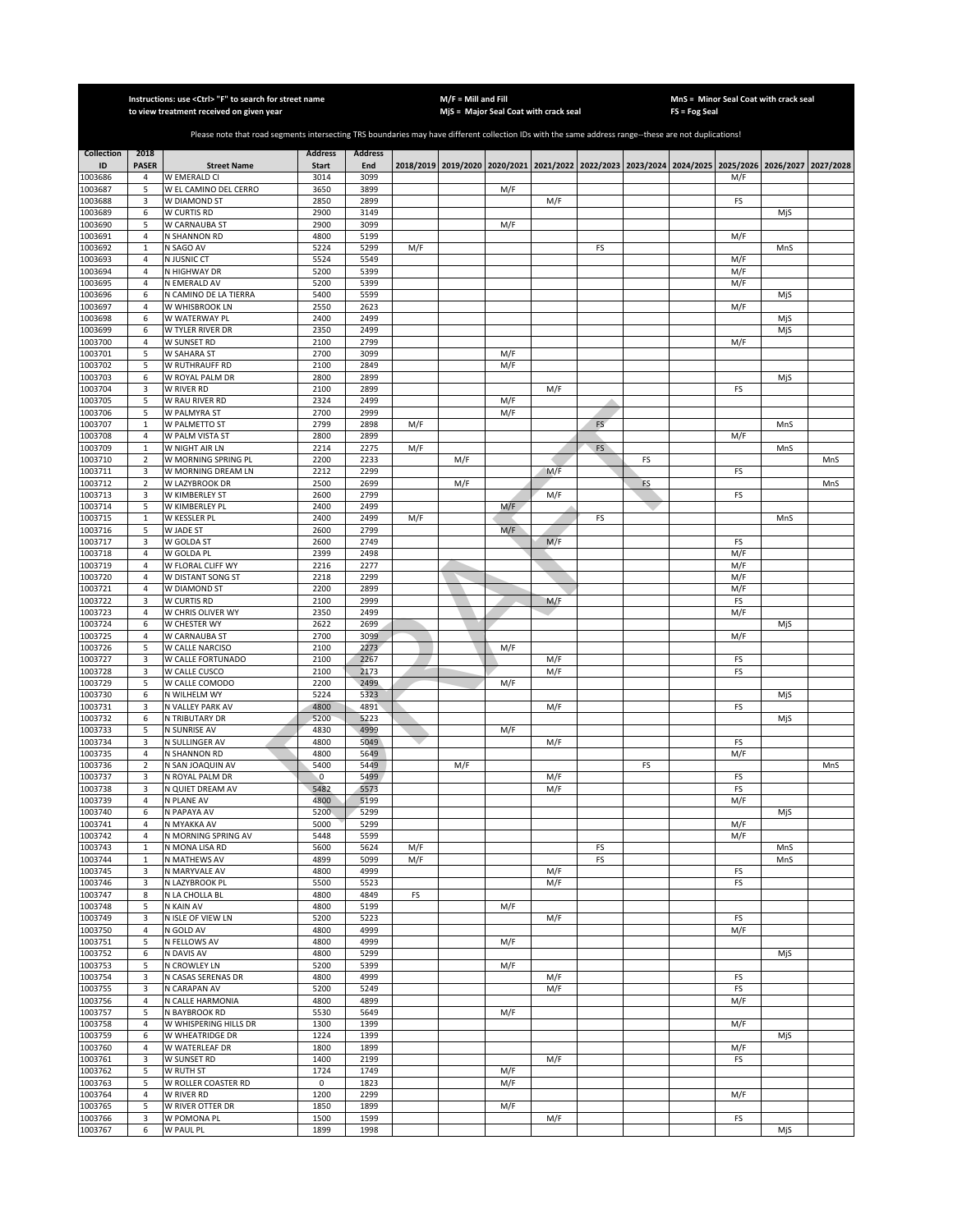|                    |                           | Instructions: use <ctrl> "F" to search for street name<br/>to view treatment received on given year</ctrl>                                            |                     |                |     | $M/F =$ Mill and Fill | MjS = Major Seal Coat with crack seal |            |           |    | FS = Fog Seal | MnS = Minor Seal Coat with crack seal                                                               |     |     |
|--------------------|---------------------------|-------------------------------------------------------------------------------------------------------------------------------------------------------|---------------------|----------------|-----|-----------------------|---------------------------------------|------------|-----------|----|---------------|-----------------------------------------------------------------------------------------------------|-----|-----|
|                    |                           |                                                                                                                                                       |                     |                |     |                       |                                       |            |           |    |               |                                                                                                     |     |     |
|                    |                           | Please note that road segments intersecting TRS boundaries may have different collection IDs with the same address range--these are not duplications! |                     |                |     |                       |                                       |            |           |    |               |                                                                                                     |     |     |
| <b>Collection</b>  | 2018                      |                                                                                                                                                       | <b>Address</b>      | <b>Address</b> |     |                       |                                       |            |           |    |               |                                                                                                     |     |     |
| ID                 | <b>PASER</b>              | <b>Street Name</b>                                                                                                                                    | <b>Start</b>        | End            |     |                       |                                       |            |           |    |               | 2018/2019 2019/2020 2020/2021 2021/2022 2022/2023 2023/2024 2024/2025 2025/2026 2026/2027 2027/2028 |     |     |
| 1003686<br>1003687 | 4<br>5                    | W EMERALD CI<br>W EL CAMINO DEL CERRO                                                                                                                 | 3014<br>3650        | 3099<br>3899   |     |                       | M/F                                   |            |           |    |               | M/F                                                                                                 |     |     |
| 1003688            | 3                         | W DIAMOND ST                                                                                                                                          | 2850                | 2899           |     |                       |                                       | M/F        |           |    |               | FS                                                                                                  |     |     |
| 1003689            | 6                         | W CURTIS RD                                                                                                                                           | 2900                | 3149           |     |                       |                                       |            |           |    |               |                                                                                                     | MjS |     |
| 1003690            | 5                         | W CARNAUBA ST                                                                                                                                         | 2900                | 3099           |     |                       | M/F                                   |            |           |    |               |                                                                                                     |     |     |
| 1003691<br>1003692 | $\sqrt{4}$<br>$\mathbf 1$ | N SHANNON RD<br>N SAGO AV                                                                                                                             | 4800<br>5224        | 5199<br>5299   | M/F |                       |                                       |            | FS        |    |               | M/F                                                                                                 | MnS |     |
| 1003693            | $\overline{4}$            | N JUSNIC CT                                                                                                                                           | 5524                | 5549           |     |                       |                                       |            |           |    |               | M/F                                                                                                 |     |     |
| 1003694            | 4                         | N HIGHWAY DR                                                                                                                                          | 5200                | 5399           |     |                       |                                       |            |           |    |               | M/F                                                                                                 |     |     |
| 1003695<br>1003696 | $\overline{4}$<br>6       | N EMERALD AV<br>N CAMINO DE LA TIERRA                                                                                                                 | 5200<br>5400        | 5399<br>5599   |     |                       |                                       |            |           |    |               | M/F                                                                                                 |     |     |
| 1003697            | 4                         | W WHISBROOK LN                                                                                                                                        | 2550                | 2623           |     |                       |                                       |            |           |    |               | M/F                                                                                                 | MjS |     |
| 1003698            | 6                         | W WATERWAY PL                                                                                                                                         | 2400                | 2499           |     |                       |                                       |            |           |    |               |                                                                                                     | MjS |     |
| 1003699            | 6                         | W TYLER RIVER DR                                                                                                                                      | 2350                | 2499           |     |                       |                                       |            |           |    |               |                                                                                                     | MjS |     |
| 1003700<br>1003701 | $\overline{4}$<br>5       | W SUNSET RD<br>W SAHARA ST                                                                                                                            | 2100<br>2700        | 2799<br>3099   |     |                       | M/F                                   |            |           |    |               | M/F                                                                                                 |     |     |
| 1003702            | 5                         | W RUTHRAUFF RD                                                                                                                                        | 2100                | 2849           |     |                       | M/F                                   |            |           |    |               |                                                                                                     |     |     |
| 1003703            | 6                         | W ROYAL PALM DR                                                                                                                                       | 2800                | 2899           |     |                       |                                       |            |           |    |               |                                                                                                     | MjS |     |
| 1003704            | 3                         | W RIVER RD                                                                                                                                            | 2100                | 2899           |     |                       |                                       | M/F        |           |    |               | FS                                                                                                  |     |     |
| 1003705<br>1003706 | 5<br>5                    | W RAU RIVER RD<br>W PALMYRA ST                                                                                                                        | 2324<br>2700        | 2499<br>2999   |     |                       | M/F<br>M/F                            |            |           |    |               |                                                                                                     |     |     |
| 1003707            | $\mathbf 1$               | W PALMETTO ST                                                                                                                                         | 2799                | 2898           | M/F |                       |                                       |            | FS        |    |               |                                                                                                     | MnS |     |
| 1003708            | 4                         | W PALM VISTA ST                                                                                                                                       | 2800                | 2899           |     |                       |                                       |            |           |    |               | M/F                                                                                                 |     |     |
| 1003709            | $\mathbf 1$               | W NIGHT AIR LN                                                                                                                                        | 2214                | 2275           | M/F |                       |                                       |            | <b>FS</b> |    |               |                                                                                                     | MnS |     |
| 1003710<br>1003711 | $\overline{2}$<br>3       | W MORNING SPRING PL<br>W MORNING DREAM LN                                                                                                             | 2200<br>2212        | 2233<br>2299   |     | M/F                   |                                       | M/F        |           | FS |               | FS                                                                                                  |     | MnS |
| 1003712            | $\overline{2}$            | W LAZYBROOK DR                                                                                                                                        | 2500                | 2699           |     | M/F                   |                                       |            |           | FS |               |                                                                                                     |     | MnS |
| 1003713            | 3                         | W KIMBERLEY ST                                                                                                                                        | 2600                | 2799           |     |                       |                                       | M/F        |           |    |               | FS                                                                                                  |     |     |
| 1003714<br>1003715 | 5<br>$\mathbf 1$          | W KIMBERLEY PL<br>W KESSLER PL                                                                                                                        | 2400<br>2400        | 2499<br>2499   | M/F |                       | M/F                                   |            | FS        |    |               |                                                                                                     | MnS |     |
| 1003716            | 5                         | W JADE ST                                                                                                                                             | 2600                | 2799           |     |                       | M/F                                   |            |           |    |               |                                                                                                     |     |     |
| 1003717            | 3                         | W GOLDA ST                                                                                                                                            | 2600                | 2749           |     |                       |                                       | M/F        |           |    |               | FS                                                                                                  |     |     |
| 1003718            | 4                         | W GOLDA PL                                                                                                                                            | 2399                | 2498           |     |                       |                                       |            |           |    |               | M/F                                                                                                 |     |     |
| 1003719<br>1003720 | 4<br>4                    | W FLORAL CLIFF WY<br>W DISTANT SONG ST                                                                                                                | 2216<br>2218        | 2277<br>2299   |     |                       |                                       |            |           |    |               | M/F<br>M/F                                                                                          |     |     |
| 1003721            | 4                         | W DIAMOND ST                                                                                                                                          | 2200                | 2899           |     |                       |                                       |            |           |    |               | M/F                                                                                                 |     |     |
| 1003722            | 3                         | W CURTIS RD                                                                                                                                           | 2100                | 2999           |     |                       |                                       | M/F        |           |    |               | FS                                                                                                  |     |     |
| 1003723            | 4                         | W CHRIS OLIVER WY                                                                                                                                     | 2350                | 2499           |     |                       |                                       |            |           |    |               | M/F                                                                                                 |     |     |
| 1003724<br>1003725 | 6<br>4                    | W CHESTER WY<br>W CARNAUBA ST                                                                                                                         | 2622<br>2700        | 2699<br>3099   |     |                       |                                       |            |           |    |               | M/F                                                                                                 | MjS |     |
| 1003726            | 5                         | W CALLE NARCISO                                                                                                                                       | 2100                | 2273           |     |                       | M/F                                   |            |           |    |               |                                                                                                     |     |     |
| 1003727            | 3                         | W CALLE FORTUNADO                                                                                                                                     | 2100                | 2267           |     |                       |                                       | M/F        |           |    |               | FS                                                                                                  |     |     |
| 1003728<br>1003729 | 3<br>5                    | W CALLE CUSCO<br>W CALLE COMODO                                                                                                                       | 2100<br>2200        | 2173<br>2499   |     |                       | M/F                                   | M/F        |           |    |               | FS                                                                                                  |     |     |
| 1003730            | 6                         | N WILHELM WY                                                                                                                                          | 5224                | 5323           |     |                       |                                       |            |           |    |               |                                                                                                     | MjS |     |
| 1003731            | 3                         | N VALLEY PARK AV                                                                                                                                      | 4800                | 4891           |     |                       |                                       | M/F        |           |    |               | FS                                                                                                  |     |     |
| 1003732            | 6                         | N TRIBUTARY DR                                                                                                                                        | 5200                | 5223           |     |                       |                                       |            |           |    |               |                                                                                                     | MjS |     |
| 1003733<br>1003734 | 5<br>3                    | N SUNRISE AV<br>N SULLINGER AV                                                                                                                        | 4830<br>4800        | 4999<br>5049   |     |                       | M/F                                   | M/F        |           |    |               | FS                                                                                                  |     |     |
| 1003735            | 4                         | N SHANNON RD                                                                                                                                          | 4800                | 5649           |     |                       |                                       |            |           |    |               | M/F                                                                                                 |     |     |
| 1003736            | $\mathbf 2$               | N SAN JOAQUIN AV                                                                                                                                      | 5400                | 5449           |     | M/F                   |                                       |            |           | FS |               |                                                                                                     |     | MnS |
| 1003737<br>1003738 | 3<br>3                    | N ROYAL PALM DR<br>N QUIET DREAM AV                                                                                                                   | $\mathbf 0$<br>5482 | 5499<br>5573   |     |                       |                                       | M/F<br>M/F |           |    |               | FS<br>FS                                                                                            |     |     |
| 1003739            | 4                         | N PLANE AV                                                                                                                                            | 4800                | 5199           |     |                       |                                       |            |           |    |               | M/F                                                                                                 |     |     |
| 1003740            | 6                         | N PAPAYA AV                                                                                                                                           | 5200                | 5299           |     |                       |                                       |            |           |    |               |                                                                                                     | MjS |     |
| 1003741<br>1003742 | 4<br>4                    | N MYAKKA AV<br>N MORNING SPRING AV                                                                                                                    | 5000<br>5448        | 5299<br>5599   |     |                       |                                       |            |           |    |               | M/F<br>M/F                                                                                          |     |     |
| 1003743            | $\mathbf{1}$              | N MONA LISA RD                                                                                                                                        | 5600                | 5624           | M/F |                       |                                       |            | FS        |    |               |                                                                                                     | MnS |     |
| 1003744            | $\mathbf{1}$              | N MATHEWS AV                                                                                                                                          | 4899                | 5099           | M/F |                       |                                       |            | FS        |    |               |                                                                                                     | MnS |     |
| 1003745            | 3                         | N MARYVALE AV                                                                                                                                         | 4800                | 4999           |     |                       |                                       | M/F        |           |    |               | FS                                                                                                  |     |     |
| 1003746<br>1003747 | 3<br>8                    | N LAZYBROOK PL<br>N LA CHOLLA BL                                                                                                                      | 5500<br>4800        | 5523<br>4849   | FS  |                       |                                       | M/F        |           |    |               | FS                                                                                                  |     |     |
| 1003748            | 5                         | N KAIN AV                                                                                                                                             | 4800                | 5199           |     |                       | M/F                                   |            |           |    |               |                                                                                                     |     |     |
| 1003749            | 3                         | N ISLE OF VIEW LN                                                                                                                                     | 5200                | 5223           |     |                       |                                       | M/F        |           |    |               | FS                                                                                                  |     |     |
| 1003750            | $\overline{4}$            | N GOLD AV                                                                                                                                             | 4800                | 4999           |     |                       |                                       |            |           |    |               | M/F                                                                                                 |     |     |
| 1003751<br>1003752 | 5<br>6                    | N FELLOWS AV<br>N DAVIS AV                                                                                                                            | 4800<br>4800        | 4999<br>5299   |     |                       | M/F                                   |            |           |    |               |                                                                                                     | MjS |     |
| 1003753            | 5                         | N CROWLEY LN                                                                                                                                          | 5200                | 5399           |     |                       | M/F                                   |            |           |    |               |                                                                                                     |     |     |
| 1003754            | 3                         | N CASAS SERENAS DR                                                                                                                                    | 4800                | 4999           |     |                       |                                       | M/F        |           |    |               | FS                                                                                                  |     |     |
| 1003755<br>1003756 | 3<br>$\sqrt{4}$           | N CARAPAN AV<br>N CALLE HARMONIA                                                                                                                      | 5200<br>4800        | 5249<br>4899   |     |                       |                                       | M/F        |           |    |               | FS<br>M/F                                                                                           |     |     |
| 1003757            | 5                         | N BAYBROOK RD                                                                                                                                         | 5530                | 5649           |     |                       | M/F                                   |            |           |    |               |                                                                                                     |     |     |
| 1003758            | $\sqrt{4}$                | W WHISPERING HILLS DR                                                                                                                                 | 1300                | 1399           |     |                       |                                       |            |           |    |               | M/F                                                                                                 |     |     |
| 1003759            | 6                         | W WHEATRIDGE DR                                                                                                                                       | 1224                | 1399           |     |                       |                                       |            |           |    |               |                                                                                                     | MjS |     |
| 1003760<br>1003761 | 4<br>3                    | W WATERLEAF DR<br>W SUNSET RD                                                                                                                         | 1800<br>1400        | 1899<br>2199   |     |                       |                                       | M/F        |           |    |               | M/F<br>FS                                                                                           |     |     |
| 1003762            | 5                         | W RUTH ST                                                                                                                                             | 1724                | 1749           |     |                       | M/F                                   |            |           |    |               |                                                                                                     |     |     |
| 1003763            | 5                         | W ROLLER COASTER RD                                                                                                                                   | $\mathsf 0$         | 1823           |     |                       | M/F                                   |            |           |    |               |                                                                                                     |     |     |
| 1003764            | $\sqrt{4}$                | W RIVER RD                                                                                                                                            | 1200                | 2299           |     |                       |                                       |            |           |    |               | M/F                                                                                                 |     |     |
| 1003765<br>1003766 | 5<br>3                    | W RIVER OTTER DR<br>W POMONA PL                                                                                                                       | 1850<br>1500        | 1899<br>1599   |     |                       | M/F                                   | M/F        |           |    |               | FS                                                                                                  |     |     |
| 1003767            | 6                         | W PAUL PL                                                                                                                                             | 1899                | 1998           |     |                       |                                       |            |           |    |               |                                                                                                     | MjS |     |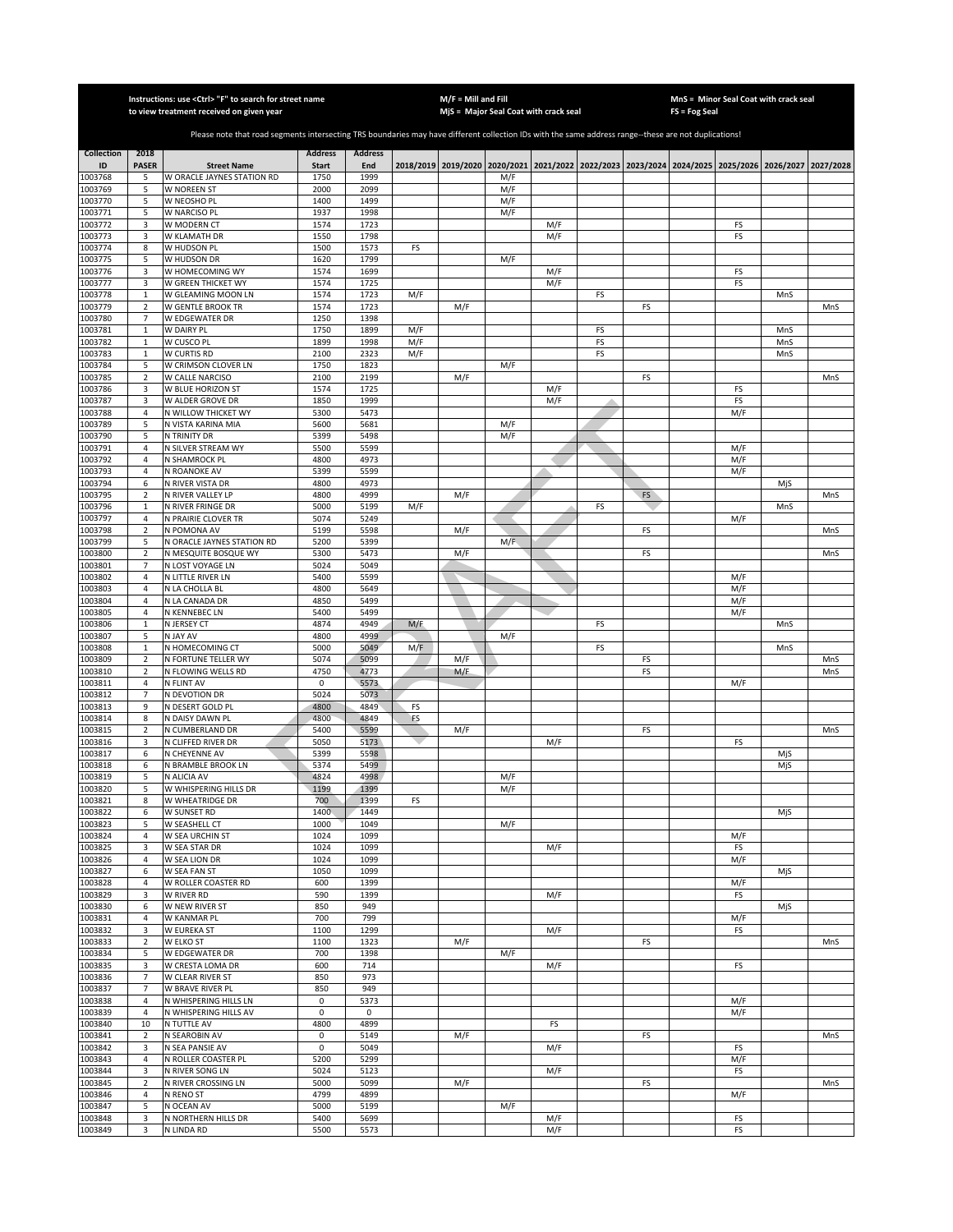|                    |                                  | Instructions: use < Ctrl> "F" to search for street name<br>to view treatment received on given year                                                   |                |                |            | $M/F =$ Mill and Fill | MjS = Major Seal Coat with crack seal |     |          |    | <b>FS = Fog Seal</b> | MnS = Minor Seal Coat with crack seal                                                     |            |           |
|--------------------|----------------------------------|-------------------------------------------------------------------------------------------------------------------------------------------------------|----------------|----------------|------------|-----------------------|---------------------------------------|-----|----------|----|----------------------|-------------------------------------------------------------------------------------------|------------|-----------|
|                    |                                  |                                                                                                                                                       |                |                |            |                       |                                       |     |          |    |                      |                                                                                           |            |           |
|                    |                                  | Please note that road segments intersecting TRS boundaries may have different collection IDs with the same address range--these are not duplications! |                |                |            |                       |                                       |     |          |    |                      |                                                                                           |            |           |
| <b>Collection</b>  | 2018                             |                                                                                                                                                       | <b>Address</b> | <b>Address</b> |            |                       |                                       |     |          |    |                      |                                                                                           |            |           |
| ID                 | <b>PASER</b>                     | <b>Street Name</b>                                                                                                                                    | <b>Start</b>   | End            |            |                       |                                       |     |          |    |                      | 2018/2019 2019/2020 2020/2021 2021/2022 2022/2023 2023/2024 2024/2025 2025/2026 2026/2027 |            | 2027/2028 |
| 1003768<br>1003769 | 5<br>5                           | W ORACLE JAYNES STATION RD<br>W NOREEN ST                                                                                                             | 1750<br>2000   | 1999<br>2099   |            |                       | M/F<br>M/F                            |     |          |    |                      |                                                                                           |            |           |
| 1003770            | 5                                | W NEOSHO PL                                                                                                                                           | 1400           | 1499           |            |                       | M/F                                   |     |          |    |                      |                                                                                           |            |           |
| 1003771            | 5                                | W NARCISO PL                                                                                                                                          | 1937           | 1998           |            |                       | M/F                                   |     |          |    |                      |                                                                                           |            |           |
| 1003772            | 3                                | W MODERN CT                                                                                                                                           | 1574           | 1723           |            |                       |                                       | M/F |          |    |                      | FS                                                                                        |            |           |
| 1003773            | 3                                | W KLAMATH DR                                                                                                                                          | 1550           | 1798           |            |                       |                                       | M/F |          |    |                      | FS                                                                                        |            |           |
| 1003774            | 8                                | W HUDSON PL                                                                                                                                           | 1500           | 1573           | FS         |                       |                                       |     |          |    |                      |                                                                                           |            |           |
| 1003775<br>1003776 | 5<br>3                           | W HUDSON DR<br>W HOMECOMING WY                                                                                                                        | 1620<br>1574   | 1799<br>1699   |            |                       | M/F                                   | M/F |          |    |                      | FS                                                                                        |            |           |
| 1003777            | 3                                | W GREEN THICKET WY                                                                                                                                    | 1574           | 1725           |            |                       |                                       | M/F |          |    |                      | FS                                                                                        |            |           |
| 1003778            | $\,1\,$                          | W GLEAMING MOON LN                                                                                                                                    | 1574           | 1723           | M/F        |                       |                                       |     | FS       |    |                      |                                                                                           | MnS        |           |
| 1003779            | $\sqrt{2}$                       | W GENTLE BROOK TR                                                                                                                                     | 1574           | 1723           |            | M/F                   |                                       |     |          | FS |                      |                                                                                           |            | MnS       |
| 1003780            | $\overline{7}$                   | W EDGEWATER DR                                                                                                                                        | 1250           | 1398           |            |                       |                                       |     |          |    |                      |                                                                                           |            |           |
| 1003781            | $\mathbf{1}$                     | W DAIRY PL                                                                                                                                            | 1750<br>1899   | 1899           | M/F        |                       |                                       |     | FS       |    |                      |                                                                                           | MnS        |           |
| 1003782<br>1003783 | $\,1\,$<br>$\,1\,$               | W CUSCO PL<br>W CURTIS RD                                                                                                                             | 2100           | 1998<br>2323   | M/F<br>M/F |                       |                                       |     | FS<br>FS |    |                      |                                                                                           | MnS<br>MnS |           |
| 1003784            | 5                                | W CRIMSON CLOVER LN                                                                                                                                   | 1750           | 1823           |            |                       | M/F                                   |     |          |    |                      |                                                                                           |            |           |
| 1003785            | $\mathbf 2$                      | W CALLE NARCISO                                                                                                                                       | 2100           | 2199           |            | M/F                   |                                       |     |          | FS |                      |                                                                                           |            | MnS       |
| 1003786            | 3                                | W BLUE HORIZON ST                                                                                                                                     | 1574           | 1725           |            |                       |                                       | M/F |          |    |                      | FS                                                                                        |            |           |
| 1003787            | 3                                | W ALDER GROVE DR                                                                                                                                      | 1850           | 1999           |            |                       |                                       | M/F | Δ        |    |                      | FS                                                                                        |            |           |
| 1003788            | 4                                | N WILLOW THICKET WY                                                                                                                                   | 5300           | 5473           |            |                       |                                       |     |          |    |                      | M/F                                                                                       |            |           |
| 1003789<br>1003790 | 5<br>5                           | N VISTA KARINA MIA<br>N TRINITY DR                                                                                                                    | 5600<br>5399   | 5681<br>5498   |            |                       | M/F<br>M/F                            |     |          |    |                      |                                                                                           |            |           |
| 1003791            | $\overline{4}$                   | N SILVER STREAM WY                                                                                                                                    | 5500           | 5599           |            |                       |                                       |     |          |    |                      | M/F                                                                                       |            |           |
| 1003792            | 4                                | N SHAMROCK PL                                                                                                                                         | 4800           | 4973           |            |                       |                                       |     |          |    |                      | M/F                                                                                       |            |           |
| 1003793            | $\sqrt{4}$                       | N ROANOKE AV                                                                                                                                          | 5399           | 5599           |            |                       |                                       |     |          |    |                      | M/F                                                                                       |            |           |
| 1003794            | 6                                | N RIVER VISTA DR                                                                                                                                      | 4800           | 4973           |            |                       |                                       |     |          |    |                      |                                                                                           | MjS        |           |
| 1003795            | $\overline{2}$                   | N RIVER VALLEY LP                                                                                                                                     | 4800           | 4999           |            | M/F                   |                                       |     |          | FS |                      |                                                                                           |            | MnS       |
| 1003796<br>1003797 | $\mathbf{1}$<br>$\overline{4}$   | N RIVER FRINGE DR<br>N PRAIRIE CLOVER TR                                                                                                              | 5000<br>5074   | 5199<br>5249   | M/F        |                       |                                       |     | FS       |    |                      | M/F                                                                                       | MnS        |           |
| 1003798            | $\overline{2}$                   | N POMONA AV                                                                                                                                           | 5199           | 5598           |            | M/F                   |                                       |     |          | FS |                      |                                                                                           |            | MnS       |
| 1003799            | 5                                | N ORACLE JAYNES STATION RD                                                                                                                            | 5200           | 5399           |            |                       | M/F                                   |     |          |    |                      |                                                                                           |            |           |
| 1003800            | $\mathbf 2$                      | N MESQUITE BOSQUE WY                                                                                                                                  | 5300           | 5473           |            | M/F                   |                                       |     |          | FS |                      |                                                                                           |            | MnS       |
| 1003801            | $\overline{7}$                   | N LOST VOYAGE LN                                                                                                                                      | 5024           | 5049           |            |                       |                                       |     |          |    |                      |                                                                                           |            |           |
| 1003802            | $\overline{4}$                   | N LITTLE RIVER LN                                                                                                                                     | 5400           | 5599           |            |                       |                                       |     |          |    |                      | M/F                                                                                       |            |           |
| 1003803<br>1003804 | $\overline{4}$<br>$\overline{4}$ | N LA CHOLLA BL<br>N LA CANADA DR                                                                                                                      | 4800<br>4850   | 5649<br>5499   |            |                       |                                       |     |          |    |                      | M/F<br>M/F                                                                                |            |           |
| 1003805            | $\sqrt{4}$                       | <b>N KENNEBEC LN</b>                                                                                                                                  | 5400           | 5499           |            |                       |                                       |     |          |    |                      | M/F                                                                                       |            |           |
| 1003806            | $\,1\,$                          | N JERSEY CT                                                                                                                                           | 4874           | 4949           | M/F        |                       |                                       |     | FS       |    |                      |                                                                                           | MnS        |           |
| 1003807            | 5                                | N JAY AV                                                                                                                                              | 4800           | 4999           |            |                       | M/F                                   |     |          |    |                      |                                                                                           |            |           |
| 1003808            | $\mathbf 1$                      | N HOMECOMING CT                                                                                                                                       | 5000           | 5049           | M/F        |                       |                                       |     | FS       |    |                      |                                                                                           | MnS        |           |
| 1003809            | $\mathbf 2$                      | N FORTUNE TELLER WY                                                                                                                                   | 5074           | 5099           |            | M/F                   |                                       |     |          | FS |                      |                                                                                           |            | MnS       |
| 1003810<br>1003811 | $\mathbf 2$<br>$\sqrt{4}$        | N FLOWING WELLS RD<br>N FLINT AV                                                                                                                      | 4750<br>0      | 4773<br>5573   |            | M/F                   |                                       |     |          | FS |                      | M/F                                                                                       |            | MnS       |
| 1003812            | $\overline{7}$                   | N DEVOTION DR                                                                                                                                         | 5024           | 5073           |            |                       |                                       |     |          |    |                      |                                                                                           |            |           |
| 1003813            | 9                                | N DESERT GOLD PL                                                                                                                                      | 4800           | 4849           | FS         |                       |                                       |     |          |    |                      |                                                                                           |            |           |
| 1003814            | 8                                | N DAISY DAWN PL                                                                                                                                       | 4800           | 4849           | <b>FS</b>  |                       |                                       |     |          |    |                      |                                                                                           |            |           |
| 1003815            | $\overline{2}$                   | N CUMBERLAND DR                                                                                                                                       | 5400           | 5599           |            | M/F                   |                                       |     |          | FS |                      |                                                                                           |            | MnS       |
| 1003816            | 3                                | N CLIFFED RIVER DR                                                                                                                                    | 5050           | 5173           |            |                       |                                       | M/F |          |    |                      | FS                                                                                        |            |           |
| 1003817<br>1003818 | 6<br>6                           | N CHEYENNE AV<br>N BRAMBLE BROOK LN                                                                                                                   | 5399<br>5374   | 5598<br>5499   |            |                       |                                       |     |          |    |                      |                                                                                           | MjS<br>MjS |           |
| 1003819            | 5                                | N ALICIA AV                                                                                                                                           | 4824           | 4998           |            |                       | M/F                                   |     |          |    |                      |                                                                                           |            |           |
| 1003820            | 5                                | W WHISPERING HILLS DR                                                                                                                                 | 1199           | 1399           |            |                       | M/F                                   |     |          |    |                      |                                                                                           |            |           |
| 1003821            | 8                                | W WHEATRIDGE DR                                                                                                                                       | 700            | 1399           | FS         |                       |                                       |     |          |    |                      |                                                                                           |            |           |
| 1003822            | 6                                | W SUNSET RD                                                                                                                                           | 1400           | 1449           |            |                       |                                       |     |          |    |                      |                                                                                           | MjS        |           |
| 1003823            | 5                                | W SEASHELL CT                                                                                                                                         | 1000           | 1049           |            |                       | M/F                                   |     |          |    |                      |                                                                                           |            |           |
| 1003824<br>1003825 | 4<br>3                           | W SEA URCHIN ST<br>W SEA STAR DR                                                                                                                      | 1024<br>1024   | 1099<br>1099   |            |                       |                                       | M/F |          |    |                      | M/F<br>FS                                                                                 |            |           |
| 1003826            | 4                                | W SEA LION DR                                                                                                                                         | 1024           | 1099           |            |                       |                                       |     |          |    |                      | M/F                                                                                       |            |           |
| 1003827            | 6                                | W SEA FAN ST                                                                                                                                          | 1050           | 1099           |            |                       |                                       |     |          |    |                      |                                                                                           | MjS        |           |
| 1003828            | $\sqrt{4}$                       | W ROLLER COASTER RD                                                                                                                                   | 600            | 1399           |            |                       |                                       |     |          |    |                      | M/F                                                                                       |            |           |
| 1003829            | 3                                | W RIVER RD                                                                                                                                            | 590            | 1399           |            |                       |                                       | M/F |          |    |                      | FS                                                                                        |            |           |
| 1003830            | 6                                | W NEW RIVER ST                                                                                                                                        | 850            | 949            |            |                       |                                       |     |          |    |                      |                                                                                           | MjS        |           |
| 1003831<br>1003832 | 4<br>3                           | W KANMAR PL<br>W EUREKA ST                                                                                                                            | 700<br>1100    | 799<br>1299    |            |                       |                                       | M/F |          |    |                      | M/F<br>FS                                                                                 |            |           |
| 1003833            | $\overline{2}$                   | W ELKO ST                                                                                                                                             | 1100           | 1323           |            | M/F                   |                                       |     |          | FS |                      |                                                                                           |            | MnS       |
| 1003834            | 5                                | W EDGEWATER DR                                                                                                                                        | 700            | 1398           |            |                       | M/F                                   |     |          |    |                      |                                                                                           |            |           |
| 1003835            | 3                                | W CRESTA LOMA DR                                                                                                                                      | 600            | 714            |            |                       |                                       | M/F |          |    |                      | FS                                                                                        |            |           |
| 1003836            | $\overline{7}$                   | W CLEAR RIVER ST                                                                                                                                      | 850            | 973            |            |                       |                                       |     |          |    |                      |                                                                                           |            |           |
| 1003837            | $\overline{7}$                   | W BRAVE RIVER PL                                                                                                                                      | 850            | 949            |            |                       |                                       |     |          |    |                      |                                                                                           |            |           |
| 1003838            | 4                                | N WHISPERING HILLS LN                                                                                                                                 | 0              | 5373           |            |                       |                                       |     |          |    |                      | M/F                                                                                       |            |           |
| 1003839<br>1003840 | $\overline{a}$<br>10             | N WHISPERING HILLS AV<br>N TUTTLE AV                                                                                                                  | 0<br>4800      | 0<br>4899      |            |                       |                                       | FS  |          |    |                      | M/F                                                                                       |            |           |
| 1003841            | $\overline{2}$                   | N SEAROBIN AV                                                                                                                                         | 0              | 5149           |            | M/F                   |                                       |     |          | FS |                      |                                                                                           |            | MnS       |
| 1003842            | 3                                | N SEA PANSIE AV                                                                                                                                       | 0              | 5049           |            |                       |                                       | M/F |          |    |                      | FS                                                                                        |            |           |
| 1003843            | $\overline{a}$                   | N ROLLER COASTER PL                                                                                                                                   | 5200           | 5299           |            |                       |                                       |     |          |    |                      | M/F                                                                                       |            |           |
| 1003844            | 3                                | N RIVER SONG LN                                                                                                                                       | 5024           | 5123           |            |                       |                                       | M/F |          |    |                      | FS                                                                                        |            |           |
| 1003845            | $\overline{2}$                   | N RIVER CROSSING LN                                                                                                                                   | 5000           | 5099           |            | M/F                   |                                       |     |          | FS |                      |                                                                                           |            | MnS       |
| 1003846<br>1003847 | 4<br>5                           | N RENO ST<br>N OCEAN AV                                                                                                                               | 4799<br>5000   | 4899<br>5199   |            |                       | M/F                                   |     |          |    |                      | M/F                                                                                       |            |           |
| 1003848            | 3                                | N NORTHERN HILLS DR                                                                                                                                   | 5400           | 5699           |            |                       |                                       | M/F |          |    |                      | FS                                                                                        |            |           |
| 1003849            | 3                                | N LINDA RD                                                                                                                                            | 5500           | 5573           |            |                       |                                       | M/F |          |    |                      | FS                                                                                        |            |           |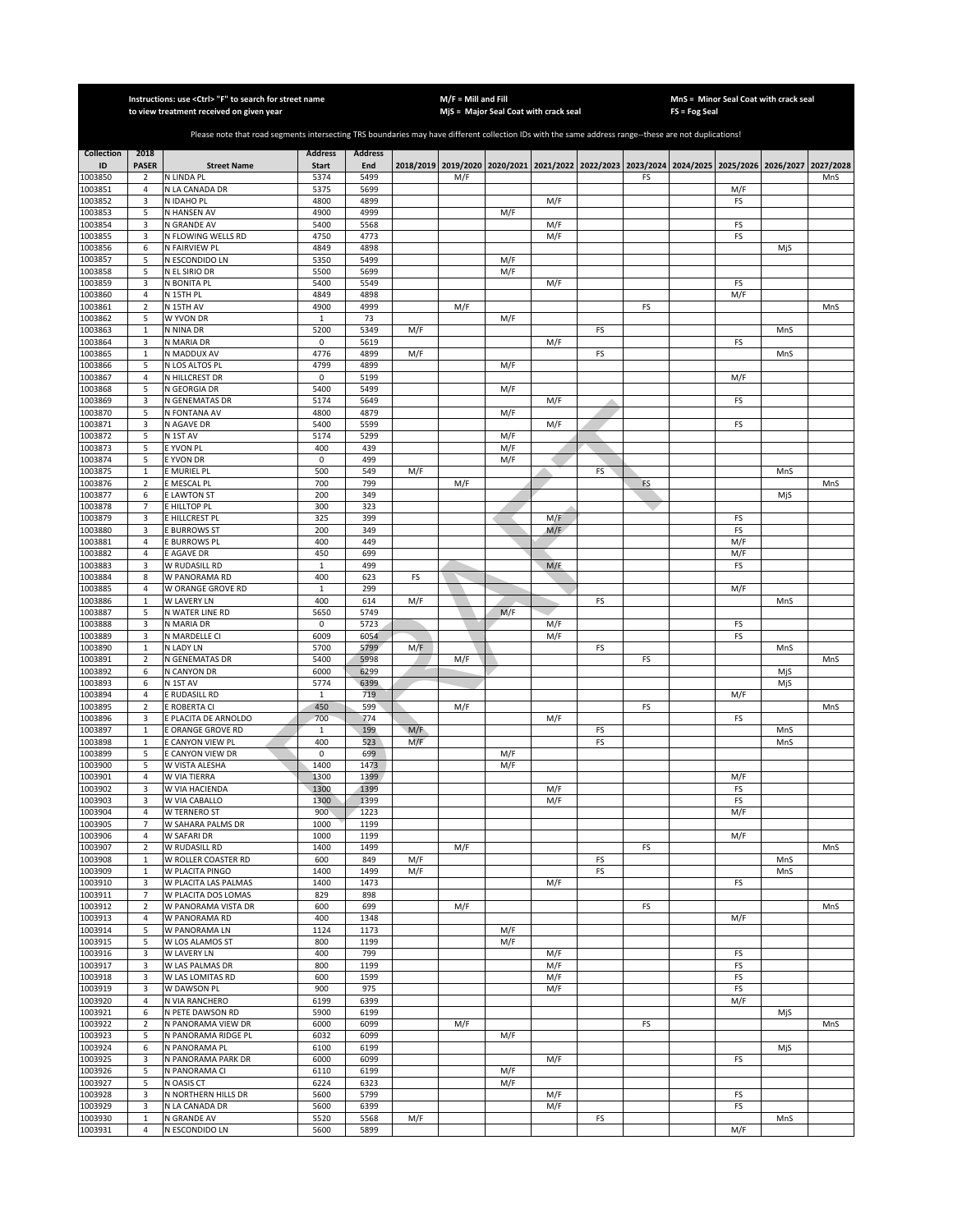|                         |                               | Instructions: use < Ctrl> "F" to search for street name<br>to view treatment received on given year                                                   |                                |                       |            | $M/F =$ Mill and Fill | MjS = Major Seal Coat with crack seal                                                     |            |          |    | FS = Fog Seal | MnS = Minor Seal Coat with crack seal |            |           |
|-------------------------|-------------------------------|-------------------------------------------------------------------------------------------------------------------------------------------------------|--------------------------------|-----------------------|------------|-----------------------|-------------------------------------------------------------------------------------------|------------|----------|----|---------------|---------------------------------------|------------|-----------|
|                         |                               |                                                                                                                                                       |                                |                       |            |                       |                                                                                           |            |          |    |               |                                       |            |           |
|                         |                               | Please note that road segments intersecting TRS boundaries may have different collection IDs with the same address range--these are not duplications! |                                |                       |            |                       |                                                                                           |            |          |    |               |                                       |            |           |
| <b>Collection</b><br>ID | 2018<br><b>PASER</b>          | <b>Street Name</b>                                                                                                                                    | <b>Address</b><br><b>Start</b> | <b>Address</b><br>End |            |                       | 2018/2019 2019/2020 2020/2021 2021/2022 2022/2023 2023/2024 2024/2025 2025/2026 2026/2027 |            |          |    |               |                                       |            | 2027/2028 |
| 1003850                 | 2                             | N LINDA PL                                                                                                                                            | 5374                           | 5499                  |            | M/F                   |                                                                                           |            |          | FS |               |                                       |            | MnS       |
| 1003851                 | $\overline{a}$                | N LA CANADA DR                                                                                                                                        | 5375                           | 5699                  |            |                       |                                                                                           |            |          |    |               | M/F                                   |            |           |
| 1003852                 | 3                             | N IDAHO PL                                                                                                                                            | 4800                           | 4899                  |            |                       |                                                                                           | M/F        |          |    |               | FS                                    |            |           |
| 1003853<br>1003854      | 5<br>3                        | N HANSEN AV<br>N GRANDE AV                                                                                                                            | 4900<br>5400                   | 4999<br>5568          |            |                       | M/F                                                                                       | M/F        |          |    |               | FS                                    |            |           |
| 1003855                 | 3                             | N FLOWING WELLS RD                                                                                                                                    | 4750                           | 4773                  |            |                       |                                                                                           | M/F        |          |    |               | FS                                    |            |           |
| 1003856                 | 6                             | N FAIRVIEW PL                                                                                                                                         | 4849                           | 4898                  |            |                       |                                                                                           |            |          |    |               |                                       | MjS        |           |
| 1003857<br>1003858      | 5<br>5                        | N ESCONDIDO LN<br>N EL SIRIO DR                                                                                                                       | 5350<br>5500                   | 5499<br>5699          |            |                       | M/F<br>M/F                                                                                |            |          |    |               |                                       |            |           |
| 1003859                 | 3                             | N BONITA PL                                                                                                                                           | 5400                           | 5549                  |            |                       |                                                                                           | M/F        |          |    |               | FS                                    |            |           |
| 1003860                 | $\sqrt{4}$                    | N 15TH PL                                                                                                                                             | 4849                           | 4898                  |            |                       |                                                                                           |            |          |    |               | M/F                                   |            |           |
| 1003861                 | $\mathbf 2$                   | N 15TH AV                                                                                                                                             | 4900                           | 4999                  |            | M/F                   |                                                                                           |            |          | FS |               |                                       |            | MnS       |
| 1003862<br>1003863      | 5<br>$\,1\,$                  | W YVON DR<br>N NINA DR                                                                                                                                | $1\,$<br>5200                  | 73<br>5349            | M/F        |                       | M/F                                                                                       |            | FS       |    |               |                                       | MnS        |           |
| 1003864                 | 3                             | N MARIA DR                                                                                                                                            | $\pmb{0}$                      | 5619                  |            |                       |                                                                                           | M/F        |          |    |               | FS                                    |            |           |
| 1003865                 | $\mathbf 1$                   | N MADDUX AV                                                                                                                                           | 4776                           | 4899                  | M/F        |                       |                                                                                           |            | FS       |    |               |                                       | MnS        |           |
| 1003866                 | 5                             | N LOS ALTOS PL                                                                                                                                        | 4799                           | 4899                  |            |                       | M/F                                                                                       |            |          |    |               |                                       |            |           |
| 1003867<br>1003868      | $\sqrt{4}$<br>5               | N HILLCREST DR<br>N GEORGIA DR                                                                                                                        | 0<br>5400                      | 5199<br>5499          |            |                       | M/F                                                                                       |            |          |    |               | M/F                                   |            |           |
| 1003869                 | 3                             | N GENEMATAS DR                                                                                                                                        | 5174                           | 5649                  |            |                       |                                                                                           | M/F        |          |    |               | FS                                    |            |           |
| 1003870                 | 5                             | N FONTANA AV                                                                                                                                          | 4800                           | 4879                  |            |                       | M/F                                                                                       |            |          |    |               |                                       |            |           |
| 1003871                 | 3                             | N AGAVE DR                                                                                                                                            | 5400                           | 5599                  |            |                       |                                                                                           | M/F        |          |    |               | FS                                    |            |           |
| 1003872<br>1003873      | 5<br>5                        | N 1ST AV<br>E YVON PL                                                                                                                                 | 5174<br>400                    | 5299<br>439           |            |                       | M/F<br>M/F                                                                                |            |          |    |               |                                       |            |           |
| 1003874                 | 5                             | E YVON DR                                                                                                                                             | 0                              | 499                   |            |                       | M/F                                                                                       |            |          |    |               |                                       |            |           |
| 1003875                 | $\mathbf{1}$                  | E MURIEL PL                                                                                                                                           | 500                            | 549                   | M/F        |                       |                                                                                           |            | FS       |    |               |                                       | MnS        |           |
| 1003876                 | $\overline{2}$                | E MESCAL PL                                                                                                                                           | 700                            | 799                   |            | M/F                   |                                                                                           |            |          | FS |               |                                       |            | MnS       |
| 1003877<br>1003878      | 6<br>7                        | E LAWTON ST<br>E HILLTOP PL                                                                                                                           | 200<br>300                     | 349<br>323            |            |                       |                                                                                           |            |          |    |               |                                       | MjS        |           |
| 1003879                 | 3                             | E HILLCREST PL                                                                                                                                        | 325                            | 399                   |            |                       |                                                                                           | M/F        |          |    |               | FS                                    |            |           |
| 1003880                 | 3                             | <b>BURROWS ST</b>                                                                                                                                     | 200                            | 349                   |            |                       |                                                                                           | M/F        |          |    |               | FS                                    |            |           |
| 1003881                 | $\overline{4}$                | E BURROWS PL                                                                                                                                          | 400                            | 449                   |            |                       |                                                                                           |            |          |    |               | M/F                                   |            |           |
| 1003882<br>1003883      | 4<br>3                        | E AGAVE DR<br>W RUDASILL RD                                                                                                                           | 450<br>$\mathbf{1}$            | 699<br>499            |            |                       |                                                                                           | M/F        |          |    |               | M/F<br>FS                             |            |           |
| 1003884                 | 8                             | W PANORAMA RD                                                                                                                                         | 400                            | 623                   | FS         |                       |                                                                                           |            |          |    |               |                                       |            |           |
| 1003885                 | 4                             | W ORANGE GROVE RD                                                                                                                                     | $\mathbf 1$                    | 299                   |            |                       |                                                                                           |            |          |    |               | M/F                                   |            |           |
| 1003886                 | 1                             | W LAVERY LN                                                                                                                                           | 400                            | 614                   | M/F        |                       |                                                                                           |            | FS       |    |               |                                       | MnS        |           |
| 1003887<br>1003888      | 5<br>3                        | N WATER LINE RD<br>N MARIA DR                                                                                                                         | 5650<br>0                      | 5749<br>5723          |            |                       | M/F                                                                                       | M/F        |          |    |               | FS                                    |            |           |
| 1003889                 | 3                             | N MARDELLE CI                                                                                                                                         | 6009                           | 6054                  |            |                       |                                                                                           | M/F        |          |    |               | FS                                    |            |           |
| 1003890                 | $\mathbf 1$                   | N LADY LN                                                                                                                                             | 5700                           | 5799                  | M/F        |                       |                                                                                           |            | FS       |    |               |                                       | MnS        |           |
| 1003891                 | $\overline{2}$                | N GENEMATAS DR                                                                                                                                        | 5400                           | 5998                  |            | M/F                   |                                                                                           |            |          | FS |               |                                       |            | MnS       |
| 1003892<br>1003893      | 6<br>6                        | N CANYON DR<br>N 1ST AV                                                                                                                               | 6000<br>5774                   | 6299<br>6399          |            |                       |                                                                                           |            |          |    |               |                                       | MjS<br>MjS |           |
| 1003894                 | $\sqrt{4}$                    | E RUDASILL RD                                                                                                                                         | $\mathbf{1}$                   | 719                   |            |                       |                                                                                           |            |          |    |               | M/F                                   |            |           |
| 1003895                 | $\overline{2}$                | E ROBERTA CI                                                                                                                                          | 450                            | 599                   |            | M/F                   |                                                                                           |            |          | FS |               |                                       |            | MnS       |
| 1003896                 | 3                             | E PLACITA DE ARNOLDO                                                                                                                                  | 700                            | 774                   |            |                       |                                                                                           | M/F        |          |    |               | FS                                    |            |           |
| 1003897<br>1003898      | $\mathbf{1}$<br>$\mathbf{1}$  | E ORANGE GROVE RD<br>E CANYON VIEW PL                                                                                                                 | $\mathbf{1}$<br>400            | 199<br>523            | M/F<br>M/F |                       |                                                                                           |            | FS<br>FS |    |               |                                       | MnS<br>MnS |           |
| 1003899                 | 5                             | E CANYON VIEW DR                                                                                                                                      | 0                              | 699                   |            |                       | M/F                                                                                       |            |          |    |               |                                       |            |           |
| 1003900                 | 5                             | W VISTA ALESHA                                                                                                                                        | 1400                           | 1473                  |            |                       | M/F                                                                                       |            |          |    |               |                                       |            |           |
| 1003901                 | $\overline{4}$<br>3           | W VIA TIERRA                                                                                                                                          | 1300<br>1300                   | 1399<br>1399          |            |                       |                                                                                           | M/F        |          |    |               | M/F                                   |            |           |
| 1003902<br>1003903      | 3                             | W VIA HACIENDA<br>W VIA CABALLO                                                                                                                       | 1300                           | 1399                  |            |                       |                                                                                           | M/F        |          |    |               | FS<br>FS                              |            |           |
| 1003904                 | $\overline{4}$                | W TERNERO ST                                                                                                                                          | 900                            | 1223                  |            |                       |                                                                                           |            |          |    |               | M/F                                   |            |           |
| 1003905                 | 7                             | W SAHARA PALMS DR                                                                                                                                     | 1000                           | 1199                  |            |                       |                                                                                           |            |          |    |               |                                       |            |           |
| 1003906<br>1003907      | $\sqrt{4}$<br>$\mathbf 2$     | <b>W SAFARI DR</b><br>W RUDASILL RD                                                                                                                   | 1000<br>1400                   | 1199<br>1499          |            | M/F                   |                                                                                           |            |          | FS |               | M/F                                   |            | MnS       |
| 1003908                 | $\mathbf 1$                   | W ROLLER COASTER RD                                                                                                                                   | 600                            | 849                   | M/F        |                       |                                                                                           |            | FS       |    |               |                                       | MnS        |           |
| 1003909                 | $\mathbf{1}$                  | W PLACITA PINGO                                                                                                                                       | 1400                           | 1499                  | M/F        |                       |                                                                                           |            | FS       |    |               |                                       | MnS        |           |
| 1003910                 | 3                             | W PLACITA LAS PALMAS                                                                                                                                  | 1400                           | 1473                  |            |                       |                                                                                           | M/F        |          |    |               | FS                                    |            |           |
| 1003911<br>1003912      | $\overline{7}$<br>$\mathbf 2$ | W PLACITA DOS LOMAS<br>W PANORAMA VISTA DR                                                                                                            | 829<br>600                     | 898<br>699            |            | M/F                   |                                                                                           |            |          | FS |               |                                       |            | MnS       |
| 1003913                 | 4                             | W PANORAMA RD                                                                                                                                         | 400                            | 1348                  |            |                       |                                                                                           |            |          |    |               | M/F                                   |            |           |
| 1003914                 | 5                             | W PANORAMA LN                                                                                                                                         | 1124                           | 1173                  |            |                       | M/F                                                                                       |            |          |    |               |                                       |            |           |
| 1003915                 | 5                             | W LOS ALAMOS ST                                                                                                                                       | 800                            | 1199                  |            |                       | M/F                                                                                       |            |          |    |               |                                       |            |           |
| 1003916<br>1003917      | 3<br>3                        | W LAVERY LN<br>W LAS PALMAS DR                                                                                                                        | 400<br>800                     | 799<br>1199           |            |                       |                                                                                           | M/F<br>M/F |          |    |               | FS<br>FS                              |            |           |
| 1003918                 | 3                             | W LAS LOMITAS RD                                                                                                                                      | 600                            | 1599                  |            |                       |                                                                                           | M/F        |          |    |               | FS                                    |            |           |
| 1003919                 | 3                             | W DAWSON PL                                                                                                                                           | 900                            | 975                   |            |                       |                                                                                           | M/F        |          |    |               | FS                                    |            |           |
| 1003920                 | 4                             | N VIA RANCHERO                                                                                                                                        | 6199                           | 6399                  |            |                       |                                                                                           |            |          |    |               | M/F                                   |            |           |
| 1003921<br>1003922      | 6<br>$\mathbf 2$              | N PETE DAWSON RD<br>N PANORAMA VIEW DR                                                                                                                | 5900<br>6000                   | 6199<br>6099          |            | M/F                   |                                                                                           |            |          | FS |               |                                       | MjS        | MnS       |
| 1003923                 | 5                             | N PANORAMA RIDGE PL                                                                                                                                   | 6032                           | 6099                  |            |                       | M/F                                                                                       |            |          |    |               |                                       |            |           |
| 1003924                 | 6                             | N PANORAMA PL                                                                                                                                         | 6100                           | 6199                  |            |                       |                                                                                           |            |          |    |               |                                       | MjS        |           |
| 1003925                 | 3                             | N PANORAMA PARK DR                                                                                                                                    | 6000                           | 6099                  |            |                       |                                                                                           | M/F        |          |    |               | FS                                    |            |           |
| 1003926<br>1003927      | 5<br>5                        | N PANORAMA CI<br>N OASIS CT                                                                                                                           | 6110<br>6224                   | 6199<br>6323          |            |                       | M/F<br>M/F                                                                                |            |          |    |               |                                       |            |           |
| 1003928                 | 3                             | N NORTHERN HILLS DR                                                                                                                                   | 5600                           | 5799                  |            |                       |                                                                                           | M/F        |          |    |               | FS                                    |            |           |
| 1003929                 | 3                             | N LA CANADA DR                                                                                                                                        | 5600                           | 6399                  |            |                       |                                                                                           | M/F        |          |    |               | FS                                    |            |           |
| 1003930                 | $\mathbf{1}$                  | N GRANDE AV                                                                                                                                           | 5520                           | 5568                  | M/F        |                       |                                                                                           |            | FS       |    |               |                                       | MnS        |           |
| 1003931                 | 4                             | N ESCONDIDO LN                                                                                                                                        | 5600                           | 5899                  |            |                       |                                                                                           |            |          |    |               | M/F                                   |            |           |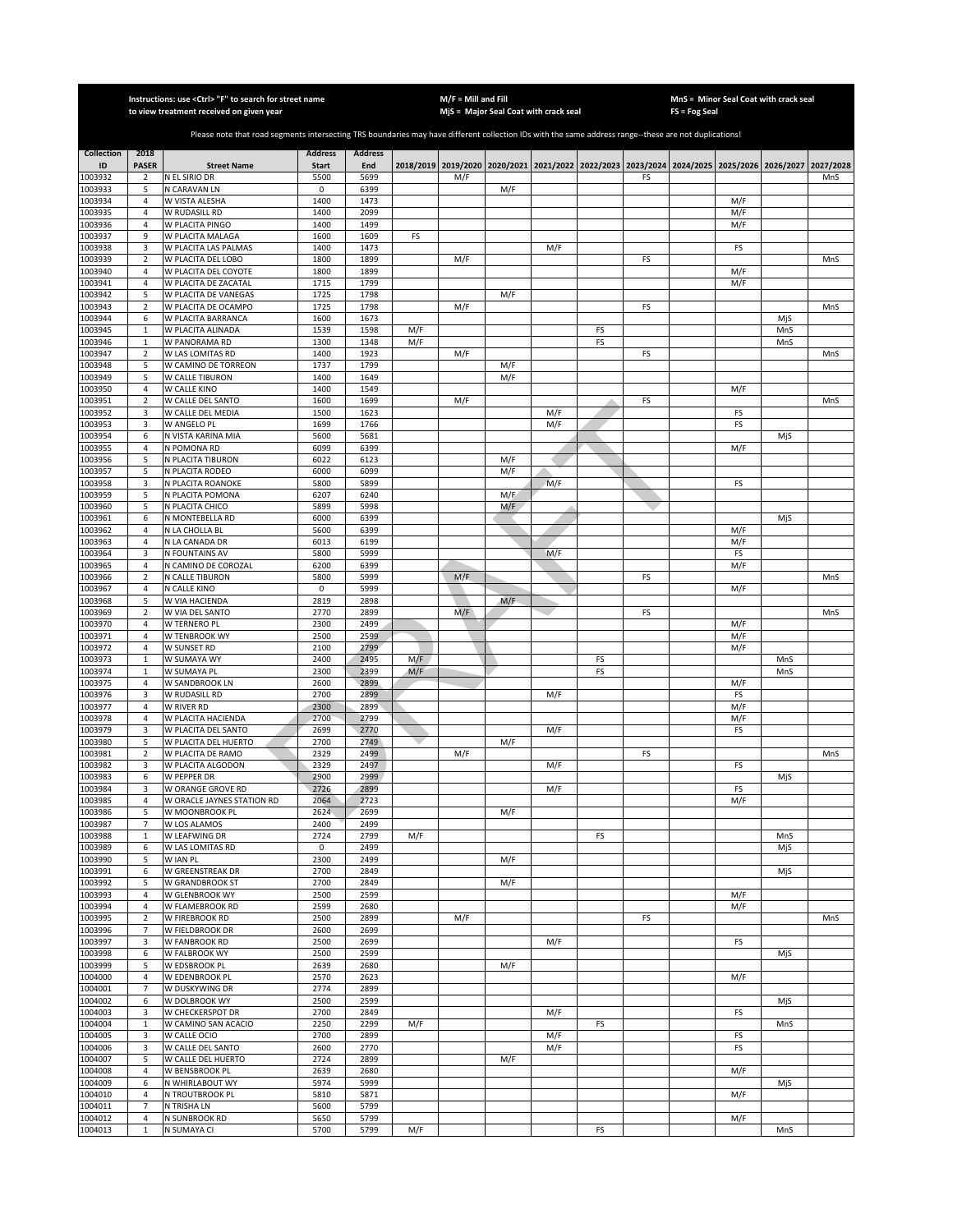|                    |                             | Instructions: use < Ctrl> "F" to search for street name<br>to view treatment received on given year                                                   |                |                |            | $M/F =$ Mill and Fill | MjS = Major Seal Coat with crack seal                                                     |            |          |    | FS = Fog Seal | MnS = Minor Seal Coat with crack seal |            |           |
|--------------------|-----------------------------|-------------------------------------------------------------------------------------------------------------------------------------------------------|----------------|----------------|------------|-----------------------|-------------------------------------------------------------------------------------------|------------|----------|----|---------------|---------------------------------------|------------|-----------|
|                    |                             |                                                                                                                                                       |                |                |            |                       |                                                                                           |            |          |    |               |                                       |            |           |
|                    |                             | Please note that road segments intersecting TRS boundaries may have different collection IDs with the same address range--these are not duplications! |                |                |            |                       |                                                                                           |            |          |    |               |                                       |            |           |
| <b>Collection</b>  | 2018                        |                                                                                                                                                       | <b>Address</b> | <b>Address</b> |            |                       |                                                                                           |            |          |    |               |                                       |            |           |
| ID                 | <b>PASER</b>                | <b>Street Name</b>                                                                                                                                    | <b>Start</b>   | End            |            |                       | 2018/2019 2019/2020 2020/2021 2021/2022 2022/2023 2023/2024 2024/2025 2025/2026 2026/2027 |            |          |    |               |                                       |            | 2027/2028 |
| 1003932<br>1003933 | 2<br>5                      | N EL SIRIO DR<br>N CARAVAN LN                                                                                                                         | 5500<br>0      | 5699<br>6399   |            | M/F                   | M/F                                                                                       |            |          | FS |               |                                       |            | MnS       |
| 1003934            | $\overline{4}$              | W VISTA ALESHA                                                                                                                                        | 1400           | 1473           |            |                       |                                                                                           |            |          |    |               | M/F                                   |            |           |
| 1003935            | $\overline{4}$              | W RUDASILL RD                                                                                                                                         | 1400           | 2099           |            |                       |                                                                                           |            |          |    |               | M/F                                   |            |           |
| 1003936            | $\overline{4}$              | W PLACITA PINGO                                                                                                                                       | 1400           | 1499           |            |                       |                                                                                           |            |          |    |               | M/F                                   |            |           |
| 1003937            | 9                           | W PLACITA MALAGA                                                                                                                                      | 1600           | 1609           | FS         |                       |                                                                                           |            |          |    |               |                                       |            |           |
| 1003938<br>1003939 | 3<br>$\mathbf 2$            | W PLACITA LAS PALMAS<br>W PLACITA DEL LOBO                                                                                                            | 1400<br>1800   | 1473<br>1899   |            | M/F                   |                                                                                           | M/F        |          | FS |               | FS                                    |            | MnS       |
| 1003940            | 4                           | W PLACITA DEL COYOTE                                                                                                                                  | 1800           | 1899           |            |                       |                                                                                           |            |          |    |               | M/F                                   |            |           |
| 1003941            | 4                           | W PLACITA DE ZACATAL                                                                                                                                  | 1715           | 1799           |            |                       |                                                                                           |            |          |    |               | M/F                                   |            |           |
| 1003942            | 5                           | W PLACITA DE VANEGAS                                                                                                                                  | 1725           | 1798           |            |                       | M/F                                                                                       |            |          |    |               |                                       |            |           |
| 1003943            | $\mathbf 2$                 | W PLACITA DE OCAMPO                                                                                                                                   | 1725           | 1798           |            | M/F                   |                                                                                           |            |          | FS |               |                                       |            | MnS       |
| 1003944            | 6                           | W PLACITA BARRANCA                                                                                                                                    | 1600           | 1673           |            |                       |                                                                                           |            |          |    |               |                                       | MjS        |           |
| 1003945<br>1003946 | $\mathbf{1}$<br>$\mathbf 1$ | W PLACITA ALINADA<br>W PANORAMA RD                                                                                                                    | 1539<br>1300   | 1598<br>1348   | M/F<br>M/F |                       |                                                                                           |            | FS<br>FS |    |               |                                       | MnS<br>MnS |           |
| 1003947            | $\mathbf 2$                 | W LAS LOMITAS RD                                                                                                                                      | 1400           | 1923           |            | M/F                   |                                                                                           |            |          | FS |               |                                       |            | MnS       |
| 1003948            | 5                           | W CAMINO DE TORREON                                                                                                                                   | 1737           | 1799           |            |                       | M/F                                                                                       |            |          |    |               |                                       |            |           |
| 1003949            | 5                           | W CALLE TIBURON                                                                                                                                       | 1400           | 1649           |            |                       | M/F                                                                                       |            |          |    |               |                                       |            |           |
| 1003950            | 4                           | W CALLE KINO                                                                                                                                          | 1400           | 1549           |            |                       |                                                                                           |            |          |    |               | M/F                                   |            |           |
| 1003951            | $\mathbf 2$                 | W CALLE DEL SANTO                                                                                                                                     | 1600           | 1699           |            | M/F                   |                                                                                           |            |          | FS |               |                                       |            | MnS       |
| 1003952<br>1003953 | 3<br>3                      | W CALLE DEL MEDIA<br>W ANGELO PL                                                                                                                      | 1500<br>1699   | 1623<br>1766   |            |                       |                                                                                           | M/F<br>M/F |          |    |               | FS<br>FS                              |            |           |
| 1003954            | 6                           | N VISTA KARINA MIA                                                                                                                                    | 5600           | 5681           |            |                       |                                                                                           |            |          |    |               |                                       | MjS        |           |
| 1003955            | $\overline{4}$              | N POMONA RD                                                                                                                                           | 6099           | 6399           |            |                       |                                                                                           |            |          |    |               | M/F                                   |            |           |
| 1003956            | 5                           | N PLACITA TIBURON                                                                                                                                     | 6022           | 6123           |            |                       | M/F                                                                                       |            |          |    |               |                                       |            |           |
| 1003957            | 5                           | N PLACITA RODEO                                                                                                                                       | 6000           | 6099           |            |                       | M/F                                                                                       |            |          |    |               |                                       |            |           |
| 1003958            | 3                           | N PLACITA ROANOKE                                                                                                                                     | 5800           | 5899           |            |                       |                                                                                           | M/F        |          |    |               | FS                                    |            |           |
| 1003959<br>1003960 | 5<br>5                      | N PLACITA POMONA<br>N PLACITA CHICO                                                                                                                   | 6207<br>5899   | 6240<br>5998   |            |                       | M/E<br>M/F                                                                                |            |          |    |               |                                       |            |           |
| 1003961            | 6                           | N MONTEBELLA RD                                                                                                                                       | 6000           | 6399           |            |                       |                                                                                           |            |          |    |               |                                       | MjS        |           |
| 1003962            | $\sqrt{4}$                  | N LA CHOLLA BL                                                                                                                                        | 5600           | 6399           |            |                       |                                                                                           |            |          |    |               | M/F                                   |            |           |
| 1003963            | $\sqrt{4}$                  | N LA CANADA DR                                                                                                                                        | 6013           | 6199           |            |                       |                                                                                           |            |          |    |               | M/F                                   |            |           |
| 1003964            | 3                           | N FOUNTAINS AV                                                                                                                                        | 5800           | 5999           |            |                       |                                                                                           | M/F        |          |    |               | FS                                    |            |           |
| 1003965            | 4                           | N CAMINO DE COROZAL                                                                                                                                   | 6200           | 6399           |            |                       |                                                                                           |            |          |    |               | M/F                                   |            |           |
| 1003966<br>1003967 | $\mathbf 2$<br>4            | N CALLE TIBURON<br>N CALLE KINO                                                                                                                       | 5800<br>0      | 5999<br>5999   |            | M/F                   |                                                                                           |            |          | FS |               | M/F                                   |            | MnS       |
| 1003968            | 5                           | W VIA HACIENDA                                                                                                                                        | 2819           | 2898           |            |                       | M/F                                                                                       |            |          |    |               |                                       |            |           |
| 1003969            | $\overline{2}$              | W VIA DEL SANTO                                                                                                                                       | 2770           | 2899           |            | M/F                   |                                                                                           |            |          | FS |               |                                       |            | MnS       |
| 1003970            | $\overline{a}$              | W TERNERO PL                                                                                                                                          | 2300           | 2499           |            |                       |                                                                                           |            |          |    |               | M/F                                   |            |           |
| 1003971            | 4                           | W TENBROOK WY                                                                                                                                         | 2500           | 2599           |            |                       |                                                                                           |            |          |    |               | M/F                                   |            |           |
| 1003972            | $\sqrt{4}$                  | W SUNSET RD                                                                                                                                           | 2100           | 2799           |            |                       |                                                                                           |            |          |    |               | M/F                                   |            |           |
| 1003973<br>1003974 | $\mathbf{1}$<br>$\,1\,$     | W SUMAYA WY<br>W SUMAYA PL                                                                                                                            | 2400<br>2300   | 2495<br>2399   | M/F<br>M/F |                       |                                                                                           |            | FS<br>FS |    |               |                                       | MnS<br>MnS |           |
| 1003975            | 4                           | W SANDBROOK LN                                                                                                                                        | 2600           | 2899           |            |                       |                                                                                           |            |          |    |               | M/F                                   |            |           |
| 1003976            | 3                           | W RUDASILL RD                                                                                                                                         | 2700           | 2899           |            |                       |                                                                                           | M/F        |          |    |               | FS                                    |            |           |
| 1003977            | 4                           | W RIVER RD                                                                                                                                            | 2300           | 2899           |            |                       |                                                                                           |            |          |    |               | M/F                                   |            |           |
| 1003978            | $\overline{4}$              | W PLACITA HACIENDA                                                                                                                                    | 2700           | 2799           |            |                       |                                                                                           |            |          |    |               | M/F                                   |            |           |
| 1003979            | 3                           | W PLACITA DEL SANTO                                                                                                                                   | 2699           | 2770           |            |                       |                                                                                           | M/F        |          |    |               | FS                                    |            |           |
| 1003980<br>1003981 | 5<br>$\mathbf 2$            | W PLACITA DEL HUERTO<br>W PLACITA DE RAMO                                                                                                             | 2700<br>2329   | 2749<br>2499   |            | M/F                   | M/F                                                                                       |            |          | FS |               |                                       |            | MnS       |
| 1003982            | 3                           | W PLACITA ALGODON                                                                                                                                     | 2329           | 2497           |            |                       |                                                                                           | M/F        |          |    |               | FS                                    |            |           |
| 1003983            | 6                           | W PEPPER DR                                                                                                                                           | 2900           | 2999           |            |                       |                                                                                           |            |          |    |               |                                       | MjS        |           |
| 1003984            | 3                           | W ORANGE GROVE RD                                                                                                                                     | 2726           | 2899           |            |                       |                                                                                           | M/F        |          |    |               | FS                                    |            |           |
| 1003985            | 4                           | W ORACLE JAYNES STATION RD                                                                                                                            | 2064           | 2723           |            |                       |                                                                                           |            |          |    |               | M/F                                   |            |           |
| 1003986<br>1003987 | 5<br>7                      | W MOONBROOK PL<br>W LOS ALAMOS                                                                                                                        | 2624<br>2400   | 2699<br>2499   |            |                       | M/F                                                                                       |            |          |    |               |                                       |            |           |
| 1003988            | $\mathbf{1}$                | W LEAFWING DR                                                                                                                                         | 2724           | 2799           | M/F        |                       |                                                                                           |            | FS       |    |               |                                       | MnS        |           |
| 1003989            | 6                           | W LAS LOMITAS RD                                                                                                                                      | 0              | 2499           |            |                       |                                                                                           |            |          |    |               |                                       | MjS        |           |
| 1003990            | 5                           | W IAN PL                                                                                                                                              | 2300           | 2499           |            |                       | M/F                                                                                       |            |          |    |               |                                       |            |           |
| 1003991            | 6                           | W GREENSTREAK DR                                                                                                                                      | 2700           | 2849           |            |                       |                                                                                           |            |          |    |               |                                       | MjS        |           |
| 1003992            | 5                           | W GRANDBROOK ST                                                                                                                                       | 2700           | 2849           |            |                       | M/F                                                                                       |            |          |    |               |                                       |            |           |
| 1003993<br>1003994 | 4<br>4                      | W GLENBROOK WY<br>W FLAMEBROOK RD                                                                                                                     | 2500<br>2599   | 2599<br>2680   |            |                       |                                                                                           |            |          |    |               | M/F<br>M/F                            |            |           |
| 1003995            | $\overline{\mathbf{2}}$     | W FIREBROOK RD                                                                                                                                        | 2500           | 2899           |            | M/F                   |                                                                                           |            |          | FS |               |                                       |            | MnS       |
| 1003996            | $\overline{7}$              | W FIELDBROOK DR                                                                                                                                       | 2600           | 2699           |            |                       |                                                                                           |            |          |    |               |                                       |            |           |
| 1003997            | 3                           | W FANBROOK RD                                                                                                                                         | 2500           | 2699           |            |                       |                                                                                           | M/F        |          |    |               | FS                                    |            |           |
| 1003998            | 6                           | W FALBROOK WY                                                                                                                                         | 2500           | 2599           |            |                       |                                                                                           |            |          |    |               |                                       | MjS        |           |
| 1003999            | 5                           | W EDSBROOK PL                                                                                                                                         | 2639           | 2680           |            |                       | M/F                                                                                       |            |          |    |               |                                       |            |           |
| 1004000<br>1004001 | 4<br>$\overline{7}$         | W EDENBROOK PL<br>W DUSKYWING DR                                                                                                                      | 2570<br>2774   | 2623<br>2899   |            |                       |                                                                                           |            |          |    |               | M/F                                   |            |           |
| 1004002            | 6                           | W DOLBROOK WY                                                                                                                                         | 2500           | 2599           |            |                       |                                                                                           |            |          |    |               |                                       | MjS        |           |
| 1004003            | 3                           | W CHECKERSPOT DR                                                                                                                                      | 2700           | 2849           |            |                       |                                                                                           | M/F        |          |    |               | FS                                    |            |           |
| 1004004            | $\mathbf{1}$                | W CAMINO SAN ACACIO                                                                                                                                   | 2250           | 2299           | M/F        |                       |                                                                                           |            | FS       |    |               |                                       | MnS        |           |
| 1004005            | 3                           | W CALLE OCIO                                                                                                                                          | 2700           | 2899           |            |                       |                                                                                           | M/F        |          |    |               | FS                                    |            |           |
| 1004006            | 3                           | W CALLE DEL SANTO                                                                                                                                     | 2600           | 2770           |            |                       |                                                                                           | M/F        |          |    |               | FS                                    |            |           |
| 1004007<br>1004008 | 5<br>$\overline{4}$         | W CALLE DEL HUERTO<br>W BENSBROOK PL                                                                                                                  | 2724           | 2899<br>2680   |            |                       | M/F                                                                                       |            |          |    |               | M/F                                   |            |           |
| 1004009            | 6                           | N WHIRLABOUT WY                                                                                                                                       | 2639<br>5974   | 5999           |            |                       |                                                                                           |            |          |    |               |                                       | MjS        |           |
| 1004010            | 4                           | N TROUTBROOK PL                                                                                                                                       | 5810           | 5871           |            |                       |                                                                                           |            |          |    |               | M/F                                   |            |           |
| 1004011            | $\overline{7}$              | N TRISHA LN                                                                                                                                           | 5600           | 5799           |            |                       |                                                                                           |            |          |    |               |                                       |            |           |
| 1004012            | $\overline{4}$              | N SUNBROOK RD                                                                                                                                         | 5650           | 5799           |            |                       |                                                                                           |            |          |    |               | M/F                                   |            |           |
| 1004013            | $\mathbf{1}$                | N SUMAYA CI                                                                                                                                           | 5700           | 5799           | M/F        |                       |                                                                                           |            | FS       |    |               |                                       | MnS        |           |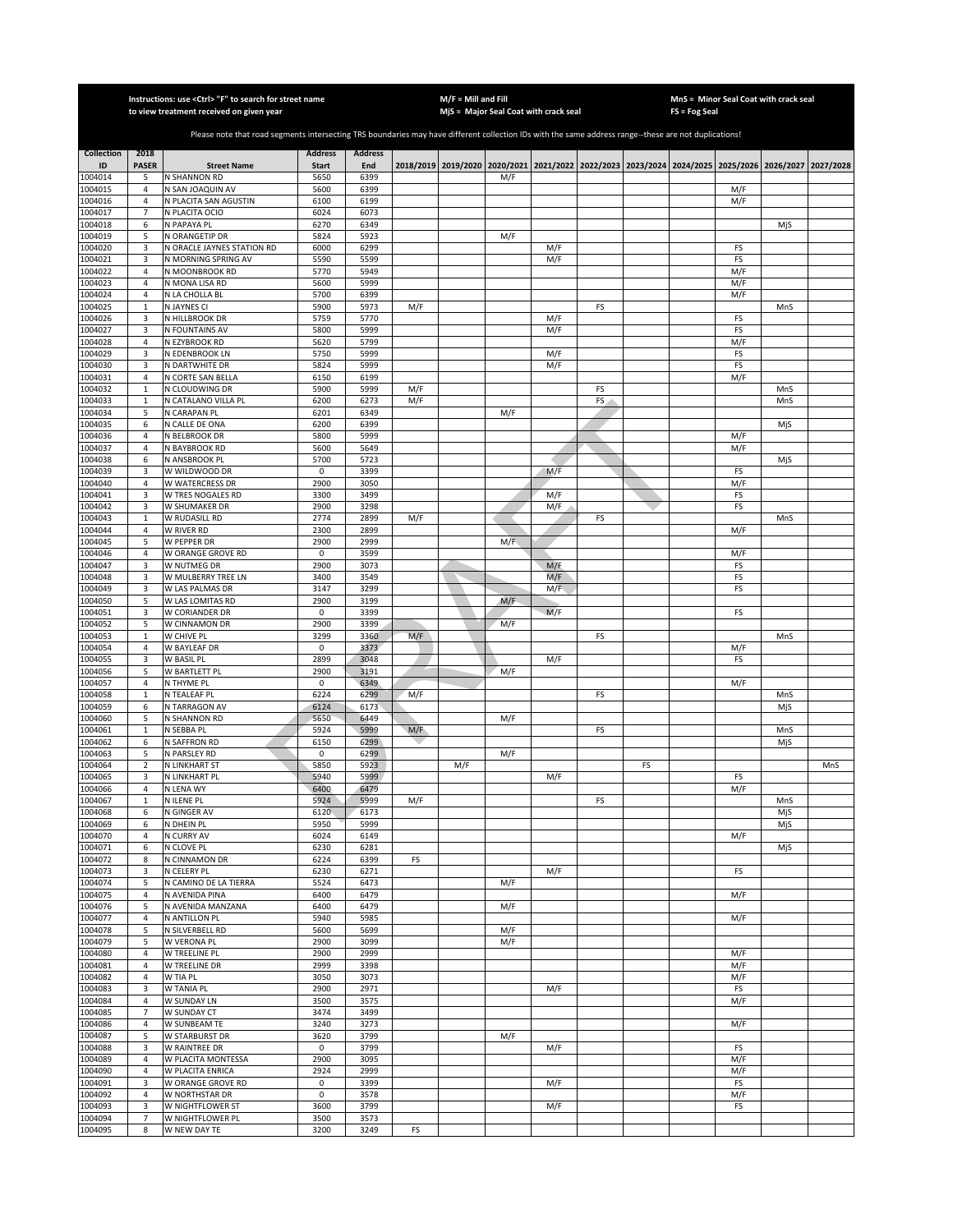|                         |                              | Instructions: use < Ctrl> "F" to search for street name<br>to view treatment received on given year                                                   |                                |                       |     | $M/F =$ Mill and Fill | MjS = Major Seal Coat with crack seal                                                     |     |    |    | $FS = Fog Seal$ | MnS = Minor Seal Coat with crack seal |            |           |
|-------------------------|------------------------------|-------------------------------------------------------------------------------------------------------------------------------------------------------|--------------------------------|-----------------------|-----|-----------------------|-------------------------------------------------------------------------------------------|-----|----|----|-----------------|---------------------------------------|------------|-----------|
|                         |                              |                                                                                                                                                       |                                |                       |     |                       |                                                                                           |     |    |    |                 |                                       |            |           |
|                         |                              | Please note that road segments intersecting TRS boundaries may have different collection IDs with the same address range--these are not duplications! |                                |                       |     |                       |                                                                                           |     |    |    |                 |                                       |            |           |
| <b>Collection</b><br>ID | 2018<br><b>PASER</b>         | <b>Street Name</b>                                                                                                                                    | <b>Address</b><br><b>Start</b> | <b>Address</b><br>End |     |                       | 2018/2019 2019/2020 2020/2021 2021/2022 2022/2023 2023/2024 2024/2025 2025/2026 2026/2027 |     |    |    |                 |                                       |            | 2027/2028 |
| 1004014                 | 5                            | N SHANNON RD                                                                                                                                          | 5650                           | 6399                  |     |                       | M/F                                                                                       |     |    |    |                 |                                       |            |           |
| 1004015                 | $\sqrt{4}$                   | N SAN JOAQUIN AV                                                                                                                                      | 5600                           | 6399                  |     |                       |                                                                                           |     |    |    |                 | M/F                                   |            |           |
| 1004016<br>1004017      | $\sqrt{4}$<br>$\overline{7}$ | N PLACITA SAN AGUSTIN<br>N PLACITA OCIO                                                                                                               | 6100<br>6024                   | 6199<br>6073          |     |                       |                                                                                           |     |    |    |                 | M/F                                   |            |           |
| 1004018                 | 6                            | N PAPAYA PL                                                                                                                                           | 6270                           | 6349                  |     |                       |                                                                                           |     |    |    |                 |                                       | MjS        |           |
| 1004019                 | 5                            | N ORANGETIP DR                                                                                                                                        | 5824                           | 5923                  |     |                       | M/F                                                                                       |     |    |    |                 |                                       |            |           |
| 1004020                 | 3                            | N ORACLE JAYNES STATION RD                                                                                                                            | 6000                           | 6299                  |     |                       |                                                                                           | M/F |    |    |                 | FS                                    |            |           |
| 1004021<br>1004022      | 3<br>4                       | N MORNING SPRING AV<br>N MOONBROOK RD                                                                                                                 | 5590<br>5770                   | 5599<br>5949          |     |                       |                                                                                           | M/F |    |    |                 | FS<br>M/F                             |            |           |
| 1004023                 | 4                            | N MONA LISA RD                                                                                                                                        | 5600                           | 5999                  |     |                       |                                                                                           |     |    |    |                 | M/F                                   |            |           |
| 1004024                 | $\sqrt{4}$                   | N LA CHOLLA BL                                                                                                                                        | 5700                           | 6399                  |     |                       |                                                                                           |     |    |    |                 | M/F                                   |            |           |
| 1004025<br>1004026      | $\,1\,$<br>3                 | N JAYNES CI<br>N HILLBROOK DR                                                                                                                         | 5900<br>5759                   | 5973<br>5770          | M/F |                       |                                                                                           | M/F | FS |    |                 | FS                                    | MnS        |           |
| 1004027                 | 3                            | N FOUNTAINS AV                                                                                                                                        | 5800                           | 5999                  |     |                       |                                                                                           | M/F |    |    |                 | FS                                    |            |           |
| 1004028                 | 4                            | N EZYBROOK RD                                                                                                                                         | 5620                           | 5799                  |     |                       |                                                                                           |     |    |    |                 | M/F                                   |            |           |
| 1004029                 | 3                            | N EDENBROOK LN                                                                                                                                        | 5750                           | 5999                  |     |                       |                                                                                           | M/F |    |    |                 | FS                                    |            |           |
| 1004030<br>1004031      | 3<br>$\sqrt{4}$              | N DARTWHITE DR<br>N CORTE SAN BELLA                                                                                                                   | 5824<br>6150                   | 5999<br>6199          |     |                       |                                                                                           | M/F |    |    |                 | FS<br>M/F                             |            |           |
| 1004032                 | $\mathbf 1$                  | N CLOUDWING DR                                                                                                                                        | 5900                           | 5999                  | M/F |                       |                                                                                           |     | FS |    |                 |                                       | MnS        |           |
| 1004033                 | $\mathbf 1$                  | N CATALANO VILLA PL                                                                                                                                   | 6200                           | 6273                  | M/F |                       |                                                                                           |     | FS |    |                 |                                       | MnS        |           |
| 1004034                 | 5                            | N CARAPAN PL                                                                                                                                          | 6201                           | 6349                  |     |                       | M/F                                                                                       |     |    |    |                 |                                       |            |           |
| 1004035<br>1004036      | 6<br>4                       | N CALLE DE ONA<br>N BELBROOK DR                                                                                                                       | 6200<br>5800                   | 6399<br>5999          |     |                       |                                                                                           |     |    |    |                 | M/F                                   | MjS        |           |
| 1004037                 | $\overline{4}$               | N BAYBROOK RD                                                                                                                                         | 5600                           | 5649                  |     |                       |                                                                                           |     |    |    |                 | M/F                                   |            |           |
| 1004038                 | 6                            | N ANSBROOK PL                                                                                                                                         | 5700                           | 5723                  |     |                       |                                                                                           |     |    |    |                 |                                       | MjS        |           |
| 1004039                 | 3                            | W WILDWOOD DR                                                                                                                                         | $\mathsf 0$                    | 3399                  |     |                       |                                                                                           | M/F |    |    |                 | FS                                    |            |           |
| 1004040<br>1004041      | $\sqrt{4}$<br>3              | W WATERCRESS DR<br>W TRES NOGALES RD                                                                                                                  | 2900<br>3300                   | 3050<br>3499          |     |                       |                                                                                           | M/F |    |    |                 | M/F<br>FS                             |            |           |
| 1004042                 | 3                            | W SHUMAKER DR                                                                                                                                         | 2900                           | 3298                  |     |                       |                                                                                           | M/F |    |    |                 | FS                                    |            |           |
| 1004043                 | $\,1\,$                      | W RUDASILL RD                                                                                                                                         | 2774                           | 2899                  | M/F |                       |                                                                                           |     | FS |    |                 |                                       | MnS        |           |
| 1004044                 | $\overline{4}$               | W RIVER RD                                                                                                                                            | 2300                           | 2899                  |     |                       |                                                                                           |     |    |    |                 | M/F                                   |            |           |
| 1004045<br>1004046      | 5<br>4                       | W PEPPER DR<br>W ORANGE GROVE RD                                                                                                                      | 2900<br>0                      | 2999<br>3599          |     |                       | M/F                                                                                       |     |    |    |                 | M/F                                   |            |           |
| 1004047                 | 3                            | W NUTMEG DR                                                                                                                                           | 2900                           | 3073                  |     |                       |                                                                                           | M/F |    |    |                 | FS                                    |            |           |
| 1004048                 | 3                            | W MULBERRY TREE LN                                                                                                                                    | 3400                           | 3549                  |     |                       |                                                                                           | M/F |    |    |                 | FS                                    |            |           |
| 1004049                 | 3                            | W LAS PALMAS DR                                                                                                                                       | 3147                           | 3299                  |     |                       |                                                                                           | M/F |    |    |                 | FS                                    |            |           |
| 1004050<br>1004051      | 5<br>3                       | W LAS LOMITAS RD<br>W CORIANDER DR                                                                                                                    | 2900<br>0                      | 3199<br>3399          |     |                       | M/F                                                                                       | M/F |    |    |                 | FS                                    |            |           |
| 1004052                 | 5                            | W CINNAMON DR                                                                                                                                         | 2900                           | 3399                  |     |                       | M/F                                                                                       |     |    |    |                 |                                       |            |           |
| 1004053                 | $\mathbf 1$                  | W CHIVE PL                                                                                                                                            | 3299                           | 3360                  | M/F |                       |                                                                                           |     | FS |    |                 |                                       | MnS        |           |
| 1004054<br>1004055      | $\sqrt{4}$<br>$\overline{3}$ | <b>W BAYLEAF DR</b><br>W BASIL PL                                                                                                                     | 0<br>2899                      | 3373<br>3048          |     |                       |                                                                                           | M/F |    |    |                 | M/F<br>FS                             |            |           |
| 1004056                 | 5                            | W BARTLETT PL                                                                                                                                         | 2900                           | 3191                  |     |                       | M/F                                                                                       |     |    |    |                 |                                       |            |           |
| 1004057                 | 4                            | N THYME PL                                                                                                                                            | 0                              | 6349                  |     |                       |                                                                                           |     |    |    |                 | M/F                                   |            |           |
| 1004058                 | $\mathbf 1$                  | N TEALEAF PL                                                                                                                                          | 6224                           | 6299                  | M/F |                       |                                                                                           |     | FS |    |                 |                                       | MnS        |           |
| 1004059<br>1004060      | 6<br>5                       | N TARRAGON AV<br>N SHANNON RD                                                                                                                         | 6124<br>5650                   | 6173<br>6449          |     |                       | M/F                                                                                       |     |    |    |                 |                                       | MjS        |           |
| 1004061                 | $\mathbf{1}$                 | N SEBBA PL                                                                                                                                            | 5924                           | 5999                  | M/F |                       |                                                                                           |     | FS |    |                 |                                       | MnS        |           |
| 1004062                 | 6                            | N SAFFRON RD                                                                                                                                          | 6150                           | 6299                  |     |                       |                                                                                           |     |    |    |                 |                                       | MjS        |           |
| 1004063                 | 5                            | N PARSLEY RD                                                                                                                                          | 0                              | 6299                  |     |                       | M/F                                                                                       |     |    |    |                 |                                       |            |           |
| 1004064<br>1004065      | $\overline{2}$<br>3          | N LINKHART ST<br>N LINKHART PL                                                                                                                        | 5850<br>5940                   | 5923<br>5999          |     | M/F                   |                                                                                           | M/F |    | FS |                 | FS                                    |            | MnS       |
| 1004066                 | $\overline{4}$               | N LENA WY                                                                                                                                             | 6400                           | 6479                  |     |                       |                                                                                           |     |    |    |                 | M/F                                   |            |           |
| 1004067                 | 1                            | N ILENE PL                                                                                                                                            | 5924                           | 5999                  | M/F |                       |                                                                                           |     | FS |    |                 |                                       | MnS        |           |
| 1004068<br>1004069      | 6<br>6                       | N GINGER AV<br>N DHEIN PL                                                                                                                             | 6120<br>5950                   | 6173<br>5999          |     |                       |                                                                                           |     |    |    |                 |                                       | MjS<br>MjS |           |
| 1004070                 | 4                            | N CURRY AV                                                                                                                                            | 6024                           | 6149                  |     |                       |                                                                                           |     |    |    |                 | M/F                                   |            |           |
| 1004071                 | 6                            | N CLOVE PL                                                                                                                                            | 6230                           | 6281                  |     |                       |                                                                                           |     |    |    |                 |                                       | MjS        |           |
| 1004072                 | 8                            | N CINNAMON DR                                                                                                                                         | 6224                           | 6399                  | FS  |                       |                                                                                           |     |    |    |                 |                                       |            |           |
| 1004073<br>1004074      | 3<br>5                       | N CELERY PL<br>N CAMINO DE LA TIERRA                                                                                                                  | 6230<br>5524                   | 6271<br>6473          |     |                       | M/F                                                                                       | M/F |    |    |                 | FS                                    |            |           |
| 1004075                 | 4                            | N AVENIDA PINA                                                                                                                                        | 6400                           | 6479                  |     |                       |                                                                                           |     |    |    |                 | M/F                                   |            |           |
| 1004076                 | 5                            | N AVENIDA MANZANA                                                                                                                                     | 6400                           | 6479                  |     |                       | M/F                                                                                       |     |    |    |                 |                                       |            |           |
| 1004077                 | 4<br>5                       | N ANTILLON PL                                                                                                                                         | 5940                           | 5985                  |     |                       |                                                                                           |     |    |    |                 | M/F                                   |            |           |
| 1004078<br>1004079      | 5                            | N SILVERBELL RD<br>W VERONA PL                                                                                                                        | 5600<br>2900                   | 5699<br>3099          |     |                       | M/F<br>M/F                                                                                |     |    |    |                 |                                       |            |           |
| 1004080                 | 4                            | W TREELINE PL                                                                                                                                         | 2900                           | 2999                  |     |                       |                                                                                           |     |    |    |                 | M/F                                   |            |           |
| 1004081                 | $\sqrt{4}$                   | <b>W TREELINE DR</b>                                                                                                                                  | 2999                           | 3398                  |     |                       |                                                                                           |     |    |    |                 | M/F                                   |            |           |
| 1004082<br>1004083      | 4<br>3                       | W TIA PL<br>W TANIA PL                                                                                                                                | 3050<br>2900                   | 3073<br>2971          |     |                       |                                                                                           | M/F |    |    |                 | M/F<br>FS                             |            |           |
| 1004084                 | 4                            | W SUNDAY LN                                                                                                                                           | 3500                           | 3575                  |     |                       |                                                                                           |     |    |    |                 | M/F                                   |            |           |
| 1004085                 | $\overline{7}$               | W SUNDAY CT                                                                                                                                           | 3474                           | 3499                  |     |                       |                                                                                           |     |    |    |                 |                                       |            |           |
| 1004086                 | 4                            | W SUNBEAM TE                                                                                                                                          | 3240                           | 3273                  |     |                       |                                                                                           |     |    |    |                 | M/F                                   |            |           |
| 1004087<br>1004088      | 5                            | W STARBURST DR<br>W RAINTREE DR                                                                                                                       | 3620<br>0                      | 3799<br>3799          |     |                       | M/F                                                                                       |     |    |    |                 |                                       |            |           |
| 1004089                 | 3<br>$\overline{4}$          | W PLACITA MONTESSA                                                                                                                                    | 2900                           | 3095                  |     |                       |                                                                                           | M/F |    |    |                 | FS<br>M/F                             |            |           |
| 1004090                 | $\overline{4}$               | W PLACITA ENRICA                                                                                                                                      | 2924                           | 2999                  |     |                       |                                                                                           |     |    |    |                 | M/F                                   |            |           |
| 1004091                 | 3                            | W ORANGE GROVE RD                                                                                                                                     | 0                              | 3399                  |     |                       |                                                                                           | M/F |    |    |                 | FS                                    |            |           |
| 1004092<br>1004093      | $\overline{4}$<br>3          | W NORTHSTAR DR<br>W NIGHTFLOWER ST                                                                                                                    | 0<br>3600                      | 3578<br>3799          |     |                       |                                                                                           | M/F |    |    |                 | M/F<br>FS                             |            |           |
| 1004094                 | $\overline{7}$               | W NIGHTFLOWER PL                                                                                                                                      | 3500                           | 3573                  |     |                       |                                                                                           |     |    |    |                 |                                       |            |           |
| 1004095                 | 8                            | W NEW DAY TE                                                                                                                                          | 3200                           | 3249                  | FS  |                       |                                                                                           |     |    |    |                 |                                       |            |           |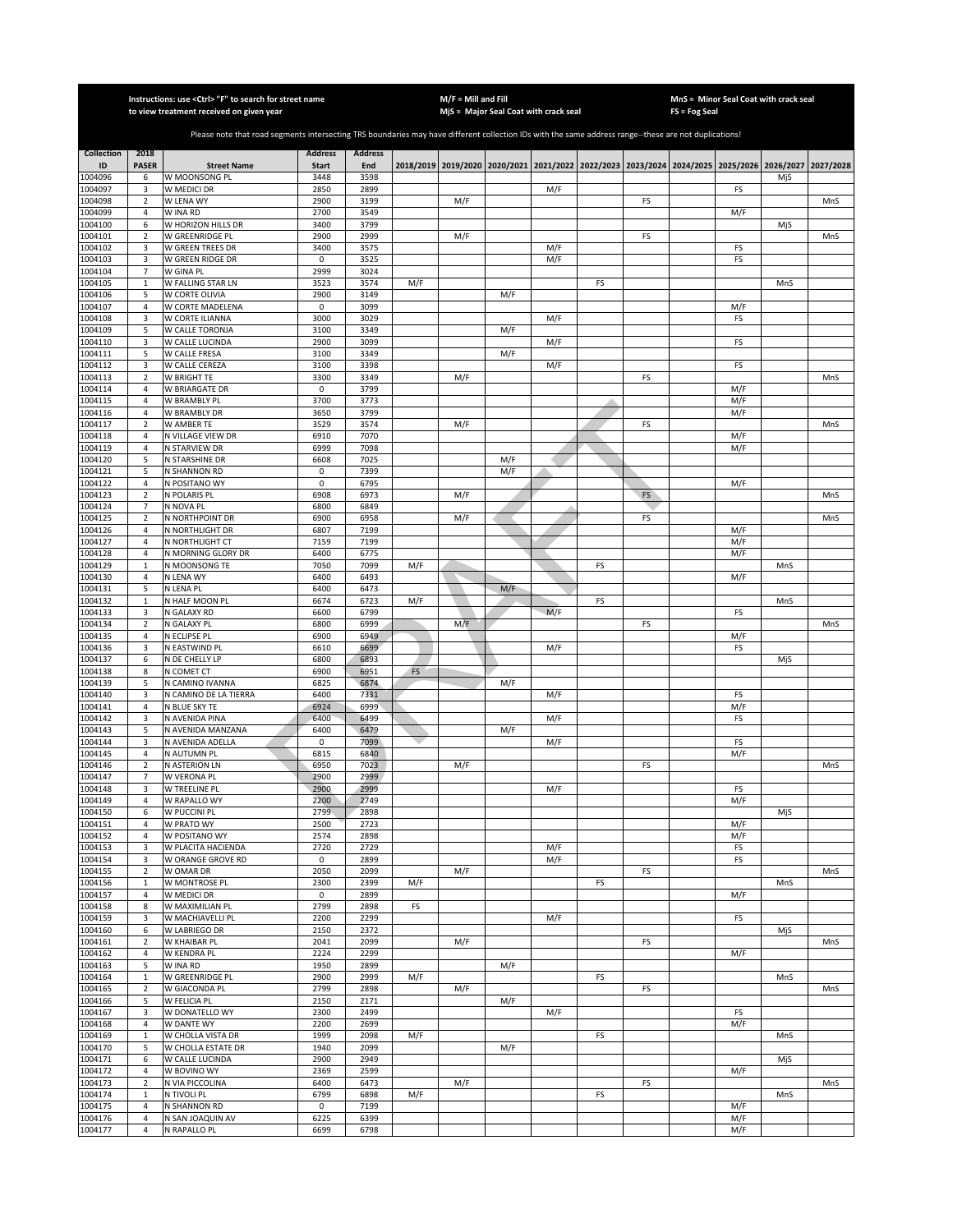|                    |                               | Instructions: use <ctrl> "F" to search for street name</ctrl>                                                                                         |                     |                |     | $M/F =$ Mill and Fill |                                                                                                     |            |    |    |               |            | MnS = Minor Seal Coat with crack seal |     |
|--------------------|-------------------------------|-------------------------------------------------------------------------------------------------------------------------------------------------------|---------------------|----------------|-----|-----------------------|-----------------------------------------------------------------------------------------------------|------------|----|----|---------------|------------|---------------------------------------|-----|
|                    |                               | to view treatment received on given year                                                                                                              |                     |                |     |                       | MjS = Major Seal Coat with crack seal                                                               |            |    |    | FS = Fog Seal |            |                                       |     |
|                    |                               | Please note that road segments intersecting TRS boundaries may have different collection IDs with the same address range--these are not duplications! |                     |                |     |                       |                                                                                                     |            |    |    |               |            |                                       |     |
| <b>Collection</b>  | 2018                          |                                                                                                                                                       | <b>Address</b>      | <b>Address</b> |     |                       |                                                                                                     |            |    |    |               |            |                                       |     |
| ID                 | <b>PASER</b>                  | <b>Street Name</b>                                                                                                                                    | <b>Start</b>        | End            |     |                       | 2018/2019 2019/2020 2020/2021 2021/2022 2022/2023 2023/2024 2024/2025 2025/2026 2026/2027 2027/2028 |            |    |    |               |            |                                       |     |
| 1004096<br>1004097 | 6<br>3                        | W MOONSONG PL<br>W MEDICI DR                                                                                                                          | 3448<br>2850        | 3598<br>2899   |     |                       |                                                                                                     | M/F        |    |    |               | FS         | MjS                                   |     |
| 1004098            | $\mathbf 2$                   | W LENA WY                                                                                                                                             | 2900                | 3199           |     | M/F                   |                                                                                                     |            |    | FS |               |            |                                       | MnS |
| 1004099            | 4                             | W INA RD                                                                                                                                              | 2700                | 3549           |     |                       |                                                                                                     |            |    |    |               | M/F        |                                       |     |
| 1004100            | 6                             | W HORIZON HILLS DR                                                                                                                                    | 3400                | 3799           |     |                       |                                                                                                     |            |    |    |               |            | MjS                                   |     |
| 1004101<br>1004102 | $\overline{2}$<br>3           | W GREENRIDGE PL<br><b>W GREEN TREES DR</b>                                                                                                            | 2900<br>3400        | 2999<br>3575   |     | M/F                   |                                                                                                     | M/F        |    | FS |               | FS         |                                       | MnS |
| 1004103            | 3                             | W GREEN RIDGE DR                                                                                                                                      | $\mathsf 0$         | 3525           |     |                       |                                                                                                     | M/F        |    |    |               | FS         |                                       |     |
| 1004104            | $\overline{7}$                | W GINA PL                                                                                                                                             | 2999                | 3024           |     |                       |                                                                                                     |            |    |    |               |            |                                       |     |
| 1004105<br>1004106 | $\mathbf 1$<br>5              | W FALLING STAR LN<br>W CORTE OLIVIA                                                                                                                   | 3523<br>2900        | 3574<br>3149   | M/F |                       | M/F                                                                                                 |            | FS |    |               |            | MnS                                   |     |
| 1004107            | $\overline{4}$                | W CORTE MADELENA                                                                                                                                      | $\mathsf 0$         | 3099           |     |                       |                                                                                                     |            |    |    |               | M/F        |                                       |     |
| 1004108            | 3                             | W CORTE ILIANNA                                                                                                                                       | 3000                | 3029           |     |                       |                                                                                                     | M/F        |    |    |               | FS         |                                       |     |
| 1004109            | 5                             | W CALLE TORONJA                                                                                                                                       | 3100                | 3349           |     |                       | M/F                                                                                                 |            |    |    |               |            |                                       |     |
| 1004110<br>1004111 | 3<br>5                        | W CALLE LUCINDA<br>W CALLE FRESA                                                                                                                      | 2900<br>3100        | 3099<br>3349   |     |                       | M/F                                                                                                 | M/F        |    |    |               | FS         |                                       |     |
| 1004112            | 3                             | W CALLE CEREZA                                                                                                                                        | 3100                | 3398           |     |                       |                                                                                                     | M/F        |    |    |               | FS         |                                       |     |
| 1004113            | $\mathbf 2$                   | W BRIGHT TE                                                                                                                                           | 3300                | 3349           |     | M/F                   |                                                                                                     |            |    | FS |               |            |                                       | MnS |
| 1004114            | 4                             | W BRIARGATE DR                                                                                                                                        | 0                   | 3799           |     |                       |                                                                                                     |            |    |    |               | M/F        |                                       |     |
| 1004115<br>1004116 | 4<br>$\overline{4}$           | W BRAMBLY PL<br>W BRAMBLY DR                                                                                                                          | 3700<br>3650        | 3773<br>3799   |     |                       |                                                                                                     |            |    |    |               | M/F<br>M/F |                                       |     |
| 1004117            | $\sqrt{2}$                    | W AMBER TE                                                                                                                                            | 3529                | 3574           |     | M/F                   |                                                                                                     |            |    | FS |               |            |                                       | MnS |
| 1004118            | $\overline{4}$                | N VILLAGE VIEW DR                                                                                                                                     | 6910                | 7070           |     |                       |                                                                                                     |            |    |    |               | M/F        |                                       |     |
| 1004119            | $\overline{4}$                | N STARVIEW DR                                                                                                                                         | 6999                | 7098           |     |                       |                                                                                                     |            |    |    |               | M/F        |                                       |     |
| 1004120<br>1004121 | 5<br>5                        | N STARSHINE DR<br>N SHANNON RD                                                                                                                        | 6608<br>0           | 7025<br>7399   |     |                       | M/F<br>M/F                                                                                          |            |    |    |               |            |                                       |     |
| 1004122            | $\sqrt{4}$                    | N POSITANO WY                                                                                                                                         | 0                   | 6795           |     |                       |                                                                                                     |            |    |    |               | M/F        |                                       |     |
| 1004123            | $\mathbf 2$                   | N POLARIS PL                                                                                                                                          | 6908                | 6973           |     | M/F                   |                                                                                                     |            |    | FS |               |            |                                       | MnS |
| 1004124            | $\overline{7}$                | N NOVA PL<br>N NORTHPOINT DR                                                                                                                          | 6800                | 6849           |     |                       |                                                                                                     |            |    |    |               |            |                                       |     |
| 1004125<br>1004126 | $\mathbf 2$<br>$\overline{4}$ | N NORTHLIGHT DR                                                                                                                                       | 6900<br>6807        | 6958<br>7199   |     | M/F                   |                                                                                                     |            |    | FS |               | M/F        |                                       | MnS |
| 1004127            | 4                             | N NORTHLIGHT CT                                                                                                                                       | 7159                | 7199           |     |                       |                                                                                                     |            |    |    |               | M/F        |                                       |     |
| 1004128            | $\sqrt{4}$                    | N MORNING GLORY DR                                                                                                                                    | 6400                | 6775           |     |                       |                                                                                                     |            |    |    |               | M/F        |                                       |     |
| 1004129<br>1004130 | $\,1\,$<br>4                  | N MOONSONG TE<br>N LENA WY                                                                                                                            | 7050<br>6400        | 7099<br>6493   | M/F |                       |                                                                                                     |            | FS |    |               | M/F        | MnS                                   |     |
| 1004131            | 5                             | N LENA PL                                                                                                                                             | 6400                | 6473           |     |                       | M/F                                                                                                 |            |    |    |               |            |                                       |     |
| 1004132            | $\mathbf 1$                   | N HALF MOON PL                                                                                                                                        | 6674                | 6723           | M/F |                       |                                                                                                     |            | FS |    |               |            | MnS                                   |     |
| 1004133            | 3                             | N GALAXY RD                                                                                                                                           | 6600                | 6799           |     |                       |                                                                                                     | M/F        |    |    |               | FS         |                                       |     |
| 1004134<br>1004135 | $\mathbf 2$<br>4              | N GALAXY PL<br>N ECLIPSE PL                                                                                                                           | 6800<br>6900        | 6999<br>6949   |     | M/F                   |                                                                                                     |            |    | FS |               | M/F        |                                       | MnS |
| 1004136            | 3                             | N EASTWIND PL                                                                                                                                         | 6610                | 6699           |     |                       |                                                                                                     | M/F        |    |    |               | FS         |                                       |     |
| 1004137            | 6                             | N DE CHELLY LP                                                                                                                                        | 6800                | 6893           |     |                       |                                                                                                     |            |    |    |               |            | MjS                                   |     |
| 1004138            | 8                             | N COMET CT                                                                                                                                            | 6900                | 6951           | FS  |                       |                                                                                                     |            |    |    |               |            |                                       |     |
| 1004139<br>1004140 | 5<br>3                        | N CAMINO IVANNA<br>N CAMINO DE LA TIERRA                                                                                                              | 6825<br>6400        | 6874<br>7331   |     |                       | M/F                                                                                                 | M/F        |    |    |               | FS         |                                       |     |
| 1004141            | $\overline{4}$                | N BLUE SKY TE                                                                                                                                         | 6924                | 6999           |     |                       |                                                                                                     |            |    |    |               | M/F        |                                       |     |
| 1004142            | 3                             | N AVENIDA PINA                                                                                                                                        | 6400                | 6499           |     |                       |                                                                                                     | M/F        |    |    |               | FS         |                                       |     |
| 1004143<br>1004144 | 5<br>3                        | N AVENIDA MANZANA<br>N AVENIDA ADELLA                                                                                                                 | 6400<br>$\mathsf 0$ | 6479<br>7099   |     |                       | M/F                                                                                                 | M/F        |    |    |               |            |                                       |     |
| 1004145            | $\overline{4}$                | N AUTUMN PL                                                                                                                                           | 6815                | 6840           |     |                       |                                                                                                     |            |    |    |               | FS<br>M/F  |                                       |     |
| 1004146            | $\mathbf 2$                   | N ASTERION LN                                                                                                                                         | 6950                | 7023           |     | M/F                   |                                                                                                     |            |    | FS |               |            |                                       | MnS |
| 1004147            | $\overline{7}$                | W VERONA PL                                                                                                                                           | 2900                | 2999           |     |                       |                                                                                                     |            |    |    |               |            |                                       |     |
| 1004148<br>1004149 | 3<br>4                        | W TREELINE PL<br>W RAPALLO WY                                                                                                                         | 2900<br>2200        | 2999<br>2749   |     |                       |                                                                                                     | M/F        |    |    |               | FS<br>M/F  |                                       |     |
| 1004150            | 6                             | W PUCCINI PL                                                                                                                                          | 2799                | 2898           |     |                       |                                                                                                     |            |    |    |               |            | MjS                                   |     |
| 1004151            | $\overline{4}$                | W PRATO WY                                                                                                                                            | 2500                | 2723           |     |                       |                                                                                                     |            |    |    |               | M/F        |                                       |     |
| 1004152            | 4                             | W POSITANO WY                                                                                                                                         | 2574                | 2898           |     |                       |                                                                                                     |            |    |    |               | M/F        |                                       |     |
| 1004153<br>1004154 | 3<br>3                        | W PLACITA HACIENDA<br>W ORANGE GROVE RD                                                                                                               | 2720<br>0           | 2729<br>2899   |     |                       |                                                                                                     | M/F<br>M/F |    |    |               | FS<br>FS   |                                       |     |
| 1004155            | $\overline{2}$                | W OMAR DR                                                                                                                                             | 2050                | 2099           |     | M/F                   |                                                                                                     |            |    | FS |               |            |                                       | MnS |
| 1004156            | $\mathbf 1$                   | W MONTROSE PL                                                                                                                                         | 2300                | 2399           | M/F |                       |                                                                                                     |            | FS |    |               |            | MnS                                   |     |
| 1004157<br>1004158 | 4<br>8                        | W MEDICI DR<br>W MAXIMILIAN PL                                                                                                                        | $\mathsf 0$<br>2799 | 2899<br>2898   | FS  |                       |                                                                                                     |            |    |    |               | M/F        |                                       |     |
| 1004159            | 3                             | W MACHIAVELLI PL                                                                                                                                      | 2200                | 2299           |     |                       |                                                                                                     | M/F        |    |    |               | FS         |                                       |     |
| 1004160            | 6                             | W LABRIEGO DR                                                                                                                                         | 2150                | 2372           |     |                       |                                                                                                     |            |    |    |               |            | MjS                                   |     |
| 1004161            | $\overline{2}$                | W KHAIBAR PL                                                                                                                                          | 2041                | 2099           |     | M/F                   |                                                                                                     |            |    | FS |               |            |                                       | MnS |
| 1004162<br>1004163 | 4<br>5                        | W KENDRA PL<br>W INA RD                                                                                                                               | 2224<br>1950        | 2299<br>2899   |     |                       | M/F                                                                                                 |            |    |    |               | M/F        |                                       |     |
| 1004164            | $\mathbf{1}$                  | W GREENRIDGE PL                                                                                                                                       | 2900                | 2999           | M/F |                       |                                                                                                     |            | FS |    |               |            | MnS                                   |     |
| 1004165            | $\overline{2}$                | W GIACONDA PL                                                                                                                                         | 2799                | 2898           |     | M/F                   |                                                                                                     |            |    | FS |               |            |                                       | MnS |
| 1004166            | 5                             | W FELICIA PL                                                                                                                                          | 2150                | 2171           |     |                       | M/F                                                                                                 |            |    |    |               |            |                                       |     |
| 1004167<br>1004168 | 3<br>$\overline{4}$           | W DONATELLO WY<br>W DANTE WY                                                                                                                          | 2300<br>2200        | 2499<br>2699   |     |                       |                                                                                                     | M/F        |    |    |               | FS<br>M/F  |                                       |     |
| 1004169            | $\mathbf{1}$                  | W CHOLLA VISTA DR                                                                                                                                     | 1999                | 2098           | M/F |                       |                                                                                                     |            | FS |    |               |            | MnS                                   |     |
| 1004170            | 5                             | W CHOLLA ESTATE DR                                                                                                                                    | 1940                | 2099           |     |                       | M/F                                                                                                 |            |    |    |               |            |                                       |     |
| 1004171            | 6                             | W CALLE LUCINDA                                                                                                                                       | 2900                | 2949           |     |                       |                                                                                                     |            |    |    |               |            | MjS                                   |     |
| 1004172<br>1004173 | $\sqrt{4}$<br>$\mathbf 2$     | W BOVINO WY<br>N VIA PICCOLINA                                                                                                                        | 2369<br>6400        | 2599<br>6473   |     | M/F                   |                                                                                                     |            |    | FS |               | M/F        |                                       | MnS |
| 1004174            | $\mathbf{1}$                  | N TIVOLI PL                                                                                                                                           | 6799                | 6898           | M/F |                       |                                                                                                     |            | FS |    |               |            | MnS                                   |     |
| 1004175            | $\sqrt{4}$                    | N SHANNON RD                                                                                                                                          | 0                   | 7199           |     |                       |                                                                                                     |            |    |    |               | M/F        |                                       |     |
| 1004176            | $\overline{4}$                | N SAN JOAQUIN AV                                                                                                                                      | 6225                | 6399           |     |                       |                                                                                                     |            |    |    |               | M/F        |                                       |     |
| 1004177            | 4                             | N RAPALLO PL                                                                                                                                          | 6699                | 6798           |     |                       |                                                                                                     |            |    |    |               | M/F        |                                       |     |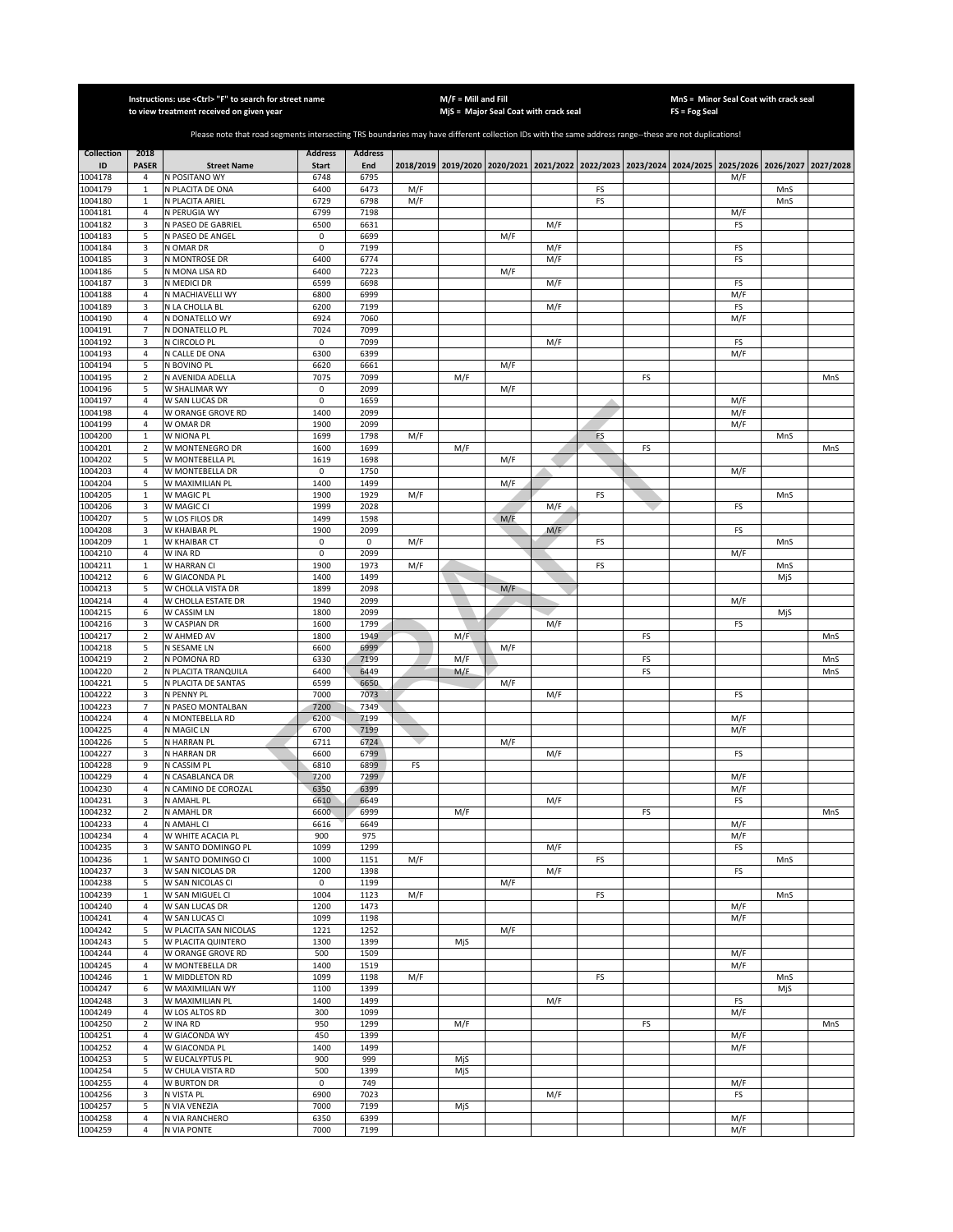|                         |                                | Instructions: use < Ctrl> "F" to search for street name<br>to view treatment received on given year                                                   |                                |                       |     | $M/F =$ Mill and Fill | MjS = Major Seal Coat with crack seal |     |    |    | FS = Fog Seal | MnS = Minor Seal Coat with crack seal                                                     |            |           |
|-------------------------|--------------------------------|-------------------------------------------------------------------------------------------------------------------------------------------------------|--------------------------------|-----------------------|-----|-----------------------|---------------------------------------|-----|----|----|---------------|-------------------------------------------------------------------------------------------|------------|-----------|
|                         |                                |                                                                                                                                                       |                                |                       |     |                       |                                       |     |    |    |               |                                                                                           |            |           |
|                         |                                | Please note that road segments intersecting TRS boundaries may have different collection IDs with the same address range--these are not duplications! |                                |                       |     |                       |                                       |     |    |    |               |                                                                                           |            |           |
| <b>Collection</b><br>ID | 2018<br><b>PASER</b>           | <b>Street Name</b>                                                                                                                                    | <b>Address</b><br><b>Start</b> | <b>Address</b><br>End |     |                       |                                       |     |    |    |               | 2018/2019 2019/2020 2020/2021 2021/2022 2022/2023 2023/2024 2024/2025 2025/2026 2026/2027 |            | 2027/2028 |
| 1004178                 | 4                              | N POSITANO WY                                                                                                                                         | 6748                           | 6795                  |     |                       |                                       |     |    |    |               | M/F                                                                                       |            |           |
| 1004179                 | $\mathbf{1}$                   | N PLACITA DE ONA                                                                                                                                      | 6400                           | 6473                  | M/F |                       |                                       |     | FS |    |               |                                                                                           | MnS        |           |
| 1004180                 | $\mathbf{1}$                   | N PLACITA ARIEL                                                                                                                                       | 6729                           | 6798                  | M/F |                       |                                       |     | FS |    |               |                                                                                           | MnS        |           |
| 1004181<br>1004182      | $\overline{4}$<br>3            | N PERUGIA WY<br>N PASEO DE GABRIEL                                                                                                                    | 6799<br>6500                   | 7198<br>6631          |     |                       |                                       | M/F |    |    |               | M/F<br>FS                                                                                 |            |           |
| 1004183                 | 5                              | N PASEO DE ANGEL                                                                                                                                      | $\mathsf 0$                    | 6699                  |     |                       | M/F                                   |     |    |    |               |                                                                                           |            |           |
| 1004184                 | 3                              | N OMAR DR                                                                                                                                             | $\mathbf 0$                    | 7199                  |     |                       |                                       | M/F |    |    |               | FS                                                                                        |            |           |
| 1004185<br>1004186      | 3<br>5                         | N MONTROSE DR<br>N MONA LISA RD                                                                                                                       | 6400<br>6400                   | 6774<br>7223          |     |                       | M/F                                   | M/F |    |    |               | FS                                                                                        |            |           |
| 1004187                 | 3                              | N MEDICI DR                                                                                                                                           | 6599                           | 6698                  |     |                       |                                       | M/F |    |    |               | FS                                                                                        |            |           |
| 1004188                 | $\sqrt{4}$                     | N MACHIAVELLI WY                                                                                                                                      | 6800                           | 6999                  |     |                       |                                       |     |    |    |               | M/F                                                                                       |            |           |
| 1004189                 | 3                              | N LA CHOLLA BL                                                                                                                                        | 6200                           | 7199                  |     |                       |                                       | M/F |    |    |               | FS                                                                                        |            |           |
| 1004190<br>1004191      | 4<br>$\overline{7}$            | N DONATELLO WY<br>N DONATELLO PL                                                                                                                      | 6924<br>7024                   | 7060<br>7099          |     |                       |                                       |     |    |    |               | M/F                                                                                       |            |           |
| 1004192                 | 3                              | N CIRCOLO PL                                                                                                                                          | 0                              | 7099                  |     |                       |                                       | M/F |    |    |               | FS                                                                                        |            |           |
| 1004193                 | $\overline{4}$                 | N CALLE DE ONA                                                                                                                                        | 6300                           | 6399                  |     |                       |                                       |     |    |    |               | M/F                                                                                       |            |           |
| 1004194                 | 5                              | N BOVINO PL                                                                                                                                           | 6620                           | 6661                  |     |                       | M/F                                   |     |    |    |               |                                                                                           |            |           |
| 1004195<br>1004196      | $\sqrt{2}$<br>5                | N AVENIDA ADELLA<br>W SHALIMAR WY                                                                                                                     | 7075<br>0                      | 7099<br>2099          |     | M/F                   | M/F                                   |     |    | FS |               |                                                                                           |            | MnS       |
| 1004197                 | $\overline{4}$                 | W SAN LUCAS DR                                                                                                                                        | 0                              | 1659                  |     |                       |                                       |     | ۸  |    |               | M/F                                                                                       |            |           |
| 1004198                 | 4                              | W ORANGE GROVE RD                                                                                                                                     | 1400                           | 2099                  |     |                       |                                       |     |    |    |               | M/F                                                                                       |            |           |
| 1004199                 | $\overline{4}$                 | W OMAR DR                                                                                                                                             | 1900                           | 2099                  |     |                       |                                       |     |    |    |               | M/F                                                                                       |            |           |
| 1004200<br>1004201      | $\mathbf{1}$<br>$\overline{2}$ | W NIONA PL<br>W MONTENEGRO DR                                                                                                                         | 1699<br>1600                   | 1798<br>1699          | M/F | M/F                   |                                       |     | FS | FS |               |                                                                                           | MnS        | MnS       |
| 1004202                 | 5                              | W MONTEBELLA PL                                                                                                                                       | 1619                           | 1698                  |     |                       | M/F                                   |     |    |    |               |                                                                                           |            |           |
| 1004203                 | $\overline{4}$                 | W MONTEBELLA DR                                                                                                                                       | 0                              | 1750                  |     |                       |                                       |     |    |    |               | M/F                                                                                       |            |           |
| 1004204                 | 5                              | W MAXIMILIAN PL                                                                                                                                       | 1400                           | 1499                  |     |                       | M/F                                   |     |    |    |               |                                                                                           |            |           |
| 1004205<br>1004206      | $\mathbf{1}$                   | W MAGIC PL<br>W MAGIC CI                                                                                                                              | 1900<br>1999                   | 1929<br>2028          | M/F |                       |                                       | M/F | FS |    |               | FS                                                                                        | MnS        |           |
| 1004207                 | 3<br>5                         | W LOS FILOS DR                                                                                                                                        | 1499                           | 1598                  |     |                       | M/F                                   |     |    |    |               |                                                                                           |            |           |
| 1004208                 | 3                              | W KHAIBAR PL                                                                                                                                          | 1900                           | 2099                  |     |                       |                                       | M/F |    |    |               | FS                                                                                        |            |           |
| 1004209                 | $\mathbf{1}$                   | W KHAIBAR CT                                                                                                                                          | $\mathbf 0$                    | $\pmb{0}$             | M/F |                       |                                       |     | FS |    |               |                                                                                           | MnS        |           |
| 1004210<br>1004211      | 4<br>$\mathbf 1$               | W INA RD<br>W HARRAN CI                                                                                                                               | 0<br>1900                      | 2099<br>1973          | M/F |                       |                                       |     | FS |    |               | M/F                                                                                       |            |           |
| 1004212                 | 6                              | W GIACONDA PL                                                                                                                                         | 1400                           | 1499                  |     |                       |                                       |     |    |    |               |                                                                                           | MnS<br>MjS |           |
| 1004213                 | 5                              | W CHOLLA VISTA DR                                                                                                                                     | 1899                           | 2098                  |     |                       | M/F                                   |     |    |    |               |                                                                                           |            |           |
| 1004214                 | 4                              | W CHOLLA ESTATE DR                                                                                                                                    | 1940                           | 2099                  |     |                       |                                       |     |    |    |               | M/F                                                                                       |            |           |
| 1004215                 | 6<br>3                         | W CASSIM LN                                                                                                                                           | 1800                           | 2099                  |     |                       |                                       |     |    |    |               |                                                                                           | MjS        |           |
| 1004216<br>1004217      | $\mathbf 2$                    | W CASPIAN DR<br>W AHMED AV                                                                                                                            | 1600<br>1800                   | 1799<br>1949          |     | M/F                   |                                       | M/F |    | FS |               | FS                                                                                        |            | MnS       |
| 1004218                 | 5                              | N SESAME LN                                                                                                                                           | 6600                           | 6999                  |     |                       | M/F                                   |     |    |    |               |                                                                                           |            |           |
| 1004219                 | $\overline{2}$                 | N POMONA RD                                                                                                                                           | 6330                           | 7199                  |     | M/F                   |                                       |     |    | FS |               |                                                                                           |            | MnS       |
| 1004220<br>1004221      | $\sqrt{2}$<br>5                | N PLACITA TRANQUILA<br>N PLACITA DE SANTAS                                                                                                            | 6400<br>6599                   | 6449<br>6650          |     | M/F                   | M/F                                   |     |    | FS |               |                                                                                           |            | MnS       |
| 1004222                 | 3                              | N PENNY PL                                                                                                                                            | 7000                           | 7073                  |     |                       |                                       | M/F |    |    |               | FS                                                                                        |            |           |
| 1004223                 | $\overline{7}$                 | N PASEO MONTALBAN                                                                                                                                     | 7200                           | 7349                  |     |                       |                                       |     |    |    |               |                                                                                           |            |           |
| 1004224                 | 4                              | N MONTEBELLA RD                                                                                                                                       | 6200                           | 7199                  |     |                       |                                       |     |    |    |               | M/F                                                                                       |            |           |
| 1004225<br>1004226      | 4<br>5                         | N MAGIC LN<br>N HARRAN PL                                                                                                                             | 6700<br>6711                   | 7199<br>6724          |     |                       | M/F                                   |     |    |    |               | M/F                                                                                       |            |           |
| 1004227                 | 3                              | N HARRAN DR                                                                                                                                           | 6600                           | 6799                  |     |                       |                                       | M/F |    |    |               | FS                                                                                        |            |           |
| 1004228                 | 9                              | N CASSIM PL                                                                                                                                           | 6810                           | 6899                  | FS  |                       |                                       |     |    |    |               |                                                                                           |            |           |
| 1004229                 | $\sqrt{4}$                     | N CASABLANCA DR                                                                                                                                       | 7200                           | 7299                  |     |                       |                                       |     |    |    |               | M/F                                                                                       |            |           |
| 1004230<br>1004231      | $\overline{4}$<br>3            | N CAMINO DE COROZAL<br>N AMAHL PL                                                                                                                     | 6350<br>6610                   | 6399<br>6649          |     |                       |                                       | M/F |    |    |               | M/F<br>FS                                                                                 |            |           |
| 1004232                 | $\overline{2}$                 | N AMAHL DR                                                                                                                                            | 6600                           | 6999                  |     | M/F                   |                                       |     |    | FS |               |                                                                                           |            | MnS       |
| 1004233                 | 4                              | N AMAHL CI                                                                                                                                            | 6616                           | 6649                  |     |                       |                                       |     |    |    |               | M/F                                                                                       |            |           |
| 1004234                 | $\overline{4}$                 | W WHITE ACACIA PL                                                                                                                                     | 900                            | 975                   |     |                       |                                       |     |    |    |               | M/F                                                                                       |            |           |
| 1004235<br>1004236      | 3<br>$\mathbf 1$               | W SANTO DOMINGO PL<br>W SANTO DOMINGO CI                                                                                                              | 1099<br>1000                   | 1299<br>1151          | M/F |                       |                                       | M/F | FS |    |               | FS                                                                                        | MnS        |           |
| 1004237                 | 3                              | W SAN NICOLAS DR                                                                                                                                      | 1200                           | 1398                  |     |                       |                                       | M/F |    |    |               | FS                                                                                        |            |           |
| 1004238                 | 5                              | W SAN NICOLAS CI                                                                                                                                      | $\mathsf 0$                    | 1199                  |     |                       | M/F                                   |     |    |    |               |                                                                                           |            |           |
| 1004239                 | $\mathbf 1$                    | W SAN MIGUEL CI                                                                                                                                       | 1004                           | 1123                  | M/F |                       |                                       |     | FS |    |               |                                                                                           | MnS        |           |
| 1004240<br>1004241      | 4<br>4                         | W SAN LUCAS DR<br>W SAN LUCAS CI                                                                                                                      | 1200<br>1099                   | 1473<br>1198          |     |                       |                                       |     |    |    |               | M/F<br>M/F                                                                                |            |           |
| 1004242                 | 5                              | W PLACITA SAN NICOLAS                                                                                                                                 | 1221                           | 1252                  |     |                       | M/F                                   |     |    |    |               |                                                                                           |            |           |
| 1004243                 | 5                              | W PLACITA QUINTERO                                                                                                                                    | 1300                           | 1399                  |     | MjS                   |                                       |     |    |    |               |                                                                                           |            |           |
| 1004244                 | 4                              | W ORANGE GROVE RD                                                                                                                                     | 500                            | 1509                  |     |                       |                                       |     |    |    |               | M/F                                                                                       |            |           |
| 1004245<br>1004246      | $\overline{4}$<br>$\mathbf 1$  | W MONTEBELLA DR<br>W MIDDLETON RD                                                                                                                     | 1400<br>1099                   | 1519<br>1198          | M/F |                       |                                       |     | FS |    |               | M/F                                                                                       | MnS        |           |
| 1004247                 | 6                              | W MAXIMILIAN WY                                                                                                                                       | 1100                           | 1399                  |     |                       |                                       |     |    |    |               |                                                                                           | MjS        |           |
| 1004248                 | 3                              | W MAXIMILIAN PL                                                                                                                                       | 1400                           | 1499                  |     |                       |                                       | M/F |    |    |               | FS                                                                                        |            |           |
| 1004249                 | 4                              | W LOS ALTOS RD                                                                                                                                        | 300                            | 1099                  |     |                       |                                       |     |    |    |               | M/F                                                                                       |            |           |
| 1004250<br>1004251      | $\mathbf 2$<br>4               | W INA RD<br>W GIACONDA WY                                                                                                                             | 950<br>450                     | 1299<br>1399          |     | M/F                   |                                       |     |    | FS |               | M/F                                                                                       |            | MnS       |
| 1004252                 | 4                              | W GIACONDA PL                                                                                                                                         | 1400                           | 1499                  |     |                       |                                       |     |    |    |               | M/F                                                                                       |            |           |
| 1004253                 | 5                              | W EUCALYPTUS PL                                                                                                                                       | 900                            | 999                   |     | MiS                   |                                       |     |    |    |               |                                                                                           |            |           |
| 1004254                 | 5                              | W CHULA VISTA RD                                                                                                                                      | 500                            | 1399                  |     | MjS                   |                                       |     |    |    |               |                                                                                           |            |           |
| 1004255<br>1004256      | $\overline{4}$<br>3            | <b>W BURTON DR</b><br>N VISTA PL                                                                                                                      | $\mathsf 0$<br>6900            | 749<br>7023           |     |                       |                                       | M/F |    |    |               | M/F<br>FS                                                                                 |            |           |
| 1004257                 | 5                              | N VIA VENEZIA                                                                                                                                         | 7000                           | 7199                  |     | MjS                   |                                       |     |    |    |               |                                                                                           |            |           |
| 1004258                 | $\overline{4}$                 | N VIA RANCHERO                                                                                                                                        | 6350                           | 6399                  |     |                       |                                       |     |    |    |               | M/F                                                                                       |            |           |
| 1004259                 | $\overline{4}$                 | N VIA PONTE                                                                                                                                           | 7000                           | 7199                  |     |                       |                                       |     |    |    |               | M/F                                                                                       |            |           |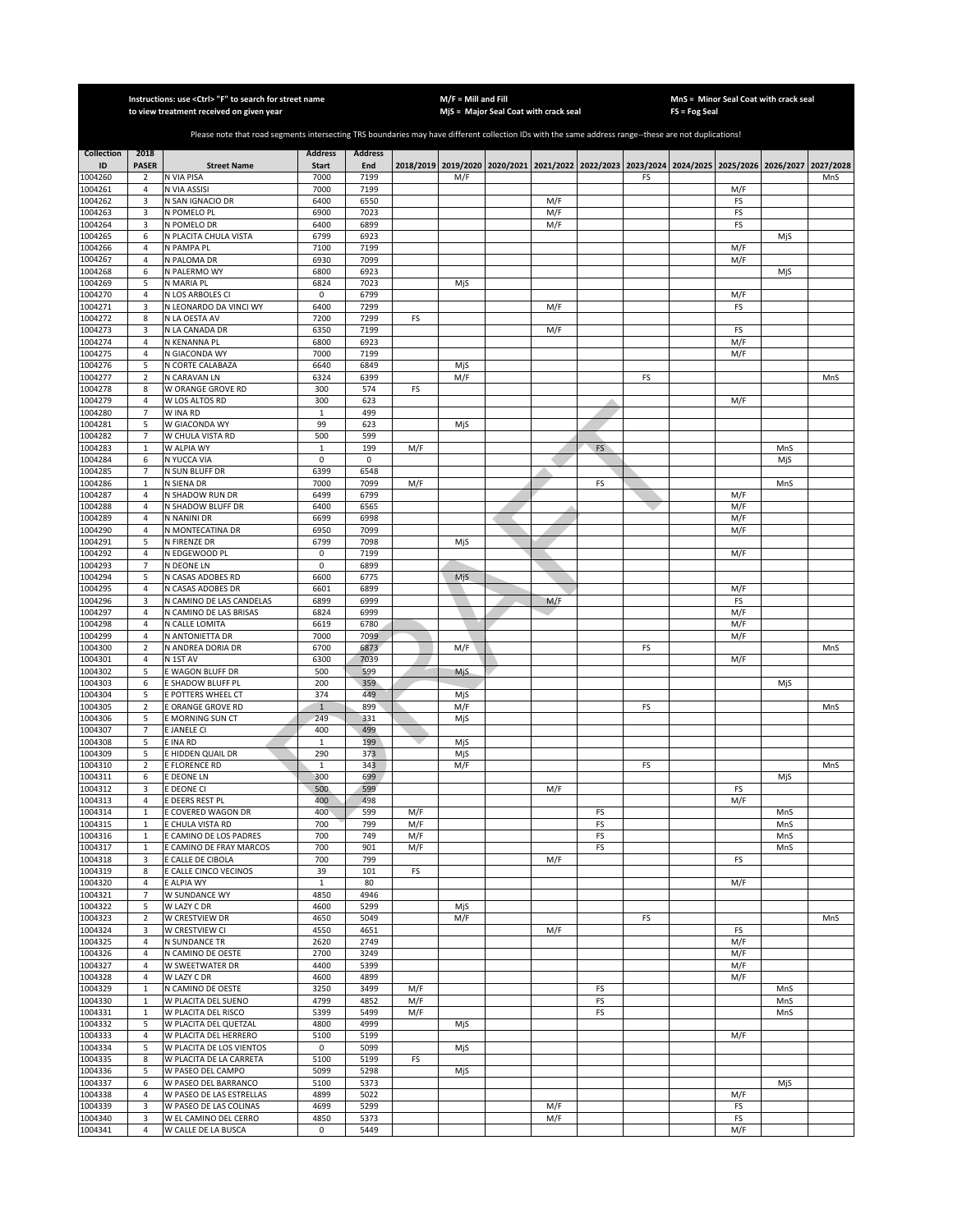|                    |                               | Instructions: use < Ctrl> "F" to search for street name<br>to view treatment received on given year                                                   |                     |                |            | $M/F =$ Mill and Fill | MjS = Major Seal Coat with crack seal |     |           |                                                                                           | $FS = Fog Seal$ | MnS = Minor Seal Coat with crack seal |            |           |
|--------------------|-------------------------------|-------------------------------------------------------------------------------------------------------------------------------------------------------|---------------------|----------------|------------|-----------------------|---------------------------------------|-----|-----------|-------------------------------------------------------------------------------------------|-----------------|---------------------------------------|------------|-----------|
|                    |                               |                                                                                                                                                       |                     |                |            |                       |                                       |     |           |                                                                                           |                 |                                       |            |           |
|                    |                               | Please note that road segments intersecting TRS boundaries may have different collection IDs with the same address range--these are not duplications! |                     |                |            |                       |                                       |     |           |                                                                                           |                 |                                       |            |           |
| <b>Collection</b>  | 2018                          |                                                                                                                                                       | <b>Address</b>      | <b>Address</b> |            |                       |                                       |     |           |                                                                                           |                 |                                       |            |           |
| ID                 | <b>PASER</b>                  | <b>Street Name</b>                                                                                                                                    | <b>Start</b>        | End            |            |                       |                                       |     |           | 2018/2019 2019/2020 2020/2021 2021/2022 2022/2023 2023/2024 2024/2025 2025/2026 2026/2027 |                 |                                       |            | 2027/2028 |
| 1004260            | $\overline{2}$                | N VIA PISA                                                                                                                                            | 7000                | 7199           |            | M/F                   |                                       |     |           | FS                                                                                        |                 |                                       |            | MnS       |
| 1004261<br>1004262 | 4<br>3                        | N VIA ASSISI<br>N SAN IGNACIO DR                                                                                                                      | 7000<br>6400        | 7199<br>6550   |            |                       |                                       | M/F |           |                                                                                           |                 | M/F<br>FS                             |            |           |
| 1004263            | 3                             | N POMELO PL                                                                                                                                           | 6900                | 7023           |            |                       |                                       | M/F |           |                                                                                           |                 | FS                                    |            |           |
| 1004264            | 3                             | N POMELO DR                                                                                                                                           | 6400                | 6899           |            |                       |                                       | M/F |           |                                                                                           |                 | FS                                    |            |           |
| 1004265            | 6                             | N PLACITA CHULA VISTA                                                                                                                                 | 6799                | 6923           |            |                       |                                       |     |           |                                                                                           |                 |                                       | MjS        |           |
| 1004266<br>1004267 | $\sqrt{4}$<br>4               | N PAMPA PL<br>N PALOMA DR                                                                                                                             | 7100<br>6930        | 7199<br>7099   |            |                       |                                       |     |           |                                                                                           |                 | M/F<br>M/F                            |            |           |
| 1004268            | 6                             | N PALERMO WY                                                                                                                                          | 6800                | 6923           |            |                       |                                       |     |           |                                                                                           |                 |                                       | MjS        |           |
| 1004269            | 5                             | N MARIA PL                                                                                                                                            | 6824                | 7023           |            | MjS                   |                                       |     |           |                                                                                           |                 |                                       |            |           |
| 1004270            | 4                             | N LOS ARBOLES CI                                                                                                                                      | $\pmb{0}$           | 6799           |            |                       |                                       |     |           |                                                                                           |                 | M/F                                   |            |           |
| 1004271            | 3                             | N LEONARDO DA VINCI WY                                                                                                                                | 6400                | 7299           |            |                       |                                       | M/F |           |                                                                                           |                 | FS                                    |            |           |
| 1004272<br>1004273 | 8<br>3                        | N LA OESTA AV<br>N LA CANADA DR                                                                                                                       | 7200<br>6350        | 7299<br>7199   | FS         |                       |                                       | M/F |           |                                                                                           |                 | FS                                    |            |           |
| 1004274            | 4                             | N KENANNA PL                                                                                                                                          | 6800                | 6923           |            |                       |                                       |     |           |                                                                                           |                 | M/F                                   |            |           |
| 1004275            | $\sqrt{4}$                    | N GIACONDA WY                                                                                                                                         | 7000                | 7199           |            |                       |                                       |     |           |                                                                                           |                 | M/F                                   |            |           |
| 1004276            | 5                             | N CORTE CALABAZA                                                                                                                                      | 6640                | 6849           |            | MjS                   |                                       |     |           |                                                                                           |                 |                                       |            |           |
| 1004277            | $\mathbf 2$                   | N CARAVAN LN                                                                                                                                          | 6324                | 6399           |            | M/F                   |                                       |     |           | FS                                                                                        |                 |                                       |            | MnS       |
| 1004278            | 8<br>$\sqrt{4}$               | W ORANGE GROVE RD                                                                                                                                     | 300                 | 574<br>623     | FS         |                       |                                       |     |           |                                                                                           |                 |                                       |            |           |
| 1004279<br>1004280 | 7                             | W LOS ALTOS RD<br>W INA RD                                                                                                                            | 300<br>1            | 499            |            |                       |                                       |     |           |                                                                                           |                 | M/F                                   |            |           |
| 1004281            | 5                             | W GIACONDA WY                                                                                                                                         | 99                  | 623            |            | MjS                   |                                       |     |           |                                                                                           |                 |                                       |            |           |
| 1004282            | $\overline{7}$                | W CHULA VISTA RD                                                                                                                                      | 500                 | 599            |            |                       |                                       |     |           |                                                                                           |                 |                                       |            |           |
| 1004283            | $\mathbf{1}$                  | W ALPIA WY                                                                                                                                            | 1                   | 199            | M/F        |                       |                                       |     | <b>FS</b> |                                                                                           |                 |                                       | MnS        |           |
| 1004284            | 6                             | N YUCCA VIA                                                                                                                                           | 0                   | 0              |            |                       |                                       |     |           |                                                                                           |                 |                                       | MjS        |           |
| 1004285<br>1004286 | $\overline{7}$<br>$\mathbf 1$ | N SUN BLUFF DR<br>N SIENA DR                                                                                                                          | 6399<br>7000        | 6548<br>7099   | M/F        |                       |                                       |     | FS        |                                                                                           |                 |                                       | MnS        |           |
| 1004287            | $\overline{4}$                | N SHADOW RUN DR                                                                                                                                       | 6499                | 6799           |            |                       |                                       |     |           |                                                                                           |                 | M/F                                   |            |           |
| 1004288            | $\sqrt{4}$                    | N SHADOW BLUFF DR                                                                                                                                     | 6400                | 6565           |            |                       |                                       |     |           |                                                                                           |                 | M/F                                   |            |           |
| 1004289            | $\overline{4}$                | N NANINI DR                                                                                                                                           | 6699                | 6998           |            |                       |                                       |     |           |                                                                                           |                 | M/F                                   |            |           |
| 1004290            | 4                             | N MONTECATINA DR                                                                                                                                      | 6950                | 7099           |            |                       |                                       |     |           |                                                                                           |                 | M/F                                   |            |           |
| 1004291            | 5                             | N FIRENZE DR                                                                                                                                          | 6799                | 7098           |            | MjS                   |                                       |     |           |                                                                                           |                 |                                       |            |           |
| 1004292<br>1004293 | 4<br>$\overline{7}$           | N EDGEWOOD PL<br>N DEONE LN                                                                                                                           | $\pmb{0}$<br>0      | 7199<br>6899   |            |                       |                                       |     |           |                                                                                           |                 | M/F                                   |            |           |
| 1004294            | 5                             | N CASAS ADOBES RD                                                                                                                                     | 6600                | 6775           |            | MjS                   |                                       |     |           |                                                                                           |                 |                                       |            |           |
| 1004295            | 4                             | N CASAS ADOBES DR                                                                                                                                     | 6601                | 6899           |            |                       |                                       |     |           |                                                                                           |                 | M/F                                   |            |           |
| 1004296            | 3                             | N CAMINO DE LAS CANDELAS                                                                                                                              | 6899                | 6999           |            |                       |                                       | M/F |           |                                                                                           |                 | FS                                    |            |           |
| 1004297            | 4                             | N CAMINO DE LAS BRISAS                                                                                                                                | 6824                | 6999           |            |                       |                                       |     |           |                                                                                           |                 | M/F                                   |            |           |
| 1004298<br>1004299 | 4<br>4                        | N CALLE LOMITA<br>N ANTONIETTA DR                                                                                                                     | 6619<br>7000        | 6780<br>7099   |            |                       |                                       |     |           |                                                                                           |                 | M/F<br>M/F                            |            |           |
| 1004300            | $\overline{2}$                | N ANDREA DORIA DR                                                                                                                                     | 6700                | 6873           |            | M/F                   |                                       |     |           | FS                                                                                        |                 |                                       |            | MnS       |
| 1004301            | 4                             | N 1ST AV                                                                                                                                              | 6300                | 7039           |            |                       |                                       |     |           |                                                                                           |                 | M/F                                   |            |           |
| 1004302            | 5                             | E WAGON BLUFF DR                                                                                                                                      | 500                 | 599            |            | MjS                   |                                       |     |           |                                                                                           |                 |                                       |            |           |
| 1004303            | 6                             | E SHADOW BLUFF PL                                                                                                                                     | 200                 | 359            |            |                       |                                       |     |           |                                                                                           |                 |                                       | MjS        |           |
| 1004304            | 5                             | E POTTERS WHEEL CT                                                                                                                                    | 374                 | 449            |            | MjS                   |                                       |     |           |                                                                                           |                 |                                       |            |           |
| 1004305<br>1004306 | $\overline{2}$<br>5           | E ORANGE GROVE RD<br>E MORNING SUN CT                                                                                                                 | $\mathbf{1}$<br>249 | 899<br>331     |            | M/F<br>MjS            |                                       |     |           | FS                                                                                        |                 |                                       |            | MnS       |
| 1004307            | 7                             | E JANELE CI                                                                                                                                           | 400                 | 499            |            |                       |                                       |     |           |                                                                                           |                 |                                       |            |           |
| 1004308            | 5                             | E INA RD                                                                                                                                              | 1                   | 199            |            | MjS                   |                                       |     |           |                                                                                           |                 |                                       |            |           |
| 1004309            | 5                             | E HIDDEN QUAIL DR                                                                                                                                     | 290                 | 373            |            | MjS                   |                                       |     |           |                                                                                           |                 |                                       |            |           |
| 1004310            | $\overline{2}$                | E FLORENCE RD                                                                                                                                         | 1                   | 343            |            | M/F                   |                                       |     |           | FS                                                                                        |                 |                                       |            | MnS       |
| 1004311<br>1004312 | 6<br>3                        | E DEONE LN<br>E DEONE CI                                                                                                                              | 300<br>500          | 699<br>599     |            |                       |                                       | M/F |           |                                                                                           |                 | FS                                    | MjS        |           |
| 1004313            | 4                             | E DEERS REST PL                                                                                                                                       | 400                 | 498            |            |                       |                                       |     |           |                                                                                           |                 | M/F                                   |            |           |
| 1004314            | $\mathbf{1}$                  | E COVERED WAGON DR                                                                                                                                    | 400                 | 599            | M/F        |                       |                                       |     | FS        |                                                                                           |                 |                                       | MnS        |           |
| 1004315            | $\mathbf{1}$                  | E CHULA VISTA RD                                                                                                                                      | 700                 | 799            | M/F        |                       |                                       |     | FS        |                                                                                           |                 |                                       | MnS        |           |
| 1004316            | $\mathbf 1$                   | E CAMINO DE LOS PADRES                                                                                                                                | 700                 | 749            | M/F        |                       |                                       |     | FS        |                                                                                           |                 |                                       | MnS        |           |
| 1004317<br>1004318 | $\mathbf 1$<br>3              | <b>E CAMINO DE FRAY MARCOS</b><br>E CALLE DE CIBOLA                                                                                                   | 700<br>700          | 901<br>799     | M/F        |                       |                                       | M/F | FS        |                                                                                           |                 | FS                                    | MnS        |           |
| 1004319            | 8                             | E CALLE CINCO VECINOS                                                                                                                                 | 39                  | 101            | FS         |                       |                                       |     |           |                                                                                           |                 |                                       |            |           |
| 1004320            | 4                             | E ALPIA WY                                                                                                                                            | $\mathbf 1$         | 80             |            |                       |                                       |     |           |                                                                                           |                 | M/F                                   |            |           |
| 1004321            | $\overline{7}$                | W SUNDANCE WY                                                                                                                                         | 4850                | 4946           |            |                       |                                       |     |           |                                                                                           |                 |                                       |            |           |
| 1004322            | 5                             | W LAZY C DR                                                                                                                                           | 4600                | 5299           |            | MjS                   |                                       |     |           |                                                                                           |                 |                                       |            |           |
| 1004323<br>1004324 | $\mathbf 2$<br>3              | W CRESTVIEW DR<br>W CRESTVIEW CI                                                                                                                      | 4650<br>4550        | 5049<br>4651   |            | M/F                   |                                       | M/F |           | FS                                                                                        |                 | FS                                    |            | MnS       |
| 1004325            | $\sqrt{4}$                    | N SUNDANCE TR                                                                                                                                         | 2620                | 2749           |            |                       |                                       |     |           |                                                                                           |                 | M/F                                   |            |           |
| 1004326            | 4                             | N CAMINO DE OESTE                                                                                                                                     | 2700                | 3249           |            |                       |                                       |     |           |                                                                                           |                 | M/F                                   |            |           |
| 1004327            | $\sqrt{4}$                    | W SWEETWATER DR                                                                                                                                       | 4400                | 5399           |            |                       |                                       |     |           |                                                                                           |                 | M/F                                   |            |           |
| 1004328            | 4                             | W LAZY C DR                                                                                                                                           | 4600                | 4899           |            |                       |                                       |     |           |                                                                                           |                 | M/F                                   |            |           |
| 1004329            | $\mathbf 1$                   | N CAMINO DE OESTE                                                                                                                                     | 3250                | 3499           | M/F        |                       |                                       |     | FS        |                                                                                           |                 |                                       | MnS        |           |
| 1004330<br>1004331 | $\mathbf{1}$<br>$\mathbf{1}$  | W PLACITA DEL SUENO<br>W PLACITA DEL RISCO                                                                                                            | 4799<br>5399        | 4852<br>5499   | M/F<br>M/F |                       |                                       |     | FS<br>FS  |                                                                                           |                 |                                       | MnS<br>MnS |           |
| 1004332            | 5                             | W PLACITA DEL QUETZAL                                                                                                                                 | 4800                | 4999           |            | MjS                   |                                       |     |           |                                                                                           |                 |                                       |            |           |
| 1004333            | 4                             | W PLACITA DEL HERRERO                                                                                                                                 | 5100                | 5199           |            |                       |                                       |     |           |                                                                                           |                 | M/F                                   |            |           |
| 1004334            | 5                             | W PLACITA DE LOS VIENTOS                                                                                                                              | 0                   | 5099           |            | MjS                   |                                       |     |           |                                                                                           |                 |                                       |            |           |
| 1004335            | 8                             | W PLACITA DE LA CARRETA                                                                                                                               | 5100                | 5199           | FS         |                       |                                       |     |           |                                                                                           |                 |                                       |            |           |
| 1004336<br>1004337 | 5<br>6                        | W PASEO DEL CAMPO<br>W PASEO DEL BARRANCO                                                                                                             | 5099<br>5100        | 5298<br>5373   |            | MjS                   |                                       |     |           |                                                                                           |                 |                                       |            |           |
| 1004338            | 4                             | W PASEO DE LAS ESTRELLAS                                                                                                                              | 4899                | 5022           |            |                       |                                       |     |           |                                                                                           |                 | M/F                                   | MjS        |           |
| 1004339            | 3                             | W PASEO DE LAS COLINAS                                                                                                                                | 4699                | 5299           |            |                       |                                       | M/F |           |                                                                                           |                 | FS                                    |            |           |
| 1004340            | 3                             | W EL CAMINO DEL CERRO                                                                                                                                 | 4850                | 5373           |            |                       |                                       | M/F |           |                                                                                           |                 | FS                                    |            |           |
| 1004341            | $\overline{4}$                | W CALLE DE LA BUSCA                                                                                                                                   | 0                   | 5449           |            |                       |                                       |     |           |                                                                                           |                 | M/F                                   |            |           |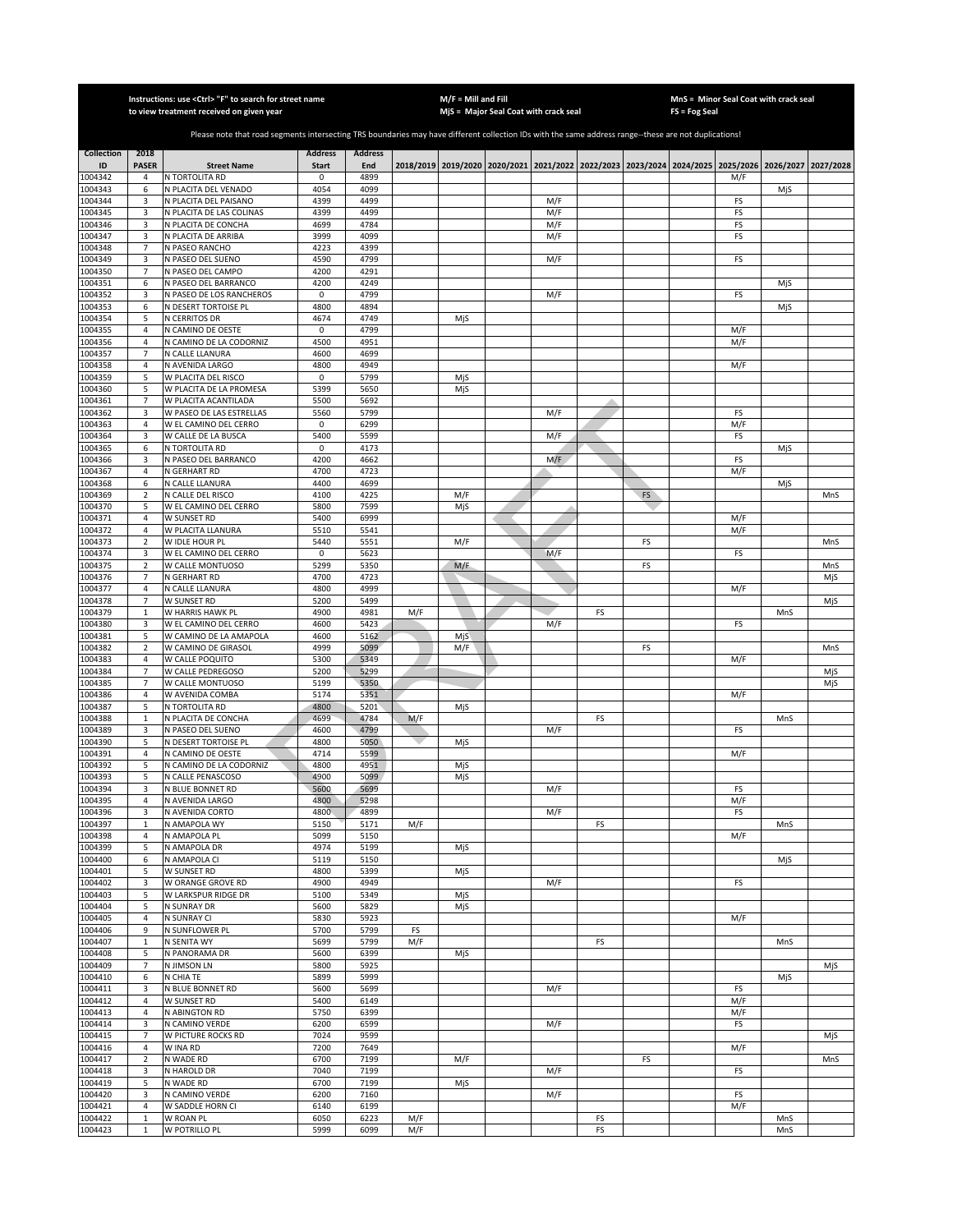|                         |                              | Instructions: use <ctrl> "F" to search for street name<br/>to view treatment received on given year</ctrl>                                            |                                |                       |           | $M/F =$ Mill and Fill | MjS = Major Seal Coat with crack seal |            |    |    | FS = Fog Seal | MnS = Minor Seal Coat with crack seal                                                     |     |           |
|-------------------------|------------------------------|-------------------------------------------------------------------------------------------------------------------------------------------------------|--------------------------------|-----------------------|-----------|-----------------------|---------------------------------------|------------|----|----|---------------|-------------------------------------------------------------------------------------------|-----|-----------|
|                         |                              |                                                                                                                                                       |                                |                       |           |                       |                                       |            |    |    |               |                                                                                           |     |           |
|                         |                              | Please note that road segments intersecting TRS boundaries may have different collection IDs with the same address range--these are not duplications! |                                |                       |           |                       |                                       |            |    |    |               |                                                                                           |     |           |
| <b>Collection</b><br>ID | 2018<br><b>PASER</b>         | <b>Street Name</b>                                                                                                                                    | <b>Address</b><br><b>Start</b> | <b>Address</b><br>End |           |                       |                                       |            |    |    |               | 2018/2019 2019/2020 2020/2021 2021/2022 2022/2023 2023/2024 2024/2025 2025/2026 2026/2027 |     | 2027/2028 |
| 1004342                 | 4                            | N TORTOLITA RD                                                                                                                                        | 0                              | 4899                  |           |                       |                                       |            |    |    |               | M/F                                                                                       |     |           |
| 1004343                 | 6                            | N PLACITA DEL VENADO                                                                                                                                  | 4054                           | 4099                  |           |                       |                                       |            |    |    |               |                                                                                           | MjS |           |
| 1004344                 | 3                            | N PLACITA DEL PAISANO                                                                                                                                 | 4399                           | 4499                  |           |                       |                                       | M/F        |    |    |               | FS                                                                                        |     |           |
| 1004345<br>1004346      | 3<br>3                       | N PLACITA DE LAS COLINAS<br>N PLACITA DE CONCHA                                                                                                       | 4399<br>4699                   | 4499<br>4784          |           |                       |                                       | M/F<br>M/F |    |    |               | FS<br>FS                                                                                  |     |           |
| 1004347                 | 3                            | N PLACITA DE ARRIBA                                                                                                                                   | 3999                           | 4099                  |           |                       |                                       | M/F        |    |    |               | FS                                                                                        |     |           |
| 1004348                 | $\overline{7}$               | N PASEO RANCHO                                                                                                                                        | 4223                           | 4399                  |           |                       |                                       |            |    |    |               |                                                                                           |     |           |
| 1004349<br>1004350      | 3<br>$\overline{7}$          | N PASEO DEL SUENO<br>N PASEO DEL CAMPO                                                                                                                | 4590<br>4200                   | 4799<br>4291          |           |                       |                                       | M/F        |    |    |               | FS                                                                                        |     |           |
| 1004351                 | 6                            | N PASEO DEL BARRANCO                                                                                                                                  | 4200                           | 4249                  |           |                       |                                       |            |    |    |               |                                                                                           | MjS |           |
| 1004352                 | 3                            | N PASEO DE LOS RANCHEROS                                                                                                                              | $\mathbf 0$                    | 4799                  |           |                       |                                       | M/F        |    |    |               | FS                                                                                        |     |           |
| 1004353                 | 6                            | N DESERT TORTOISE PL                                                                                                                                  | 4800                           | 4894                  |           |                       |                                       |            |    |    |               |                                                                                           | MjS |           |
| 1004354<br>1004355      | 5<br>$\sqrt{4}$              | N CERRITOS DR<br>N CAMINO DE OESTE                                                                                                                    | 4674<br>$\mathsf 0$            | 4749<br>4799          |           | MjS                   |                                       |            |    |    |               | M/F                                                                                       |     |           |
| 1004356                 | $\sqrt{4}$                   | N CAMINO DE LA CODORNIZ                                                                                                                               | 4500                           | 4951                  |           |                       |                                       |            |    |    |               | M/F                                                                                       |     |           |
| 1004357                 | $\overline{7}$               | N CALLE LLANURA                                                                                                                                       | 4600                           | 4699                  |           |                       |                                       |            |    |    |               |                                                                                           |     |           |
| 1004358                 | $\sqrt{4}$<br>5              | N AVENIDA LARGO                                                                                                                                       | 4800<br>$\mathsf 0$            | 4949<br>5799          |           |                       |                                       |            |    |    |               | M/F                                                                                       |     |           |
| 1004359<br>1004360      | 5                            | W PLACITA DEL RISCO<br>W PLACITA DE LA PROMESA                                                                                                        | 5399                           | 5650                  |           | MjS<br>MjS            |                                       |            |    |    |               |                                                                                           |     |           |
| 1004361                 | $\overline{7}$               | W PLACITA ACANTILADA                                                                                                                                  | 5500                           | 5692                  |           |                       |                                       |            |    |    |               |                                                                                           |     |           |
| 1004362                 | 3                            | W PASEO DE LAS ESTRELLAS                                                                                                                              | 5560                           | 5799                  |           |                       |                                       | M/F        |    |    |               | FS                                                                                        |     |           |
| 1004363                 | $\overline{a}$<br>3          | W EL CAMINO DEL CERRO                                                                                                                                 | 0<br>5400                      | 6299<br>5599          |           |                       |                                       |            |    |    |               | M/F                                                                                       |     |           |
| 1004364<br>1004365      | 6                            | W CALLE DE LA BUSCA<br>N TORTOLITA RD                                                                                                                 | 0                              | 4173                  |           |                       |                                       | M/F        |    |    |               | FS                                                                                        | MjS |           |
| 1004366                 | 3                            | N PASEO DEL BARRANCO                                                                                                                                  | 4200                           | 4662                  |           |                       |                                       | M/F        |    |    |               | FS                                                                                        |     |           |
| 1004367                 | $\sqrt{4}$                   | N GERHART RD                                                                                                                                          | 4700                           | 4723                  |           |                       |                                       |            |    |    |               | M/F                                                                                       |     |           |
| 1004368<br>1004369      | 6<br>$\overline{2}$          | N CALLE LLANURA                                                                                                                                       | 4400<br>4100                   | 4699<br>4225          |           | M/F                   |                                       |            |    | FS |               |                                                                                           | MjS | MnS       |
| 1004370                 | 5                            | N CALLE DEL RISCO<br>W EL CAMINO DEL CERRO                                                                                                            | 5800                           | 7599                  |           | MjS                   |                                       |            |    |    |               |                                                                                           |     |           |
| 1004371                 | $\overline{4}$               | <b>W SUNSET RD</b>                                                                                                                                    | 5400                           | 6999                  |           |                       |                                       |            |    |    |               | M/F                                                                                       |     |           |
| 1004372                 | $\overline{4}$               | W PLACITA LLANURA                                                                                                                                     | 5510                           | 5541                  |           |                       |                                       |            |    |    |               | M/F                                                                                       |     |           |
| 1004373<br>1004374      | $\overline{2}$<br>3          | W IDLE HOUR PL<br>W EL CAMINO DEL CERRO                                                                                                               | 5440<br>0                      | 5551<br>5623          |           | M/F                   |                                       | M/F        |    | FS |               | FS                                                                                        |     | MnS       |
| 1004375                 | $\mathbf 2$                  | W CALLE MONTUOSO                                                                                                                                      | 5299                           | 5350                  |           | M/F                   |                                       |            |    | FS |               |                                                                                           |     | MnS       |
| 1004376                 | $\overline{7}$               | N GERHART RD                                                                                                                                          | 4700                           | 4723                  |           |                       |                                       |            |    |    |               |                                                                                           |     | MjS       |
| 1004377                 | $\overline{4}$               | N CALLE LLANURA                                                                                                                                       | 4800                           | 4999                  |           |                       |                                       |            |    |    |               | M/F                                                                                       |     |           |
| 1004378<br>1004379      | 7<br>$\mathbf 1$             | W SUNSET RD<br>W HARRIS HAWK PL                                                                                                                       | 5200<br>4900                   | 5499<br>4981          | M/F       |                       |                                       |            | FS |    |               |                                                                                           | MnS | MjS       |
| 1004380                 | 3                            | W EL CAMINO DEL CERRO                                                                                                                                 | 4600                           | 5423                  |           |                       |                                       | M/F        |    |    |               | FS                                                                                        |     |           |
| 1004381                 | 5                            | W CAMINO DE LA AMAPOLA                                                                                                                                | 4600                           | 5162                  |           | MjS                   |                                       |            |    |    |               |                                                                                           |     |           |
| 1004382                 | $\mathbf 2$                  | W CAMINO DE GIRASOL                                                                                                                                   | 4999                           | 5099                  |           | M/F                   |                                       |            |    | FS |               |                                                                                           |     | MnS       |
| 1004383<br>1004384      | $\sqrt{4}$<br>$\overline{7}$ | W CALLE POQUITO<br>W CALLE PEDREGOSO                                                                                                                  | 5300<br>5200                   | 5349<br>5299          |           |                       |                                       |            |    |    |               | M/F                                                                                       |     | MjS       |
| 1004385                 | $\overline{7}$               | W CALLE MONTUOSO                                                                                                                                      | 5199                           | 5350                  |           |                       |                                       |            |    |    |               |                                                                                           |     | MjS       |
| 1004386                 | $\sqrt{4}$                   | W AVENIDA COMBA                                                                                                                                       | 5174                           | 5351                  |           |                       |                                       |            |    |    |               | M/F                                                                                       |     |           |
| 1004387<br>1004388      | 5<br>$\mathbf{1}$            | N TORTOLITA RD<br>N PLACITA DE CONCHA                                                                                                                 | 4800<br>4699                   | 5201<br>4784          | M/F       | MjS                   |                                       |            | FS |    |               |                                                                                           | MnS |           |
| 1004389                 | 3                            | N PASEO DEL SUENO                                                                                                                                     | 4600                           | 4799                  |           |                       |                                       | M/F        |    |    |               | FS                                                                                        |     |           |
| 1004390                 | 5                            | N DESERT TORTOISE PL                                                                                                                                  | 4800                           | 5050                  |           | MjS                   |                                       |            |    |    |               |                                                                                           |     |           |
| 1004391                 | 4                            | N CAMINO DE OESTE                                                                                                                                     | 4714                           | 5599                  |           |                       |                                       |            |    |    |               | M/F                                                                                       |     |           |
| 1004392<br>1004393      | 5<br>5                       | N CAMINO DE LA CODORNIZ<br>N CALLE PENASCOSO                                                                                                          | 4800<br>4900                   | 4951<br>5099          |           | MjS<br>MjS            |                                       |            |    |    |               |                                                                                           |     |           |
| 1004394                 | 3                            | N BLUE BONNET RD                                                                                                                                      | 5600                           | 5699                  |           |                       |                                       | M/F        |    |    |               | FS                                                                                        |     |           |
| 1004395                 | 4                            | N AVENIDA LARGO                                                                                                                                       | 4800                           | 5298                  |           |                       |                                       |            |    |    |               | M/F                                                                                       |     |           |
| 1004396<br>1004397      | 3<br>$\mathbf{1}$            | N AVENIDA CORTO<br>N AMAPOLA WY                                                                                                                       | 4800<br>5150                   | 4899<br>5171          | M/F       |                       |                                       | M/F        | FS |    |               | FS                                                                                        | MnS |           |
| 1004398                 | $\sqrt{4}$                   | N AMAPOLA PL                                                                                                                                          | 5099                           | 5150                  |           |                       |                                       |            |    |    |               | M/F                                                                                       |     |           |
| 1004399                 | 5                            | N AMAPOLA DR                                                                                                                                          | 4974                           | 5199                  |           | MjS                   |                                       |            |    |    |               |                                                                                           |     |           |
| 1004400                 | 6                            | N AMAPOLA CI                                                                                                                                          | 5119                           | 5150                  |           |                       |                                       |            |    |    |               |                                                                                           | MjS |           |
| 1004401<br>1004402      | 5<br>3                       | W SUNSET RD<br>W ORANGE GROVE RD                                                                                                                      | 4800<br>4900                   | 5399<br>4949          |           | MjS                   |                                       | M/F        |    |    |               | FS                                                                                        |     |           |
| 1004403                 | 5                            | W LARKSPUR RIDGE DR                                                                                                                                   | 5100                           | 5349                  |           | MjS                   |                                       |            |    |    |               |                                                                                           |     |           |
| 1004404                 | 5                            | N SUNRAY DR                                                                                                                                           | 5600                           | 5829                  |           | MjS                   |                                       |            |    |    |               |                                                                                           |     |           |
| 1004405                 | $\overline{4}$               | N SUNRAY CI                                                                                                                                           | 5830                           | 5923                  |           |                       |                                       |            |    |    |               | M/F                                                                                       |     |           |
| 1004406<br>1004407      | 9<br>$\mathbf 1$             | N SUNFLOWER PL<br>N SENITA WY                                                                                                                         | 5700<br>5699                   | 5799<br>5799          | FS<br>M/F |                       |                                       |            | FS |    |               |                                                                                           | MnS |           |
| 1004408                 | 5                            | N PANORAMA DR                                                                                                                                         | 5600                           | 6399                  |           | MjS                   |                                       |            |    |    |               |                                                                                           |     |           |
| 1004409                 | $\overline{7}$               | N JIMSON LN                                                                                                                                           | 5800                           | 5925                  |           |                       |                                       |            |    |    |               |                                                                                           |     | MjS       |
| 1004410                 | 6                            | N CHIA TE                                                                                                                                             | 5899                           | 5999                  |           |                       |                                       |            |    |    |               |                                                                                           | MjS |           |
| 1004411<br>1004412      | 3<br>4                       | N BLUE BONNET RD<br>W SUNSET RD                                                                                                                       | 5600<br>5400                   | 5699<br>6149          |           |                       |                                       | M/F        |    |    |               | FS<br>M/F                                                                                 |     |           |
| 1004413                 | $\overline{4}$               | N ABINGTON RD                                                                                                                                         | 5750                           | 6399                  |           |                       |                                       |            |    |    |               | M/F                                                                                       |     |           |
| 1004414                 | 3                            | N CAMINO VERDE                                                                                                                                        | 6200                           | 6599                  |           |                       |                                       | M/F        |    |    |               | FS                                                                                        |     |           |
| 1004415                 | $\overline{7}$               | W PICTURE ROCKS RD                                                                                                                                    | 7024                           | 9599                  |           |                       |                                       |            |    |    |               |                                                                                           |     | MjS       |
| 1004416<br>1004417      | 4<br>$\overline{2}$          | W INA RD<br>N WADE RD                                                                                                                                 | 7200<br>6700                   | 7649<br>7199          |           | M/F                   |                                       |            |    | FS |               | M/F                                                                                       |     | MnS       |
| 1004418                 | 3                            | N HAROLD DR                                                                                                                                           | 7040                           | 7199                  |           |                       |                                       | M/F        |    |    |               | FS                                                                                        |     |           |
| 1004419                 | 5                            | N WADE RD                                                                                                                                             | 6700                           | 7199                  |           | MjS                   |                                       |            |    |    |               |                                                                                           |     |           |
| 1004420                 | 3<br>$\sqrt{4}$              | N CAMINO VERDE                                                                                                                                        | 6200<br>6140                   | 7160<br>6199          |           |                       |                                       | M/F        |    |    |               | FS<br>M/F                                                                                 |     |           |
| 1004421<br>1004422      | $\mathbf 1$                  | W SADDLE HORN CI<br>W ROAN PL                                                                                                                         | 6050                           | 6223                  | M/F       |                       |                                       |            | FS |    |               |                                                                                           | MnS |           |
| 1004423                 | $\mathbf{1}$                 | W POTRILLO PL                                                                                                                                         | 5999                           | 6099                  | M/F       |                       |                                       |            | FS |    |               |                                                                                           | MnS |           |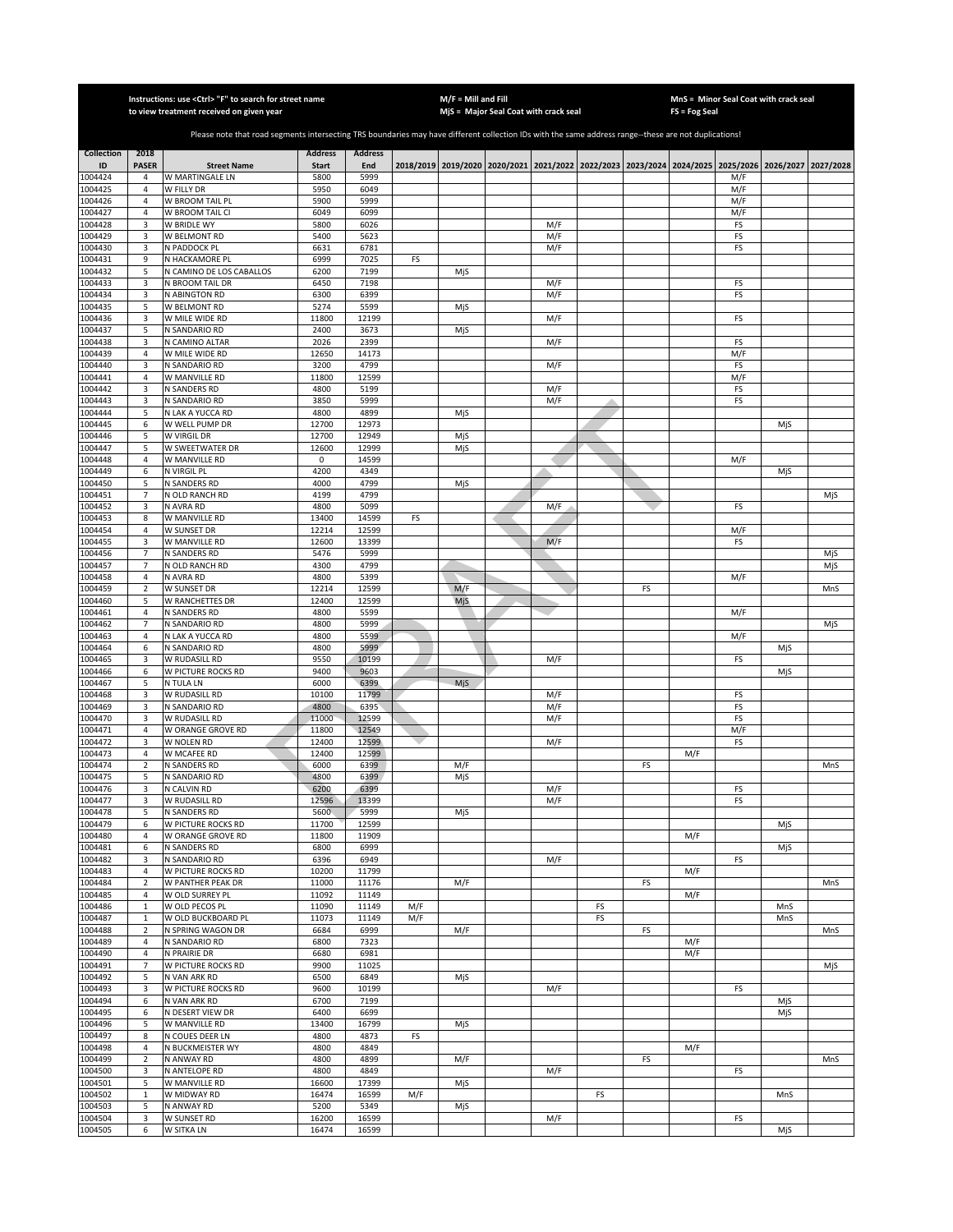|                    |                                  | Instructions: use <ctrl> "F" to search for street name<br/>to view treatment received on given year</ctrl>                                            |                |                |     | $M/F =$ Mill and Fill | MjS = Major Seal Coat with crack seal |            |    |    | FS = Fog Seal | MnS = Minor Seal Coat with crack seal                                                     |     |           |
|--------------------|----------------------------------|-------------------------------------------------------------------------------------------------------------------------------------------------------|----------------|----------------|-----|-----------------------|---------------------------------------|------------|----|----|---------------|-------------------------------------------------------------------------------------------|-----|-----------|
|                    |                                  |                                                                                                                                                       |                |                |     |                       |                                       |            |    |    |               |                                                                                           |     |           |
|                    |                                  | Please note that road segments intersecting TRS boundaries may have different collection IDs with the same address range--these are not duplications! |                |                |     |                       |                                       |            |    |    |               |                                                                                           |     |           |
| <b>Collection</b>  | 2018                             |                                                                                                                                                       | <b>Address</b> | <b>Address</b> |     |                       |                                       |            |    |    |               |                                                                                           |     |           |
| ID                 | <b>PASER</b>                     | <b>Street Name</b>                                                                                                                                    | <b>Start</b>   | End            |     |                       |                                       |            |    |    |               | 2018/2019 2019/2020 2020/2021 2021/2022 2022/2023 2023/2024 2024/2025 2025/2026 2026/2027 |     | 2027/2028 |
| 1004424<br>1004425 | $\overline{4}$<br>$\overline{4}$ | W MARTINGALE LN<br>W FILLY DR                                                                                                                         | 5800<br>5950   | 5999<br>6049   |     |                       |                                       |            |    |    |               | M/F<br>M/F                                                                                |     |           |
| 1004426            | $\overline{4}$                   | W BROOM TAIL PL                                                                                                                                       | 5900           | 5999           |     |                       |                                       |            |    |    |               | M/F                                                                                       |     |           |
| 1004427            | $\overline{4}$                   | W BROOM TAIL CI                                                                                                                                       | 6049           | 6099           |     |                       |                                       |            |    |    |               | M/F                                                                                       |     |           |
| 1004428            | 3                                | W BRIDLE WY                                                                                                                                           | 5800           | 6026           |     |                       |                                       | M/F        |    |    |               | FS                                                                                        |     |           |
| 1004429            | 3                                | W BELMONT RD                                                                                                                                          | 5400           | 5623           |     |                       |                                       | M/F        |    |    |               | FS                                                                                        |     |           |
| 1004430<br>1004431 | 3<br>9                           | N PADDOCK PL<br>N HACKAMORE PL                                                                                                                        | 6631<br>6999   | 6781<br>7025   | FS  |                       |                                       | M/F        |    |    |               | FS                                                                                        |     |           |
| 1004432            | 5                                | N CAMINO DE LOS CABALLOS                                                                                                                              | 6200           | 7199           |     | MjS                   |                                       |            |    |    |               |                                                                                           |     |           |
| 1004433            | 3                                | N BROOM TAIL DR                                                                                                                                       | 6450           | 7198           |     |                       |                                       | M/F        |    |    |               | FS                                                                                        |     |           |
| 1004434            | 3                                | N ABINGTON RD                                                                                                                                         | 6300           | 6399           |     |                       |                                       | M/F        |    |    |               | FS                                                                                        |     |           |
| 1004435            | 5                                | W BELMONT RD                                                                                                                                          | 5274           | 5599           |     | MjS                   |                                       |            |    |    |               |                                                                                           |     |           |
| 1004436<br>1004437 | 3<br>5                           | W MILE WIDE RD<br>N SANDARIO RD                                                                                                                       | 11800<br>2400  | 12199<br>3673  |     | MjS                   |                                       | M/F        |    |    |               | FS                                                                                        |     |           |
| 1004438            | 3                                | N CAMINO ALTAR                                                                                                                                        | 2026           | 2399           |     |                       |                                       | M/F        |    |    |               | FS                                                                                        |     |           |
| 1004439            | $\overline{4}$                   | W MILE WIDE RD                                                                                                                                        | 12650          | 14173          |     |                       |                                       |            |    |    |               | M/F                                                                                       |     |           |
| 1004440            | 3                                | N SANDARIO RD                                                                                                                                         | 3200           | 4799           |     |                       |                                       | M/F        |    |    |               | FS                                                                                        |     |           |
| 1004441            | $\sqrt{4}$                       | W MANVILLE RD                                                                                                                                         | 11800          | 12599          |     |                       |                                       |            |    |    |               | M/F                                                                                       |     |           |
| 1004442<br>1004443 | 3<br>3                           | N SANDERS RD<br>N SANDARIO RD                                                                                                                         | 4800<br>3850   | 5199<br>5999   |     |                       |                                       | M/F<br>M/F |    |    |               | FS<br>FS                                                                                  |     |           |
| 1004444            | 5                                | N LAK A YUCCA RD                                                                                                                                      | 4800           | 4899           |     | MjS                   |                                       |            |    |    |               |                                                                                           |     |           |
| 1004445            | 6                                | W WELL PUMP DR                                                                                                                                        | 12700          | 12973          |     |                       |                                       |            |    |    |               |                                                                                           | MjS |           |
| 1004446            | 5                                | W VIRGIL DR                                                                                                                                           | 12700          | 12949          |     | MjS                   |                                       |            |    |    |               |                                                                                           |     |           |
| 1004447            | 5                                | W SWEETWATER DR                                                                                                                                       | 12600          | 12999          |     | MjS                   |                                       |            |    |    |               |                                                                                           |     |           |
| 1004448<br>1004449 | 4<br>6                           | W MANVILLE RD<br>N VIRGIL PL                                                                                                                          | 0<br>4200      | 14599<br>4349  |     |                       |                                       |            |    |    |               | M/F                                                                                       | MjS |           |
| 1004450            | 5                                | N SANDERS RD                                                                                                                                          | 4000           | 4799           |     | MjS                   |                                       |            |    |    |               |                                                                                           |     |           |
| 1004451            | $\overline{7}$                   | N OLD RANCH RD                                                                                                                                        | 4199           | 4799           |     |                       |                                       |            |    |    |               |                                                                                           |     | MjS       |
| 1004452            | 3                                | N AVRA RD                                                                                                                                             | 4800           | 5099           |     |                       |                                       | M/F        |    |    |               | FS                                                                                        |     |           |
| 1004453            | 8                                | W MANVILLE RD                                                                                                                                         | 13400          | 14599          | FS  |                       |                                       |            |    |    |               |                                                                                           |     |           |
| 1004454            | $\overline{4}$                   | W SUNSET DR                                                                                                                                           | 12214          | 12599          |     |                       |                                       |            |    |    |               | M/F                                                                                       |     |           |
| 1004455<br>1004456 | 3<br>7                           | W MANVILLE RD<br>N SANDERS RD                                                                                                                         | 12600<br>5476  | 13399<br>5999  |     |                       |                                       | M/F        |    |    |               | FS                                                                                        |     | MjS       |
| 1004457            | $\overline{7}$                   | N OLD RANCH RD                                                                                                                                        | 4300           | 4799           |     |                       |                                       |            |    |    |               |                                                                                           |     | MjS       |
| 1004458            | $\overline{4}$                   | N AVRA RD                                                                                                                                             | 4800           | 5399           |     |                       |                                       |            |    |    |               | M/F                                                                                       |     |           |
| 1004459            | $\mathbf 2$                      | W SUNSET DR                                                                                                                                           | 12214          | 12599          |     | M/F                   |                                       |            |    | FS |               |                                                                                           |     | MnS       |
| 1004460            | 5                                | W RANCHETTES DR                                                                                                                                       | 12400          | 12599          |     | MjS                   |                                       |            |    |    |               |                                                                                           |     |           |
| 1004461<br>1004462 | $\sqrt{4}$<br>$\overline{7}$     | N SANDERS RD<br>N SANDARIO RD                                                                                                                         | 4800<br>4800   | 5599<br>5999   |     |                       |                                       |            |    |    |               | M/F                                                                                       |     |           |
| 1004463            | $\sqrt{4}$                       | N LAK A YUCCA RD                                                                                                                                      | 4800           | 5599           |     |                       |                                       |            |    |    |               | M/F                                                                                       |     | MjS       |
| 1004464            | 6                                | N SANDARIO RD                                                                                                                                         | 4800           | 5999           |     |                       |                                       |            |    |    |               |                                                                                           | MjS |           |
| 1004465            | 3                                | W RUDASILL RD                                                                                                                                         | 9550           | 10199          |     |                       |                                       | M/F        |    |    |               | FS                                                                                        |     |           |
| 1004466            | 6                                | W PICTURE ROCKS RD                                                                                                                                    | 9400           | 9603           |     |                       |                                       |            |    |    |               |                                                                                           | MjS |           |
| 1004467<br>1004468 | 5<br>3                           | N TULA LN<br>W RUDASILL RD                                                                                                                            | 6000<br>10100  | 6399<br>11799  |     | MjS                   |                                       | M/F        |    |    |               | FS                                                                                        |     |           |
| 1004469            | 3                                | N SANDARIO RD                                                                                                                                         | 4800           | 6395           |     |                       |                                       | M/F        |    |    |               | FS                                                                                        |     |           |
| 1004470            | 3                                | W RUDASILL RD                                                                                                                                         | 11000          | 12599          |     |                       |                                       | M/F        |    |    |               | FS                                                                                        |     |           |
| 1004471            | 4                                | W ORANGE GROVE RD                                                                                                                                     | 11800          | 12549          |     |                       |                                       |            |    |    |               | M/F                                                                                       |     |           |
| 1004472            | 3                                | W NOLEN RD                                                                                                                                            | 12400          | 12599          |     |                       |                                       | M/F        |    |    |               | FS                                                                                        |     |           |
| 1004473            | 4<br>$\overline{2}$              | W MCAFEE RD                                                                                                                                           | 12400          | 12599          |     |                       |                                       |            |    |    | M/F           |                                                                                           |     |           |
| 1004474<br>1004475 | 5                                | N SANDERS RD<br>N SANDARIO RD                                                                                                                         | 6000<br>4800   | 6399<br>6399   |     | M/F<br>MjS            |                                       |            |    | FS |               |                                                                                           |     | MnS       |
| 1004476            | 3                                | N CALVIN RD                                                                                                                                           | 6200           | 6399           |     |                       |                                       | M/F        |    |    |               | FS                                                                                        |     |           |
| 1004477            | 3                                | W RUDASILL RD                                                                                                                                         | 12596          | 13399          |     |                       |                                       | M/F        |    |    |               | FS                                                                                        |     |           |
| 1004478            | 5                                | N SANDERS RD                                                                                                                                          | 5600           | 5999           |     | MjS                   |                                       |            |    |    |               |                                                                                           |     |           |
| 1004479            | 6<br>$\sqrt{4}$                  | W PICTURE ROCKS RD                                                                                                                                    | 11700<br>11800 | 12599<br>11909 |     |                       |                                       |            |    |    | M/F           |                                                                                           | MjS |           |
| 1004480<br>1004481 | 6                                | W ORANGE GROVE RD<br>N SANDERS RD                                                                                                                     | 6800           | 6999           |     |                       |                                       |            |    |    |               |                                                                                           | MjS |           |
| 1004482            | 3                                | N SANDARIO RD                                                                                                                                         | 6396           | 6949           |     |                       |                                       | M/F        |    |    |               | FS                                                                                        |     |           |
| 1004483            | $\overline{4}$                   | W PICTURE ROCKS RD                                                                                                                                    | 10200          | 11799          |     |                       |                                       |            |    |    | M/F           |                                                                                           |     |           |
| 1004484            | $\mathbf 2$                      | W PANTHER PEAK DR                                                                                                                                     | 11000          | 11176          |     | M/F                   |                                       |            |    | FS |               |                                                                                           |     | MnS       |
| 1004485<br>1004486 | $\overline{4}$<br>$\mathbf 1$    | W OLD SURREY PL<br>W OLD PECOS PL                                                                                                                     | 11092<br>11090 | 11149<br>11149 | M/F |                       |                                       |            | FS |    | M/F           |                                                                                           | MnS |           |
| 1004487            | $\mathbf{1}$                     | W OLD BUCKBOARD PL                                                                                                                                    | 11073          | 11149          | M/F |                       |                                       |            | FS |    |               |                                                                                           | MnS |           |
| 1004488            | $\mathbf 2$                      | N SPRING WAGON DR                                                                                                                                     | 6684           | 6999           |     | M/F                   |                                       |            |    | FS |               |                                                                                           |     | MnS       |
| 1004489            | $\overline{4}$                   | N SANDARIO RD                                                                                                                                         | 6800           | 7323           |     |                       |                                       |            |    |    | M/F           |                                                                                           |     |           |
| 1004490            | $\sqrt{4}$                       | N PRAIRIE DR                                                                                                                                          | 6680           | 6981           |     |                       |                                       |            |    |    | M/F           |                                                                                           |     |           |
| 1004491            | $\overline{7}$                   | W PICTURE ROCKS RD                                                                                                                                    | 9900           | 11025          |     |                       |                                       |            |    |    |               |                                                                                           |     | MjS       |
| 1004492<br>1004493 | 5<br>3                           | N VAN ARK RD<br>W PICTURE ROCKS RD                                                                                                                    | 6500<br>9600   | 6849<br>10199  |     | MjS                   |                                       | M/F        |    |    |               | FS                                                                                        |     |           |
| 1004494            | 6                                | N VAN ARK RD                                                                                                                                          | 6700           | 7199           |     |                       |                                       |            |    |    |               |                                                                                           | MiS |           |
| 1004495            | 6                                | N DESERT VIEW DR                                                                                                                                      | 6400           | 6699           |     |                       |                                       |            |    |    |               |                                                                                           | MjS |           |
| 1004496            | 5                                | W MANVILLE RD                                                                                                                                         | 13400          | 16799          |     | MjS                   |                                       |            |    |    |               |                                                                                           |     |           |
| 1004497            | 8                                | N COUES DEER LN                                                                                                                                       | 4800           | 4873           | FS  |                       |                                       |            |    |    |               |                                                                                           |     |           |
| 1004498            | 4                                | N BUCKMEISTER WY                                                                                                                                      | 4800           | 4849           |     |                       |                                       |            |    |    | M/F           |                                                                                           |     |           |
| 1004499<br>1004500 | $\overline{2}$<br>3              | N ANWAY RD<br>N ANTELOPE RD                                                                                                                           | 4800<br>4800   | 4899<br>4849   |     | M/F                   |                                       | M/F        |    | FS |               | FS                                                                                        |     | MnS       |
| 1004501            | 5                                | W MANVILLE RD                                                                                                                                         | 16600          | 17399          |     | MjS                   |                                       |            |    |    |               |                                                                                           |     |           |
| 1004502            | $\mathbf{1}$                     | W MIDWAY RD                                                                                                                                           | 16474          | 16599          | M/F |                       |                                       |            | FS |    |               |                                                                                           | MnS |           |
| 1004503            | 5                                | N ANWAY RD                                                                                                                                            | 5200           | 5349           |     | MjS                   |                                       |            |    |    |               |                                                                                           |     |           |
| 1004504            | 3                                | W SUNSET RD                                                                                                                                           | 16200          | 16599          |     |                       |                                       | M/F        |    |    |               | FS                                                                                        |     |           |
| 1004505            | 6                                | W SITKA LN                                                                                                                                            | 16474          | 16599          |     |                       |                                       |            |    |    |               |                                                                                           | MjS |           |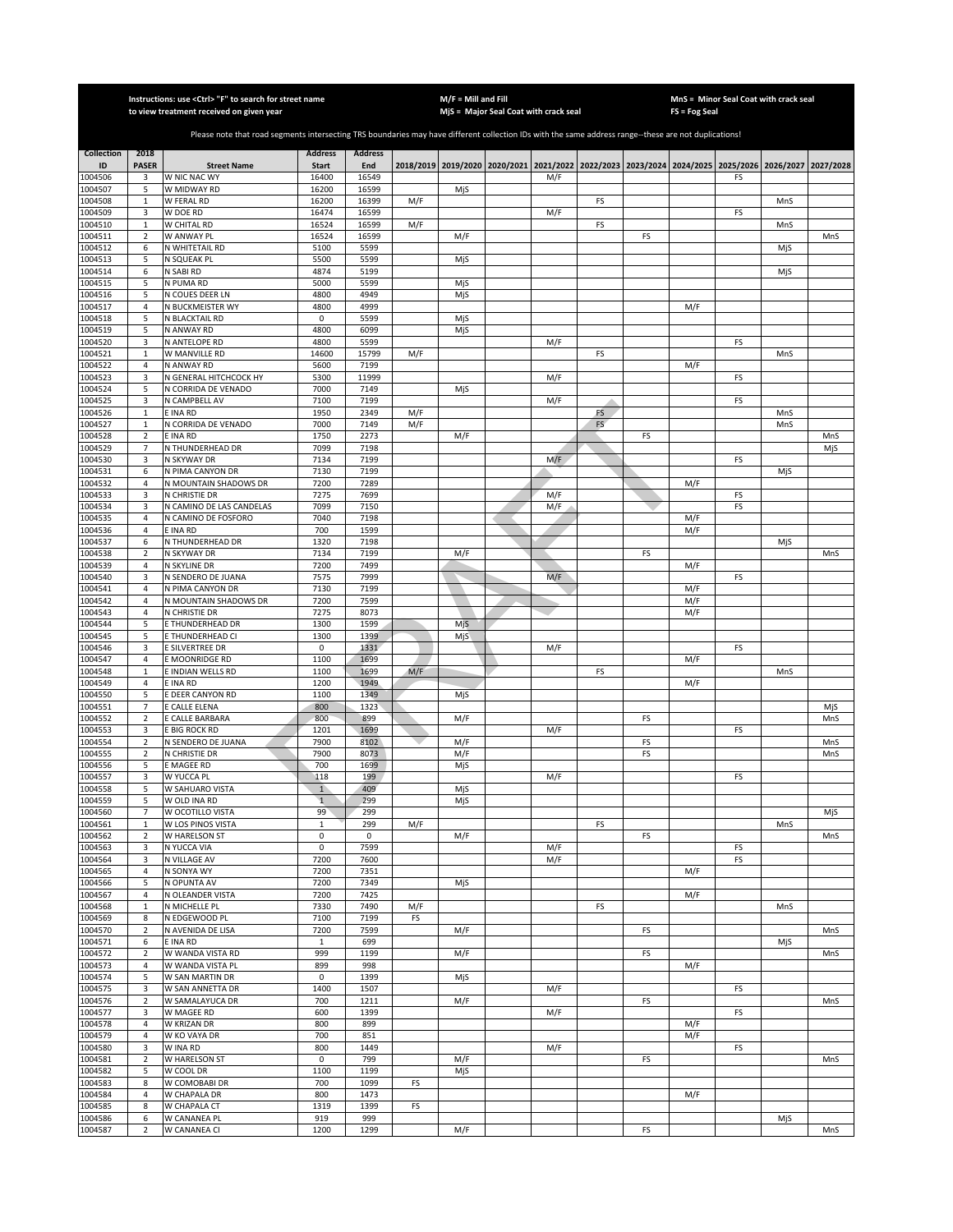|                    |                                  | Instructions: use < Ctrl> "F" to search for street name<br>to view treatment received on given year                                                   |                       |                |     | $M/F =$ Mill and Fill | MjS = Major Seal Coat with crack seal                                                     |           |    | <b>FS = Fog Seal</b> | MnS = Minor Seal Coat with crack seal |     |           |
|--------------------|----------------------------------|-------------------------------------------------------------------------------------------------------------------------------------------------------|-----------------------|----------------|-----|-----------------------|-------------------------------------------------------------------------------------------|-----------|----|----------------------|---------------------------------------|-----|-----------|
|                    |                                  |                                                                                                                                                       |                       |                |     |                       |                                                                                           |           |    |                      |                                       |     |           |
|                    |                                  | Please note that road segments intersecting TRS boundaries may have different collection IDs with the same address range--these are not duplications! |                       |                |     |                       |                                                                                           |           |    |                      |                                       |     |           |
| <b>Collection</b>  | 2018                             |                                                                                                                                                       | <b>Address</b>        | <b>Address</b> |     |                       |                                                                                           |           |    |                      |                                       |     |           |
| ID<br>1004506      | <b>PASER</b>                     | <b>Street Name</b><br>W NIC NAC WY                                                                                                                    | <b>Start</b><br>16400 | End<br>16549   |     |                       | 2018/2019 2019/2020 2020/2021 2021/2022 2022/2023 2023/2024 2024/2025 2025/2026 2026/2027 |           |    |                      |                                       |     | 2027/2028 |
| 1004507            | 3<br>5                           | W MIDWAY RD                                                                                                                                           | 16200                 | 16599          |     | MjS                   | M/F                                                                                       |           |    |                      | FS                                    |     |           |
| 1004508            | $\mathbf{1}$                     | W FERAL RD                                                                                                                                            | 16200                 | 16399          | M/F |                       |                                                                                           | FS        |    |                      |                                       | MnS |           |
| 1004509            | 3                                | W DOE RD                                                                                                                                              | 16474                 | 16599          |     |                       | M/F                                                                                       |           |    |                      | FS                                    |     |           |
| 1004510            | $\mathbf 1$                      | W CHITAL RD                                                                                                                                           | 16524                 | 16599          | M/F |                       |                                                                                           | FS        |    |                      |                                       | MnS |           |
| 1004511<br>1004512 | $\overline{2}$<br>6              | W ANWAY PL<br>N WHITETAIL RD                                                                                                                          | 16524<br>5100         | 16599<br>5599  |     | M/F                   |                                                                                           |           | FS |                      |                                       | MjS | MnS       |
| 1004513            | 5                                | N SQUEAK PL                                                                                                                                           | 5500                  | 5599           |     | MjS                   |                                                                                           |           |    |                      |                                       |     |           |
| 1004514            | 6                                | N SABI RD                                                                                                                                             | 4874                  | 5199           |     |                       |                                                                                           |           |    |                      |                                       | MjS |           |
| 1004515            | 5                                | N PUMA RD                                                                                                                                             | 5000                  | 5599           |     | MjS                   |                                                                                           |           |    |                      |                                       |     |           |
| 1004516            | 5                                | N COUES DEER LN                                                                                                                                       | 4800                  | 4949           |     | MjS                   |                                                                                           |           |    |                      |                                       |     |           |
| 1004517<br>1004518 | 4<br>5                           | N BUCKMEISTER WY<br>N BLACKTAIL RD                                                                                                                    | 4800<br>0             | 4999<br>5599   |     | MjS                   |                                                                                           |           |    | M/F                  |                                       |     |           |
| 1004519            | 5                                | N ANWAY RD                                                                                                                                            | 4800                  | 6099           |     | MjS                   |                                                                                           |           |    |                      |                                       |     |           |
| 1004520            | 3                                | N ANTELOPE RD                                                                                                                                         | 4800                  | 5599           |     |                       | M/F                                                                                       |           |    |                      | FS                                    |     |           |
| 1004521            | $\mathbf 1$                      | W MANVILLE RD                                                                                                                                         | 14600                 | 15799          | M/F |                       |                                                                                           | FS        |    |                      |                                       | MnS |           |
| 1004522            | 4                                | N ANWAY RD                                                                                                                                            | 5600                  | 7199           |     |                       |                                                                                           |           |    | M/F                  |                                       |     |           |
| 1004523<br>1004524 | 3<br>5                           | N GENERAL HITCHCOCK HY<br>N CORRIDA DE VENADO                                                                                                         | 5300<br>7000          | 11999<br>7149  |     | MjS                   | M/F                                                                                       |           |    |                      | FS                                    |     |           |
| 1004525            | 3                                | N CAMPBELL AV                                                                                                                                         | 7100                  | 7199           |     |                       | M/F                                                                                       |           |    |                      | FS                                    |     |           |
| 1004526            | $\mathbf{1}$                     | E INA RD                                                                                                                                              | 1950                  | 2349           | M/F |                       |                                                                                           | FS        |    |                      |                                       | MnS |           |
| 1004527            | $\mathbf{1}$                     | N CORRIDA DE VENADO                                                                                                                                   | 7000                  | 7149           | M/F |                       |                                                                                           | <b>FS</b> |    |                      |                                       | MnS |           |
| 1004528            | $\sqrt{2}$                       | E INA RD                                                                                                                                              | 1750                  | 2273           |     | M/F                   |                                                                                           |           | FS |                      |                                       |     | MnS       |
| 1004529<br>1004530 | 7<br>3                           | N THUNDERHEAD DR<br>N SKYWAY DR                                                                                                                       | 7099<br>7134          | 7198<br>7199   |     |                       | M/F                                                                                       |           |    |                      | FS                                    |     | MjS       |
| 1004531            | 6                                | N PIMA CANYON DR                                                                                                                                      | 7130                  | 7199           |     |                       |                                                                                           |           |    |                      |                                       | MjS |           |
| 1004532            | $\overline{4}$                   | N MOUNTAIN SHADOWS DR                                                                                                                                 | 7200                  | 7289           |     |                       |                                                                                           |           |    | M/F                  |                                       |     |           |
| 1004533            | 3                                | N CHRISTIE DR                                                                                                                                         | 7275                  | 7699           |     |                       | M/F                                                                                       |           |    |                      | FS                                    |     |           |
| 1004534            | 3                                | N CAMINO DE LAS CANDELAS                                                                                                                              | 7099                  | 7150           |     |                       | M/F                                                                                       |           |    |                      | FS                                    |     |           |
| 1004535<br>1004536 | $\overline{4}$<br>$\overline{4}$ | N CAMINO DE FOSFORO<br><b>E INA RD</b>                                                                                                                | 7040<br>700           | 7198<br>1599   |     |                       |                                                                                           |           |    | M/F<br>M/F           |                                       |     |           |
| 1004537            | 6                                | N THUNDERHEAD DR                                                                                                                                      | 1320                  | 7198           |     |                       |                                                                                           |           |    |                      |                                       | MjS |           |
| 1004538            | $\mathbf 2$                      | N SKYWAY DR                                                                                                                                           | 7134                  | 7199           |     | M/F                   |                                                                                           |           | FS |                      |                                       |     | MnS       |
| 1004539            | $\overline{4}$                   | N SKYLINE DR                                                                                                                                          | 7200                  | 7499           |     |                       |                                                                                           |           |    | M/F                  |                                       |     |           |
| 1004540            | 3                                | N SENDERO DE JUANA                                                                                                                                    | 7575                  | 7999           |     |                       | M/F                                                                                       |           |    |                      | FS                                    |     |           |
| 1004541<br>1004542 | $\sqrt{4}$<br>$\sqrt{4}$         | N PIMA CANYON DR<br>N MOUNTAIN SHADOWS DR                                                                                                             | 7130<br>7200          | 7199<br>7599   |     |                       |                                                                                           |           |    | M/F<br>M/F           |                                       |     |           |
| 1004543            | $\overline{4}$                   | N CHRISTIE DR                                                                                                                                         | 7275                  | 8073           |     |                       |                                                                                           |           |    | M/F                  |                                       |     |           |
| 1004544            | 5                                | E THUNDERHEAD DR                                                                                                                                      | 1300                  | 1599           |     | MjS                   |                                                                                           |           |    |                      |                                       |     |           |
| 1004545            | 5                                | E THUNDERHEAD CI                                                                                                                                      | 1300                  | 1399           |     | MjS                   |                                                                                           |           |    |                      |                                       |     |           |
| 1004546            | 3                                | <b>E SILVERTREE DR</b>                                                                                                                                | $\pmb{0}$             | 1331           |     |                       | M/F                                                                                       |           |    |                      | FS                                    |     |           |
| 1004547<br>1004548 | $\sqrt{4}$<br>$\mathbf 1$        | E MOONRIDGE RD<br>E INDIAN WELLS RD                                                                                                                   | 1100<br>1100          | 1699<br>1699   | M/F |                       |                                                                                           | FS        |    | M/F                  |                                       | MnS |           |
| 1004549            | $\sqrt{4}$                       | E INA RD                                                                                                                                              | 1200                  | 1949           |     |                       |                                                                                           |           |    | M/F                  |                                       |     |           |
| 1004550            | 5                                | E DEER CANYON RD                                                                                                                                      | 1100                  | 1349           |     | MjS                   |                                                                                           |           |    |                      |                                       |     |           |
| 1004551            | $\overline{7}$                   | E CALLE ELENA                                                                                                                                         | 800                   | 1323           |     |                       |                                                                                           |           |    |                      |                                       |     | MjS       |
| 1004552<br>1004553 | $\overline{2}$                   | E CALLE BARBARA                                                                                                                                       | 800                   | 899            |     | M/F                   |                                                                                           |           | FS |                      |                                       |     | MnS       |
| 1004554            | 3<br>$\sqrt{2}$                  | E BIG ROCK RD<br>N SENDERO DE JUANA                                                                                                                   | 1201<br>7900          | 1699<br>8102   |     | M/F                   | M/F                                                                                       |           | FS |                      | FS                                    |     | MnS       |
| 1004555            | $\sqrt{2}$                       | N CHRISTIE DR                                                                                                                                         | 7900                  | 8073           |     | M/F                   |                                                                                           |           | FS |                      |                                       |     | MnS       |
| 1004556            | 5                                | E MAGEE RD                                                                                                                                            | 700                   | 1699           |     | MjS                   |                                                                                           |           |    |                      |                                       |     |           |
| 1004557            | 3                                | W YUCCA PL                                                                                                                                            | 118                   | 199            |     |                       | M/F                                                                                       |           |    |                      | FS                                    |     |           |
| 1004558            | 5                                | W SAHUARO VISTA<br>W OLD INA RD                                                                                                                       | $\overline{1}$        | 409            |     | MjS                   |                                                                                           |           |    |                      |                                       |     |           |
| 1004559<br>1004560 | 5<br>$\overline{7}$              | W OCOTILLO VISTA                                                                                                                                      | $\mathbf{1}$<br>99    | 299<br>299     |     | MjS                   |                                                                                           |           |    |                      |                                       |     | MjS       |
| 1004561            | $\mathbf{1}$                     | W LOS PINOS VISTA                                                                                                                                     | $1\,$                 | 299            | M/F |                       |                                                                                           | FS        |    |                      |                                       | MnS |           |
| 1004562            | $\overline{2}$                   | W HARELSON ST                                                                                                                                         | $\mathbf 0$           | $\pmb{0}$      |     | M/F                   |                                                                                           |           | FS |                      |                                       |     | MnS       |
| 1004563            | 3                                | N YUCCA VIA                                                                                                                                           | 0                     | 7599           |     |                       | M/F                                                                                       |           |    |                      | FS                                    |     |           |
| 1004564<br>1004565 | 3<br>4                           | N VILLAGE AV<br>N SONYA WY                                                                                                                            | 7200<br>7200          | 7600<br>7351   |     |                       | M/F                                                                                       |           |    | M/F                  | FS                                    |     |           |
| 1004566            | 5                                | N OPUNTA AV                                                                                                                                           | 7200                  | 7349           |     | MjS                   |                                                                                           |           |    |                      |                                       |     |           |
| 1004567            | $\sqrt{4}$                       | N OLEANDER VISTA                                                                                                                                      | 7200                  | 7425           |     |                       |                                                                                           |           |    | M/F                  |                                       |     |           |
| 1004568            | $\mathbf 1$                      | N MICHELLE PL                                                                                                                                         | 7330                  | 7490           | M/F |                       |                                                                                           | FS        |    |                      |                                       | MnS |           |
| 1004569            | 8                                | N EDGEWOOD PL                                                                                                                                         | 7100                  | 7199           | FS  |                       |                                                                                           |           |    |                      |                                       |     |           |
| 1004570<br>1004571 | $\mathbf 2$<br>6                 | N AVENIDA DE LISA<br>E INA RD                                                                                                                         | 7200<br>$\mathbf{1}$  | 7599<br>699    |     | M/F                   |                                                                                           |           | FS |                      |                                       | MjS | MnS       |
| 1004572            | $\mathbf 2$                      | W WANDA VISTA RD                                                                                                                                      | 999                   | 1199           |     | M/F                   |                                                                                           |           | FS |                      |                                       |     | MnS       |
| 1004573            | $\overline{4}$                   | W WANDA VISTA PL                                                                                                                                      | 899                   | 998            |     |                       |                                                                                           |           |    | M/F                  |                                       |     |           |
| 1004574            | 5                                | W SAN MARTIN DR                                                                                                                                       | 0                     | 1399           |     | MjS                   |                                                                                           |           |    |                      |                                       |     |           |
| 1004575            | 3                                | W SAN ANNETTA DR                                                                                                                                      | 1400                  | 1507           |     |                       | M/F                                                                                       |           |    |                      | FS                                    |     |           |
| 1004576<br>1004577 | $\overline{2}$<br>3              | W SAMALAYUCA DR<br>W MAGEE RD                                                                                                                         | 700<br>600            | 1211<br>1399   |     | M/F                   | M/F                                                                                       |           | FS |                      | FS                                    |     | MnS       |
| 1004578            | 4                                | W KRIZAN DR                                                                                                                                           | 800                   | 899            |     |                       |                                                                                           |           |    | M/F                  |                                       |     |           |
| 1004579            | 4                                | W KO VAYA DR                                                                                                                                          | 700                   | 851            |     |                       |                                                                                           |           |    | M/F                  |                                       |     |           |
| 1004580            | 3                                | W INA RD                                                                                                                                              | 800                   | 1449           |     |                       | M/F                                                                                       |           |    |                      | FS                                    |     |           |
| 1004581            | $\overline{2}$                   | W HARELSON ST                                                                                                                                         | 0                     | 799            |     | M/F                   |                                                                                           |           | FS |                      |                                       |     | MnS       |
| 1004582            | 5                                | W COOL DR                                                                                                                                             | 1100                  | 1199           |     | MjS                   |                                                                                           |           |    |                      |                                       |     |           |
| 1004583<br>1004584 | 8<br>4                           | W COMOBABI DR<br>W CHAPALA DR                                                                                                                         | 700<br>800            | 1099<br>1473   | FS  |                       |                                                                                           |           |    | M/F                  |                                       |     |           |
| 1004585            | 8                                | W CHAPALA CT                                                                                                                                          | 1319                  | 1399           | FS  |                       |                                                                                           |           |    |                      |                                       |     |           |
| 1004586            | 6                                | W CANANEA PL                                                                                                                                          | 919                   | 999            |     |                       |                                                                                           |           |    |                      |                                       | MjS |           |
| 1004587            | $\overline{2}$                   | W CANANEA CI                                                                                                                                          | 1200                  | 1299           |     | M/F                   |                                                                                           |           | FS |                      |                                       |     | MnS       |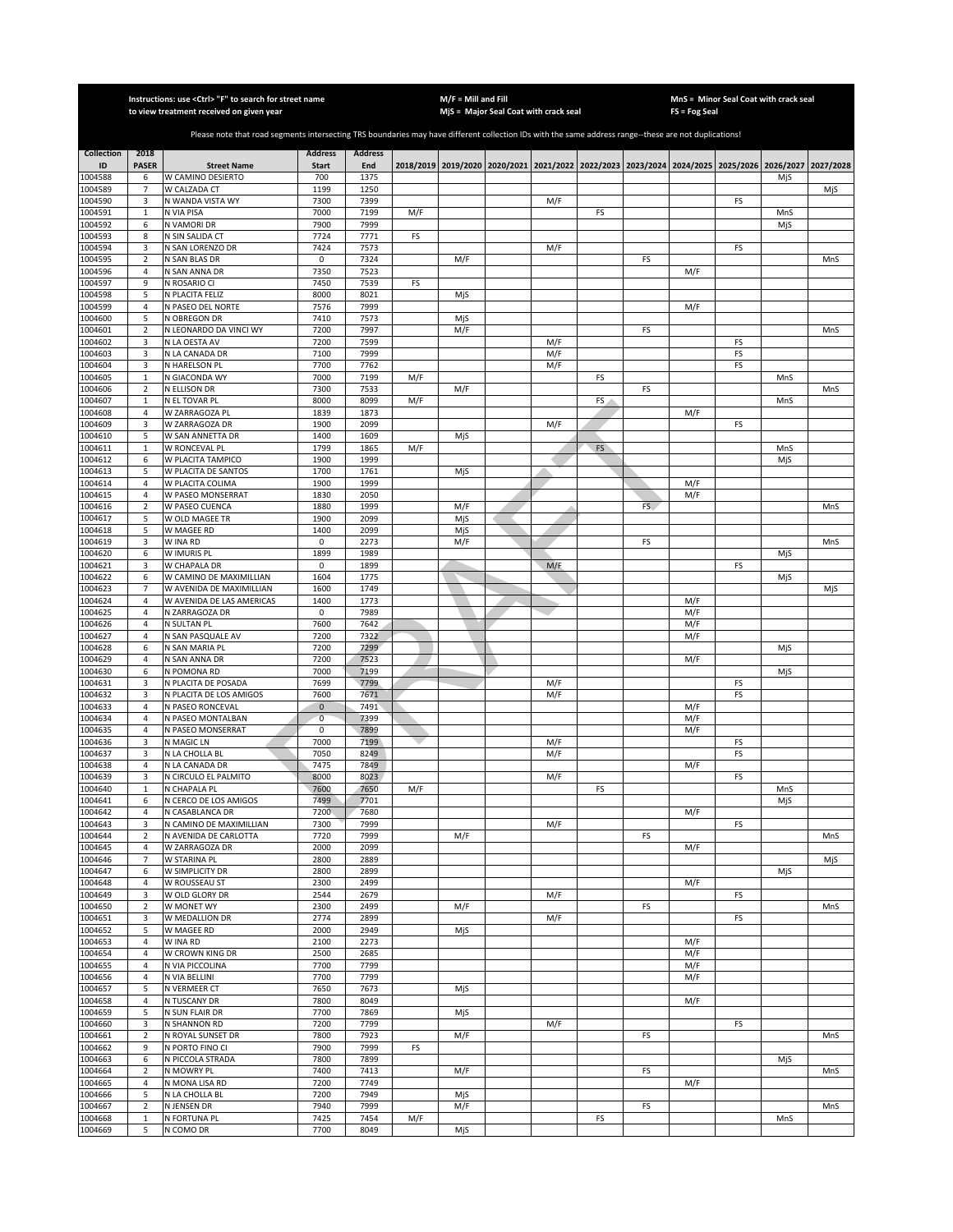|                    |                     | Instructions: use <ctrl> "F" to search for street name<br/>to view treatment received on given year</ctrl>                                            |                     |                |     | $M/F =$ Mill and Fill | MjS = Major Seal Coat with crack seal                                                     |     |    |     | MnS = Minor Seal Coat with crack seal<br>FS = Fog Seal |    |     |           |
|--------------------|---------------------|-------------------------------------------------------------------------------------------------------------------------------------------------------|---------------------|----------------|-----|-----------------------|-------------------------------------------------------------------------------------------|-----|----|-----|--------------------------------------------------------|----|-----|-----------|
|                    |                     |                                                                                                                                                       |                     |                |     |                       |                                                                                           |     |    |     |                                                        |    |     |           |
|                    |                     | Please note that road segments intersecting TRS boundaries may have different collection IDs with the same address range--these are not duplications! |                     |                |     |                       |                                                                                           |     |    |     |                                                        |    |     |           |
| <b>Collection</b>  | 2018                |                                                                                                                                                       | <b>Address</b>      | <b>Address</b> |     |                       |                                                                                           |     |    |     |                                                        |    |     |           |
| ID<br>1004588      | <b>PASER</b>        | <b>Street Name</b><br>W CAMINO DESIERTO                                                                                                               | <b>Start</b><br>700 | End<br>1375    |     |                       | 2018/2019 2019/2020 2020/2021 2021/2022 2022/2023 2023/2024 2024/2025 2025/2026 2026/2027 |     |    |     |                                                        |    |     | 2027/2028 |
| 1004589            | 6<br>$\overline{7}$ | W CALZADA CT                                                                                                                                          | 1199                | 1250           |     |                       |                                                                                           |     |    |     |                                                        |    | MjS | MjS       |
| 1004590            | 3                   | N WANDA VISTA WY                                                                                                                                      | 7300                | 7399           |     |                       |                                                                                           | M/F |    |     |                                                        | FS |     |           |
| 1004591            | $\mathbf{1}$        | N VIA PISA                                                                                                                                            | 7000                | 7199           | M/F |                       |                                                                                           |     | FS |     |                                                        |    | MnS |           |
| 1004592            | 6                   | N VAMORI DR                                                                                                                                           | 7900                | 7999           |     |                       |                                                                                           |     |    |     |                                                        |    | MjS |           |
| 1004593<br>1004594 | 8<br>3              | N SIN SALIDA CT<br>N SAN LORENZO DR                                                                                                                   | 7724<br>7424        | 7771<br>7573   | FS  |                       |                                                                                           | M/F |    |     |                                                        | FS |     |           |
| 1004595            | $\overline{2}$      | N SAN BLAS DR                                                                                                                                         | $\mathbf 0$         | 7324           |     | M/F                   |                                                                                           |     |    | FS  |                                                        |    |     | MnS       |
| 1004596            | $\sqrt{4}$          | N SAN ANNA DR                                                                                                                                         | 7350                | 7523           |     |                       |                                                                                           |     |    |     | M/F                                                    |    |     |           |
| 1004597            | 9                   | N ROSARIO CI                                                                                                                                          | 7450                | 7539           | FS  |                       |                                                                                           |     |    |     |                                                        |    |     |           |
| 1004598<br>1004599 | 5<br>$\overline{4}$ | N PLACITA FELIZ<br>N PASEO DEL NORTE                                                                                                                  | 8000<br>7576        | 8021<br>7999   |     | MjS                   |                                                                                           |     |    |     | M/F                                                    |    |     |           |
| 1004600            | 5                   | N OBREGON DR                                                                                                                                          | 7410                | 7573           |     | MiS                   |                                                                                           |     |    |     |                                                        |    |     |           |
| 1004601            | $\mathbf 2$         | N LEONARDO DA VINCI WY                                                                                                                                | 7200                | 7997           |     | M/F                   |                                                                                           |     |    | FS  |                                                        |    |     | MnS       |
| 1004602            | 3                   | N LA OESTA AV                                                                                                                                         | 7200                | 7599           |     |                       |                                                                                           | M/F |    |     |                                                        | FS |     |           |
| 1004603            | 3                   | N LA CANADA DR                                                                                                                                        | 7100                | 7999           |     |                       |                                                                                           | M/F |    |     |                                                        | FS |     |           |
| 1004604<br>1004605 | 3<br>$\mathbf{1}$   | N HARELSON PL<br>N GIACONDA WY                                                                                                                        | 7700<br>7000        | 7762<br>7199   | M/F |                       |                                                                                           | M/F | FS |     |                                                        | FS | MnS |           |
| 1004606            | $\mathbf 2$         | N ELLISON DR                                                                                                                                          | 7300                | 7533           |     | M/F                   |                                                                                           |     |    | FS  |                                                        |    |     | MnS       |
| 1004607            | $\mathbf{1}$        | N EL TOVAR PL                                                                                                                                         | 8000                | 8099           | M/F |                       |                                                                                           |     | FS |     |                                                        |    | MnS |           |
| 1004608            | $\overline{4}$      | W ZARRAGOZA PL                                                                                                                                        | 1839                | 1873           |     |                       |                                                                                           |     |    |     | M/F                                                    |    |     |           |
| 1004609<br>1004610 | 3<br>5              | W ZARRAGOZA DR<br>W SAN ANNETTA DR                                                                                                                    | 1900<br>1400        | 2099<br>1609   |     | MjS                   |                                                                                           | M/F |    |     |                                                        | FS |     |           |
| 1004611            | $\mathbf{1}$        | W RONCEVAL PL                                                                                                                                         | 1799                | 1865           | M/F |                       |                                                                                           |     | FS |     |                                                        |    | MnS |           |
| 1004612            | 6                   | W PLACITA TAMPICO                                                                                                                                     | 1900                | 1999           |     |                       |                                                                                           |     |    |     |                                                        |    | MjS |           |
| 1004613            | 5                   | W PLACITA DE SANTOS                                                                                                                                   | 1700                | 1761           |     | MjS                   |                                                                                           |     |    |     |                                                        |    |     |           |
| 1004614            | $\sqrt{4}$          | W PLACITA COLIMA                                                                                                                                      | 1900                | 1999           |     |                       |                                                                                           |     |    |     | M/F                                                    |    |     |           |
| 1004615<br>1004616 | 4<br>$\overline{2}$ | W PASEO MONSERRAT<br>W PASEO CUENCA                                                                                                                   | 1830<br>1880        | 2050<br>1999   |     | M/F                   |                                                                                           |     |    | FS. | M/F                                                    |    |     | MnS       |
| 1004617            | 5                   | W OLD MAGEE TR                                                                                                                                        | 1900                | 2099           |     | MjS                   |                                                                                           |     |    |     |                                                        |    |     |           |
| 1004618            | 5                   | W MAGEE RD                                                                                                                                            | 1400                | 2099           |     | MjS                   |                                                                                           |     |    |     |                                                        |    |     |           |
| 1004619            | 3                   | W INA RD                                                                                                                                              | 0                   | 2273           |     | M/F                   |                                                                                           |     |    | FS  |                                                        |    |     | MnS       |
| 1004620<br>1004621 | 6<br>3              | W IMURIS PL<br>W CHAPALA DR                                                                                                                           | 1899<br>0           | 1989<br>1899   |     |                       |                                                                                           |     |    |     |                                                        |    | MjS |           |
| 1004622            | 6                   | W CAMINO DE MAXIMILLIAN                                                                                                                               | 1604                | 1775           |     |                       |                                                                                           | M/F |    |     |                                                        | FS | MjS |           |
| 1004623            | $\overline{7}$      | W AVENIDA DE MAXIMILLIAN                                                                                                                              | 1600                | 1749           |     |                       |                                                                                           |     |    |     |                                                        |    |     | MjS       |
| 1004624            | $\overline{4}$      | W AVENIDA DE LAS AMERICAS                                                                                                                             | 1400                | 1773           |     |                       |                                                                                           |     |    |     | M/F                                                    |    |     |           |
| 1004625            | $\overline{a}$      | N ZARRAGOZA DR                                                                                                                                        | $\mathbf 0$         | 7989           |     |                       |                                                                                           |     |    |     | M/F                                                    |    |     |           |
| 1004626<br>1004627 | $\sqrt{4}$<br>4     | N SULTAN PL<br>N SAN PASQUALE AV                                                                                                                      | 7600<br>7200        | 7642<br>7322   |     |                       |                                                                                           |     |    |     | M/F<br>M/F                                             |    |     |           |
| 1004628            | 6                   | N SAN MARIA PL                                                                                                                                        | 7200                | 7299           |     |                       |                                                                                           |     |    |     |                                                        |    | MjS |           |
| 1004629            | $\sqrt{4}$          | N SAN ANNA DR                                                                                                                                         | 7200                | 7523           |     |                       |                                                                                           |     |    |     | M/F                                                    |    |     |           |
| 1004630            | 6                   | N POMONA RD                                                                                                                                           | 7000                | 7199           |     |                       |                                                                                           |     |    |     |                                                        |    | MjS |           |
| 1004631            | 3                   | N PLACITA DE POSADA                                                                                                                                   | 7699                | 7799           |     |                       |                                                                                           | M/F |    |     |                                                        | FS |     |           |
| 1004632<br>1004633 | 3<br>$\sqrt{4}$     | N PLACITA DE LOS AMIGOS<br>N PASEO RONCEVAL                                                                                                           | 7600<br>$\mathbf 0$ | 7671<br>7491   |     |                       |                                                                                           | M/F |    |     | M/F                                                    | FS |     |           |
| 1004634            | 4                   | N PASEO MONTALBAN                                                                                                                                     | $\overline{0}$      | 7399           |     |                       |                                                                                           |     |    |     | M/F                                                    |    |     |           |
| 1004635            | $\overline{4}$      | N PASEO MONSERRAT                                                                                                                                     | 0                   | 7899           |     |                       |                                                                                           |     |    |     | M/F                                                    |    |     |           |
| 1004636            | 3                   | N MAGIC LN                                                                                                                                            | 7000                | 7199           |     |                       |                                                                                           | M/F |    |     |                                                        | FS |     |           |
| 1004637<br>1004638 | 3<br>4              | N LA CHOLLA BL<br>N LA CANADA DR                                                                                                                      | 7050<br>7475        | 8249<br>7849   |     |                       |                                                                                           | M/F |    |     | M/F                                                    | FS |     |           |
| 1004639            | 3                   | N CIRCULO EL PALMITO                                                                                                                                  | 8000                | 8023           |     |                       |                                                                                           | M/F |    |     |                                                        | FS |     |           |
| 1004640            | $\mathbf{1}$        | N CHAPALA PL                                                                                                                                          | 7600                | 7650           | M/F |                       |                                                                                           |     | FS |     |                                                        |    | MnS |           |
| 1004641            | 6                   | N CERCO DE LOS AMIGOS                                                                                                                                 | 7499                | 7701           |     |                       |                                                                                           |     |    |     |                                                        |    | MjS |           |
| 1004642<br>1004643 | 4                   | N CASABLANCA DR                                                                                                                                       | 7200                | 7680           |     |                       |                                                                                           |     |    |     | M/F                                                    |    |     |           |
| 1004644            | 3<br>2              | N CAMINO DE MAXIMILLIAN<br>N AVENIDA DE CARLOTTA                                                                                                      | 7300<br>7720        | 7999<br>7999   |     | M/F                   |                                                                                           | M/F |    | FS  |                                                        | FS |     | MnS       |
| 1004645            | $\overline{4}$      | W ZARRAGOZA DR                                                                                                                                        | 2000                | 2099           |     |                       |                                                                                           |     |    |     | M/F                                                    |    |     |           |
| 1004646            | 7                   | W STARINA PL                                                                                                                                          | 2800                | 2889           |     |                       |                                                                                           |     |    |     |                                                        |    |     | MjS       |
| 1004647            | 6                   | W SIMPLICITY DR                                                                                                                                       | 2800                | 2899           |     |                       |                                                                                           |     |    |     |                                                        |    | MjS |           |
| 1004648<br>1004649 | $\overline{a}$<br>3 | W ROUSSEAU ST<br>W OLD GLORY DR                                                                                                                       | 2300<br>2544        | 2499<br>2679   |     |                       |                                                                                           | M/F |    |     | M/F                                                    | FS |     |           |
| 1004650            | 2                   | W MONET WY                                                                                                                                            | 2300                | 2499           |     | M/F                   |                                                                                           |     |    | FS  |                                                        |    |     | MnS       |
| 1004651            | 3                   | W MEDALLION DR                                                                                                                                        | 2774                | 2899           |     |                       |                                                                                           | M/F |    |     |                                                        | FS |     |           |
| 1004652            | 5                   | W MAGEE RD                                                                                                                                            | 2000                | 2949           |     | MjS                   |                                                                                           |     |    |     |                                                        |    |     |           |
| 1004653            | 4                   | W INA RD                                                                                                                                              | 2100                | 2273           |     |                       |                                                                                           |     |    |     | M/F                                                    |    |     |           |
| 1004654<br>1004655 | 4<br>4              | W CROWN KING DR<br>N VIA PICCOLINA                                                                                                                    | 2500<br>7700        | 2685<br>7799   |     |                       |                                                                                           |     |    |     | M/F<br>M/F                                             |    |     |           |
| 1004656            | $\sqrt{4}$          | N VIA BELLINI                                                                                                                                         | 7700                | 7799           |     |                       |                                                                                           |     |    |     | M/F                                                    |    |     |           |
| 1004657            | 5                   | N VERMEER CT                                                                                                                                          | 7650                | 7673           |     | MjS                   |                                                                                           |     |    |     |                                                        |    |     |           |
| 1004658            | 4                   | N TUSCANY DR                                                                                                                                          | 7800                | 8049           |     |                       |                                                                                           |     |    |     | M/F                                                    |    |     |           |
| 1004659<br>1004660 | 5<br>3              | N SUN FLAIR DR                                                                                                                                        | 7700<br>7200        | 7869<br>7799   |     | MjS                   |                                                                                           |     |    |     |                                                        |    |     |           |
| 1004661            | $\mathbf 2$         | N SHANNON RD<br>N ROYAL SUNSET DR                                                                                                                     | 7800                | 7923           |     | M/F                   |                                                                                           | M/F |    | FS  |                                                        | FS |     | MnS       |
| 1004662            | 9                   | N PORTO FINO CI                                                                                                                                       | 7900                | 7999           | FS  |                       |                                                                                           |     |    |     |                                                        |    |     |           |
| 1004663            | 6                   | N PICCOLA STRADA                                                                                                                                      | 7800                | 7899           |     |                       |                                                                                           |     |    |     |                                                        |    | MjS |           |
| 1004664            | $\overline{2}$      | N MOWRY PL                                                                                                                                            | 7400                | 7413           |     | M/F                   |                                                                                           |     |    | FS  |                                                        |    |     | MnS       |
| 1004665<br>1004666 | 4<br>5              | N MONA LISA RD<br>N LA CHOLLA BL                                                                                                                      | 7200<br>7200        | 7749<br>7949   |     | MjS                   |                                                                                           |     |    |     | M/F                                                    |    |     |           |
| 1004667            | $\mathbf 2$         | N JENSEN DR                                                                                                                                           | 7940                | 7999           |     | M/F                   |                                                                                           |     |    | FS  |                                                        |    |     | MnS       |
| 1004668            | $\mathbf 1$         | N FORTUNA PL                                                                                                                                          | 7425                | 7454           | M/F |                       |                                                                                           |     | FS |     |                                                        |    | MnS |           |
| 1004669            | 5                   | N COMO DR                                                                                                                                             | 7700                | 8049           |     | MjS                   |                                                                                           |     |    |     |                                                        |    |     |           |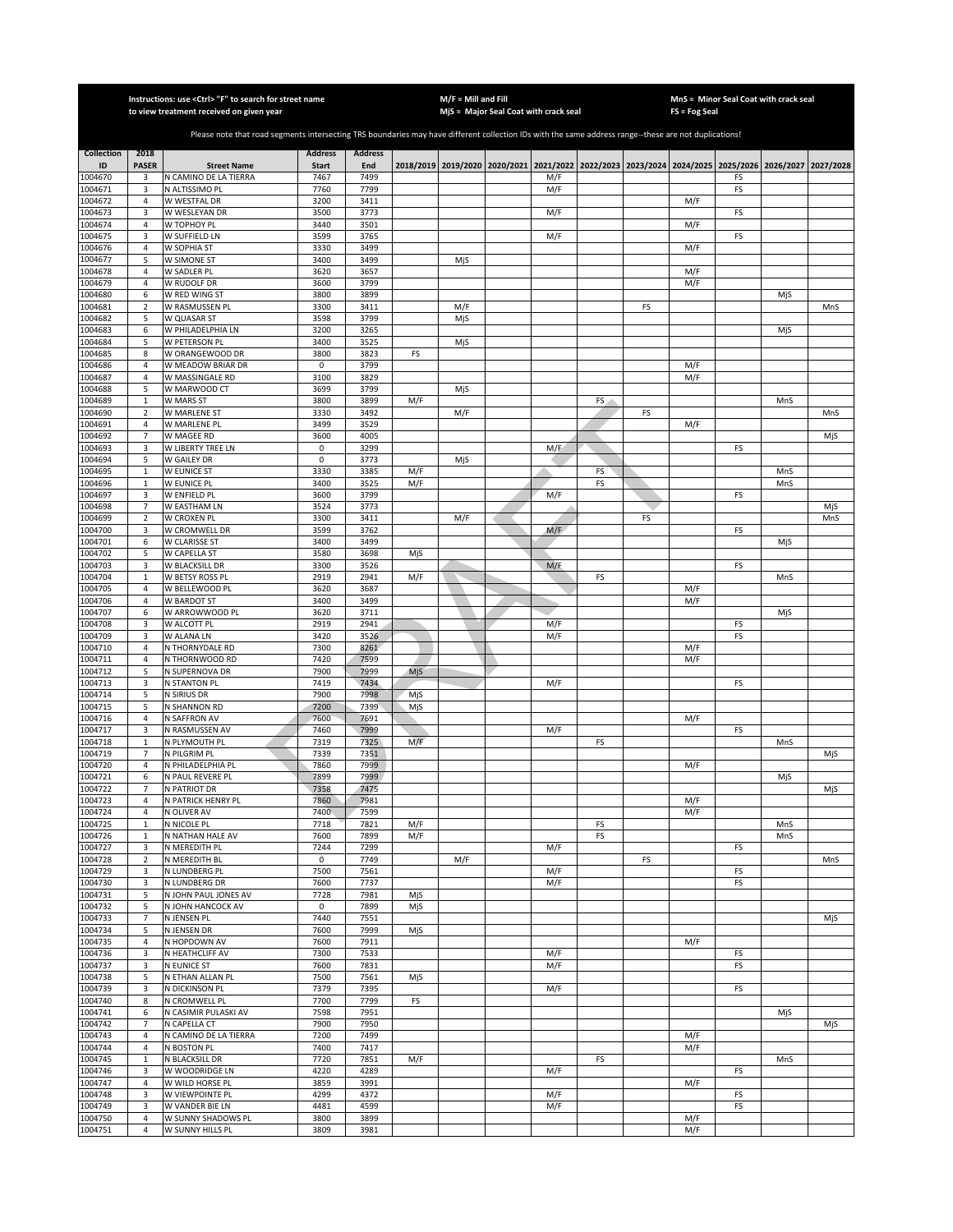|                         |                                  | Instructions: use < Ctrl> "F" to search for street name<br>to view treatment received on given year                                                   |                                |                       |     | $M/F =$ Mill and Fill | MjS = Major Seal Coat with crack seal                                                     |     |    |    | FS = Fog Seal | MnS = Minor Seal Coat with crack seal |     |           |
|-------------------------|----------------------------------|-------------------------------------------------------------------------------------------------------------------------------------------------------|--------------------------------|-----------------------|-----|-----------------------|-------------------------------------------------------------------------------------------|-----|----|----|---------------|---------------------------------------|-----|-----------|
|                         |                                  |                                                                                                                                                       |                                |                       |     |                       |                                                                                           |     |    |    |               |                                       |     |           |
|                         |                                  | Please note that road segments intersecting TRS boundaries may have different collection IDs with the same address range--these are not duplications! |                                |                       |     |                       |                                                                                           |     |    |    |               |                                       |     |           |
| <b>Collection</b><br>ID | 2018<br><b>PASER</b>             | <b>Street Name</b>                                                                                                                                    | <b>Address</b><br><b>Start</b> | <b>Address</b><br>End |     |                       | 2018/2019 2019/2020 2020/2021 2021/2022 2022/2023 2023/2024 2024/2025 2025/2026 2026/2027 |     |    |    |               |                                       |     | 2027/2028 |
| 1004670                 | 3                                | N CAMINO DE LA TIERRA                                                                                                                                 | 7467                           | 7499                  |     |                       |                                                                                           | M/F |    |    |               | FS                                    |     |           |
| 1004671                 | 3                                | N ALTISSIMO PL                                                                                                                                        | 7760                           | 7799                  |     |                       |                                                                                           | M/F |    |    |               | FS                                    |     |           |
| 1004672                 | $\overline{a}$                   | W WESTFAL DR                                                                                                                                          | 3200                           | 3411                  |     |                       |                                                                                           |     |    |    | M/F           |                                       |     |           |
| 1004673<br>1004674      | 3<br>$\overline{4}$              | W WESLEYAN DR<br>W TOPHOY PL                                                                                                                          | 3500<br>3440                   | 3773<br>3501          |     |                       |                                                                                           | M/F |    |    | M/F           | FS                                    |     |           |
| 1004675                 | 3                                | W SUFFIELD LN                                                                                                                                         | 3599                           | 3765                  |     |                       |                                                                                           | M/F |    |    |               | FS                                    |     |           |
| 1004676                 | $\sqrt{4}$                       | W SOPHIA ST                                                                                                                                           | 3330                           | 3499                  |     |                       |                                                                                           |     |    |    | M/F           |                                       |     |           |
| 1004677<br>1004678      | 5<br>$\sqrt{4}$                  | W SIMONE ST<br>W SADLER PL                                                                                                                            | 3400<br>3620                   | 3499<br>3657          |     | MjS                   |                                                                                           |     |    |    | M/F           |                                       |     |           |
| 1004679                 | $\sqrt{4}$                       | W RUDOLF DR                                                                                                                                           | 3600                           | 3799                  |     |                       |                                                                                           |     |    |    | M/F           |                                       |     |           |
| 1004680                 | 6                                | W RED WING ST                                                                                                                                         | 3800                           | 3899                  |     |                       |                                                                                           |     |    |    |               |                                       | MjS |           |
| 1004681<br>1004682      | $\mathbf 2$<br>5                 | W RASMUSSEN PL<br>W QUASAR ST                                                                                                                         | 3300<br>3598                   | 3411<br>3799          |     | M/F<br>MjS            |                                                                                           |     |    | FS |               |                                       |     | MnS       |
| 1004683                 | 6                                | W PHILADELPHIA LN                                                                                                                                     | 3200                           | 3265                  |     |                       |                                                                                           |     |    |    |               |                                       | MjS |           |
| 1004684                 | 5                                | W PETERSON PL                                                                                                                                         | 3400                           | 3525                  |     | MjS                   |                                                                                           |     |    |    |               |                                       |     |           |
| 1004685                 | 8                                | W ORANGEWOOD DR                                                                                                                                       | 3800                           | 3823                  | FS  |                       |                                                                                           |     |    |    |               |                                       |     |           |
| 1004686<br>1004687      | $\sqrt{4}$<br>$\overline{4}$     | W MEADOW BRIAR DR<br>W MASSINGALE RD                                                                                                                  | 0<br>3100                      | 3799<br>3829          |     |                       |                                                                                           |     |    |    | M/F<br>M/F    |                                       |     |           |
| 1004688                 | 5                                | W MARWOOD CT                                                                                                                                          | 3699                           | 3799                  |     | MjS                   |                                                                                           |     |    |    |               |                                       |     |           |
| 1004689                 | $\,1\,$                          | W MARS ST                                                                                                                                             | 3800                           | 3899                  | M/F |                       |                                                                                           |     | FS |    |               |                                       | MnS |           |
| 1004690                 | $\mathbf 2$                      | W MARLENE ST                                                                                                                                          | 3330                           | 3492                  |     | M/F                   |                                                                                           |     |    | FS |               |                                       |     | MnS       |
| 1004691<br>1004692      | $\overline{a}$<br>$\overline{7}$ | W MARLENE PL<br>W MAGEE RD                                                                                                                            | 3499<br>3600                   | 3529<br>4005          |     |                       |                                                                                           |     |    |    | M/F           |                                       |     | MjS       |
| 1004693                 | 3                                | W LIBERTY TREE LN                                                                                                                                     | 0                              | 3299                  |     |                       |                                                                                           | M/F |    |    |               | FS                                    |     |           |
| 1004694                 | 5                                | W GAILEY DR                                                                                                                                           | 0                              | 3773                  |     | MjS                   |                                                                                           |     |    |    |               |                                       |     |           |
| 1004695                 | $\mathbf{1}$                     | W EUNICE ST                                                                                                                                           | 3330                           | 3385                  | M/F |                       |                                                                                           |     | FS |    |               |                                       | MnS |           |
| 1004696<br>1004697      | $\mathbf{1}$<br>3                | W EUNICE PL<br>W ENFIELD PL                                                                                                                           | 3400<br>3600                   | 3525<br>3799          | M/F |                       |                                                                                           | M/F | FS |    |               | FS                                    | MnS |           |
| 1004698                 | $\overline{7}$                   | W EASTHAM LN                                                                                                                                          | 3524                           | 3773                  |     |                       |                                                                                           |     |    |    |               |                                       |     | MjS       |
| 1004699                 | $\overline{2}$                   | W CROXEN PL                                                                                                                                           | 3300                           | 3411                  |     | M/F                   |                                                                                           |     |    | FS |               |                                       |     | MnS       |
| 1004700                 | 3                                | W CROMWELL DR                                                                                                                                         | 3599<br>3400                   | 3762                  |     |                       |                                                                                           | M/F |    |    |               | FS                                    |     |           |
| 1004701<br>1004702      | 6<br>5                           | W CLARISSE ST<br>W CAPELLA ST                                                                                                                         | 3580                           | 3499<br>3698          | MjS |                       |                                                                                           |     |    |    |               |                                       | MjS |           |
| 1004703                 | 3                                | W BLACKSILL DR                                                                                                                                        | 3300                           | 3526                  |     |                       |                                                                                           | M/F |    |    |               | FS                                    |     |           |
| 1004704                 | $\,1\,$                          | W BETSY ROSS PL                                                                                                                                       | 2919                           | 2941                  | M/F |                       |                                                                                           |     | FS |    |               |                                       | MnS |           |
| 1004705<br>1004706      | $\overline{4}$<br>$\sqrt{4}$     | W BELLEWOOD PL<br>W BARDOT ST                                                                                                                         | 3620<br>3400                   | 3687<br>3499          |     |                       |                                                                                           |     |    |    | M/F<br>M/F    |                                       |     |           |
| 1004707                 | 6                                | W ARROWWOOD PL                                                                                                                                        | 3620                           | 3711                  |     |                       |                                                                                           |     |    |    |               |                                       | MjS |           |
| 1004708                 | 3                                | W ALCOTT PL                                                                                                                                           | 2919                           | 2941                  |     |                       |                                                                                           | M/F |    |    |               | FS                                    |     |           |
| 1004709                 | 3                                | W ALANA LN                                                                                                                                            | 3420                           | 3526                  |     |                       |                                                                                           | M/F |    |    |               | FS                                    |     |           |
| 1004710<br>1004711      | $\sqrt{4}$<br>$\overline{4}$     | N THORNYDALE RD<br>N THORNWOOD RD                                                                                                                     | 7300<br>7420                   | 8261<br>7599          |     |                       |                                                                                           |     |    |    | M/F<br>M/F    |                                       |     |           |
| 1004712                 | 5                                | N SUPERNOVA DR                                                                                                                                        | 7900                           | 7999                  | MjS |                       |                                                                                           |     |    |    |               |                                       |     |           |
| 1004713                 | 3                                | N STANTON PL                                                                                                                                          | 7419                           | 7434                  |     |                       |                                                                                           | M/F |    |    |               | FS                                    |     |           |
| 1004714                 | 5                                | N SIRIUS DR                                                                                                                                           | 7900<br>7200                   | 7998<br>7399          | MjS |                       |                                                                                           |     |    |    |               |                                       |     |           |
| 1004715<br>1004716      | 5<br>$\overline{4}$              | N SHANNON RD<br>N SAFFRON AV                                                                                                                          | 7600                           | 7691                  | MjS |                       |                                                                                           |     |    |    | M/F           |                                       |     |           |
| 1004717                 | 3                                | N RASMUSSEN AV                                                                                                                                        | 7460                           | 7999                  |     |                       |                                                                                           | M/F |    |    |               | FS                                    |     |           |
| 1004718                 | $\mathbf{1}$                     | N PLYMOUTH PL                                                                                                                                         | 7319                           | 7325                  | M/F |                       |                                                                                           |     | FS |    |               |                                       | MnS |           |
| 1004719<br>1004720      | $\overline{7}$<br>$\overline{4}$ | N PILGRIM PL<br>N PHILADELPHIA PL                                                                                                                     | 7339<br>7860                   | 7351<br>7999          |     |                       |                                                                                           |     |    |    | M/F           |                                       |     | MjS       |
| 1004721                 | 6                                | N PAUL REVERE PL                                                                                                                                      | 7899                           | 7999                  |     |                       |                                                                                           |     |    |    |               |                                       | MjS |           |
| 1004722                 | $\overline{7}$                   | N PATRIOT DR                                                                                                                                          | 7358                           | 7475                  |     |                       |                                                                                           |     |    |    |               |                                       |     | MjS       |
| 1004723                 | 4                                | N PATRICK HENRY PL                                                                                                                                    | 7860                           | 7981                  |     |                       |                                                                                           |     |    |    | M/F           |                                       |     |           |
| 1004724<br>1004725      | $\overline{4}$<br>$\mathbf{1}$   | N OLIVER AV<br>N NICOLE PL                                                                                                                            | 7400<br>7718                   | 7599<br>7821          | M/F |                       |                                                                                           |     | FS |    | M/F           |                                       | MnS |           |
| 1004726                 | $\,1\,$                          | N NATHAN HALE AV                                                                                                                                      | 7600                           | 7899                  | M/F |                       |                                                                                           |     | FS |    |               |                                       | MnS |           |
| 1004727                 | 3                                | N MEREDITH PL                                                                                                                                         | 7244                           | 7299                  |     |                       |                                                                                           | M/F |    |    |               | FS                                    |     |           |
| 1004728<br>1004729      | $\mathbf 2$<br>3                 | N MEREDITH BL<br>N LUNDBERG PL                                                                                                                        | 0<br>7500                      | 7749<br>7561          |     | M/F                   |                                                                                           | M/F |    | FS |               | FS                                    |     | MnS       |
| 1004730                 | 3                                | N LUNDBERG DR                                                                                                                                         | 7600                           | 7737                  |     |                       |                                                                                           | M/F |    |    |               | FS                                    |     |           |
| 1004731                 | 5                                | N JOHN PAUL JONES AV                                                                                                                                  | 7728                           | 7981                  | MjS |                       |                                                                                           |     |    |    |               |                                       |     |           |
| 1004732                 | 5                                | N JOHN HANCOCK AV                                                                                                                                     | $\mathsf 0$                    | 7899                  | MjS |                       |                                                                                           |     |    |    |               |                                       |     |           |
| 1004733<br>1004734      | $\overline{7}$<br>5              | N JENSEN PL<br>N JENSEN DR                                                                                                                            | 7440<br>7600                   | 7551<br>7999          | MjS |                       |                                                                                           |     |    |    |               |                                       |     | MjS       |
| 1004735                 | $\overline{4}$                   | N HOPDOWN AV                                                                                                                                          | 7600                           | 7911                  |     |                       |                                                                                           |     |    |    | M/F           |                                       |     |           |
| 1004736                 | 3                                | N HEATHCLIFF AV                                                                                                                                       | 7300                           | 7533                  |     |                       |                                                                                           | M/F |    |    |               | FS                                    |     |           |
| 1004737                 | 3                                | <b>N EUNICE ST</b>                                                                                                                                    | 7600<br>7500                   | 7831                  |     |                       |                                                                                           | M/F |    |    |               | FS                                    |     |           |
| 1004738<br>1004739      | 5<br>3                           | N ETHAN ALLAN PL<br>N DICKINSON PL                                                                                                                    | 7379                           | 7561<br>7395          | MjS |                       |                                                                                           | M/F |    |    |               | FS                                    |     |           |
| 1004740                 | 8                                | N CROMWELL PL                                                                                                                                         | 7700                           | 7799                  | FS  |                       |                                                                                           |     |    |    |               |                                       |     |           |
| 1004741                 | 6                                | N CASIMIR PULASKI AV                                                                                                                                  | 7598                           | 7951                  |     |                       |                                                                                           |     |    |    |               |                                       | MjS |           |
| 1004742                 | $\overline{7}$                   | N CAPELLA CT                                                                                                                                          | 7900<br>7200                   | 7950<br>7499          |     |                       |                                                                                           |     |    |    |               |                                       |     | MjS       |
| 1004743<br>1004744      | 4<br>4                           | N CAMINO DE LA TIERRA<br>N BOSTON PL                                                                                                                  | 7400                           | 7417                  |     |                       |                                                                                           |     |    |    | M/F<br>M/F    |                                       |     |           |
| 1004745                 | $\mathbf{1}$                     | N BLACKSILL DR                                                                                                                                        | 7720                           | 7851                  | M/F |                       |                                                                                           |     | FS |    |               |                                       | MnS |           |
| 1004746                 | 3                                | W WOODRIDGE LN                                                                                                                                        | 4220                           | 4289                  |     |                       |                                                                                           | M/F |    |    |               | FS                                    |     |           |
| 1004747<br>1004748      | $\overline{4}$<br>3              | W WILD HORSE PL<br>W VIEWPOINTE PL                                                                                                                    | 3859<br>4299                   | 3991<br>4372          |     |                       |                                                                                           | M/F |    |    | M/F           |                                       |     |           |
| 1004749                 | 3                                | W VANDER BIE LN                                                                                                                                       | 4481                           | 4599                  |     |                       |                                                                                           | M/F |    |    |               | FS<br>FS                              |     |           |
| 1004750                 | $\overline{4}$                   | W SUNNY SHADOWS PL                                                                                                                                    | 3800                           | 3899                  |     |                       |                                                                                           |     |    |    | M/F           |                                       |     |           |
| 1004751                 | $\overline{4}$                   | W SUNNY HILLS PL                                                                                                                                      | 3809                           | 3981                  |     |                       |                                                                                           |     |    |    | M/F           |                                       |     |           |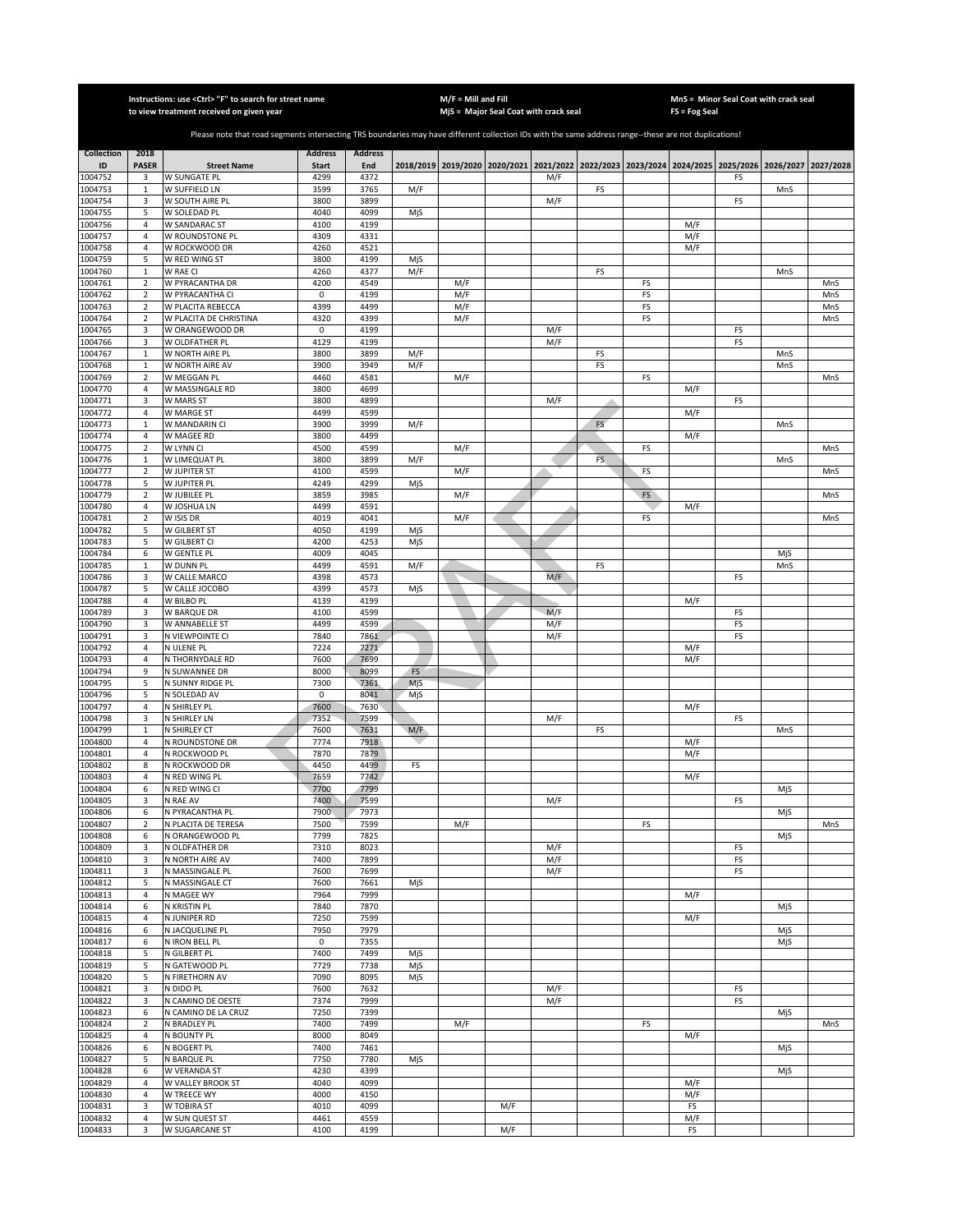|                         |                             | Instructions: use < Ctrl> "F" to search for street name<br>to view treatment received on given year                                                   |                                |                       |            | $M/F =$ Mill and Fill |     | MjS = Major Seal Coat with crack seal |     |    | FS = Fog Seal | MnS = Minor Seal Coat with crack seal                                                     |     |           |
|-------------------------|-----------------------------|-------------------------------------------------------------------------------------------------------------------------------------------------------|--------------------------------|-----------------------|------------|-----------------------|-----|---------------------------------------|-----|----|---------------|-------------------------------------------------------------------------------------------|-----|-----------|
|                         |                             |                                                                                                                                                       |                                |                       |            |                       |     |                                       |     |    |               |                                                                                           |     |           |
|                         |                             | Please note that road segments intersecting TRS boundaries may have different collection IDs with the same address range--these are not duplications! |                                |                       |            |                       |     |                                       |     |    |               |                                                                                           |     |           |
| <b>Collection</b><br>ID | 2018<br><b>PASER</b>        |                                                                                                                                                       | <b>Address</b><br><b>Start</b> | <b>Address</b><br>End |            |                       |     |                                       |     |    |               | 2018/2019 2019/2020 2020/2021 2021/2022 2022/2023 2023/2024 2024/2025 2025/2026 2026/2027 |     |           |
| 1004752                 | 3                           | <b>Street Name</b><br>W SUNGATE PL                                                                                                                    | 4299                           | 4372                  |            |                       |     | M/F                                   |     |    |               | FS                                                                                        |     | 2027/2028 |
| 1004753                 | $\mathbf{1}$                | W SUFFIELD LN                                                                                                                                         | 3599                           | 3765                  | M/F        |                       |     |                                       | FS  |    |               |                                                                                           | MnS |           |
| 1004754                 | 3                           | W SOUTH AIRE PL                                                                                                                                       | 3800                           | 3899                  |            |                       |     | M/F                                   |     |    |               | FS                                                                                        |     |           |
| 1004755<br>1004756      | 5<br>$\overline{4}$         | W SOLEDAD PL<br><b>W SANDARAC ST</b>                                                                                                                  | 4040<br>4100                   | 4099<br>4199          | MjS        |                       |     |                                       |     |    | M/F           |                                                                                           |     |           |
| 1004757                 | $\overline{4}$              | W ROUNDSTONE PL                                                                                                                                       | 4309                           | 4331                  |            |                       |     |                                       |     |    | M/F           |                                                                                           |     |           |
| 1004758                 | $\sqrt{4}$                  | W ROCKWOOD DR                                                                                                                                         | 4260                           | 4521                  |            |                       |     |                                       |     |    | M/F           |                                                                                           |     |           |
| 1004759<br>1004760      | 5<br>$\mathbf 1$            | W RED WING ST<br>W RAE CI                                                                                                                             | 3800<br>4260                   | 4199<br>4377          | MjS<br>M/F |                       |     |                                       | FS  |    |               |                                                                                           | MnS |           |
| 1004761                 | $\mathbf 2$                 | W PYRACANTHA DR                                                                                                                                       | 4200                           | 4549                  |            | M/F                   |     |                                       |     | FS |               |                                                                                           |     | MnS       |
| 1004762                 | $\mathbf 2$                 | W PYRACANTHA CI                                                                                                                                       | $\mathsf 0$                    | 4199                  |            | M/F                   |     |                                       |     | FS |               |                                                                                           |     | MnS       |
| 1004763                 | $\mathbf 2$                 | W PLACITA REBECCA                                                                                                                                     | 4399                           | 4499                  |            | M/F                   |     |                                       |     | FS |               |                                                                                           |     | MnS       |
| 1004764<br>1004765      | $\mathbf 2$<br>3            | W PLACITA DE CHRISTINA<br>W ORANGEWOOD DR                                                                                                             | 4320<br>$\mathsf 0$            | 4399<br>4199          |            | M/F                   |     | M/F                                   |     | FS |               | FS                                                                                        |     | MnS       |
| 1004766                 | 3                           | W OLDFATHER PL                                                                                                                                        | 4129                           | 4199                  |            |                       |     | M/F                                   |     |    |               | FS                                                                                        |     |           |
| 1004767                 | $\mathbf 1$                 | W NORTH AIRE PL                                                                                                                                       | 3800                           | 3899                  | M/F        |                       |     |                                       | FS  |    |               |                                                                                           | MnS |           |
| 1004768<br>1004769      | $\mathbf{1}$<br>$\mathbf 2$ | W NORTH AIRE AV<br>W MEGGAN PL                                                                                                                        | 3900<br>4460                   | 3949<br>4581          | M/F        | M/F                   |     |                                       | FS  | FS |               |                                                                                           | MnS | MnS       |
| 1004770                 | $\sqrt{4}$                  | W MASSINGALE RD                                                                                                                                       | 3800                           | 4699                  |            |                       |     |                                       |     |    | M/F           |                                                                                           |     |           |
| 1004771                 | 3                           | W MARS ST                                                                                                                                             | 3800                           | 4899                  |            |                       |     | M/F                                   |     |    |               | FS                                                                                        |     |           |
| 1004772                 | 4                           | W MARGE ST                                                                                                                                            | 4499                           | 4599                  |            |                       |     |                                       |     |    | M/F           |                                                                                           |     |           |
| 1004773<br>1004774      | $\mathbf{1}$<br>4           | W MANDARIN CI<br>W MAGEE RD                                                                                                                           | 3900<br>3800                   | 3999<br>4499          | M/F        |                       |     |                                       | FS  |    | M/F           |                                                                                           | MnS |           |
| 1004775                 | $\overline{2}$              | W LYNN CI                                                                                                                                             | 4500                           | 4599                  |            | M/F                   |     |                                       |     | FS |               |                                                                                           |     | MnS       |
| 1004776                 | $\mathbf{1}$                | W LIMEQUAT PL                                                                                                                                         | 3800                           | 3899                  | M/F        |                       |     |                                       | FS. |    |               |                                                                                           | MnS |           |
| 1004777<br>1004778      | $\overline{2}$<br>5         | W JUPITER ST<br>W JUPITER PL                                                                                                                          | 4100<br>4249                   | 4599<br>4299          | MjS        | M/F                   |     |                                       |     | FS |               |                                                                                           |     | MnS       |
| 1004779                 | $\overline{2}$              | W JUBILEE PL                                                                                                                                          | 3859                           | 3985                  |            | M/F                   |     |                                       |     | FS |               |                                                                                           |     | MnS       |
| 1004780                 | $\overline{4}$              | W JOSHUA LN                                                                                                                                           | 4499                           | 4591                  |            |                       |     |                                       |     |    | M/F           |                                                                                           |     |           |
| 1004781                 | $\overline{2}$              | W ISIS DR                                                                                                                                             | 4019                           | 4041                  |            | M/F                   |     |                                       |     | FS |               |                                                                                           |     | MnS       |
| 1004782<br>1004783      | 5<br>5                      | W GILBERT ST<br>W GILBERT CI                                                                                                                          | 4050<br>4200                   | 4199<br>4253          | MjS<br>MjS |                       |     |                                       |     |    |               |                                                                                           |     |           |
| 1004784                 | 6                           | W GENTLE PL                                                                                                                                           | 4009                           | 4045                  |            |                       |     |                                       |     |    |               |                                                                                           | MjS |           |
| 1004785                 | $\mathbf 1$                 | W DUNN PL                                                                                                                                             | 4499                           | 4591                  | M/F        |                       |     |                                       | FS  |    |               |                                                                                           | MnS |           |
| 1004786                 | 3                           | W CALLE MARCO                                                                                                                                         | 4398                           | 4573                  |            |                       |     | M/F                                   |     |    |               | FS                                                                                        |     |           |
| 1004787<br>1004788      | 5<br>$\sqrt{4}$             | W CALLE JOCOBO<br>W BILBO PL                                                                                                                          | 4399<br>4139                   | 4573<br>4199          | MjS        |                       |     |                                       |     |    | M/F           |                                                                                           |     |           |
| 1004789                 | 3                           | W BARQUE DR                                                                                                                                           | 4100                           | 4599                  |            |                       |     | M/F                                   |     |    |               | FS                                                                                        |     |           |
| 1004790                 | 3                           | W ANNABELLE ST                                                                                                                                        | 4499                           | 4599                  |            |                       |     | M/F                                   |     |    |               | FS                                                                                        |     |           |
| 1004791<br>1004792      | 3<br>$\overline{4}$         | N VIEWPOINTE CI<br>N ULENE PL                                                                                                                         | 7840<br>7224                   | 7861<br>7271          |            |                       |     | M/F                                   |     |    | M/F           | FS                                                                                        |     |           |
| 1004793                 | $\sqrt{4}$                  | N THORNYDALE RD                                                                                                                                       | 7600                           | 7699                  |            |                       |     |                                       |     |    | M/F           |                                                                                           |     |           |
| 1004794                 | 9                           | N SUWANNEE DR                                                                                                                                         | 8000                           | 8099                  | FS         |                       |     |                                       |     |    |               |                                                                                           |     |           |
| 1004795<br>1004796      | 5<br>5                      | N SUNNY RIDGE PL<br>N SOLEDAD AV                                                                                                                      | 7300<br>0                      | 7361<br>8041          | MjS<br>MjS |                       |     |                                       |     |    |               |                                                                                           |     |           |
| 1004797                 | 4                           | N SHIRLEY PL                                                                                                                                          | 7600                           | 7630                  |            |                       |     |                                       |     |    | M/F           |                                                                                           |     |           |
| 1004798                 | 3                           | N SHIRLEY LN                                                                                                                                          | 7352                           | 7599                  |            |                       |     | M/F                                   |     |    |               | FS                                                                                        |     |           |
| 1004799                 | $\mathbf{1}$                | N SHIRLEY CT                                                                                                                                          | 7600                           | 7631                  | M/F        |                       |     |                                       | FS  |    |               |                                                                                           | MnS |           |
| 1004800<br>1004801      | 4<br>4                      | N ROUNDSTONE DR<br>N ROCKWOOD PL                                                                                                                      | 7774<br>7870                   | 7918<br>7879          |            |                       |     |                                       |     |    | M/F<br>M/F    |                                                                                           |     |           |
| 1004802                 | 8                           | N ROCKWOOD DR                                                                                                                                         | 4450                           | 4499                  | FS         |                       |     |                                       |     |    |               |                                                                                           |     |           |
| 1004803                 | $\overline{4}$              | N RED WING PL                                                                                                                                         | 7659                           | 7742                  |            |                       |     |                                       |     |    | M/F           |                                                                                           |     |           |
| 1004804<br>1004805      | 6<br>3                      | N RED WING CI<br>N RAE AV                                                                                                                             | 7700<br>7400                   | 7799<br>7599          |            |                       |     | M/F                                   |     |    |               | FS                                                                                        | MjS |           |
| 1004806                 | 6                           | N PYRACANTHA PL                                                                                                                                       | 7900                           | 7973                  |            |                       |     |                                       |     |    |               |                                                                                           | MjS |           |
| 1004807                 | $\overline{2}$              | N PLACITA DE TERESA                                                                                                                                   | 7500                           | 7599                  |            | M/F                   |     |                                       |     | FS |               |                                                                                           |     | MnS       |
| 1004808<br>1004809      | 6                           | N ORANGEWOOD PL                                                                                                                                       | 7799                           | 7825                  |            |                       |     |                                       |     |    |               |                                                                                           | MjS |           |
| 1004810                 | 3<br>3                      | N OLDFATHER DR<br>N NORTH AIRE AV                                                                                                                     | 7310<br>7400                   | 8023<br>7899          |            |                       |     | M/F<br>M/F                            |     |    |               | FS<br>FS                                                                                  |     |           |
| 1004811                 | 3                           | N MASSINGALE PL                                                                                                                                       | 7600                           | 7699                  |            |                       |     | M/F                                   |     |    |               | FS                                                                                        |     |           |
| 1004812                 | 5                           | N MASSINGALE CT                                                                                                                                       | 7600                           | 7661                  | MjS        |                       |     |                                       |     |    |               |                                                                                           |     |           |
| 1004813<br>1004814      | $\overline{4}$<br>6         | N MAGEE WY<br>N KRISTIN PL                                                                                                                            | 7964<br>7840                   | 7999<br>7870          |            |                       |     |                                       |     |    | M/F           |                                                                                           | MjS |           |
| 1004815                 | $\overline{4}$              | N JUNIPER RD                                                                                                                                          | 7250                           | 7599                  |            |                       |     |                                       |     |    | M/F           |                                                                                           |     |           |
| 1004816                 | 6                           | N JACQUELINE PL                                                                                                                                       | 7950                           | 7979                  |            |                       |     |                                       |     |    |               |                                                                                           | MjS |           |
| 1004817<br>1004818      | 6<br>5                      | N IRON BELL PL<br>N GILBERT PL                                                                                                                        | $\mathsf 0$<br>7400            | 7355<br>7499          | MjS        |                       |     |                                       |     |    |               |                                                                                           | MjS |           |
| 1004819                 | 5                           | N GATEWOOD PL                                                                                                                                         | 7729                           | 7738                  | MjS        |                       |     |                                       |     |    |               |                                                                                           |     |           |
| 1004820                 | 5                           | N FIRETHORN AV                                                                                                                                        | 7090                           | 8095                  | MjS        |                       |     |                                       |     |    |               |                                                                                           |     |           |
| 1004821                 | 3                           | N DIDO PL                                                                                                                                             | 7600                           | 7632                  |            |                       |     | M/F                                   |     |    |               | FS                                                                                        |     |           |
| 1004822<br>1004823      | 3<br>6                      | N CAMINO DE OESTE<br>N CAMINO DE LA CRUZ                                                                                                              | 7374<br>7250                   | 7999<br>7399          |            |                       |     | M/F                                   |     |    |               | FS                                                                                        | MjS |           |
| 1004824                 | $\overline{2}$              | N BRADLEY PL                                                                                                                                          | 7400                           | 7499                  |            | M/F                   |     |                                       |     | FS |               |                                                                                           |     | MnS       |
| 1004825                 | 4                           | N BOUNTY PL                                                                                                                                           | 8000                           | 8049                  |            |                       |     |                                       |     |    | M/F           |                                                                                           |     |           |
| 1004826                 | 6<br>5                      | N BOGERT PL                                                                                                                                           | 7400<br>7750                   | 7461<br>7780          |            |                       |     |                                       |     |    |               |                                                                                           | MjS |           |
| 1004827<br>1004828      | 6                           | N BARQUE PL<br>W VERANDA ST                                                                                                                           | 4230                           | 4399                  | MjS        |                       |     |                                       |     |    |               |                                                                                           | MjS |           |
| 1004829                 | $\overline{4}$              | W VALLEY BROOK ST                                                                                                                                     | 4040                           | 4099                  |            |                       |     |                                       |     |    | M/F           |                                                                                           |     |           |
| 1004830                 | $\overline{4}$              | W TREECE WY                                                                                                                                           | 4000                           | 4150                  |            |                       |     |                                       |     |    | M/F           |                                                                                           |     |           |
| 1004831<br>1004832      | 3<br>$\overline{4}$         | W TOBIRA ST<br>W SUN QUEST ST                                                                                                                         | 4010<br>4461                   | 4099<br>4559          |            |                       | M/F |                                       |     |    | FS<br>M/F     |                                                                                           |     |           |
| 1004833                 | 3                           | W SUGARCANE ST                                                                                                                                        | 4100                           | 4199                  |            |                       | M/F |                                       |     |    | FS            |                                                                                           |     |           |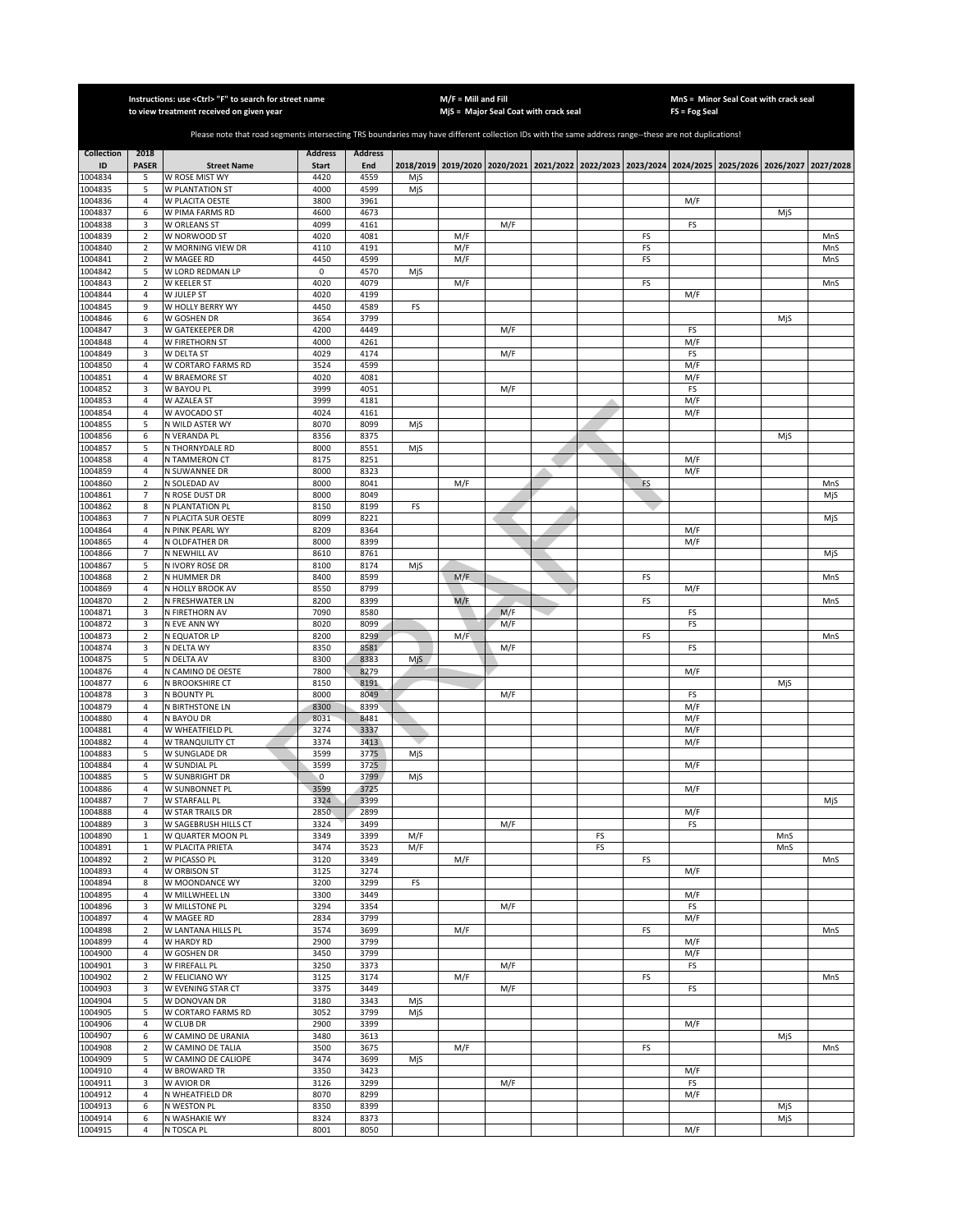|                         |                                  | Instructions: use <ctrl> "F" to search for street name<br/>to view treatment received on given year</ctrl>                                            |                      |                |     | $M/F =$ Mill and Fill | MjS = Major Seal Coat with crack seal                                                               |    |    | FS = Fog Seal | MnS = Minor Seal Coat with crack seal |     |            |
|-------------------------|----------------------------------|-------------------------------------------------------------------------------------------------------------------------------------------------------|----------------------|----------------|-----|-----------------------|-----------------------------------------------------------------------------------------------------|----|----|---------------|---------------------------------------|-----|------------|
|                         |                                  |                                                                                                                                                       |                      |                |     |                       |                                                                                                     |    |    |               |                                       |     |            |
|                         |                                  | Please note that road segments intersecting TRS boundaries may have different collection IDs with the same address range--these are not duplications! |                      |                |     |                       |                                                                                                     |    |    |               |                                       |     |            |
| <b>Collection</b><br>ID | 2018<br><b>PASER</b>             |                                                                                                                                                       | <b>Address</b>       | <b>Address</b> |     |                       |                                                                                                     |    |    |               |                                       |     |            |
| 1004834                 | 5                                | <b>Street Name</b><br>W ROSE MIST WY                                                                                                                  | <b>Start</b><br>4420 | End<br>4559    | MjS |                       | 2018/2019 2019/2020 2020/2021 2021/2022 2022/2023 2023/2024 2024/2025 2025/2026 2026/2027 2027/2028 |    |    |               |                                       |     |            |
| 1004835                 | 5                                | W PLANTATION ST                                                                                                                                       | 4000                 | 4599           | MjS |                       |                                                                                                     |    |    |               |                                       |     |            |
| 1004836                 | $\sqrt{4}$                       | W PLACITA OESTE                                                                                                                                       | 3800                 | 3961           |     |                       |                                                                                                     |    |    | M/F           |                                       |     |            |
| 1004837<br>1004838      | 6<br>3                           | W PIMA FARMS RD<br>W ORLEANS ST                                                                                                                       | 4600<br>4099         | 4673<br>4161   |     |                       | M/F                                                                                                 |    |    | FS            |                                       | MjS |            |
| 1004839                 | $\mathbf 2$                      | W NORWOOD ST                                                                                                                                          | 4020                 | 4081           |     | M/F                   |                                                                                                     |    | FS |               |                                       |     | MnS        |
| 1004840                 | $\mathbf 2$                      | W MORNING VIEW DR                                                                                                                                     | 4110                 | 4191           |     | M/F                   |                                                                                                     |    | FS |               |                                       |     | MnS        |
| 1004841<br>1004842      | $\mathbf 2$<br>5                 | W MAGEE RD<br>W LORD REDMAN LP                                                                                                                        | 4450<br>0            | 4599<br>4570   | MjS | M/F                   |                                                                                                     |    | FS |               |                                       |     | MnS        |
| 1004843                 | $\mathbf 2$                      | W KEELER ST                                                                                                                                           | 4020                 | 4079           |     | M/F                   |                                                                                                     |    | FS |               |                                       |     | MnS        |
| 1004844                 | $\sqrt{4}$                       | W JULEP ST                                                                                                                                            | 4020                 | 4199           |     |                       |                                                                                                     |    |    | M/F           |                                       |     |            |
| 1004845                 | 9                                | W HOLLY BERRY WY                                                                                                                                      | 4450                 | 4589           | FS  |                       |                                                                                                     |    |    |               |                                       |     |            |
| 1004846<br>1004847      | 6<br>3                           | W GOSHEN DR<br>W GATEKEEPER DR                                                                                                                        | 3654<br>4200         | 3799<br>4449   |     |                       | M/F                                                                                                 |    |    | FS            |                                       | MjS |            |
| 1004848                 | 4                                | W FIRETHORN ST                                                                                                                                        | 4000                 | 4261           |     |                       |                                                                                                     |    |    | M/F           |                                       |     |            |
| 1004849                 | 3                                | W DELTA ST                                                                                                                                            | 4029                 | 4174           |     |                       | M/F                                                                                                 |    |    | FS            |                                       |     |            |
| 1004850<br>1004851      | 4<br>$\overline{4}$              | W CORTARO FARMS RD<br>W BRAEMORE ST                                                                                                                   | 3524<br>4020         | 4599<br>4081   |     |                       |                                                                                                     |    |    | M/F<br>M/F    |                                       |     |            |
| 1004852                 | 3                                | W BAYOU PL                                                                                                                                            | 3999                 | 4051           |     |                       | M/F                                                                                                 |    |    | FS            |                                       |     |            |
| 1004853                 | 4                                | W AZALEA ST                                                                                                                                           | 3999                 | 4181           |     |                       |                                                                                                     |    |    | M/F           |                                       |     |            |
| 1004854                 | $\overline{4}$                   | W AVOCADO ST                                                                                                                                          | 4024                 | 4161           |     |                       |                                                                                                     |    |    | M/F           |                                       |     |            |
| 1004855<br>1004856      | 5<br>6                           | N WILD ASTER WY<br>N VERANDA PL                                                                                                                       | 8070<br>8356         | 8099<br>8375   | MjS |                       |                                                                                                     |    |    |               |                                       | MjS |            |
| 1004857                 | 5                                | N THORNYDALE RD                                                                                                                                       | 8000                 | 8551           | MjS |                       |                                                                                                     |    |    |               |                                       |     |            |
| 1004858                 | $\overline{4}$                   | N TAMMERON CT                                                                                                                                         | 8175                 | 8251           |     |                       |                                                                                                     |    |    | M/F           |                                       |     |            |
| 1004859                 | $\sqrt{4}$                       | <b>N SUWANNEE DR</b>                                                                                                                                  | 8000                 | 8323           |     |                       |                                                                                                     |    |    | M/F           |                                       |     |            |
| 1004860<br>1004861      | $\sqrt{2}$<br>$\overline{7}$     | N SOLEDAD AV<br>N ROSE DUST DR                                                                                                                        | 8000<br>8000         | 8041<br>8049   |     | M/F                   |                                                                                                     |    | FS |               |                                       |     | MnS<br>MjS |
| 1004862                 | 8                                | N PLANTATION PL                                                                                                                                       | 8150                 | 8199           | FS  |                       |                                                                                                     |    |    |               |                                       |     |            |
| 1004863                 | $\overline{7}$                   | N PLACITA SUR OESTE                                                                                                                                   | 8099                 | 8221           |     |                       |                                                                                                     |    |    |               |                                       |     | MjS        |
| 1004864                 | $\overline{4}$                   | N PINK PEARL WY                                                                                                                                       | 8209                 | 8364           |     |                       |                                                                                                     |    |    | M/F           |                                       |     |            |
| 1004865<br>1004866      | $\overline{4}$<br>$\overline{7}$ | N OLDFATHER DR<br>N NEWHILL AV                                                                                                                        | 8000<br>8610         | 8399<br>8761   |     |                       |                                                                                                     |    |    | M/F           |                                       |     | MjS        |
| 1004867                 | 5                                | N IVORY ROSE DR                                                                                                                                       | 8100                 | 8174           | MjS |                       |                                                                                                     |    |    |               |                                       |     |            |
| 1004868                 | $\overline{2}$                   | N HUMMER DR                                                                                                                                           | 8400                 | 8599           |     | M/F                   |                                                                                                     |    | FS |               |                                       |     | MnS        |
| 1004869                 | $\sqrt{4}$                       | N HOLLY BROOK AV                                                                                                                                      | 8550<br>8200         | 8799<br>8399   |     |                       |                                                                                                     |    |    | M/F           |                                       |     |            |
| 1004870<br>1004871      | $\mathbf 2$<br>3                 | N FRESHWATER LN<br>N FIRETHORN AV                                                                                                                     | 7090                 | 8580           |     | M/F                   | M/F                                                                                                 |    | FS | FS            |                                       |     | MnS        |
| 1004872                 | 3                                | N EVE ANN WY                                                                                                                                          | 8020                 | 8099           |     |                       | M/F                                                                                                 |    |    | FS            |                                       |     |            |
| 1004873                 | $\mathbf 2$                      | N EQUATOR LP                                                                                                                                          | 8200                 | 8299           |     | M/F                   |                                                                                                     |    | FS |               |                                       |     | MnS        |
| 1004874<br>1004875      | 3<br>5                           | N DELTA WY<br>N DELTA AV                                                                                                                              | 8350<br>8300         | 8581<br>8383   | MjS |                       | M/F                                                                                                 |    |    | FS            |                                       |     |            |
| 1004876                 | 4                                | N CAMINO DE OESTE                                                                                                                                     | 7800                 | 8279           |     |                       |                                                                                                     |    |    | M/F           |                                       |     |            |
| 1004877                 | 6                                | N BROOKSHIRE CT                                                                                                                                       | 8150                 | 8191           |     |                       |                                                                                                     |    |    |               |                                       | MjS |            |
| 1004878                 | 3                                | N BOUNTY PL                                                                                                                                           | 8000                 | 8049           |     |                       | M/F                                                                                                 |    |    | FS            |                                       |     |            |
| 1004879<br>1004880      | $\overline{4}$<br>$\overline{4}$ | N BIRTHSTONE LN<br>N BAYOU DR                                                                                                                         | 8300<br>8031         | 8399<br>8481   |     |                       |                                                                                                     |    |    | M/F<br>M/F    |                                       |     |            |
| 1004881                 | $\overline{4}$                   | W WHEATFIELD PL                                                                                                                                       | 3274                 | 3337           |     |                       |                                                                                                     |    |    | M/F           |                                       |     |            |
| 1004882                 | $\overline{4}$                   | W TRANQUILITY CT                                                                                                                                      | 3374                 | 3413           |     |                       |                                                                                                     |    |    | M/F           |                                       |     |            |
| 1004883<br>1004884      | 5<br>$\overline{4}$              | W SUNGLADE DR<br>W SUNDIAL PL                                                                                                                         | 3599<br>3599         | 3775<br>3725   | MjS |                       |                                                                                                     |    |    | M/F           |                                       |     |            |
| 1004885                 | 5                                | W SUNBRIGHT DR                                                                                                                                        | $\mathbf 0$          | 3799           | MjS |                       |                                                                                                     |    |    |               |                                       |     |            |
| 1004886                 | $\overline{4}$                   | W SUNBONNET PL                                                                                                                                        | 3599                 | 3725           |     |                       |                                                                                                     |    |    | M/F           |                                       |     |            |
| 1004887                 | 7                                | W STARFALL PL                                                                                                                                         | 3324                 | 3399           |     |                       |                                                                                                     |    |    |               |                                       |     | MjS        |
| 1004888<br>1004889      | 4<br>3                           | W STAR TRAILS DR<br>W SAGEBRUSH HILLS CT                                                                                                              | 2850<br>3324         | 2899<br>3499   |     |                       | M/F                                                                                                 |    |    | M/F<br>FS     |                                       |     |            |
| 1004890                 | $\,1\,$                          | W QUARTER MOON PL                                                                                                                                     | 3349                 | 3399           | M/F |                       |                                                                                                     | FS |    |               |                                       | MnS |            |
| 1004891                 | $\,1\,$                          | W PLACITA PRIETA                                                                                                                                      | 3474                 | 3523           | M/F |                       |                                                                                                     | FS |    |               |                                       | MnS |            |
| 1004892<br>1004893      | $\overline{2}$<br>$\sqrt{4}$     | W PICASSO PL<br><b>W ORBISON ST</b>                                                                                                                   | 3120<br>3125         | 3349<br>3274   |     | M/F                   |                                                                                                     |    | FS | M/F           |                                       |     | MnS        |
| 1004894                 | 8                                | W MOONDANCE WY                                                                                                                                        | 3200                 | 3299           | FS  |                       |                                                                                                     |    |    |               |                                       |     |            |
| 1004895                 | $\overline{4}$                   | W MILLWHEEL LN                                                                                                                                        | 3300                 | 3449           |     |                       |                                                                                                     |    |    | M/F           |                                       |     |            |
| 1004896                 | 3                                | W MILLSTONE PL                                                                                                                                        | 3294                 | 3354           |     |                       | M/F                                                                                                 |    |    | FS            |                                       |     |            |
| 1004897<br>1004898      | $\overline{4}$<br>$\overline{2}$ | W MAGEE RD<br>W LANTANA HILLS PL                                                                                                                      | 2834<br>3574         | 3799<br>3699   |     | M/F                   |                                                                                                     |    | FS | M/F           |                                       |     | MnS        |
| 1004899                 | 4                                | W HARDY RD                                                                                                                                            | 2900                 | 3799           |     |                       |                                                                                                     |    |    | M/F           |                                       |     |            |
| 1004900                 | 4                                | W GOSHEN DR                                                                                                                                           | 3450                 | 3799           |     |                       |                                                                                                     |    |    | M/F           |                                       |     |            |
| 1004901                 | 3                                | W FIREFALL PL                                                                                                                                         | 3250                 | 3373           |     |                       | M/F                                                                                                 |    |    | FS            |                                       |     |            |
| 1004902<br>1004903      | $\overline{2}$<br>3              | W FELICIANO WY<br>W EVENING STAR CT                                                                                                                   | 3125<br>3375         | 3174<br>3449   |     | M/F                   | M/F                                                                                                 |    | FS | FS            |                                       |     | MnS        |
| 1004904                 | 5                                | W DONOVAN DR                                                                                                                                          | 3180                 | 3343           | MjS |                       |                                                                                                     |    |    |               |                                       |     |            |
| 1004905                 | 5                                | W CORTARO FARMS RD                                                                                                                                    | 3052                 | 3799           | MjS |                       |                                                                                                     |    |    |               |                                       |     |            |
| 1004906                 | $\overline{4}$                   | W CLUB DR                                                                                                                                             | 2900                 | 3399           |     |                       |                                                                                                     |    |    | M/F           |                                       |     |            |
| 1004907<br>1004908      | 6<br>$\overline{2}$              | W CAMINO DE URANIA<br>W CAMINO DE TALIA                                                                                                               | 3480<br>3500         | 3613<br>3675   |     | M/F                   |                                                                                                     |    | FS |               |                                       | MjS | MnS        |
| 1004909                 | 5                                | W CAMINO DE CALIOPE                                                                                                                                   | 3474                 | 3699           | MjS |                       |                                                                                                     |    |    |               |                                       |     |            |
| 1004910                 | $\overline{4}$                   | W BROWARD TR                                                                                                                                          | 3350                 | 3423           |     |                       |                                                                                                     |    |    | M/F           |                                       |     |            |
| 1004911                 | 3<br>$\overline{4}$              | W AVIOR DR                                                                                                                                            | 3126                 | 3299<br>8299   |     |                       | M/F                                                                                                 |    |    | FS            |                                       |     |            |
| 1004912<br>1004913      | 6                                | N WHEATFIELD DR<br>N WESTON PL                                                                                                                        | 8070<br>8350         | 8399           |     |                       |                                                                                                     |    |    | M/F           |                                       | MjS |            |
| 1004914                 | 6                                | N WASHAKIE WY                                                                                                                                         | 8324                 | 8373           |     |                       |                                                                                                     |    |    |               |                                       | MjS |            |
| 1004915                 | 4                                | N TOSCA PL                                                                                                                                            | 8001                 | 8050           |     |                       |                                                                                                     |    |    | M/F           |                                       |     |            |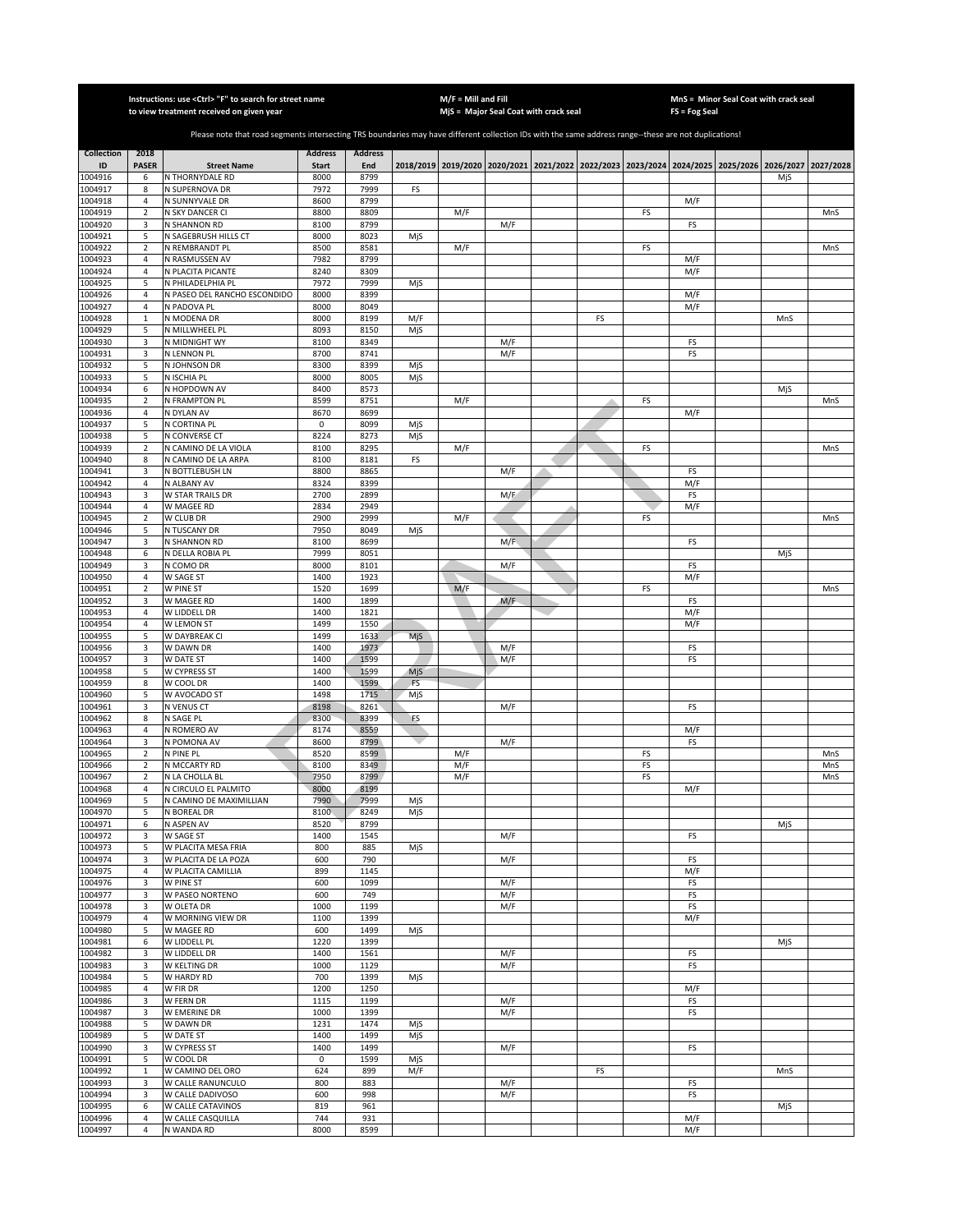|                    | Instructions: use <ctrl> "F" to search for street name<br/>to view treatment received on given year</ctrl> |                                                                                                                                                       |                      |                |            |            | $M/F =$ Mill and Fill                                                                     |    |          |               | MnS = Minor Seal Coat with crack seal |            |
|--------------------|------------------------------------------------------------------------------------------------------------|-------------------------------------------------------------------------------------------------------------------------------------------------------|----------------------|----------------|------------|------------|-------------------------------------------------------------------------------------------|----|----------|---------------|---------------------------------------|------------|
|                    |                                                                                                            |                                                                                                                                                       |                      |                |            |            | MjS = Major Seal Coat with crack seal                                                     |    |          | FS = Fog Seal |                                       |            |
|                    |                                                                                                            | Please note that road segments intersecting TRS boundaries may have different collection IDs with the same address range--these are not duplications! |                      |                |            |            |                                                                                           |    |          |               |                                       |            |
| <b>Collection</b>  | 2018                                                                                                       |                                                                                                                                                       | <b>Address</b>       | <b>Address</b> |            |            |                                                                                           |    |          |               |                                       |            |
| ID<br>1004916      | <b>PASER</b><br>6                                                                                          | <b>Street Name</b><br>N THORNYDALE RD                                                                                                                 | <b>Start</b><br>8000 | End<br>8799    |            |            | 2018/2019 2019/2020 2020/2021 2021/2022 2022/2023 2023/2024 2024/2025 2025/2026 2026/2027 |    |          |               | MjS                                   | 2027/2028  |
| 1004917            | 8                                                                                                          | N SUPERNOVA DR                                                                                                                                        | 7972                 | 7999           | FS         |            |                                                                                           |    |          |               |                                       |            |
| 1004918            | 4                                                                                                          | N SUNNYVALE DR                                                                                                                                        | 8600                 | 8799           |            |            |                                                                                           |    |          | M/F           |                                       |            |
| 1004919<br>1004920 | $\overline{2}$                                                                                             | N SKY DANCER CI                                                                                                                                       | 8800<br>8100         | 8809<br>8799   |            | M/F        |                                                                                           |    | FS       |               |                                       | MnS        |
| 1004921            | 3<br>5                                                                                                     | N SHANNON RD<br>N SAGEBRUSH HILLS CT                                                                                                                  | 8000                 | 8023           | MjS        |            | M/F                                                                                       |    |          | FS            |                                       |            |
| 1004922            | $\mathbf 2$                                                                                                | N REMBRANDT PL                                                                                                                                        | 8500                 | 8581           |            | M/F        |                                                                                           |    | FS       |               |                                       | MnS        |
| 1004923            | $\sqrt{4}$                                                                                                 | N RASMUSSEN AV                                                                                                                                        | 7982                 | 8799           |            |            |                                                                                           |    |          | M/F           |                                       |            |
| 1004924<br>1004925 | $\overline{4}$<br>5                                                                                        | N PLACITA PICANTE<br>N PHILADELPHIA PL                                                                                                                | 8240<br>7972         | 8309<br>7999   | MjS        |            |                                                                                           |    |          | M/F           |                                       |            |
| 1004926            | $\overline{4}$                                                                                             | N PASEO DEL RANCHO ESCONDIDO                                                                                                                          | 8000                 | 8399           |            |            |                                                                                           |    |          | M/F           |                                       |            |
| 1004927            | $\sqrt{4}$                                                                                                 | N PADOVA PL                                                                                                                                           | 8000                 | 8049           |            |            |                                                                                           |    |          | M/F           |                                       |            |
| 1004928<br>1004929 | $\,1\,$<br>5                                                                                               | N MODENA DR<br>N MILLWHEEL PL                                                                                                                         | 8000<br>8093         | 8199<br>8150   | M/F<br>MjS |            |                                                                                           | FS |          |               | MnS                                   |            |
| 1004930            | 3                                                                                                          | N MIDNIGHT WY                                                                                                                                         | 8100                 | 8349           |            |            | M/F                                                                                       |    |          | FS            |                                       |            |
| 1004931            | 3                                                                                                          | N LENNON PL                                                                                                                                           | 8700                 | 8741           |            |            | M/F                                                                                       |    |          | FS            |                                       |            |
| 1004932            | 5                                                                                                          | N JOHNSON DR                                                                                                                                          | 8300                 | 8399           | MjS        |            |                                                                                           |    |          |               |                                       |            |
| 1004933<br>1004934 | 5<br>6                                                                                                     | N ISCHIA PL<br>N HOPDOWN AV                                                                                                                           | 8000<br>8400         | 8005<br>8573   | MjS        |            |                                                                                           |    |          |               | MjS                                   |            |
| 1004935            | $\overline{2}$                                                                                             | N FRAMPTON PL                                                                                                                                         | 8599                 | 8751           |            | M/F        |                                                                                           |    | FS       |               |                                       | MnS        |
| 1004936            | $\overline{4}$                                                                                             | N DYLAN AV                                                                                                                                            | 8670                 | 8699           |            |            |                                                                                           |    |          | M/F           |                                       |            |
| 1004937            | 5<br>5                                                                                                     | N CORTINA PL<br>N CONVERSE CT                                                                                                                         | 0                    | 8099           | MjS        |            |                                                                                           |    |          |               |                                       |            |
| 1004938<br>1004939 | $\overline{2}$                                                                                             | N CAMINO DE LA VIOLA                                                                                                                                  | 8224<br>8100         | 8273<br>8295   | MjS        | M/F        |                                                                                           |    | FS       |               |                                       | MnS        |
| 1004940            | 8                                                                                                          | N CAMINO DE LA ARPA                                                                                                                                   | 8100                 | 8181           | FS         |            |                                                                                           |    |          |               |                                       |            |
| 1004941            | 3                                                                                                          | N BOTTLEBUSH LN                                                                                                                                       | 8800                 | 8865           |            |            | M/F                                                                                       |    |          | FS            |                                       |            |
| 1004942            | $\overline{4}$<br>3                                                                                        | N ALBANY AV<br>W STAR TRAILS DR                                                                                                                       | 8324<br>2700         | 8399<br>2899   |            |            | M/F                                                                                       |    |          | M/F           |                                       |            |
| 1004943<br>1004944 | $\sqrt{4}$                                                                                                 | W MAGEE RD                                                                                                                                            | 2834                 | 2949           |            |            |                                                                                           |    |          | FS<br>M/F     |                                       |            |
| 1004945            | $\mathbf 2$                                                                                                | W CLUB DR                                                                                                                                             | 2900                 | 2999           |            | M/F        |                                                                                           |    | FS       |               |                                       | MnS        |
| 1004946            | 5                                                                                                          | N TUSCANY DR                                                                                                                                          | 7950                 | 8049           | MjS        |            |                                                                                           |    |          |               |                                       |            |
| 1004947<br>1004948 | 3<br>6                                                                                                     | N SHANNON RD<br>N DELLA ROBIA PL                                                                                                                      | 8100<br>7999         | 8699<br>8051   |            |            | M/F                                                                                       |    |          | FS            | MjS                                   |            |
| 1004949            | 3                                                                                                          | N COMO DR                                                                                                                                             | 8000                 | 8101           |            |            | M/F                                                                                       |    |          | FS            |                                       |            |
| 1004950            | 4                                                                                                          | W SAGE ST                                                                                                                                             | 1400                 | 1923           |            |            |                                                                                           |    |          | M/F           |                                       |            |
| 1004951            | $\sqrt{2}$                                                                                                 | W PINE ST                                                                                                                                             | 1520                 | 1699           |            | M/F        |                                                                                           |    | FS       |               |                                       | MnS        |
| 1004952<br>1004953 | 3<br>$\overline{4}$                                                                                        | W MAGEE RD<br>W LIDDELL DR                                                                                                                            | 1400<br>1400         | 1899<br>1821   |            |            | M/F                                                                                       |    |          | FS<br>M/F     |                                       |            |
| 1004954            | 4                                                                                                          | W LEMON ST                                                                                                                                            | 1499                 | 1550           |            |            |                                                                                           |    |          | M/F           |                                       |            |
| 1004955            | 5                                                                                                          | W DAYBREAK CI                                                                                                                                         | 1499                 | 1633           | MjS        |            |                                                                                           |    |          |               |                                       |            |
| 1004956            | 3                                                                                                          | W DAWN DR                                                                                                                                             | 1400                 | 1973           |            |            | M/F                                                                                       |    |          | FS            |                                       |            |
| 1004957<br>1004958 | 3<br>5                                                                                                     | W DATE ST<br>W CYPRESS ST                                                                                                                             | 1400<br>1400         | 1599<br>1599   | MjS        |            | M/F                                                                                       |    |          | FS            |                                       |            |
| 1004959            | 8                                                                                                          | W COOL DR                                                                                                                                             | 1400                 | 1599           | <b>FS</b>  |            |                                                                                           |    |          |               |                                       |            |
| 1004960            | 5                                                                                                          | W AVOCADO ST                                                                                                                                          | 1498                 | 1715           | MjS        |            |                                                                                           |    |          |               |                                       |            |
| 1004961<br>1004962 | 3<br>8                                                                                                     | N VENUS CT<br>N SAGE PL                                                                                                                               | 8198<br>8300         | 8261<br>8399   | FS         |            | M/F                                                                                       |    |          | FS            |                                       |            |
| 1004963            | $\overline{4}$                                                                                             | N ROMERO AV                                                                                                                                           | 8174                 | 8559           |            |            |                                                                                           |    |          | M/F           |                                       |            |
| 1004964            | 3                                                                                                          | N POMONA AV                                                                                                                                           | 8600                 | 8799           |            |            | M/F                                                                                       |    |          | FS            |                                       |            |
| 1004965            | $\overline{2}$                                                                                             | N PINE PL                                                                                                                                             | 8520                 | 8599           |            | M/F        |                                                                                           |    | FS       |               |                                       | MnS<br>MnS |
| 1004966<br>1004967 | 2<br>$\overline{2}$                                                                                        | N MCCARTY RD<br>N LA CHOLLA BL                                                                                                                        | 8100<br>7950         | 8349<br>8799   |            | M/F<br>M/F |                                                                                           |    | FS<br>FS |               |                                       | MnS        |
| 1004968            | 4                                                                                                          | N CIRCULO EL PALMITO                                                                                                                                  | 8000                 | 8199           |            |            |                                                                                           |    |          | M/F           |                                       |            |
| 1004969            | 5                                                                                                          | N CAMINO DE MAXIMILLIAN                                                                                                                               | 7990                 | 7999           | MjS        |            |                                                                                           |    |          |               |                                       |            |
| 1004970<br>1004971 | 5<br>6                                                                                                     | N BOREAL DR<br>N ASPEN AV                                                                                                                             | 8100<br>8520         | 8249<br>8799   | MjS        |            |                                                                                           |    |          |               | MjS                                   |            |
| 1004972            | 3                                                                                                          | W SAGE ST                                                                                                                                             | 1400                 | 1545           |            |            | M/F                                                                                       |    |          | FS            |                                       |            |
| 1004973            | 5                                                                                                          | W PLACITA MESA FRIA                                                                                                                                   | 800                  | 885            | MjS        |            |                                                                                           |    |          |               |                                       |            |
| 1004974            | 3                                                                                                          | W PLACITA DE LA POZA                                                                                                                                  | 600                  | 790            |            |            | M/F                                                                                       |    |          | FS            |                                       |            |
| 1004975<br>1004976 | $\sqrt{4}$<br>3                                                                                            | W PLACITA CAMILLIA<br>W PINE ST                                                                                                                       | 899<br>600           | 1145<br>1099   |            |            | M/F                                                                                       |    |          | M/F<br>FS     |                                       |            |
| 1004977            | 3                                                                                                          | W PASEO NORTENO                                                                                                                                       | 600                  | 749            |            |            | M/F                                                                                       |    |          | FS            |                                       |            |
| 1004978            | 3                                                                                                          | W OLETA DR                                                                                                                                            | 1000                 | 1199           |            |            | M/F                                                                                       |    |          | FS            |                                       |            |
| 1004979<br>1004980 | $\sqrt{4}$<br>5                                                                                            | W MORNING VIEW DR<br>W MAGEE RD                                                                                                                       | 1100<br>600          | 1399<br>1499   |            |            |                                                                                           |    |          | M/F           |                                       |            |
| 1004981            | 6                                                                                                          | W LIDDELL PL                                                                                                                                          | 1220                 | 1399           | MjS        |            |                                                                                           |    |          |               | MjS                                   |            |
| 1004982            | 3                                                                                                          | W LIDDELL DR                                                                                                                                          | 1400                 | 1561           |            |            | M/F                                                                                       |    |          | FS            |                                       |            |
| 1004983            | 3                                                                                                          | W KELTING DR                                                                                                                                          | 1000                 | 1129           |            |            | M/F                                                                                       |    |          | FS            |                                       |            |
| 1004984<br>1004985 | 5<br>4                                                                                                     | W HARDY RD<br>W FIR DR                                                                                                                                | 700<br>1200          | 1399<br>1250   | MjS        |            |                                                                                           |    |          | M/F           |                                       |            |
| 1004986            | 3                                                                                                          | W FERN DR                                                                                                                                             | 1115                 | 1199           |            |            | M/F                                                                                       |    |          | FS            |                                       |            |
| 1004987            | 3                                                                                                          | W EMERINE DR                                                                                                                                          | 1000                 | 1399           |            |            | M/F                                                                                       |    |          | FS            |                                       |            |
| 1004988            | 5                                                                                                          | W DAWN DR                                                                                                                                             | 1231                 | 1474           | MjS        |            |                                                                                           |    |          |               |                                       |            |
| 1004989<br>1004990 | 5<br>3                                                                                                     | W DATE ST<br>W CYPRESS ST                                                                                                                             | 1400<br>1400         | 1499<br>1499   | MjS        |            | M/F                                                                                       |    |          | FS            |                                       |            |
| 1004991            | 5                                                                                                          | W COOL DR                                                                                                                                             | $\mathsf 0$          | 1599           | MjS        |            |                                                                                           |    |          |               |                                       |            |
| 1004992            | $\mathbf 1$                                                                                                | W CAMINO DEL ORO                                                                                                                                      | 624                  | 899            | M/F        |            |                                                                                           | FS |          |               | MnS                                   |            |
| 1004993            | 3                                                                                                          | W CALLE RANUNCULO                                                                                                                                     | 800                  | 883            |            |            | M/F                                                                                       |    |          | FS            |                                       |            |
| 1004994<br>1004995 | 3<br>6                                                                                                     | W CALLE DADIVOSO<br>W CALLE CATAVINOS                                                                                                                 | 600<br>819           | 998<br>961     |            |            | M/F                                                                                       |    |          | FS            | MjS                                   |            |
| 1004996            | $\sqrt{4}$                                                                                                 | W CALLE CASQUILLA                                                                                                                                     | 744                  | 931            |            |            |                                                                                           |    |          | M/F           |                                       |            |
| 1004997            | 4                                                                                                          | N WANDA RD                                                                                                                                            | 8000                 | 8599           |            |            |                                                                                           |    |          | M/F           |                                       |            |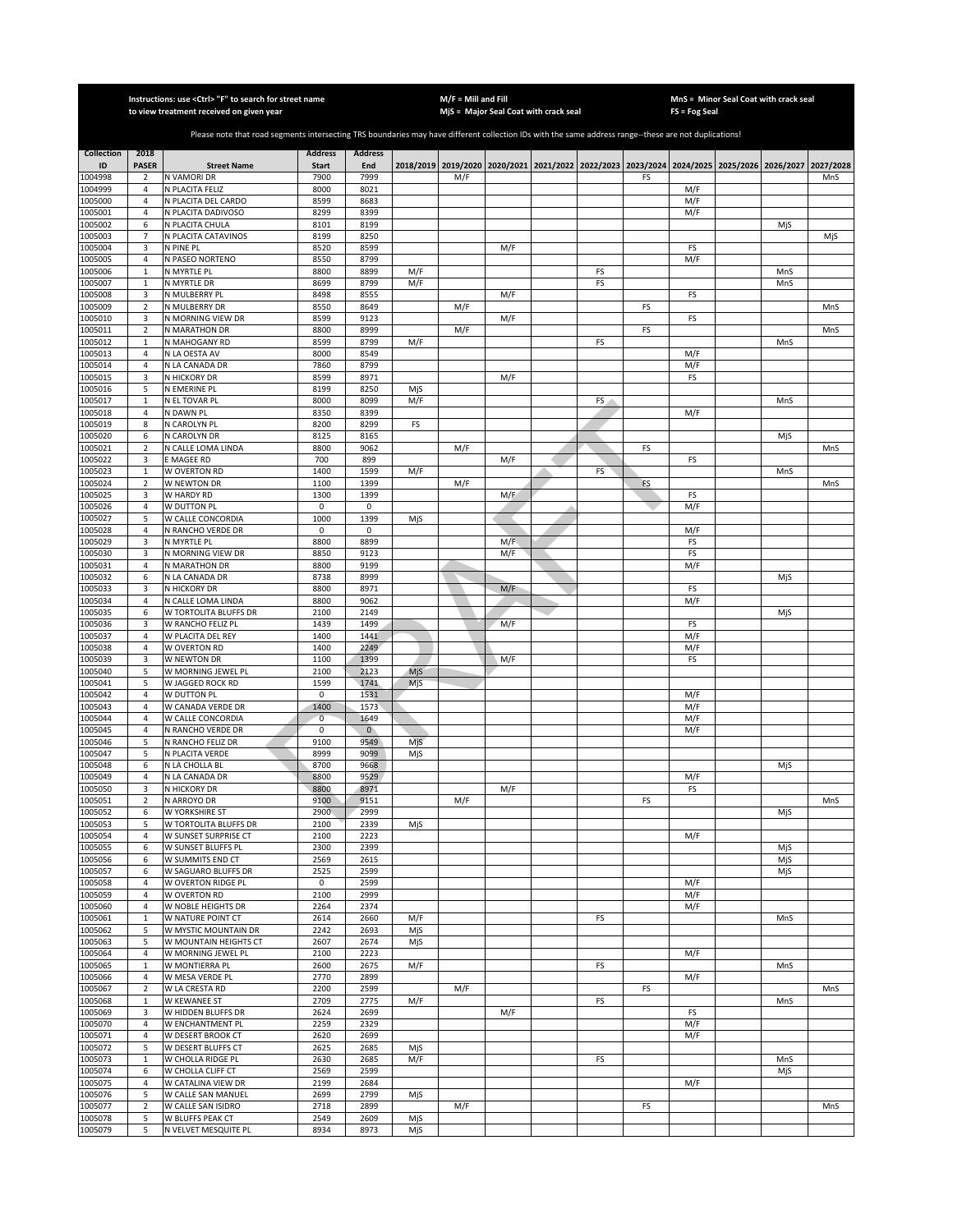|                    |                            | Instructions: use < Ctrl> "F" to search for street name<br>to view treatment received on given year                                                   |                |                     |            | $M/F =$ Mill and Fill | MjS = Major Seal Coat with crack seal |    |    | $FS = Fog Seal$ | MnS = Minor Seal Coat with crack seal                                                     |     |           |
|--------------------|----------------------------|-------------------------------------------------------------------------------------------------------------------------------------------------------|----------------|---------------------|------------|-----------------------|---------------------------------------|----|----|-----------------|-------------------------------------------------------------------------------------------|-----|-----------|
|                    |                            |                                                                                                                                                       |                |                     |            |                       |                                       |    |    |                 |                                                                                           |     |           |
|                    |                            | Please note that road segments intersecting TRS boundaries may have different collection IDs with the same address range--these are not duplications! |                |                     |            |                       |                                       |    |    |                 |                                                                                           |     |           |
| <b>Collection</b>  | 2018                       |                                                                                                                                                       | <b>Address</b> | <b>Address</b>      |            |                       |                                       |    |    |                 |                                                                                           |     |           |
| ID                 | <b>PASER</b>               | <b>Street Name</b>                                                                                                                                    | <b>Start</b>   | End                 |            |                       |                                       |    |    |                 | 2018/2019 2019/2020 2020/2021 2021/2022 2022/2023 2023/2024 2024/2025 2025/2026 2026/2027 |     | 2027/2028 |
| 1004998<br>1004999 | 2<br>4                     | N VAMORI DR<br>N PLACITA FELIZ                                                                                                                        | 7900<br>8000   | 7999<br>8021        |            | M/F                   |                                       |    | FS | M/F             |                                                                                           |     | MnS       |
| 1005000            | $\overline{4}$             | N PLACITA DEL CARDO                                                                                                                                   | 8599           | 8683                |            |                       |                                       |    |    | M/F             |                                                                                           |     |           |
| 1005001            | $\overline{4}$             | N PLACITA DADIVOSO                                                                                                                                    | 8299           | 8399                |            |                       |                                       |    |    | M/F             |                                                                                           |     |           |
| 1005002            | 6                          | N PLACITA CHULA                                                                                                                                       | 8101           | 8199                |            |                       |                                       |    |    |                 |                                                                                           | MiS |           |
| 1005003            | 7                          | N PLACITA CATAVINOS                                                                                                                                   | 8199           | 8250                |            |                       |                                       |    |    |                 |                                                                                           |     | MjS       |
| 1005004<br>1005005 | 3<br>4                     | N PINE PL<br>N PASEO NORTENO                                                                                                                          | 8520<br>8550   | 8599<br>8799        |            |                       | M/F                                   |    |    | FS<br>M/F       |                                                                                           |     |           |
| 1005006            | $\mathbf{1}$               | N MYRTLE PL                                                                                                                                           | 8800           | 8899                | M/F        |                       |                                       | FS |    |                 |                                                                                           | MnS |           |
| 1005007            | $\mathbf 1$                | N MYRTLE DR                                                                                                                                           | 8699           | 8799                | M/F        |                       |                                       | FS |    |                 |                                                                                           | MnS |           |
| 1005008            | 3                          | N MULBERRY PL                                                                                                                                         | 8498           | 8555                |            |                       | M/F                                   |    |    | FS              |                                                                                           |     |           |
| 1005009            | $\mathbf 2$                | N MULBERRY DR                                                                                                                                         | 8550           | 8649                |            | M/F                   |                                       |    | FS |                 |                                                                                           |     | MnS       |
| 1005010            | 3                          | N MORNING VIEW DR                                                                                                                                     | 8599           | 9123                |            |                       | M/F                                   |    |    | FS              |                                                                                           |     |           |
| 1005011<br>1005012 | $\mathbf 2$<br>$\mathbf 1$ | N MARATHON DR<br>N MAHOGANY RD                                                                                                                        | 8800<br>8599   | 8999<br>8799        | M/F        | M/F                   |                                       | FS | FS |                 |                                                                                           | MnS | MnS       |
| 1005013            | $\sqrt{4}$                 | N LA OESTA AV                                                                                                                                         | 8000           | 8549                |            |                       |                                       |    |    | M/F             |                                                                                           |     |           |
| 1005014            | 4                          | N LA CANADA DR                                                                                                                                        | 7860           | 8799                |            |                       |                                       |    |    | M/F             |                                                                                           |     |           |
| 1005015            | 3                          | N HICKORY DR                                                                                                                                          | 8599           | 8971                |            |                       | M/F                                   |    |    | FS              |                                                                                           |     |           |
| 1005016            | 5                          | N EMERINE PL                                                                                                                                          | 8199           | 8250                | MjS        |                       |                                       |    |    |                 |                                                                                           |     |           |
| 1005017            | $\mathbf 1$                | N EL TOVAR PL                                                                                                                                         | 8000           | 8099                | M/F        |                       |                                       | FS |    |                 |                                                                                           | MnS |           |
| 1005018<br>1005019 | 4<br>8                     | N DAWN PL<br>N CAROLYN PL                                                                                                                             | 8350<br>8200   | 8399<br>8299        | FS         |                       |                                       |    |    | M/F             |                                                                                           |     |           |
| 1005020            | 6                          | N CAROLYN DR                                                                                                                                          | 8125           | 8165                |            |                       |                                       |    |    |                 |                                                                                           | MjS |           |
| 1005021            | $\overline{2}$             | N CALLE LOMA LINDA                                                                                                                                    | 8800           | 9062                |            | M/F                   |                                       |    | FS |                 |                                                                                           |     | MnS       |
| 1005022            | 3                          | <b>E MAGEE RD</b>                                                                                                                                     | 700            | 899                 |            |                       | M/F                                   |    |    | FS              |                                                                                           |     |           |
| 1005023            | $\mathbf{1}$               | W OVERTON RD                                                                                                                                          | 1400           | 1599                | M/F        |                       |                                       | FS |    |                 |                                                                                           | MnS |           |
| 1005024            | $\overline{2}$             | W NEWTON DR                                                                                                                                           | 1100           | 1399                |            | M/F                   |                                       |    | FS |                 |                                                                                           |     | MnS       |
| 1005025<br>1005026 | 3<br>$\sqrt{4}$            | W HARDY RD<br>W DUTTON PL                                                                                                                             | 1300<br>0      | 1399<br>$\mathsf 0$ |            |                       | M/F                                   |    |    | FS              |                                                                                           |     |           |
| 1005027            | 5                          | W CALLE CONCORDIA                                                                                                                                     | 1000           | 1399                | MjS        |                       |                                       |    |    | M/F             |                                                                                           |     |           |
| 1005028            | $\overline{4}$             | N RANCHO VERDE DR                                                                                                                                     | 0              | $\mathsf 0$         |            |                       |                                       |    |    | M/F             |                                                                                           |     |           |
| 1005029            | 3                          | N MYRTLE PL                                                                                                                                           | 8800           | 8899                |            |                       | M/F                                   |    |    | FS              |                                                                                           |     |           |
| 1005030            | 3                          | N MORNING VIEW DR                                                                                                                                     | 8850           | 9123                |            |                       | M/F                                   |    |    | FS              |                                                                                           |     |           |
| 1005031            | 4                          | N MARATHON DR                                                                                                                                         | 8800           | 9199                |            |                       |                                       |    |    | M/F             |                                                                                           |     |           |
| 1005032<br>1005033 | 6<br>3                     | N LA CANADA DR<br>N HICKORY DR                                                                                                                        | 8738<br>8800   | 8999<br>8971        |            |                       | M/F                                   |    |    | FS              |                                                                                           | MjS |           |
| 1005034            | 4                          | N CALLE LOMA LINDA                                                                                                                                    | 8800           | 9062                |            |                       |                                       |    |    | M/F             |                                                                                           |     |           |
| 1005035            | 6                          | W TORTOLITA BLUFFS DR                                                                                                                                 | 2100           | 2149                |            |                       |                                       |    |    |                 |                                                                                           | MjS |           |
| 1005036            | 3                          | W RANCHO FELIZ PL                                                                                                                                     | 1439           | 1499                |            |                       | M/F                                   |    |    | FS              |                                                                                           |     |           |
| 1005037            | 4                          | W PLACITA DEL REY                                                                                                                                     | 1400           | 1441                |            |                       |                                       |    |    | M/F             |                                                                                           |     |           |
| 1005038            | $\sqrt{4}$                 | W OVERTON RD                                                                                                                                          | 1400           | 2249                |            |                       |                                       |    |    | M/F             |                                                                                           |     |           |
| 1005039<br>1005040 | 3<br>5                     | W NEWTON DR<br>W MORNING JEWEL PL                                                                                                                     | 1100<br>2100   | 1399<br>2123        | MjS        |                       | M/F                                   |    |    | FS              |                                                                                           |     |           |
| 1005041            | 5                          | W JAGGED ROCK RD                                                                                                                                      | 1599           | 1741                | MjS        |                       |                                       |    |    |                 |                                                                                           |     |           |
| 1005042            | $\sqrt{4}$                 | W DUTTON PL                                                                                                                                           | 0              | 1531                |            |                       |                                       |    |    | M/F             |                                                                                           |     |           |
| 1005043            | $\overline{a}$             | W CANADA VERDE DR                                                                                                                                     | 1400           | 1573                |            |                       |                                       |    |    | M/F             |                                                                                           |     |           |
| 1005044            | $\overline{4}$             | W CALLE CONCORDIA                                                                                                                                     | $\overline{0}$ | 1649                |            |                       |                                       |    |    | M/F             |                                                                                           |     |           |
| 1005045            | 4                          | N RANCHO VERDE DR                                                                                                                                     | 0              | $\mathbf{0}$        |            |                       |                                       |    |    | M/F             |                                                                                           |     |           |
| 1005046<br>1005047 | 5<br>5                     | N RANCHO FELIZ DR<br>N PLACITA VERDE                                                                                                                  | 9100<br>8999   | 9549<br>9099        | MjS<br>MjS |                       |                                       |    |    |                 |                                                                                           |     |           |
| 1005048            | 6                          | N LA CHOLLA BL                                                                                                                                        | 8700           | 9668                |            |                       |                                       |    |    |                 |                                                                                           | MjS |           |
| 1005049            | $\overline{4}$             | N LA CANADA DR                                                                                                                                        | 8800           | 9529                |            |                       |                                       |    |    | M/F             |                                                                                           |     |           |
| 1005050            | 3                          | N HICKORY DR                                                                                                                                          | 8800           | 8971                |            |                       | M/F                                   |    |    | FS              |                                                                                           |     |           |
| 1005051            | 2                          | N ARROYO DR                                                                                                                                           | 9100           | 9151                |            | M/F                   |                                       |    | FS |                 |                                                                                           |     | MnS       |
| 1005052<br>1005053 | 6<br>5                     | W YORKSHIRE ST<br>W TORTOLITA BLUFFS DR                                                                                                               | 2900<br>2100   | 2999<br>2339        |            |                       |                                       |    |    |                 |                                                                                           | MjS |           |
| 1005054            | $\sqrt{4}$                 | W SUNSET SURPRISE CT                                                                                                                                  | 2100           | 2223                | MjS        |                       |                                       |    |    | M/F             |                                                                                           |     |           |
| 1005055            | 6                          | W SUNSET BLUFFS PL                                                                                                                                    | 2300           | 2399                |            |                       |                                       |    |    |                 |                                                                                           | MjS |           |
| 1005056            | 6                          | W SUMMITS END CT                                                                                                                                      | 2569           | 2615                |            |                       |                                       |    |    |                 |                                                                                           | MjS |           |
| 1005057            | 6                          | W SAGUARO BLUFFS DR                                                                                                                                   | 2525           | 2599                |            |                       |                                       |    |    |                 |                                                                                           | MjS |           |
| 1005058            | 4                          | W OVERTON RIDGE PL                                                                                                                                    | $\pmb{0}$      | 2599                |            |                       |                                       |    |    | M/F             |                                                                                           |     |           |
| 1005059<br>1005060 | $\overline{4}$<br>4        | W OVERTON RD<br>W NOBLE HEIGHTS DR                                                                                                                    | 2100<br>2264   | 2999<br>2374        |            |                       |                                       |    |    | M/F<br>M/F      |                                                                                           |     |           |
| 1005061            | $\mathbf 1$                | W NATURE POINT CT                                                                                                                                     | 2614           | 2660                | M/F        |                       |                                       | FS |    |                 |                                                                                           | MnS |           |
| 1005062            | 5                          | W MYSTIC MOUNTAIN DR                                                                                                                                  | 2242           | 2693                | MjS        |                       |                                       |    |    |                 |                                                                                           |     |           |
| 1005063            | 5                          | W MOUNTAIN HEIGHTS CT                                                                                                                                 | 2607           | 2674                | MjS        |                       |                                       |    |    |                 |                                                                                           |     |           |
| 1005064            | 4                          | W MORNING JEWEL PL                                                                                                                                    | 2100           | 2223                |            |                       |                                       |    |    | M/F             |                                                                                           |     |           |
| 1005065            | $\mathbf 1$                | W MONTIERRA PL                                                                                                                                        | 2600           | 2675                | M/F        |                       |                                       | FS |    |                 |                                                                                           | MnS |           |
| 1005066<br>1005067 | 4<br>$\overline{2}$        | W MESA VERDE PL<br>W LA CRESTA RD                                                                                                                     | 2770<br>2200   | 2899<br>2599        |            | M/F                   |                                       |    | FS | M/F             |                                                                                           |     | MnS       |
| 1005068            | $\mathbf{1}$               | W KEWANEE ST                                                                                                                                          | 2709           | 2775                | M/F        |                       |                                       | FS |    |                 |                                                                                           | MnS |           |
| 1005069            | 3                          | W HIDDEN BLUFFS DR                                                                                                                                    | 2624           | 2699                |            |                       | M/F                                   |    |    | FS              |                                                                                           |     |           |
| 1005070            | 4                          | W ENCHANTMENT PL                                                                                                                                      | 2259           | 2329                |            |                       |                                       |    |    | M/F             |                                                                                           |     |           |
| 1005071            | 4                          | W DESERT BROOK CT                                                                                                                                     | 2620           | 2699                |            |                       |                                       |    |    | M/F             |                                                                                           |     |           |
| 1005072            | 5                          | W DESERT BLUFFS CT                                                                                                                                    | 2625           | 2685                | MjS        |                       |                                       |    |    |                 |                                                                                           |     |           |
| 1005073            | $\mathbf{1}$               | W CHOLLA RIDGE PL                                                                                                                                     | 2630           | 2685                | M/F        |                       |                                       | FS |    |                 |                                                                                           | MnS |           |
| 1005074<br>1005075 | 6<br>$\overline{4}$        | W CHOLLA CLIFF CT<br>W CATALINA VIEW DR                                                                                                               | 2569<br>2199   | 2599<br>2684        |            |                       |                                       |    |    | M/F             |                                                                                           | MjS |           |
| 1005076            | 5                          | W CALLE SAN MANUEL                                                                                                                                    | 2699           | 2799                | MjS        |                       |                                       |    |    |                 |                                                                                           |     |           |
| 1005077            | $\overline{2}$             | W CALLE SAN ISIDRO                                                                                                                                    | 2718           | 2899                |            | M/F                   |                                       |    | FS |                 |                                                                                           |     | MnS       |
| 1005078            | 5                          | W BLUFFS PEAK CT                                                                                                                                      | 2549           | 2609                | MjS        |                       |                                       |    |    |                 |                                                                                           |     |           |
| 1005079            | 5                          | N VELVET MESQUITE PL                                                                                                                                  | 8934           | 8973                | MjS        |                       |                                       |    |    |                 |                                                                                           |     |           |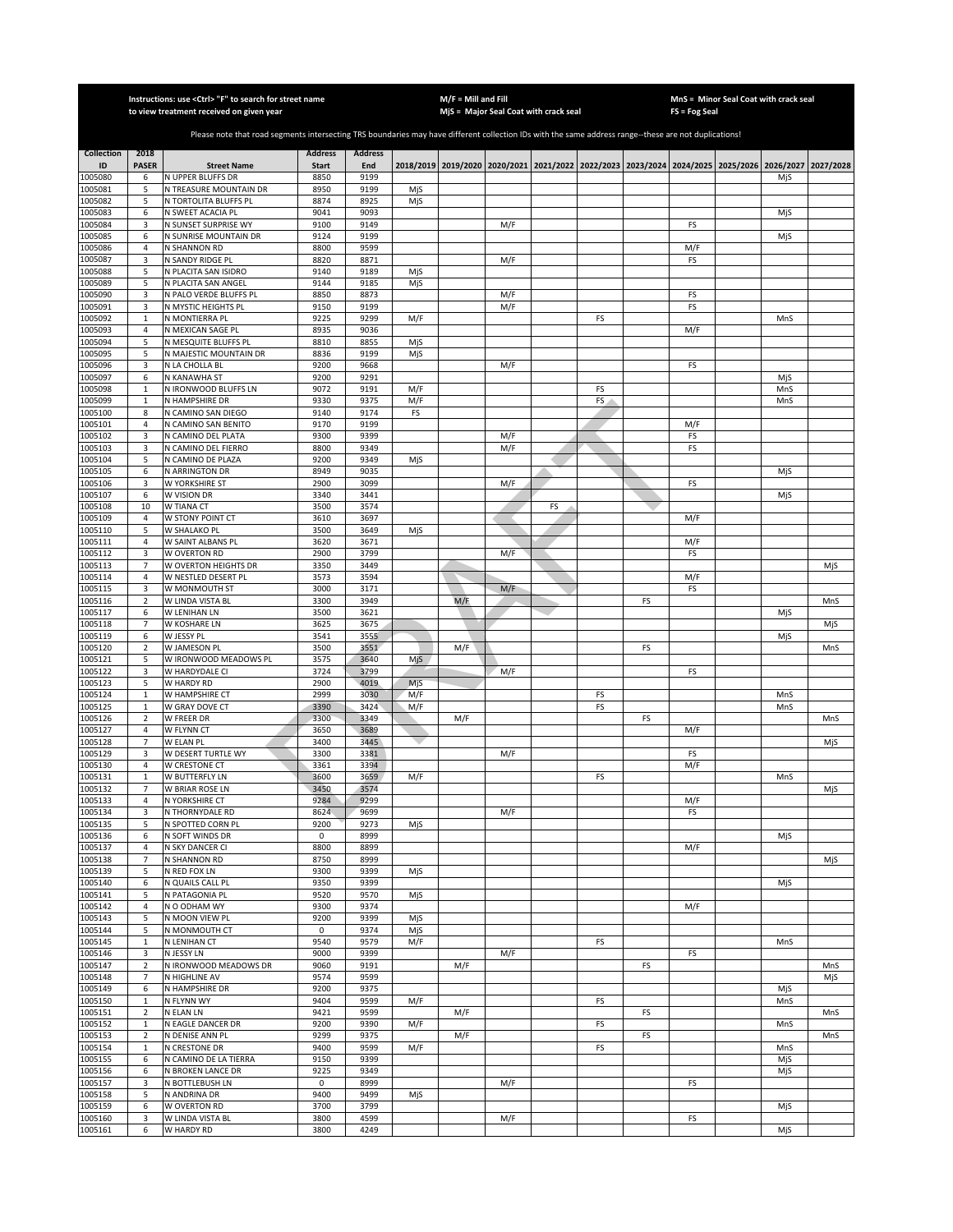|                    |                                | Instructions: use < Ctrl> "F" to search for street name<br>to view treatment received on given year                                                   |                |                |            | $M/F =$ Mill and Fill | MjS = Major Seal Coat with crack seal                                                     |    |    |    | $FS = Fog Seal$ | MnS = Minor Seal Coat with crack seal |     |           |
|--------------------|--------------------------------|-------------------------------------------------------------------------------------------------------------------------------------------------------|----------------|----------------|------------|-----------------------|-------------------------------------------------------------------------------------------|----|----|----|-----------------|---------------------------------------|-----|-----------|
|                    |                                |                                                                                                                                                       |                |                |            |                       |                                                                                           |    |    |    |                 |                                       |     |           |
|                    |                                | Please note that road segments intersecting TRS boundaries may have different collection IDs with the same address range--these are not duplications! |                |                |            |                       |                                                                                           |    |    |    |                 |                                       |     |           |
| <b>Collection</b>  | 2018                           |                                                                                                                                                       | <b>Address</b> | <b>Address</b> |            |                       |                                                                                           |    |    |    |                 |                                       |     |           |
| ID                 | <b>PASER</b>                   | <b>Street Name</b>                                                                                                                                    | <b>Start</b>   | End            |            |                       | 2018/2019 2019/2020 2020/2021 2021/2022 2022/2023 2023/2024 2024/2025 2025/2026 2026/2027 |    |    |    |                 |                                       |     | 2027/2028 |
| 1005080            | 6                              | N UPPER BLUFFS DR                                                                                                                                     | 8850           | 9199           |            |                       |                                                                                           |    |    |    |                 |                                       | MiS |           |
| 1005081<br>1005082 | 5<br>5                         | N TREASURE MOUNTAIN DR<br>N TORTOLITA BLUFFS PL                                                                                                       | 8950<br>8874   | 9199<br>8925   | MjS<br>MjS |                       |                                                                                           |    |    |    |                 |                                       |     |           |
| 1005083            | 6                              | N SWEET ACACIA PL                                                                                                                                     | 9041           | 9093           |            |                       |                                                                                           |    |    |    |                 |                                       | MjS |           |
| 1005084            | 3                              | N SUNSET SURPRISE WY                                                                                                                                  | 9100           | 9149           |            |                       | M/F                                                                                       |    |    |    | FS              |                                       |     |           |
| 1005085            | 6                              | N SUNRISE MOUNTAIN DR                                                                                                                                 | 9124           | 9199           |            |                       |                                                                                           |    |    |    |                 |                                       | MjS |           |
| 1005086            | $\sqrt{4}$                     | N SHANNON RD                                                                                                                                          | 8800           | 9599           |            |                       |                                                                                           |    |    |    | M/F             |                                       |     |           |
| 1005087<br>1005088 | 3<br>5                         | N SANDY RIDGE PL<br>N PLACITA SAN ISIDRO                                                                                                              | 8820<br>9140   | 8871<br>9189   | MjS        |                       | M/F                                                                                       |    |    |    | FS              |                                       |     |           |
| 1005089            | 5                              | N PLACITA SAN ANGEL                                                                                                                                   | 9144           | 9185           | MjS        |                       |                                                                                           |    |    |    |                 |                                       |     |           |
| 1005090            | 3                              | N PALO VERDE BLUFFS PL                                                                                                                                | 8850           | 8873           |            |                       | M/F                                                                                       |    |    |    | FS              |                                       |     |           |
| 1005091            | 3                              | N MYSTIC HEIGHTS PL                                                                                                                                   | 9150           | 9199           |            |                       | M/F                                                                                       |    |    |    | FS              |                                       |     |           |
| 1005092            | $\mathbf 1$<br>4               | N MONTIERRA PL                                                                                                                                        | 9225           | 9299<br>9036   | M/F        |                       |                                                                                           |    | FS |    | M/F             |                                       | MnS |           |
| 1005093<br>1005094 | 5                              | N MEXICAN SAGE PL<br>N MESQUITE BLUFFS PL                                                                                                             | 8935<br>8810   | 8855           | MjS        |                       |                                                                                           |    |    |    |                 |                                       |     |           |
| 1005095            | 5                              | N MAJESTIC MOUNTAIN DR                                                                                                                                | 8836           | 9199           | MjS        |                       |                                                                                           |    |    |    |                 |                                       |     |           |
| 1005096            | 3                              | N LA CHOLLA BL                                                                                                                                        | 9200           | 9668           |            |                       | M/F                                                                                       |    |    |    | FS              |                                       |     |           |
| 1005097            | 6                              | N KANAWHA ST                                                                                                                                          | 9200           | 9291           |            |                       |                                                                                           |    |    |    |                 |                                       | MjS |           |
| 1005098            | $\mathbf{1}$                   | N IRONWOOD BLUFFS LN                                                                                                                                  | 9072           | 9191           | M/F        |                       |                                                                                           |    | FS |    |                 |                                       | MnS |           |
| 1005099<br>1005100 | $\mathbf 1$<br>8               | N HAMPSHIRE DR<br>N CAMINO SAN DIEGO                                                                                                                  | 9330<br>9140   | 9375<br>9174   | M/F<br>FS  |                       |                                                                                           |    | FS |    |                 |                                       | MnS |           |
| 1005101            | $\sqrt{4}$                     | N CAMINO SAN BENITO                                                                                                                                   | 9170           | 9199           |            |                       |                                                                                           |    |    |    | M/F             |                                       |     |           |
| 1005102            | 3                              | N CAMINO DEL PLATA                                                                                                                                    | 9300           | 9399           |            |                       | M/F                                                                                       |    |    |    | FS              |                                       |     |           |
| 1005103            | 3                              | N CAMINO DEL FIERRO                                                                                                                                   | 8800           | 9349           |            |                       | M/F                                                                                       |    |    |    | FS              |                                       |     |           |
| 1005104            | 5                              | N CAMINO DE PLAZA                                                                                                                                     | 9200           | 9349           | MjS        |                       |                                                                                           |    |    |    |                 |                                       |     |           |
| 1005105            | 6                              | N ARRINGTON DR                                                                                                                                        | 8949           | 9035           |            |                       |                                                                                           |    |    |    |                 |                                       | MjS |           |
| 1005106<br>1005107 | 3<br>6                         | W YORKSHIRE ST<br>W VISION DR                                                                                                                         | 2900<br>3340   | 3099<br>3441   |            |                       | M/F                                                                                       |    |    |    | FS              |                                       | MjS |           |
| 1005108            | 10                             | W TIANA CT                                                                                                                                            | 3500           | 3574           |            |                       |                                                                                           | FS |    |    |                 |                                       |     |           |
| 1005109            | $\sqrt{4}$                     | W STONY POINT CT                                                                                                                                      | 3610           | 3697           |            |                       |                                                                                           |    |    |    | M/F             |                                       |     |           |
| 1005110            | 5                              | W SHALAKO PL                                                                                                                                          | 3500           | 3649           | MjS        |                       |                                                                                           |    |    |    |                 |                                       |     |           |
| 1005111            | $\overline{4}$                 | W SAINT ALBANS PL                                                                                                                                     | 3620           | 3671           |            |                       |                                                                                           |    |    |    | M/F             |                                       |     |           |
| 1005112<br>1005113 | 3<br>$\overline{7}$            | W OVERTON RD<br>W OVERTON HEIGHTS DR                                                                                                                  | 2900<br>3350   | 3799<br>3449   |            |                       | M/F                                                                                       |    |    |    | FS              |                                       |     |           |
| 1005114            | 4                              | W NESTLED DESERT PL                                                                                                                                   | 3573           | 3594           |            |                       |                                                                                           |    |    |    | M/F             |                                       |     | MjS       |
| 1005115            | 3                              | W MONMOUTH ST                                                                                                                                         | 3000           | 3171           |            |                       | M/F                                                                                       |    |    |    | FS              |                                       |     |           |
| 1005116            | $\overline{2}$                 | W LINDA VISTA BL                                                                                                                                      | 3300           | 3949           |            | M/F                   |                                                                                           |    |    | FS |                 |                                       |     | MnS       |
| 1005117            | 6                              | W LENIHAN LN                                                                                                                                          | 3500           | 3621           |            |                       |                                                                                           |    |    |    |                 |                                       | MjS |           |
| 1005118            | $\overline{7}$                 | W KOSHARE LN                                                                                                                                          | 3625           | 3675           |            |                       |                                                                                           |    |    |    |                 |                                       |     | MjS       |
| 1005119<br>1005120 | 6<br>$\mathbf 2$               | W JESSY PL<br>W JAMESON PL                                                                                                                            | 3541<br>3500   | 3555<br>3551   |            | M/F                   |                                                                                           |    |    | FS |                 |                                       | MjS | MnS       |
| 1005121            | 5                              | W IRONWOOD MEADOWS PL                                                                                                                                 | 3575           | 3640           | Mjs        |                       |                                                                                           |    |    |    |                 |                                       |     |           |
| 1005122            | 3                              | W HARDYDALE CI                                                                                                                                        | 3724           | 3799           |            |                       | M/F                                                                                       |    |    |    | FS              |                                       |     |           |
| 1005123            | 5                              | W HARDY RD                                                                                                                                            | 2900           | 4019           | MjS        |                       |                                                                                           |    |    |    |                 |                                       |     |           |
| 1005124            | $\mathbf 1$                    | W HAMPSHIRE CT                                                                                                                                        | 2999           | 3030           | M/F        |                       |                                                                                           |    | FS |    |                 |                                       | MnS |           |
| 1005125<br>1005126 | $\mathbf{1}$<br>$\overline{2}$ | W GRAY DOVE CT<br><b>W FREER DR</b>                                                                                                                   | 3390<br>3300   | 3424<br>3349   | M/F        | M/F                   |                                                                                           |    | FS | FS |                 |                                       | MnS | MnS       |
| 1005127            | 4                              | W FLYNN CT                                                                                                                                            | 3650           | 3689           |            |                       |                                                                                           |    |    |    | M/F             |                                       |     |           |
| 1005128            | $\overline{7}$                 | W ELAN PL                                                                                                                                             | 3400           | 3445           |            |                       |                                                                                           |    |    |    |                 |                                       |     | MjS       |
| 1005129            | 3                              | W DESERT TURTLE WY                                                                                                                                    | 3300           | 3381           |            |                       | M/F                                                                                       |    |    |    | FS              |                                       |     |           |
| 1005130            | 4                              | W CRESTONE CT                                                                                                                                         | 3361           | 3394           |            |                       |                                                                                           |    |    |    | M/F             |                                       |     |           |
| 1005131<br>1005132 | $\,1\,$<br>$\overline{7}$      | W BUTTERFLY LN<br>W BRIAR ROSE LN                                                                                                                     | 3600<br>3450   | 3659<br>3574   | M/F        |                       |                                                                                           |    | FS |    |                 |                                       | MnS | MjS       |
| 1005133            | 4                              | N YORKSHIRE CT                                                                                                                                        | 9284           | 9299           |            |                       |                                                                                           |    |    |    | M/F             |                                       |     |           |
| 1005134            | 3                              | N THORNYDALE RD                                                                                                                                       | 8624           | 9699           |            |                       | M/F                                                                                       |    |    |    | FS              |                                       |     |           |
| 1005135            | 5                              | N SPOTTED CORN PL                                                                                                                                     | 9200           | 9273           | MjS        |                       |                                                                                           |    |    |    |                 |                                       |     |           |
| 1005136            | 6                              | N SOFT WINDS DR                                                                                                                                       | $\mathsf 0$    | 8999           |            |                       |                                                                                           |    |    |    |                 |                                       | MjS |           |
| 1005137<br>1005138 | 4<br>$\overline{7}$            | N SKY DANCER CI<br>N SHANNON RD                                                                                                                       | 8800<br>8750   | 8899<br>8999   |            |                       |                                                                                           |    |    |    | M/F             |                                       |     | MjS       |
| 1005139            | 5                              | N RED FOX LN                                                                                                                                          | 9300           | 9399           | MjS        |                       |                                                                                           |    |    |    |                 |                                       |     |           |
| 1005140            | 6                              | N QUAILS CALL PL                                                                                                                                      | 9350           | 9399           |            |                       |                                                                                           |    |    |    |                 |                                       | MjS |           |
| 1005141            | 5                              | N PATAGONIA PL                                                                                                                                        | 9520           | 9570           | MjS        |                       |                                                                                           |    |    |    |                 |                                       |     |           |
| 1005142            | 4                              | N O ODHAM WY                                                                                                                                          | 9300           | 9374           |            |                       |                                                                                           |    |    |    | M/F             |                                       |     |           |
| 1005143<br>1005144 | 5<br>5                         | N MOON VIEW PL<br>N MONMOUTH CT                                                                                                                       | 9200<br>0      | 9399<br>9374   | MjS<br>MjS |                       |                                                                                           |    |    |    |                 |                                       |     |           |
| 1005145            | $\mathbf 1$                    | N LENIHAN CT                                                                                                                                          | 9540           | 9579           | M/F        |                       |                                                                                           |    | FS |    |                 |                                       | MnS |           |
| 1005146            | 3                              | N JESSY LN                                                                                                                                            | 9000           | 9399           |            |                       | M/F                                                                                       |    |    |    | FS              |                                       |     |           |
| 1005147            | $\mathbf 2$                    | N IRONWOOD MEADOWS DR                                                                                                                                 | 9060           | 9191           |            | M/F                   |                                                                                           |    |    | FS |                 |                                       |     | MnS       |
| 1005148            | $\overline{7}$                 | N HIGHLINE AV                                                                                                                                         | 9574           | 9599           |            |                       |                                                                                           |    |    |    |                 |                                       |     | MjS       |
| 1005149            | 6                              | N HAMPSHIRE DR                                                                                                                                        | 9200           | 9375           |            |                       |                                                                                           |    |    |    |                 |                                       | MjS |           |
| 1005150<br>1005151 | $\mathbf{1}$<br>$\overline{2}$ | N FLYNN WY<br>N ELAN LN                                                                                                                               | 9404<br>9421   | 9599<br>9599   | M/F        | M/F                   |                                                                                           |    | FS | FS |                 |                                       | MnS | MnS       |
| 1005152            | $\mathbf{1}$                   | N EAGLE DANCER DR                                                                                                                                     | 9200           | 9390           | M/F        |                       |                                                                                           |    | FS |    |                 |                                       | MnS |           |
| 1005153            | $\overline{2}$                 | N DENISE ANN PL                                                                                                                                       | 9299           | 9375           |            | M/F                   |                                                                                           |    |    | FS |                 |                                       |     | MnS       |
| 1005154            | $\mathbf{1}$                   | N CRESTONE DR                                                                                                                                         | 9400           | 9599           | M/F        |                       |                                                                                           |    | FS |    |                 |                                       | MnS |           |
| 1005155            | 6                              | N CAMINO DE LA TIERRA                                                                                                                                 | 9150           | 9399           |            |                       |                                                                                           |    |    |    |                 |                                       | MjS |           |
| 1005156<br>1005157 | 6<br>3                         | N BROKEN LANCE DR<br>N BOTTLEBUSH LN                                                                                                                  | 9225<br>0      | 9349<br>8999   |            |                       | M/F                                                                                       |    |    |    | FS              |                                       | MjS |           |
| 1005158            | 5                              | N ANDRINA DR                                                                                                                                          | 9400           | 9499           | MjS        |                       |                                                                                           |    |    |    |                 |                                       |     |           |
| 1005159            | 6                              | W OVERTON RD                                                                                                                                          | 3700           | 3799           |            |                       |                                                                                           |    |    |    |                 |                                       | MjS |           |
| 1005160            | 3                              | W LINDA VISTA BL                                                                                                                                      | 3800           | 4599           |            |                       | M/F                                                                                       |    |    |    | FS              |                                       |     |           |
| 1005161            | 6                              | W HARDY RD                                                                                                                                            | 3800           | 4249           |            |                       |                                                                                           |    |    |    |                 |                                       | MjS |           |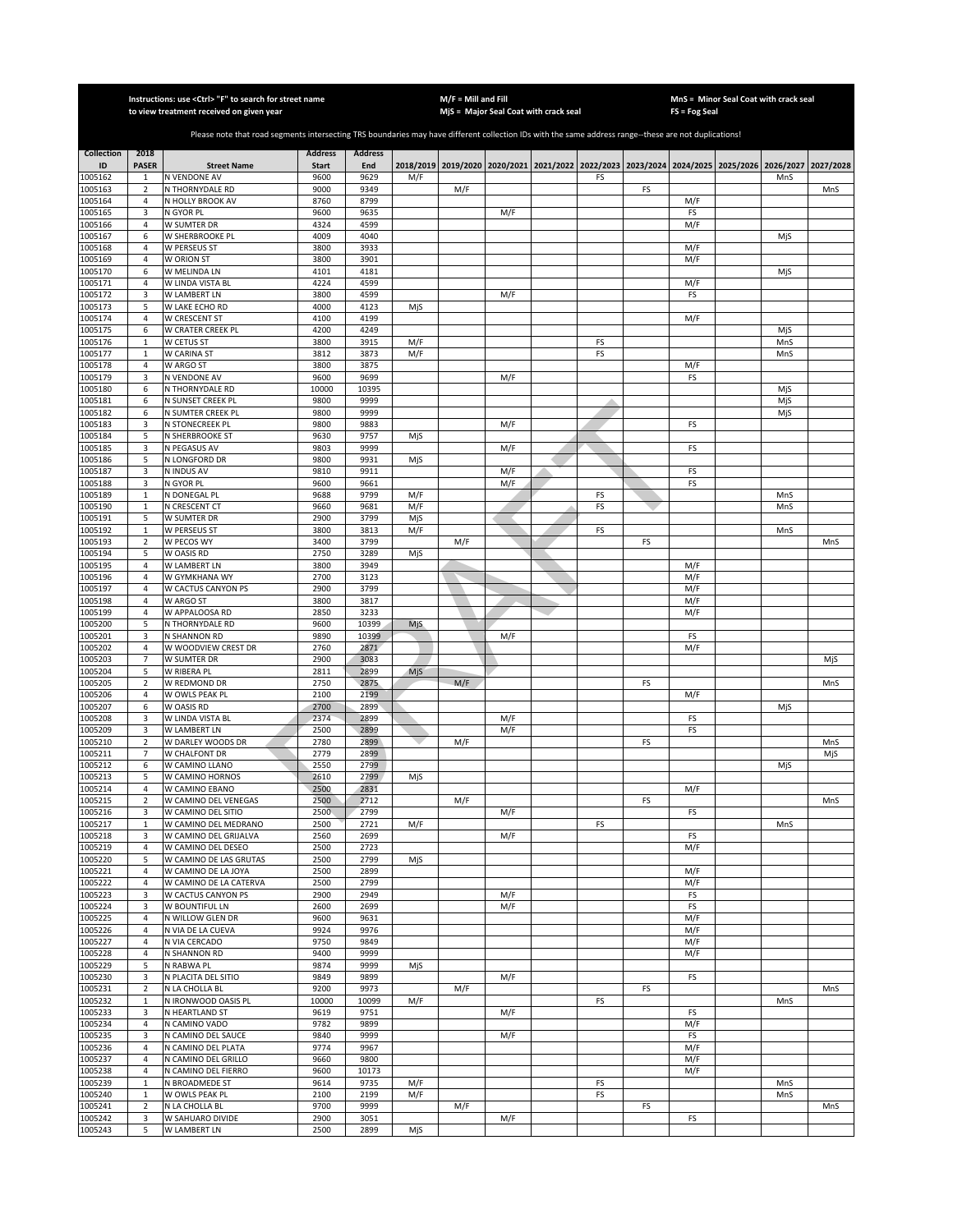|                    |                               | Instructions: use < Ctrl> "F" to search for street name                                                                                               |                |                |      | $M/F =$ Mill and Fill |                                         |    |           | $FS = Fog Seal$ | MnS = Minor Seal Coat with crack seal             |     |           |
|--------------------|-------------------------------|-------------------------------------------------------------------------------------------------------------------------------------------------------|----------------|----------------|------|-----------------------|-----------------------------------------|----|-----------|-----------------|---------------------------------------------------|-----|-----------|
|                    |                               | to view treatment received on given year                                                                                                              |                |                |      |                       | MjS = Major Seal Coat with crack seal   |    |           |                 |                                                   |     |           |
|                    |                               | Please note that road segments intersecting TRS boundaries may have different collection IDs with the same address range--these are not duplications! |                |                |      |                       |                                         |    |           |                 |                                                   |     |           |
| <b>Collection</b>  | 2018                          |                                                                                                                                                       | <b>Address</b> | <b>Address</b> |      |                       |                                         |    |           |                 |                                                   |     |           |
| ID                 | <b>PASER</b>                  | <b>Street Name</b>                                                                                                                                    | <b>Start</b>   | End            |      |                       | 2018/2019 2019/2020 2020/2021 2021/2022 |    |           |                 | 2022/2023 2023/2024 2024/2025 2025/2026 2026/2027 |     | 2027/2028 |
| 1005162            | $\mathbf{1}$                  | N VENDONE AV                                                                                                                                          | 9600           | 9629           | M/F  |                       |                                         | FS |           |                 |                                                   | MnS |           |
| 1005163            | $\overline{2}$                | N THORNYDALE RD                                                                                                                                       | 9000           | 9349           |      | M/F                   |                                         |    | FS        |                 |                                                   |     | MnS       |
| 1005164<br>1005165 | $\sqrt{4}$<br>3               | N HOLLY BROOK AV<br>N GYOR PL                                                                                                                         | 8760<br>9600   | 8799<br>9635   |      |                       | M/F                                     |    |           | M/F<br>FS       |                                                   |     |           |
| 1005166            | $\overline{4}$                | W SUMTER DR                                                                                                                                           | 4324           | 4599           |      |                       |                                         |    |           | M/F             |                                                   |     |           |
| 1005167            | 6                             | W SHERBROOKE PL                                                                                                                                       | 4009           | 4040           |      |                       |                                         |    |           |                 |                                                   | MjS |           |
| 1005168            | $\sqrt{4}$                    | W PERSEUS ST                                                                                                                                          | 3800           | 3933           |      |                       |                                         |    |           | M/F             |                                                   |     |           |
| 1005169            | 4                             | W ORION ST                                                                                                                                            | 3800           | 3901           |      |                       |                                         |    |           | M/F             |                                                   |     |           |
| 1005170            | 6                             | W MELINDA LN                                                                                                                                          | 4101           | 4181           |      |                       |                                         |    |           |                 |                                                   | MjS |           |
| 1005171<br>1005172 | 4<br>3                        | W LINDA VISTA BL<br>W LAMBERT LN                                                                                                                      | 4224<br>3800   | 4599<br>4599   |      |                       | M/F                                     |    |           | M/F<br>FS       |                                                   |     |           |
| 1005173            | 5                             | W LAKE ECHO RD                                                                                                                                        | 4000           | 4123           | MjS  |                       |                                         |    |           |                 |                                                   |     |           |
| 1005174            | $\sqrt{4}$                    | W CRESCENT ST                                                                                                                                         | 4100           | 4199           |      |                       |                                         |    |           | M/F             |                                                   |     |           |
| 1005175            | 6                             | W CRATER CREEK PL                                                                                                                                     | 4200           | 4249           |      |                       |                                         |    |           |                 |                                                   | MjS |           |
| 1005176            | $\mathbf 1$                   | W CETUS ST                                                                                                                                            | 3800           | 3915           | M/F  |                       |                                         | FS |           |                 |                                                   | MnS |           |
| 1005177            | $\mathbf 1$                   | W CARINA ST                                                                                                                                           | 3812           | 3873           | M/F  |                       |                                         | FS |           |                 |                                                   | MnS |           |
| 1005178            | 4<br>3                        | W ARGO ST                                                                                                                                             | 3800<br>9600   | 3875<br>9699   |      |                       | M/F                                     |    |           | M/F<br>FS       |                                                   |     |           |
| 1005179<br>1005180 | 6                             | N VENDONE AV<br>N THORNYDALE RD                                                                                                                       | 10000          | 10395          |      |                       |                                         |    |           |                 |                                                   | MjS |           |
| 1005181            | 6                             | N SUNSET CREEK PL                                                                                                                                     | 9800           | 9999           |      |                       |                                         |    |           |                 |                                                   | MjS |           |
| 1005182            | 6                             | N SUMTER CREEK PL                                                                                                                                     | 9800           | 9999           |      |                       |                                         |    |           |                 |                                                   | MjS |           |
| 1005183            | 3                             | N STONECREEK PL                                                                                                                                       | 9800           | 9883           |      |                       | M/F                                     |    |           | FS              |                                                   |     |           |
| 1005184            | 5                             | N SHERBROOKE ST                                                                                                                                       | 9630           | 9757           | MjS  |                       |                                         |    |           |                 |                                                   |     |           |
| 1005185<br>1005186 | 3<br>5                        | N PEGASUS AV<br>N LONGFORD DR                                                                                                                         | 9803<br>9800   | 9999<br>9931   |      |                       | M/F                                     |    |           | FS              |                                                   |     |           |
| 1005187            | 3                             | N INDUS AV                                                                                                                                            | 9810           | 9911           | MjS  |                       | M/F                                     |    |           | FS              |                                                   |     |           |
| 1005188            | 3                             | N GYOR PL                                                                                                                                             | 9600           | 9661           |      |                       | M/F                                     |    |           | FS              |                                                   |     |           |
| 1005189            | $\mathbf 1$                   | N DONEGAL PL                                                                                                                                          | 9688           | 9799           | M/F  |                       |                                         | FS |           |                 |                                                   | MnS |           |
| 1005190            | $\mathbf{1}$                  | N CRESCENT CT                                                                                                                                         | 9660           | 9681           | M/F  |                       |                                         | FS |           |                 |                                                   | MnS |           |
| 1005191            | 5                             | W SUMTER DR                                                                                                                                           | 2900           | 3799           | MjS  |                       |                                         |    |           |                 |                                                   |     |           |
| 1005192<br>1005193 | $\mathbf 1$<br>$\overline{2}$ | W PERSEUS ST<br>W PECOS WY                                                                                                                            | 3800<br>3400   | 3813<br>3799   | M/F  | M/F                   |                                         | FS | FS        |                 |                                                   | MnS | MnS       |
| 1005194            | 5                             | W OASIS RD                                                                                                                                            | 2750           | 3289           | MjS  |                       |                                         |    |           |                 |                                                   |     |           |
| 1005195            | 4                             | W LAMBERT LN                                                                                                                                          | 3800           | 3949           |      |                       |                                         |    |           | M/F             |                                                   |     |           |
| 1005196            | 4                             | W GYMKHANA WY                                                                                                                                         | 2700           | 3123           |      |                       |                                         |    |           | M/F             |                                                   |     |           |
| 1005197            | 4                             | W CACTUS CANYON PS                                                                                                                                    | 2900           | 3799           |      |                       |                                         |    |           | M/F             |                                                   |     |           |
| 1005198            | 4                             | W ARGO ST                                                                                                                                             | 3800           | 3817           |      |                       |                                         |    |           | M/F             |                                                   |     |           |
| 1005199            | 4                             | W APPALOOSA RD                                                                                                                                        | 2850           | 3233           |      |                       |                                         |    |           | M/F             |                                                   |     |           |
| 1005200<br>1005201 | 5<br>3                        | N THORNYDALE RD<br>N SHANNON RD                                                                                                                       | 9600<br>9890   | 10399<br>10399 | MjS. |                       | M/F                                     |    |           | FS              |                                                   |     |           |
| 1005202            | $\sqrt{4}$                    | W WOODVIEW CREST DR                                                                                                                                   | 2760           | 2871           |      |                       |                                         |    |           | M/F             |                                                   |     |           |
| 1005203            | $\overline{7}$                | W SUMTER DR                                                                                                                                           | 2900           | 3083           |      |                       |                                         |    |           |                 |                                                   |     | MjS       |
| 1005204            | 5                             | W RIBERA PL                                                                                                                                           | 2811           | 2899           | MjS  |                       |                                         |    |           |                 |                                                   |     |           |
| 1005205            | $\overline{2}$                | W REDMOND DR                                                                                                                                          | 2750           | 2875           |      | M/F                   |                                         |    | FS        |                 |                                                   |     | MnS       |
| 1005206            | $\sqrt{4}$                    | W OWLS PEAK PL<br>W OASIS RD                                                                                                                          | 2100           | 2199           |      |                       |                                         |    |           | M/F             |                                                   |     |           |
| 1005207<br>1005208 | 6<br>3                        | W LINDA VISTA BL                                                                                                                                      | 2700<br>2374   | 2899<br>2899   |      |                       | M/F                                     |    |           | FS              |                                                   | MjS |           |
| 1005209            | 3                             | W LAMBERT LN                                                                                                                                          | 2500           | 2899           |      |                       | M/F                                     |    |           | FS              |                                                   |     |           |
| 1005210            | $\overline{2}$                | W DARLEY WOODS DR                                                                                                                                     | 2780           | 2899           |      | M/F                   |                                         |    | FS        |                 |                                                   |     | MnS       |
| 1005211            | $\overline{7}$                | W CHALFONT DR                                                                                                                                         | 2779           | 2899           |      |                       |                                         |    |           |                 |                                                   |     | MjS       |
| 1005212            | 6                             | W CAMINO LLANO                                                                                                                                        | 2550           | 2799           |      |                       |                                         |    |           |                 |                                                   | MjS |           |
| 1005213            | 5                             | W CAMINO HORNOS                                                                                                                                       | 2610           | 2799           | MjS  |                       |                                         |    |           |                 |                                                   |     |           |
| 1005214<br>1005215 | $\overline{4}$<br>2           | W CAMINO EBANO<br>W CAMINO DEL VENEGAS                                                                                                                | 2500<br>2500   | 2831<br>2712   |      | M/F                   |                                         |    | FS        | M/F             |                                                   |     | MnS       |
| 1005216            | 3                             | W CAMINO DEL SITIO                                                                                                                                    | 2500           | 2799           |      |                       | M/F                                     |    |           | <b>FS</b>       |                                                   |     |           |
| 1005217            | $\mathbf{1}$                  | W CAMINO DEL MEDRANO                                                                                                                                  | 2500           | 2721           | M/F  |                       |                                         | FS |           |                 |                                                   | MnS |           |
| 1005218            | 3                             | W CAMINO DEL GRIJALVA                                                                                                                                 | 2560           | 2699           |      |                       | M/F                                     |    |           | FS              |                                                   |     |           |
| 1005219            | 4                             | W CAMINO DEL DESEO                                                                                                                                    | 2500           | 2723           |      |                       |                                         |    |           | M/F             |                                                   |     |           |
| 1005220<br>1005221 | 5                             | W CAMINO DE LAS GRUTAS                                                                                                                                | 2500<br>2500   | 2799<br>2899   | MjS  |                       |                                         |    |           |                 |                                                   |     |           |
| 1005222            | 4<br>4                        | W CAMINO DE LA JOYA<br>W CAMINO DE LA CATERVA                                                                                                         | 2500           | 2799           |      |                       |                                         |    |           | M/F<br>M/F      |                                                   |     |           |
| 1005223            | 3                             | W CACTUS CANYON PS                                                                                                                                    | 2900           | 2949           |      |                       | M/F                                     |    |           | FS              |                                                   |     |           |
| 1005224            | 3                             | W BOUNTIFUL LN                                                                                                                                        | 2600           | 2699           |      |                       | M/F                                     |    |           | FS              |                                                   |     |           |
| 1005225            | 4                             | N WILLOW GLEN DR                                                                                                                                      | 9600           | 9631           |      |                       |                                         |    |           | M/F             |                                                   |     |           |
| 1005226            | 4                             | N VIA DE LA CUEVA                                                                                                                                     | 9924           | 9976           |      |                       |                                         |    |           | M/F             |                                                   |     |           |
| 1005227            | $\sqrt{4}$                    | N VIA CERCADO                                                                                                                                         | 9750           | 9849           |      |                       |                                         |    |           | M/F             |                                                   |     |           |
| 1005228<br>1005229 | 4<br>5                        | N SHANNON RD<br>N RABWA PL                                                                                                                            | 9400<br>9874   | 9999<br>9999   | MjS  |                       |                                         |    |           | M/F             |                                                   |     |           |
| 1005230            | 3                             | N PLACITA DEL SITIO                                                                                                                                   | 9849           | 9899           |      |                       | M/F                                     |    |           | FS              |                                                   |     |           |
| 1005231            | $\overline{2}$                | N LA CHOLLA BL                                                                                                                                        | 9200           | 9973           |      | M/F                   |                                         |    | FS        |                 |                                                   |     | MnS       |
| 1005232            | $\mathbf{1}$                  | N IRONWOOD OASIS PL                                                                                                                                   | 10000          | 10099          | M/F  |                       |                                         | FS |           |                 |                                                   | MnS |           |
| 1005233            | 3                             | N HEARTLAND ST                                                                                                                                        | 9619           | 9751           |      |                       | M/F                                     |    |           | FS              |                                                   |     |           |
| 1005234            | 4                             | N CAMINO VADO                                                                                                                                         | 9782           | 9899           |      |                       |                                         |    |           | M/F             |                                                   |     |           |
| 1005235<br>1005236 | 3<br>4                        | N CAMINO DEL SAUCE<br>N CAMINO DEL PLATA                                                                                                              | 9840<br>9774   | 9999<br>9967   |      |                       | M/F                                     |    |           | FS<br>M/F       |                                                   |     |           |
| 1005237            | 4                             | N CAMINO DEL GRILLO                                                                                                                                   | 9660           | 9800           |      |                       |                                         |    |           | M/F             |                                                   |     |           |
| 1005238            | $\sqrt{4}$                    | N CAMINO DEL FIERRO                                                                                                                                   | 9600           | 10173          |      |                       |                                         |    |           | M/F             |                                                   |     |           |
| 1005239            | $\mathbf 1$                   | <b>N BROADMEDE ST</b>                                                                                                                                 | 9614           | 9735           | M/F  |                       |                                         | FS |           |                 |                                                   | MnS |           |
| 1005240            | $\mathbf{1}$                  | W OWLS PEAK PL                                                                                                                                        | 2100           | 2199           | M/F  |                       |                                         | FS |           |                 |                                                   | MnS |           |
| 1005241            | $\overline{2}$                | N LA CHOLLA BL                                                                                                                                        | 9700           | 9999           |      | M/F                   |                                         |    | <b>FS</b> |                 |                                                   |     | MnS       |
| 1005242<br>1005243 | 3<br>5                        | W SAHUARO DIVIDE<br><b>W LAMBERT LN</b>                                                                                                               | 2900<br>2500   | 3051<br>2899   | MjS  |                       | M/F                                     |    |           | FS              |                                                   |     |           |
|                    |                               |                                                                                                                                                       |                |                |      |                       |                                         |    |           |                 |                                                   |     |           |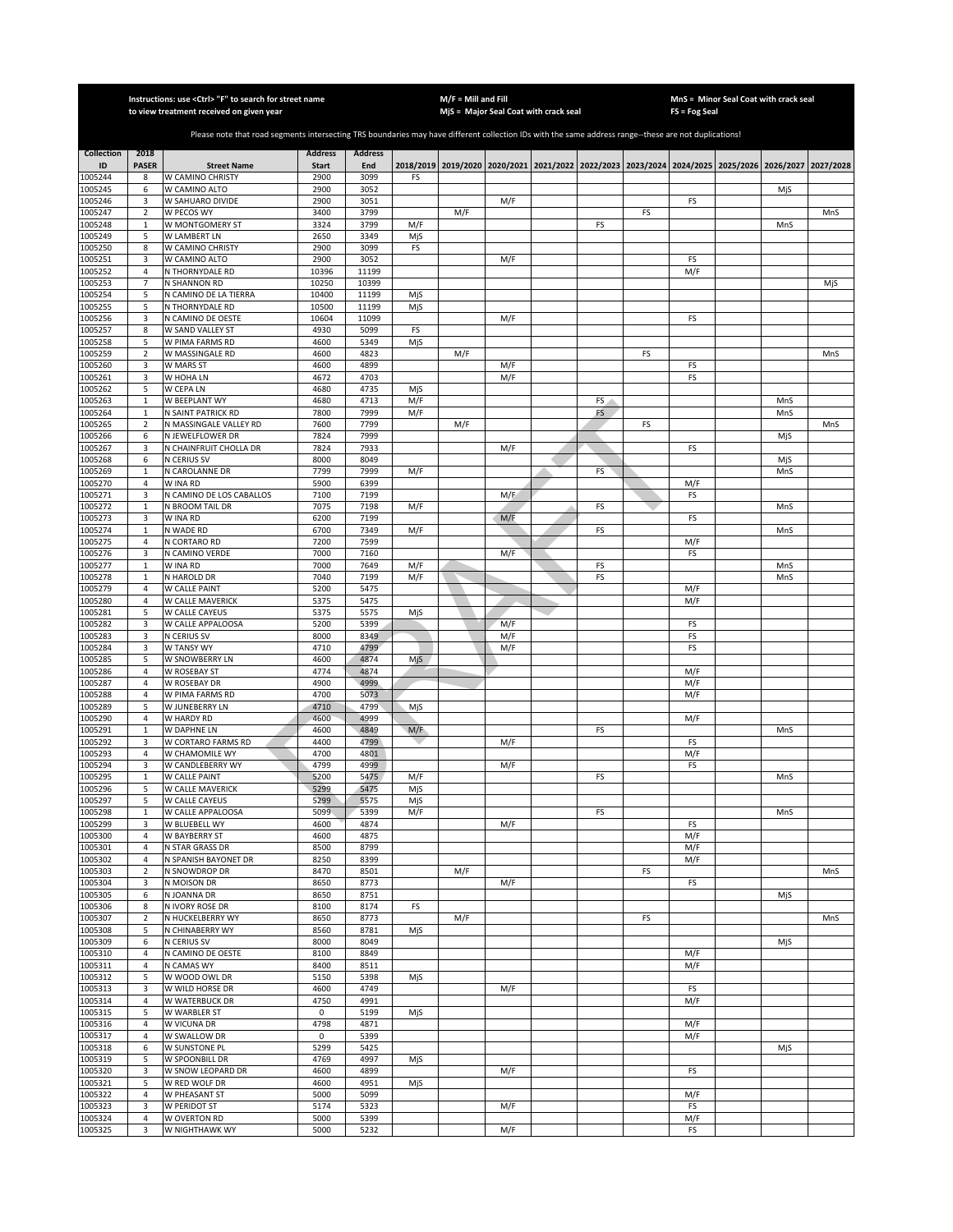|                    |                                | Instructions: use < Ctrl> "F" to search for street name<br>to view treatment received on given year                                                   |                      |                |           | $M/F =$ Mill and Fill | MjS = Major Seal Coat with crack seal |    |    | FS = Fog Seal | MnS = Minor Seal Coat with crack seal                                                     |            |           |
|--------------------|--------------------------------|-------------------------------------------------------------------------------------------------------------------------------------------------------|----------------------|----------------|-----------|-----------------------|---------------------------------------|----|----|---------------|-------------------------------------------------------------------------------------------|------------|-----------|
|                    |                                |                                                                                                                                                       |                      |                |           |                       |                                       |    |    |               |                                                                                           |            |           |
|                    |                                | Please note that road segments intersecting TRS boundaries may have different collection IDs with the same address range--these are not duplications! |                      |                |           |                       |                                       |    |    |               |                                                                                           |            |           |
| <b>Collection</b>  | 2018                           |                                                                                                                                                       | <b>Address</b>       | <b>Address</b> |           |                       |                                       |    |    |               |                                                                                           |            |           |
| ID<br>1005244      | <b>PASER</b><br>8              | <b>Street Name</b><br>W CAMINO CHRISTY                                                                                                                | <b>Start</b><br>2900 | End<br>3099    | FS        |                       |                                       |    |    |               | 2018/2019 2019/2020 2020/2021 2021/2022 2022/2023 2023/2024 2024/2025 2025/2026 2026/2027 |            | 2027/2028 |
| 1005245            | 6                              | W CAMINO ALTO                                                                                                                                         | 2900                 | 3052           |           |                       |                                       |    |    |               |                                                                                           | MjS        |           |
| 1005246            | 3                              | W SAHUARO DIVIDE                                                                                                                                      | 2900                 | 3051           |           |                       | M/F                                   |    |    | FS            |                                                                                           |            |           |
| 1005247            | $\overline{2}$                 | W PECOS WY                                                                                                                                            | 3400                 | 3799           |           | M/F                   |                                       |    | FS |               |                                                                                           |            | MnS       |
| 1005248            | $\mathbf{1}$                   | W MONTGOMERY ST                                                                                                                                       | 3324                 | 3799           | M/F       |                       |                                       | FS |    |               |                                                                                           | MnS        |           |
| 1005249<br>1005250 | 5<br>8                         | W LAMBERT LN<br>W CAMINO CHRISTY                                                                                                                      | 2650<br>2900         | 3349<br>3099   | MjS<br>FS |                       |                                       |    |    |               |                                                                                           |            |           |
| 1005251            | 3                              | W CAMINO ALTO                                                                                                                                         | 2900                 | 3052           |           |                       | M/F                                   |    |    | FS            |                                                                                           |            |           |
| 1005252            | $\sqrt{4}$                     | N THORNYDALE RD                                                                                                                                       | 10396                | 11199          |           |                       |                                       |    |    | M/F           |                                                                                           |            |           |
| 1005253            | $\overline{7}$                 | N SHANNON RD                                                                                                                                          | 10250                | 10399          |           |                       |                                       |    |    |               |                                                                                           |            | MjS       |
| 1005254            | 5                              | N CAMINO DE LA TIERRA                                                                                                                                 | 10400                | 11199          | MjS       |                       |                                       |    |    |               |                                                                                           |            |           |
| 1005255<br>1005256 | 5<br>3                         | N THORNYDALE RD<br>N CAMINO DE OESTE                                                                                                                  | 10500<br>10604       | 11199<br>11099 | MjS       |                       | M/F                                   |    |    | FS            |                                                                                           |            |           |
| 1005257            | 8                              | W SAND VALLEY ST                                                                                                                                      | 4930                 | 5099           | FS        |                       |                                       |    |    |               |                                                                                           |            |           |
| 1005258            | 5                              | W PIMA FARMS RD                                                                                                                                       | 4600                 | 5349           | MjS       |                       |                                       |    |    |               |                                                                                           |            |           |
| 1005259            | $\mathbf 2$                    | W MASSINGALE RD                                                                                                                                       | 4600                 | 4823           |           | M/F                   |                                       |    | FS |               |                                                                                           |            | MnS       |
| 1005260            | 3                              | W MARS ST                                                                                                                                             | 4600                 | 4899           |           |                       | M/F                                   |    |    | FS            |                                                                                           |            |           |
| 1005261<br>1005262 | 3<br>5                         | W HOHA LN<br>W CEPA LN                                                                                                                                | 4672<br>4680         | 4703<br>4735   | MjS       |                       | M/F                                   |    |    | FS            |                                                                                           |            |           |
| 1005263            | $\,1\,$                        | W BEEPLANT WY                                                                                                                                         | 4680                 | 4713           | M/F       |                       |                                       | FS |    |               |                                                                                           | MnS        |           |
| 1005264            | $\mathbf{1}$                   | N SAINT PATRICK RD                                                                                                                                    | 7800                 | 7999           | M/F       |                       |                                       | FS |    |               |                                                                                           | MnS        |           |
| 1005265            | $\overline{2}$                 | N MASSINGALE VALLEY RD                                                                                                                                | 7600                 | 7799           |           | M/F                   |                                       |    | FS |               |                                                                                           |            | MnS       |
| 1005266            | 6                              | N JEWELFLOWER DR                                                                                                                                      | 7824                 | 7999           |           |                       |                                       |    |    |               |                                                                                           | MjS        |           |
| 1005267            | 3                              | N CHAINFRUIT CHOLLA DR<br>N CERIUS SV                                                                                                                 | 7824<br>8000         | 7933           |           |                       | M/F                                   |    |    | FS            |                                                                                           |            |           |
| 1005268<br>1005269 | 6<br>$\mathbf{1}$              | N CAROLANNE DR                                                                                                                                        | 7799                 | 8049<br>7999   | M/F       |                       |                                       | FS |    |               |                                                                                           | MjS<br>MnS |           |
| 1005270            | $\overline{4}$                 | W INA RD                                                                                                                                              | 5900                 | 6399           |           |                       |                                       |    |    | M/F           |                                                                                           |            |           |
| 1005271            | 3                              | N CAMINO DE LOS CABALLOS                                                                                                                              | 7100                 | 7199           |           |                       | M/E                                   |    |    | FS            |                                                                                           |            |           |
| 1005272            | $\mathbf{1}$                   | N BROOM TAIL DR                                                                                                                                       | 7075                 | 7198           | M/F       |                       |                                       | FS |    |               |                                                                                           | MnS        |           |
| 1005273            | 3                              | W INA RD                                                                                                                                              | 6200                 | 7199           |           |                       | M/F                                   |    |    | FS            |                                                                                           |            |           |
| 1005274<br>1005275 | $\mathbf{1}$<br>$\overline{4}$ | N WADE RD<br>N CORTARO RD                                                                                                                             | 6700<br>7200         | 7349<br>7599   | M/F       |                       |                                       | FS |    | M/F           |                                                                                           | MnS        |           |
| 1005276            | 3                              | N CAMINO VERDE                                                                                                                                        | 7000                 | 7160           |           |                       | M/F                                   |    |    | FS            |                                                                                           |            |           |
| 1005277            | $\mathbf 1$                    | W INA RD                                                                                                                                              | 7000                 | 7649           | M/F       |                       |                                       | FS |    |               |                                                                                           | MnS        |           |
| 1005278            | $\mathbf 1$                    | N HAROLD DR                                                                                                                                           | 7040                 | 7199           | M/F       |                       |                                       | FS |    |               |                                                                                           | MnS        |           |
| 1005279            | 4                              | W CALLE PAINT                                                                                                                                         | 5200                 | 5475           |           |                       |                                       |    |    | M/F           |                                                                                           |            |           |
| 1005280<br>1005281 | 4<br>5                         | W CALLE MAVERICK<br>W CALLE CAYEUS                                                                                                                    | 5375<br>5375         | 5475<br>5575   | MjS       |                       |                                       |    |    | M/F           |                                                                                           |            |           |
| 1005282            | 3                              | W CALLE APPALOOSA                                                                                                                                     | 5200                 | 5399           |           |                       | M/F                                   |    |    | FS            |                                                                                           |            |           |
| 1005283            | 3                              | N CERIUS SV                                                                                                                                           | 8000                 | 8349           |           |                       | M/F                                   |    |    | FS            |                                                                                           |            |           |
| 1005284            | 3                              | W TANSY WY                                                                                                                                            | 4710                 | 4799           |           |                       | M/F                                   |    |    | FS            |                                                                                           |            |           |
| 1005285            | 5                              | W SNOWBERRY LN                                                                                                                                        | 4600                 | 4874           | MjS       |                       |                                       |    |    |               |                                                                                           |            |           |
| 1005286<br>1005287 | $\overline{4}$<br>$\sqrt{4}$   | W ROSEBAY ST<br>W ROSEBAY DR                                                                                                                          | 4774<br>4900         | 4874<br>4999   |           |                       |                                       |    |    | M/F<br>M/F    |                                                                                           |            |           |
| 1005288            | $\overline{4}$                 | W PIMA FARMS RD                                                                                                                                       | 4700                 | 5073           |           |                       |                                       |    |    | M/F           |                                                                                           |            |           |
| 1005289            | 5                              | W JUNEBERRY LN                                                                                                                                        | 4710                 | 4799           | MjS       |                       |                                       |    |    |               |                                                                                           |            |           |
| 1005290            | $\overline{4}$                 | W HARDY RD                                                                                                                                            | 4600                 | 4999           |           |                       |                                       |    |    | M/F           |                                                                                           |            |           |
| 1005291            | $\mathbf{1}$                   | W DAPHNE LN                                                                                                                                           | 4600                 | 4849           | M/F       |                       |                                       | FS |    |               |                                                                                           | MnS        |           |
| 1005292<br>1005293 | 3<br>4                         | W CORTARO FARMS RD<br>W CHAMOMILE WY                                                                                                                  | 4400<br>4700         | 4799<br>4801   |           |                       | M/F                                   |    |    | FS<br>M/F     |                                                                                           |            |           |
| 1005294            | 3                              | W CANDLEBERRY WY                                                                                                                                      | 4799                 | 4999           |           |                       | M/F                                   |    |    | FS            |                                                                                           |            |           |
| 1005295            | $\mathbf{1}$                   | <b>W CALLE PAINT</b>                                                                                                                                  | 5200                 | 5475           | M/F       |                       |                                       | FS |    |               |                                                                                           | MnS        |           |
| 1005296            | 5                              | W CALLE MAVERICK                                                                                                                                      | 5299                 | 5475           | MjS       |                       |                                       |    |    |               |                                                                                           |            |           |
| 1005297            | 5                              | W CALLE CAYEUS                                                                                                                                        | 5299                 | 5575           | MjS       |                       |                                       |    |    |               |                                                                                           |            |           |
| 1005298<br>1005299 | $\mathbf{1}$<br>3              | W CALLE APPALOOSA<br>W BLUEBELL WY                                                                                                                    | 5099<br>4600         | 5399<br>4874   | M/F       |                       | M/F                                   | FS |    | <b>FS</b>     |                                                                                           | MnS        |           |
| 1005300            | $\overline{4}$                 | W BAYBERRY ST                                                                                                                                         | 4600                 | 4875           |           |                       |                                       |    |    | M/F           |                                                                                           |            |           |
| 1005301            | 4                              | N STAR GRASS DR                                                                                                                                       | 8500                 | 8799           |           |                       |                                       |    |    | M/F           |                                                                                           |            |           |
| 1005302            | 4                              | N SPANISH BAYONET DR                                                                                                                                  | 8250                 | 8399           |           |                       |                                       |    |    | M/F           |                                                                                           |            |           |
| 1005303            | $\mathbf 2$                    | N SNOWDROP DR                                                                                                                                         | 8470                 | 8501           |           | M/F                   |                                       |    | FS |               |                                                                                           |            | MnS       |
| 1005304<br>1005305 | 3<br>6                         | N MOISON DR<br>N JOANNA DR                                                                                                                            | 8650<br>8650         | 8773<br>8751   |           |                       | M/F                                   |    |    | FS            |                                                                                           | MjS        |           |
| 1005306            | 8                              | N IVORY ROSE DR                                                                                                                                       | 8100                 | 8174           | FS        |                       |                                       |    |    |               |                                                                                           |            |           |
| 1005307            | 2                              | N HUCKELBERRY WY                                                                                                                                      | 8650                 | 8773           |           | M/F                   |                                       |    | FS |               |                                                                                           |            | MnS       |
| 1005308            | 5                              | N CHINABERRY WY                                                                                                                                       | 8560                 | 8781           | MjS       |                       |                                       |    |    |               |                                                                                           |            |           |
| 1005309            | 6                              | N CERIUS SV                                                                                                                                           | 8000                 | 8049           |           |                       |                                       |    |    |               |                                                                                           | MjS        |           |
| 1005310<br>1005311 | 4<br>$\overline{4}$            | N CAMINO DE OESTE<br>N CAMAS WY                                                                                                                       | 8100<br>8400         | 8849<br>8511   |           |                       |                                       |    |    | M/F<br>M/F    |                                                                                           |            |           |
| 1005312            | 5                              | W WOOD OWL DR                                                                                                                                         | 5150                 | 5398           | MjS       |                       |                                       |    |    |               |                                                                                           |            |           |
| 1005313            | 3                              | W WILD HORSE DR                                                                                                                                       | 4600                 | 4749           |           |                       | M/F                                   |    |    | FS            |                                                                                           |            |           |
| 1005314            | 4                              | W WATERBUCK DR                                                                                                                                        | 4750                 | 4991           |           |                       |                                       |    |    | M/F           |                                                                                           |            |           |
| 1005315            | 5                              | W WARBLER ST                                                                                                                                          | 0                    | 5199           | MjS       |                       |                                       |    |    |               |                                                                                           |            |           |
| 1005316            | 4<br>4                         | W VICUNA DR                                                                                                                                           | 4798<br>0            | 4871<br>5399   |           |                       |                                       |    |    | M/F           |                                                                                           |            |           |
| 1005317<br>1005318 | 6                              | W SWALLOW DR<br>W SUNSTONE PL                                                                                                                         | 5299                 | 5425           |           |                       |                                       |    |    | M/F           |                                                                                           | MjS        |           |
| 1005319            | 5                              | W SPOONBILL DR                                                                                                                                        | 4769                 | 4997           | MjS       |                       |                                       |    |    |               |                                                                                           |            |           |
| 1005320            | 3                              | W SNOW LEOPARD DR                                                                                                                                     | 4600                 | 4899           |           |                       | M/F                                   |    |    | FS            |                                                                                           |            |           |
| 1005321            | 5                              | W RED WOLF DR                                                                                                                                         | 4600                 | 4951           | MjS       |                       |                                       |    |    |               |                                                                                           |            |           |
| 1005322            | $\overline{4}$                 | W PHEASANT ST                                                                                                                                         | 5000                 | 5099           |           |                       |                                       |    |    | M/F           |                                                                                           |            |           |
| 1005323<br>1005324 | 3<br>$\overline{4}$            | W PERIDOT ST<br>W OVERTON RD                                                                                                                          | 5174<br>5000         | 5323<br>5399   |           |                       | M/F                                   |    |    | FS<br>M/F     |                                                                                           |            |           |
| 1005325            | 3                              | W NIGHTHAWK WY                                                                                                                                        | 5000                 | 5232           |           |                       | M/F                                   |    |    | FS            |                                                                                           |            |           |
|                    |                                |                                                                                                                                                       |                      |                |           |                       |                                       |    |    |               |                                                                                           |            |           |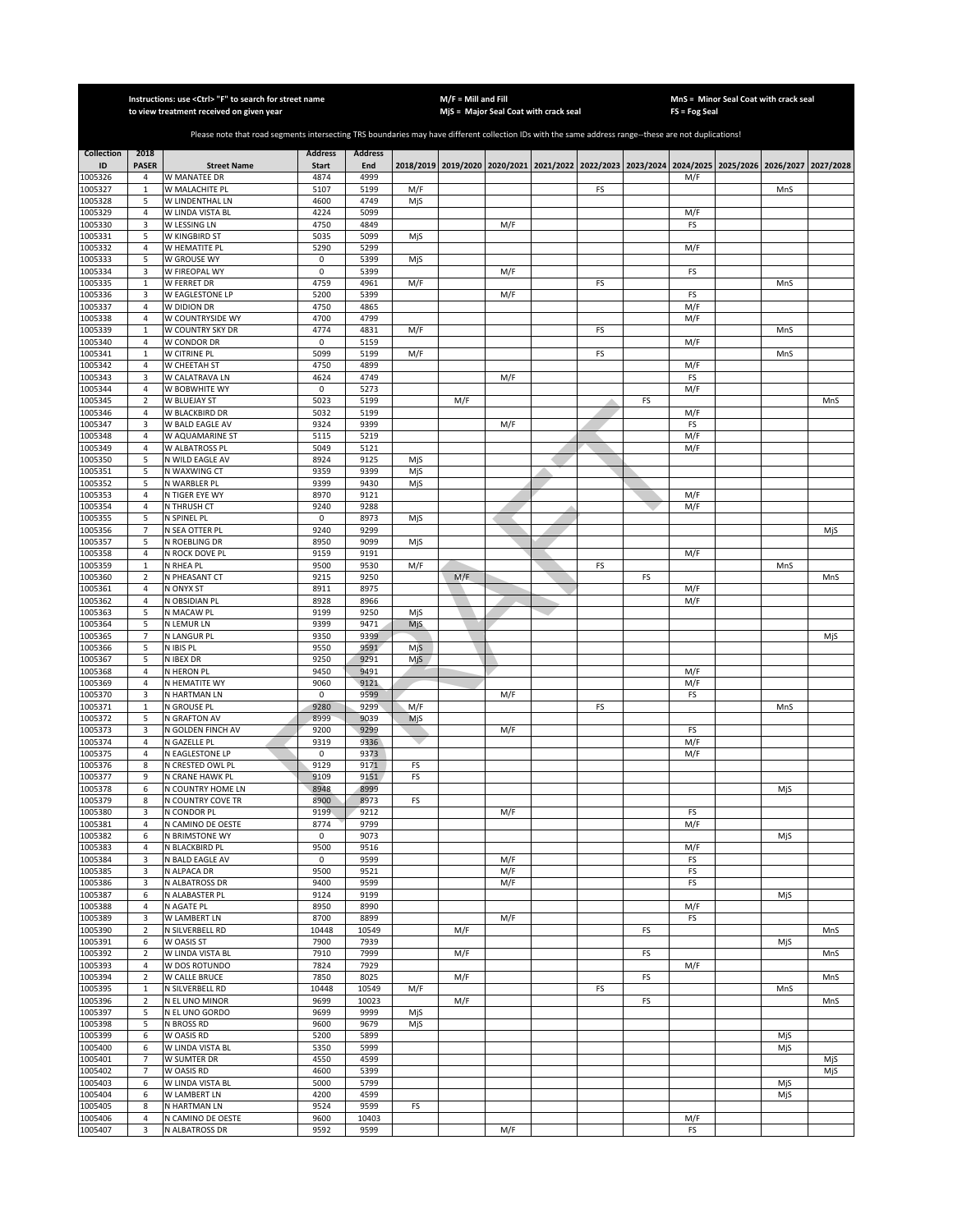|                    |                                  | Instructions: use < Ctrl> "F" to search for street name<br>to view treatment received on given year                                                   |                |                |            | $M/F =$ Mill and Fill | MjS = Major Seal Coat with crack seal                                                     |    |    | $FS = Fog Seal$ | MnS = Minor Seal Coat with crack seal |     |           |
|--------------------|----------------------------------|-------------------------------------------------------------------------------------------------------------------------------------------------------|----------------|----------------|------------|-----------------------|-------------------------------------------------------------------------------------------|----|----|-----------------|---------------------------------------|-----|-----------|
|                    |                                  |                                                                                                                                                       |                |                |            |                       |                                                                                           |    |    |                 |                                       |     |           |
|                    |                                  | Please note that road segments intersecting TRS boundaries may have different collection IDs with the same address range--these are not duplications! |                |                |            |                       |                                                                                           |    |    |                 |                                       |     |           |
| <b>Collection</b>  | 2018                             |                                                                                                                                                       | <b>Address</b> | <b>Address</b> |            |                       |                                                                                           |    |    |                 |                                       |     |           |
| ID                 | <b>PASER</b>                     | <b>Street Name</b>                                                                                                                                    | <b>Start</b>   | End            |            |                       | 2018/2019 2019/2020 2020/2021 2021/2022 2022/2023 2023/2024 2024/2025 2025/2026 2026/2027 |    |    |                 |                                       |     | 2027/2028 |
| 1005326<br>1005327 | 4<br>$\mathbf{1}$                | W MANATEE DR<br>W MALACHITE PL                                                                                                                        | 4874<br>5107   | 4999<br>5199   | M/F        |                       |                                                                                           | FS |    | M/F             |                                       | MnS |           |
| 1005328            | 5                                | W LINDENTHAL LN                                                                                                                                       | 4600           | 4749           | MjS        |                       |                                                                                           |    |    |                 |                                       |     |           |
| 1005329            | $\overline{4}$                   | W LINDA VISTA BL                                                                                                                                      | 4224           | 5099           |            |                       |                                                                                           |    |    | M/F             |                                       |     |           |
| 1005330            | 3                                | W LESSING LN                                                                                                                                          | 4750           | 4849           |            |                       | M/F                                                                                       |    |    | FS              |                                       |     |           |
| 1005331            | 5                                | W KINGBIRD ST                                                                                                                                         | 5035           | 5099           | MjS        |                       |                                                                                           |    |    |                 |                                       |     |           |
| 1005332            | $\sqrt{4}$                       | W HEMATITE PL                                                                                                                                         | 5290<br>0      | 5299           |            |                       |                                                                                           |    |    | M/F             |                                       |     |           |
| 1005333<br>1005334 | 5<br>3                           | W GROUSE WY<br>W FIREOPAL WY                                                                                                                          | 0              | 5399<br>5399   | MjS        |                       | M/F                                                                                       |    |    | FS              |                                       |     |           |
| 1005335            | $\mathbf 1$                      | W FERRET DR                                                                                                                                           | 4759           | 4961           | M/F        |                       |                                                                                           | FS |    |                 |                                       | MnS |           |
| 1005336            | 3                                | W EAGLESTONE LP                                                                                                                                       | 5200           | 5399           |            |                       | M/F                                                                                       |    |    | FS              |                                       |     |           |
| 1005337            | 4                                | W DIDION DR                                                                                                                                           | 4750           | 4865           |            |                       |                                                                                           |    |    | M/F             |                                       |     |           |
| 1005338            | $\sqrt{4}$                       | W COUNTRYSIDE WY                                                                                                                                      | 4700           | 4799           |            |                       |                                                                                           |    |    | M/F             |                                       |     |           |
| 1005339<br>1005340 | $\mathbf{1}$<br>4                | W COUNTRY SKY DR<br>W CONDOR DR                                                                                                                       | 4774<br>0      | 4831<br>5159   | M/F        |                       |                                                                                           | FS |    | M/F             |                                       | MnS |           |
| 1005341            | $\mathbf 1$                      | W CITRINE PL                                                                                                                                          | 5099           | 5199           | M/F        |                       |                                                                                           | FS |    |                 |                                       | MnS |           |
| 1005342            | 4                                | W CHEETAH ST                                                                                                                                          | 4750           | 4899           |            |                       |                                                                                           |    |    | M/F             |                                       |     |           |
| 1005343            | 3                                | W CALATRAVA LN                                                                                                                                        | 4624           | 4749           |            |                       | M/F                                                                                       |    |    | FS              |                                       |     |           |
| 1005344            | 4                                | W BOBWHITE WY                                                                                                                                         | 0              | 5273           |            |                       |                                                                                           |    |    | M/F             |                                       |     |           |
| 1005345            | $\mathbf 2$                      | W BLUEJAY ST                                                                                                                                          | 5023           | 5199           |            | M/F                   |                                                                                           |    | FS |                 |                                       |     | MnS       |
| 1005346<br>1005347 | $\overline{a}$<br>3              | W BLACKBIRD DR<br>W BALD EAGLE AV                                                                                                                     | 5032<br>9324   | 5199<br>9399   |            |                       | M/F                                                                                       |    |    | M/F<br>FS       |                                       |     |           |
| 1005348            | $\overline{a}$                   | W AQUAMARINE ST                                                                                                                                       | 5115           | 5219           |            |                       |                                                                                           |    |    | M/F             |                                       |     |           |
| 1005349            | $\overline{4}$                   | W ALBATROSS PL                                                                                                                                        | 5049           | 5121           |            |                       |                                                                                           |    |    | M/F             |                                       |     |           |
| 1005350            | 5                                | N WILD EAGLE AV                                                                                                                                       | 8924           | 9125           | MjS        |                       |                                                                                           |    |    |                 |                                       |     |           |
| 1005351            | 5                                | N WAXWING CT                                                                                                                                          | 9359           | 9399           | MjS        |                       |                                                                                           |    |    |                 |                                       |     |           |
| 1005352            | 5                                | N WARBLER PL                                                                                                                                          | 9399           | 9430           | MjS        |                       |                                                                                           |    |    |                 |                                       |     |           |
| 1005353<br>1005354 | $\overline{4}$<br>$\overline{4}$ | N TIGER EYE WY<br>N THRUSH CT                                                                                                                         | 8970<br>9240   | 9121<br>9288   |            |                       |                                                                                           |    |    | M/F<br>M/F      |                                       |     |           |
| 1005355            | 5                                | N SPINEL PL                                                                                                                                           | $\mathbf 0$    | 8973           | MjS        |                       |                                                                                           |    |    |                 |                                       |     |           |
| 1005356            | $\overline{7}$                   | N SEA OTTER PL                                                                                                                                        | 9240           | 9299           |            |                       |                                                                                           |    |    |                 |                                       |     | MjS       |
| 1005357            | 5                                | N ROEBLING DR                                                                                                                                         | 8950           | 9099           | MjS        |                       |                                                                                           |    |    |                 |                                       |     |           |
| 1005358            | 4                                | N ROCK DOVE PL                                                                                                                                        | 9159           | 9191           |            |                       |                                                                                           |    |    | M/F             |                                       |     |           |
| 1005359            | $\mathbf 1$                      | N RHEA PL                                                                                                                                             | 9500           | 9530           | M/F        |                       |                                                                                           | FS |    |                 |                                       | MnS |           |
| 1005360<br>1005361 | $\mathbf 2$<br>4                 | N PHEASANT CT<br>N ONYX ST                                                                                                                            | 9215<br>8911   | 9250<br>8975   |            | M/F                   |                                                                                           |    | FS | M/F             |                                       |     | MnS       |
| 1005362            | 4                                | N OBSIDIAN PL                                                                                                                                         | 8928           | 8966           |            |                       |                                                                                           |    |    | M/F             |                                       |     |           |
| 1005363            | 5                                | N MACAW PL                                                                                                                                            | 9199           | 9250           | MjS        |                       |                                                                                           |    |    |                 |                                       |     |           |
| 1005364            | 5                                | N LEMUR LN                                                                                                                                            | 9399           | 9471           | MjS.       |                       |                                                                                           |    |    |                 |                                       |     |           |
| 1005365            | $\overline{7}$                   | N LANGUR PL                                                                                                                                           | 9350           | 9399           |            |                       |                                                                                           |    |    |                 |                                       |     | MjS       |
| 1005366<br>1005367 | 5<br>5                           | N IBIS PL<br>N IBEX DR                                                                                                                                | 9550<br>9250   | 9591<br>9291   | MjS<br>Mjs |                       |                                                                                           |    |    |                 |                                       |     |           |
| 1005368            | $\overline{4}$                   | N HERON PL                                                                                                                                            | 9450           | 9491           |            |                       |                                                                                           |    |    | M/F             |                                       |     |           |
| 1005369            | 4                                | N HEMATITE WY                                                                                                                                         | 9060           | 9121           |            |                       |                                                                                           |    |    | M/F             |                                       |     |           |
| 1005370            | 3                                | N HARTMAN LN                                                                                                                                          | 0              | 9599           |            |                       | M/F                                                                                       |    |    | FS              |                                       |     |           |
| 1005371            | $\mathbf{1}$                     | N GROUSE PL                                                                                                                                           | 9280           | 9299           | M/F        |                       |                                                                                           | FS |    |                 |                                       | MnS |           |
| 1005372            | 5                                | N GRAFTON AV                                                                                                                                          | 8999           | 9039           | MjS        |                       |                                                                                           |    |    |                 |                                       |     |           |
| 1005373<br>1005374 | 3<br>$\overline{a}$              | N GOLDEN FINCH AV<br>N GAZELLE PL                                                                                                                     | 9200<br>9319   | 9299<br>9336   |            |                       | M/F                                                                                       |    |    | FS<br>M/F       |                                       |     |           |
| 1005375            | 4                                | N EAGLESTONE LP                                                                                                                                       | 0              | 9373           |            |                       |                                                                                           |    |    | M/F             |                                       |     |           |
| 1005376            | 8                                | N CRESTED OWL PL                                                                                                                                      | 9129           | 9171           | FS         |                       |                                                                                           |    |    |                 |                                       |     |           |
| 1005377            | 9                                | N CRANE HAWK PL                                                                                                                                       | 9109           | 9151           | FS         |                       |                                                                                           |    |    |                 |                                       |     |           |
| 1005378            | 6                                | N COUNTRY HOME LN                                                                                                                                     | 8948           | 8999           |            |                       |                                                                                           |    |    |                 |                                       | MjS |           |
| 1005379<br>1005380 | 8<br>3                           | N COUNTRY COVE TR<br>N CONDOR PL                                                                                                                      | 8900<br>9199   | 8973<br>9212   | FS         |                       | M/F                                                                                       |    |    | FS              |                                       |     |           |
| 1005381            | 4                                | N CAMINO DE OESTE                                                                                                                                     | 8774           | 9799           |            |                       |                                                                                           |    |    | M/F             |                                       |     |           |
| 1005382            | 6                                | N BRIMSTONE WY                                                                                                                                        | $\mathbf 0$    | 9073           |            |                       |                                                                                           |    |    |                 |                                       | MjS |           |
| 1005383            | 4                                | N BLACKBIRD PL                                                                                                                                        | 9500           | 9516           |            |                       |                                                                                           |    |    | M/F             |                                       |     |           |
| 1005384            | 3                                | N BALD EAGLE AV                                                                                                                                       | 0              | 9599           |            |                       | M/F                                                                                       |    |    | FS              |                                       |     |           |
| 1005385            | 3                                | N ALPACA DR                                                                                                                                           | 9500           | 9521           |            |                       | M/F                                                                                       |    |    | FS              |                                       |     |           |
| 1005386<br>1005387 | 3<br>6                           | N ALBATROSS DR<br>N ALABASTER PL                                                                                                                      | 9400<br>9124   | 9599<br>9199   |            |                       | M/F                                                                                       |    |    | FS              |                                       | MjS |           |
| 1005388            | 4                                | N AGATE PL                                                                                                                                            | 8950           | 8990           |            |                       |                                                                                           |    |    | M/F             |                                       |     |           |
| 1005389            | 3                                | W LAMBERT LN                                                                                                                                          | 8700           | 8899           |            |                       | M/F                                                                                       |    |    | FS              |                                       |     |           |
| 1005390            | $\mathbf 2$                      | N SILVERBELL RD                                                                                                                                       | 10448          | 10549          |            | M/F                   |                                                                                           |    | FS |                 |                                       |     | MnS       |
| 1005391            | 6                                | W OASIS ST                                                                                                                                            | 7900           | 7939           |            |                       |                                                                                           |    |    |                 |                                       | MjS |           |
| 1005392<br>1005393 | $\mathbf 2$<br>$\sqrt{4}$        | W LINDA VISTA BL<br>W DOS ROTUNDO                                                                                                                     | 7910<br>7824   | 7999<br>7929   |            | M/F                   |                                                                                           |    | FS | M/F             |                                       |     | MnS       |
| 1005394            | $\mathbf 2$                      | W CALLE BRUCE                                                                                                                                         | 7850           | 8025           |            | M/F                   |                                                                                           |    | FS |                 |                                       |     | MnS       |
| 1005395            | $\mathbf 1$                      | N SILVERBELL RD                                                                                                                                       | 10448          | 10549          | M/F        |                       |                                                                                           | FS |    |                 |                                       | MnS |           |
| 1005396            | $\overline{2}$                   | N EL UNO MINOR                                                                                                                                        | 9699           | 10023          |            | M/F                   |                                                                                           |    | FS |                 |                                       |     | MnS       |
| 1005397            | 5                                | N EL UNO GORDO                                                                                                                                        | 9699           | 9999           | MjS        |                       |                                                                                           |    |    |                 |                                       |     |           |
| 1005398            | 5                                | N BROSS RD                                                                                                                                            | 9600           | 9679           | MjS        |                       |                                                                                           |    |    |                 |                                       |     |           |
| 1005399            | 6                                | W OASIS RD                                                                                                                                            | 5200           | 5899           |            |                       |                                                                                           |    |    |                 |                                       | MjS |           |
| 1005400<br>1005401 | 6<br>$\overline{7}$              | W LINDA VISTA BL<br>W SUMTER DR                                                                                                                       | 5350<br>4550   | 5999<br>4599   |            |                       |                                                                                           |    |    |                 |                                       | MjS | MjS       |
| 1005402            | $\overline{7}$                   | W OASIS RD                                                                                                                                            | 4600           | 5399           |            |                       |                                                                                           |    |    |                 |                                       |     | MjS       |
| 1005403            | 6                                | W LINDA VISTA BL                                                                                                                                      | 5000           | 5799           |            |                       |                                                                                           |    |    |                 |                                       | MjS |           |
| 1005404            | 6                                | W LAMBERT LN                                                                                                                                          | 4200           | 4599           |            |                       |                                                                                           |    |    |                 |                                       | MjS |           |
| 1005405            | 8                                | N HARTMAN LN                                                                                                                                          | 9524           | 9599           | FS         |                       |                                                                                           |    |    |                 |                                       |     |           |
| 1005406<br>1005407 | $\overline{4}$<br>3              | N CAMINO DE OESTE<br>N ALBATROSS DR                                                                                                                   | 9600<br>9592   | 10403<br>9599  |            |                       | M/F                                                                                       |    |    | M/F<br>FS       |                                       |     |           |
|                    |                                  |                                                                                                                                                       |                |                |            |                       |                                                                                           |    |    |                 |                                       |     |           |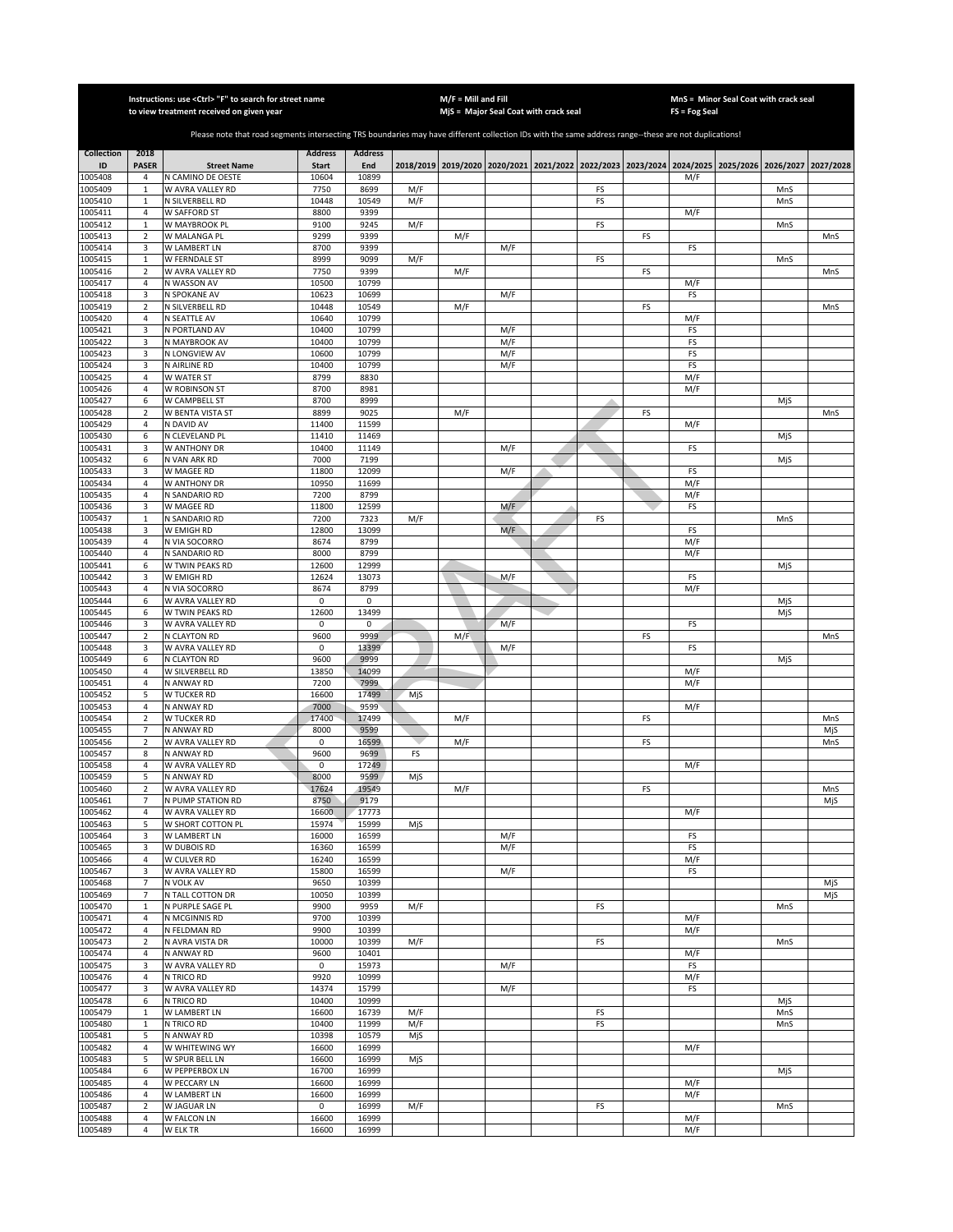|                    |                                | Instructions: use <ctrl> "F" to search for street name<br/>to view treatment received on given year</ctrl>                                            |                     |                     |            | $M/F =$ Mill and Fill | MjS = Major Seal Coat with crack seal |          |    | FS = Fog Seal                                                                                       | MnS = Minor Seal Coat with crack seal |            |     |
|--------------------|--------------------------------|-------------------------------------------------------------------------------------------------------------------------------------------------------|---------------------|---------------------|------------|-----------------------|---------------------------------------|----------|----|-----------------------------------------------------------------------------------------------------|---------------------------------------|------------|-----|
|                    |                                |                                                                                                                                                       |                     |                     |            |                       |                                       |          |    |                                                                                                     |                                       |            |     |
|                    |                                | Please note that road segments intersecting TRS boundaries may have different collection IDs with the same address range--these are not duplications! |                     |                     |            |                       |                                       |          |    |                                                                                                     |                                       |            |     |
| Collection         | 2018                           |                                                                                                                                                       | <b>Address</b>      | <b>Address</b>      |            |                       |                                       |          |    |                                                                                                     |                                       |            |     |
| ID                 | <b>PASER</b>                   | <b>Street Name</b>                                                                                                                                    | Start               | End                 |            |                       |                                       |          |    | 2018/2019 2019/2020 2020/2021 2021/2022 2022/2023 2023/2024 2024/2025 2025/2026 2026/2027 2027/2028 |                                       |            |     |
| 1005408<br>1005409 | 4<br>$\mathbf 1$               | N CAMINO DE OESTE<br>W AVRA VALLEY RD                                                                                                                 | 10604<br>7750       | 10899<br>8699       | M/F        |                       |                                       | FS       |    | M/F                                                                                                 |                                       | MnS        |     |
| 1005410            | $\mathbf 1$                    | N SILVERBELL RD                                                                                                                                       | 10448               | 10549               | M/F        |                       |                                       | FS       |    |                                                                                                     |                                       | MnS        |     |
| 1005411            | $\overline{4}$                 | W SAFFORD ST                                                                                                                                          | 8800                | 9399                |            |                       |                                       |          |    | M/F                                                                                                 |                                       |            |     |
| 1005412            | $\mathbf 1$                    | W MAYBROOK PL                                                                                                                                         | 9100                | 9245                | M/F        |                       |                                       | FS       |    |                                                                                                     |                                       | MnS        |     |
| 1005413<br>1005414 | $\sqrt{2}$<br>3                | W MALANGA PL<br>W LAMBERT LN                                                                                                                          | 9299<br>8700        | 9399<br>9399        |            | M/F                   | M/F                                   |          | FS | FS                                                                                                  |                                       |            | MnS |
| 1005415            | $\mathbf{1}$                   | <b>W FERNDALE ST</b>                                                                                                                                  | 8999                | 9099                | M/F        |                       |                                       | FS       |    |                                                                                                     |                                       | MnS        |     |
| 1005416            | 2                              | W AVRA VALLEY RD                                                                                                                                      | 7750                | 9399                |            | M/F                   |                                       |          | FS |                                                                                                     |                                       |            | MnS |
| 1005417<br>1005418 | 4<br>3                         | N WASSON AV<br>N SPOKANE AV                                                                                                                           | 10500<br>10623      | 10799<br>10699      |            |                       | M/F                                   |          |    | M/F                                                                                                 |                                       |            |     |
| 1005419            | $\overline{2}$                 | N SILVERBELL RD                                                                                                                                       | 10448               | 10549               |            | M/F                   |                                       |          | FS | FS                                                                                                  |                                       |            | MnS |
| 1005420            | 4                              | N SEATTLE AV                                                                                                                                          | 10640               | 10799               |            |                       |                                       |          |    | M/F                                                                                                 |                                       |            |     |
| 1005421            | 3                              | N PORTLAND AV                                                                                                                                         | 10400               | 10799               |            |                       | M/F                                   |          |    | FS                                                                                                  |                                       |            |     |
| 1005422<br>1005423 | 3<br>3                         | N MAYBROOK AV<br>N LONGVIEW AV                                                                                                                        | 10400<br>10600      | 10799<br>10799      |            |                       | M/F<br>M/F                            |          |    | FS<br>FS                                                                                            |                                       |            |     |
| 1005424            | 3                              | N AIRLINE RD                                                                                                                                          | 10400               | 10799               |            |                       | M/F                                   |          |    | FS                                                                                                  |                                       |            |     |
| 1005425            | $\overline{4}$                 | <b>W WATER ST</b>                                                                                                                                     | 8799                | 8830                |            |                       |                                       |          |    | M/F                                                                                                 |                                       |            |     |
| 1005426            | $\overline{4}$                 | W ROBINSON ST                                                                                                                                         | 8700                | 8981                |            |                       |                                       |          |    | M/F                                                                                                 |                                       |            |     |
| 1005427<br>1005428 | 6<br>2                         | W CAMPBELL ST<br>W BENTA VISTA ST                                                                                                                     | 8700<br>8899        | 8999<br>9025        |            | M/F                   |                                       |          | FS |                                                                                                     |                                       | MjS        | MnS |
| 1005429            | $\sqrt{4}$                     | N DAVID AV                                                                                                                                            | 11400               | 11599               |            |                       |                                       |          |    | M/F                                                                                                 |                                       |            |     |
| 1005430            | 6                              | N CLEVELAND PL                                                                                                                                        | 11410               | 11469               |            |                       |                                       |          |    |                                                                                                     |                                       | MjS        |     |
| 1005431            | 3                              | W ANTHONY DR                                                                                                                                          | 10400               | 11149               |            |                       | M/F                                   |          |    | FS                                                                                                  |                                       |            |     |
| 1005432<br>1005433 | 6<br>3                         | N VAN ARK RD<br>W MAGEE RD                                                                                                                            | 7000<br>11800       | 7199<br>12099       |            |                       | M/F                                   |          |    | FS                                                                                                  |                                       | MjS        |     |
| 1005434            | $\overline{4}$                 | W ANTHONY DR                                                                                                                                          | 10950               | 11699               |            |                       |                                       |          |    | M/F                                                                                                 |                                       |            |     |
| 1005435            | 4                              | N SANDARIO RD                                                                                                                                         | 7200                | 8799                |            |                       |                                       |          |    | M/F                                                                                                 |                                       |            |     |
| 1005436            | 3                              | W MAGEE RD                                                                                                                                            | 11800               | 12599               |            |                       | M/F                                   |          |    | FS                                                                                                  |                                       |            |     |
| 1005437<br>1005438 | $\mathbf 1$<br>3               | N SANDARIO RD<br>W EMIGH RD                                                                                                                           | 7200<br>12800       | 7323<br>13099       | M/F        |                       | M/F                                   | FS       |    | FS                                                                                                  |                                       | MnS        |     |
| 1005439            | 4                              | N VIA SOCORRO                                                                                                                                         | 8674                | 8799                |            |                       |                                       |          |    | M/F                                                                                                 |                                       |            |     |
| 1005440            | $\overline{4}$                 | N SANDARIO RD                                                                                                                                         | 8000                | 8799                |            |                       |                                       |          |    | M/F                                                                                                 |                                       |            |     |
| 1005441            | 6                              | W TWIN PEAKS RD                                                                                                                                       | 12600               | 12999               |            |                       |                                       |          |    |                                                                                                     |                                       | MjS        |     |
| 1005442<br>1005443 | 3<br>4                         | W EMIGH RD<br>N VIA SOCORRO                                                                                                                           | 12624<br>8674       | 13073<br>8799       |            |                       | M/F                                   |          |    | FS<br>M/F                                                                                           |                                       |            |     |
| 1005444            | 6                              | W AVRA VALLEY RD                                                                                                                                      | 0                   | 0                   |            |                       |                                       |          |    |                                                                                                     |                                       | MjS        |     |
| 1005445            | 6                              | W TWIN PEAKS RD                                                                                                                                       | 12600               | 13499               |            |                       |                                       |          |    |                                                                                                     |                                       | MjS        |     |
| 1005446            | 3                              | W AVRA VALLEY RD                                                                                                                                      | 0                   | $\mathbf 0$<br>9999 |            |                       | M/F                                   |          |    | FS                                                                                                  |                                       |            |     |
| 1005447<br>1005448 | $\overline{2}$<br>3            | N CLAYTON RD<br>W AVRA VALLEY RD                                                                                                                      | 9600<br>$\mathbf 0$ | 13399               |            | M/F                   | M/F                                   |          | FS | FS                                                                                                  |                                       |            | MnS |
| 1005449            | 6                              | N CLAYTON RD                                                                                                                                          | 9600                | 9999                |            |                       |                                       |          |    |                                                                                                     |                                       | MjS        |     |
| 1005450            | $\overline{4}$                 | W SILVERBELL RD                                                                                                                                       | 13850               | 14099               |            |                       |                                       |          |    | M/F                                                                                                 |                                       |            |     |
| 1005451<br>1005452 | $\overline{4}$<br>5            | N ANWAY RD<br><b>W TUCKER RD</b>                                                                                                                      | 7200<br>16600       | 7999<br>17499       | MjS        |                       |                                       |          |    | M/F                                                                                                 |                                       |            |     |
| 1005453            | $\sqrt{4}$                     | N ANWAY RD                                                                                                                                            | 7000                | 9599                |            |                       |                                       |          |    | M/F                                                                                                 |                                       |            |     |
| 1005454            | $\mathbf 2$                    | W TUCKER RD                                                                                                                                           | 17400               | 17499               |            | M/F                   |                                       |          | FS |                                                                                                     |                                       |            | MnS |
| 1005455            | $\overline{7}$                 | N ANWAY RD                                                                                                                                            | 8000                | 9599                |            |                       |                                       |          |    |                                                                                                     |                                       |            | MjS |
| 1005456<br>1005457 | $\overline{2}$<br>8            | W AVRA VALLEY RD<br>N ANWAY RD                                                                                                                        | 0<br>9600           | 16599<br>9699       | FS         | M/F                   |                                       |          | FS |                                                                                                     |                                       |            | MnS |
| 1005458            | 4                              | W AVRA VALLEY RD                                                                                                                                      | $\mathbf 0$         | 17249               |            |                       |                                       |          |    | M/F                                                                                                 |                                       |            |     |
| 1005459            | 5                              | N ANWAY RD                                                                                                                                            | 8000                | 9599                | MjS        |                       |                                       |          |    |                                                                                                     |                                       |            |     |
| 1005460<br>1005461 | $\overline{2}$                 | W AVRA VALLEY RD                                                                                                                                      | 17624               | 19549               |            | M/F                   |                                       |          | FS |                                                                                                     |                                       |            | MnS |
| 1005462            | 7<br>4                         | N PUMP STATION RD<br>W AVRA VALLEY RD                                                                                                                 | 8750<br>16600       | 9179<br>17773       |            |                       |                                       |          |    | M/F                                                                                                 |                                       |            | MjS |
| 1005463            | 5                              | W SHORT COTTON PL                                                                                                                                     | 15974               | 15999               | MjS        |                       |                                       |          |    |                                                                                                     |                                       |            |     |
| 1005464            | 3                              | W LAMBERT LN                                                                                                                                          | 16000               | 16599               |            |                       | M/F                                   |          |    | FS                                                                                                  |                                       |            |     |
| 1005465<br>1005466 | 3<br>4                         | W DUBOIS RD<br>W CULVER RD                                                                                                                            | 16360<br>16240      | 16599<br>16599      |            |                       | M/F                                   |          |    | FS<br>M/F                                                                                           |                                       |            |     |
| 1005467            | 3                              | W AVRA VALLEY RD                                                                                                                                      | 15800               | 16599               |            |                       | M/F                                   |          |    | FS                                                                                                  |                                       |            |     |
| 1005468            | $\overline{7}$                 | N VOLK AV                                                                                                                                             | 9650                | 10399               |            |                       |                                       |          |    |                                                                                                     |                                       |            | MjS |
| 1005469            | 7                              | N TALL COTTON DR                                                                                                                                      | 10050               | 10399               |            |                       |                                       |          |    |                                                                                                     |                                       |            | MjS |
| 1005470<br>1005471 | $\mathbf{1}$<br>$\overline{4}$ | N PURPLE SAGE PL<br>N MCGINNIS RD                                                                                                                     | 9900<br>9700        | 9959<br>10399       | M/F        |                       |                                       | FS       |    | M/F                                                                                                 |                                       | MnS        |     |
| 1005472            | $\overline{4}$                 | N FELDMAN RD                                                                                                                                          | 9900                | 10399               |            |                       |                                       |          |    | M/F                                                                                                 |                                       |            |     |
| 1005473            | $\overline{2}$                 | N AVRA VISTA DR                                                                                                                                       | 10000               | 10399               | M/F        |                       |                                       | FS       |    |                                                                                                     |                                       | MnS        |     |
| 1005474<br>1005475 | $\overline{4}$<br>3            | N ANWAY RD<br>W AVRA VALLEY RD                                                                                                                        | 9600<br>$\mathbf 0$ | 10401<br>15973      |            |                       | M/F                                   |          |    | M/F<br>FS                                                                                           |                                       |            |     |
| 1005476            | $\overline{4}$                 | N TRICO RD                                                                                                                                            | 9920                | 10999               |            |                       |                                       |          |    | M/F                                                                                                 |                                       |            |     |
| 1005477            | 3                              | W AVRA VALLEY RD                                                                                                                                      | 14374               | 15799               |            |                       | M/F                                   |          |    | FS                                                                                                  |                                       |            |     |
| 1005478            | 6                              | N TRICO RD                                                                                                                                            | 10400               | 10999               |            |                       |                                       |          |    |                                                                                                     |                                       | MjS        |     |
| 1005479<br>1005480 | $\mathbf 1$                    | W LAMBERT LN<br>N TRICO RD                                                                                                                            | 16600<br>10400      | 16739<br>11999      | M/F<br>M/F |                       |                                       | FS<br>FS |    |                                                                                                     |                                       | MnS<br>MnS |     |
| 1005481            | $\mathbf 1$<br>5               | N ANWAY RD                                                                                                                                            | 10398               | 10579               | MjS        |                       |                                       |          |    |                                                                                                     |                                       |            |     |
| 1005482            | 4                              | W WHITEWING WY                                                                                                                                        | 16600               | 16999               |            |                       |                                       |          |    | M/F                                                                                                 |                                       |            |     |
| 1005483            | 5                              | W SPUR BELL LN                                                                                                                                        | 16600               | 16999               | MjS        |                       |                                       |          |    |                                                                                                     |                                       |            |     |
| 1005484<br>1005485 | 6<br>$\sqrt{4}$                | W PEPPERBOX LN<br>W PECCARY LN                                                                                                                        | 16700<br>16600      | 16999<br>16999      |            |                       |                                       |          |    | M/F                                                                                                 |                                       | MjS        |     |
| 1005486            | $\overline{4}$                 | W LAMBERT LN                                                                                                                                          | 16600               | 16999               |            |                       |                                       |          |    | M/F                                                                                                 |                                       |            |     |
| 1005487            | $\overline{2}$                 | W JAGUAR LN                                                                                                                                           | 0                   | 16999               | M/F        |                       |                                       | FS       |    |                                                                                                     |                                       | MnS        |     |
| 1005488            | $\overline{4}$                 | W FALCON LN                                                                                                                                           | 16600               | 16999               |            |                       |                                       |          |    | M/F                                                                                                 |                                       |            |     |
| 1005489            | 4                              | W ELK TR                                                                                                                                              | 16600               | 16999               |            |                       |                                       |          |    | M/F                                                                                                 |                                       |            |     |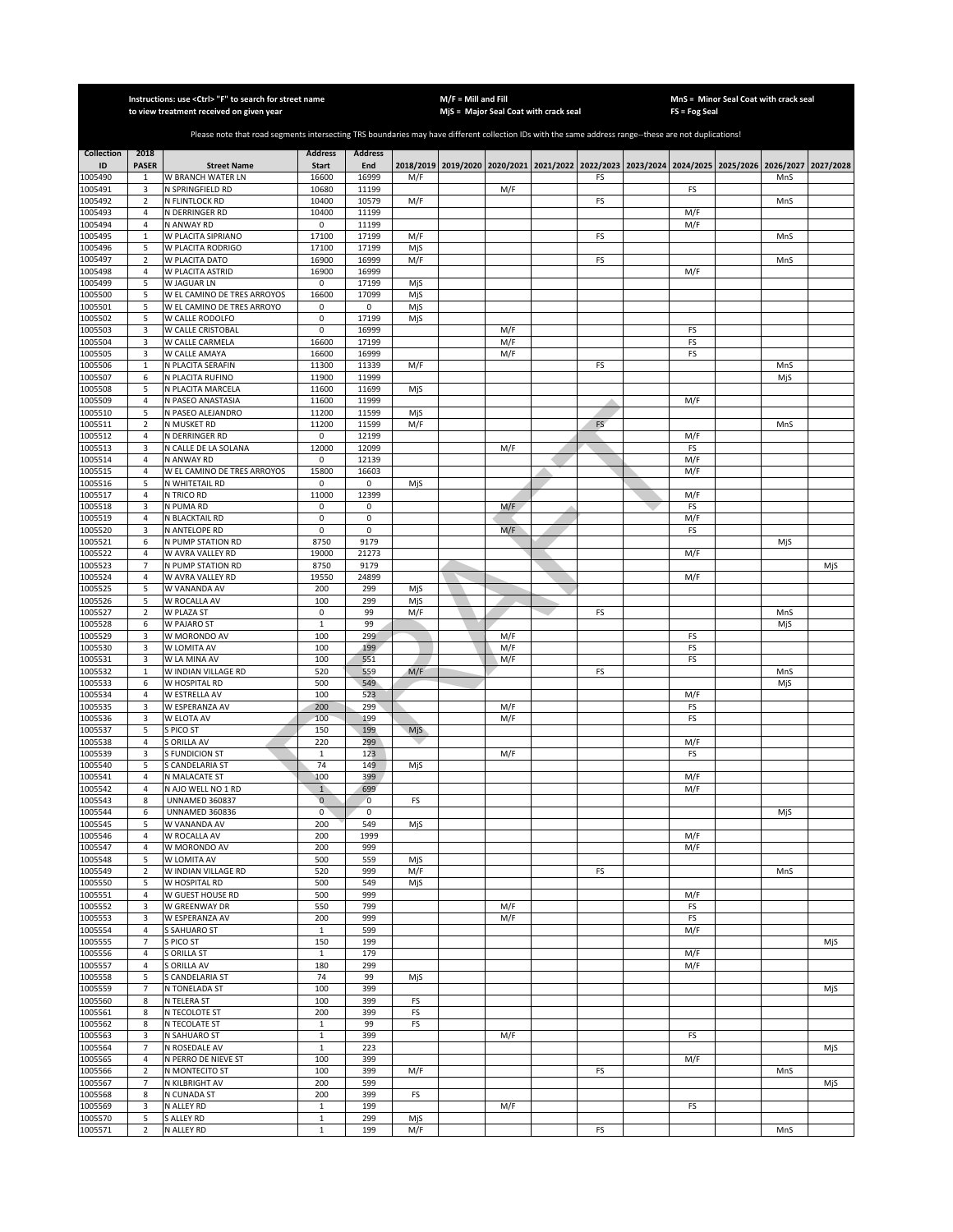|                    |                         | Instructions: use <ctrl> "F" to search for street name<br/>to view treatment received on given year</ctrl>                                            |                              |                  |            | $M/F =$ Mill and Fill | MjS = Major Seal Coat with crack seal                                           |    | FS = Fog Seal | MnS = Minor Seal Coat with crack seal |           |           |
|--------------------|-------------------------|-------------------------------------------------------------------------------------------------------------------------------------------------------|------------------------------|------------------|------------|-----------------------|---------------------------------------------------------------------------------|----|---------------|---------------------------------------|-----------|-----------|
|                    |                         |                                                                                                                                                       |                              |                  |            |                       |                                                                                 |    |               |                                       |           |           |
|                    |                         | Please note that road segments intersecting TRS boundaries may have different collection IDs with the same address range--these are not duplications! |                              |                  |            |                       |                                                                                 |    |               |                                       |           |           |
| <b>Collection</b>  | 2018                    |                                                                                                                                                       | <b>Address</b>               | <b>Address</b>   |            |                       |                                                                                 |    |               |                                       |           |           |
| ID                 | <b>PASER</b>            | <b>Street Name</b>                                                                                                                                    | <b>Start</b>                 | End              |            |                       | 2018/2019 2019/2020 2020/2021 2021/2022 2022/2023 2023/2024 2024/2025 2025/2026 |    |               |                                       | 2026/2027 | 2027/2028 |
| 1005490<br>1005491 | $\mathbf{1}$            | W BRANCH WATER LN<br>N SPRINGFIELD RD                                                                                                                 | 16600<br>10680               | 16999<br>11199   | M/F        |                       | M/F                                                                             | FS | FS            |                                       | MnS       |           |
| 1005492            | 3<br>$\overline{2}$     | N FLINTLOCK RD                                                                                                                                        | 10400                        | 10579            | M/F        |                       |                                                                                 | FS |               |                                       | MnS       |           |
| 1005493            | $\overline{4}$          | N DERRINGER RD                                                                                                                                        | 10400                        | 11199            |            |                       |                                                                                 |    | M/F           |                                       |           |           |
| 1005494            | $\overline{4}$          | N ANWAY RD                                                                                                                                            | $\mathsf 0$                  | 11199            |            |                       |                                                                                 |    | M/F           |                                       |           |           |
| 1005495<br>1005496 | $\mathbf{1}$<br>5       | W PLACITA SIPRIANO<br>W PLACITA RODRIGO                                                                                                               | 17100<br>17100               | 17199<br>17199   | M/F<br>MjS |                       |                                                                                 | FS |               |                                       | MnS       |           |
| 1005497            | $\mathbf 2$             | W PLACITA DATO                                                                                                                                        | 16900                        | 16999            | M/F        |                       |                                                                                 | FS |               |                                       | MnS       |           |
| 1005498            | $\overline{4}$          | W PLACITA ASTRID                                                                                                                                      | 16900                        | 16999            |            |                       |                                                                                 |    | M/F           |                                       |           |           |
| 1005499            | 5                       | W JAGUAR LN                                                                                                                                           | 0                            | 17199            | MjS        |                       |                                                                                 |    |               |                                       |           |           |
| 1005500<br>1005501 | 5<br>5                  | W EL CAMINO DE TRES ARROYOS<br>W EL CAMINO DE TRES ARROYO                                                                                             | 16600<br>0                   | 17099<br>0       | MjS<br>MjS |                       |                                                                                 |    |               |                                       |           |           |
| 1005502            | 5                       | W CALLE RODOLFO                                                                                                                                       | 0                            | 17199            | MjS        |                       |                                                                                 |    |               |                                       |           |           |
| 1005503            | 3                       | W CALLE CRISTOBAL                                                                                                                                     | 0                            | 16999            |            |                       | M/F                                                                             |    | FS            |                                       |           |           |
| 1005504            | 3                       | W CALLE CARMELA                                                                                                                                       | 16600                        | 17199            |            |                       | M/F                                                                             |    | FS            |                                       |           |           |
| 1005505<br>005506  | 3<br>$\,$ 1             | W CALLE AMAYA<br>N PLACITA SERAFIN                                                                                                                    | 16600<br>11300               | 16999<br>11339   | M/F        |                       | M/F                                                                             | FS | FS            |                                       | MnS       |           |
| 005507             | 6                       | N PLACITA RUFINO                                                                                                                                      | 11900                        | 11999            |            |                       |                                                                                 |    |               |                                       | MjS       |           |
| 1005508            | 5                       | N PLACITA MARCELA                                                                                                                                     | 11600                        | 11699            | MjS        |                       |                                                                                 |    |               |                                       |           |           |
| 1005509            | $\overline{4}$          | N PASEO ANASTASIA                                                                                                                                     | 11600                        | 11999            |            |                       |                                                                                 |    | M/F           |                                       |           |           |
| 1005510<br>1005511 | 5<br>$\overline{2}$     | N PASEO ALEJANDRO<br>N MUSKET RD                                                                                                                      | 11200<br>11200               | 11599<br>11599   | MjS<br>M/F |                       |                                                                                 | FS |               |                                       | MnS       |           |
| 1005512            | $\overline{4}$          | N DERRINGER RD                                                                                                                                        | 0                            | 12199            |            |                       |                                                                                 |    | M/F           |                                       |           |           |
| 005513             | 3                       | N CALLE DE LA SOLANA                                                                                                                                  | 12000                        | 12099            |            |                       | M/F                                                                             |    | FS            |                                       |           |           |
| 005514             | 4<br>$\overline{4}$     | N ANWAY RD                                                                                                                                            | 0<br>15800                   | 12139<br>16603   |            |                       |                                                                                 |    | M/F           |                                       |           |           |
| 1005515<br>1005516 | 5                       | W EL CAMINO DE TRES ARROYOS<br>N WHITETAIL RD                                                                                                         | 0                            | 0                | MjS        |                       |                                                                                 |    | M/F           |                                       |           |           |
| 1005517            | $\overline{4}$          | N TRICO RD                                                                                                                                            | 11000                        | 12399            |            |                       |                                                                                 |    | M/F           |                                       |           |           |
| 1005518            | 3                       | N PUMA RD                                                                                                                                             | 0                            | 0                |            |                       | M/F                                                                             |    | FS            |                                       |           |           |
| 1005519<br>1005520 | $\overline{4}$<br>3     | N BLACKTAIL RD<br>N ANTELOPE RD                                                                                                                       | $\mathbf 0$<br>0             | $\mathbf 0$<br>0 |            |                       | M/F                                                                             |    | M/F<br>FS     |                                       |           |           |
| 1005521            | 6                       | N PUMP STATION RD                                                                                                                                     | 8750                         | 9179             |            |                       |                                                                                 |    |               |                                       | MjS       |           |
| 1005522            | $\sqrt{4}$              | W AVRA VALLEY RD                                                                                                                                      | 19000                        | 21273            |            |                       |                                                                                 |    | M/F           |                                       |           |           |
| 1005523            | $\overline{7}$          | N PUMP STATION RD                                                                                                                                     | 8750                         | 9179             |            |                       |                                                                                 |    |               |                                       |           | MjS       |
| 1005524<br>1005525 | $\sqrt{4}$<br>5         | W AVRA VALLEY RD<br>W VANANDA AV                                                                                                                      | 19550<br>200                 | 24899<br>299     | MjS        |                       |                                                                                 |    | M/F           |                                       |           |           |
| 1005526            | 5                       | W ROCALLA AV                                                                                                                                          | 100                          | 299              | MjS        |                       |                                                                                 |    |               |                                       |           |           |
| 1005527            | $\mathbf 2$             | W PLAZA ST                                                                                                                                            | $\pmb{0}$                    | 99               | M/F        |                       |                                                                                 | FS |               |                                       | MnS       |           |
| 1005528            | 6                       | W PAJARO ST                                                                                                                                           | $\mathbf 1$                  | 99               |            |                       |                                                                                 |    |               |                                       | MjS       |           |
| 1005529<br>1005530 | 3<br>3                  | W MORONDO AV<br>W LOMITA AV                                                                                                                           | 100<br>100                   | 299<br>199       |            |                       | M/F<br>M/F                                                                      |    | FS<br>FS      |                                       |           |           |
| 1005531            | 3                       | W LA MINA AV                                                                                                                                          | 100                          | 551              |            |                       | M/F                                                                             |    | FS            |                                       |           |           |
| 1005532            | $\mathbf 1$             | W INDIAN VILLAGE RD                                                                                                                                   | 520                          | 559              | M/F        |                       |                                                                                 | FS |               |                                       | MnS       |           |
| 005533             | 6<br>$\overline{a}$     | W HOSPITAL RD                                                                                                                                         | 500<br>100                   | 549<br>523       |            |                       |                                                                                 |    |               |                                       | MjS       |           |
| 1005534<br>1005535 | 3                       | W ESTRELLA AV<br>W ESPERANZA AV                                                                                                                       | 200                          | 299              |            |                       | M/F                                                                             |    | M/F<br>FS     |                                       |           |           |
| 1005536            | 3                       | W ELOTA AV                                                                                                                                            | 100                          | 199              |            |                       | M/F                                                                             |    | FS            |                                       |           |           |
| 005537             | 5                       | S PICO ST                                                                                                                                             | 150                          | 199              | MjS        |                       |                                                                                 |    |               |                                       |           |           |
| 1005538<br>1005539 | $\overline{a}$<br>3     | S ORILLA AV<br><b>SFUNDICION ST</b>                                                                                                                   | 220<br>$\mathbf{1}$          | 299<br>123       |            |                       | M/F                                                                             |    | M/F<br>FS     |                                       |           |           |
| 1005540            | 5                       | S CANDELARIA ST                                                                                                                                       | 74                           | 149              | MjS        |                       |                                                                                 |    |               |                                       |           |           |
| 1005541            | $\overline{4}$          | N MALACATE ST                                                                                                                                         | 100                          | 399              |            |                       |                                                                                 |    | M/F           |                                       |           |           |
| 1005542            | $\overline{4}$          | N AJO WELL NO 1 RD                                                                                                                                    | $\overline{1}$               | 699              |            |                       |                                                                                 |    | M/F           |                                       |           |           |
| 1005543<br>1005544 | 8<br>6                  | <b>UNNAMED 360837</b><br><b>UNNAMED 360836</b>                                                                                                        | $\mathbf 0$<br>0             | 0<br>$\mathbf 0$ | FS         |                       |                                                                                 |    |               |                                       | MjS       |           |
| 1005545            | 5                       | W VANANDA AV                                                                                                                                          | 200                          | 549              | MjS        |                       |                                                                                 |    |               |                                       |           |           |
| 1005546            | $\overline{4}$          | <b>W ROCALLA AV</b>                                                                                                                                   | 200                          | 1999             |            |                       |                                                                                 |    | M/F           |                                       |           |           |
| 1005547<br>1005548 | $\sqrt{4}$<br>5         | W MORONDO AV<br>W LOMITA AV                                                                                                                           | 200<br>500                   | 999<br>559       |            |                       |                                                                                 |    | M/F           |                                       |           |           |
| 1005549            | $\overline{\mathbf{2}}$ | W INDIAN VILLAGE RD                                                                                                                                   | 520                          | 999              | MjS<br>M/F |                       |                                                                                 | FS |               |                                       | MnS       |           |
| 1005550            | 5                       | W HOSPITAL RD                                                                                                                                         | 500                          | 549              | MjS        |                       |                                                                                 |    |               |                                       |           |           |
| 1005551            | $\sqrt{4}$              | W GUEST HOUSE RD                                                                                                                                      | 500                          | 999              |            |                       |                                                                                 |    | M/F           |                                       |           |           |
| 1005552<br>1005553 | 3<br>3                  | W GREENWAY DR<br>W ESPERANZA AV                                                                                                                       | 550<br>200                   | 799<br>999       |            |                       | M/F<br>M/F                                                                      |    | FS<br>FS      |                                       |           |           |
| 1005554            | $\sqrt{4}$              | S SAHUARO ST                                                                                                                                          | $\mathbf{1}$                 | 599              |            |                       |                                                                                 |    | M/F           |                                       |           |           |
| 1005555            | $\overline{7}$          | S PICO ST                                                                                                                                             | 150                          | 199              |            |                       |                                                                                 |    |               |                                       |           | MjS       |
| 1005556            | 4                       | S ORILLA ST                                                                                                                                           | $\mathbf{1}$                 | 179              |            |                       |                                                                                 |    | M/F           |                                       |           |           |
| 1005557<br>1005558 | $\overline{4}$<br>5     | S ORILLA AV<br>S CANDELARIA ST                                                                                                                        | 180<br>74                    | 299<br>99        | MjS        |                       |                                                                                 |    | M/F           |                                       |           |           |
| 1005559            | $\overline{7}$          | N TONELADA ST                                                                                                                                         | 100                          | 399              |            |                       |                                                                                 |    |               |                                       |           | MjS       |
| 1005560            | 8                       | N TELERA ST                                                                                                                                           | 100                          | 399              | FS         |                       |                                                                                 |    |               |                                       |           |           |
| 1005561            | 8                       | N TECOLOTE ST                                                                                                                                         | 200                          | 399              | FS         |                       |                                                                                 |    |               |                                       |           |           |
| 1005562<br>1005563 | 8<br>3                  | N TECOLATE ST<br>N SAHUARO ST                                                                                                                         | $\mathbf{1}$<br>$\mathbf{1}$ | 99<br>399        | FS         |                       | M/F                                                                             |    | FS            |                                       |           |           |
| 1005564            | 7                       | N ROSEDALE AV                                                                                                                                         | $\mathbf{1}$                 | 223              |            |                       |                                                                                 |    |               |                                       |           | MjS       |
| 1005565            | 4                       | N PERRO DE NIEVE ST                                                                                                                                   | 100                          | 399              |            |                       |                                                                                 |    | M/F           |                                       |           |           |
| 1005566            | $\overline{2}$          | N MONTECITO ST                                                                                                                                        | 100                          | 399              | M/F        |                       |                                                                                 | FS |               |                                       | MnS       |           |
| 1005567<br>1005568 | $\overline{7}$<br>8     | <b>N KILBRIGHT AV</b><br>N CUNADA ST                                                                                                                  | 200<br>200                   | 599<br>399       | FS         |                       |                                                                                 |    |               |                                       |           | MjS       |
| 1005569            | 3                       | N ALLEY RD                                                                                                                                            | $\mathbf{1}$                 | 199              |            |                       | M/F                                                                             |    | FS            |                                       |           |           |
| 1005570            | 5                       | S ALLEY RD                                                                                                                                            | $\mathbf{1}$                 | 299              | MjS        |                       |                                                                                 |    |               |                                       |           |           |
| 1005571            | $\sqrt{2}$              | N ALLEY RD                                                                                                                                            | $\mathbf 1$                  | 199              | M/F        |                       |                                                                                 | FS |               |                                       | MnS       |           |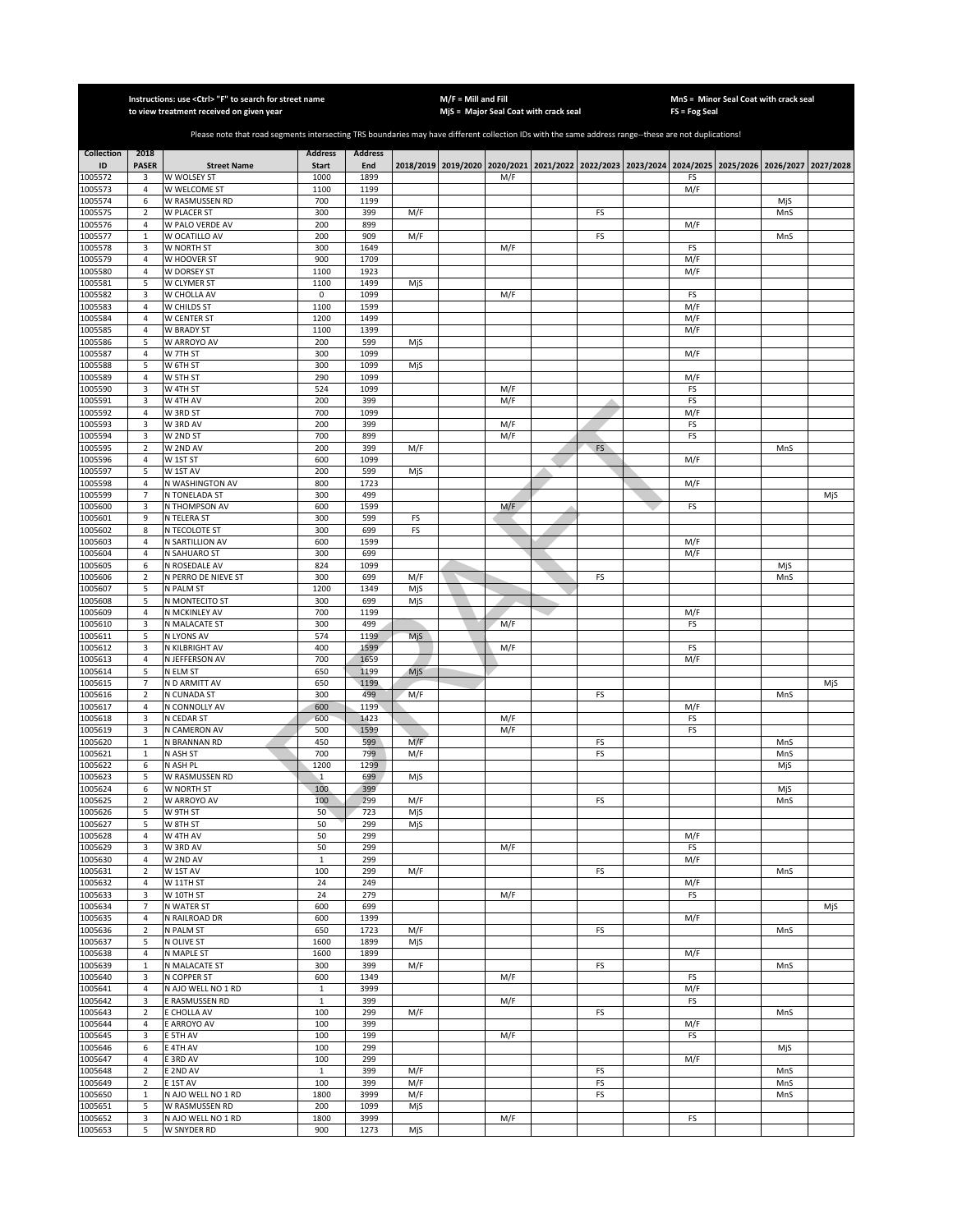|                    |                            | Instructions: use <ctrl> "F" to search for street name<br/>to view treatment received on given year</ctrl>                                            |                     |                |            | $M/F =$ Mill and Fill | MjS = Major Seal Coat with crack seal                                                               |          | FS = Fog Seal | MnS = Minor Seal Coat with crack seal |            |     |
|--------------------|----------------------------|-------------------------------------------------------------------------------------------------------------------------------------------------------|---------------------|----------------|------------|-----------------------|-----------------------------------------------------------------------------------------------------|----------|---------------|---------------------------------------|------------|-----|
|                    |                            |                                                                                                                                                       |                     |                |            |                       |                                                                                                     |          |               |                                       |            |     |
|                    |                            | Please note that road segments intersecting TRS boundaries may have different collection IDs with the same address range--these are not duplications! |                     |                |            |                       |                                                                                                     |          |               |                                       |            |     |
| <b>Collection</b>  | 2018                       |                                                                                                                                                       | <b>Address</b>      | <b>Address</b> |            |                       |                                                                                                     |          |               |                                       |            |     |
| ID                 | <b>PASER</b>               | <b>Street Name</b>                                                                                                                                    | <b>Start</b>        | End            |            |                       | 2018/2019 2019/2020 2020/2021 2021/2022 2022/2023 2023/2024 2024/2025 2025/2026 2026/2027 2027/2028 |          |               |                                       |            |     |
| 1005572            | 3                          | W WOLSEY ST                                                                                                                                           | 1000                | 1899           |            |                       | M/F                                                                                                 |          | FS            |                                       |            |     |
| 1005573<br>1005574 | 4<br>6                     | W WELCOME ST<br>W RASMUSSEN RD                                                                                                                        | 1100<br>700         | 1199<br>1199   |            |                       |                                                                                                     |          | M/F           |                                       | MjS        |     |
| 1005575            | $\mathbf 2$                | W PLACER ST                                                                                                                                           | 300                 | 399            | M/F        |                       |                                                                                                     | FS       |               |                                       | MnS        |     |
| 1005576            | $\sqrt{4}$                 | W PALO VERDE AV                                                                                                                                       | 200                 | 899            |            |                       |                                                                                                     |          | M/F           |                                       |            |     |
| 1005577            | $\mathbf 1$                | W OCATILLO AV                                                                                                                                         | 200                 | 909            | M/F        |                       |                                                                                                     | FS       |               |                                       | MnS        |     |
| 1005578            | 3<br>$\sqrt{4}$            | W NORTH ST                                                                                                                                            | 300<br>900          | 1649<br>1709   |            |                       | M/F                                                                                                 |          | FS<br>M/F     |                                       |            |     |
| 1005579<br>1005580 | 4                          | W HOOVER ST<br>W DORSEY ST                                                                                                                            | 1100                | 1923           |            |                       |                                                                                                     |          | M/F           |                                       |            |     |
| 1005581            | 5                          | W CLYMER ST                                                                                                                                           | 1100                | 1499           | MjS        |                       |                                                                                                     |          |               |                                       |            |     |
| 1005582            | 3                          | W CHOLLA AV                                                                                                                                           | $\mathsf 0$         | 1099           |            |                       | M/F                                                                                                 |          | FS            |                                       |            |     |
| 1005583            | $\sqrt{4}$                 | W CHILDS ST                                                                                                                                           | 1100                | 1599           |            |                       |                                                                                                     |          | M/F           |                                       |            |     |
| 1005584            | 4                          | W CENTER ST                                                                                                                                           | 1200                | 1499           |            |                       |                                                                                                     |          | M/F           |                                       |            |     |
| 1005585<br>1005586 | 4<br>5                     | W BRADY ST<br>W ARROYO AV                                                                                                                             | 1100<br>200         | 1399<br>599    | MjS        |                       |                                                                                                     |          | M/F           |                                       |            |     |
| 1005587            | 4                          | W 7TH ST                                                                                                                                              | 300                 | 1099           |            |                       |                                                                                                     |          | M/F           |                                       |            |     |
| 1005588            | 5                          | W 6TH ST                                                                                                                                              | 300                 | 1099           | MjS        |                       |                                                                                                     |          |               |                                       |            |     |
| 1005589            | 4                          | W 5TH ST                                                                                                                                              | 290                 | 1099           |            |                       |                                                                                                     |          | M/F           |                                       |            |     |
| 1005590            | 3                          | W 4TH ST                                                                                                                                              | 524                 | 1099           |            |                       | M/F                                                                                                 |          | FS            |                                       |            |     |
| 1005591            | 3                          | W 4TH AV                                                                                                                                              | 200                 | 399            |            |                       | M/F                                                                                                 |          | FS            |                                       |            |     |
| 1005592<br>1005593 | 4<br>3                     | W 3RD ST<br>W 3RD AV                                                                                                                                  | 700<br>200          | 1099<br>399    |            |                       | M/F                                                                                                 |          | M/F<br>FS     |                                       |            |     |
| 1005594            | 3                          | W 2ND ST                                                                                                                                              | 700                 | 899            |            |                       | M/F                                                                                                 |          | FS            |                                       |            |     |
| 1005595            | $\overline{2}$             | W 2ND AV                                                                                                                                              | 200                 | 399            | M/F        |                       |                                                                                                     | FS       |               |                                       | MnS        |     |
| 1005596            | 4                          | W 1ST ST                                                                                                                                              | 600                 | 1099           |            |                       |                                                                                                     |          | M/F           |                                       |            |     |
| 1005597            | 5                          | W 1ST AV                                                                                                                                              | 200                 | 599            | MjS        |                       |                                                                                                     |          |               |                                       |            |     |
| 1005598<br>1005599 | 4<br>$\overline{7}$        | N WASHINGTON AV<br>N TONELADA ST                                                                                                                      | 800<br>300          | 1723<br>499    |            |                       |                                                                                                     |          | M/F           |                                       |            | MjS |
| 1005600            | 3                          | N THOMPSON AV                                                                                                                                         | 600                 | 1599           |            |                       | M/F                                                                                                 |          | FS            |                                       |            |     |
| 1005601            | 9                          | N TELERA ST                                                                                                                                           | 300                 | 599            | FS         |                       |                                                                                                     |          |               |                                       |            |     |
| 1005602            | 8                          | N TECOLOTE ST                                                                                                                                         | 300                 | 699            | FS         |                       |                                                                                                     |          |               |                                       |            |     |
| 1005603            | 4                          | N SARTILLION AV                                                                                                                                       | 600                 | 1599           |            |                       |                                                                                                     |          | M/F           |                                       |            |     |
| 1005604            | 4<br>6                     | N SAHUARO ST                                                                                                                                          | 300<br>824          | 699<br>1099    |            |                       |                                                                                                     |          | M/F           |                                       |            |     |
| 1005605<br>1005606 | $\sqrt{2}$                 | N ROSEDALE AV<br>N PERRO DE NIEVE ST                                                                                                                  | 300                 | 699            | M/F        |                       |                                                                                                     | FS       |               |                                       | MjS<br>MnS |     |
| 1005607            | 5                          | N PALM ST                                                                                                                                             | 1200                | 1349           | MjS        |                       |                                                                                                     |          |               |                                       |            |     |
| 1005608            | 5                          | N MONTECITO ST                                                                                                                                        | 300                 | 699            | MjS        |                       |                                                                                                     |          |               |                                       |            |     |
| 1005609            | 4                          | N MCKINLEY AV                                                                                                                                         | 700                 | 1199           |            |                       |                                                                                                     |          | M/F           |                                       |            |     |
| 1005610            | 3                          | N MALACATE ST                                                                                                                                         | 300                 | 499            |            |                       | M/F                                                                                                 |          | FS            |                                       |            |     |
| 1005611<br>1005612 | 5<br>3                     | N LYONS AV<br>N KILBRIGHT AV                                                                                                                          | 574<br>400          | 1199<br>1599   | MjS        |                       | M/F                                                                                                 |          | FS            |                                       |            |     |
| 1005613            | 4                          | N JEFFERSON AV                                                                                                                                        | 700                 | 1659           |            |                       |                                                                                                     |          | M/F           |                                       |            |     |
| 1005614            | 5                          | N ELM ST                                                                                                                                              | 650                 | 1199           | MjS        |                       |                                                                                                     |          |               |                                       |            |     |
| 1005615            | 7                          | N D ARMITT AV                                                                                                                                         | 650                 | 1199           |            |                       |                                                                                                     |          |               |                                       |            | MjS |
| 1005616            | $\overline{2}$             | N CUNADA ST                                                                                                                                           | 300                 | 499            | M/F        |                       |                                                                                                     | FS       |               |                                       | MnS        |     |
| 1005617<br>1005618 | $\overline{4}$<br>3        | N CONNOLLY AV<br>N CEDAR ST                                                                                                                           | 600<br>600          | 1199<br>1423   |            |                       | M/F                                                                                                 |          | M/F<br>FS     |                                       |            |     |
| 1005619            | 3                          | N CAMERON AV                                                                                                                                          | 500                 | 1599           |            |                       | M/F                                                                                                 |          | FS            |                                       |            |     |
| 1005620            | $\mathbf 1$                | N BRANNAN RD                                                                                                                                          | 450                 | 599            | M/F        |                       |                                                                                                     | FS       |               |                                       | MnS        |     |
| 1005621            | $\mathbf 1$                | N ASH ST                                                                                                                                              | 700                 | 799            | M/F        |                       |                                                                                                     | FS       |               |                                       | MnS        |     |
| 1005622            | 6                          | N ASH PL                                                                                                                                              | 1200                | 1299           |            |                       |                                                                                                     |          |               |                                       | MjS        |     |
| 1005623<br>1005624 | 5<br>6                     | W RASMUSSEN RD<br>W NORTH ST                                                                                                                          | $\mathbf{1}$<br>100 | 699<br>399     | MjS        |                       |                                                                                                     |          |               |                                       | MjS        |     |
| 1005625            | 2                          | W ARROYO AV                                                                                                                                           | 100                 | 299            | M/F        |                       |                                                                                                     | FS       |               |                                       | MnS        |     |
| 1005626            | 5                          | W 9TH ST                                                                                                                                              | 50                  | 723            | MjS        |                       |                                                                                                     |          |               |                                       |            |     |
| 1005627            | 5                          | W 8TH ST                                                                                                                                              | 50                  | 299            | MjS        |                       |                                                                                                     |          |               |                                       |            |     |
| 1005628            | 4                          | W 4TH AV                                                                                                                                              | 50                  | 299            |            |                       |                                                                                                     |          | M/F           |                                       |            |     |
| 1005629<br>1005630 | 3<br>4                     | W 3RD AV<br>W 2ND AV                                                                                                                                  | 50<br>$\mathbf 1$   | 299<br>299     |            |                       | M/F                                                                                                 |          | FS<br>M/F     |                                       |            |     |
| 1005631            | $\overline{2}$             | W 1ST AV                                                                                                                                              | 100                 | 299            | M/F        |                       |                                                                                                     | FS       |               |                                       | MnS        |     |
| 1005632            | 4                          | W 11TH ST                                                                                                                                             | 24                  | 249            |            |                       |                                                                                                     |          | M/F           |                                       |            |     |
| 1005633            | 3                          | W 10TH ST                                                                                                                                             | 24                  | 279            |            |                       | M/F                                                                                                 |          | FS            |                                       |            |     |
| 1005634            | $\overline{7}$             | N WATER ST                                                                                                                                            | 600                 | 699            |            |                       |                                                                                                     |          |               |                                       |            | MjS |
| 1005635<br>1005636 | 4<br>$\overline{2}$        | N RAILROAD DR<br>N PALM ST                                                                                                                            | 600<br>650          | 1399<br>1723   | M/F        |                       |                                                                                                     | FS       | M/F           |                                       | MnS        |     |
| 1005637            | 5                          | N OLIVE ST                                                                                                                                            | 1600                | 1899           | MjS        |                       |                                                                                                     |          |               |                                       |            |     |
| 1005638            | 4                          | N MAPLE ST                                                                                                                                            | 1600                | 1899           |            |                       |                                                                                                     |          | M/F           |                                       |            |     |
| 1005639            | $\mathbf{1}$               | N MALACATE ST                                                                                                                                         | 300                 | 399            | M/F        |                       |                                                                                                     | FS       |               |                                       | MnS        |     |
| 1005640            | 3                          | N COPPER ST                                                                                                                                           | 600                 | 1349           |            |                       | M/F                                                                                                 |          | FS            |                                       |            |     |
| 1005641            | 4                          | N AJO WELL NO 1 RD                                                                                                                                    | $\mathbf{1}$        | 3999           |            |                       |                                                                                                     |          | M/F           |                                       |            |     |
| 1005642<br>1005643 | 3<br>$\overline{2}$        | E RASMUSSEN RD<br>E CHOLLA AV                                                                                                                         | $\mathbf{1}$<br>100 | 399<br>299     | M/F        |                       | M/F                                                                                                 | FS       | FS            |                                       | MnS        |     |
| 1005644            | $\sqrt{4}$                 | E ARROYO AV                                                                                                                                           | 100                 | 399            |            |                       |                                                                                                     |          | M/F           |                                       |            |     |
| 1005645            | 3                          | E 5TH AV                                                                                                                                              | 100                 | 199            |            |                       | M/F                                                                                                 |          | FS            |                                       |            |     |
| 1005646            | 6                          | E 4TH AV                                                                                                                                              | 100                 | 299            |            |                       |                                                                                                     |          |               |                                       | MjS        |     |
| 1005647            | $\sqrt{4}$                 | E 3RD AV                                                                                                                                              | 100                 | 299            |            |                       |                                                                                                     |          | M/F           |                                       |            |     |
| 1005648            | $\mathbf 2$                | E 2ND AV                                                                                                                                              | $\mathbf{1}$        | 399            | M/F        |                       |                                                                                                     | FS       |               |                                       | MnS        |     |
| 1005649<br>1005650 | $\mathbf 2$<br>$\mathbf 1$ | E 1ST AV<br>N AJO WELL NO 1 RD                                                                                                                        | 100<br>1800         | 399<br>3999    | M/F<br>M/F |                       |                                                                                                     | FS<br>FS |               |                                       | MnS<br>MnS |     |
| 1005651            | 5                          | W RASMUSSEN RD                                                                                                                                        | 200                 | 1099           | MjS        |                       |                                                                                                     |          |               |                                       |            |     |
| 1005652            | 3                          | N AJO WELL NO 1 RD                                                                                                                                    | 1800                | 3999           |            |                       | M/F                                                                                                 |          | FS            |                                       |            |     |
| 1005653            | 5                          | W SNYDER RD                                                                                                                                           | 900                 | 1273           | MjS        |                       |                                                                                                     |          |               |                                       |            |     |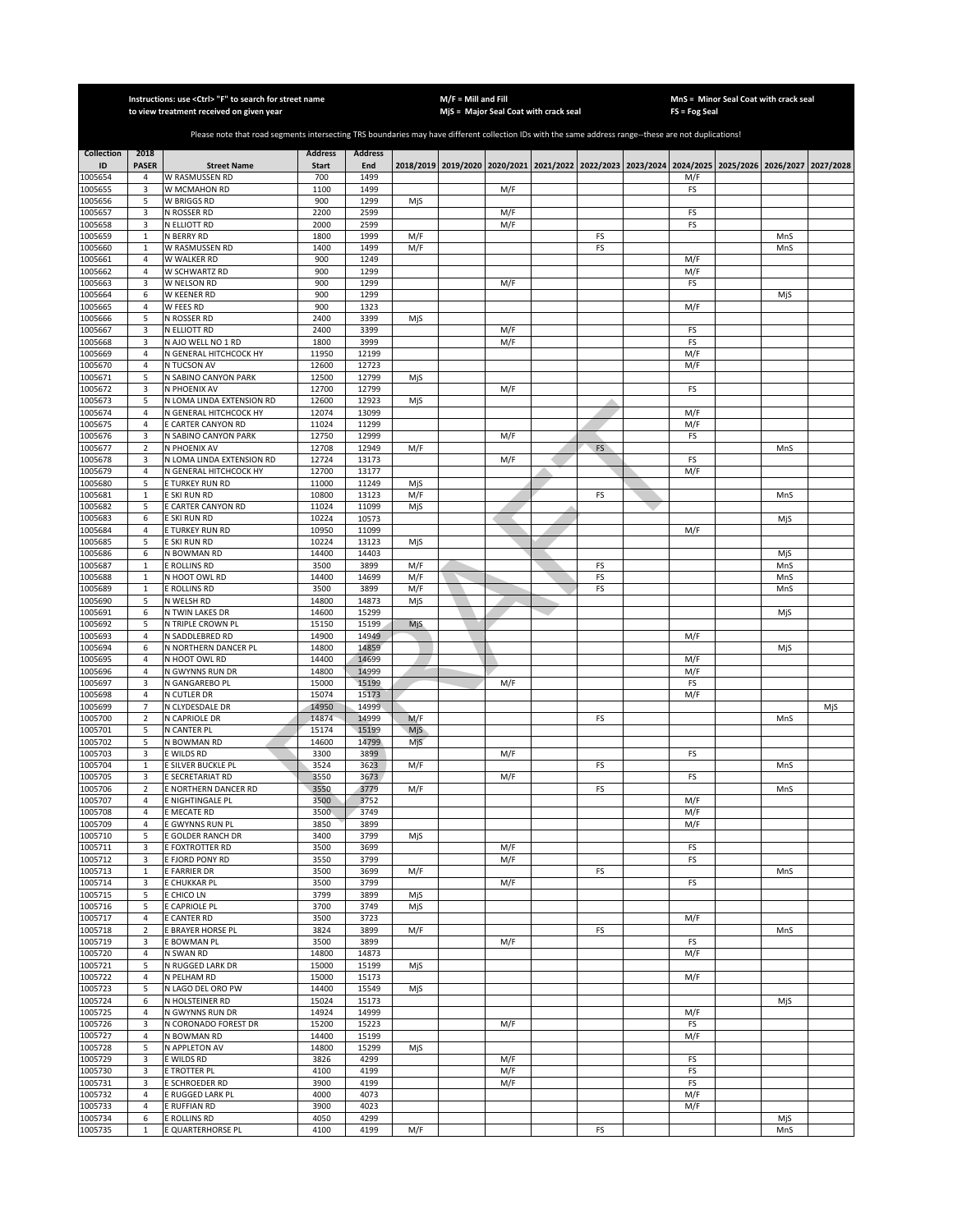|                         |                      | Instructions: use < Ctrl> "F" to search for street name<br>to view treatment received on given year                                                   |                                |                       |            | $M/F =$ Mill and Fill | MjS = Major Seal Coat with crack seal |           | FS = Fog Seal | MnS = Minor Seal Coat with crack seal                                                     |            |           |
|-------------------------|----------------------|-------------------------------------------------------------------------------------------------------------------------------------------------------|--------------------------------|-----------------------|------------|-----------------------|---------------------------------------|-----------|---------------|-------------------------------------------------------------------------------------------|------------|-----------|
|                         |                      |                                                                                                                                                       |                                |                       |            |                       |                                       |           |               |                                                                                           |            |           |
|                         |                      | Please note that road segments intersecting TRS boundaries may have different collection IDs with the same address range--these are not duplications! |                                |                       |            |                       |                                       |           |               |                                                                                           |            |           |
| <b>Collection</b><br>ID | 2018<br><b>PASER</b> | <b>Street Name</b>                                                                                                                                    | <b>Address</b><br><b>Start</b> | <b>Address</b><br>End |            |                       |                                       |           |               | 2018/2019 2019/2020 2020/2021 2021/2022 2022/2023 2023/2024 2024/2025 2025/2026 2026/2027 |            |           |
| 1005654                 | 4                    | W RASMUSSEN RD                                                                                                                                        | 700                            | 1499                  |            |                       |                                       |           | M/F           |                                                                                           |            | 2027/2028 |
| 1005655                 | 3                    | W MCMAHON RD                                                                                                                                          | 1100                           | 1499                  |            |                       | M/F                                   |           | FS            |                                                                                           |            |           |
| 1005656                 | 5                    | <b>W BRIGGS RD</b>                                                                                                                                    | 900                            | 1299                  | MjS        |                       |                                       |           |               |                                                                                           |            |           |
| 1005657<br>1005658      | 3<br>$\overline{3}$  | N ROSSER RD<br>N ELLIOTT RD                                                                                                                           | 2200<br>2000                   | 2599<br>2599          |            |                       | M/F<br>M/F                            |           | FS<br>FS      |                                                                                           |            |           |
| 1005659                 | $\mathbf{1}$         | N BERRY RD                                                                                                                                            | 1800                           | 1999                  | M/F        |                       |                                       | FS        |               |                                                                                           | MnS        |           |
| 1005660                 | $\mathbf 1$          | W RASMUSSEN RD                                                                                                                                        | 1400                           | 1499                  | M/F        |                       |                                       | FS        |               |                                                                                           | MnS        |           |
| 1005661<br>1005662      | $\sqrt{4}$<br>4      | W WALKER RD<br>W SCHWARTZ RD                                                                                                                          | 900<br>900                     | 1249<br>1299          |            |                       |                                       |           | M/F<br>M/F    |                                                                                           |            |           |
| 1005663                 | 3                    | W NELSON RD                                                                                                                                           | 900                            | 1299                  |            |                       | M/F                                   |           | FS            |                                                                                           |            |           |
| 1005664                 | 6                    | W KEENER RD                                                                                                                                           | 900                            | 1299                  |            |                       |                                       |           |               |                                                                                           | MjS        |           |
| 1005665                 | 4                    | W FEES RD                                                                                                                                             | 900                            | 1323                  |            |                       |                                       |           | M/F           |                                                                                           |            |           |
| 1005666<br>1005667      | 5<br>3               | N ROSSER RD<br>N ELLIOTT RD                                                                                                                           | 2400<br>2400                   | 3399<br>3399          | MjS        |                       | M/F                                   |           | FS            |                                                                                           |            |           |
| 1005668                 | 3                    | N AJO WELL NO 1 RD                                                                                                                                    | 1800                           | 3999                  |            |                       | M/F                                   |           | FS            |                                                                                           |            |           |
| 1005669                 | $\sqrt{4}$           | N GENERAL HITCHCOCK HY                                                                                                                                | 11950                          | 12199                 |            |                       |                                       |           | M/F           |                                                                                           |            |           |
| 1005670                 | 4                    | N TUCSON AV                                                                                                                                           | 12600                          | 12723                 |            |                       |                                       |           | M/F           |                                                                                           |            |           |
| 1005671<br>1005672      | 5<br>3               | N SABINO CANYON PARK<br>N PHOENIX AV                                                                                                                  | 12500<br>12700                 | 12799<br>12799        | MjS        |                       | M/F                                   |           | FS            |                                                                                           |            |           |
| 1005673                 | 5                    | N LOMA LINDA EXTENSION RD                                                                                                                             | 12600                          | 12923                 | MjS        |                       |                                       |           |               |                                                                                           |            |           |
| 1005674                 | 4                    | N GENERAL HITCHCOCK HY                                                                                                                                | 12074                          | 13099                 |            |                       |                                       |           | M/F           |                                                                                           |            |           |
| 1005675                 | $\sqrt{4}$           | E CARTER CANYON RD                                                                                                                                    | 11024                          | 11299                 |            |                       |                                       |           | M/F           |                                                                                           |            |           |
| 1005676<br>1005677      | 3<br>$\overline{2}$  | N SABINO CANYON PARK<br>N PHOENIX AV                                                                                                                  | 12750<br>12708                 | 12999<br>12949        | M/F        |                       | M/F                                   | <b>FS</b> | FS            |                                                                                           | MnS        |           |
| 1005678                 | 3                    | N LOMA LINDA EXTENSION RD                                                                                                                             | 12724                          | 13173                 |            |                       | M/F                                   |           | FS            |                                                                                           |            |           |
| 1005679                 | $\sqrt{4}$           | N GENERAL HITCHCOCK HY                                                                                                                                | 12700                          | 13177                 |            |                       |                                       |           | M/F           |                                                                                           |            |           |
| 1005680                 | 5                    | E TURKEY RUN RD                                                                                                                                       | 11000                          | 11249                 | MjS        |                       |                                       |           |               |                                                                                           |            |           |
| 1005681<br>1005682      | $\mathbf 1$<br>5     | E SKI RUN RD<br>E CARTER CANYON RD                                                                                                                    | 10800<br>11024                 | 13123<br>11099        | M/F<br>MjS |                       |                                       | FS        |               |                                                                                           | MnS        |           |
| 1005683                 | 6                    | E SKI RUN RD                                                                                                                                          | 10224                          | 10573                 |            |                       |                                       |           |               |                                                                                           | MjS        |           |
| 1005684                 | 4                    | E TURKEY RUN RD                                                                                                                                       | 10950                          | 11099                 |            |                       |                                       |           | M/F           |                                                                                           |            |           |
| 1005685                 | 5                    | E SKI RUN RD                                                                                                                                          | 10224                          | 13123                 | MjS        |                       |                                       |           |               |                                                                                           |            |           |
| 1005686<br>1005687      | 6<br>$\mathbf 1$     | N BOWMAN RD<br>E ROLLINS RD                                                                                                                           | 14400<br>3500                  | 14403<br>3899         | M/F        |                       |                                       | FS        |               |                                                                                           | MjS        |           |
| 1005688                 | $\mathbf 1$          | N HOOT OWL RD                                                                                                                                         | 14400                          | 14699                 | M/F        |                       |                                       | FS        |               |                                                                                           | MnS<br>MnS |           |
| 1005689                 | $\mathbf 1$          | E ROLLINS RD                                                                                                                                          | 3500                           | 3899                  | M/F        |                       |                                       | FS        |               |                                                                                           | MnS        |           |
| 1005690                 | 5                    | N WELSH RD                                                                                                                                            | 14800                          | 14873                 | MjS        |                       |                                       |           |               |                                                                                           |            |           |
| 1005691                 | 6<br>5               | N TWIN LAKES DR                                                                                                                                       | 14600                          | 15299<br>15199        |            |                       |                                       |           |               |                                                                                           | MjS        |           |
| 1005692<br>1005693      | 4                    | N TRIPLE CROWN PL<br>N SADDLEBRED RD                                                                                                                  | 15150<br>14900                 | 14949                 | MjS.       |                       |                                       |           | M/F           |                                                                                           |            |           |
| 1005694                 | 6                    | N NORTHERN DANCER PL                                                                                                                                  | 14800                          | 14859                 |            |                       |                                       |           |               |                                                                                           | MjS        |           |
| 1005695                 | 4                    | N HOOT OWL RD                                                                                                                                         | 14400                          | 14699                 |            |                       |                                       |           | M/F           |                                                                                           |            |           |
| 1005696<br>1005697      | $\sqrt{4}$<br>3      | N GWYNNS RUN DR<br>N GANGAREBO PL                                                                                                                     | 14800<br>15000                 | 14999<br>15199        |            |                       | M/F                                   |           | M/F<br>FS     |                                                                                           |            |           |
| 1005698                 | $\sqrt{4}$           | N CUTLER DR                                                                                                                                           | 15074                          | 15173                 |            |                       |                                       |           | M/F           |                                                                                           |            |           |
| 1005699                 | $\overline{7}$       | N CLYDESDALE DR                                                                                                                                       | 14950                          | 14999                 |            |                       |                                       |           |               |                                                                                           |            | MjS       |
| 1005700                 | $\overline{2}$       | N CAPRIOLE DR                                                                                                                                         | 14874                          | 14999                 | M/F        |                       |                                       | FS        |               |                                                                                           | MnS        |           |
| 1005701<br>1005702      | 5<br>5               | N CANTER PL<br>N BOWMAN RD                                                                                                                            | 15174<br>14600                 | 15199<br>14799        | MjS<br>MjS |                       |                                       |           |               |                                                                                           |            |           |
| 1005703                 | 3                    | E WILDS RD                                                                                                                                            | 3300                           | 3899                  |            |                       | M/F                                   |           | FS            |                                                                                           |            |           |
| 1005704                 | $\mathbf{1}$         | E SILVER BUCKLE PL                                                                                                                                    | 3524                           | 3623                  | M/F        |                       |                                       | FS        |               |                                                                                           | MnS        |           |
| 1005705                 | 3                    | E SECRETARIAT RD                                                                                                                                      | 3550                           | 3673                  |            |                       | M/F                                   |           | FS            |                                                                                           |            |           |
| 1005706<br>1005707      | $\overline{2}$<br>4  | E NORTHERN DANCER RD<br>E NIGHTINGALE PL                                                                                                              | 3550<br>3500                   | 3779<br>3752          | M/F        |                       |                                       | FS        | M/F           |                                                                                           | MnS        |           |
| 1005708                 | $\overline{4}$       | E MECATE RD                                                                                                                                           | 3500                           | 3749                  |            |                       |                                       |           | M/F           |                                                                                           |            |           |
| 1005709                 | 4                    | E GWYNNS RUN PL                                                                                                                                       | 3850                           | 3899                  |            |                       |                                       |           | M/F           |                                                                                           |            |           |
| 1005710                 | 5                    | E GOLDER RANCH DR                                                                                                                                     | 3400                           | 3799                  | MjS        |                       |                                       |           |               |                                                                                           |            |           |
| 1005711<br>1005712      | 3<br>3               | E FOXTROTTER RD<br>E FJORD PONY RD                                                                                                                    | 3500<br>3550                   | 3699<br>3799          |            |                       | M/F<br>M/F                            |           | FS<br>FS      |                                                                                           |            |           |
| 1005713                 | 1                    | E FARRIER DR                                                                                                                                          | 3500                           | 3699                  | M/F        |                       |                                       | FS        |               |                                                                                           | MnS        |           |
| 1005714                 | 3                    | E CHUKKAR PL                                                                                                                                          | 3500                           | 3799                  |            |                       | M/F                                   |           | FS            |                                                                                           |            |           |
| 1005715                 | 5                    | E CHICO LN                                                                                                                                            | 3799                           | 3899                  | MjS        |                       |                                       |           |               |                                                                                           |            |           |
| 1005716<br>1005717      | 5<br>4               | E CAPRIOLE PL<br>E CANTER RD                                                                                                                          | 3700<br>3500                   | 3749<br>3723          | MjS        |                       |                                       |           | M/F           |                                                                                           |            |           |
| 1005718                 | $\overline{2}$       | E BRAYER HORSE PL                                                                                                                                     | 3824                           | 3899                  | M/F        |                       |                                       | FS        |               |                                                                                           | MnS        |           |
| 1005719                 | 3                    | E BOWMAN PL                                                                                                                                           | 3500                           | 3899                  |            |                       | M/F                                   |           | FS            |                                                                                           |            |           |
| 1005720                 | 4                    | N SWAN RD                                                                                                                                             | 14800                          | 14873                 |            |                       |                                       |           | M/F           |                                                                                           |            |           |
| 1005721<br>1005722      | 5<br>4               | N RUGGED LARK DR<br>N PELHAM RD                                                                                                                       | 15000<br>15000                 | 15199<br>15173        | MjS        |                       |                                       |           | M/F           |                                                                                           |            |           |
| 1005723                 | 5                    | N LAGO DEL ORO PW                                                                                                                                     | 14400                          | 15549                 | MjS        |                       |                                       |           |               |                                                                                           |            |           |
| 1005724                 | 6                    | N HOLSTEINER RD                                                                                                                                       | 15024                          | 15173                 |            |                       |                                       |           |               |                                                                                           | MjS        |           |
| 1005725                 | 4                    | N GWYNNS RUN DR                                                                                                                                       | 14924                          | 14999                 |            |                       |                                       |           | M/F           |                                                                                           |            |           |
| 1005726                 | 3<br>4               | N CORONADO FOREST DR<br>N BOWMAN RD                                                                                                                   | 15200<br>14400                 | 15223<br>15199        |            |                       | M/F                                   |           | FS            |                                                                                           |            |           |
| 1005727<br>1005728      | 5                    | N APPLETON AV                                                                                                                                         | 14800                          | 15299                 | MjS        |                       |                                       |           | M/F           |                                                                                           |            |           |
| 1005729                 | 3                    | E WILDS RD                                                                                                                                            | 3826                           | 4299                  |            |                       | M/F                                   |           | FS            |                                                                                           |            |           |
| 1005730                 | 3                    | E TROTTER PL                                                                                                                                          | 4100                           | 4199                  |            |                       | M/F                                   |           | FS            |                                                                                           |            |           |
| 1005731                 | 3                    | E SCHROEDER RD                                                                                                                                        | 3900                           | 4199                  |            |                       | M/F                                   |           | FS            |                                                                                           |            |           |
| 1005732<br>1005733      | 4<br>$\sqrt{4}$      | E RUGGED LARK PL<br>E RUFFIAN RD                                                                                                                      | 4000<br>3900                   | 4073<br>4023          |            |                       |                                       |           | M/F<br>M/F    |                                                                                           |            |           |
| 1005734                 | 6                    | E ROLLINS RD                                                                                                                                          | 4050                           | 4299                  |            |                       |                                       |           |               |                                                                                           | MjS        |           |
| 1005735                 | $\mathbf 1$          | E QUARTERHORSE PL                                                                                                                                     | 4100                           | 4199                  | M/F        |                       |                                       | FS        |               |                                                                                           | MnS        |           |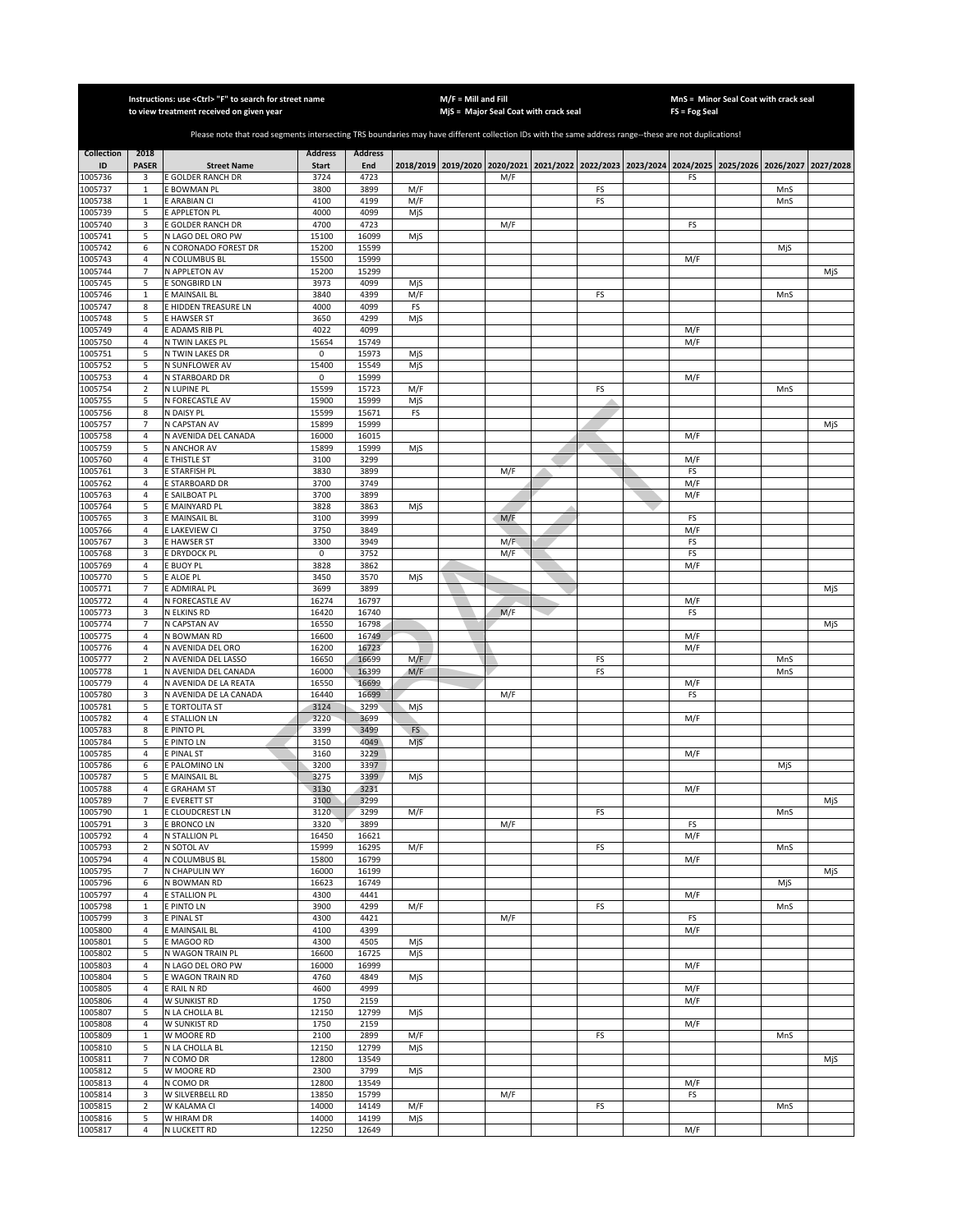|                         |                                  | Instructions: use <ctrl> "F" to search for street name<br/>to view treatment received on given year</ctrl>                                            |                                |                       |            | $M/F =$ Mill and Fill | MjS = Major Seal Coat with crack seal                                                     |    | FS = Fog Seal | MnS = Minor Seal Coat with crack seal |     |           |
|-------------------------|----------------------------------|-------------------------------------------------------------------------------------------------------------------------------------------------------|--------------------------------|-----------------------|------------|-----------------------|-------------------------------------------------------------------------------------------|----|---------------|---------------------------------------|-----|-----------|
|                         |                                  |                                                                                                                                                       |                                |                       |            |                       |                                                                                           |    |               |                                       |     |           |
|                         |                                  | Please note that road segments intersecting TRS boundaries may have different collection IDs with the same address range--these are not duplications! |                                |                       |            |                       |                                                                                           |    |               |                                       |     |           |
| <b>Collection</b><br>ID | 2018<br><b>PASER</b>             | <b>Street Name</b>                                                                                                                                    | <b>Address</b><br><b>Start</b> | <b>Address</b><br>End |            |                       | 2018/2019 2019/2020 2020/2021 2021/2022 2022/2023 2023/2024 2024/2025 2025/2026 2026/2027 |    |               |                                       |     | 2027/2028 |
| 1005736                 | 3                                | E GOLDER RANCH DR                                                                                                                                     | 3724                           | 4723                  |            |                       | M/F                                                                                       |    | FS            |                                       |     |           |
| 1005737                 | $\mathbf{1}$                     | E BOWMAN PL                                                                                                                                           | 3800                           | 3899                  | M/F        |                       |                                                                                           | FS |               |                                       | MnS |           |
| 1005738<br>1005739      | $\mathbf{1}$<br>5                | E ARABIAN CI<br>E APPLETON PL                                                                                                                         | 4100<br>4000                   | 4199<br>4099          | M/F<br>MjS |                       |                                                                                           | FS |               |                                       | MnS |           |
| 1005740                 | 3                                | E GOLDER RANCH DR                                                                                                                                     | 4700                           | 4723                  |            |                       | M/F                                                                                       |    | FS            |                                       |     |           |
| 1005741                 | 5                                | N LAGO DEL ORO PW                                                                                                                                     | 15100                          | 16099                 | MjS        |                       |                                                                                           |    |               |                                       |     |           |
| 1005742<br>1005743      | 6<br>4                           | N CORONADO FOREST DR<br>N COLUMBUS BL                                                                                                                 | 15200<br>15500                 | 15599<br>15999        |            |                       |                                                                                           |    | M/F           |                                       | MjS |           |
| 1005744                 | $\overline{7}$                   | N APPLETON AV                                                                                                                                         | 15200                          | 15299                 |            |                       |                                                                                           |    |               |                                       |     | MjS       |
| 1005745                 | 5                                | E SONGBIRD LN                                                                                                                                         | 3973                           | 4099                  | MjS        |                       |                                                                                           |    |               |                                       |     |           |
| 1005746                 | $\mathbf 1$                      | E MAINSAIL BL                                                                                                                                         | 3840                           | 4399                  | M/F        |                       |                                                                                           | FS |               |                                       | MnS |           |
| 1005747<br>1005748      | 8<br>5                           | E HIDDEN TREASURE LN<br>E HAWSER ST                                                                                                                   | 4000<br>3650                   | 4099<br>4299          | FS<br>MjS  |                       |                                                                                           |    |               |                                       |     |           |
| 1005749                 | 4                                | E ADAMS RIB PL                                                                                                                                        | 4022                           | 4099                  |            |                       |                                                                                           |    | M/F           |                                       |     |           |
| 1005750                 | 4                                | N TWIN LAKES PL                                                                                                                                       | 15654                          | 15749                 |            |                       |                                                                                           |    | M/F           |                                       |     |           |
| 1005751                 | 5                                | N TWIN LAKES DR                                                                                                                                       | 0                              | 15973                 | MjS        |                       |                                                                                           |    |               |                                       |     |           |
| 1005752<br>1005753      | 5<br>$\sqrt{4}$                  | N SUNFLOWER AV<br>N STARBOARD DR                                                                                                                      | 15400<br>0                     | 15549<br>15999        | MjS        |                       |                                                                                           |    | M/F           |                                       |     |           |
| 1005754                 | $\mathbf 2$                      | N LUPINE PL                                                                                                                                           | 15599                          | 15723                 | M/F        |                       |                                                                                           | FS |               |                                       | MnS |           |
| 1005755                 | 5                                | N FORECASTLE AV                                                                                                                                       | 15900                          | 15999                 | MjS        |                       |                                                                                           |    |               |                                       |     |           |
| 1005756                 | 8                                | N DAISY PL                                                                                                                                            | 15599                          | 15671                 | FS         |                       |                                                                                           |    |               |                                       |     |           |
| 1005757<br>1005758      | $\overline{7}$<br>$\overline{a}$ | N CAPSTAN AV<br>N AVENIDA DEL CANADA                                                                                                                  | 15899<br>16000                 | 15999<br>16015        |            |                       |                                                                                           |    | M/F           |                                       |     | MjS       |
| 1005759                 | 5                                | N ANCHOR AV                                                                                                                                           | 15899                          | 15999                 | MjS        |                       |                                                                                           |    |               |                                       |     |           |
| 1005760                 | 4                                | E THISTLE ST                                                                                                                                          | 3100                           | 3299                  |            |                       |                                                                                           |    | M/F           |                                       |     |           |
| 1005761                 | 3                                | E STARFISH PL                                                                                                                                         | 3830                           | 3899                  |            |                       | M/F                                                                                       |    | FS            |                                       |     |           |
| 1005762<br>1005763      | $\overline{4}$<br>$\overline{4}$ | E STARBOARD DR<br>E SAILBOAT PL                                                                                                                       | 3700<br>3700                   | 3749<br>3899          |            |                       |                                                                                           |    | M/F<br>M/F    |                                       |     |           |
| 1005764                 | 5                                | E MAINYARD PL                                                                                                                                         | 3828                           | 3863                  | MjS        |                       |                                                                                           |    |               |                                       |     |           |
| 1005765                 | 3                                | E MAINSAIL BL                                                                                                                                         | 3100                           | 3999                  |            |                       | M/F                                                                                       |    | FS            |                                       |     |           |
| 1005766                 | $\sqrt{4}$                       | E LAKEVIEW CI                                                                                                                                         | 3750                           | 3849                  |            |                       |                                                                                           |    | M/F           |                                       |     |           |
| 1005767<br>1005768      | 3<br>3                           | E HAWSER ST<br>E DRYDOCK PL                                                                                                                           | 3300<br>$\mathsf 0$            | 3949<br>3752          |            |                       | M/F<br>M/F                                                                                |    | FS<br>FS      |                                       |     |           |
| 1005769                 | 4                                | E BUOY PL                                                                                                                                             | 3828                           | 3862                  |            |                       |                                                                                           |    | M/F           |                                       |     |           |
| 1005770                 | 5                                | E ALOE PL                                                                                                                                             | 3450                           | 3570                  | MjS        |                       |                                                                                           |    |               |                                       |     |           |
| 1005771                 | $\overline{7}$                   | E ADMIRAL PL                                                                                                                                          | 3699                           | 3899                  |            |                       |                                                                                           |    |               |                                       |     | MjS       |
| 1005772<br>1005773      | 4<br>3                           | N FORECASTLE AV<br>N ELKINS RD                                                                                                                        | 16274<br>16420                 | 16797<br>16740        |            |                       | M/F                                                                                       |    | M/F<br>FS     |                                       |     |           |
| 1005774                 | 7                                | N CAPSTAN AV                                                                                                                                          | 16550                          | 16798                 |            |                       |                                                                                           |    |               |                                       |     | MjS       |
| 1005775                 | 4                                | N BOWMAN RD                                                                                                                                           | 16600                          | 16749                 |            |                       |                                                                                           |    | M/F           |                                       |     |           |
| 1005776<br>1005777      | 4<br>$\mathbf 2$                 | N AVENIDA DEL ORO<br>N AVENIDA DEL LASSO                                                                                                              | 16200<br>16650                 | 16723<br>16699        | M/F        |                       |                                                                                           | FS | M/F           |                                       | MnS |           |
| 1005778                 | $\mathbf{1}$                     | N AVENIDA DEL CANADA                                                                                                                                  | 16000                          | 16399                 | M/F        |                       |                                                                                           | FS |               |                                       | MnS |           |
| 1005779                 | 4                                | N AVENIDA DE LA REATA                                                                                                                                 | 16550                          | 16699                 |            |                       |                                                                                           |    | M/F           |                                       |     |           |
| 1005780                 | 3                                | N AVENIDA DE LA CANADA                                                                                                                                | 16440                          | 16699                 |            |                       | M/F                                                                                       |    | FS            |                                       |     |           |
| 1005781<br>1005782      | 5<br>4                           | E TORTOLITA ST<br>E STALLION LN                                                                                                                       | 3124<br>3220                   | 3299<br>3699          | MjS        |                       |                                                                                           |    | M/F           |                                       |     |           |
| 1005783                 | 8                                | E PINTO PL                                                                                                                                            | 3399                           | 3499                  | FS         |                       |                                                                                           |    |               |                                       |     |           |
| 1005784                 | 5                                | E PINTO LN                                                                                                                                            | 3150                           | 4049                  | MjS        |                       |                                                                                           |    |               |                                       |     |           |
| 1005785                 | 4                                | E PINAL ST                                                                                                                                            | 3160                           | 3229                  |            |                       |                                                                                           |    | M/F           |                                       |     |           |
| 1005786<br>1005787      | 6<br>5                           | E PALOMINO LN<br>E MAINSAIL BL                                                                                                                        | 3200<br>3275                   | 3397<br>3399          | MjS        |                       |                                                                                           |    |               |                                       | MjS |           |
| 1005788                 | 4                                | E GRAHAM ST                                                                                                                                           | 3130                           | 3231                  |            |                       |                                                                                           |    | M/F           |                                       |     |           |
| 1005789                 | $\overline{7}$                   | E EVERETT ST                                                                                                                                          | 3100                           | 3299                  |            |                       |                                                                                           |    |               |                                       |     | MjS       |
| 1005790                 | $\mathbf{1}$                     | E CLOUDCREST LN                                                                                                                                       | 3120                           | 3299                  | M/F        |                       |                                                                                           | FS |               |                                       | MnS |           |
| 1005791<br>1005792      | 3<br>$\overline{4}$              | E BRONCO LN<br>N STALLION PL                                                                                                                          | 3320<br>16450                  | 3899<br>16621         |            |                       | M/F                                                                                       |    | FS<br>M/F     |                                       |     |           |
| 1005793                 | $\overline{2}$                   | N SOTOL AV                                                                                                                                            | 15999                          | 16295                 | M/F        |                       |                                                                                           | FS |               |                                       | MnS |           |
| 1005794                 | $\overline{4}$                   | N COLUMBUS BL                                                                                                                                         | 15800                          | 16799                 |            |                       |                                                                                           |    | M/F           |                                       |     |           |
| 1005795<br>1005796      | 7<br>6                           | N CHAPULIN WY<br>N BOWMAN RD                                                                                                                          | 16000<br>16623                 | 16199<br>16749        |            |                       |                                                                                           |    |               |                                       | MjS | MjS       |
| 1005797                 | $\overline{4}$                   | E STALLION PL                                                                                                                                         | 4300                           | 4441                  |            |                       |                                                                                           |    | M/F           |                                       |     |           |
| 1005798                 | $\mathbf 1$                      | E PINTO LN                                                                                                                                            | 3900                           | 4299                  | M/F        |                       |                                                                                           | FS |               |                                       | MnS |           |
| 1005799                 | 3                                | E PINAL ST                                                                                                                                            | 4300                           | 4421                  |            |                       | M/F                                                                                       |    | FS            |                                       |     |           |
| 1005800<br>1005801      | 4<br>5                           | E MAINSAIL BL                                                                                                                                         | 4100<br>4300                   | 4399<br>4505          |            |                       |                                                                                           |    | M/F           |                                       |     |           |
| 1005802                 | 5                                | E MAGOO RD<br>N WAGON TRAIN PL                                                                                                                        | 16600                          | 16725                 | MjS<br>MjS |                       |                                                                                           |    |               |                                       |     |           |
| 1005803                 | 4                                | N LAGO DEL ORO PW                                                                                                                                     | 16000                          | 16999                 |            |                       |                                                                                           |    | M/F           |                                       |     |           |
| 1005804                 | 5                                | E WAGON TRAIN RD                                                                                                                                      | 4760                           | 4849                  | MjS        |                       |                                                                                           |    |               |                                       |     |           |
| 1005805<br>1005806      | $\overline{4}$<br>4              | E RAIL N RD<br>W SUNKIST RD                                                                                                                           | 4600<br>1750                   | 4999<br>2159          |            |                       |                                                                                           |    | M/F<br>M/F    |                                       |     |           |
| 1005807                 | 5                                | N LA CHOLLA BL                                                                                                                                        | 12150                          | 12799                 | MjS        |                       |                                                                                           |    |               |                                       |     |           |
| 1005808                 | 4                                | W SUNKIST RD                                                                                                                                          | 1750                           | 2159                  |            |                       |                                                                                           |    | M/F           |                                       |     |           |
| 1005809                 | $\mathbf{1}$                     | W MOORE RD                                                                                                                                            | 2100                           | 2899                  | M/F        |                       |                                                                                           | FS |               |                                       | MnS |           |
| 1005810<br>1005811      | 5<br>$\overline{7}$              | N LA CHOLLA BL<br>N COMO DR                                                                                                                           | 12150<br>12800                 | 12799<br>13549        | MjS        |                       |                                                                                           |    |               |                                       |     | MjS       |
| 1005812                 | 5                                | W MOORE RD                                                                                                                                            | 2300                           | 3799                  | MjS        |                       |                                                                                           |    |               |                                       |     |           |
| 1005813                 | $\overline{4}$                   | N COMO DR                                                                                                                                             | 12800                          | 13549                 |            |                       |                                                                                           |    | M/F           |                                       |     |           |
| 1005814                 | 3                                | W SILVERBELL RD                                                                                                                                       | 13850                          | 15799                 |            |                       | M/F                                                                                       |    | FS            |                                       |     |           |
| 1005815<br>1005816      | $\overline{2}$<br>5              | W KALAMA CI<br>W HIRAM DR                                                                                                                             | 14000<br>14000                 | 14149<br>14199        | M/F<br>MjS |                       |                                                                                           | FS |               |                                       | MnS |           |
| 1005817                 | $\overline{4}$                   | N LUCKETT RD                                                                                                                                          | 12250                          | 12649                 |            |                       |                                                                                           |    | M/F           |                                       |     |           |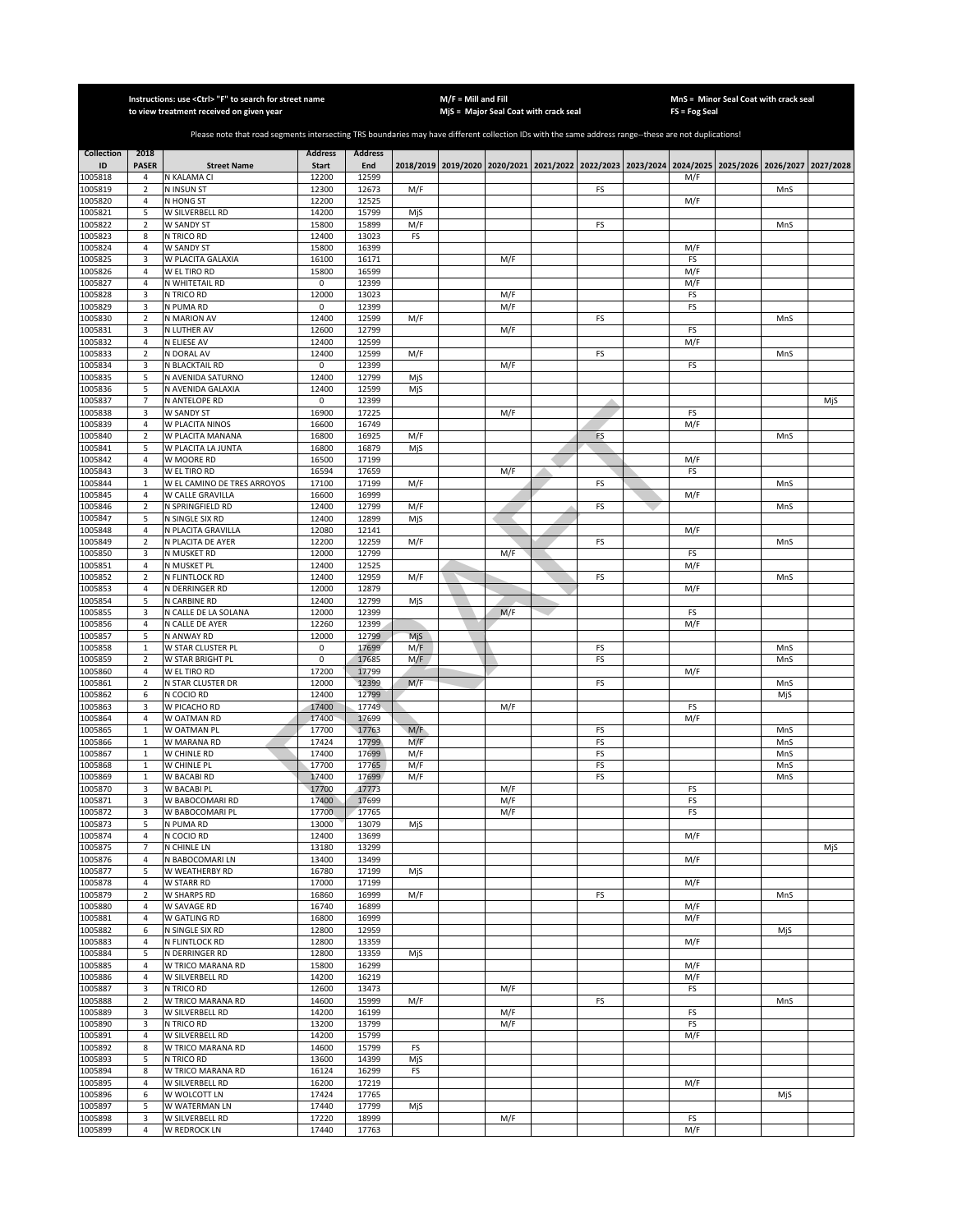|                    |                                  | Instructions: use <ctrl> "F" to search for street name<br/>to view treatment received on given year</ctrl>                                            |                      |                |     | M/F = Mill and Fill | MjS = Major Seal Coat with crack seal |    | FS = Fog Seal | MnS = Minor Seal Coat with crack seal                                                               |     |     |
|--------------------|----------------------------------|-------------------------------------------------------------------------------------------------------------------------------------------------------|----------------------|----------------|-----|---------------------|---------------------------------------|----|---------------|-----------------------------------------------------------------------------------------------------|-----|-----|
|                    |                                  |                                                                                                                                                       |                      |                |     |                     |                                       |    |               |                                                                                                     |     |     |
|                    |                                  | Please note that road segments intersecting TRS boundaries may have different collection IDs with the same address range--these are not duplications! |                      |                |     |                     |                                       |    |               |                                                                                                     |     |     |
| <b>Collection</b>  | 2018                             |                                                                                                                                                       | <b>Address</b>       | <b>Address</b> |     |                     |                                       |    |               |                                                                                                     |     |     |
| ID                 | <b>PASER</b>                     | <b>Street Name</b>                                                                                                                                    | <b>Start</b>         | End            |     |                     |                                       |    |               | 2018/2019 2019/2020 2020/2021 2021/2022 2022/2023 2023/2024 2024/2025 2025/2026 2026/2027 2027/2028 |     |     |
| 1005818<br>1005819 | 4<br>$\overline{2}$              | N KALAMA CI<br><b>N INSUN ST</b>                                                                                                                      | 12200<br>12300       | 12599<br>12673 | M/F |                     |                                       | FS | M/F           |                                                                                                     | MnS |     |
| 1005820            | 4                                | N HONG ST                                                                                                                                             | 12200                | 12525          |     |                     |                                       |    | M/F           |                                                                                                     |     |     |
| 1005821            | 5                                | W SILVERBELL RD                                                                                                                                       | 14200                | 15799          | MjS |                     |                                       |    |               |                                                                                                     |     |     |
| 1005822            | $\overline{2}$                   | W SANDY ST                                                                                                                                            | 15800                | 15899          | M/F |                     |                                       | FS |               |                                                                                                     | MnS |     |
| 1005823<br>1005824 | 8<br>4                           | N TRICO RD<br>W SANDY ST                                                                                                                              | 12400<br>15800       | 13023<br>16399 | FS  |                     |                                       |    | M/F           |                                                                                                     |     |     |
| 1005825            | 3                                | W PLACITA GALAXIA                                                                                                                                     | 16100                | 16171          |     |                     | M/F                                   |    | FS            |                                                                                                     |     |     |
| 1005826            | 4                                | W EL TIRO RD                                                                                                                                          | 15800                | 16599          |     |                     |                                       |    | M/F           |                                                                                                     |     |     |
| 1005827            | $\overline{4}$                   | N WHITETAIL RD                                                                                                                                        | 0                    | 12399          |     |                     |                                       |    | M/F           |                                                                                                     |     |     |
| 1005828            | 3                                | N TRICO RD                                                                                                                                            | 12000                | 13023          |     |                     | M/F                                   |    | FS            |                                                                                                     |     |     |
| 1005829<br>1005830 | 3<br>2                           | N PUMA RD<br>N MARION AV                                                                                                                              | 0<br>12400           | 12399<br>12599 | M/F |                     | M/F                                   | FS | FS            |                                                                                                     | MnS |     |
| 1005831            | 3                                | N LUTHER AV                                                                                                                                           | 12600                | 12799          |     |                     | M/F                                   |    | FS            |                                                                                                     |     |     |
| 1005832            | $\overline{4}$                   | N ELIESE AV                                                                                                                                           | 12400                | 12599          |     |                     |                                       |    | M/F           |                                                                                                     |     |     |
| 1005833            | $\overline{2}$                   | N DORAL AV                                                                                                                                            | 12400                | 12599          | M/F |                     |                                       | FS |               |                                                                                                     | MnS |     |
| 1005834<br>1005835 | 3<br>5                           | N BLACKTAIL RD<br>N AVENIDA SATURNO                                                                                                                   | $\mathsf 0$<br>12400 | 12399<br>12799 | MjS |                     | M/F                                   |    | FS            |                                                                                                     |     |     |
| 1005836            | 5                                | N AVENIDA GALAXIA                                                                                                                                     | 12400                | 12599          | MjS |                     |                                       |    |               |                                                                                                     |     |     |
| 1005837            | $\overline{7}$                   | N ANTELOPE RD                                                                                                                                         | 0                    | 12399          |     |                     |                                       |    |               |                                                                                                     |     | MjS |
| 1005838            | 3                                | W SANDY ST                                                                                                                                            | 16900                | 17225          |     |                     | M/F                                   |    | FS            |                                                                                                     |     |     |
| 1005839<br>1005840 | 4<br>$\mathbf 2$                 | W PLACITA NINOS<br>W PLACITA MANANA                                                                                                                   | 16600<br>16800       | 16749<br>16925 | M/F |                     |                                       | FS | M/F           |                                                                                                     | MnS |     |
| 1005841            | 5                                | W PLACITA LA JUNTA                                                                                                                                    | 16800                | 16879          | MjS |                     |                                       |    |               |                                                                                                     |     |     |
| 1005842            | 4                                | W MOORE RD                                                                                                                                            | 16500                | 17199          |     |                     |                                       |    | M/F           |                                                                                                     |     |     |
| 1005843            | 3                                | W EL TIRO RD                                                                                                                                          | 16594                | 17659          |     |                     | M/F                                   |    | FS            |                                                                                                     |     |     |
| 1005844<br>1005845 | $\,1\,$<br>4                     | W EL CAMINO DE TRES ARROYOS<br>W CALLE GRAVILLA                                                                                                       | 17100<br>16600       | 17199<br>16999 | M/F |                     |                                       | FS | M/F           |                                                                                                     | MnS |     |
| 1005846            | $\overline{2}$                   | N SPRINGFIELD RD                                                                                                                                      | 12400                | 12799          | M/F |                     |                                       | FS |               |                                                                                                     | MnS |     |
| 1005847            | 5                                | N SINGLE SIX RD                                                                                                                                       | 12400                | 12899          | MjS |                     |                                       |    |               |                                                                                                     |     |     |
| 1005848            | $\sqrt{4}$                       | N PLACITA GRAVILLA                                                                                                                                    | 12080                | 12141          |     |                     |                                       |    | M/F           |                                                                                                     |     |     |
| 1005849<br>1005850 | $\overline{2}$<br>3              | N PLACITA DE AYER<br>N MUSKET RD                                                                                                                      | 12200<br>12000       | 12259<br>12799 | M/F |                     | M/F                                   | FS | FS            |                                                                                                     | MnS |     |
| 1005851            | 4                                | N MUSKET PL                                                                                                                                           | 12400                | 12525          |     |                     |                                       |    | M/F           |                                                                                                     |     |     |
| 1005852            | $\overline{2}$                   | N FLINTLOCK RD                                                                                                                                        | 12400                | 12959          | M/F |                     |                                       | FS |               |                                                                                                     | MnS |     |
| 1005853            | 4                                | N DERRINGER RD                                                                                                                                        | 12000                | 12879          |     |                     |                                       |    | M/F           |                                                                                                     |     |     |
| 1005854<br>1005855 | 5<br>3                           | N CARBINE RD<br>N CALLE DE LA SOLANA                                                                                                                  | 12400<br>12000       | 12799<br>12399 | MjS |                     | M/F                                   |    | FS            |                                                                                                     |     |     |
| 1005856            | $\overline{4}$                   | N CALLE DE AYER                                                                                                                                       | 12260                | 12399          |     |                     |                                       |    | M/F           |                                                                                                     |     |     |
| 1005857            | 5                                | N ANWAY RD                                                                                                                                            | 12000                | 12799          | MjS |                     |                                       |    |               |                                                                                                     |     |     |
| 1005858            | $\mathbf 1$                      | W STAR CLUSTER PL                                                                                                                                     | $\mathsf 0$          | 17699          | M/F |                     |                                       | FS |               |                                                                                                     | MnS |     |
| 1005859<br>1005860 | $\overline{2}$<br>$\overline{a}$ | W STAR BRIGHT PL<br><b>WELTIRORD</b>                                                                                                                  | $\mathsf 0$<br>17200 | 17685<br>17799 | M/F |                     |                                       | FS | M/F           |                                                                                                     | MnS |     |
| 1005861            | $\mathbf 2$                      | N STAR CLUSTER DR                                                                                                                                     | 12000                | 12399          | M/F |                     |                                       | FS |               |                                                                                                     | MnS |     |
| 1005862            | 6                                | N COCIO RD                                                                                                                                            | 12400                | 12799          |     |                     |                                       |    |               |                                                                                                     | MjS |     |
| 1005863            | 3                                | W PICACHO RD                                                                                                                                          | 17400                | 17749          |     |                     | M/F                                   |    | FS            |                                                                                                     |     |     |
| 1005864<br>1005865 | $\sqrt{4}$<br>$\mathbf 1$        | W OATMAN RD<br>W OATMAN PL                                                                                                                            | 17400<br>17700       | 17699<br>17763 | M/F |                     |                                       | FS | M/F           |                                                                                                     | MnS |     |
| 1005866            | $\mathbf 1$                      | W MARANA RD                                                                                                                                           | 17424                | 17799          | M/F |                     |                                       | FS |               |                                                                                                     | MnS |     |
| 1005867            | $\mathbf 1$                      | W CHINLE RD                                                                                                                                           | 17400                | 17699          | M/F |                     |                                       | FS |               |                                                                                                     | MnS |     |
| 1005868            | $\mathbf 1$                      | W CHINLE PL                                                                                                                                           | 17700                | 17765          | M/F |                     |                                       | FS |               |                                                                                                     | MnS |     |
| 1005869<br>1005870 | $\mathbf 1$<br>3                 | W BACABI RD<br>W BACABI PL                                                                                                                            | 17400<br>17700       | 17699<br>17773 | M/F |                     | M/F                                   | FS | FS            |                                                                                                     | MnS |     |
| 1005871            | 3                                | W BABOCOMARI RD                                                                                                                                       | 17400                | 17699          |     |                     | M/F                                   |    | FS            |                                                                                                     |     |     |
| 1005872            | 3                                | W BABOCOMARI PL                                                                                                                                       | 17700                | 17765          |     |                     | M/F                                   |    | FS            |                                                                                                     |     |     |
| 1005873            | 5                                | N PUMA RD                                                                                                                                             | 13000                | 13079          | MjS |                     |                                       |    |               |                                                                                                     |     |     |
| 1005874<br>1005875 | $\sqrt{4}$<br>$\overline{7}$     | N COCIO RD<br>N CHINLE LN                                                                                                                             | 12400<br>13180       | 13699<br>13299 |     |                     |                                       |    | M/F           |                                                                                                     |     | MjS |
| 1005876            | 4                                | N BABOCOMARI LN                                                                                                                                       | 13400                | 13499          |     |                     |                                       |    | M/F           |                                                                                                     |     |     |
| 1005877            | 5                                | W WEATHERBY RD                                                                                                                                        | 16780                | 17199          | MjS |                     |                                       |    |               |                                                                                                     |     |     |
| 1005878            | 4                                | <b>W STARR RD</b>                                                                                                                                     | 17000                | 17199          |     |                     |                                       |    | M/F           |                                                                                                     |     |     |
| 1005879<br>1005880 | $\overline{2}$<br>4              | W SHARPS RD<br>W SAVAGE RD                                                                                                                            | 16860<br>16740       | 16999<br>16899 | M/F |                     |                                       | FS | M/F           |                                                                                                     | MnS |     |
| 1005881            | $\overline{4}$                   | W GATLING RD                                                                                                                                          | 16800                | 16999          |     |                     |                                       |    | M/F           |                                                                                                     |     |     |
| 1005882            | 6                                | N SINGLE SIX RD                                                                                                                                       | 12800                | 12959          |     |                     |                                       |    |               |                                                                                                     | MjS |     |
| 1005883            | $\overline{4}$                   | N FLINTLOCK RD                                                                                                                                        | 12800                | 13359          |     |                     |                                       |    | M/F           |                                                                                                     |     |     |
| 1005884<br>1005885 | 5<br>$\overline{4}$              | N DERRINGER RD<br>W TRICO MARANA RD                                                                                                                   | 12800<br>15800       | 13359<br>16299 | MjS |                     |                                       |    | M/F           |                                                                                                     |     |     |
| 1005886            | $\overline{4}$                   | W SILVERBELL RD                                                                                                                                       | 14200                | 16219          |     |                     |                                       |    | M/F           |                                                                                                     |     |     |
| 1005887            | 3                                | N TRICO RD                                                                                                                                            | 12600                | 13473          |     |                     | M/F                                   |    | FS            |                                                                                                     |     |     |
| 1005888            | $\mathbf 2$                      | W TRICO MARANA RD                                                                                                                                     | 14600                | 15999          | M/F |                     |                                       | FS |               |                                                                                                     | MnS |     |
| 1005889<br>1005890 | 3<br>3                           | W SILVERBELL RD<br>N TRICO RD                                                                                                                         | 14200<br>13200       | 16199<br>13799 |     |                     | M/F<br>M/F                            |    | FS<br>FS      |                                                                                                     |     |     |
| 1005891            | $\sqrt{4}$                       | W SILVERBELL RD                                                                                                                                       | 14200                | 15799          |     |                     |                                       |    | M/F           |                                                                                                     |     |     |
| 1005892            | 8                                | W TRICO MARANA RD                                                                                                                                     | 14600                | 15799          | FS  |                     |                                       |    |               |                                                                                                     |     |     |
| 1005893            | 5                                | N TRICO RD                                                                                                                                            | 13600                | 14399          | MjS |                     |                                       |    |               |                                                                                                     |     |     |
| 1005894            | 8                                | W TRICO MARANA RD                                                                                                                                     | 16124                | 16299          | FS  |                     |                                       |    |               |                                                                                                     |     |     |
| 1005895<br>1005896 | 4<br>6                           | W SILVERBELL RD<br>W WOLCOTT LN                                                                                                                       | 16200<br>17424       | 17219<br>17765 |     |                     |                                       |    | M/F           |                                                                                                     | MjS |     |
| 1005897            | 5                                | W WATERMAN LN                                                                                                                                         | 17440                | 17799          | MjS |                     |                                       |    |               |                                                                                                     |     |     |
| 1005898            | 3                                | W SILVERBELL RD                                                                                                                                       | 17220                | 18999          |     |                     | M/F                                   |    | FS            |                                                                                                     |     |     |
| 1005899            | 4                                | W REDROCK LN                                                                                                                                          | 17440                | 17763          |     |                     |                                       |    | M/F           |                                                                                                     |     |     |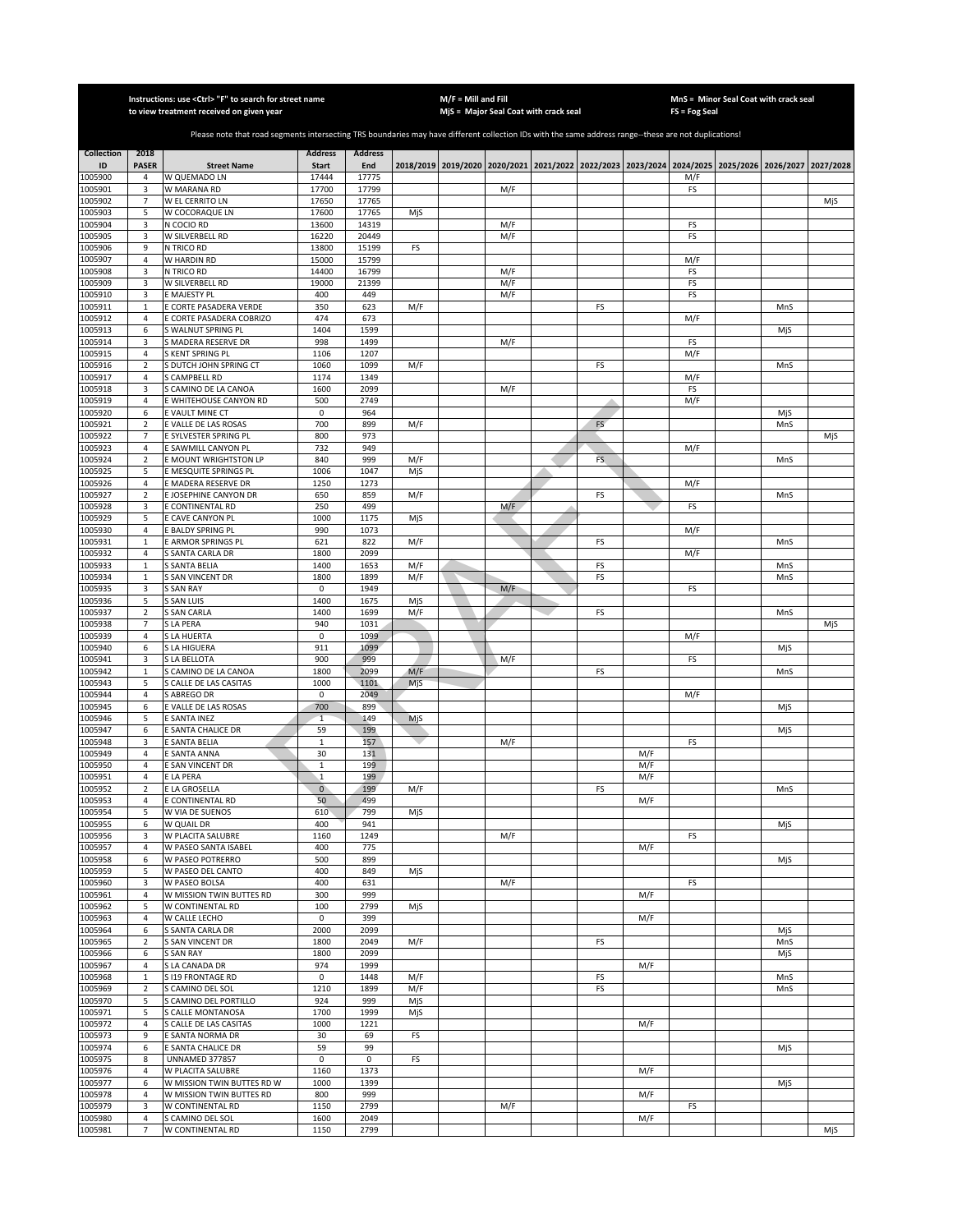|                    |                              | Instructions: use < Ctrl> "F" to search for street name<br>to view treatment received on given year                                                   |                                       | $M/F =$ Mill and Fill |            |  |                               | MnS = Minor Seal Coat with crack seal<br>$FS = Fog Seal$ |          |     |           |                                                             |            |           |  |
|--------------------|------------------------------|-------------------------------------------------------------------------------------------------------------------------------------------------------|---------------------------------------|-----------------------|------------|--|-------------------------------|----------------------------------------------------------|----------|-----|-----------|-------------------------------------------------------------|------------|-----------|--|
|                    |                              |                                                                                                                                                       | MjS = Major Seal Coat with crack seal |                       |            |  |                               |                                                          |          |     |           |                                                             |            |           |  |
|                    |                              | Please note that road segments intersecting TRS boundaries may have different collection IDs with the same address range--these are not duplications! |                                       |                       |            |  |                               |                                                          |          |     |           |                                                             |            |           |  |
| <b>Collection</b>  | 2018                         |                                                                                                                                                       | <b>Address</b>                        | <b>Address</b>        |            |  |                               |                                                          |          |     |           |                                                             |            |           |  |
| ID                 | <b>PASER</b>                 | <b>Street Name</b>                                                                                                                                    | <b>Start</b>                          | End                   |            |  | 2018/2019 2019/2020 2020/2021 |                                                          |          |     |           | 2021/2022 2022/2023 2023/2024 2024/2025 2025/2026 2026/2027 |            | 2027/2028 |  |
| 1005900<br>1005901 | 4<br>3                       | W QUEMADO LN<br>W MARANA RD                                                                                                                           | 17444<br>17700                        | 17775<br>17799        |            |  | M/F                           |                                                          |          |     | M/F<br>FS |                                                             |            |           |  |
| 1005902            | $\overline{7}$               | W EL CERRITO LN                                                                                                                                       | 17650                                 | 17765                 |            |  |                               |                                                          |          |     |           |                                                             |            | MiS       |  |
| 1005903            | 5                            | W COCORAQUE LN                                                                                                                                        | 17600                                 | 17765                 | MjS        |  |                               |                                                          |          |     |           |                                                             |            |           |  |
| 1005904            | 3                            | N COCIO RD                                                                                                                                            | 13600                                 | 14319                 |            |  | M/F                           |                                                          |          |     | FS        |                                                             |            |           |  |
| 1005905            | 3                            | W SILVERBELL RD                                                                                                                                       | 16220                                 | 20449                 |            |  | M/F                           |                                                          |          |     | FS        |                                                             |            |           |  |
| 1005906            | 9<br>$\sqrt{4}$              | N TRICO RD                                                                                                                                            | 13800                                 | 15199                 | FS         |  |                               |                                                          |          |     |           |                                                             |            |           |  |
| 1005907<br>1005908 | 3                            | W HARDIN RD<br>N TRICO RD                                                                                                                             | 15000<br>14400                        | 15799<br>16799        |            |  | M/F                           |                                                          |          |     | M/F<br>FS |                                                             |            |           |  |
| 1005909            | 3                            | W SILVERBELL RD                                                                                                                                       | 19000                                 | 21399                 |            |  | M/F                           |                                                          |          |     | FS        |                                                             |            |           |  |
| 1005910            | 3                            | E MAJESTY PL                                                                                                                                          | 400                                   | 449                   |            |  | M/F                           |                                                          |          |     | FS        |                                                             |            |           |  |
| 1005911            | $\mathbf 1$                  | E CORTE PASADERA VERDE                                                                                                                                | 350                                   | 623                   | M/F        |  |                               |                                                          | FS       |     |           |                                                             | MnS        |           |  |
| 1005912            | 4                            | E CORTE PASADERA COBRIZO                                                                                                                              | 474                                   | 673                   |            |  |                               |                                                          |          |     | M/F       |                                                             |            |           |  |
| 1005913<br>1005914 | 6<br>3                       | S WALNUT SPRING PL<br>S MADERA RESERVE DR                                                                                                             | 1404<br>998                           | 1599<br>1499          |            |  | M/F                           |                                                          |          |     | FS        |                                                             | MjS        |           |  |
| 1005915            | $\overline{4}$               | S KENT SPRING PL                                                                                                                                      | 1106                                  | 1207                  |            |  |                               |                                                          |          |     | M/F       |                                                             |            |           |  |
| 1005916            | $\overline{2}$               | S DUTCH JOHN SPRING CT                                                                                                                                | 1060                                  | 1099                  | M/F        |  |                               |                                                          | FS       |     |           |                                                             | MnS        |           |  |
| 1005917            | $\overline{4}$               | S CAMPBELL RD                                                                                                                                         | 1174                                  | 1349                  |            |  |                               |                                                          |          |     | M/F       |                                                             |            |           |  |
| 1005918            | 3                            | S CAMINO DE LA CANOA                                                                                                                                  | 1600                                  | 2099                  |            |  | M/F                           |                                                          |          |     | FS        |                                                             |            |           |  |
| 1005919            | $\overline{4}$               | E WHITEHOUSE CANYON RD                                                                                                                                | 500                                   | 2749                  |            |  |                               |                                                          |          |     | M/F       |                                                             |            |           |  |
| 1005920            | 6                            | E VAULT MINE CT                                                                                                                                       | 0<br>700                              | 964                   |            |  |                               |                                                          | FS       |     |           |                                                             | MjS        |           |  |
| 1005921<br>1005922 | $\sqrt{2}$<br>$\overline{7}$ | E VALLE DE LAS ROSAS<br>E SYLVESTER SPRING PL                                                                                                         | 800                                   | 899<br>973            | M/F        |  |                               |                                                          |          |     |           |                                                             | MnS        | MjS       |  |
| 1005923            | 4                            | E SAWMILL CANYON PL                                                                                                                                   | 732                                   | 949                   |            |  |                               |                                                          |          |     | M/F       |                                                             |            |           |  |
| 1005924            | $\mathbf 2$                  | E MOUNT WRIGHTSTON LP                                                                                                                                 | 840                                   | 999                   | M/F        |  |                               |                                                          | FS       |     |           |                                                             | MnS        |           |  |
| 1005925            | 5                            | E MESQUITE SPRINGS PL                                                                                                                                 | 1006                                  | 1047                  | MjS        |  |                               |                                                          |          |     |           |                                                             |            |           |  |
| 1005926            | $\overline{4}$               | E MADERA RESERVE DR                                                                                                                                   | 1250                                  | 1273                  |            |  |                               |                                                          |          |     | M/F       |                                                             |            |           |  |
| 1005927            | $\overline{2}$               | E JOSEPHINE CANYON DR                                                                                                                                 | 650                                   | 859                   | M/F        |  |                               |                                                          | FS       |     |           |                                                             | MnS        |           |  |
| 1005928<br>1005929 | 3<br>5                       | E CONTINENTAL RD<br>E CAVE CANYON PL                                                                                                                  | 250<br>1000                           | 499<br>1175           | MjS        |  | M/F                           |                                                          |          |     | FS        |                                                             |            |           |  |
| 1005930            | $\overline{4}$               | <b>BALDY SPRING PL</b>                                                                                                                                | 990                                   | 1073                  |            |  |                               |                                                          |          |     | M/F       |                                                             |            |           |  |
| 1005931            | $\mathbf{1}$                 | E ARMOR SPRINGS PL                                                                                                                                    | 621                                   | 822                   | M/F        |  |                               |                                                          | FS       |     |           |                                                             | MnS        |           |  |
| 1005932            | 4                            | S SANTA CARLA DR                                                                                                                                      | 1800                                  | 2099                  |            |  |                               |                                                          |          |     | M/F       |                                                             |            |           |  |
| 1005933            | $\mathbf 1$                  | SANTA BELIA                                                                                                                                           | 1400                                  | 1653                  | M/F        |  |                               |                                                          | FS       |     |           |                                                             | MnS        |           |  |
| 1005934            | $\mathbf 1$                  | S SAN VINCENT DR                                                                                                                                      | 1800<br>0                             | 1899                  | M/F        |  |                               |                                                          | FS       |     |           |                                                             | MnS        |           |  |
| 1005935<br>1005936 | 3<br>5                       | S SAN RAY<br>S SAN LUIS                                                                                                                               | 1400                                  | 1949<br>1675          | MjS        |  | M/F                           |                                                          |          |     | FS        |                                                             |            |           |  |
| 1005937            | $\mathbf 2$                  | S SAN CARLA                                                                                                                                           | 1400                                  | 1699                  | M/F        |  |                               |                                                          | FS       |     |           |                                                             | MnS        |           |  |
| 1005938            | 7                            | S LA PERA                                                                                                                                             | 940                                   | 1031                  |            |  |                               |                                                          |          |     |           |                                                             |            | MjS       |  |
| 1005939            | 4                            | S LA HUERTA                                                                                                                                           | 0                                     | 1099                  |            |  |                               |                                                          |          |     | M/F       |                                                             |            |           |  |
| 1005940            | 6                            | S LA HIGUERA                                                                                                                                          | 911                                   | 1099                  |            |  |                               |                                                          |          |     |           |                                                             | MjS        |           |  |
| 1005941<br>1005942 | 3<br>$\,1\,$                 | S LA BELLOTA<br>S CAMINO DE LA CANOA                                                                                                                  | 900<br>1800                           | 999<br>2099           | M/F        |  | M/F                           |                                                          | FS       |     | FS        |                                                             | MnS        |           |  |
| 1005943            | 5                            | S CALLE DE LAS CASITAS                                                                                                                                | 1000                                  | 1101                  | MjS        |  |                               |                                                          |          |     |           |                                                             |            |           |  |
| 1005944            | $\overline{4}$               | S ABREGO DR                                                                                                                                           | $\mathsf 0$                           | 2049                  |            |  |                               |                                                          |          |     | M/F       |                                                             |            |           |  |
| 1005945            | 6                            | E VALLE DE LAS ROSAS                                                                                                                                  | 700                                   | 899                   |            |  |                               |                                                          |          |     |           |                                                             | MjS        |           |  |
| 1005946            | 5                            | E SANTA INEZ                                                                                                                                          | $\mathbf{1}$                          | 149                   | MjS        |  |                               |                                                          |          |     |           |                                                             |            |           |  |
| 1005947            | 6                            | E SANTA CHALICE DR                                                                                                                                    | 59                                    | 199                   |            |  |                               |                                                          |          |     |           |                                                             | MjS        |           |  |
| 1005948<br>1005949 | 3<br>4                       | E SANTA BELIA<br>E SANTA ANNA                                                                                                                         | 1<br>30                               | 157<br>131            |            |  | M/F                           |                                                          |          | M/F | FS        |                                                             |            |           |  |
| 1005950            | 4                            | E SAN VINCENT DR                                                                                                                                      | 1                                     | 199                   |            |  |                               |                                                          |          | M/F |           |                                                             |            |           |  |
| 1005951            | $\overline{4}$               | E LA PERA                                                                                                                                             | $\overline{1}$                        | 199                   |            |  |                               |                                                          |          | M/F |           |                                                             |            |           |  |
| 1005952            | $\overline{2}$               | E LA GROSELLA                                                                                                                                         | $\overline{0}$                        | 199                   | M/F        |  |                               |                                                          | FS       |     |           |                                                             | MnS        |           |  |
| 1005953            | 4                            | E CONTINENTAL RD                                                                                                                                      | 50                                    | 499                   |            |  |                               |                                                          |          | M/F |           |                                                             |            |           |  |
| 1005954            | 5                            | W VIA DE SUENOS                                                                                                                                       | 610                                   | 799<br>941            | MjS        |  |                               |                                                          |          |     |           |                                                             |            |           |  |
| 1005955<br>1005956 | 6<br>3                       | W QUAIL DR<br>W PLACITA SALUBRE                                                                                                                       | 400<br>1160                           | 1249                  |            |  | M/F                           |                                                          |          |     | FS        |                                                             | MjS        |           |  |
| 1005957            | 4                            | W PASEO SANTA ISABEL                                                                                                                                  | 400                                   | 775                   |            |  |                               |                                                          |          | M/F |           |                                                             |            |           |  |
| 1005958            | 6                            | W PASEO POTRERRO                                                                                                                                      | 500                                   | 899                   |            |  |                               |                                                          |          |     |           |                                                             | MjS        |           |  |
| 1005959            | 5                            | W PASEO DEL CANTO                                                                                                                                     | 400                                   | 849                   | MjS        |  |                               |                                                          |          |     |           |                                                             |            |           |  |
| 1005960            | 3                            | W PASEO BOLSA                                                                                                                                         | 400                                   | 631                   |            |  | M/F                           |                                                          |          |     | FS        |                                                             |            |           |  |
| 1005961<br>1005962 | $\sqrt{4}$<br>5              | W MISSION TWIN BUTTES RD<br>W CONTINENTAL RD                                                                                                          | 300<br>100                            | 999<br>2799           |            |  |                               |                                                          |          | M/F |           |                                                             |            |           |  |
| 1005963            | 4                            | W CALLE LECHO                                                                                                                                         | 0                                     | 399                   | MjS        |  |                               |                                                          |          | M/F |           |                                                             |            |           |  |
| 1005964            | 6                            | S SANTA CARLA DR                                                                                                                                      | 2000                                  | 2099                  |            |  |                               |                                                          |          |     |           |                                                             | MjS        |           |  |
| 1005965            | $\sqrt{2}$                   | <b>S SAN VINCENT DR</b>                                                                                                                               | 1800                                  | 2049                  | M/F        |  |                               |                                                          | FS       |     |           |                                                             | MnS        |           |  |
| 1005966            | 6                            | <b>S SAN RAY</b>                                                                                                                                      | 1800                                  | 2099                  |            |  |                               |                                                          |          |     |           |                                                             | MjS        |           |  |
| 1005967            | $\overline{4}$               | S LA CANADA DR                                                                                                                                        | 974                                   | 1999                  |            |  |                               |                                                          |          | M/F |           |                                                             |            |           |  |
| 1005968            | $\mathbf 1$<br>$\sqrt{2}$    | S I19 FRONTAGE RD                                                                                                                                     | $\mathbf 0$<br>1210                   | 1448<br>1899          | M/F<br>M/F |  |                               |                                                          | FS<br>FS |     |           |                                                             | MnS<br>MnS |           |  |
| 1005969<br>1005970 | 5                            | S CAMINO DEL SOL<br>S CAMINO DEL PORTILLO                                                                                                             | 924                                   | 999                   | MjS        |  |                               |                                                          |          |     |           |                                                             |            |           |  |
| 1005971            | 5                            | S CALLE MONTANOSA                                                                                                                                     | 1700                                  | 1999                  | MjS        |  |                               |                                                          |          |     |           |                                                             |            |           |  |
| 1005972            | 4                            | S CALLE DE LAS CASITAS                                                                                                                                | 1000                                  | 1221                  |            |  |                               |                                                          |          | M/F |           |                                                             |            |           |  |
| 1005973            | 9                            | E SANTA NORMA DR                                                                                                                                      | 30                                    | 69                    | FS         |  |                               |                                                          |          |     |           |                                                             |            |           |  |
| 1005974            | 6                            | E SANTA CHALICE DR                                                                                                                                    | 59                                    | 99                    |            |  |                               |                                                          |          |     |           |                                                             | MjS        |           |  |
| 1005975            | 8                            | <b>UNNAMED 377857</b>                                                                                                                                 | 0                                     | $\pmb{0}$             | FS         |  |                               |                                                          |          |     |           |                                                             |            |           |  |
| 1005976<br>1005977 | $\overline{4}$<br>6          | W PLACITA SALUBRE<br>W MISSION TWIN BUTTES RD W                                                                                                       | 1160<br>1000                          | 1373<br>1399          |            |  |                               |                                                          |          | M/F |           |                                                             | MjS        |           |  |
| 1005978            | 4                            | W MISSION TWIN BUTTES RD                                                                                                                              | 800                                   | 999                   |            |  |                               |                                                          |          | M/F |           |                                                             |            |           |  |
| 1005979            | 3                            | W CONTINENTAL RD                                                                                                                                      | 1150                                  | 2799                  |            |  | M/F                           |                                                          |          |     | FS        |                                                             |            |           |  |
| 1005980            | $\overline{4}$               | S CAMINO DEL SOL                                                                                                                                      | 1600                                  | 2049                  |            |  |                               |                                                          |          | M/F |           |                                                             |            |           |  |
| 1005981            | $\overline{7}$               | W CONTINENTAL RD                                                                                                                                      | 1150                                  | 2799                  |            |  |                               |                                                          |          |     |           |                                                             |            | MjS       |  |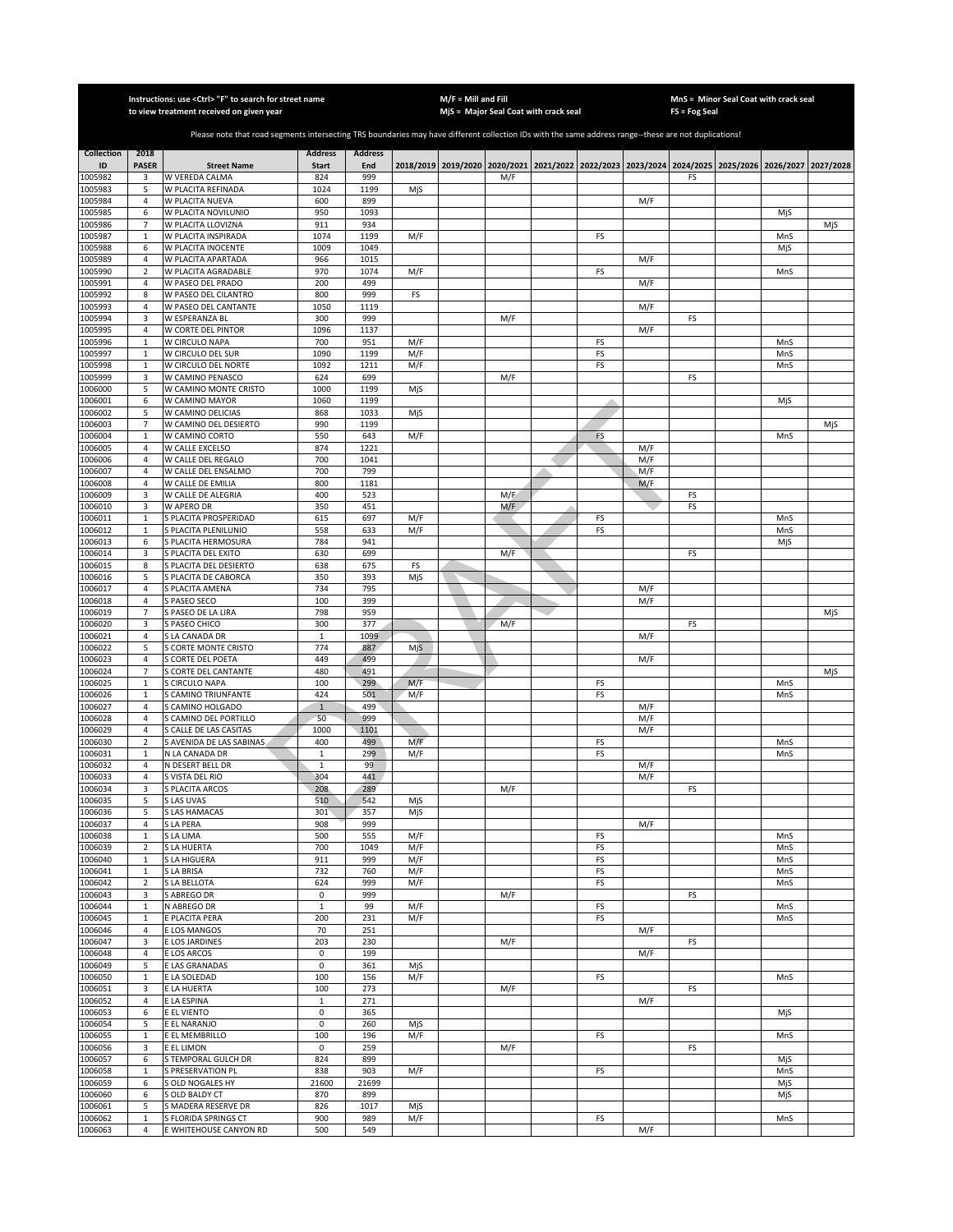|                    |                              | Instructions: use < Ctrl> "F" to search for street name<br>to view treatment received on given year                                                   | $M/F =$ Mill and Fill |                | MjS = Major Seal Coat with crack seal |  | MnS = Minor Seal Coat with crack seal<br>FS = Fog Seal |                                                                                           |          |            |    |  |            |           |
|--------------------|------------------------------|-------------------------------------------------------------------------------------------------------------------------------------------------------|-----------------------|----------------|---------------------------------------|--|--------------------------------------------------------|-------------------------------------------------------------------------------------------|----------|------------|----|--|------------|-----------|
|                    |                              |                                                                                                                                                       |                       |                |                                       |  |                                                        |                                                                                           |          |            |    |  |            |           |
|                    |                              | Please note that road segments intersecting TRS boundaries may have different collection IDs with the same address range--these are not duplications! |                       |                |                                       |  |                                                        |                                                                                           |          |            |    |  |            |           |
| <b>Collection</b>  | 2018                         |                                                                                                                                                       | <b>Address</b>        | <b>Address</b> |                                       |  |                                                        |                                                                                           |          |            |    |  |            |           |
| ID                 | <b>PASER</b>                 | <b>Street Name</b>                                                                                                                                    | <b>Start</b>          | End            |                                       |  |                                                        | 2018/2019 2019/2020 2020/2021 2021/2022 2022/2023 2023/2024 2024/2025 2025/2026 2026/2027 |          |            |    |  |            | 2027/2028 |
| 1005982            | 3                            | W VEREDA CALMA                                                                                                                                        | 824                   | 999            |                                       |  | M/F                                                    |                                                                                           |          |            | FS |  |            |           |
| 1005983<br>1005984 | 5<br>$\overline{4}$          | W PLACITA REFINADA<br>W PLACITA NUEVA                                                                                                                 | 1024<br>600           | 1199<br>899    | MjS                                   |  |                                                        |                                                                                           |          | M/F        |    |  |            |           |
| 1005985            | 6                            | W PLACITA NOVILUNIO                                                                                                                                   | 950                   | 1093           |                                       |  |                                                        |                                                                                           |          |            |    |  | MjS        |           |
| 1005986            | $\overline{7}$               | W PLACITA LLOVIZNA                                                                                                                                    | 911                   | 934            |                                       |  |                                                        |                                                                                           |          |            |    |  |            | MjS       |
| 1005987            | $\mathbf 1$                  | W PLACITA INSPIRADA                                                                                                                                   | 1074                  | 1199           | M/F                                   |  |                                                        |                                                                                           | FS       |            |    |  | MnS        |           |
| 1005988            | 6                            | W PLACITA INOCENTE                                                                                                                                    | 1009                  | 1049           |                                       |  |                                                        |                                                                                           |          |            |    |  | MjS        |           |
| 1005989<br>1005990 | $\sqrt{4}$<br>$\overline{2}$ | W PLACITA APARTADA<br>W PLACITA AGRADABLE                                                                                                             | 966<br>970            | 1015<br>1074   | M/F                                   |  |                                                        |                                                                                           | FS       | M/F        |    |  | MnS        |           |
| 1005991            | 4                            | W PASEO DEL PRADO                                                                                                                                     | 200                   | 499            |                                       |  |                                                        |                                                                                           |          | M/F        |    |  |            |           |
| 1005992            | 8                            | W PASEO DEL CILANTRO                                                                                                                                  | 800                   | 999            | FS                                    |  |                                                        |                                                                                           |          |            |    |  |            |           |
| 1005993            | 4                            | W PASEO DEL CANTANTE                                                                                                                                  | 1050                  | 1119           |                                       |  |                                                        |                                                                                           |          | M/F        |    |  |            |           |
| 1005994            | 3                            | W ESPERANZA BL                                                                                                                                        | 300                   | 999            |                                       |  | M/F                                                    |                                                                                           |          |            | FS |  |            |           |
| 1005995<br>1005996 | 4<br>$\mathbf 1$             | W CORTE DEL PINTOR<br>W CIRCULO NAPA                                                                                                                  | 1096<br>700           | 1137<br>951    | M/F                                   |  |                                                        |                                                                                           | FS       | M/F        |    |  | MnS        |           |
| 1005997            | $\,1\,$                      | W CIRCULO DEL SUR                                                                                                                                     | 1090                  | 1199           | M/F                                   |  |                                                        |                                                                                           | FS       |            |    |  | MnS        |           |
| 1005998            | $\mathbf 1$                  | W CIRCULO DEL NORTE                                                                                                                                   | 1092                  | 1211           | M/F                                   |  |                                                        |                                                                                           | FS       |            |    |  | MnS        |           |
| 1005999            | 3                            | W CAMINO PENASCO                                                                                                                                      | 624                   | 699            |                                       |  | M/F                                                    |                                                                                           |          |            | FS |  |            |           |
| 1006000            | 5                            | W CAMINO MONTE CRISTO                                                                                                                                 | 1000                  | 1199           | MjS                                   |  |                                                        |                                                                                           |          |            |    |  |            |           |
| 1006001            | 6                            | W CAMINO MAYOR<br>W CAMINO DELICIAS                                                                                                                   | 1060                  | 1199           |                                       |  |                                                        |                                                                                           |          |            |    |  | MjS        |           |
| 1006002<br>1006003 | 5<br>$\overline{7}$          | W CAMINO DEL DESIERTO                                                                                                                                 | 868<br>990            | 1033<br>1199   | MjS                                   |  |                                                        |                                                                                           |          |            |    |  |            | MjS       |
| 1006004            | $\mathbf 1$                  | W CAMINO CORTO                                                                                                                                        | 550                   | 643            | M/F                                   |  |                                                        |                                                                                           | FS       |            |    |  | MnS        |           |
| 1006005            | 4                            | W CALLE EXCELSO                                                                                                                                       | 874                   | 1221           |                                       |  |                                                        |                                                                                           |          | M/F        |    |  |            |           |
| 1006006            | 4                            | W CALLE DEL REGALO                                                                                                                                    | 700                   | 1041           |                                       |  |                                                        |                                                                                           |          | M/F        |    |  |            |           |
| 1006007            | $\sqrt{4}$                   | W CALLE DEL ENSALMO                                                                                                                                   | 700                   | 799            |                                       |  |                                                        |                                                                                           |          | M/F        |    |  |            |           |
| 1006008<br>1006009 | $\sqrt{4}$<br>3              | W CALLE DE EMILIA<br>W CALLE DE ALEGRIA                                                                                                               | 800<br>400            | 1181<br>523    |                                       |  | M/E                                                    |                                                                                           |          | M/F        | FS |  |            |           |
| 1006010            | 3                            | W APERO DR                                                                                                                                            | 350                   | 451            |                                       |  | M/F                                                    |                                                                                           |          |            | FS |  |            |           |
| 1006011            | $\,1\,$                      | S PLACITA PROSPERIDAD                                                                                                                                 | 615                   | 697            | M/F                                   |  |                                                        |                                                                                           | FS       |            |    |  | MnS        |           |
| 1006012            | $\mathbf 1$                  | S PLACITA PLENILUNIO                                                                                                                                  | 558                   | 633            | M/F                                   |  |                                                        |                                                                                           | FS       |            |    |  | MnS        |           |
| 1006013            | 6                            | S PLACITA HERMOSURA                                                                                                                                   | 784                   | 941            |                                       |  |                                                        |                                                                                           |          |            |    |  | MjS        |           |
| 1006014<br>1006015 | 3<br>8                       | S PLACITA DEL EXITO<br>S PLACITA DEL DESIERTO                                                                                                         | 630<br>638            | 699<br>675     | FS                                    |  | M/F                                                    |                                                                                           |          |            | FS |  |            |           |
| 1006016            | 5                            | <b>PLACITA DE CABORCA</b>                                                                                                                             | 350                   | 393            | MjS                                   |  |                                                        |                                                                                           |          |            |    |  |            |           |
| 1006017            | 4                            | S PLACITA AMENA                                                                                                                                       | 734                   | 795            |                                       |  |                                                        |                                                                                           |          | M/F        |    |  |            |           |
| 1006018            | 4                            | S PASEO SECO                                                                                                                                          | 100                   | 399            |                                       |  |                                                        |                                                                                           |          | M/F        |    |  |            |           |
| 1006019            | $\overline{7}$               | S PASEO DE LA LIRA                                                                                                                                    | 798                   | 959            |                                       |  |                                                        |                                                                                           |          |            |    |  |            | MjS       |
| 1006020            | 3                            | S PASEO CHICO                                                                                                                                         | 300                   | 377            |                                       |  | M/F                                                    |                                                                                           |          |            | FS |  |            |           |
| 1006021<br>1006022 | 4<br>5                       | S LA CANADA DR<br>S CORTE MONTE CRISTO                                                                                                                | $\mathbf 1$<br>774    | 1099<br>887    | MjS                                   |  |                                                        |                                                                                           |          | M/F        |    |  |            |           |
| 1006023            | 4                            | S CORTE DEL POETA                                                                                                                                     | 449                   | 499            |                                       |  |                                                        |                                                                                           |          | M/F        |    |  |            |           |
| 1006024            | $\overline{7}$               | S CORTE DEL CANTANTE                                                                                                                                  | 480                   | 491            |                                       |  |                                                        |                                                                                           |          |            |    |  |            | MjS       |
| 1006025            | $\mathbf 1$                  | S CIRCULO NAPA                                                                                                                                        | 100                   | 299            | M/F                                   |  |                                                        |                                                                                           | FS       |            |    |  | MnS        |           |
| 1006026            | $\mathbf 1$                  | S CAMINO TRIUNFANTE                                                                                                                                   | 424                   | 501            | M/F                                   |  |                                                        |                                                                                           | FS       |            |    |  | MnS        |           |
| 1006027<br>1006028 | $\sqrt{4}$<br>$\sqrt{4}$     | S CAMINO HOLGADO<br>S CAMINO DEL PORTILLO                                                                                                             | $\mathbf{1}$<br>50    | 499<br>999     |                                       |  |                                                        |                                                                                           |          | M/F<br>M/F |    |  |            |           |
| 1006029            | 4                            | S CALLE DE LAS CASITAS                                                                                                                                | 1000                  | 1101           |                                       |  |                                                        |                                                                                           |          | M/F        |    |  |            |           |
| 1006030            | $\overline{2}$               | S AVENIDA DE LAS SABINAS                                                                                                                              | 400                   | 499            | M/F                                   |  |                                                        |                                                                                           | FS       |            |    |  | MnS        |           |
| 1006031            | $\mathbf 1$                  | N LA CANADA DR                                                                                                                                        | 1                     | 299            | M/F                                   |  |                                                        |                                                                                           | FS       |            |    |  | MnS        |           |
| 1006032            | 4                            | N DESERT BELL DR                                                                                                                                      | 1                     | 99             |                                       |  |                                                        |                                                                                           |          | M/F        |    |  |            |           |
| 1006033<br>1006034 | $\sqrt{4}$<br>3              | S VISTA DEL RIO<br>S PLACITA ARCOS                                                                                                                    | 304<br>208            | 441<br>289     |                                       |  | M/F                                                    |                                                                                           |          | M/F        | FS |  |            |           |
| 1006035            | 5                            | S LAS UVAS                                                                                                                                            | 510                   | 542            | MjS                                   |  |                                                        |                                                                                           |          |            |    |  |            |           |
| 1006036            | 5                            | <b>SLAS HAMACAS</b>                                                                                                                                   | 301                   | 357            | MjS                                   |  |                                                        |                                                                                           |          |            |    |  |            |           |
| 1006037            | 4                            | S LA PERA                                                                                                                                             | 908                   | 999            |                                       |  |                                                        |                                                                                           |          | M/F        |    |  |            |           |
| 1006038            | $\mathbf 1$                  | S LA LIMA                                                                                                                                             | 500                   | 555            | M/F                                   |  |                                                        |                                                                                           | FS       |            |    |  | MnS        |           |
| 1006039<br>1006040 | $\mathbf 2$<br>$\mathbf 1$   | S LA HUERTA<br>S LA HIGUERA                                                                                                                           | 700<br>911            | 1049<br>999    | M/F<br>M/F                            |  |                                                        |                                                                                           | FS<br>FS |            |    |  | MnS<br>MnS |           |
| 1006041            | 1                            | S LA BRISA                                                                                                                                            | 732                   | 760            | M/F                                   |  |                                                        |                                                                                           | FS       |            |    |  | MnS        |           |
| 1006042            | $\mathbf 2$                  | S LA BELLOTA                                                                                                                                          | 624                   | 999            | M/F                                   |  |                                                        |                                                                                           | FS       |            |    |  | MnS        |           |
| 1006043            | 3                            | S ABREGO DR                                                                                                                                           | 0                     | 999            |                                       |  | M/F                                                    |                                                                                           |          |            | FS |  |            |           |
| 1006044            | $\mathbf 1$                  | N ABREGO DR                                                                                                                                           | $\,1\,$               | 99             | M/F                                   |  |                                                        |                                                                                           | FS       |            |    |  | MnS        |           |
| 1006045<br>1006046 | 1<br>4                       | E PLACITA PERA<br>E LOS MANGOS                                                                                                                        | 200<br>70             | 231<br>251     | M/F                                   |  |                                                        |                                                                                           | FS       | M/F        |    |  | MnS        |           |
| 1006047            | 3                            | E LOS JARDINES                                                                                                                                        | 203                   | 230            |                                       |  | M/F                                                    |                                                                                           |          |            | FS |  |            |           |
| 1006048            | 4                            | E LOS ARCOS                                                                                                                                           | $\mathsf 0$           | 199            |                                       |  |                                                        |                                                                                           |          | M/F        |    |  |            |           |
| 1006049            | 5                            | E LAS GRANADAS                                                                                                                                        | 0                     | 361            | MjS                                   |  |                                                        |                                                                                           |          |            |    |  |            |           |
| 1006050            | $\mathbf 1$                  | E LA SOLEDAD                                                                                                                                          | 100                   | 156            | M/F                                   |  |                                                        |                                                                                           | FS       |            |    |  | MnS        |           |
| 1006051<br>1006052 | 3<br>4                       | E LA HUERTA<br>E LA ESPINA                                                                                                                            | 100<br>1              | 273<br>271     |                                       |  | M/F                                                    |                                                                                           |          |            | FS |  |            |           |
| 1006053            | 6                            | E EL VIENTO                                                                                                                                           | 0                     | 365            |                                       |  |                                                        |                                                                                           |          | M/F        |    |  | MjS        |           |
| 1006054            | 5                            | E EL NARANJO                                                                                                                                          | 0                     | 260            | MjS                                   |  |                                                        |                                                                                           |          |            |    |  |            |           |
| 1006055            | $\mathbf{1}$                 | E EL MEMBRILLO                                                                                                                                        | 100                   | 196            | M/F                                   |  |                                                        |                                                                                           | FS       |            |    |  | MnS        |           |
| 1006056            | 3                            | E EL LIMON                                                                                                                                            | 0                     | 259            |                                       |  | M/F                                                    |                                                                                           |          |            | FS |  |            |           |
| 1006057            | 6                            | S TEMPORAL GULCH DR                                                                                                                                   | 824                   | 899            |                                       |  |                                                        |                                                                                           |          |            |    |  | MjS        |           |
| 1006058<br>1006059 | $\mathbf 1$<br>6             | S PRESERVATION PL<br>S OLD NOGALES HY                                                                                                                 | 838<br>21600          | 903<br>21699   | M/F                                   |  |                                                        |                                                                                           | FS       |            |    |  | MnS<br>MjS |           |
| 1006060            | 6                            | S OLD BALDY CT                                                                                                                                        | 870                   | 899            |                                       |  |                                                        |                                                                                           |          |            |    |  | MjS        |           |
| 1006061            | 5                            | S MADERA RESERVE DR                                                                                                                                   | 826                   | 1017           | MjS                                   |  |                                                        |                                                                                           |          |            |    |  |            |           |
| 1006062            | $\mathbf 1$                  | S FLORIDA SPRINGS CT                                                                                                                                  | 900                   | 989            | M/F                                   |  |                                                        |                                                                                           | FS       |            |    |  | MnS        |           |
| 1006063            | $\overline{4}$               | E WHITEHOUSE CANYON RD                                                                                                                                | 500                   | 549            |                                       |  |                                                        |                                                                                           |          | M/F        |    |  |            |           |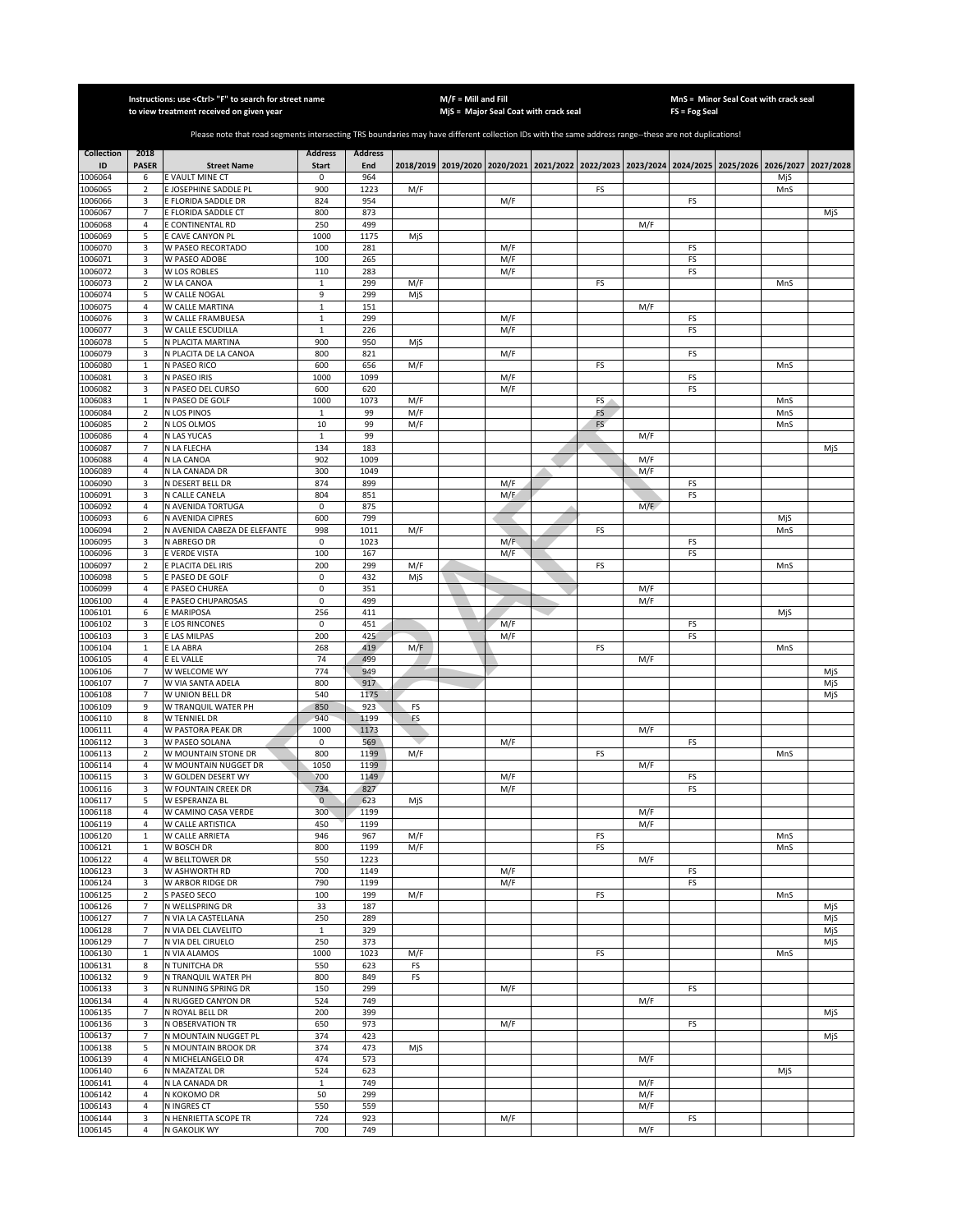|                    | Instructions: use <ctrl> "F" to search for street name<br/>to view treatment received on given year</ctrl> |                                                                                                                                                       |                              |                |            |  | $M/F =$ Mill and Fill<br>MjS = Major Seal Coat with crack seal                                      |    | MnS = Minor Seal Coat with crack seal<br>FS = Fog Seal |           |  |     |            |  |  |
|--------------------|------------------------------------------------------------------------------------------------------------|-------------------------------------------------------------------------------------------------------------------------------------------------------|------------------------------|----------------|------------|--|-----------------------------------------------------------------------------------------------------|----|--------------------------------------------------------|-----------|--|-----|------------|--|--|
|                    |                                                                                                            |                                                                                                                                                       |                              |                |            |  |                                                                                                     |    |                                                        |           |  |     |            |  |  |
|                    |                                                                                                            | Please note that road segments intersecting TRS boundaries may have different collection IDs with the same address range--these are not duplications! |                              |                |            |  |                                                                                                     |    |                                                        |           |  |     |            |  |  |
| <b>Collection</b>  | 2018                                                                                                       |                                                                                                                                                       | <b>Address</b>               | <b>Address</b> |            |  |                                                                                                     |    |                                                        |           |  |     |            |  |  |
| ID<br>1006064      | <b>PASER</b><br>6                                                                                          | <b>Street Name</b><br>E VAULT MINE CT                                                                                                                 | <b>Start</b><br>0            | End<br>964     |            |  | 2018/2019 2019/2020 2020/2021 2021/2022 2022/2023 2023/2024 2024/2025 2025/2026 2026/2027 2027/2028 |    |                                                        |           |  | MjS |            |  |  |
| 1006065            | $\sqrt{2}$                                                                                                 | E JOSEPHINE SADDLE PL                                                                                                                                 | 900                          | 1223           | M/F        |  |                                                                                                     | FS |                                                        |           |  | MnS |            |  |  |
| 1006066            | 3                                                                                                          | E FLORIDA SADDLE DR                                                                                                                                   | 824                          | 954            |            |  | M/F                                                                                                 |    |                                                        | FS        |  |     |            |  |  |
| 1006067<br>1006068 | $\overline{7}$<br>$\sqrt{4}$                                                                               | E FLORIDA SADDLE CT<br>E CONTINENTAL RD                                                                                                               | 800<br>250                   | 873<br>499     |            |  |                                                                                                     |    | M/F                                                    |           |  |     | MjS        |  |  |
| 1006069            | 5                                                                                                          | E CAVE CANYON PL                                                                                                                                      | 1000                         | 1175           | MjS        |  |                                                                                                     |    |                                                        |           |  |     |            |  |  |
| 1006070            | 3                                                                                                          | W PASEO RECORTADO                                                                                                                                     | 100                          | 281            |            |  | M/F                                                                                                 |    |                                                        | FS        |  |     |            |  |  |
| 1006071<br>1006072 | 3<br>3                                                                                                     | W PASEO ADOBE<br><b>W LOS ROBLES</b>                                                                                                                  | 100<br>110                   | 265<br>283     |            |  | M/F<br>M/F                                                                                          |    |                                                        | FS<br>FS  |  |     |            |  |  |
| 1006073            | $\sqrt{2}$                                                                                                 | W LA CANOA                                                                                                                                            | $\mathbf{1}$                 | 299            | M/F        |  |                                                                                                     | FS |                                                        |           |  | MnS |            |  |  |
| 1006074            | 5                                                                                                          | W CALLE NOGAL                                                                                                                                         | 9                            | 299            | MjS        |  |                                                                                                     |    |                                                        |           |  |     |            |  |  |
| 1006075            | 4                                                                                                          | W CALLE MARTINA                                                                                                                                       | $\mathbf{1}$                 | 151            |            |  |                                                                                                     |    | M/F                                                    |           |  |     |            |  |  |
| 1006076<br>1006077 | 3<br>3                                                                                                     | W CALLE FRAMBUESA<br>W CALLE ESCUDILLA                                                                                                                | $\mathbf{1}$<br>$\mathbf{1}$ | 299<br>226     |            |  | M/F<br>M/F                                                                                          |    |                                                        | FS<br>FS  |  |     |            |  |  |
| 1006078            | 5                                                                                                          | N PLACITA MARTINA                                                                                                                                     | 900                          | 950            | MjS        |  |                                                                                                     |    |                                                        |           |  |     |            |  |  |
| 1006079            | 3                                                                                                          | N PLACITA DE LA CANOA                                                                                                                                 | 800                          | 821            |            |  | M/F                                                                                                 |    |                                                        | FS        |  |     |            |  |  |
| 1006080            | $\mathbf{1}$                                                                                               | N PASEO RICO                                                                                                                                          | 600                          | 656            | M/F        |  |                                                                                                     | FS |                                                        |           |  | MnS |            |  |  |
| 1006081<br>1006082 | 3<br>3                                                                                                     | N PASEO IRIS<br>N PASEO DEL CURSO                                                                                                                     | 1000<br>600                  | 1099<br>620    |            |  | M/F<br>M/F                                                                                          |    |                                                        | FS<br>FS  |  |     |            |  |  |
| 1006083            | $\,1\,$                                                                                                    | N PASEO DE GOLF                                                                                                                                       | 1000                         | 1073           | M/F        |  |                                                                                                     | FS |                                                        |           |  | MnS |            |  |  |
| 1006084            | 2                                                                                                          | N LOS PINOS                                                                                                                                           | $\mathbf 1$                  | 99             | M/F        |  |                                                                                                     | FS |                                                        |           |  | MnS |            |  |  |
| 1006085            | $\overline{2}$                                                                                             | N LOS OLMOS                                                                                                                                           | 10                           | 99             | M/F        |  |                                                                                                     | FS |                                                        |           |  | MnS |            |  |  |
| 1006086<br>1006087 | 4<br>$\overline{7}$                                                                                        | N LAS YUCAS                                                                                                                                           | $\mathbf{1}$<br>134          | 99<br>183      |            |  |                                                                                                     |    | M/F                                                    |           |  |     |            |  |  |
| 1006088            | 4                                                                                                          | N LA FLECHA<br>N LA CANOA                                                                                                                             | 902                          | 1009           |            |  |                                                                                                     |    | M/F                                                    |           |  |     | MjS        |  |  |
| 1006089            | $\overline{4}$                                                                                             | N LA CANADA DR                                                                                                                                        | 300                          | 1049           |            |  |                                                                                                     |    | M/F                                                    |           |  |     |            |  |  |
| 1006090            | 3                                                                                                          | N DESERT BELL DR                                                                                                                                      | 874                          | 899            |            |  | M/F                                                                                                 |    |                                                        | FS        |  |     |            |  |  |
| 1006091            | 3                                                                                                          | N CALLE CANELA                                                                                                                                        | 804                          | 851            |            |  | M/E                                                                                                 |    |                                                        | FS        |  |     |            |  |  |
| 1006092<br>1006093 | $\overline{4}$<br>6                                                                                        | N AVENIDA TORTUGA<br>N AVENIDA CIPRES                                                                                                                 | 0<br>600                     | 875<br>799     |            |  |                                                                                                     |    | M/F                                                    |           |  | MjS |            |  |  |
| 1006094            | $\sqrt{2}$                                                                                                 | N AVENIDA CABEZA DE ELEFANTE                                                                                                                          | 998                          | 1011           | M/F        |  |                                                                                                     | FS |                                                        |           |  | MnS |            |  |  |
| 1006095            | 3                                                                                                          | N ABREGO DR                                                                                                                                           | 0                            | 1023           |            |  | M/F                                                                                                 |    |                                                        | FS        |  |     |            |  |  |
| 1006096            | 3                                                                                                          | E VERDE VISTA                                                                                                                                         | 100                          | 167            |            |  | M/F                                                                                                 |    |                                                        | FS        |  |     |            |  |  |
| 1006097<br>1006098 | $\sqrt{2}$<br>5                                                                                            | E PLACITA DEL IRIS<br>E PASEO DE GOLF                                                                                                                 | 200<br>0                     | 299<br>432     | M/F<br>MjS |  |                                                                                                     | FS |                                                        |           |  | MnS |            |  |  |
| 1006099            | 4                                                                                                          | E PASEO CHUREA                                                                                                                                        | 0                            | 351            |            |  |                                                                                                     |    | M/F                                                    |           |  |     |            |  |  |
| 1006100            | $\overline{4}$                                                                                             | E PASEO CHUPAROSAS                                                                                                                                    | 0                            | 499            |            |  |                                                                                                     |    | M/F                                                    |           |  |     |            |  |  |
| 1006101            | 6                                                                                                          | E MARIPOSA                                                                                                                                            | 256                          | 411            |            |  |                                                                                                     |    |                                                        |           |  | MjS |            |  |  |
| 1006102<br>1006103 | 3<br>3                                                                                                     | E LOS RINCONES<br>E LAS MILPAS                                                                                                                        | $\mathbf 0$<br>200           | 451<br>425     |            |  | M/F<br>M/F                                                                                          |    |                                                        | FS<br>FS  |  |     |            |  |  |
| 1006104            | $\mathbf{1}$                                                                                               | E LA ABRA                                                                                                                                             | 268                          | 419            | M/F        |  |                                                                                                     | FS |                                                        |           |  | MnS |            |  |  |
| 1006105            | $\overline{4}$                                                                                             | E EL VALLE                                                                                                                                            | 74                           | 499            |            |  |                                                                                                     |    | M/F                                                    |           |  |     |            |  |  |
| 1006106            | $\overline{7}$                                                                                             | W WELCOME WY                                                                                                                                          | 774                          | 949            |            |  |                                                                                                     |    |                                                        |           |  |     | MiS        |  |  |
| 1006107<br>1006108 | 7<br>$\overline{7}$                                                                                        | W VIA SANTA ADELA<br>W UNION BELL DR                                                                                                                  | 800<br>540                   | 917<br>1175    |            |  |                                                                                                     |    |                                                        |           |  |     | MjS<br>MjS |  |  |
| 1006109            | 9                                                                                                          | W TRANQUIL WATER PH                                                                                                                                   | 850                          | 923            | FS         |  |                                                                                                     |    |                                                        |           |  |     |            |  |  |
| 1006110            | 8                                                                                                          | W TENNIEL DR                                                                                                                                          | 940                          | 1199           | FS         |  |                                                                                                     |    |                                                        |           |  |     |            |  |  |
| 1006111            | 4                                                                                                          | W PASTORA PEAK DR                                                                                                                                     | 1000                         | 1173           |            |  |                                                                                                     |    | M/F                                                    |           |  |     |            |  |  |
| 1006112<br>1006113 | 3<br>$\mathbf 2$                                                                                           | W PASEO SOLANA<br>W MOUNTAIN STONE DR                                                                                                                 | $\pmb{0}$<br>800             | 569<br>1199    | M/F        |  | M/F                                                                                                 | FS |                                                        | FS        |  | MnS |            |  |  |
| 1006114            | 4                                                                                                          | W MOUNTAIN NUGGET DR                                                                                                                                  | 1050                         | 1199           |            |  |                                                                                                     |    | M/F                                                    |           |  |     |            |  |  |
| 1006115            | 3                                                                                                          | W GOLDEN DESERT WY                                                                                                                                    | 700                          | 1149           |            |  | M/F                                                                                                 |    |                                                        | FS        |  |     |            |  |  |
| 1006116            | 3                                                                                                          | W FOUNTAIN CREEK DR                                                                                                                                   | 734                          | 827            |            |  | M/F                                                                                                 |    |                                                        | FS        |  |     |            |  |  |
| 1006117<br>1006118 | 5<br>4                                                                                                     | W ESPERANZA BL<br>W CAMINO CASA VERDE                                                                                                                 | $\mathbf{0}$<br>300          | 623<br>1199    | MjS        |  |                                                                                                     |    | M/F                                                    |           |  |     |            |  |  |
| 1006119            | 4                                                                                                          | W CALLE ARTISTICA                                                                                                                                     | 450                          | 1199           |            |  |                                                                                                     |    | M/F                                                    |           |  |     |            |  |  |
| 1006120            | $\mathbf 1$                                                                                                | W CALLE ARRIETA                                                                                                                                       | 946                          | 967            | M/F        |  |                                                                                                     | FS |                                                        |           |  | MnS |            |  |  |
| 1006121            | $\mathbf{1}$                                                                                               | W BOSCH DR                                                                                                                                            | 800                          | 1199           | M/F        |  |                                                                                                     | FS |                                                        |           |  | MnS |            |  |  |
| 1006122<br>1006123 | 4<br>3                                                                                                     | W BELLTOWER DR<br>W ASHWORTH RD                                                                                                                       | 550<br>700                   | 1223<br>1149   |            |  | M/F                                                                                                 |    | M/F                                                    | FS        |  |     |            |  |  |
| 1006124            | 3                                                                                                          | <b>W ARBOR RIDGE DR</b>                                                                                                                               | 790                          | 1199           |            |  | M/F                                                                                                 |    |                                                        | FS        |  |     |            |  |  |
| 1006125            | $\overline{2}$                                                                                             | S PASEO SECO                                                                                                                                          | 100                          | 199            | M/F        |  |                                                                                                     | FS |                                                        |           |  | MnS |            |  |  |
| 1006126            | 7                                                                                                          | N WELLSPRING DR                                                                                                                                       | 33                           | 187            |            |  |                                                                                                     |    |                                                        |           |  |     | MjS        |  |  |
| 1006127<br>1006128 | $\overline{7}$<br>$\overline{7}$                                                                           | N VIA LA CASTELLANA<br>N VIA DEL CLAVELITO                                                                                                            | 250<br>$\mathbf{1}$          | 289<br>329     |            |  |                                                                                                     |    |                                                        |           |  |     | MjS<br>MjS |  |  |
| 1006129            | $\overline{7}$                                                                                             | N VIA DEL CIRUELO                                                                                                                                     | 250                          | 373            |            |  |                                                                                                     |    |                                                        |           |  |     | MjS        |  |  |
| 1006130            | $\mathbf{1}$                                                                                               | N VIA ALAMOS                                                                                                                                          | 1000                         | 1023           | M/F        |  |                                                                                                     | FS |                                                        |           |  | MnS |            |  |  |
| 1006131            | 8                                                                                                          | <b>N TUNITCHA DR</b>                                                                                                                                  | 550                          | 623            | FS         |  |                                                                                                     |    |                                                        |           |  |     |            |  |  |
| 1006132<br>1006133 | 9<br>3                                                                                                     | N TRANQUIL WATER PH<br>N RUNNING SPRING DR                                                                                                            | 800<br>150                   | 849<br>299     | FS         |  | M/F                                                                                                 |    |                                                        | <b>FS</b> |  |     |            |  |  |
| 1006134            | 4                                                                                                          | N RUGGED CANYON DR                                                                                                                                    | 524                          | 749            |            |  |                                                                                                     |    | M/F                                                    |           |  |     |            |  |  |
| 1006135            | $\overline{7}$                                                                                             | N ROYAL BELL DR                                                                                                                                       | 200                          | 399            |            |  |                                                                                                     |    |                                                        |           |  |     | MjS        |  |  |
| 1006136            | 3                                                                                                          | N OBSERVATION TR                                                                                                                                      | 650                          | 973            |            |  | M/F                                                                                                 |    |                                                        | FS        |  |     |            |  |  |
| 1006137            | $\overline{7}$                                                                                             | N MOUNTAIN NUGGET PL                                                                                                                                  | 374                          | 423<br>473     |            |  |                                                                                                     |    |                                                        |           |  |     | MjS        |  |  |
| 1006138<br>1006139 | 5<br>$\sqrt{4}$                                                                                            | N MOUNTAIN BROOK DR<br>N MICHELANGELO DR                                                                                                              | 374<br>474                   | 573            | MjS        |  |                                                                                                     |    | M/F                                                    |           |  |     |            |  |  |
| 1006140            | 6                                                                                                          | N MAZATZAL DR                                                                                                                                         | 524                          | 623            |            |  |                                                                                                     |    |                                                        |           |  | MjS |            |  |  |
| 1006141            | 4                                                                                                          | N LA CANADA DR                                                                                                                                        | $\mathbf 1$                  | 749            |            |  |                                                                                                     |    | M/F                                                    |           |  |     |            |  |  |
| 1006142            | $\overline{4}$                                                                                             | N KOKOMO DR                                                                                                                                           | 50                           | 299            |            |  |                                                                                                     |    | M/F                                                    |           |  |     |            |  |  |
| 1006143<br>1006144 | $\sqrt{4}$<br>3                                                                                            | N INGRES CT<br>N HENRIETTA SCOPE TR                                                                                                                   | 550<br>724                   | 559<br>923     |            |  | M/F                                                                                                 |    | M/F                                                    | FS        |  |     |            |  |  |
| 1006145            | 4                                                                                                          | N GAKOLIK WY                                                                                                                                          | 700                          | 749            |            |  |                                                                                                     |    | M/F                                                    |           |  |     |            |  |  |
|                    |                                                                                                            |                                                                                                                                                       |                              |                |            |  |                                                                                                     |    |                                                        |           |  |     |            |  |  |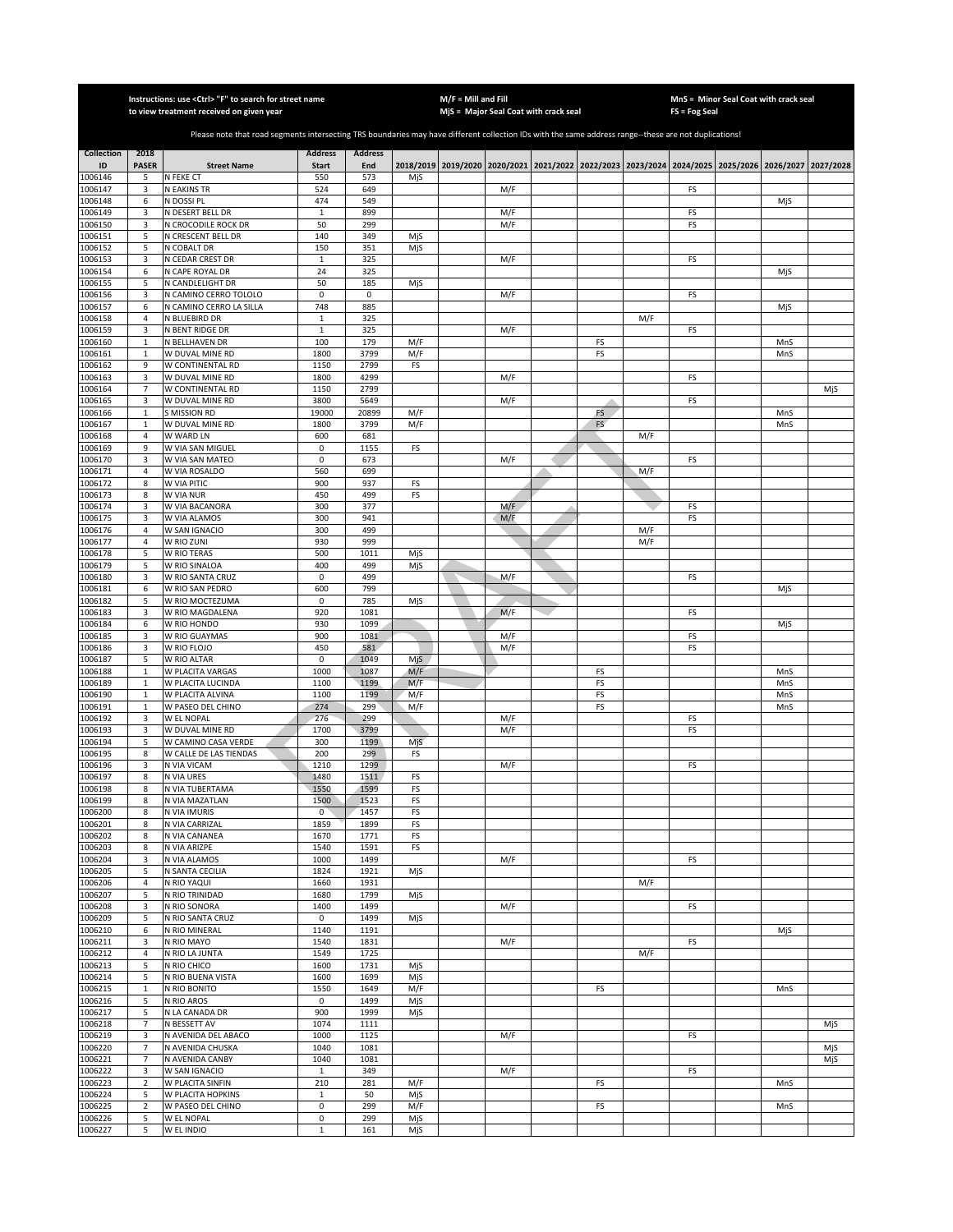|                    |                     | Instructions: use <ctrl> "F" to search for street name<br/>to view treatment received on given year</ctrl>                                            | M/F = Mill and Fill          | MjS = Major Seal Coat with crack seal |            | MnS = Minor Seal Coat with crack seal<br>FS = Fog Seal |                                                                                                     |    |     |           |  |     |     |
|--------------------|---------------------|-------------------------------------------------------------------------------------------------------------------------------------------------------|------------------------------|---------------------------------------|------------|--------------------------------------------------------|-----------------------------------------------------------------------------------------------------|----|-----|-----------|--|-----|-----|
|                    |                     |                                                                                                                                                       |                              |                                       |            |                                                        |                                                                                                     |    |     |           |  |     |     |
|                    |                     | Please note that road segments intersecting TRS boundaries may have different collection IDs with the same address range--these are not duplications! |                              |                                       |            |                                                        |                                                                                                     |    |     |           |  |     |     |
| <b>Collection</b>  | 2018                |                                                                                                                                                       | <b>Address</b>               | <b>Address</b>                        |            |                                                        |                                                                                                     |    |     |           |  |     |     |
| ID<br>1006146      | <b>PASER</b><br>5   | <b>Street Name</b><br>N FEKE CT                                                                                                                       | <b>Start</b><br>550          | End<br>573                            | MjS        |                                                        | 2018/2019 2019/2020 2020/2021 2021/2022 2022/2023 2023/2024 2024/2025 2025/2026 2026/2027 2027/2028 |    |     |           |  |     |     |
| 1006147            | 3                   | <b>N EAKINS TR</b>                                                                                                                                    | 524                          | 649                                   |            |                                                        | M/F                                                                                                 |    |     | FS        |  |     |     |
| 1006148            | 6                   | N DOSSI PL                                                                                                                                            | 474                          | 549                                   |            |                                                        |                                                                                                     |    |     |           |  | MjS |     |
| 1006149<br>1006150 | 3<br>3              | N DESERT BELL DR<br>N CROCODILE ROCK DR                                                                                                               | $\mathbf 1$<br>50            | 899<br>299                            |            |                                                        | M/F<br>M/F                                                                                          |    |     | FS<br>FS  |  |     |     |
| 1006151            | 5                   | N CRESCENT BELL DR                                                                                                                                    | 140                          | 349                                   | MjS        |                                                        |                                                                                                     |    |     |           |  |     |     |
| 1006152            | 5                   | N COBALT DR                                                                                                                                           | 150                          | 351                                   | MjS        |                                                        |                                                                                                     |    |     |           |  |     |     |
| 1006153<br>1006154 | 3<br>6              | N CEDAR CREST DR<br>N CAPE ROYAL DR                                                                                                                   | 1<br>24                      | 325<br>325                            |            |                                                        | M/F                                                                                                 |    |     | FS        |  | MjS |     |
| 1006155            | 5                   | N CANDLELIGHT DR                                                                                                                                      | 50                           | 185                                   | MjS        |                                                        |                                                                                                     |    |     |           |  |     |     |
| 1006156            | 3                   | N CAMINO CERRO TOLOLO                                                                                                                                 | $\mathsf 0$                  | 0                                     |            |                                                        | M/F                                                                                                 |    |     | FS        |  |     |     |
| 1006157            | 6                   | N CAMINO CERRO LA SILLA                                                                                                                               | 748                          | 885                                   |            |                                                        |                                                                                                     |    |     |           |  | MjS |     |
| 1006158<br>1006159 | 4<br>3              | N BLUEBIRD DR<br>N BENT RIDGE DR                                                                                                                      | $\mathbf{1}$<br>$\mathbf{1}$ | 325<br>325                            |            |                                                        | M/F                                                                                                 |    | M/F | FS        |  |     |     |
| 1006160            | $\mathbf 1$         | N BELLHAVEN DR                                                                                                                                        | 100                          | 179                                   | M/F        |                                                        |                                                                                                     | FS |     |           |  | MnS |     |
| 1006161            | $\mathbf 1$         | W DUVAL MINE RD                                                                                                                                       | 1800                         | 3799                                  | M/F        |                                                        |                                                                                                     | FS |     |           |  | MnS |     |
| 1006162            | 9                   | W CONTINENTAL RD                                                                                                                                      | 1150                         | 2799                                  | FS         |                                                        |                                                                                                     |    |     |           |  |     |     |
| 1006163<br>1006164 | 3<br>$\overline{7}$ | W DUVAL MINE RD<br>W CONTINENTAL RD                                                                                                                   | 1800<br>1150                 | 4299<br>2799                          |            |                                                        | M/F                                                                                                 |    |     | FS        |  |     | MjS |
| 1006165            | 3                   | W DUVAL MINE RD                                                                                                                                       | 3800                         | 5649                                  |            |                                                        | M/F                                                                                                 |    |     | FS        |  |     |     |
| 1006166            | $\mathbf 1$         | S MISSION RD                                                                                                                                          | 19000                        | 20899                                 | M/F        |                                                        |                                                                                                     | FS |     |           |  | MnS |     |
| 1006167            | $\mathbf 1$         | W DUVAL MINE RD                                                                                                                                       | 1800                         | 3799                                  | M/F        |                                                        |                                                                                                     | FS |     |           |  | MnS |     |
| 1006168<br>1006169 | 4<br>9              | W WARD LN<br>W VIA SAN MIGUEL                                                                                                                         | 600<br>$\pmb{0}$             | 681<br>1155                           | FS         |                                                        |                                                                                                     |    | M/F |           |  |     |     |
| 1006170            | 3                   | W VIA SAN MATEO                                                                                                                                       | 0                            | 673                                   |            |                                                        | M/F                                                                                                 |    |     | FS        |  |     |     |
| 1006171            | 4                   | W VIA ROSALDO                                                                                                                                         | 560                          | 699                                   |            |                                                        |                                                                                                     |    | M/F |           |  |     |     |
| 1006172            | 8                   | W VIA PITIC                                                                                                                                           | 900                          | 937                                   | FS         |                                                        |                                                                                                     |    |     |           |  |     |     |
| 1006173<br>1006174 | 8<br>3              | W VIA NUR<br>W VIA BACANORA                                                                                                                           | 450<br>300                   | 499<br>377                            | FS         |                                                        | M/F                                                                                                 |    |     | FS        |  |     |     |
| 1006175            | 3                   | W VIA ALAMOS                                                                                                                                          | 300                          | 941                                   |            |                                                        | M/F                                                                                                 |    |     | FS        |  |     |     |
| 1006176            | $\sqrt{4}$          | W SAN IGNACIO                                                                                                                                         | 300                          | 499                                   |            |                                                        |                                                                                                     |    | M/F |           |  |     |     |
| 1006177            | 4                   | W RIO ZUNI                                                                                                                                            | 930                          | 999                                   |            |                                                        |                                                                                                     |    | M/F |           |  |     |     |
| 1006178<br>1006179 | 5<br>5              | W RIO TERAS<br>W RIO SINALOA                                                                                                                          | 500<br>400                   | 1011<br>499                           | MjS<br>MjS |                                                        |                                                                                                     |    |     |           |  |     |     |
| 1006180            | 3                   | W RIO SANTA CRUZ                                                                                                                                      | 0                            | 499                                   |            |                                                        | M/F                                                                                                 |    |     | FS        |  |     |     |
| 1006181            | 6                   | W RIO SAN PEDRO                                                                                                                                       | 600                          | 799                                   |            |                                                        |                                                                                                     |    |     |           |  | MjS |     |
| 1006182<br>1006183 | 5<br>3              | W RIO MOCTEZUMA<br>W RIO MAGDALENA                                                                                                                    | 0<br>920                     | 785<br>1081                           | MjS        |                                                        | M/F                                                                                                 |    |     | FS        |  |     |     |
| 1006184            | 6                   | W RIO HONDO                                                                                                                                           | 930                          | 1099                                  |            |                                                        |                                                                                                     |    |     |           |  | MjS |     |
| 1006185            | 3                   | W RIO GUAYMAS                                                                                                                                         | 900                          | 1081                                  |            |                                                        | M/F                                                                                                 |    |     | FS        |  |     |     |
| 1006186            | 3                   | W RIO FLOJO                                                                                                                                           | 450                          | 581                                   |            |                                                        | M/F                                                                                                 |    |     | FS        |  |     |     |
| 1006187<br>1006188 | 5<br>$\mathbf{1}$   | W RIO ALTAR<br>W PLACITA VARGAS                                                                                                                       | $\mathsf 0$<br>1000          | 1049<br>1087                          | Mjs<br>M/F |                                                        |                                                                                                     | FS |     |           |  | MnS |     |
| 1006189            | $\mathbf{1}$        | W PLACITA LUCINDA                                                                                                                                     | 1100                         | 1199                                  | M/F        |                                                        |                                                                                                     | FS |     |           |  | MnS |     |
| 1006190            | $\,1\,$             | W PLACITA ALVINA                                                                                                                                      | 1100                         | 1199                                  | M/F        |                                                        |                                                                                                     | FS |     |           |  | MnS |     |
| 1006191            | $\mathbf 1$         | W PASEO DEL CHINO                                                                                                                                     | 274                          | 299                                   | M/F        |                                                        |                                                                                                     | FS |     |           |  | MnS |     |
| 1006192<br>1006193 | 3<br>3              | W EL NOPAL<br>W DUVAL MINE RD                                                                                                                         | 276<br>1700                  | 299<br>3799                           |            |                                                        | M/F<br>M/F                                                                                          |    |     | FS<br>FS  |  |     |     |
| 1006194            | 5                   | W CAMINO CASA VERDE                                                                                                                                   | 300                          | 1199                                  | MjS        |                                                        |                                                                                                     |    |     |           |  |     |     |
| 1006195            | 8                   | W CALLE DE LAS TIENDAS                                                                                                                                | 200                          | 299                                   | FS         |                                                        |                                                                                                     |    |     |           |  |     |     |
| 1006196            | 3                   | N VIA VICAM                                                                                                                                           | 1210                         | 1299                                  |            |                                                        | M/F                                                                                                 |    |     | FS        |  |     |     |
| 1006197<br>1006198 | 8<br>8              | N VIA URES<br>N VIA TUBERTAMA                                                                                                                         | 1480<br>1550                 | 1511<br>1599                          | FS<br>FS   |                                                        |                                                                                                     |    |     |           |  |     |     |
| 1006199            | 8                   | N VIA MAZATLAN                                                                                                                                        | 1500                         | 1523                                  | FS         |                                                        |                                                                                                     |    |     |           |  |     |     |
| 1006200            | 8                   | N VIA IMURIS                                                                                                                                          | $\mathsf 0$                  | 1457                                  | FS         |                                                        |                                                                                                     |    |     |           |  |     |     |
| 1006201            | 8<br>8              | N VIA CARRIZAL<br>N VIA CANANEA                                                                                                                       | 1859<br>1670                 | 1899<br>1771                          | FS<br>FS   |                                                        |                                                                                                     |    |     |           |  |     |     |
| 1006202<br>1006203 | 8                   | N VIA ARIZPE                                                                                                                                          | 1540                         | 1591                                  | FS         |                                                        |                                                                                                     |    |     |           |  |     |     |
| 1006204            | 3                   | N VIA ALAMOS                                                                                                                                          | 1000                         | 1499                                  |            |                                                        | M/F                                                                                                 |    |     | <b>FS</b> |  |     |     |
| 1006205            | 5                   | N SANTA CECILIA                                                                                                                                       | 1824                         | 1921                                  | MjS        |                                                        |                                                                                                     |    |     |           |  |     |     |
| 1006206<br>1006207 | 4<br>5              | N RIO YAQUI                                                                                                                                           | 1660<br>1680                 | 1931<br>1799                          |            |                                                        |                                                                                                     |    | M/F |           |  |     |     |
| 1006208            | 3                   | N RIO TRINIDAD<br>N RIO SONORA                                                                                                                        | 1400                         | 1499                                  | MjS        |                                                        | M/F                                                                                                 |    |     | <b>FS</b> |  |     |     |
| 1006209            | 5                   | N RIO SANTA CRUZ                                                                                                                                      | $\mathsf 0$                  | 1499                                  | MjS        |                                                        |                                                                                                     |    |     |           |  |     |     |
| 1006210            | 6                   | N RIO MINERAL                                                                                                                                         | 1140                         | 1191                                  |            |                                                        |                                                                                                     |    |     |           |  | MjS |     |
| 1006211<br>1006212 | 3<br>4              | N RIO MAYO<br>N RIO LA JUNTA                                                                                                                          | 1540<br>1549                 | 1831<br>1725                          |            |                                                        | M/F                                                                                                 |    | M/F | <b>FS</b> |  |     |     |
| 1006213            | 5                   | N RIO CHICO                                                                                                                                           | 1600                         | 1731                                  | MjS        |                                                        |                                                                                                     |    |     |           |  |     |     |
| 1006214            | 5                   | N RIO BUENA VISTA                                                                                                                                     | 1600                         | 1699                                  | MjS        |                                                        |                                                                                                     |    |     |           |  |     |     |
| 1006215            | $\mathbf 1$         | N RIO BONITO                                                                                                                                          | 1550                         | 1649                                  | M/F        |                                                        |                                                                                                     | FS |     |           |  | MnS |     |
| 1006216<br>1006217 | 5<br>5              | N RIO AROS<br>N LA CANADA DR                                                                                                                          | $\mathsf 0$<br>900           | 1499<br>1999                          | MjS        |                                                        |                                                                                                     |    |     |           |  |     |     |
| 1006218            | $\overline{7}$      | N BESSETT AV                                                                                                                                          | 1074                         | 1111                                  | MjS        |                                                        |                                                                                                     |    |     |           |  |     | MjS |
| 1006219            | 3                   | N AVENIDA DEL ABACO                                                                                                                                   | 1000                         | 1125                                  |            |                                                        | M/F                                                                                                 |    |     | FS        |  |     |     |
| 1006220            | 7                   | N AVENIDA CHUSKA                                                                                                                                      | 1040                         | 1081                                  |            |                                                        |                                                                                                     |    |     |           |  |     | MjS |
| 1006221            | $\overline{7}$      | N AVENIDA CANBY                                                                                                                                       | 1040                         | 1081                                  |            |                                                        |                                                                                                     |    |     |           |  |     | MjS |
| 1006222<br>1006223 | 3<br>$\mathbf 2$    | W SAN IGNACIO<br>W PLACITA SINFIN                                                                                                                     | $\mathbf 1$<br>210           | 349<br>281                            | M/F        |                                                        | M/F                                                                                                 | FS |     | FS        |  | MnS |     |
| 1006224            | 5                   | W PLACITA HOPKINS                                                                                                                                     | 1                            | 50                                    | MjS        |                                                        |                                                                                                     |    |     |           |  |     |     |
| 1006225            | $\mathbf 2$         | W PASEO DEL CHINO                                                                                                                                     | $\pmb{0}$                    | 299                                   | M/F        |                                                        |                                                                                                     | FS |     |           |  | MnS |     |
| 1006226<br>1006227 | 5<br>5              | W EL NOPAL<br>W EL INDIO                                                                                                                              | 0<br>$\mathbf{1}$            | 299<br>161                            | MjS<br>MjS |                                                        |                                                                                                     |    |     |           |  |     |     |
|                    |                     |                                                                                                                                                       |                              |                                       |            |                                                        |                                                                                                     |    |     |           |  |     |     |